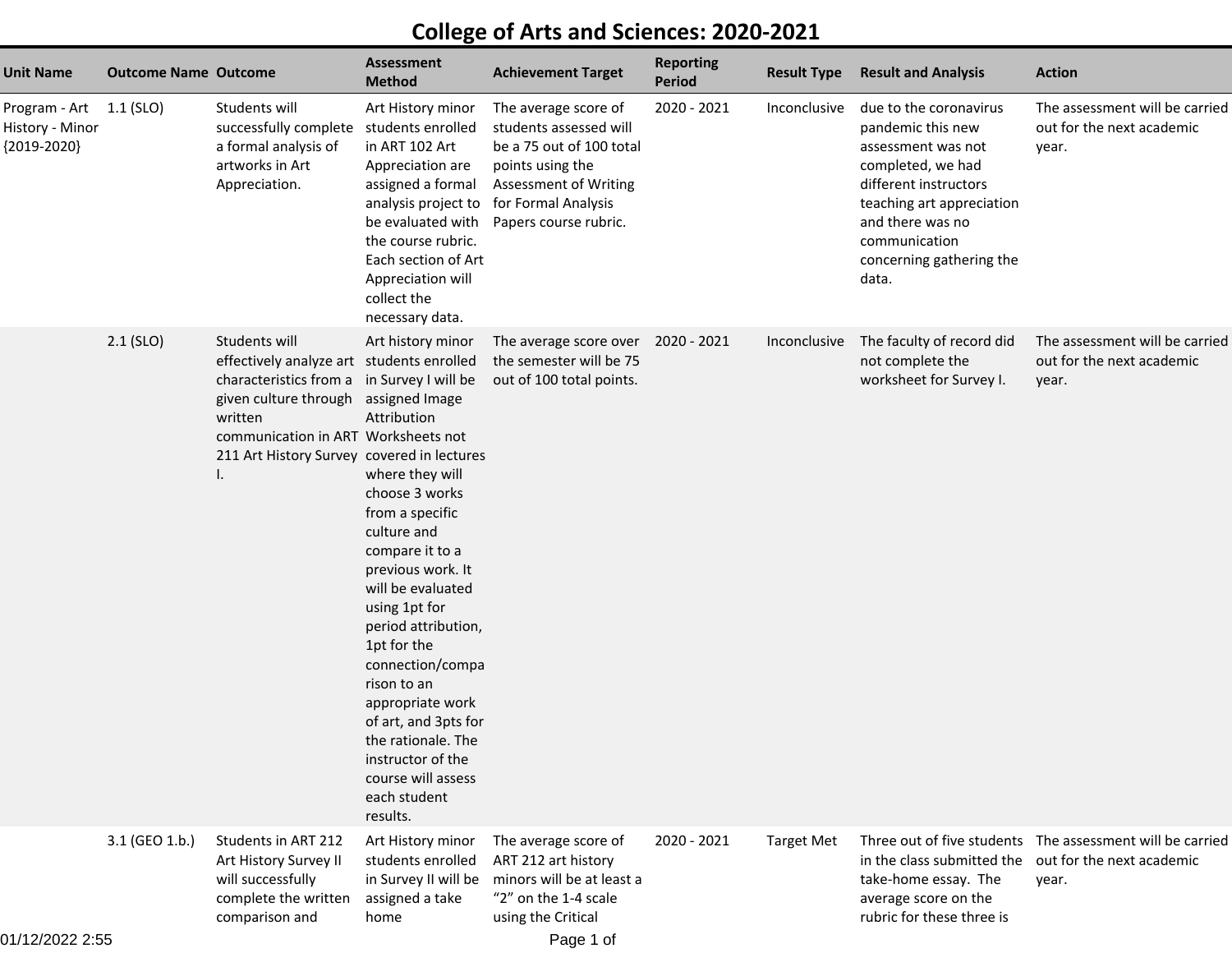## **College of Arts and Sciences: 2020-2021**

| Unit Name                                                   | <b>Outcome Name Outcome</b> |                                                                                                                                                                                                                                                        | <b>Assessment</b><br><b>Method</b>                                                                                                                                                                                                                                                                                                                                                                      | <b>Achievement Target</b>                                                                                                                                                      | <b>Reporting</b><br><b>Period</b> | <b>Result Type</b> | <b>Result and Analysis</b>                                                                                                                                                                                             | <b>Action</b>                                                                                    |
|-------------------------------------------------------------|-----------------------------|--------------------------------------------------------------------------------------------------------------------------------------------------------------------------------------------------------------------------------------------------------|---------------------------------------------------------------------------------------------------------------------------------------------------------------------------------------------------------------------------------------------------------------------------------------------------------------------------------------------------------------------------------------------------------|--------------------------------------------------------------------------------------------------------------------------------------------------------------------------------|-----------------------------------|--------------------|------------------------------------------------------------------------------------------------------------------------------------------------------------------------------------------------------------------------|--------------------------------------------------------------------------------------------------|
| Program - Art 1.1 (SLO)<br>History - Minor<br>${2019-2020}$ |                             | Students will<br>successfully complete<br>a formal analysis of<br>artworks in Art<br>Appreciation.                                                                                                                                                     | Art History minor<br>students enrolled<br>in ART 102 Art<br>Appreciation are<br>assigned a formal<br>analysis project to<br>be evaluated with<br>the course rubric.<br>Each section of Art<br>Appreciation will<br>collect the<br>necessary data.                                                                                                                                                       | The average score of<br>students assessed will<br>be a 75 out of 100 total<br>points using the<br><b>Assessment of Writing</b><br>for Formal Analysis<br>Papers course rubric. | $2020 - 2021$                     | Inconclusive       | due to the coronavirus<br>pandemic this new<br>assessment was not<br>completed, we had<br>different instructors<br>teaching art appreciation<br>and there was no<br>communication<br>concerning gathering the<br>data. | The assessment will be carried<br>out for the next academic<br>year.                             |
|                                                             | $2.1$ (SLO)                 | Students will<br>effectively analyze art students enrolled<br>characteristics from a in Survey I will be<br>given culture through assigned Image<br>written<br>communication in ART Worksheets not<br>211 Art History Survey covered in lectures<br>Ι. | Art history minor<br>Attribution<br>where they will<br>choose 3 works<br>from a specific<br>culture and<br>compare it to a<br>previous work. It<br>will be evaluated<br>using 1pt for<br>period attribution,<br>1pt for the<br>connection/compa<br>rison to an<br>appropriate work<br>of art, and 3pts for<br>the rationale. The<br>instructor of the<br>course will assess<br>each student<br>results. | The average score over<br>the semester will be 75<br>out of 100 total points.                                                                                                  | 2020 - 2021                       | Inconclusive       | The faculty of record did<br>not complete the<br>worksheet for Survey I.                                                                                                                                               | The assessment will be carried<br>out for the next academic<br>year.                             |
|                                                             | 3.1 (GEO 1.b.)              | Students in ART 212<br>Art History Survey II<br>will successfully<br>complete the written<br>comparison and                                                                                                                                            | Art History minor<br>students enrolled<br>in Survey II will be<br>assigned a take<br>home                                                                                                                                                                                                                                                                                                               | The average score of<br>ART 212 art history<br>minors will be at least a<br>"2" on the 1-4 scale<br>using the Critical                                                         | 2020 - 2021                       | <b>Target Met</b>  | in the class submitted the<br>take-home essay. The<br>average score on the<br>rubric for these three is                                                                                                                | Three out of five students  The assessment will be carried<br>out for the next academic<br>year. |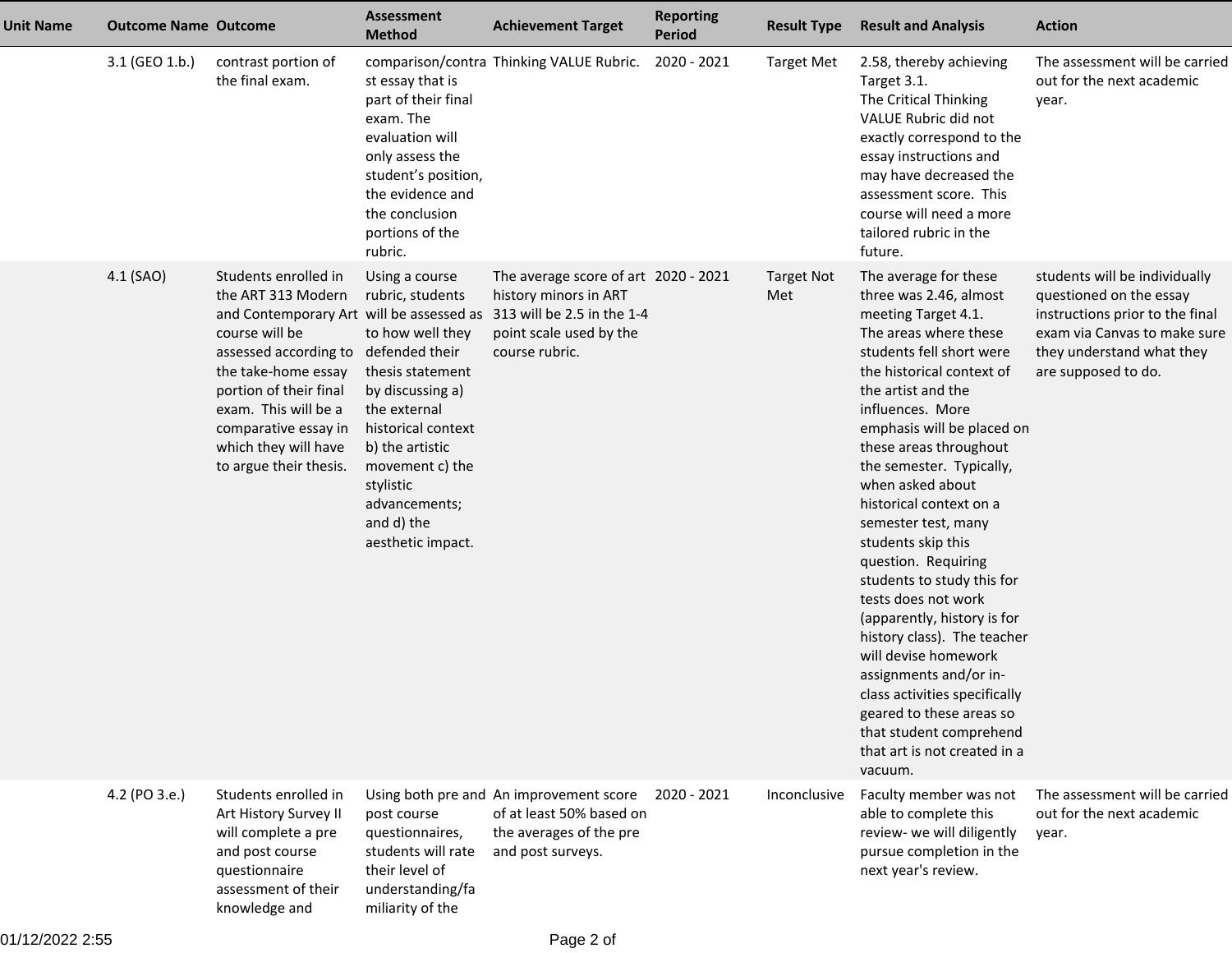| <b>Unit Name</b> | <b>Outcome Name Outcome</b> |                                                                                                                                                                                                                                                                                                     | <b>Assessment</b><br><b>Method</b>                                                                                                                                                                                                          | <b>Achievement Target</b>                                                                                                                | <b>Reporting</b><br><b>Period</b> | <b>Result Type</b>       | <b>Result and Analysis</b>                                                                                                                                                                                                                                                                                                                                                                                                                                                                                                                                                                                                                                                                                        | <b>Action</b>                                                                                                                                                                   |
|------------------|-----------------------------|-----------------------------------------------------------------------------------------------------------------------------------------------------------------------------------------------------------------------------------------------------------------------------------------------------|---------------------------------------------------------------------------------------------------------------------------------------------------------------------------------------------------------------------------------------------|------------------------------------------------------------------------------------------------------------------------------------------|-----------------------------------|--------------------------|-------------------------------------------------------------------------------------------------------------------------------------------------------------------------------------------------------------------------------------------------------------------------------------------------------------------------------------------------------------------------------------------------------------------------------------------------------------------------------------------------------------------------------------------------------------------------------------------------------------------------------------------------------------------------------------------------------------------|---------------------------------------------------------------------------------------------------------------------------------------------------------------------------------|
|                  | 3.1 (GEO 1.b.)              | contrast portion of<br>the final exam.                                                                                                                                                                                                                                                              | st essay that is<br>part of their final<br>exam. The<br>evaluation will<br>only assess the<br>student's position,<br>the evidence and<br>the conclusion<br>portions of the<br>rubric.                                                       | comparison/contra Thinking VALUE Rubric.                                                                                                 | 2020 - 2021                       | <b>Target Met</b>        | 2.58, thereby achieving<br>Target 3.1.<br>The Critical Thinking<br>VALUE Rubric did not<br>exactly correspond to the<br>essay instructions and<br>may have decreased the<br>assessment score. This<br>course will need a more<br>tailored rubric in the<br>future.                                                                                                                                                                                                                                                                                                                                                                                                                                                | The assessment will be carried<br>out for the next academic<br>year.                                                                                                            |
|                  | 4.1 (SAO)                   | Students enrolled in<br>the ART 313 Modern<br>and Contemporary Art will be assessed as<br>course will be<br>assessed according to defended their<br>the take-home essay<br>portion of their final<br>exam. This will be a<br>comparative essay in<br>which they will have<br>to argue their thesis. | Using a course<br>rubric, students<br>to how well they<br>thesis statement<br>by discussing a)<br>the external<br>historical context<br>b) the artistic<br>movement c) the<br>stylistic<br>advancements;<br>and d) the<br>aesthetic impact. | The average score of art 2020 - 2021<br>history minors in ART<br>313 will be 2.5 in the 1-4<br>point scale used by the<br>course rubric. |                                   | <b>Target Not</b><br>Met | The average for these<br>three was 2.46, almost<br>meeting Target 4.1.<br>The areas where these<br>students fell short were<br>the historical context of<br>the artist and the<br>influences. More<br>emphasis will be placed on<br>these areas throughout<br>the semester. Typically,<br>when asked about<br>historical context on a<br>semester test, many<br>students skip this<br>question. Requiring<br>students to study this for<br>tests does not work<br>(apparently, history is for<br>history class). The teacher<br>will devise homework<br>assignments and/or in-<br>class activities specifically<br>geared to these areas so<br>that student comprehend<br>that art is not created in a<br>vacuum. | students will be individually<br>questioned on the essay<br>instructions prior to the final<br>exam via Canvas to make sure<br>they understand what they<br>are supposed to do. |
|                  | 4.2 (PO 3.e.)               | Students enrolled in<br>Art History Survey II<br>will complete a pre<br>and post course<br>questionnaire<br>assessment of their<br>knowledge and                                                                                                                                                    | post course<br>questionnaires,<br>students will rate<br>their level of<br>understanding/fa<br>miliarity of the                                                                                                                              | Using both pre and An improvement score<br>of at least 50% based on<br>the averages of the pre<br>and post surveys.                      | 2020 - 2021                       | Inconclusive             | Faculty member was not<br>able to complete this<br>review- we will diligently<br>pursue completion in the<br>next year's review.                                                                                                                                                                                                                                                                                                                                                                                                                                                                                                                                                                                  | The assessment will be carried<br>out for the next academic<br>year.                                                                                                            |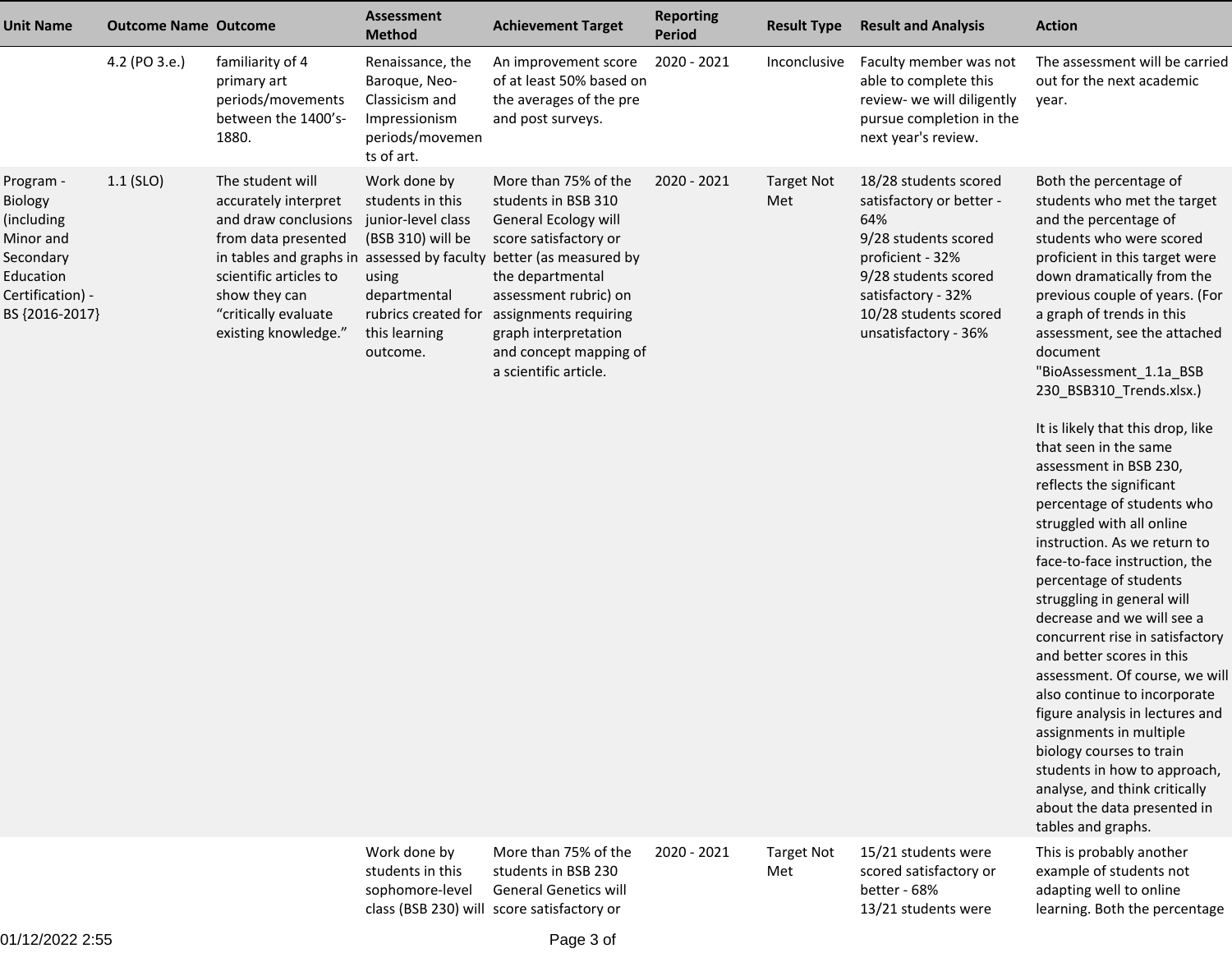| <b>Unit Name</b>                                                                                                | <b>Outcome Name Outcome</b> |                                                                                                                                                                                    | <b>Assessment</b><br><b>Method</b>                                                                                                                       | <b>Achievement Target</b>                                                                                                                                                                                                                                                                                           | <b>Reporting</b><br><b>Period</b> | <b>Result Type</b>       | <b>Result and Analysis</b>                                                                                                                                                                          | <b>Action</b>                                                                                                                                                                                                                                                                                                                                                                                                                                                                                                                                                                                                                                                                                                                                                                                                                                                                                                                                                                                                                        |
|-----------------------------------------------------------------------------------------------------------------|-----------------------------|------------------------------------------------------------------------------------------------------------------------------------------------------------------------------------|----------------------------------------------------------------------------------------------------------------------------------------------------------|---------------------------------------------------------------------------------------------------------------------------------------------------------------------------------------------------------------------------------------------------------------------------------------------------------------------|-----------------------------------|--------------------------|-----------------------------------------------------------------------------------------------------------------------------------------------------------------------------------------------------|--------------------------------------------------------------------------------------------------------------------------------------------------------------------------------------------------------------------------------------------------------------------------------------------------------------------------------------------------------------------------------------------------------------------------------------------------------------------------------------------------------------------------------------------------------------------------------------------------------------------------------------------------------------------------------------------------------------------------------------------------------------------------------------------------------------------------------------------------------------------------------------------------------------------------------------------------------------------------------------------------------------------------------------|
|                                                                                                                 | 4.2 (PO 3.e.)               | familiarity of 4<br>primary art<br>periods/movements<br>between the 1400's-<br>1880.                                                                                               | Renaissance, the<br>Baroque, Neo-<br>Classicism and<br>Impressionism<br>periods/movemen<br>ts of art.                                                    | An improvement score<br>of at least 50% based on<br>the averages of the pre<br>and post surveys.                                                                                                                                                                                                                    | 2020 - 2021                       | Inconclusive             | Faculty member was not<br>able to complete this<br>review- we will diligently<br>pursue completion in the<br>next year's review.                                                                    | The assessment will be carried<br>out for the next academic<br>year.                                                                                                                                                                                                                                                                                                                                                                                                                                                                                                                                                                                                                                                                                                                                                                                                                                                                                                                                                                 |
| Program -<br>Biology<br>(including<br>Minor and<br>Secondary<br>Education<br>Certification) -<br>BS {2016-2017} | $1.1$ (SLO)                 | The student will<br>accurately interpret<br>and draw conclusions<br>from data presented<br>scientific articles to<br>show they can<br>"critically evaluate<br>existing knowledge." | Work done by<br>students in this<br>junior-level class<br>(BSB 310) will be<br>using<br>departmental<br>rubrics created for<br>this learning<br>outcome. | More than 75% of the<br>students in BSB 310<br>General Ecology will<br>score satisfactory or<br>in tables and graphs in assessed by faculty better (as measured by<br>the departmental<br>assessment rubric) on<br>assignments requiring<br>graph interpretation<br>and concept mapping of<br>a scientific article. | 2020 - 2021                       | <b>Target Not</b><br>Met | 18/28 students scored<br>satisfactory or better -<br>64%<br>9/28 students scored<br>proficient - 32%<br>9/28 students scored<br>satisfactory - 32%<br>10/28 students scored<br>unsatisfactory - 36% | Both the percentage of<br>students who met the target<br>and the percentage of<br>students who were scored<br>proficient in this target were<br>down dramatically from the<br>previous couple of years. (For<br>a graph of trends in this<br>assessment, see the attached<br>document<br>"BioAssessment_1.1a_BSB<br>230_BSB310_Trends.xlsx.)<br>It is likely that this drop, like<br>that seen in the same<br>assessment in BSB 230,<br>reflects the significant<br>percentage of students who<br>struggled with all online<br>instruction. As we return to<br>face-to-face instruction, the<br>percentage of students<br>struggling in general will<br>decrease and we will see a<br>concurrent rise in satisfactory<br>and better scores in this<br>assessment. Of course, we will<br>also continue to incorporate<br>figure analysis in lectures and<br>assignments in multiple<br>biology courses to train<br>students in how to approach,<br>analyse, and think critically<br>about the data presented in<br>tables and graphs. |
|                                                                                                                 |                             |                                                                                                                                                                                    | Work done by<br>students in this<br>sophomore-level                                                                                                      | More than 75% of the<br>students in BSB 230<br><b>General Genetics will</b><br>class (BSB 230) will score satisfactory or                                                                                                                                                                                           | 2020 - 2021                       | <b>Target Not</b><br>Met | 15/21 students were<br>scored satisfactory or<br>better - 68%<br>13/21 students were                                                                                                                | This is probably another<br>example of students not<br>adapting well to online<br>learning. Both the percentage                                                                                                                                                                                                                                                                                                                                                                                                                                                                                                                                                                                                                                                                                                                                                                                                                                                                                                                      |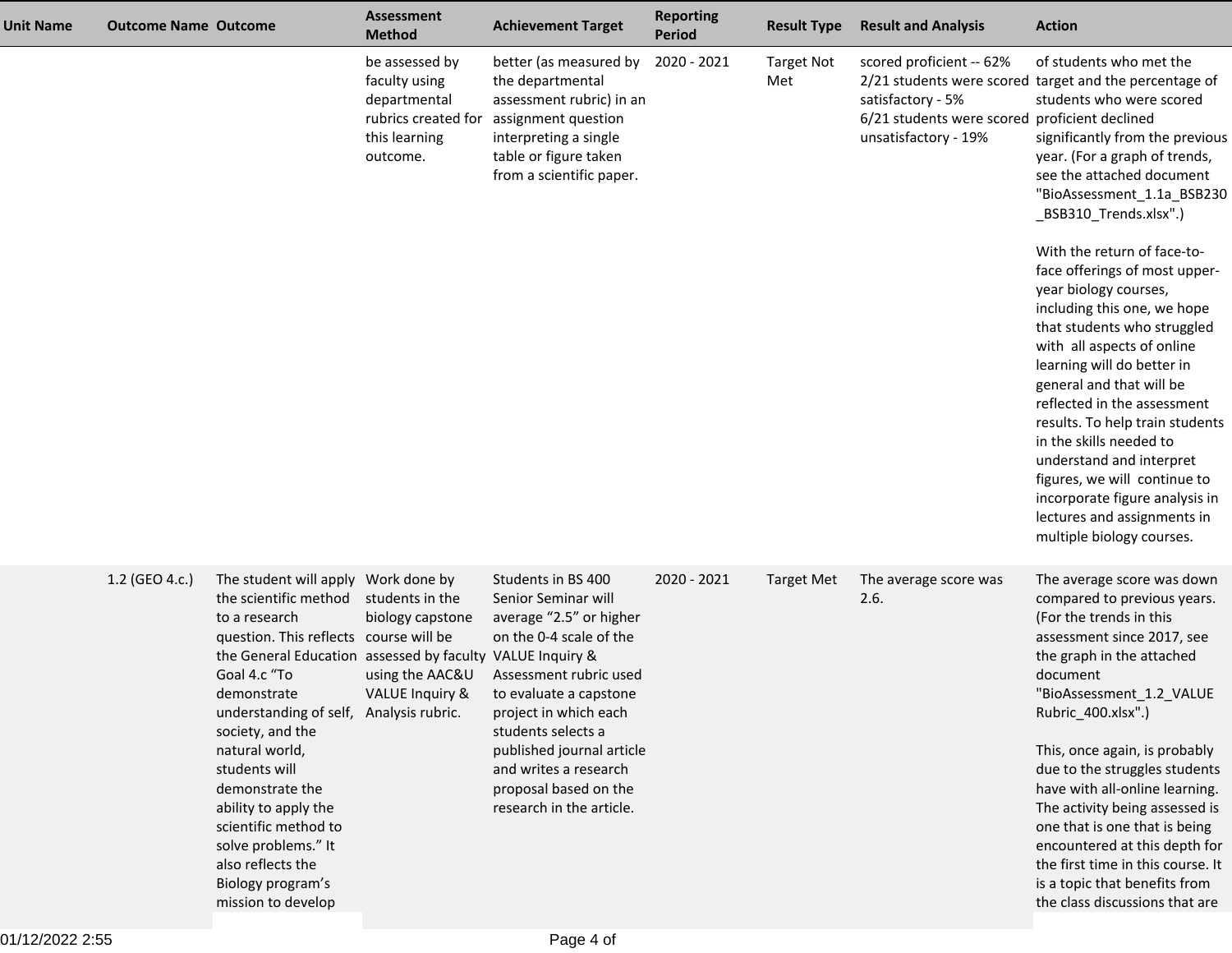| <b>Unit Name</b> | <b>Outcome Name Outcome</b> |                                                                                                                                                                                                                                                                                                                                                                                                                                                                                 | <b>Assessment</b><br><b>Method</b>                                                                  | <b>Achievement Target</b>                                                                                                                                                                                                                                                                                     | <b>Reporting</b><br><b>Period</b> | <b>Result Type</b>       | <b>Result and Analysis</b>                                                                                             | <b>Action</b>                                                                                                                                                                                                                                                                                                                                                                                                                                                                                                                                                                                                                                                                                                                                                                |
|------------------|-----------------------------|---------------------------------------------------------------------------------------------------------------------------------------------------------------------------------------------------------------------------------------------------------------------------------------------------------------------------------------------------------------------------------------------------------------------------------------------------------------------------------|-----------------------------------------------------------------------------------------------------|---------------------------------------------------------------------------------------------------------------------------------------------------------------------------------------------------------------------------------------------------------------------------------------------------------------|-----------------------------------|--------------------------|------------------------------------------------------------------------------------------------------------------------|------------------------------------------------------------------------------------------------------------------------------------------------------------------------------------------------------------------------------------------------------------------------------------------------------------------------------------------------------------------------------------------------------------------------------------------------------------------------------------------------------------------------------------------------------------------------------------------------------------------------------------------------------------------------------------------------------------------------------------------------------------------------------|
|                  |                             |                                                                                                                                                                                                                                                                                                                                                                                                                                                                                 | be assessed by<br>faculty using<br>departmental<br>rubrics created for<br>this learning<br>outcome. | better (as measured by<br>the departmental<br>assessment rubric) in an<br>assignment question<br>interpreting a single<br>table or figure taken<br>from a scientific paper.                                                                                                                                   | 2020 - 2021                       | <b>Target Not</b><br>Met | scored proficient -- 62%<br>satisfactory - 5%<br>6/21 students were scored proficient declined<br>unsatisfactory - 19% | of students who met the<br>2/21 students were scored target and the percentage of<br>students who were scored<br>significantly from the previous<br>year. (For a graph of trends,<br>see the attached document<br>"BioAssessment_1.1a_BSB230<br>_BSB310_Trends.xlsx".)<br>With the return of face-to-<br>face offerings of most upper-<br>year biology courses,<br>including this one, we hope<br>that students who struggled<br>with all aspects of online<br>learning will do better in<br>general and that will be<br>reflected in the assessment<br>results. To help train students<br>in the skills needed to<br>understand and interpret<br>figures, we will continue to<br>incorporate figure analysis in<br>lectures and assignments in<br>multiple biology courses. |
|                  | 1.2 (GEO 4.c.)              | The student will apply Work done by<br>the scientific method<br>to a research<br>question. This reflects course will be<br>the General Education assessed by faculty VALUE Inquiry &<br>Goal 4.c "To<br>demonstrate<br>understanding of self, Analysis rubric.<br>society, and the<br>natural world,<br>students will<br>demonstrate the<br>ability to apply the<br>scientific method to<br>solve problems." It<br>also reflects the<br>Biology program's<br>mission to develop | students in the<br>biology capstone<br>using the AAC&U<br><b>VALUE Inquiry &amp;</b>                | Students in BS 400<br>Senior Seminar will<br>average "2.5" or higher<br>on the 0-4 scale of the<br>Assessment rubric used<br>to evaluate a capstone<br>project in which each<br>students selects a<br>published journal article<br>and writes a research<br>proposal based on the<br>research in the article. | 2020 - 2021                       | <b>Target Met</b>        | The average score was<br>2.6.                                                                                          | The average score was down<br>compared to previous years.<br>(For the trends in this<br>assessment since 2017, see<br>the graph in the attached<br>document<br>"BioAssessment 1.2 VALUE<br>Rubric_400.xlsx".)<br>This, once again, is probably<br>due to the struggles students<br>have with all-online learning.<br>The activity being assessed is<br>one that is one that is being<br>encountered at this depth for<br>the first time in this course. It<br>is a topic that benefits from<br>the class discussions that are                                                                                                                                                                                                                                                |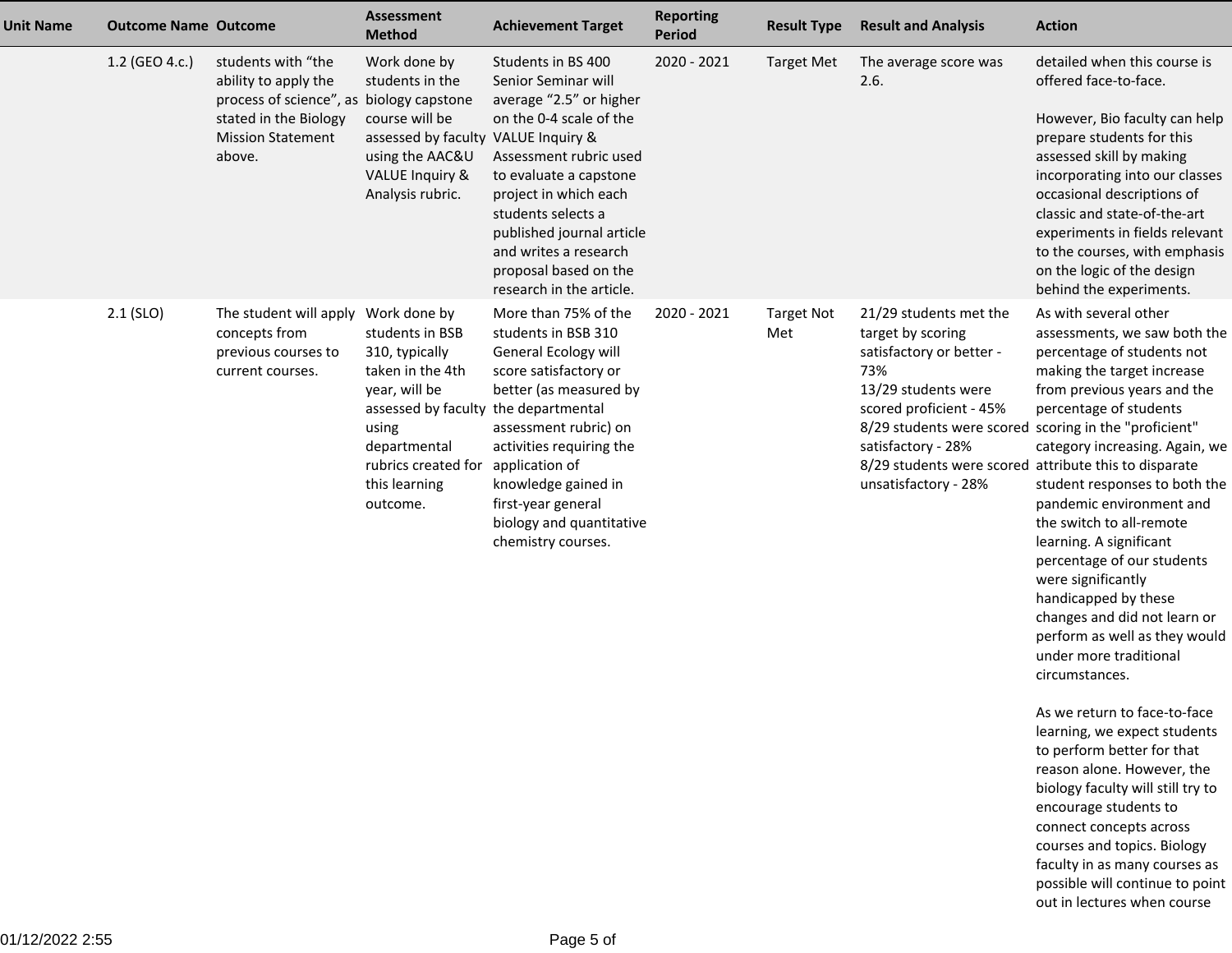| <b>Unit Name</b> | <b>Outcome Name Outcome</b> |                                                                                                                                                       | <b>Assessment</b><br><b>Method</b>                                                                                                                                                                          | <b>Achievement Target</b>                                                                                                                                                                                                                                                                                     | <b>Reporting</b><br><b>Period</b> | <b>Result Type</b>       | <b>Result and Analysis</b>                                                                                                                                                                                                                                                                       | <b>Action</b>                                                                                                                                                                                                                                                                                                                                                                                                                                                                                                                                             |
|------------------|-----------------------------|-------------------------------------------------------------------------------------------------------------------------------------------------------|-------------------------------------------------------------------------------------------------------------------------------------------------------------------------------------------------------------|---------------------------------------------------------------------------------------------------------------------------------------------------------------------------------------------------------------------------------------------------------------------------------------------------------------|-----------------------------------|--------------------------|--------------------------------------------------------------------------------------------------------------------------------------------------------------------------------------------------------------------------------------------------------------------------------------------------|-----------------------------------------------------------------------------------------------------------------------------------------------------------------------------------------------------------------------------------------------------------------------------------------------------------------------------------------------------------------------------------------------------------------------------------------------------------------------------------------------------------------------------------------------------------|
|                  | 1.2 (GEO 4.c.)              | students with "the<br>ability to apply the<br>process of science", as biology capstone<br>stated in the Biology<br><b>Mission Statement</b><br>above. | Work done by<br>students in the<br>course will be<br>assessed by faculty VALUE Inquiry &<br>using the AAC&U<br>VALUE Inquiry &<br>Analysis rubric.                                                          | Students in BS 400<br>Senior Seminar will<br>average "2.5" or higher<br>on the 0-4 scale of the<br>Assessment rubric used<br>to evaluate a capstone<br>project in which each<br>students selects a<br>published journal article<br>and writes a research<br>proposal based on the<br>research in the article. | 2020 - 2021                       | <b>Target Met</b>        | The average score was<br>2.6.                                                                                                                                                                                                                                                                    | detailed when this course is<br>offered face-to-face.<br>However, Bio faculty can help<br>prepare students for this<br>assessed skill by making<br>incorporating into our classes<br>occasional descriptions of<br>classic and state-of-the-art<br>experiments in fields relevant<br>to the courses, with emphasis<br>on the logic of the design<br>behind the experiments.                                                                                                                                                                               |
|                  | $2.1$ (SLO)                 | The student will apply<br>concepts from<br>previous courses to<br>current courses.                                                                    | Work done by<br>students in BSB<br>310, typically<br>taken in the 4th<br>year, will be<br>assessed by faculty the departmental<br>using<br>departmental<br>rubrics created for<br>this learning<br>outcome. | More than 75% of the<br>students in BSB 310<br>General Ecology will<br>score satisfactory or<br>better (as measured by<br>assessment rubric) on<br>activities requiring the<br>application of<br>knowledge gained in<br>first-year general<br>biology and quantitative<br>chemistry courses.                  | 2020 - 2021                       | <b>Target Not</b><br>Met | 21/29 students met the<br>target by scoring<br>satisfactory or better -<br>73%<br>13/29 students were<br>scored proficient - 45%<br>8/29 students were scored scoring in the "proficient"<br>satisfactory - 28%<br>8/29 students were scored attribute this to disparate<br>unsatisfactory - 28% | As with several other<br>assessments, we saw both the<br>percentage of students not<br>making the target increase<br>from previous years and the<br>percentage of students<br>category increasing. Again, we<br>student responses to both the<br>pandemic environment and<br>the switch to all-remote<br>learning. A significant<br>percentage of our students<br>were significantly<br>handicapped by these<br>changes and did not learn or<br>perform as well as they would<br>under more traditional<br>circumstances.<br>As we return to face-to-face |
|                  |                             |                                                                                                                                                       |                                                                                                                                                                                                             |                                                                                                                                                                                                                                                                                                               |                                   |                          |                                                                                                                                                                                                                                                                                                  | learning, we expect students<br>to perform better for that<br>reason alone. However, the<br>biology faculty will still try to<br>encourage students to<br>connect concepts across                                                                                                                                                                                                                                                                                                                                                                         |

 courses and topics. Biology faculty in as many courses as possible will continue to pointout in lectures when course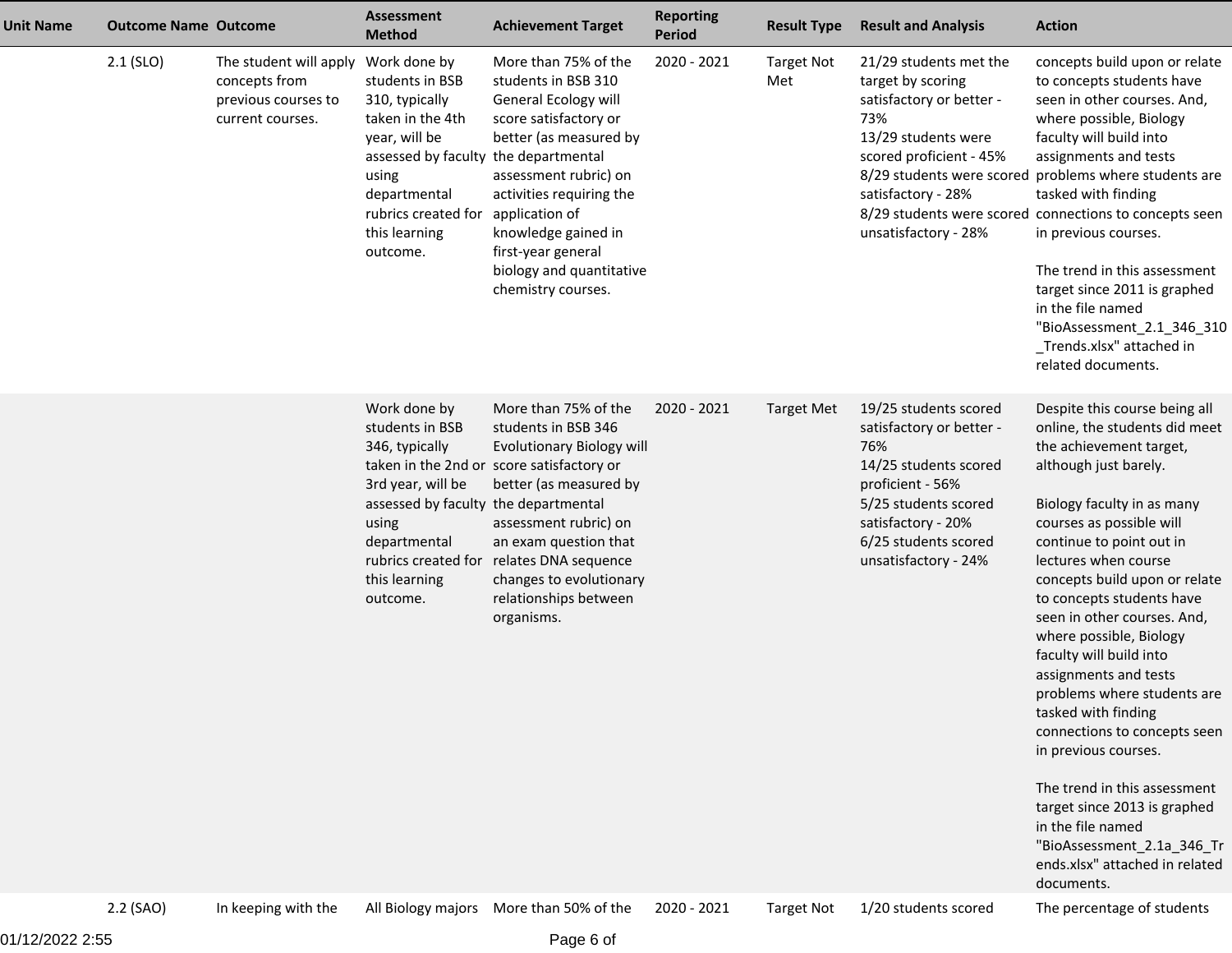| <b>Unit Name</b> | <b>Outcome Name Outcome</b> |                                                                                    | <b>Assessment</b><br><b>Method</b>                                                                                                                                                                          | <b>Achievement Target</b>                                                                                                                                                                                                                                                                          | <b>Reporting</b><br><b>Period</b> | <b>Result Type</b>       | <b>Result and Analysis</b>                                                                                                                                                                          | <b>Action</b>                                                                                                                                                                                                                                                                                                                                                                                                                                                                                                                                                                                                                                                                                 |
|------------------|-----------------------------|------------------------------------------------------------------------------------|-------------------------------------------------------------------------------------------------------------------------------------------------------------------------------------------------------------|----------------------------------------------------------------------------------------------------------------------------------------------------------------------------------------------------------------------------------------------------------------------------------------------------|-----------------------------------|--------------------------|-----------------------------------------------------------------------------------------------------------------------------------------------------------------------------------------------------|-----------------------------------------------------------------------------------------------------------------------------------------------------------------------------------------------------------------------------------------------------------------------------------------------------------------------------------------------------------------------------------------------------------------------------------------------------------------------------------------------------------------------------------------------------------------------------------------------------------------------------------------------------------------------------------------------|
|                  | $2.1$ (SLO)                 | The student will apply<br>concepts from<br>previous courses to<br>current courses. | Work done by<br>students in BSB<br>310, typically<br>taken in the 4th<br>year, will be<br>assessed by faculty the departmental<br>using<br>departmental<br>rubrics created for<br>this learning<br>outcome. | More than 75% of the<br>students in BSB 310<br>General Ecology will<br>score satisfactory or<br>better (as measured by<br>assessment rubric) on<br>activities requiring the<br>application of<br>knowledge gained in<br>first-year general<br>biology and quantitative<br>chemistry courses.       | 2020 - 2021                       | <b>Target Not</b><br>Met | 21/29 students met the<br>target by scoring<br>satisfactory or better -<br>73%<br>13/29 students were<br>scored proficient - 45%<br>satisfactory - 28%<br>unsatisfactory - 28%                      | concepts build upon or relate<br>to concepts students have<br>seen in other courses. And,<br>where possible, Biology<br>faculty will build into<br>assignments and tests<br>8/29 students were scored problems where students are<br>tasked with finding<br>8/29 students were scored connections to concepts seen<br>in previous courses.<br>The trend in this assessment<br>target since 2011 is graphed<br>in the file named<br>"BioAssessment_2.1_346_310<br>_Trends.xlsx" attached in<br>related documents.                                                                                                                                                                              |
|                  |                             |                                                                                    | Work done by<br>students in BSB<br>346, typically<br>3rd year, will be<br>assessed by faculty the departmental<br>using<br>departmental<br>rubrics created for<br>this learning<br>outcome.                 | More than 75% of the<br>students in BSB 346<br><b>Evolutionary Biology will</b><br>taken in the 2nd or score satisfactory or<br>better (as measured by<br>assessment rubric) on<br>an exam question that<br>relates DNA sequence<br>changes to evolutionary<br>relationships between<br>organisms. | 2020 - 2021                       | <b>Target Met</b>        | 19/25 students scored<br>satisfactory or better -<br>76%<br>14/25 students scored<br>proficient - 56%<br>5/25 students scored<br>satisfactory - 20%<br>6/25 students scored<br>unsatisfactory - 24% | Despite this course being all<br>online, the students did meet<br>the achievement target,<br>although just barely.<br>Biology faculty in as many<br>courses as possible will<br>continue to point out in<br>lectures when course<br>concepts build upon or relate<br>to concepts students have<br>seen in other courses. And,<br>where possible, Biology<br>faculty will build into<br>assignments and tests<br>problems where students are<br>tasked with finding<br>connections to concepts seen<br>in previous courses.<br>The trend in this assessment<br>target since 2013 is graphed<br>in the file named<br>"BioAssessment_2.1a_346_Tr<br>ends.xlsx" attached in related<br>documents. |
|                  | 2.2 (SAO)                   | In keeping with the                                                                |                                                                                                                                                                                                             | All Biology majors More than 50% of the                                                                                                                                                                                                                                                            | 2020 - 2021                       | <b>Target Not</b>        | 1/20 students scored                                                                                                                                                                                | The percentage of students                                                                                                                                                                                                                                                                                                                                                                                                                                                                                                                                                                                                                                                                    |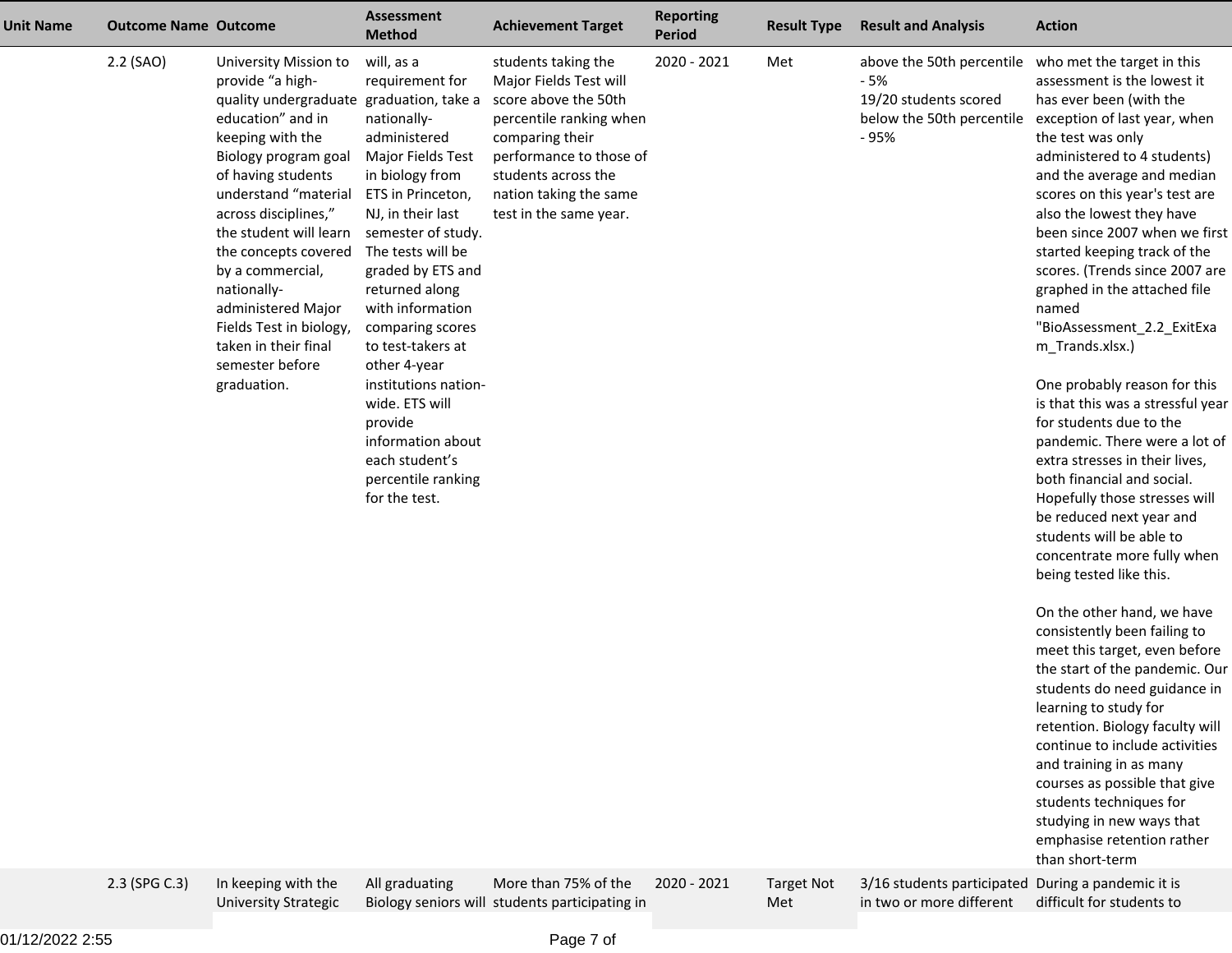| <b>Unit Name</b> | <b>Outcome Name Outcome</b> |                                                                                                                                                                                                                                                                                                                                                                                                                                                     | <b>Assessment</b><br><b>Method</b>                                                                                                                                                                                                                                                                                                                                                                                                                                 | <b>Achievement Target</b>                                                                                                                                                                                                                         | <b>Reporting</b><br><b>Period</b> | <b>Result Type</b>       | <b>Result and Analysis</b>                                                                                                                                                        | <b>Action</b>                                                                                                                                                                                                                                                                                                                                                                                                                                                                                                                                                                                                                                                                                                                                                                                                                                                                                                                                                                                                                                                                                                                                                                                                                |
|------------------|-----------------------------|-----------------------------------------------------------------------------------------------------------------------------------------------------------------------------------------------------------------------------------------------------------------------------------------------------------------------------------------------------------------------------------------------------------------------------------------------------|--------------------------------------------------------------------------------------------------------------------------------------------------------------------------------------------------------------------------------------------------------------------------------------------------------------------------------------------------------------------------------------------------------------------------------------------------------------------|---------------------------------------------------------------------------------------------------------------------------------------------------------------------------------------------------------------------------------------------------|-----------------------------------|--------------------------|-----------------------------------------------------------------------------------------------------------------------------------------------------------------------------------|------------------------------------------------------------------------------------------------------------------------------------------------------------------------------------------------------------------------------------------------------------------------------------------------------------------------------------------------------------------------------------------------------------------------------------------------------------------------------------------------------------------------------------------------------------------------------------------------------------------------------------------------------------------------------------------------------------------------------------------------------------------------------------------------------------------------------------------------------------------------------------------------------------------------------------------------------------------------------------------------------------------------------------------------------------------------------------------------------------------------------------------------------------------------------------------------------------------------------|
|                  | 2.2 (SAO)<br>2.3 (SPG C.3)  | University Mission to<br>provide "a high-<br>quality undergraduate graduation, take a<br>education" and in<br>keeping with the<br>Biology program goal<br>of having students<br>understand "material<br>across disciplines,"<br>the student will learn<br>the concepts covered<br>by a commercial,<br>nationally-<br>administered Major<br>Fields Test in biology,<br>taken in their final<br>semester before<br>graduation.<br>In keeping with the | will, as a<br>requirement for<br>nationally-<br>administered<br>Major Fields Test<br>in biology from<br>ETS in Princeton,<br>NJ, in their last<br>semester of study.<br>The tests will be<br>graded by ETS and<br>returned along<br>with information<br>comparing scores<br>to test-takers at<br>other 4-year<br>institutions nation-<br>wide. ETS will<br>provide<br>information about<br>each student's<br>percentile ranking<br>for the test.<br>All graduating | students taking the<br>Major Fields Test will<br>score above the 50th<br>percentile ranking when<br>comparing their<br>performance to those of<br>students across the<br>nation taking the same<br>test in the same year.<br>More than 75% of the | 2020 - 2021<br>2020 - 2021        | Met<br><b>Target Not</b> | above the 50th percentile who met the target in this<br>- 5%<br>19/20 students scored<br>below the 50th percentile<br>- 95%<br>3/16 students participated During a pandemic it is | assessment is the lowest it<br>has ever been (with the<br>exception of last year, when<br>the test was only<br>administered to 4 students)<br>and the average and median<br>scores on this year's test are<br>also the lowest they have<br>been since 2007 when we first<br>started keeping track of the<br>scores. (Trends since 2007 are<br>graphed in the attached file<br>named<br>"BioAssessment_2.2_ExitExa<br>m_Trands.xlsx.)<br>One probably reason for this<br>is that this was a stressful year<br>for students due to the<br>pandemic. There were a lot of<br>extra stresses in their lives,<br>both financial and social.<br>Hopefully those stresses will<br>be reduced next year and<br>students will be able to<br>concentrate more fully when<br>being tested like this.<br>On the other hand, we have<br>consistently been failing to<br>meet this target, even before<br>the start of the pandemic. Our<br>students do need guidance in<br>learning to study for<br>retention. Biology faculty will<br>continue to include activities<br>and training in as many<br>courses as possible that give<br>students techniques for<br>studying in new ways that<br>emphasise retention rather<br>than short-term |
|                  |                             |                                                                                                                                                                                                                                                                                                                                                                                                                                                     |                                                                                                                                                                                                                                                                                                                                                                                                                                                                    |                                                                                                                                                                                                                                                   |                                   |                          |                                                                                                                                                                                   |                                                                                                                                                                                                                                                                                                                                                                                                                                                                                                                                                                                                                                                                                                                                                                                                                                                                                                                                                                                                                                                                                                                                                                                                                              |

University Strategic

Biology seniors will

students participating in

 Target Not Met

in two or more different difficult for students to

3/16 students participated During a pandemic it is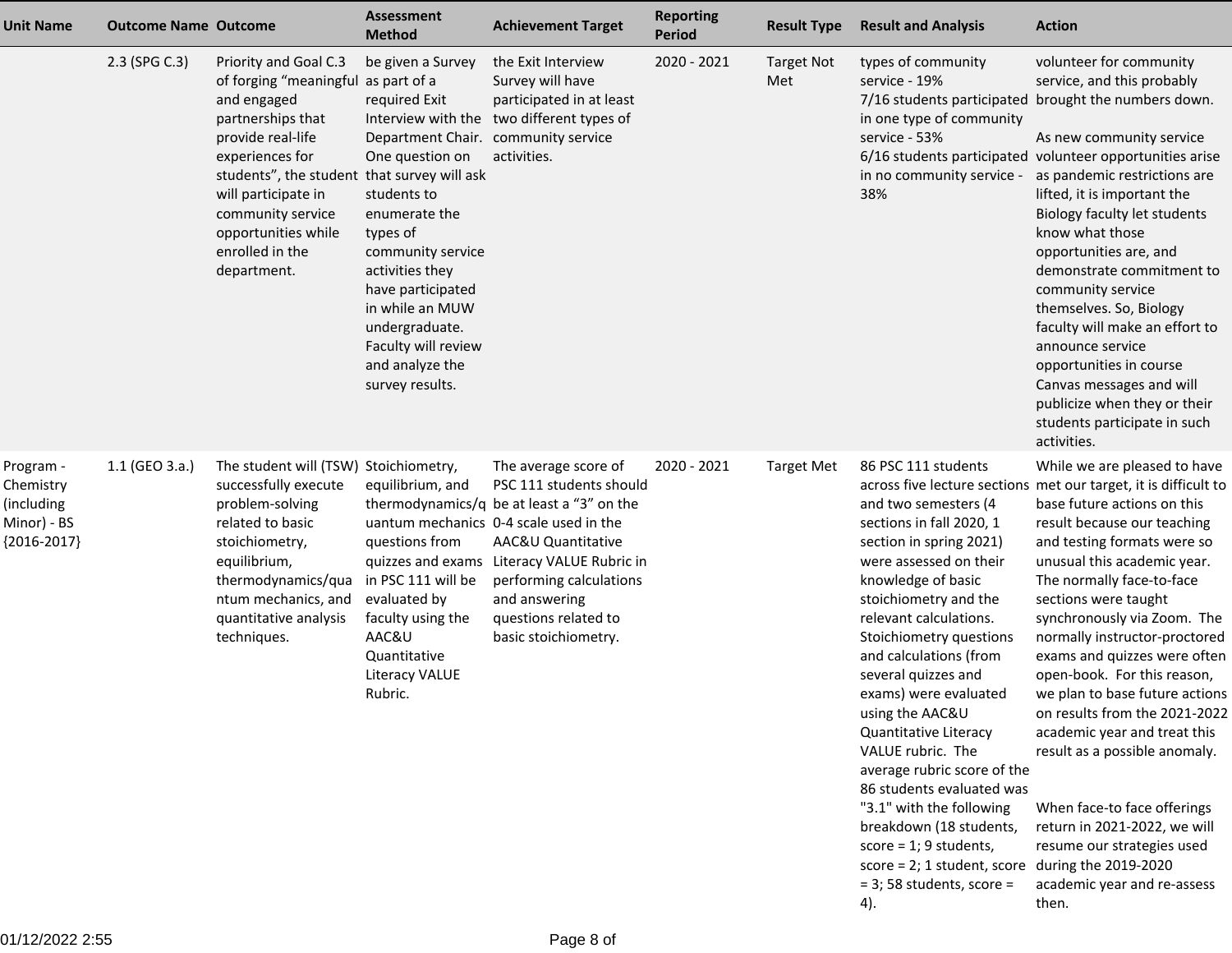| <b>Unit Name</b>                                                     | <b>Outcome Name Outcome</b> |                                                                                                                                                                                                                                                                                              | <b>Assessment</b><br><b>Method</b>                                                                                                                                                                                                                                                                      | <b>Achievement Target</b>                                                                                                                                                                                                                                                                              | <b>Reporting</b><br><b>Period</b> | <b>Result Type</b>       | <b>Result and Analysis</b>                                                                                                                                                                                                                                                                                                                                                                                                                                                                                                                                                                                              | <b>Action</b>                                                                                                                                                                                                                                                                                                                                                                                                                                                                                                                                                                                                                                                                            |
|----------------------------------------------------------------------|-----------------------------|----------------------------------------------------------------------------------------------------------------------------------------------------------------------------------------------------------------------------------------------------------------------------------------------|---------------------------------------------------------------------------------------------------------------------------------------------------------------------------------------------------------------------------------------------------------------------------------------------------------|--------------------------------------------------------------------------------------------------------------------------------------------------------------------------------------------------------------------------------------------------------------------------------------------------------|-----------------------------------|--------------------------|-------------------------------------------------------------------------------------------------------------------------------------------------------------------------------------------------------------------------------------------------------------------------------------------------------------------------------------------------------------------------------------------------------------------------------------------------------------------------------------------------------------------------------------------------------------------------------------------------------------------------|------------------------------------------------------------------------------------------------------------------------------------------------------------------------------------------------------------------------------------------------------------------------------------------------------------------------------------------------------------------------------------------------------------------------------------------------------------------------------------------------------------------------------------------------------------------------------------------------------------------------------------------------------------------------------------------|
|                                                                      | 2.3 (SPG C.3)               | Priority and Goal C.3<br>of forging "meaningful as part of a<br>and engaged<br>partnerships that<br>provide real-life<br>experiences for<br>students", the student that survey will ask<br>will participate in<br>community service<br>opportunities while<br>enrolled in the<br>department. | be given a Survey<br>required Exit<br>Department Chair. community service<br>One question on<br>students to<br>enumerate the<br>types of<br>community service<br>activities they<br>have participated<br>in while an MUW<br>undergraduate.<br>Faculty will review<br>and analyze the<br>survey results. | the Exit Interview<br>Survey will have<br>participated in at least<br>Interview with the two different types of<br>activities.                                                                                                                                                                         | 2020 - 2021                       | <b>Target Not</b><br>Met | types of community<br>service - 19%<br>in one type of community<br>service - 53%<br>6/16 students participated<br>in no community service -<br>38%                                                                                                                                                                                                                                                                                                                                                                                                                                                                      | volunteer for community<br>service, and this probably<br>7/16 students participated brought the numbers down.<br>As new community service<br>volunteer opportunities arise<br>as pandemic restrictions are<br>lifted, it is important the<br>Biology faculty let students<br>know what those<br>opportunities are, and<br>demonstrate commitment to<br>community service<br>themselves. So, Biology<br>faculty will make an effort to<br>announce service<br>opportunities in course<br>Canvas messages and will<br>publicize when they or their<br>students participate in such<br>activities.                                                                                          |
| Program -<br>Chemistry<br>(including<br>Minor) - BS<br>${2016-2017}$ | 1.1 (GEO 3.a.)              | The student will (TSW) Stoichiometry,<br>successfully execute<br>problem-solving<br>related to basic<br>stoichiometry,<br>equilibrium,<br>thermodynamics/qua<br>ntum mechanics, and<br>quantitative analysis<br>techniques.                                                                  | equilibrium, and<br>questions from<br>in PSC 111 will be<br>evaluated by<br>faculty using the<br>AAC&U<br>Quantitative<br><b>Literacy VALUE</b><br>Rubric.                                                                                                                                              | The average score of<br>PSC 111 students should<br>thermodynamics/q be at least a "3" on the<br>uantum mechanics 0-4 scale used in the<br>AAC&U Quantitative<br>quizzes and exams Literacy VALUE Rubric in<br>performing calculations<br>and answering<br>questions related to<br>basic stoichiometry. | 2020 - 2021                       | <b>Target Met</b>        | 86 PSC 111 students<br>and two semesters (4<br>sections in fall 2020, 1<br>section in spring 2021)<br>were assessed on their<br>knowledge of basic<br>stoichiometry and the<br>relevant calculations.<br>Stoichiometry questions<br>and calculations (from<br>several quizzes and<br>exams) were evaluated<br>using the AAC&U<br>Quantitative Literacy<br>VALUE rubric. The<br>average rubric score of the<br>86 students evaluated was<br>"3.1" with the following<br>breakdown (18 students,<br>$score = 1$ ; 9 students,<br>score = 2; 1 student, score during the 2019-2020<br>$=$ 3; 58 students, score $=$<br>4). | While we are pleased to have<br>across five lecture sections met our target, it is difficult to<br>base future actions on this<br>result because our teaching<br>and testing formats were so<br>unusual this academic year.<br>The normally face-to-face<br>sections were taught<br>synchronously via Zoom. The<br>normally instructor-proctored<br>exams and quizzes were often<br>open-book. For this reason,<br>we plan to base future actions<br>on results from the 2021-2022<br>academic year and treat this<br>result as a possible anomaly.<br>When face-to face offerings<br>return in 2021-2022, we will<br>resume our strategies used<br>academic year and re-assess<br>then. |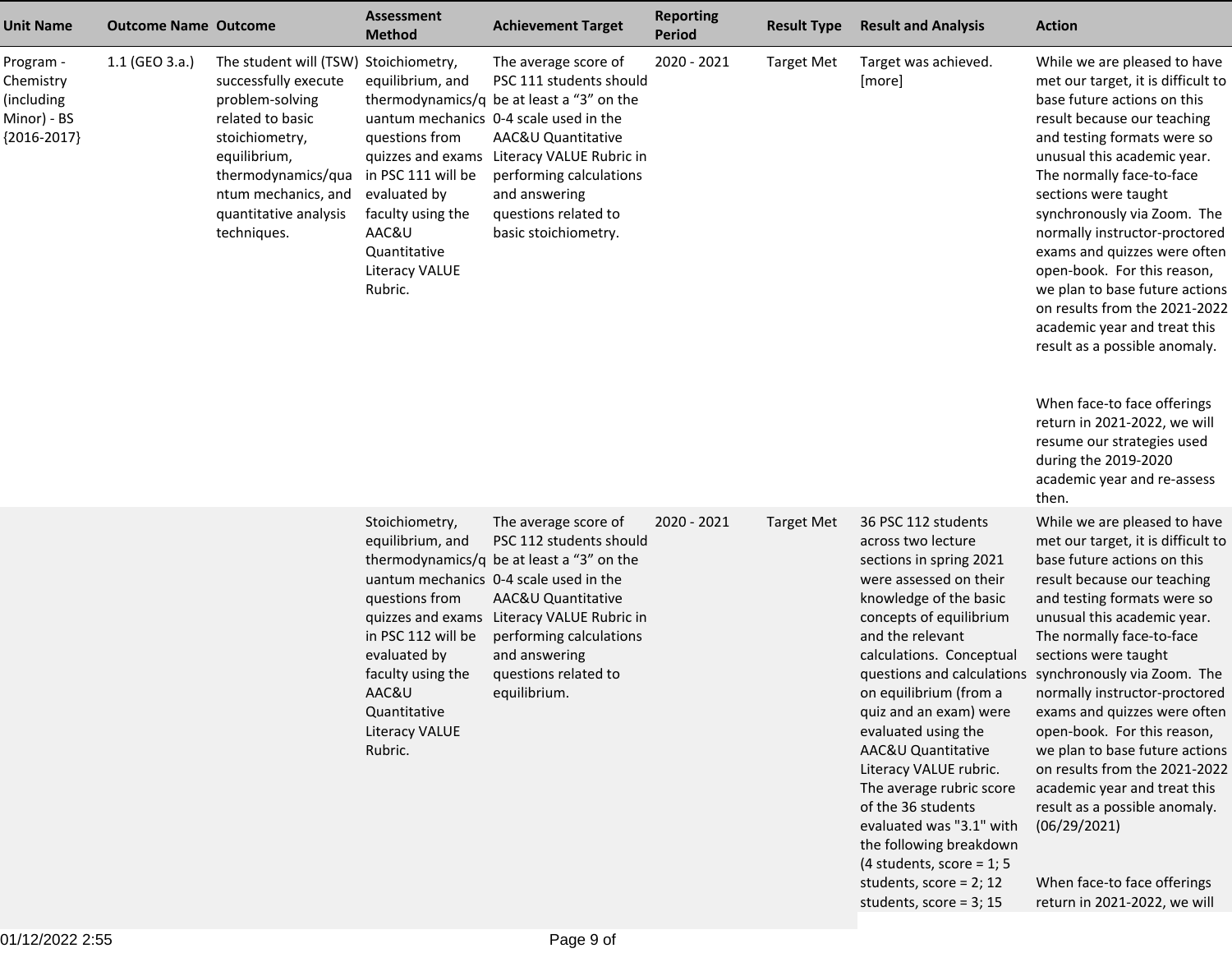| <b>Unit Name</b>                                                      | <b>Outcome Name Outcome</b> |                                                                                                                                                                                                                             | <b>Assessment</b><br><b>Method</b>                                                                                                                                                                | <b>Achievement Target</b>                                                                                                                                                                                                                                                                              | <b>Reporting</b><br><b>Period</b> | <b>Result Type</b> | <b>Result and Analysis</b>                                                                                                                                                                                                                                                                                                                                                                                                                                                                                                        | <b>Action</b>                                                                                                                                                                                                                                                                                                                                                                                                                                                                                                                                                                                                                                                                       |
|-----------------------------------------------------------------------|-----------------------------|-----------------------------------------------------------------------------------------------------------------------------------------------------------------------------------------------------------------------------|---------------------------------------------------------------------------------------------------------------------------------------------------------------------------------------------------|--------------------------------------------------------------------------------------------------------------------------------------------------------------------------------------------------------------------------------------------------------------------------------------------------------|-----------------------------------|--------------------|-----------------------------------------------------------------------------------------------------------------------------------------------------------------------------------------------------------------------------------------------------------------------------------------------------------------------------------------------------------------------------------------------------------------------------------------------------------------------------------------------------------------------------------|-------------------------------------------------------------------------------------------------------------------------------------------------------------------------------------------------------------------------------------------------------------------------------------------------------------------------------------------------------------------------------------------------------------------------------------------------------------------------------------------------------------------------------------------------------------------------------------------------------------------------------------------------------------------------------------|
| Program -<br>Chemistry<br>(including)<br>Minor) - BS<br>${2016-2017}$ | 1.1 (GEO 3.a.)              | The student will (TSW) Stoichiometry,<br>successfully execute<br>problem-solving<br>related to basic<br>stoichiometry,<br>equilibrium,<br>thermodynamics/qua<br>ntum mechanics, and<br>quantitative analysis<br>techniques. | equilibrium, and<br>questions from<br>in PSC 111 will be<br>evaluated by<br>faculty using the<br>AAC&U<br>Quantitative<br><b>Literacy VALUE</b><br>Rubric.                                        | The average score of<br>PSC 111 students should<br>thermodynamics/q be at least a "3" on the<br>uantum mechanics 0-4 scale used in the<br>AAC&U Quantitative<br>quizzes and exams Literacy VALUE Rubric in<br>performing calculations<br>and answering<br>questions related to<br>basic stoichiometry. | 2020 - 2021                       | <b>Target Met</b>  | Target was achieved.<br>[more]                                                                                                                                                                                                                                                                                                                                                                                                                                                                                                    | While we are pleased to have<br>met our target, it is difficult to<br>base future actions on this<br>result because our teaching<br>and testing formats were so<br>unusual this academic year.<br>The normally face-to-face<br>sections were taught<br>synchronously via Zoom. The<br>normally instructor-proctored<br>exams and quizzes were often<br>open-book. For this reason,<br>we plan to base future actions<br>on results from the 2021-2022<br>academic year and treat this<br>result as a possible anomaly.<br>When face-to face offerings<br>return in 2021-2022, we will<br>resume our strategies used<br>during the 2019-2020<br>academic year and re-assess<br>then. |
|                                                                       |                             |                                                                                                                                                                                                                             | Stoichiometry,<br>equilibrium, and<br>questions from<br>quizzes and exams<br>in PSC 112 will be<br>evaluated by<br>faculty using the<br>AAC&U<br>Quantitative<br><b>Literacy VALUE</b><br>Rubric. | The average score of<br>PSC 112 students should<br>thermodynamics/q be at least a "3" on the<br>uantum mechanics 0-4 scale used in the<br>AAC&U Quantitative<br>Literacy VALUE Rubric in<br>performing calculations<br>and answering<br>questions related to<br>equilibrium.                           | 2020 - 2021                       | <b>Target Met</b>  | 36 PSC 112 students<br>across two lecture<br>sections in spring 2021<br>were assessed on their<br>knowledge of the basic<br>concepts of equilibrium<br>and the relevant<br>calculations. Conceptual<br>questions and calculations<br>on equilibrium (from a<br>quiz and an exam) were<br>evaluated using the<br>AAC&U Quantitative<br>Literacy VALUE rubric.<br>The average rubric score<br>of the 36 students<br>evaluated was "3.1" with<br>the following breakdown<br>(4 students, score = $1; 5$<br>students, score = $2; 12$ | While we are pleased to have<br>met our target, it is difficult to<br>base future actions on this<br>result because our teaching<br>and testing formats were so<br>unusual this academic year.<br>The normally face-to-face<br>sections were taught<br>synchronously via Zoom. The<br>normally instructor-proctored<br>exams and quizzes were often<br>open-book. For this reason,<br>we plan to base future actions<br>on results from the 2021-2022<br>academic year and treat this<br>result as a possible anomaly.<br>(06/29/2021)<br>When face-to face offerings                                                                                                               |

students, score = 3; 15

return in 2021-2022, we will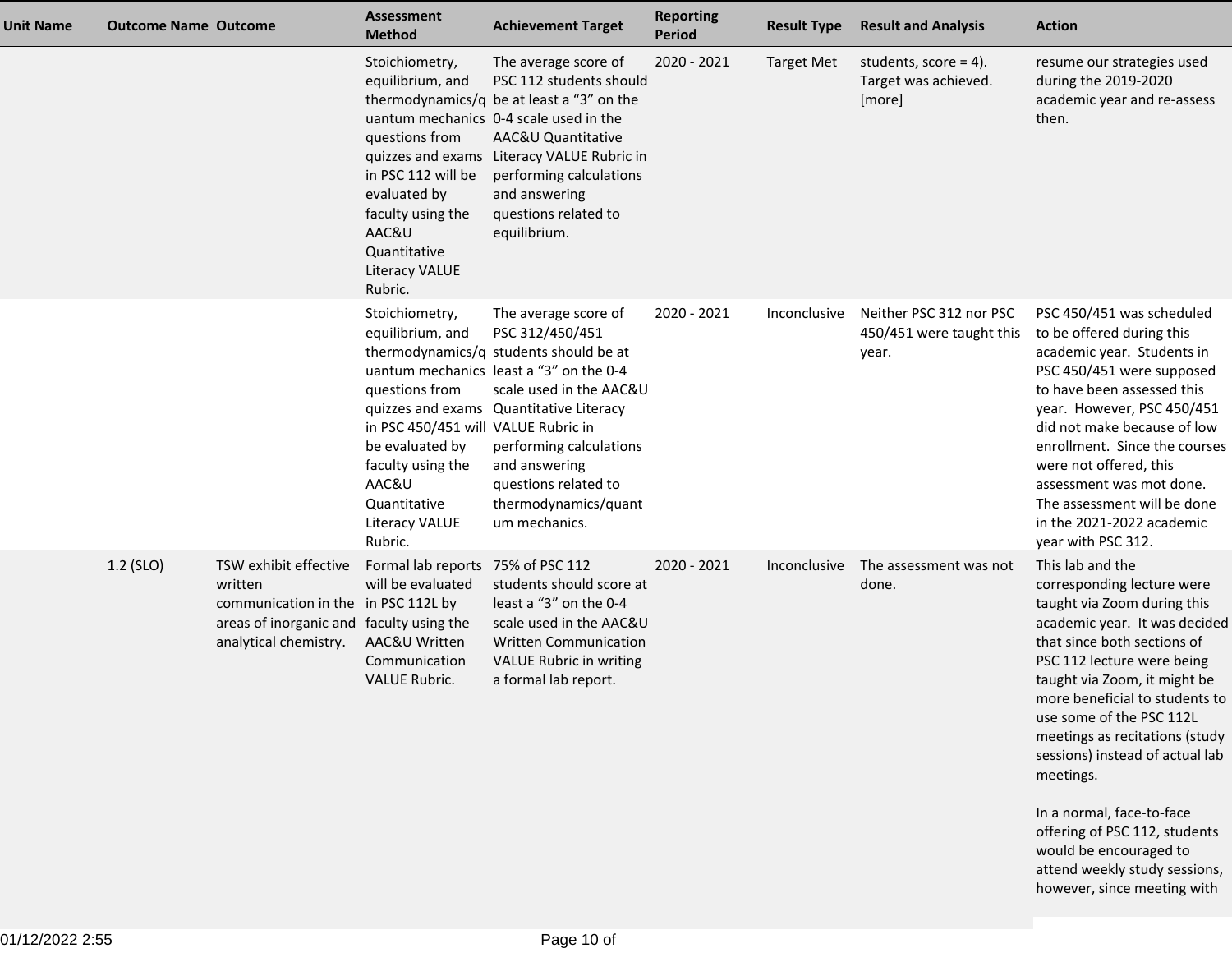| Unit Name | <b>Outcome Name Outcome</b> |                                                                                                                                              | <b>Assessment</b><br><b>Method</b>                                                                                                                                                        | <b>Achievement Target</b>                                                                                                                                                                                                                                                                                       | <b>Reporting</b><br><b>Period</b> | <b>Result Type</b> | <b>Result and Analysis</b>                                   | <b>Action</b>                                                                                                                                                                                                                                                                                                                                                                                                                                                                                                       |
|-----------|-----------------------------|----------------------------------------------------------------------------------------------------------------------------------------------|-------------------------------------------------------------------------------------------------------------------------------------------------------------------------------------------|-----------------------------------------------------------------------------------------------------------------------------------------------------------------------------------------------------------------------------------------------------------------------------------------------------------------|-----------------------------------|--------------------|--------------------------------------------------------------|---------------------------------------------------------------------------------------------------------------------------------------------------------------------------------------------------------------------------------------------------------------------------------------------------------------------------------------------------------------------------------------------------------------------------------------------------------------------------------------------------------------------|
|           |                             |                                                                                                                                              | Stoichiometry,<br>equilibrium, and<br>questions from<br>in PSC 112 will be<br>evaluated by<br>faculty using the<br>AAC&U<br>Quantitative<br><b>Literacy VALUE</b><br>Rubric.              | The average score of<br>PSC 112 students should<br>thermodynamics/q be at least a "3" on the<br>uantum mechanics 0-4 scale used in the<br>AAC&U Quantitative<br>quizzes and exams Literacy VALUE Rubric in<br>performing calculations<br>and answering<br>questions related to<br>equilibrium.                  | 2020 - 2021                       | <b>Target Met</b>  | students, score = $4$ ).<br>Target was achieved.<br>[more]   | resume our strategies used<br>during the 2019-2020<br>academic year and re-assess<br>then.                                                                                                                                                                                                                                                                                                                                                                                                                          |
|           |                             |                                                                                                                                              | Stoichiometry,<br>equilibrium, and<br>questions from<br>in PSC 450/451 will VALUE Rubric in<br>be evaluated by<br>faculty using the<br>AAC&U<br>Quantitative<br>Literacy VALUE<br>Rubric. | The average score of<br>PSC 312/450/451<br>thermodynamics/q students should be at<br>uantum mechanics least a "3" on the 0-4<br>scale used in the AAC&U<br>quizzes and exams Quantitative Literacy<br>performing calculations<br>and answering<br>questions related to<br>thermodynamics/quant<br>um mechanics. | 2020 - 2021                       | Inconclusive       | Neither PSC 312 nor PSC<br>450/451 were taught this<br>year. | PSC 450/451 was scheduled<br>to be offered during this<br>academic year. Students in<br>PSC 450/451 were supposed<br>to have been assessed this<br>year. However, PSC 450/451<br>did not make because of low<br>enrollment. Since the courses<br>were not offered, this<br>assessment was mot done.<br>The assessment will be done<br>in the 2021-2022 academic<br>year with PSC 312.                                                                                                                               |
|           | 1.2 (SLO)                   | TSW exhibit effective<br>written<br>communication in the in PSC 112L by<br>areas of inorganic and faculty using the<br>analytical chemistry. | Formal lab reports 75% of PSC 112<br>will be evaluated<br>AAC&U Written<br>Communication<br><b>VALUE Rubric.</b>                                                                          | students should score at<br>least a "3" on the 0-4<br>scale used in the AAC&U<br><b>Written Communication</b><br>VALUE Rubric in writing<br>a formal lab report.                                                                                                                                                | 2020 - 2021                       | Inconclusive       | The assessment was not<br>done.                              | This lab and the<br>corresponding lecture were<br>taught via Zoom during this<br>academic year. It was decided<br>that since both sections of<br>PSC 112 lecture were being<br>taught via Zoom, it might be<br>more beneficial to students to<br>use some of the PSC 112L<br>meetings as recitations (study<br>sessions) instead of actual lab<br>meetings.<br>In a normal, face-to-face<br>offering of PSC 112, students<br>would be encouraged to<br>attend weekly study sessions,<br>however, since meeting with |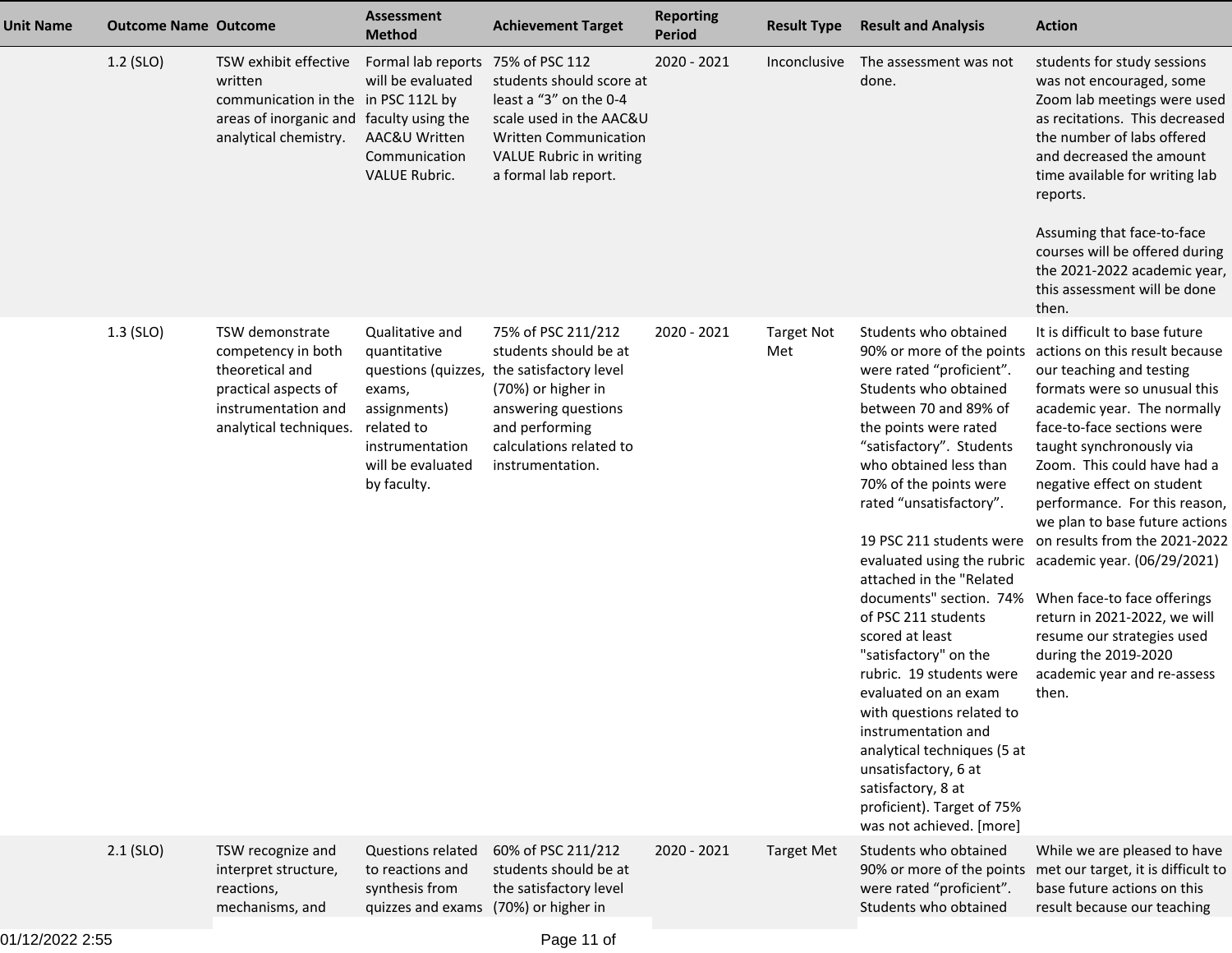| Unit Name | <b>Outcome Name Outcome</b> |                                                                                                                                              | <b>Assessment</b><br><b>Method</b>                                                                                                                    | <b>Achievement Target</b>                                                                                                                                                           | <b>Reporting</b><br><b>Period</b> | <b>Result Type</b>       | <b>Result and Analysis</b>                                                                                                                                                                                                                                                                                                                                                                                                                                                                                                                                                                                                                                                | <b>Action</b>                                                                                                                                                                                                                                                                                                                                                                                                                                                                                                                                                                                                 |
|-----------|-----------------------------|----------------------------------------------------------------------------------------------------------------------------------------------|-------------------------------------------------------------------------------------------------------------------------------------------------------|-------------------------------------------------------------------------------------------------------------------------------------------------------------------------------------|-----------------------------------|--------------------------|---------------------------------------------------------------------------------------------------------------------------------------------------------------------------------------------------------------------------------------------------------------------------------------------------------------------------------------------------------------------------------------------------------------------------------------------------------------------------------------------------------------------------------------------------------------------------------------------------------------------------------------------------------------------------|---------------------------------------------------------------------------------------------------------------------------------------------------------------------------------------------------------------------------------------------------------------------------------------------------------------------------------------------------------------------------------------------------------------------------------------------------------------------------------------------------------------------------------------------------------------------------------------------------------------|
|           | 1.2 (SLO)                   | TSW exhibit effective<br>written<br>communication in the in PSC 112L by<br>areas of inorganic and faculty using the<br>analytical chemistry. | Formal lab reports<br>will be evaluated<br>AAC&U Written<br>Communication<br><b>VALUE Rubric.</b>                                                     | 75% of PSC 112<br>students should score at<br>least a "3" on the 0-4<br>scale used in the AAC&U<br><b>Written Communication</b><br>VALUE Rubric in writing<br>a formal lab report.  | 2020 - 2021                       | Inconclusive             | The assessment was not<br>done.                                                                                                                                                                                                                                                                                                                                                                                                                                                                                                                                                                                                                                           | students for study sessions<br>was not encouraged, some<br>Zoom lab meetings were used<br>as recitations. This decreased<br>the number of labs offered<br>and decreased the amount<br>time available for writing lab<br>reports.<br>Assuming that face-to-face<br>courses will be offered during<br>the 2021-2022 academic year,<br>this assessment will be done<br>then.                                                                                                                                                                                                                                     |
|           | 1.3 (SLO)                   | TSW demonstrate<br>competency in both<br>theoretical and<br>practical aspects of<br>instrumentation and<br>analytical techniques.            | Qualitative and<br>quantitative<br>questions (quizzes,<br>exams,<br>assignments)<br>related to<br>instrumentation<br>will be evaluated<br>by faculty. | 75% of PSC 211/212<br>students should be at<br>the satisfactory level<br>(70%) or higher in<br>answering questions<br>and performing<br>calculations related to<br>instrumentation. | 2020 - 2021                       | <b>Target Not</b><br>Met | Students who obtained<br>90% or more of the points<br>were rated "proficient".<br>Students who obtained<br>between 70 and 89% of<br>the points were rated<br>"satisfactory". Students<br>who obtained less than<br>70% of the points were<br>rated "unsatisfactory".<br>19 PSC 211 students were<br>attached in the "Related<br>documents" section. 74%<br>of PSC 211 students<br>scored at least<br>"satisfactory" on the<br>rubric. 19 students were<br>evaluated on an exam<br>with questions related to<br>instrumentation and<br>analytical techniques (5 at<br>unsatisfactory, 6 at<br>satisfactory, 8 at<br>proficient). Target of 75%<br>was not achieved. [more] | It is difficult to base future<br>actions on this result because<br>our teaching and testing<br>formats were so unusual this<br>academic year. The normally<br>face-to-face sections were<br>taught synchronously via<br>Zoom. This could have had a<br>negative effect on student<br>performance. For this reason,<br>we plan to base future actions<br>on results from the 2021-2022<br>evaluated using the rubric academic year. (06/29/2021)<br>When face-to face offerings<br>return in 2021-2022, we will<br>resume our strategies used<br>during the 2019-2020<br>academic year and re-assess<br>then. |
|           | $2.1$ (SLO)                 | TSW recognize and<br>interpret structure,<br>reactions,<br>mechanisms, and                                                                   | <b>Questions related</b><br>to reactions and<br>synthesis from<br>quizzes and exams (70%) or higher in                                                | 60% of PSC 211/212<br>students should be at<br>the satisfactory level                                                                                                               | 2020 - 2021                       | <b>Target Met</b>        | Students who obtained<br>were rated "proficient".<br>Students who obtained                                                                                                                                                                                                                                                                                                                                                                                                                                                                                                                                                                                                | While we are pleased to have<br>90% or more of the points met our target, it is difficult to<br>base future actions on this<br>result because our teaching                                                                                                                                                                                                                                                                                                                                                                                                                                                    |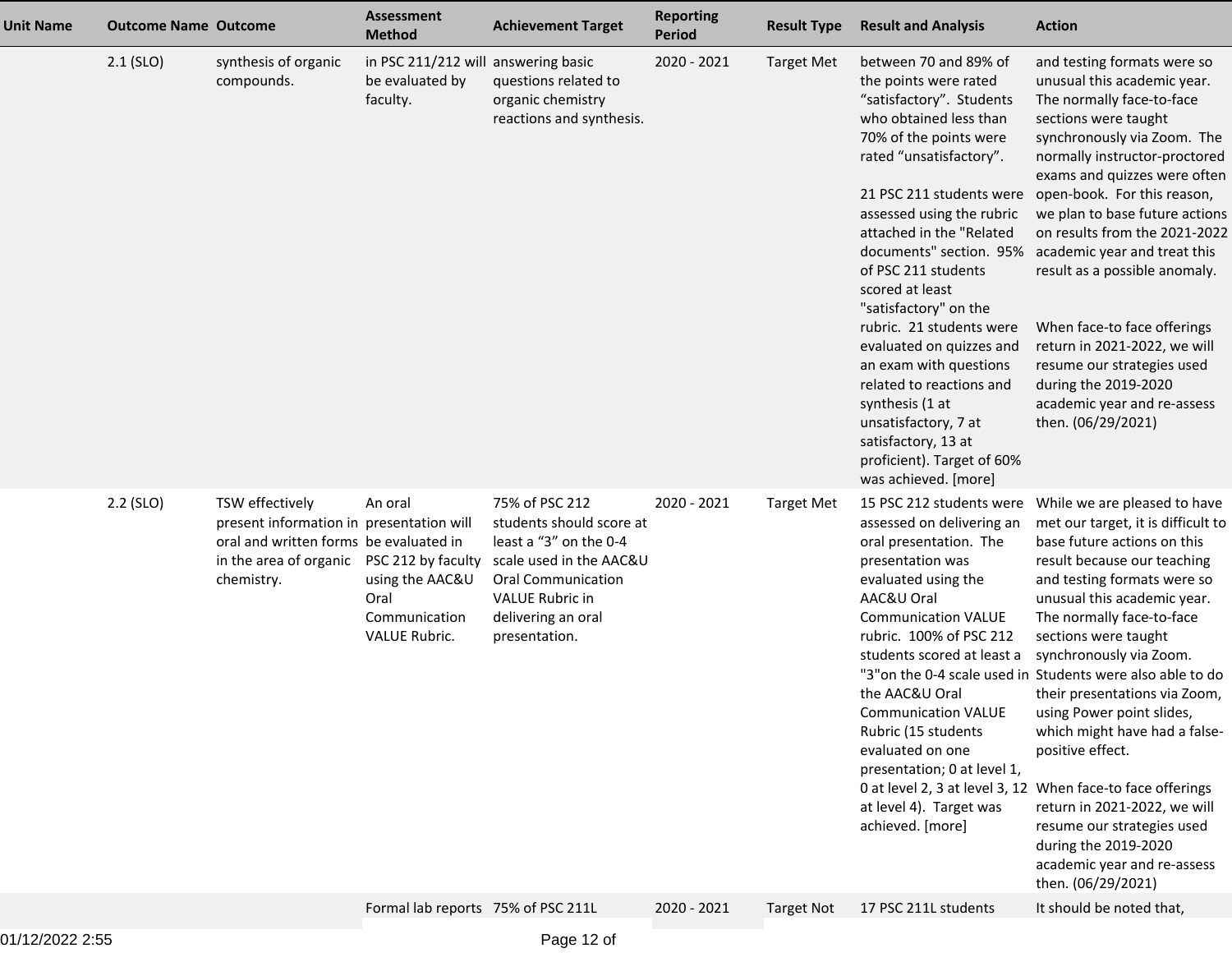| <b>Unit Name</b> | <b>Outcome Name Outcome</b> |                                                                                                                                                                  | <b>Assessment</b><br><b>Method</b>                                   | <b>Achievement Target</b>                                                                                                                                                              | <b>Reporting</b><br><b>Period</b> | <b>Result Type</b> | <b>Result and Analysis</b>                                                                                                                                                                                                                                                                                                                                                                                                                                                                                                                                                         | <b>Action</b>                                                                                                                                                                                                                                                                                                                                                                                                                                                                                                                                                                                                                                                            |
|------------------|-----------------------------|------------------------------------------------------------------------------------------------------------------------------------------------------------------|----------------------------------------------------------------------|----------------------------------------------------------------------------------------------------------------------------------------------------------------------------------------|-----------------------------------|--------------------|------------------------------------------------------------------------------------------------------------------------------------------------------------------------------------------------------------------------------------------------------------------------------------------------------------------------------------------------------------------------------------------------------------------------------------------------------------------------------------------------------------------------------------------------------------------------------------|--------------------------------------------------------------------------------------------------------------------------------------------------------------------------------------------------------------------------------------------------------------------------------------------------------------------------------------------------------------------------------------------------------------------------------------------------------------------------------------------------------------------------------------------------------------------------------------------------------------------------------------------------------------------------|
|                  | $2.1$ (SLO)                 | synthesis of organic<br>compounds.                                                                                                                               | in PSC 211/212 will answering basic<br>be evaluated by<br>faculty.   | questions related to<br>organic chemistry<br>reactions and synthesis.                                                                                                                  | 2020 - 2021                       | <b>Target Met</b>  | between 70 and 89% of<br>the points were rated<br>"satisfactory". Students<br>who obtained less than<br>70% of the points were<br>rated "unsatisfactory".<br>21 PSC 211 students were<br>assessed using the rubric<br>attached in the "Related<br>documents" section. 95%<br>of PSC 211 students<br>scored at least<br>"satisfactory" on the<br>rubric. 21 students were<br>evaluated on quizzes and<br>an exam with questions<br>related to reactions and<br>synthesis (1 at<br>unsatisfactory, 7 at<br>satisfactory, 13 at<br>proficient). Target of 60%<br>was achieved. [more] | and testing formats were so<br>unusual this academic year.<br>The normally face-to-face<br>sections were taught<br>synchronously via Zoom. The<br>normally instructor-proctored<br>exams and quizzes were often<br>open-book. For this reason,<br>we plan to base future actions<br>on results from the 2021-2022<br>academic year and treat this<br>result as a possible anomaly.<br>When face-to face offerings<br>return in 2021-2022, we will<br>resume our strategies used<br>during the 2019-2020<br>academic year and re-assess<br>then. (06/29/2021)                                                                                                             |
|                  | $2.2$ (SLO)                 | TSW effectively<br>present information in presentation will<br>oral and written forms be evaluated in<br>in the area of organic PSC 212 by faculty<br>chemistry. | An oral<br>using the AAC&U<br>Oral<br>Communication<br>VALUE Rubric. | 75% of PSC 212<br>students should score at<br>least a "3" on the 0-4<br>scale used in the AAC&U<br><b>Oral Communication</b><br>VALUE Rubric in<br>delivering an oral<br>presentation. | 2020 - 2021                       | <b>Target Met</b>  | 15 PSC 212 students were<br>assessed on delivering an<br>oral presentation. The<br>presentation was<br>evaluated using the<br>AAC&U Oral<br><b>Communication VALUE</b><br>rubric. 100% of PSC 212<br>students scored at least a<br>the AAC&U Oral<br><b>Communication VALUE</b><br>Rubric (15 students<br>evaluated on one<br>presentation; 0 at level 1,<br>at level 4). Target was<br>achieved. [more]                                                                                                                                                                           | While we are pleased to have<br>met our target, it is difficult to<br>base future actions on this<br>result because our teaching<br>and testing formats were so<br>unusual this academic year.<br>The normally face-to-face<br>sections were taught<br>synchronously via Zoom.<br>"3" on the 0-4 scale used in Students were also able to do<br>their presentations via Zoom,<br>using Power point slides,<br>which might have had a false-<br>positive effect.<br>0 at level 2, 3 at level 3, 12 When face-to face offerings<br>return in 2021-2022, we will<br>resume our strategies used<br>during the 2019-2020<br>academic year and re-assess<br>then. (06/29/2021) |
|                  |                             |                                                                                                                                                                  | Formal lab reports 75% of PSC 211L                                   |                                                                                                                                                                                        | 2020 - 2021                       | <b>Target Not</b>  | 17 PSC 211L students                                                                                                                                                                                                                                                                                                                                                                                                                                                                                                                                                               | It should be noted that,                                                                                                                                                                                                                                                                                                                                                                                                                                                                                                                                                                                                                                                 |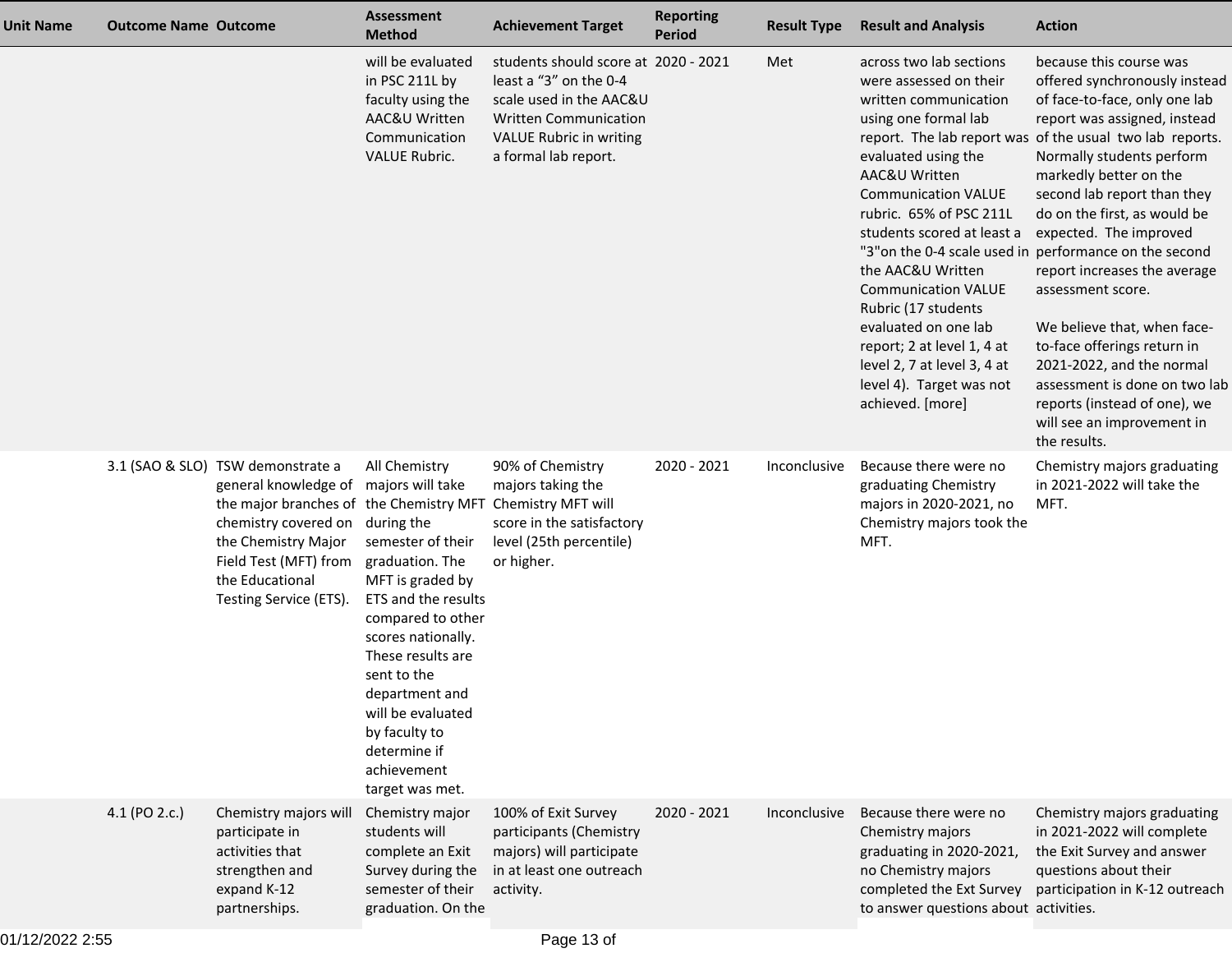| <b>Unit Name</b> | <b>Outcome Name Outcome</b> |                                                                                                                                                                                                                                                       | <b>Assessment</b><br><b>Method</b>                                                                                                                                                                                                                                                        | <b>Achievement Target</b>                                                                                                                                                    | <b>Reporting</b><br><b>Period</b> | <b>Result Type</b> | <b>Result and Analysis</b>                                                                                                                                                                                                                                                                                                                                                                                                                       | <b>Action</b>                                                                                                                                                                                                                                                                                                                                                                                                                                                                                                                                                                                                                                                  |
|------------------|-----------------------------|-------------------------------------------------------------------------------------------------------------------------------------------------------------------------------------------------------------------------------------------------------|-------------------------------------------------------------------------------------------------------------------------------------------------------------------------------------------------------------------------------------------------------------------------------------------|------------------------------------------------------------------------------------------------------------------------------------------------------------------------------|-----------------------------------|--------------------|--------------------------------------------------------------------------------------------------------------------------------------------------------------------------------------------------------------------------------------------------------------------------------------------------------------------------------------------------------------------------------------------------------------------------------------------------|----------------------------------------------------------------------------------------------------------------------------------------------------------------------------------------------------------------------------------------------------------------------------------------------------------------------------------------------------------------------------------------------------------------------------------------------------------------------------------------------------------------------------------------------------------------------------------------------------------------------------------------------------------------|
|                  |                             |                                                                                                                                                                                                                                                       | will be evaluated<br>in PSC 211L by<br>faculty using the<br>AAC&U Written<br>Communication<br><b>VALUE Rubric.</b>                                                                                                                                                                        | students should score at 2020 - 2021<br>least a "3" on the 0-4<br>scale used in the AAC&U<br><b>Written Communication</b><br>VALUE Rubric in writing<br>a formal lab report. |                                   | Met                | across two lab sections<br>were assessed on their<br>written communication<br>using one formal lab<br>evaluated using the<br>AAC&U Written<br><b>Communication VALUE</b><br>rubric. 65% of PSC 211L<br>students scored at least a<br>the AAC&U Written<br><b>Communication VALUE</b><br>Rubric (17 students<br>evaluated on one lab<br>report; 2 at level 1, 4 at<br>level 2, 7 at level 3, 4 at<br>level 4). Target was not<br>achieved. [more] | because this course was<br>offered synchronously instead<br>of face-to-face, only one lab<br>report was assigned, instead<br>report. The lab report was of the usual two lab reports.<br>Normally students perform<br>markedly better on the<br>second lab report than they<br>do on the first, as would be<br>expected. The improved<br>"3" on the 0-4 scale used in performance on the second<br>report increases the average<br>assessment score.<br>We believe that, when face-<br>to-face offerings return in<br>2021-2022, and the normal<br>assessment is done on two lab<br>reports (instead of one), we<br>will see an improvement in<br>the results. |
|                  |                             | 3.1 (SAO & SLO) TSW demonstrate a<br>general knowledge of majors will take<br>the major branches of the Chemistry MFT<br>chemistry covered on during the<br>the Chemistry Major<br>Field Test (MFT) from<br>the Educational<br>Testing Service (ETS). | All Chemistry<br>semester of their<br>graduation. The<br>MFT is graded by<br>ETS and the results<br>compared to other<br>scores nationally.<br>These results are<br>sent to the<br>department and<br>will be evaluated<br>by faculty to<br>determine if<br>achievement<br>target was met. | 90% of Chemistry<br>majors taking the<br>Chemistry MFT will<br>score in the satisfactory<br>level (25th percentile)<br>or higher.                                            | 2020 - 2021                       | Inconclusive       | Because there were no<br>graduating Chemistry<br>majors in 2020-2021, no<br>Chemistry majors took the<br>MFT.                                                                                                                                                                                                                                                                                                                                    | Chemistry majors graduating<br>in 2021-2022 will take the<br>MFT.                                                                                                                                                                                                                                                                                                                                                                                                                                                                                                                                                                                              |
|                  | 4.1 (PO 2.c.)               | Chemistry majors will<br>participate in<br>activities that<br>strengthen and<br>expand K-12<br>partnerships.                                                                                                                                          | Chemistry major<br>students will<br>complete an Exit<br>Survey during the<br>semester of their<br>graduation. On the                                                                                                                                                                      | 100% of Exit Survey<br>participants (Chemistry<br>majors) will participate<br>in at least one outreach<br>activity.                                                          | 2020 - 2021                       | Inconclusive       | Because there were no<br>Chemistry majors<br>graduating in 2020-2021,<br>no Chemistry majors<br>completed the Ext Survey<br>to answer questions about activities.                                                                                                                                                                                                                                                                                | Chemistry majors graduating<br>in 2021-2022 will complete<br>the Exit Survey and answer<br>questions about their<br>participation in K-12 outreach                                                                                                                                                                                                                                                                                                                                                                                                                                                                                                             |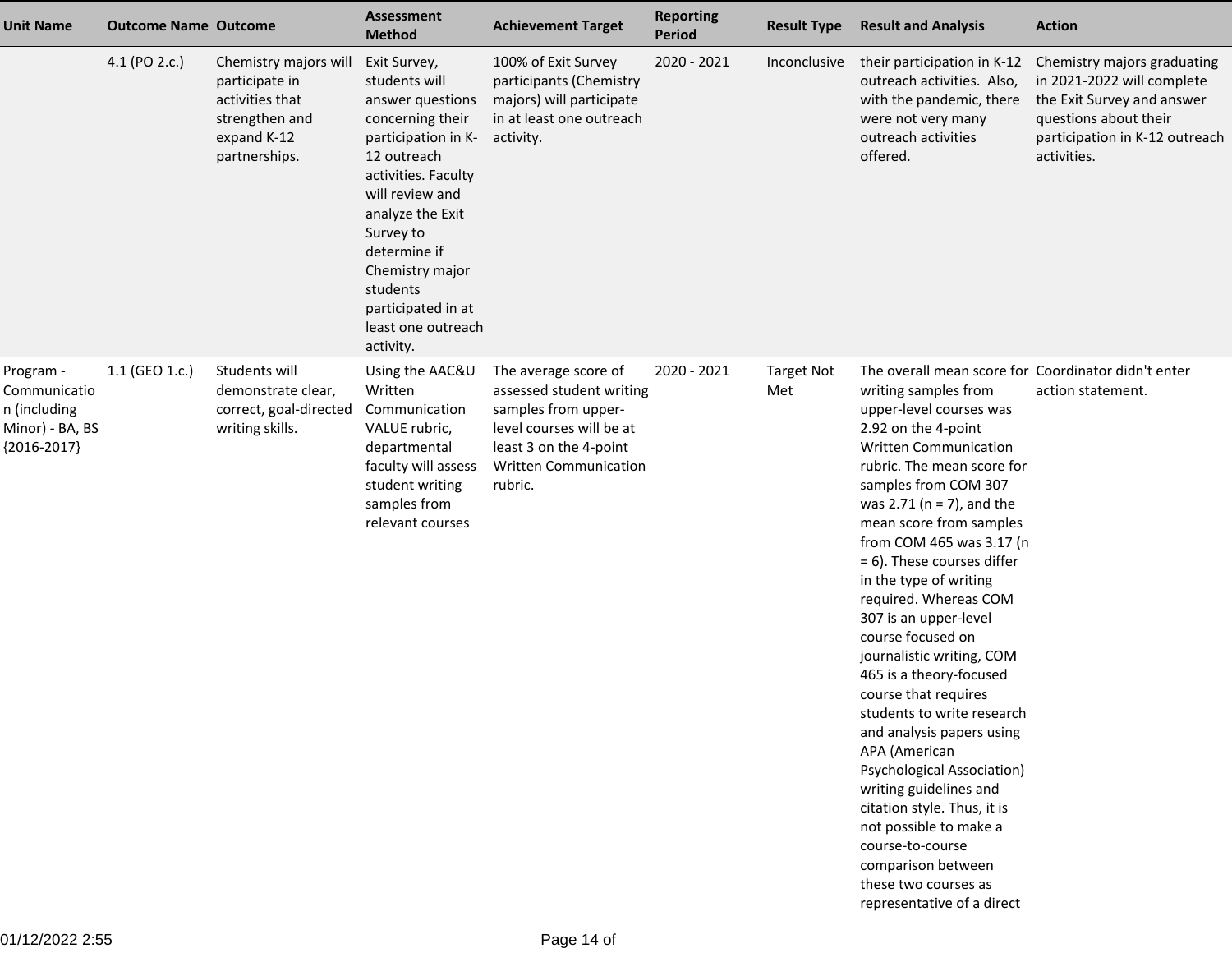| <b>Unit Name</b>                                                              | <b>Outcome Name Outcome</b> |                                                                                                              | <b>Assessment</b><br><b>Method</b>                                                                                                                                                                                                                                                             | <b>Achievement Target</b>                                                                                                                                                | <b>Reporting</b><br>Period | <b>Result Type</b>       | <b>Result and Analysis</b>                                                                                                                                                                                                                                                                                                                                                                                                                                                                                                                                                                                                                                                                                                                                                                                                     | <b>Action</b>                                                                                                                                                     |
|-------------------------------------------------------------------------------|-----------------------------|--------------------------------------------------------------------------------------------------------------|------------------------------------------------------------------------------------------------------------------------------------------------------------------------------------------------------------------------------------------------------------------------------------------------|--------------------------------------------------------------------------------------------------------------------------------------------------------------------------|----------------------------|--------------------------|--------------------------------------------------------------------------------------------------------------------------------------------------------------------------------------------------------------------------------------------------------------------------------------------------------------------------------------------------------------------------------------------------------------------------------------------------------------------------------------------------------------------------------------------------------------------------------------------------------------------------------------------------------------------------------------------------------------------------------------------------------------------------------------------------------------------------------|-------------------------------------------------------------------------------------------------------------------------------------------------------------------|
|                                                                               | 4.1 (PO 2.c.)               | Chemistry majors will<br>participate in<br>activities that<br>strengthen and<br>expand K-12<br>partnerships. | Exit Survey,<br>students will<br>answer questions<br>concerning their<br>participation in K-<br>12 outreach<br>activities. Faculty<br>will review and<br>analyze the Exit<br>Survey to<br>determine if<br>Chemistry major<br>students<br>participated in at<br>least one outreach<br>activity. | 100% of Exit Survey<br>participants (Chemistry<br>majors) will participate<br>in at least one outreach<br>activity.                                                      | 2020 - 2021                | Inconclusive             | their participation in K-12<br>outreach activities. Also,<br>with the pandemic, there<br>were not very many<br>outreach activities<br>offered.                                                                                                                                                                                                                                                                                                                                                                                                                                                                                                                                                                                                                                                                                 | Chemistry majors graduating<br>in 2021-2022 will complete<br>the Exit Survey and answer<br>questions about their<br>participation in K-12 outreach<br>activities. |
| Program -<br>Communicatio<br>n (including<br>Minor) - BA, BS<br>${2016-2017}$ | 1.1 (GEO 1.c.)              | Students will<br>demonstrate clear,<br>correct, goal-directed<br>writing skills.                             | Using the AAC&U<br>Written<br>Communication<br>VALUE rubric,<br>departmental<br>faculty will assess<br>student writing<br>samples from<br>relevant courses                                                                                                                                     | The average score of<br>assessed student writing<br>samples from upper-<br>level courses will be at<br>least 3 on the 4-point<br><b>Written Communication</b><br>rubric. | 2020 - 2021                | <b>Target Not</b><br>Met | The overall mean score for Coordinator didn't enter<br>writing samples from<br>upper-level courses was<br>2.92 on the 4-point<br><b>Written Communication</b><br>rubric. The mean score for<br>samples from COM 307<br>was 2.71 ( $n = 7$ ), and the<br>mean score from samples<br>from COM 465 was 3.17 (n<br>= 6). These courses differ<br>in the type of writing<br>required. Whereas COM<br>307 is an upper-level<br>course focused on<br>journalistic writing, COM<br>465 is a theory-focused<br>course that requires<br>students to write research<br>and analysis papers using<br>APA (American<br><b>Psychological Association)</b><br>writing guidelines and<br>citation style. Thus, it is<br>not possible to make a<br>course-to-course<br>comparison between<br>these two courses as<br>representative of a direct | action statement.                                                                                                                                                 |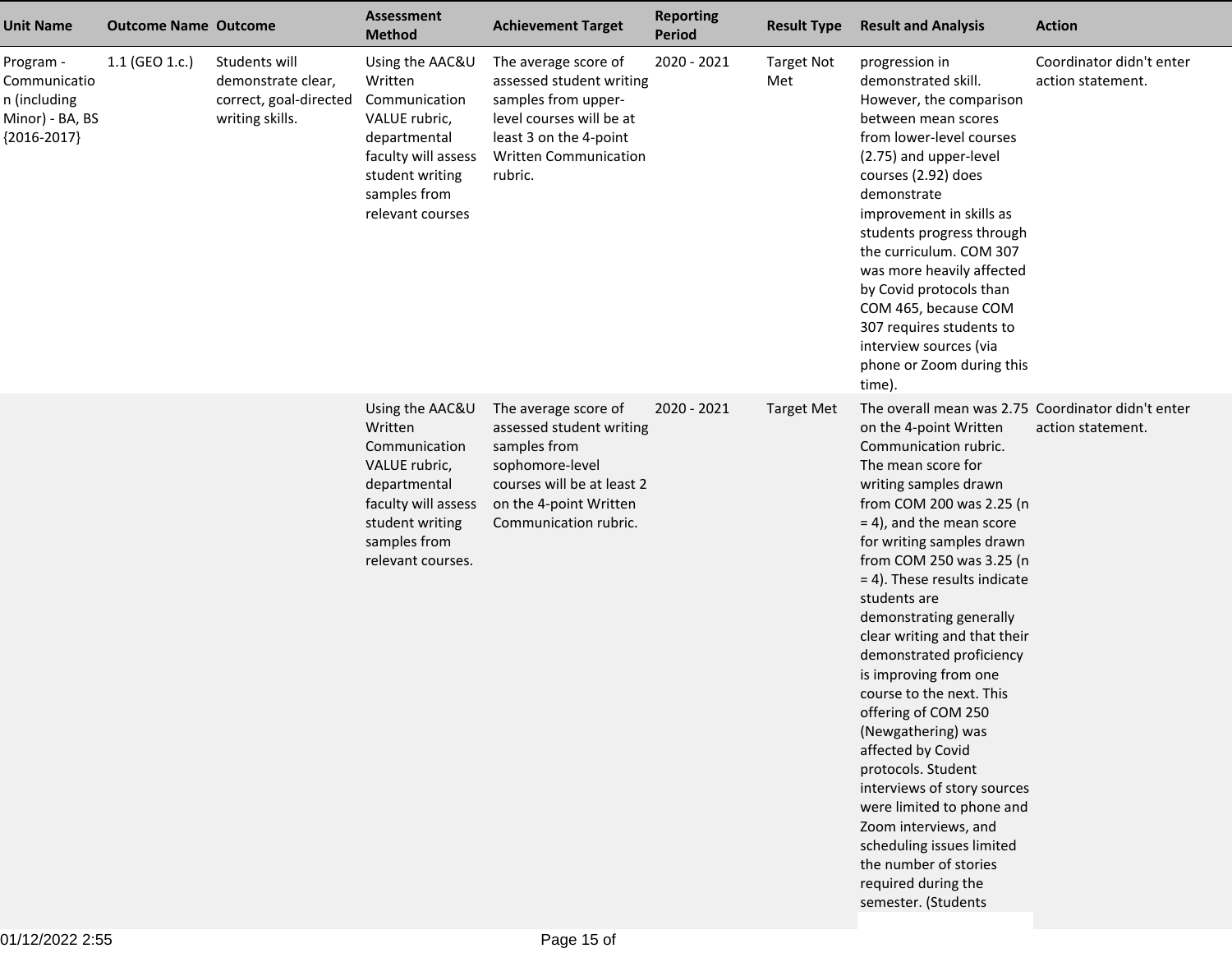| <b>Unit Name</b>                                                              | <b>Outcome Name Outcome</b> |                                                                                  | <b>Assessment</b><br><b>Method</b>                                                                                                                          | <b>Achievement Target</b>                                                                                                                                                | <b>Reporting</b><br><b>Period</b> | <b>Result Type</b>       | <b>Result and Analysis</b>                                                                                                                                                                                                                                                                                                                                                                                                                                                                                                                                                                                                                                                                                                                              | <b>Action</b>                                 |
|-------------------------------------------------------------------------------|-----------------------------|----------------------------------------------------------------------------------|-------------------------------------------------------------------------------------------------------------------------------------------------------------|--------------------------------------------------------------------------------------------------------------------------------------------------------------------------|-----------------------------------|--------------------------|---------------------------------------------------------------------------------------------------------------------------------------------------------------------------------------------------------------------------------------------------------------------------------------------------------------------------------------------------------------------------------------------------------------------------------------------------------------------------------------------------------------------------------------------------------------------------------------------------------------------------------------------------------------------------------------------------------------------------------------------------------|-----------------------------------------------|
| Program -<br>Communicatio<br>n (including<br>Minor) - BA, BS<br>${2016-2017}$ | 1.1 (GEO 1.c.)              | Students will<br>demonstrate clear,<br>correct, goal-directed<br>writing skills. | Using the AAC&U<br>Written<br>Communication<br>VALUE rubric,<br>departmental<br>faculty will assess<br>student writing<br>samples from<br>relevant courses  | The average score of<br>assessed student writing<br>samples from upper-<br>level courses will be at<br>least 3 on the 4-point<br><b>Written Communication</b><br>rubric. | 2020 - 2021                       | <b>Target Not</b><br>Met | progression in<br>demonstrated skill.<br>However, the comparison<br>between mean scores<br>from lower-level courses<br>(2.75) and upper-level<br>courses (2.92) does<br>demonstrate<br>improvement in skills as<br>students progress through<br>the curriculum. COM 307<br>was more heavily affected<br>by Covid protocols than<br>COM 465, because COM<br>307 requires students to<br>interview sources (via<br>phone or Zoom during this<br>time).                                                                                                                                                                                                                                                                                                    | Coordinator didn't enter<br>action statement. |
|                                                                               |                             |                                                                                  | Using the AAC&U<br>Written<br>Communication<br>VALUE rubric,<br>departmental<br>faculty will assess<br>student writing<br>samples from<br>relevant courses. | The average score of<br>assessed student writing<br>samples from<br>sophomore-level<br>courses will be at least 2<br>on the 4-point Written<br>Communication rubric.     | 2020 - 2021                       | <b>Target Met</b>        | The overall mean was 2.75 Coordinator didn't enter<br>on the 4-point Written<br>Communication rubric.<br>The mean score for<br>writing samples drawn<br>from COM 200 was 2.25 (n<br>$= 4$ ), and the mean score<br>for writing samples drawn<br>from COM 250 was 3.25 (n<br>$= 4$ ). These results indicate<br>students are<br>demonstrating generally<br>clear writing and that their<br>demonstrated proficiency<br>is improving from one<br>course to the next. This<br>offering of COM 250<br>(Newgathering) was<br>affected by Covid<br>protocols. Student<br>interviews of story sources<br>were limited to phone and<br>Zoom interviews, and<br>scheduling issues limited<br>the number of stories<br>required during the<br>semester. (Students | action statement.                             |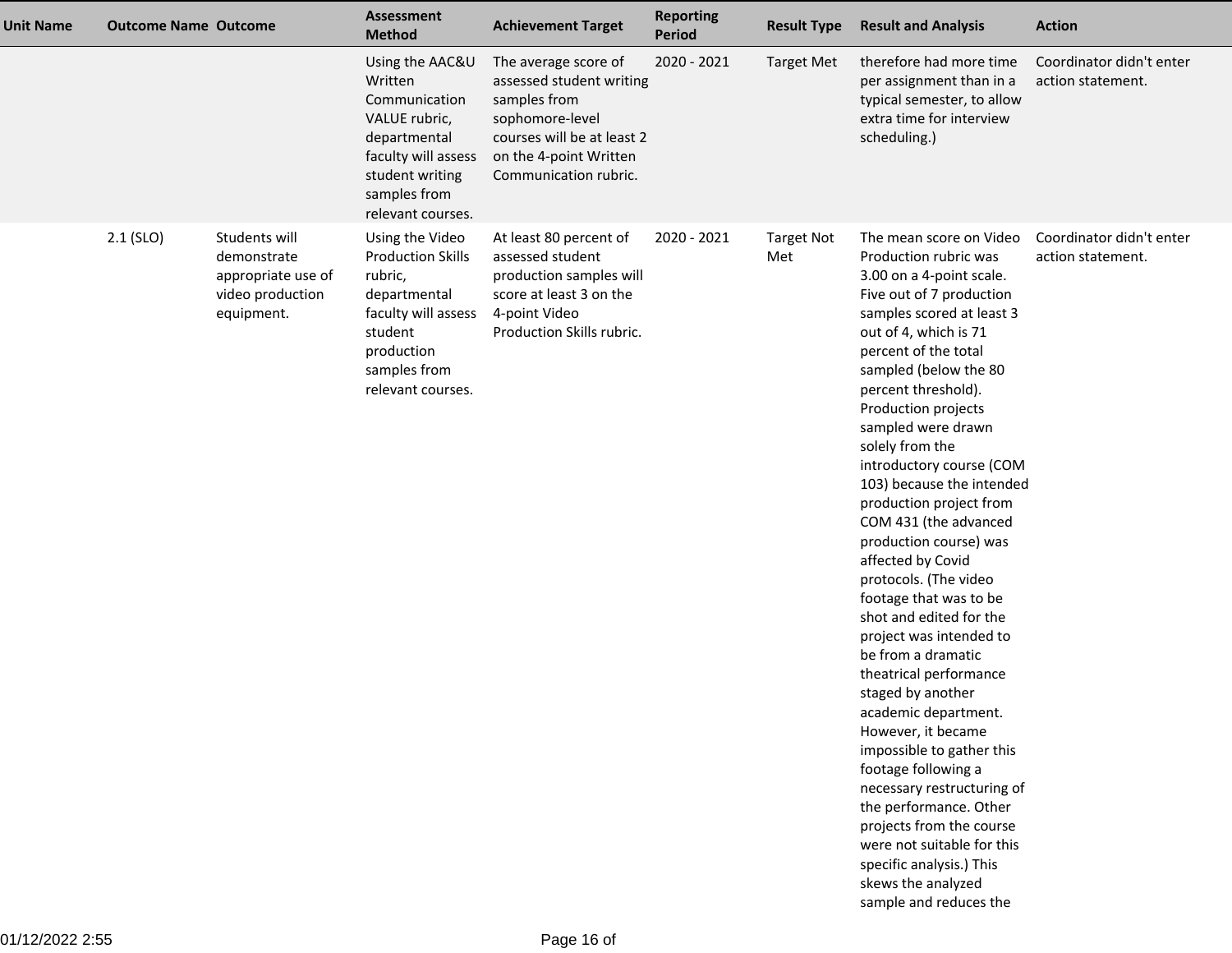| <b>Outcome Name Outcome</b><br><b>Unit Name</b> |                                                                                      | <b>Assessment</b><br><b>Method</b>                                                                                                                          | <b>Achievement Target</b>                                                                                                                                            | <b>Reporting</b><br>Period | <b>Result Type</b>       | <b>Result and Analysis</b>                                                                                                                                                                                                                                                                                                                                                                                                                                                                                                                                                                                                                                                                                                                                                                                                                                                                                                                       | <b>Action</b>                                 |
|-------------------------------------------------|--------------------------------------------------------------------------------------|-------------------------------------------------------------------------------------------------------------------------------------------------------------|----------------------------------------------------------------------------------------------------------------------------------------------------------------------|----------------------------|--------------------------|--------------------------------------------------------------------------------------------------------------------------------------------------------------------------------------------------------------------------------------------------------------------------------------------------------------------------------------------------------------------------------------------------------------------------------------------------------------------------------------------------------------------------------------------------------------------------------------------------------------------------------------------------------------------------------------------------------------------------------------------------------------------------------------------------------------------------------------------------------------------------------------------------------------------------------------------------|-----------------------------------------------|
|                                                 |                                                                                      | Using the AAC&U<br>Written<br>Communication<br>VALUE rubric,<br>departmental<br>faculty will assess<br>student writing<br>samples from<br>relevant courses. | The average score of<br>assessed student writing<br>samples from<br>sophomore-level<br>courses will be at least 2<br>on the 4-point Written<br>Communication rubric. | 2020 - 2021                | <b>Target Met</b>        | therefore had more time<br>per assignment than in a<br>typical semester, to allow<br>extra time for interview<br>scheduling.)                                                                                                                                                                                                                                                                                                                                                                                                                                                                                                                                                                                                                                                                                                                                                                                                                    | Coordinator didn't enter<br>action statement. |
| $2.1$ (SLO)                                     | Students will<br>demonstrate<br>appropriate use of<br>video production<br>equipment. | Using the Video<br><b>Production Skills</b><br>rubric,<br>departmental<br>faculty will assess<br>student<br>production<br>samples from<br>relevant courses. | At least 80 percent of<br>assessed student<br>production samples will<br>score at least 3 on the<br>4-point Video<br>Production Skills rubric.                       | 2020 - 2021                | <b>Target Not</b><br>Met | The mean score on Video<br>Production rubric was<br>3.00 on a 4-point scale.<br>Five out of 7 production<br>samples scored at least 3<br>out of 4, which is 71<br>percent of the total<br>sampled (below the 80<br>percent threshold).<br>Production projects<br>sampled were drawn<br>solely from the<br>introductory course (COM<br>103) because the intended<br>production project from<br>COM 431 (the advanced<br>production course) was<br>affected by Covid<br>protocols. (The video<br>footage that was to be<br>shot and edited for the<br>project was intended to<br>be from a dramatic<br>theatrical performance<br>staged by another<br>academic department.<br>However, it became<br>impossible to gather this<br>footage following a<br>necessary restructuring of<br>the performance. Other<br>projects from the course<br>were not suitable for this<br>specific analysis.) This<br>skews the analyzed<br>sample and reduces the | Coordinator didn't enter<br>action statement. |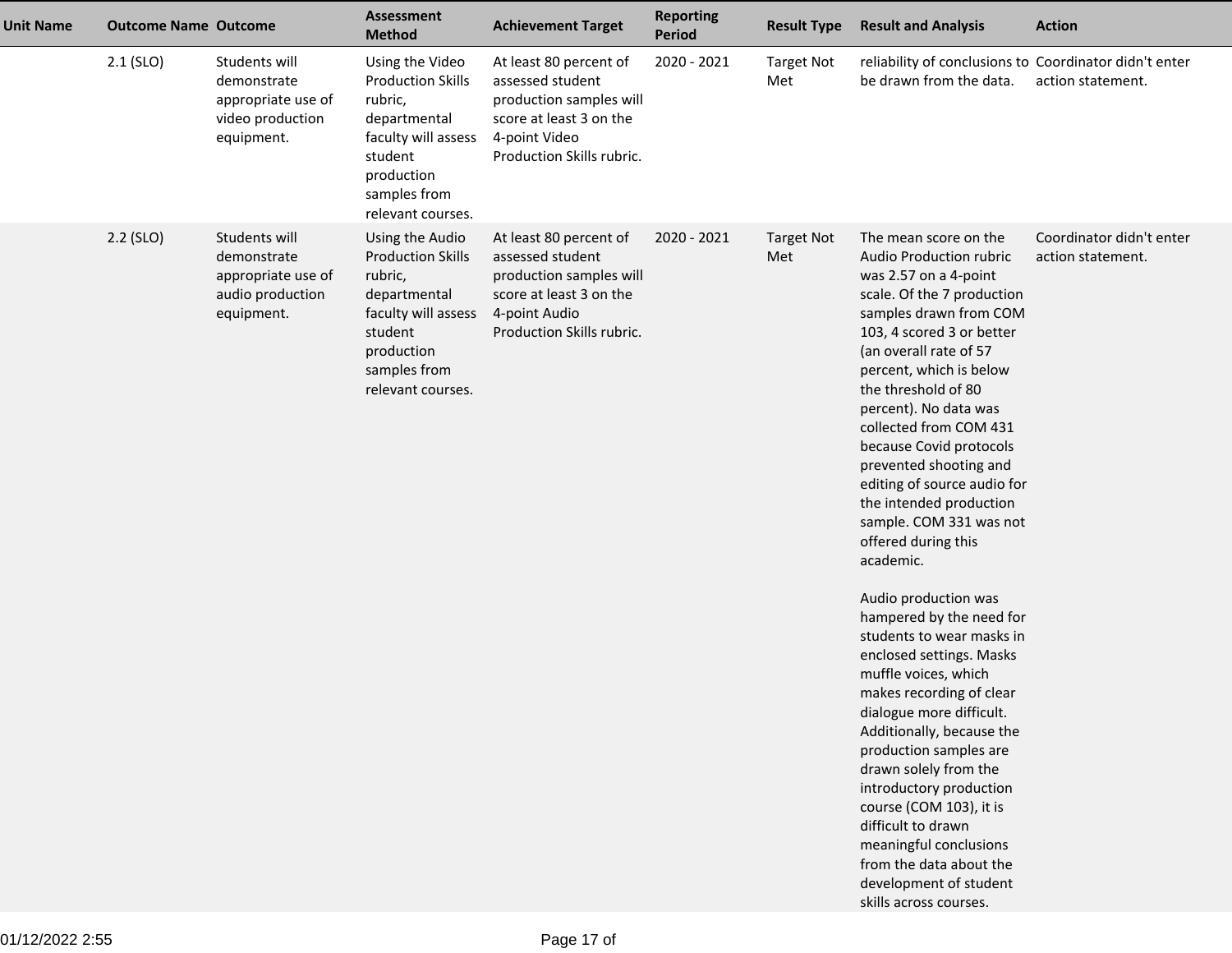| <b>Unit Name</b> | <b>Outcome Name Outcome</b> |                                                                                      | <b>Assessment</b><br><b>Method</b>                                                                                                                          | <b>Achievement Target</b>                                                                                                                      | <b>Reporting</b><br><b>Period</b> | <b>Result Type</b>       | <b>Result and Analysis</b>                                                                                                                                                                                                                                                                                                                                                                                                                                                                                                                                                                                                                                                                                                                                                                                                                                                                                                                    | <b>Action</b>                                 |
|------------------|-----------------------------|--------------------------------------------------------------------------------------|-------------------------------------------------------------------------------------------------------------------------------------------------------------|------------------------------------------------------------------------------------------------------------------------------------------------|-----------------------------------|--------------------------|-----------------------------------------------------------------------------------------------------------------------------------------------------------------------------------------------------------------------------------------------------------------------------------------------------------------------------------------------------------------------------------------------------------------------------------------------------------------------------------------------------------------------------------------------------------------------------------------------------------------------------------------------------------------------------------------------------------------------------------------------------------------------------------------------------------------------------------------------------------------------------------------------------------------------------------------------|-----------------------------------------------|
|                  | $2.1$ (SLO)                 | Students will<br>demonstrate<br>appropriate use of<br>video production<br>equipment. | Using the Video<br><b>Production Skills</b><br>rubric,<br>departmental<br>faculty will assess<br>student<br>production<br>samples from<br>relevant courses. | At least 80 percent of<br>assessed student<br>production samples will<br>score at least 3 on the<br>4-point Video<br>Production Skills rubric. | 2020 - 2021                       | <b>Target Not</b><br>Met | reliability of conclusions to Coordinator didn't enter<br>be drawn from the data.                                                                                                                                                                                                                                                                                                                                                                                                                                                                                                                                                                                                                                                                                                                                                                                                                                                             | action statement.                             |
|                  | $2.2$ (SLO)                 | Students will<br>demonstrate<br>appropriate use of<br>audio production<br>equipment. | Using the Audio<br><b>Production Skills</b><br>rubric,<br>departmental<br>faculty will assess<br>student<br>production<br>samples from<br>relevant courses. | At least 80 percent of<br>assessed student<br>production samples will<br>score at least 3 on the<br>4-point Audio<br>Production Skills rubric. | 2020 - 2021                       | <b>Target Not</b><br>Met | The mean score on the<br>Audio Production rubric<br>was 2.57 on a 4-point<br>scale. Of the 7 production<br>samples drawn from COM<br>103, 4 scored 3 or better<br>(an overall rate of 57<br>percent, which is below<br>the threshold of 80<br>percent). No data was<br>collected from COM 431<br>because Covid protocols<br>prevented shooting and<br>editing of source audio for<br>the intended production<br>sample. COM 331 was not<br>offered during this<br>academic.<br>Audio production was<br>hampered by the need for<br>students to wear masks in<br>enclosed settings. Masks<br>muffle voices, which<br>makes recording of clear<br>dialogue more difficult.<br>Additionally, because the<br>production samples are<br>drawn solely from the<br>introductory production<br>course (COM 103), it is<br>difficult to drawn<br>meaningful conclusions<br>from the data about the<br>development of student<br>skills across courses. | Coordinator didn't enter<br>action statement. |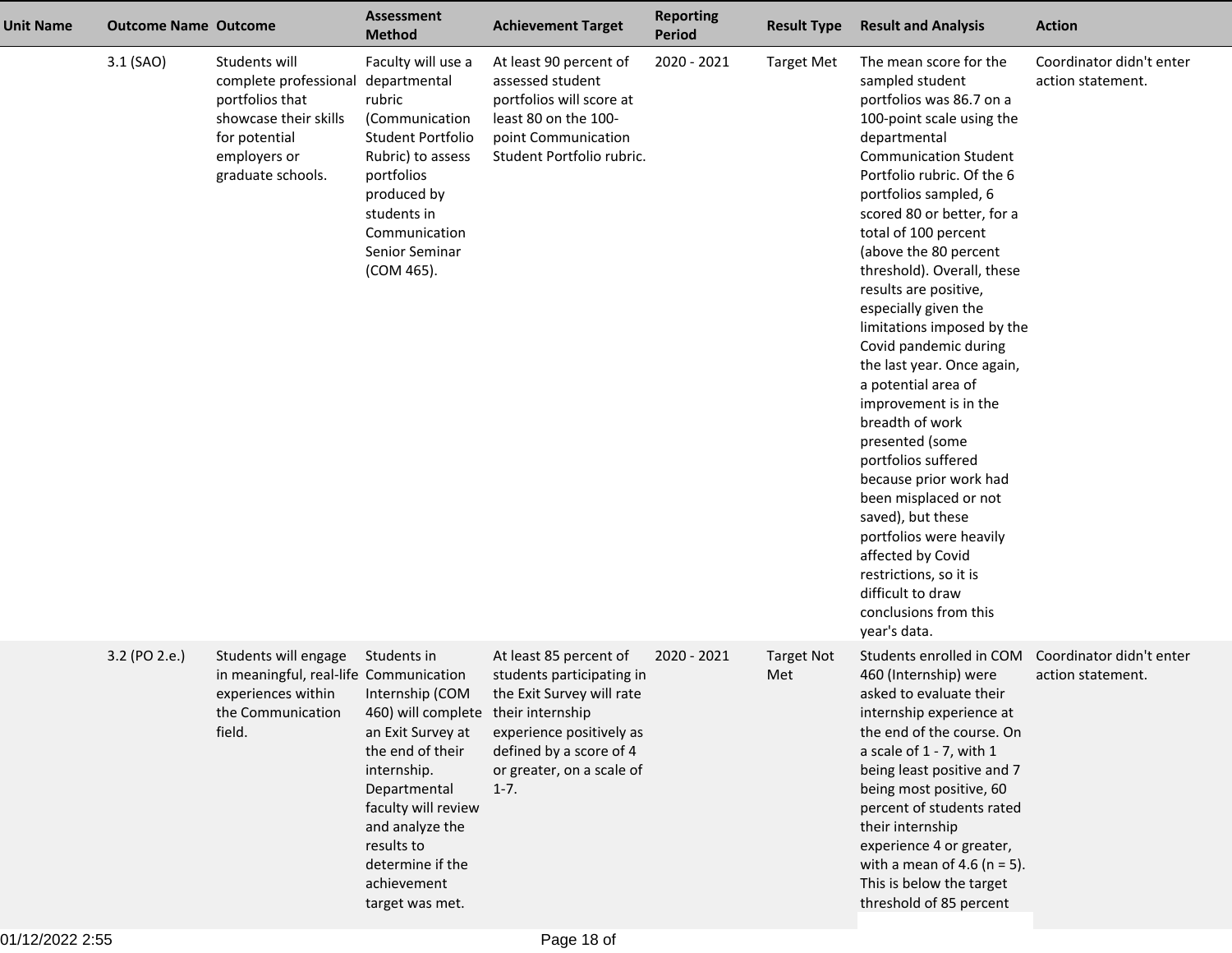| <b>Unit Name</b> | <b>Outcome Name Outcome</b> |                                                                                                                                          | <b>Assessment</b><br><b>Method</b>                                                                                                                                                                                                                          | <b>Achievement Target</b>                                                                                                                                                        | <b>Reporting</b><br><b>Period</b> | <b>Result Type</b>       | <b>Result and Analysis</b>                                                                                                                                                                                                                                                                                                                                                                                                                                                                                                                                                                                                                                                                                                                                                                | <b>Action</b>                                 |
|------------------|-----------------------------|------------------------------------------------------------------------------------------------------------------------------------------|-------------------------------------------------------------------------------------------------------------------------------------------------------------------------------------------------------------------------------------------------------------|----------------------------------------------------------------------------------------------------------------------------------------------------------------------------------|-----------------------------------|--------------------------|-------------------------------------------------------------------------------------------------------------------------------------------------------------------------------------------------------------------------------------------------------------------------------------------------------------------------------------------------------------------------------------------------------------------------------------------------------------------------------------------------------------------------------------------------------------------------------------------------------------------------------------------------------------------------------------------------------------------------------------------------------------------------------------------|-----------------------------------------------|
|                  | 3.1 (SAO)                   | Students will<br>complete professional<br>portfolios that<br>showcase their skills<br>for potential<br>employers or<br>graduate schools. | Faculty will use a<br>departmental<br>rubric<br>(Communication<br>Student Portfolio<br>Rubric) to assess<br>portfolios<br>produced by<br>students in<br>Communication<br>Senior Seminar<br>(COM 465).                                                       | At least 90 percent of<br>assessed student<br>portfolios will score at<br>least 80 on the 100-<br>point Communication<br>Student Portfolio rubric.                               | 2020 - 2021                       | <b>Target Met</b>        | The mean score for the<br>sampled student<br>portfolios was 86.7 on a<br>100-point scale using the<br>departmental<br><b>Communication Student</b><br>Portfolio rubric. Of the 6<br>portfolios sampled, 6<br>scored 80 or better, for a<br>total of 100 percent<br>(above the 80 percent<br>threshold). Overall, these<br>results are positive,<br>especially given the<br>limitations imposed by the<br>Covid pandemic during<br>the last year. Once again,<br>a potential area of<br>improvement is in the<br>breadth of work<br>presented (some<br>portfolios suffered<br>because prior work had<br>been misplaced or not<br>saved), but these<br>portfolios were heavily<br>affected by Covid<br>restrictions, so it is<br>difficult to draw<br>conclusions from this<br>year's data. | Coordinator didn't enter<br>action statement. |
|                  | 3.2 (PO 2.e.)               | Students will engage<br>in meaningful, real-life Communication<br>experiences within<br>the Communication<br>field.                      | Students in<br>Internship (COM<br>460) will complete their internship<br>an Exit Survey at<br>the end of their<br>internship.<br>Departmental<br>faculty will review<br>and analyze the<br>results to<br>determine if the<br>achievement<br>target was met. | At least 85 percent of<br>students participating in<br>the Exit Survey will rate<br>experience positively as<br>defined by a score of 4<br>or greater, on a scale of<br>$1 - 7.$ | 2020 - 2021                       | <b>Target Not</b><br>Met | Students enrolled in COM<br>460 (Internship) were<br>asked to evaluate their<br>internship experience at<br>the end of the course. On<br>a scale of $1 - 7$ , with $1$<br>being least positive and 7<br>being most positive, 60<br>percent of students rated<br>their internship<br>experience 4 or greater,<br>with a mean of 4.6 ( $n = 5$ ).<br>This is below the target<br>threshold of 85 percent                                                                                                                                                                                                                                                                                                                                                                                    | Coordinator didn't enter<br>action statement. |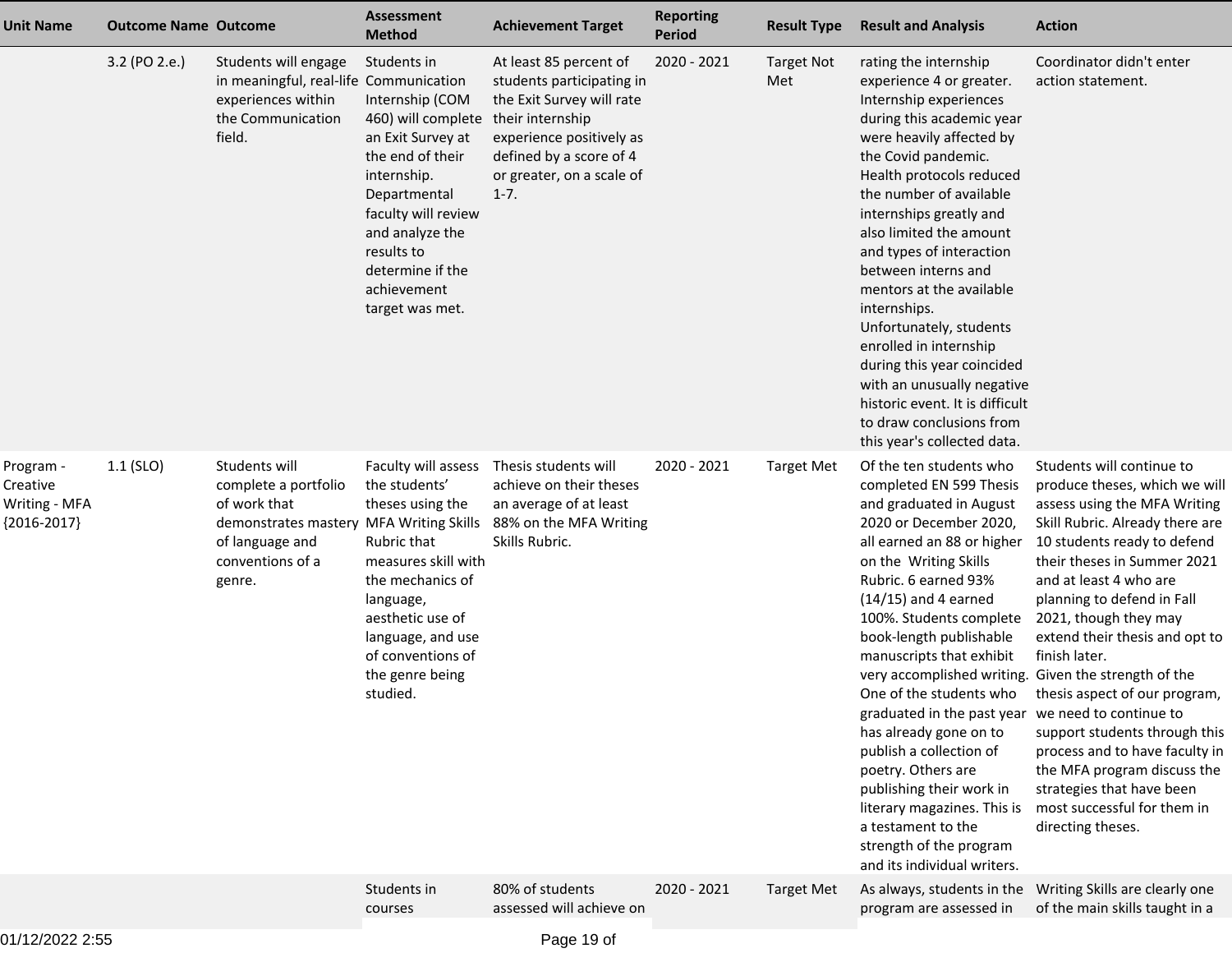| <b>Unit Name</b>                                        | <b>Outcome Name Outcome</b> |                                                                                                                                                   | <b>Assessment</b><br><b>Method</b>                                                                                                                                                                                                         | <b>Achievement Target</b>                                                                                                                                                                            | <b>Reporting</b><br><b>Period</b> | <b>Result Type</b>       | <b>Result and Analysis</b>                                                                                                                                                                                                                                                                                                                                                                                                                                                                                                                                                                                                                                       | <b>Action</b>                                                                                                                                                                                                                                                                                                                                                                                                                                                                                                                                       |
|---------------------------------------------------------|-----------------------------|---------------------------------------------------------------------------------------------------------------------------------------------------|--------------------------------------------------------------------------------------------------------------------------------------------------------------------------------------------------------------------------------------------|------------------------------------------------------------------------------------------------------------------------------------------------------------------------------------------------------|-----------------------------------|--------------------------|------------------------------------------------------------------------------------------------------------------------------------------------------------------------------------------------------------------------------------------------------------------------------------------------------------------------------------------------------------------------------------------------------------------------------------------------------------------------------------------------------------------------------------------------------------------------------------------------------------------------------------------------------------------|-----------------------------------------------------------------------------------------------------------------------------------------------------------------------------------------------------------------------------------------------------------------------------------------------------------------------------------------------------------------------------------------------------------------------------------------------------------------------------------------------------------------------------------------------------|
|                                                         | 3.2 (PO 2.e.)               | Students will engage<br>in meaningful, real-life Communication<br>experiences within<br>the Communication<br>field.                               | Students in<br>Internship (COM<br>460) will complete<br>an Exit Survey at<br>the end of their<br>internship.<br>Departmental<br>faculty will review<br>and analyze the<br>results to<br>determine if the<br>achievement<br>target was met. | At least 85 percent of<br>students participating in<br>the Exit Survey will rate<br>their internship<br>experience positively as<br>defined by a score of 4<br>or greater, on a scale of<br>$1 - 7.$ | 2020 - 2021                       | <b>Target Not</b><br>Met | rating the internship<br>experience 4 or greater.<br>Internship experiences<br>during this academic year<br>were heavily affected by<br>the Covid pandemic.<br>Health protocols reduced<br>the number of available<br>internships greatly and<br>also limited the amount<br>and types of interaction<br>between interns and<br>mentors at the available<br>internships.<br>Unfortunately, students<br>enrolled in internship<br>during this year coincided<br>with an unusually negative<br>historic event. It is difficult<br>to draw conclusions from<br>this year's collected data.                                                                           | Coordinator didn't enter<br>action statement.                                                                                                                                                                                                                                                                                                                                                                                                                                                                                                       |
| Program -<br>Creative<br>Writing - MFA<br>${2016-2017}$ | $1.1$ (SLO)                 | Students will<br>complete a portfolio<br>of work that<br>demonstrates mastery MFA Writing Skills<br>of language and<br>conventions of a<br>genre. | Faculty will assess<br>the students'<br>theses using the<br>Rubric that<br>measures skill with<br>the mechanics of<br>language,<br>aesthetic use of<br>language, and use<br>of conventions of<br>the genre being<br>studied.               | Thesis students will<br>achieve on their theses<br>an average of at least<br>88% on the MFA Writing<br>Skills Rubric.                                                                                | 2020 - 2021                       | <b>Target Met</b>        | Of the ten students who<br>completed EN 599 Thesis<br>and graduated in August<br>2020 or December 2020,<br>all earned an 88 or higher<br>on the Writing Skills<br>Rubric. 6 earned 93%<br>$(14/15)$ and 4 earned<br>100%. Students complete<br>book-length publishable<br>manuscripts that exhibit<br>very accomplished writing. Given the strength of the<br>One of the students who<br>graduated in the past year we need to continue to<br>has already gone on to<br>publish a collection of<br>poetry. Others are<br>publishing their work in<br>literary magazines. This is<br>a testament to the<br>strength of the program<br>and its individual writers. | Students will continue to<br>produce theses, which we will<br>assess using the MFA Writing<br>Skill Rubric. Already there are<br>10 students ready to defend<br>their theses in Summer 2021<br>and at least 4 who are<br>planning to defend in Fall<br>2021, though they may<br>extend their thesis and opt to<br>finish later.<br>thesis aspect of our program,<br>support students through this<br>process and to have faculty in<br>the MFA program discuss the<br>strategies that have been<br>most successful for them in<br>directing theses. |
|                                                         |                             |                                                                                                                                                   | Students in<br>courses                                                                                                                                                                                                                     | 80% of students<br>assessed will achieve on                                                                                                                                                          | 2020 - 2021                       | <b>Target Met</b>        | As always, students in the<br>program are assessed in                                                                                                                                                                                                                                                                                                                                                                                                                                                                                                                                                                                                            | Writing Skills are clearly one<br>of the main skills taught in a                                                                                                                                                                                                                                                                                                                                                                                                                                                                                    |
|                                                         |                             |                                                                                                                                                   |                                                                                                                                                                                                                                            |                                                                                                                                                                                                      |                                   |                          |                                                                                                                                                                                                                                                                                                                                                                                                                                                                                                                                                                                                                                                                  |                                                                                                                                                                                                                                                                                                                                                                                                                                                                                                                                                     |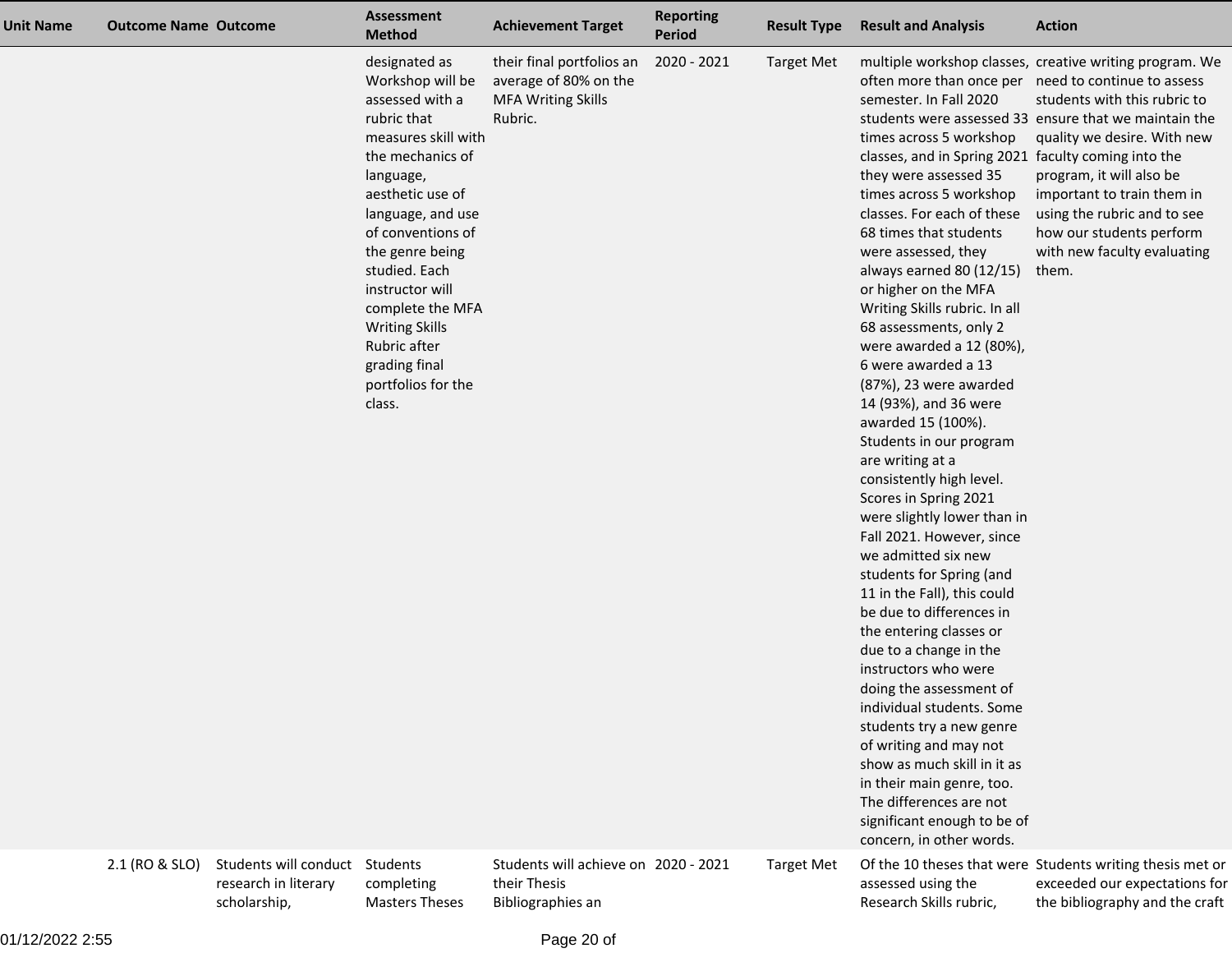| <b>Unit Name</b> | <b>Outcome Name Outcome</b> |                                                                        | <b>Assessment</b><br><b>Method</b>                                                                                                                                                                                                                                                                                                                             | <b>Achievement Target</b>                                                                  | <b>Reporting</b><br>Period | <b>Result Type</b> | <b>Result and Analysis</b>                                                                                                                                                                                                                                                                                                                                                                                                                                                                                                                                                                                                                                                                                                                                                                                                                                                                                                                                                                                                                                                                                        | <b>Action</b>                                                                                                                                                                                                                                                                                                                                                                                       |
|------------------|-----------------------------|------------------------------------------------------------------------|----------------------------------------------------------------------------------------------------------------------------------------------------------------------------------------------------------------------------------------------------------------------------------------------------------------------------------------------------------------|--------------------------------------------------------------------------------------------|----------------------------|--------------------|-------------------------------------------------------------------------------------------------------------------------------------------------------------------------------------------------------------------------------------------------------------------------------------------------------------------------------------------------------------------------------------------------------------------------------------------------------------------------------------------------------------------------------------------------------------------------------------------------------------------------------------------------------------------------------------------------------------------------------------------------------------------------------------------------------------------------------------------------------------------------------------------------------------------------------------------------------------------------------------------------------------------------------------------------------------------------------------------------------------------|-----------------------------------------------------------------------------------------------------------------------------------------------------------------------------------------------------------------------------------------------------------------------------------------------------------------------------------------------------------------------------------------------------|
|                  |                             |                                                                        | designated as<br>Workshop will be<br>assessed with a<br>rubric that<br>measures skill with<br>the mechanics of<br>language,<br>aesthetic use of<br>language, and use<br>of conventions of<br>the genre being<br>studied. Each<br>instructor will<br>complete the MFA<br><b>Writing Skills</b><br>Rubric after<br>grading final<br>portfolios for the<br>class. | their final portfolios an<br>average of 80% on the<br><b>MFA Writing Skills</b><br>Rubric. | 2020 - 2021                | <b>Target Met</b>  | semester. In Fall 2020<br>times across 5 workshop<br>classes, and in Spring 2021 faculty coming into the<br>they were assessed 35<br>times across 5 workshop<br>classes. For each of these<br>68 times that students<br>were assessed, they<br>always earned 80 (12/15)<br>or higher on the MFA<br>Writing Skills rubric. In all<br>68 assessments, only 2<br>were awarded a 12 (80%),<br>6 were awarded a 13<br>(87%), 23 were awarded<br>14 (93%), and 36 were<br>awarded 15 (100%).<br>Students in our program<br>are writing at a<br>consistently high level.<br>Scores in Spring 2021<br>were slightly lower than in<br>Fall 2021. However, since<br>we admitted six new<br>students for Spring (and<br>11 in the Fall), this could<br>be due to differences in<br>the entering classes or<br>due to a change in the<br>instructors who were<br>doing the assessment of<br>individual students. Some<br>students try a new genre<br>of writing and may not<br>show as much skill in it as<br>in their main genre, too.<br>The differences are not<br>significant enough to be of<br>concern, in other words. | multiple workshop classes, creative writing program. We<br>often more than once per need to continue to assess<br>students with this rubric to<br>students were assessed 33 ensure that we maintain the<br>quality we desire. With new<br>program, it will also be<br>important to train them in<br>using the rubric and to see<br>how our students perform<br>with new faculty evaluating<br>them. |
|                  | 2.1 (RO & SLO)              | Students will conduct Students<br>research in literary<br>scholarship, | completing<br><b>Masters Theses</b>                                                                                                                                                                                                                                                                                                                            | Students will achieve on 2020 - 2021<br>their Thesis<br>Bibliographies an                  |                            | <b>Target Met</b>  | assessed using the<br>Research Skills rubric,                                                                                                                                                                                                                                                                                                                                                                                                                                                                                                                                                                                                                                                                                                                                                                                                                                                                                                                                                                                                                                                                     | Of the 10 theses that were Students writing thesis met or<br>exceeded our expectations for<br>the bibliography and the craft                                                                                                                                                                                                                                                                        |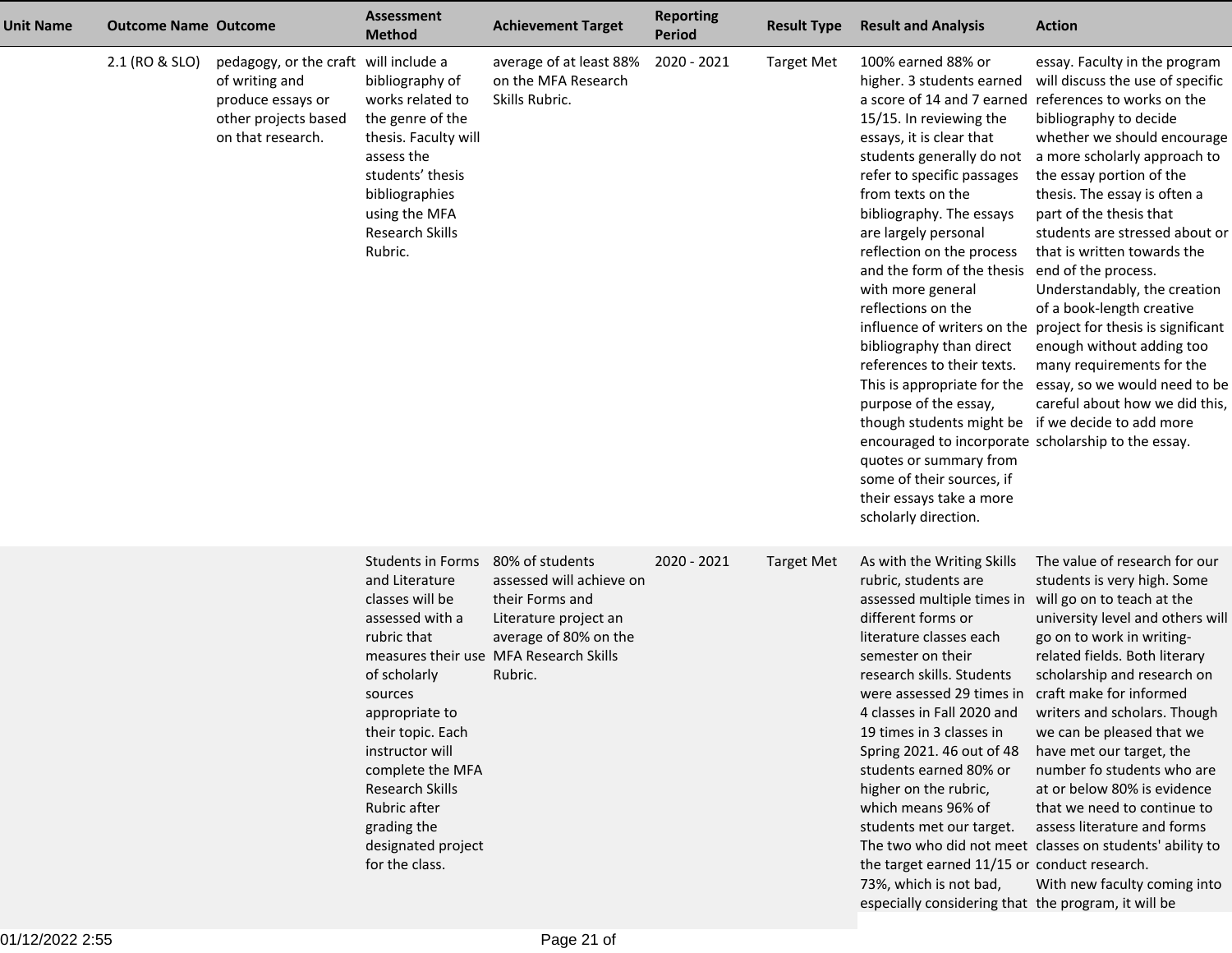| <b>Unit Name</b> | <b>Outcome Name Outcome</b> |                                                                                                                           | <b>Assessment</b><br><b>Method</b>                                                                                                                                                                                                                                                                 | <b>Achievement Target</b>                                                                                                                                             | <b>Reporting</b><br><b>Period</b> | <b>Result Type</b> | <b>Result and Analysis</b>                                                                                                                                                                                                                                                                                                                                                                                                                                                                                                                                                                                                                                 | <b>Action</b>                                                                                                                                                                                                                                                                                                                                                                                                                                                                                                                                                                                                                                                                             |
|------------------|-----------------------------|---------------------------------------------------------------------------------------------------------------------------|----------------------------------------------------------------------------------------------------------------------------------------------------------------------------------------------------------------------------------------------------------------------------------------------------|-----------------------------------------------------------------------------------------------------------------------------------------------------------------------|-----------------------------------|--------------------|------------------------------------------------------------------------------------------------------------------------------------------------------------------------------------------------------------------------------------------------------------------------------------------------------------------------------------------------------------------------------------------------------------------------------------------------------------------------------------------------------------------------------------------------------------------------------------------------------------------------------------------------------------|-------------------------------------------------------------------------------------------------------------------------------------------------------------------------------------------------------------------------------------------------------------------------------------------------------------------------------------------------------------------------------------------------------------------------------------------------------------------------------------------------------------------------------------------------------------------------------------------------------------------------------------------------------------------------------------------|
|                  | 2.1 (RO & SLO)              | pedagogy, or the craft will include a<br>of writing and<br>produce essays or<br>other projects based<br>on that research. | bibliography of<br>works related to<br>the genre of the<br>thesis. Faculty will<br>assess the<br>students' thesis<br>bibliographies<br>using the MFA<br><b>Research Skills</b><br>Rubric.                                                                                                          | average of at least 88%<br>on the MFA Research<br>Skills Rubric.                                                                                                      | 2020 - 2021                       | <b>Target Met</b>  | 100% earned 88% or<br>higher. 3 students earned<br>15/15. In reviewing the<br>essays, it is clear that<br>students generally do not<br>refer to specific passages<br>from texts on the<br>bibliography. The essays<br>are largely personal<br>reflection on the process<br>and the form of the thesis<br>with more general<br>reflections on the<br>bibliography than direct<br>references to their texts.<br>purpose of the essay,<br>though students might be if we decide to add more<br>encouraged to incorporate scholarship to the essay.<br>quotes or summary from<br>some of their sources, if<br>their essays take a more<br>scholarly direction. | essay. Faculty in the program<br>will discuss the use of specific<br>a score of 14 and 7 earned references to works on the<br>bibliography to decide<br>whether we should encourage<br>a more scholarly approach to<br>the essay portion of the<br>thesis. The essay is often a<br>part of the thesis that<br>students are stressed about or<br>that is written towards the<br>end of the process.<br>Understandably, the creation<br>of a book-length creative<br>influence of writers on the project for thesis is significant<br>enough without adding too<br>many requirements for the<br>This is appropriate for the essay, so we would need to be<br>careful about how we did this, |
|                  |                             |                                                                                                                           | <b>Students in Forms</b><br>and Literature<br>classes will be<br>assessed with a<br>rubric that<br>of scholarly<br>sources<br>appropriate to<br>their topic. Each<br>instructor will<br>complete the MFA<br>Research Skills<br>Rubric after<br>grading the<br>designated project<br>for the class. | 80% of students<br>assessed will achieve on<br>their Forms and<br>Literature project an<br>average of 80% on the<br>measures their use MFA Research Skills<br>Rubric. | 2020 - 2021                       | <b>Target Met</b>  | As with the Writing Skills<br>rubric, students are<br>assessed multiple times in<br>different forms or<br>literature classes each<br>semester on their<br>research skills. Students<br>were assessed 29 times in craft make for informed<br>4 classes in Fall 2020 and<br>19 times in 3 classes in<br>Spring 2021. 46 out of 48<br>students earned 80% or<br>higher on the rubric,<br>which means 96% of<br>students met our target.<br>the target earned 11/15 or conduct research.<br>73%, which is not bad,<br>especially considering that the program, it will be                                                                                      | The value of research for our<br>students is very high. Some<br>will go on to teach at the<br>university level and others will<br>go on to work in writing-<br>related fields. Both literary<br>scholarship and research on<br>writers and scholars. Though<br>we can be pleased that we<br>have met our target, the<br>number fo students who are<br>at or below 80% is evidence<br>that we need to continue to<br>assess literature and forms<br>The two who did not meet classes on students' ability to<br>With new faculty coming into                                                                                                                                               |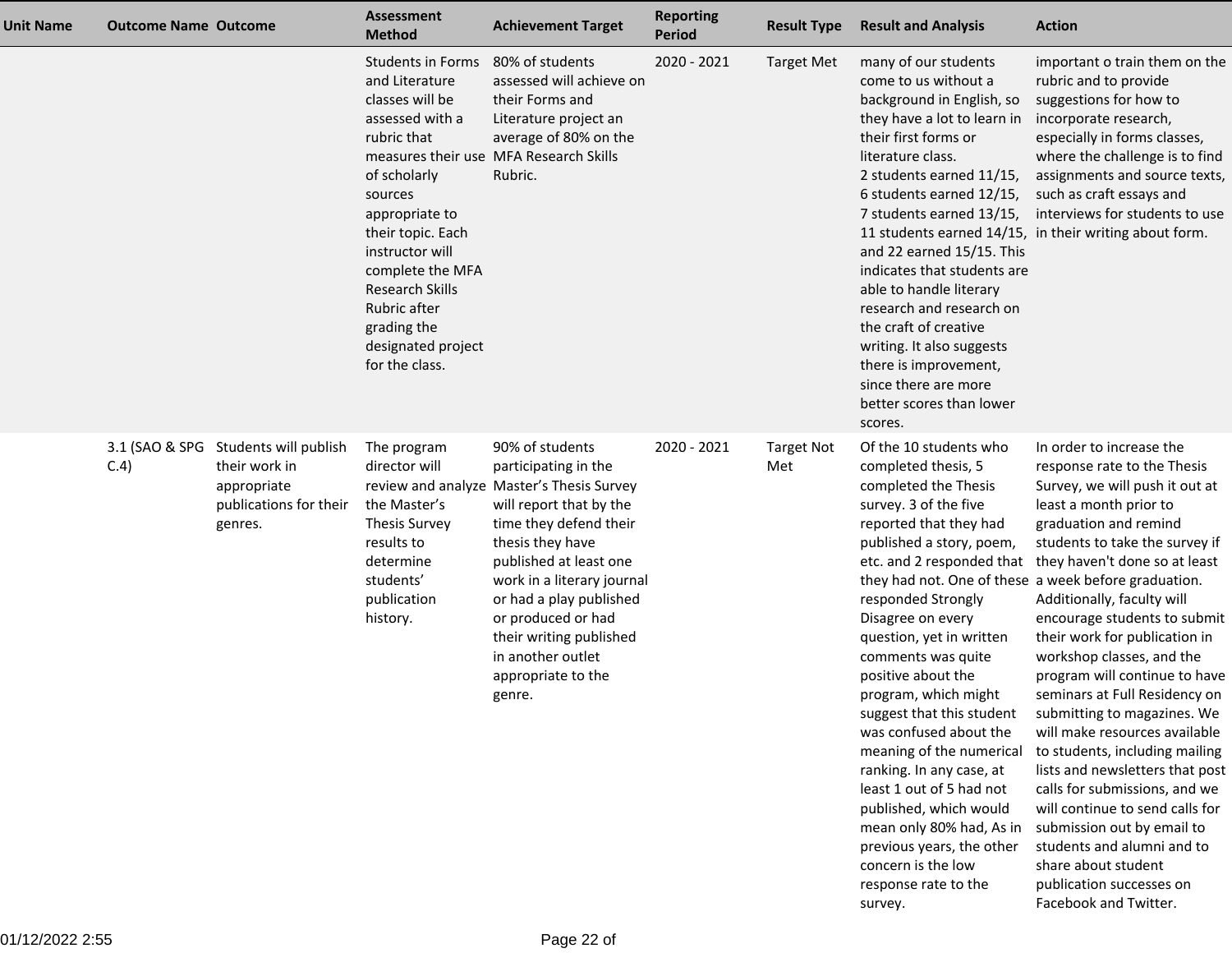| <b>Unit Name</b> | <b>Outcome Name Outcome</b> |                                                                                                           | <b>Assessment</b><br><b>Method</b>                                                                                                                                                                                                                                                                        | <b>Achievement Target</b>                                                                                                                                                                                                                                                                                                                              | <b>Reporting</b><br><b>Period</b> | <b>Result Type</b>       | <b>Result and Analysis</b>                                                                                                                                                                                                                                                                                                                                                                                                                                                                                                                                                                                                                     | <b>Action</b>                                                                                                                                                                                                                                                                                                                                                                                                                                                                                                                                                                                                                                                                                                                                                                            |
|------------------|-----------------------------|-----------------------------------------------------------------------------------------------------------|-----------------------------------------------------------------------------------------------------------------------------------------------------------------------------------------------------------------------------------------------------------------------------------------------------------|--------------------------------------------------------------------------------------------------------------------------------------------------------------------------------------------------------------------------------------------------------------------------------------------------------------------------------------------------------|-----------------------------------|--------------------------|------------------------------------------------------------------------------------------------------------------------------------------------------------------------------------------------------------------------------------------------------------------------------------------------------------------------------------------------------------------------------------------------------------------------------------------------------------------------------------------------------------------------------------------------------------------------------------------------------------------------------------------------|------------------------------------------------------------------------------------------------------------------------------------------------------------------------------------------------------------------------------------------------------------------------------------------------------------------------------------------------------------------------------------------------------------------------------------------------------------------------------------------------------------------------------------------------------------------------------------------------------------------------------------------------------------------------------------------------------------------------------------------------------------------------------------------|
|                  |                             |                                                                                                           | <b>Students in Forms</b><br>and Literature<br>classes will be<br>assessed with a<br>rubric that<br>of scholarly<br>sources<br>appropriate to<br>their topic. Each<br>instructor will<br>complete the MFA<br><b>Research Skills</b><br>Rubric after<br>grading the<br>designated project<br>for the class. | 80% of students<br>assessed will achieve on<br>their Forms and<br>Literature project an<br>average of 80% on the<br>measures their use MFA Research Skills<br>Rubric.                                                                                                                                                                                  | 2020 - 2021                       | <b>Target Met</b>        | many of our students<br>come to us without a<br>background in English, so<br>they have a lot to learn in<br>their first forms or<br>literature class.<br>2 students earned 11/15,<br>6 students earned 12/15,<br>7 students earned 13/15,<br>and 22 earned 15/15. This<br>indicates that students are<br>able to handle literary<br>research and research on<br>the craft of creative<br>writing. It also suggests<br>there is improvement,<br>since there are more<br>better scores than lower<br>scores.                                                                                                                                     | important o train them on the<br>rubric and to provide<br>suggestions for how to<br>incorporate research,<br>especially in forms classes,<br>where the challenge is to find<br>assignments and source texts,<br>such as craft essays and<br>interviews for students to use<br>11 students earned 14/15, in their writing about form.                                                                                                                                                                                                                                                                                                                                                                                                                                                     |
|                  | C.4)                        | 3.1 (SAO & SPG Students will publish<br>their work in<br>appropriate<br>publications for their<br>genres. | The program<br>director will<br>the Master's<br><b>Thesis Survey</b><br>results to<br>determine<br>students'<br>publication<br>history.                                                                                                                                                                   | 90% of students<br>participating in the<br>review and analyze Master's Thesis Survey<br>will report that by the<br>time they defend their<br>thesis they have<br>published at least one<br>work in a literary journal<br>or had a play published<br>or produced or had<br>their writing published<br>in another outlet<br>appropriate to the<br>genre. | 2020 - 2021                       | <b>Target Not</b><br>Met | Of the 10 students who<br>completed thesis, 5<br>completed the Thesis<br>survey. 3 of the five<br>reported that they had<br>published a story, poem,<br>they had not. One of these a week before graduation.<br>responded Strongly<br>Disagree on every<br>question, yet in written<br>comments was quite<br>positive about the<br>program, which might<br>suggest that this student<br>was confused about the<br>meaning of the numerical<br>ranking. In any case, at<br>least 1 out of 5 had not<br>published, which would<br>mean only 80% had, As in<br>previous years, the other<br>concern is the low<br>response rate to the<br>survey. | In order to increase the<br>response rate to the Thesis<br>Survey, we will push it out at<br>least a month prior to<br>graduation and remind<br>students to take the survey if<br>etc. and 2 responded that they haven't done so at least<br>Additionally, faculty will<br>encourage students to submit<br>their work for publication in<br>workshop classes, and the<br>program will continue to have<br>seminars at Full Residency on<br>submitting to magazines. We<br>will make resources available<br>to students, including mailing<br>lists and newsletters that post<br>calls for submissions, and we<br>will continue to send calls for<br>submission out by email to<br>students and alumni and to<br>share about student<br>publication successes on<br>Facebook and Twitter. |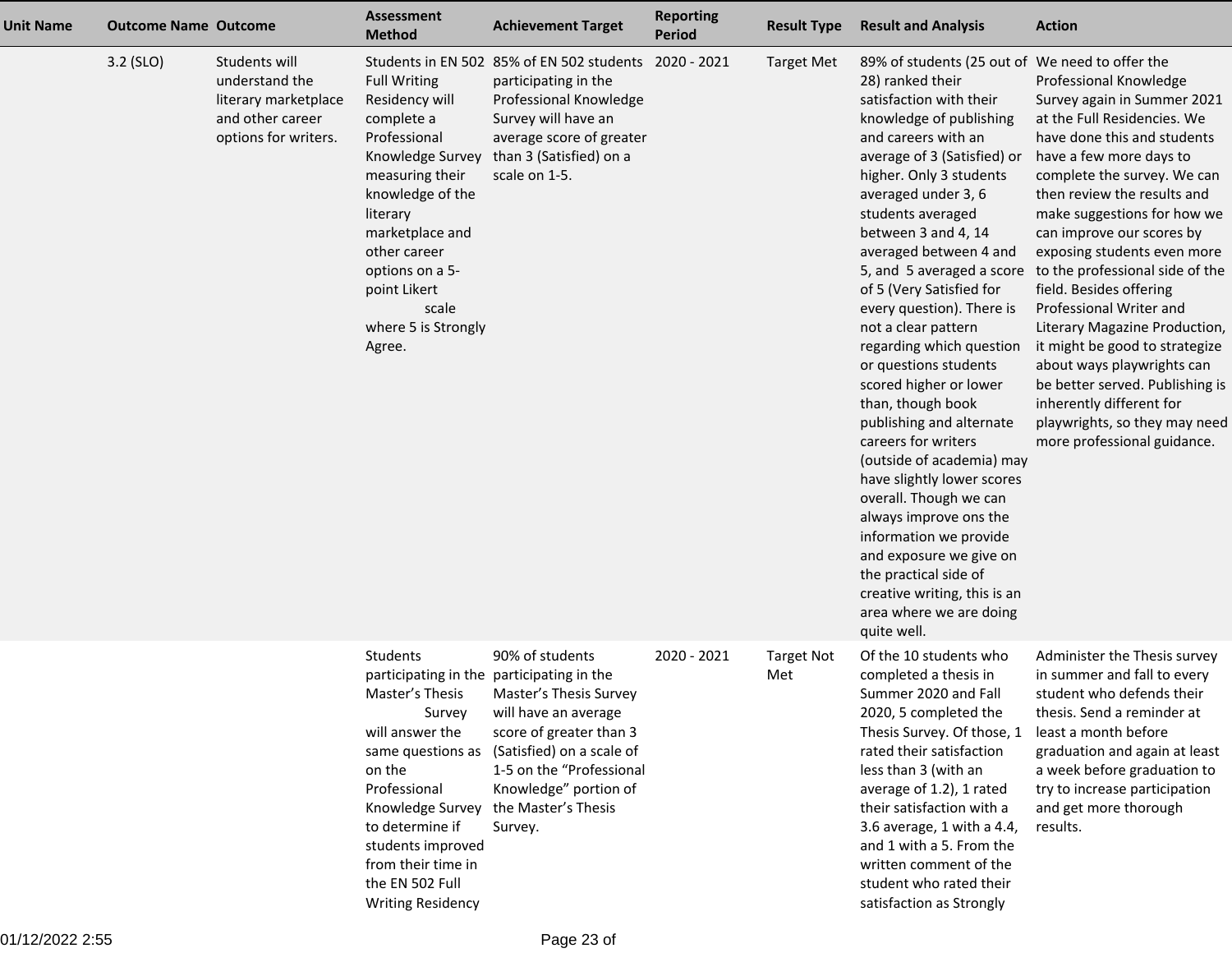| <b>Unit Name</b> | <b>Outcome Name Outcome</b> |                                                                                                     | <b>Assessment</b><br><b>Method</b>                                                                                                                                                                                                                         | <b>Achievement Target</b>                                                                                                                                                                                                                                     | <b>Reporting</b><br><b>Period</b> | <b>Result Type</b>       | <b>Result and Analysis</b>                                                                                                                                                                                                                                                                                                                                                                                                                                                                                                                                                                                                                                                                                                                                                                                            | <b>Action</b>                                                                                                                                                                                                                                                                                                                                                                                                                                                                                                                                                                                                                                              |
|------------------|-----------------------------|-----------------------------------------------------------------------------------------------------|------------------------------------------------------------------------------------------------------------------------------------------------------------------------------------------------------------------------------------------------------------|---------------------------------------------------------------------------------------------------------------------------------------------------------------------------------------------------------------------------------------------------------------|-----------------------------------|--------------------------|-----------------------------------------------------------------------------------------------------------------------------------------------------------------------------------------------------------------------------------------------------------------------------------------------------------------------------------------------------------------------------------------------------------------------------------------------------------------------------------------------------------------------------------------------------------------------------------------------------------------------------------------------------------------------------------------------------------------------------------------------------------------------------------------------------------------------|------------------------------------------------------------------------------------------------------------------------------------------------------------------------------------------------------------------------------------------------------------------------------------------------------------------------------------------------------------------------------------------------------------------------------------------------------------------------------------------------------------------------------------------------------------------------------------------------------------------------------------------------------------|
|                  | $3.2$ (SLO)                 | Students will<br>understand the<br>literary marketplace<br>and other career<br>options for writers. | <b>Full Writing</b><br>Residency will<br>complete a<br>Professional<br>Knowledge Survey<br>measuring their<br>knowledge of the<br>literary<br>marketplace and<br>other career<br>options on a 5-<br>point Likert<br>scale<br>where 5 is Strongly<br>Agree. | Students in EN 502 85% of EN 502 students 2020 - 2021<br>participating in the<br>Professional Knowledge<br>Survey will have an<br>average score of greater<br>than 3 (Satisfied) on a<br>scale on 1-5.                                                        |                                   | <b>Target Met</b>        | 89% of students (25 out of We need to offer the<br>28) ranked their<br>satisfaction with their<br>knowledge of publishing<br>and careers with an<br>average of 3 (Satisfied) or<br>higher. Only 3 students<br>averaged under 3, 6<br>students averaged<br>between 3 and 4, 14<br>averaged between 4 and<br>of 5 (Very Satisfied for<br>every question). There is<br>not a clear pattern<br>regarding which question<br>or questions students<br>scored higher or lower<br>than, though book<br>publishing and alternate<br>careers for writers<br>(outside of academia) may<br>have slightly lower scores<br>overall. Though we can<br>always improve ons the<br>information we provide<br>and exposure we give on<br>the practical side of<br>creative writing, this is an<br>area where we are doing<br>quite well. | Professional Knowledge<br>Survey again in Summer 2021<br>at the Full Residencies. We<br>have done this and students<br>have a few more days to<br>complete the survey. We can<br>then review the results and<br>make suggestions for how we<br>can improve our scores by<br>exposing students even more<br>5, and 5 averaged a score to the professional side of the<br>field. Besides offering<br>Professional Writer and<br>Literary Magazine Production,<br>it might be good to strategize<br>about ways playwrights can<br>be better served. Publishing is<br>inherently different for<br>playwrights, so they may need<br>more professional guidance. |
|                  |                             |                                                                                                     | Students<br>Master's Thesis<br>Survey<br>will answer the<br>same questions as<br>on the<br>Professional<br>Knowledge Survey<br>to determine if<br>students improved<br>from their time in<br>the EN 502 Full<br><b>Writing Residency</b>                   | 90% of students<br>participating in the participating in the<br>Master's Thesis Survey<br>will have an average<br>score of greater than 3<br>(Satisfied) on a scale of<br>1-5 on the "Professional<br>Knowledge" portion of<br>the Master's Thesis<br>Survey. | 2020 - 2021                       | <b>Target Not</b><br>Met | Of the 10 students who<br>completed a thesis in<br>Summer 2020 and Fall<br>2020, 5 completed the<br>Thesis Survey. Of those, 1<br>rated their satisfaction<br>less than 3 (with an<br>average of 1.2), 1 rated<br>their satisfaction with a<br>3.6 average, 1 with a 4.4,<br>and 1 with a 5. From the<br>written comment of the<br>student who rated their<br>satisfaction as Strongly                                                                                                                                                                                                                                                                                                                                                                                                                                | Administer the Thesis survey<br>in summer and fall to every<br>student who defends their<br>thesis. Send a reminder at<br>least a month before<br>graduation and again at least<br>a week before graduation to<br>try to increase participation<br>and get more thorough<br>results.                                                                                                                                                                                                                                                                                                                                                                       |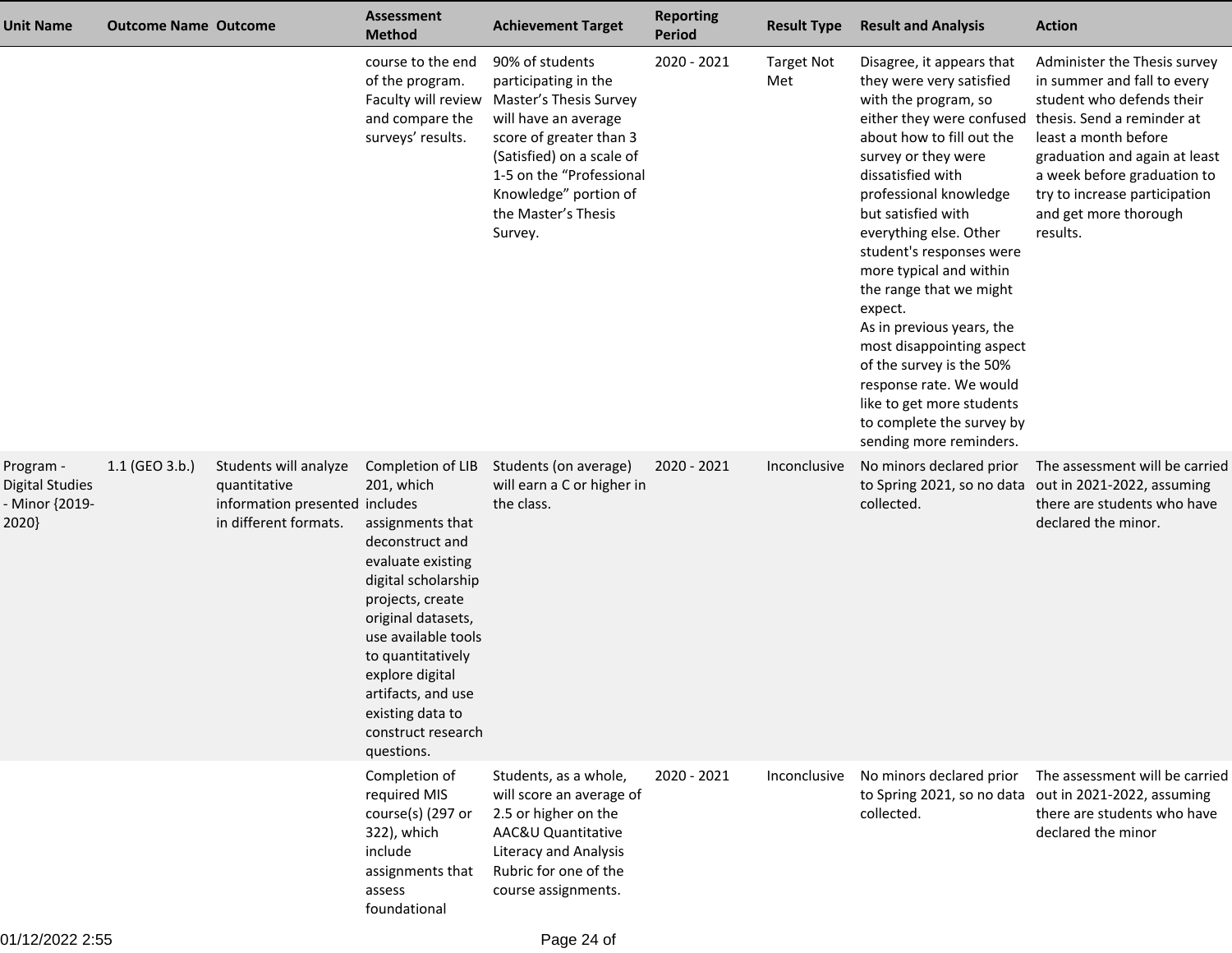| <b>Unit Name</b>                                               | <b>Outcome Name Outcome</b> |                                                                                                  | <b>Assessment</b><br><b>Method</b>                                                                                                                                                                                                                                                                        | <b>Achievement Target</b>                                                                                                                                                                                                                | <b>Reporting</b><br><b>Period</b> | <b>Result Type</b>       | <b>Result and Analysis</b>                                                                                                                                                                                                                                                                                                                                                                                                                                                                                                                                                                  | <b>Action</b>                                                                                                                                                                                                                                          |
|----------------------------------------------------------------|-----------------------------|--------------------------------------------------------------------------------------------------|-----------------------------------------------------------------------------------------------------------------------------------------------------------------------------------------------------------------------------------------------------------------------------------------------------------|------------------------------------------------------------------------------------------------------------------------------------------------------------------------------------------------------------------------------------------|-----------------------------------|--------------------------|---------------------------------------------------------------------------------------------------------------------------------------------------------------------------------------------------------------------------------------------------------------------------------------------------------------------------------------------------------------------------------------------------------------------------------------------------------------------------------------------------------------------------------------------------------------------------------------------|--------------------------------------------------------------------------------------------------------------------------------------------------------------------------------------------------------------------------------------------------------|
|                                                                |                             |                                                                                                  | course to the end<br>of the program.<br>Faculty will review<br>and compare the<br>surveys' results.                                                                                                                                                                                                       | 90% of students<br>participating in the<br>Master's Thesis Survey<br>will have an average<br>score of greater than 3<br>(Satisfied) on a scale of<br>1-5 on the "Professional<br>Knowledge" portion of<br>the Master's Thesis<br>Survey. | 2020 - 2021                       | <b>Target Not</b><br>Met | Disagree, it appears that<br>they were very satisfied<br>with the program, so<br>either they were confused thesis. Send a reminder at<br>about how to fill out the<br>survey or they were<br>dissatisfied with<br>professional knowledge<br>but satisfied with<br>everything else. Other<br>student's responses were<br>more typical and within<br>the range that we might<br>expect.<br>As in previous years, the<br>most disappointing aspect<br>of the survey is the 50%<br>response rate. We would<br>like to get more students<br>to complete the survey by<br>sending more reminders. | Administer the Thesis survey<br>in summer and fall to every<br>student who defends their<br>least a month before<br>graduation and again at least<br>a week before graduation to<br>try to increase participation<br>and get more thorough<br>results. |
| Program -<br><b>Digital Studies</b><br>- Minor {2019-<br>2020} | 1.1 (GEO 3.b.)              | Students will analyze<br>quantitative<br>information presented includes<br>in different formats. | Completion of LIB<br>201, which<br>assignments that<br>deconstruct and<br>evaluate existing<br>digital scholarship<br>projects, create<br>original datasets,<br>use available tools<br>to quantitatively<br>explore digital<br>artifacts, and use<br>existing data to<br>construct research<br>questions. | Students (on average)<br>will earn a C or higher in<br>the class.                                                                                                                                                                        | 2020 - 2021                       | Inconclusive             | No minors declared prior<br>collected.                                                                                                                                                                                                                                                                                                                                                                                                                                                                                                                                                      | The assessment will be carried<br>to Spring 2021, so no data out in 2021-2022, assuming<br>there are students who have<br>declared the minor.                                                                                                          |
|                                                                |                             |                                                                                                  | Completion of<br>required MIS<br>course(s) (297 or<br>322), which<br>include<br>assignments that<br>assess<br>foundational                                                                                                                                                                                | Students, as a whole,<br>will score an average of<br>2.5 or higher on the<br>AAC&U Quantitative<br><b>Literacy and Analysis</b><br>Rubric for one of the<br>course assignments.                                                          | 2020 - 2021                       | Inconclusive             | No minors declared prior<br>collected.                                                                                                                                                                                                                                                                                                                                                                                                                                                                                                                                                      | The assessment will be carried<br>to Spring 2021, so no data out in 2021-2022, assuming<br>there are students who have<br>declared the minor                                                                                                           |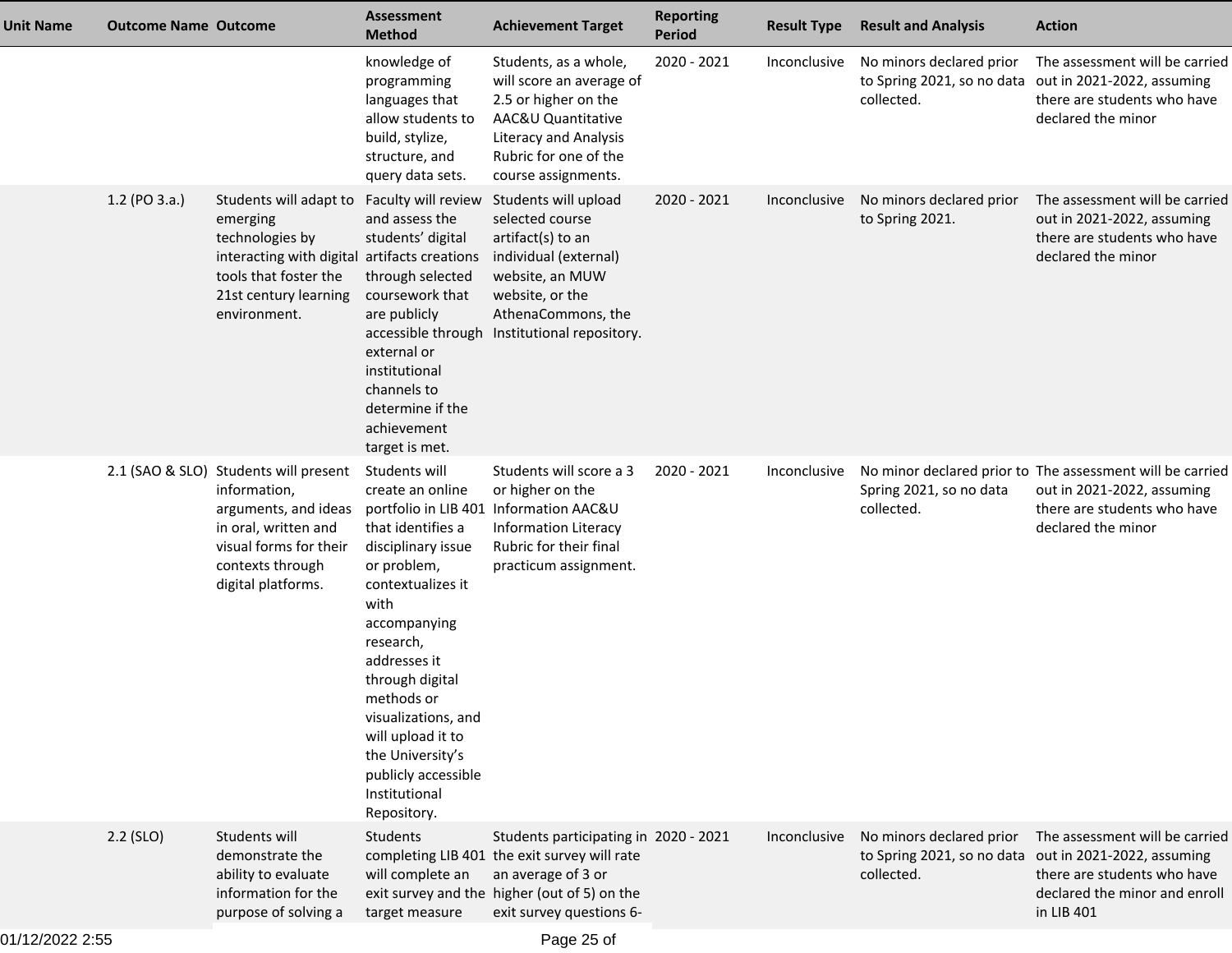| <b>Unit Name</b> | <b>Outcome Name Outcome</b> |                                                                                                                                                                                             | <b>Assessment</b><br><b>Method</b>                                                                                                                                                                                                                                                                                            | <b>Achievement Target</b>                                                                                                                                                               | <b>Reporting</b><br><b>Period</b> | <b>Result Type</b> | <b>Result and Analysis</b>                  | <b>Action</b>                                                                                                                                                         |
|------------------|-----------------------------|---------------------------------------------------------------------------------------------------------------------------------------------------------------------------------------------|-------------------------------------------------------------------------------------------------------------------------------------------------------------------------------------------------------------------------------------------------------------------------------------------------------------------------------|-----------------------------------------------------------------------------------------------------------------------------------------------------------------------------------------|-----------------------------------|--------------------|---------------------------------------------|-----------------------------------------------------------------------------------------------------------------------------------------------------------------------|
|                  |                             |                                                                                                                                                                                             | knowledge of<br>programming<br>languages that<br>allow students to<br>build, stylize,<br>structure, and<br>query data sets.                                                                                                                                                                                                   | Students, as a whole,<br>will score an average of<br>2.5 or higher on the<br>AAC&U Quantitative<br><b>Literacy and Analysis</b><br>Rubric for one of the<br>course assignments.         | 2020 - 2021                       | Inconclusive       | No minors declared prior<br>collected.      | The assessment will be carried<br>to Spring 2021, so no data out in 2021-2022, assuming<br>there are students who have<br>declared the minor                          |
|                  | 1.2 (PO 3.a.)               | Students will adapt to Faculty will review<br>emerging<br>technologies by<br>interacting with digital artifacts creations<br>tools that foster the<br>21st century learning<br>environment. | and assess the<br>students' digital<br>through selected<br>coursework that<br>are publicly<br>accessible through<br>external or<br>institutional<br>channels to<br>determine if the<br>achievement<br>target is met.                                                                                                          | Students will upload<br>selected course<br>artifact(s) to an<br>individual (external)<br>website, an MUW<br>website, or the<br>AthenaCommons, the<br>Institutional repository.          | 2020 - 2021                       | Inconclusive       | No minors declared prior<br>to Spring 2021. | The assessment will be carried<br>out in 2021-2022, assuming<br>there are students who have<br>declared the minor                                                     |
|                  |                             | 2.1 (SAO & SLO) Students will present<br>information,<br>arguments, and ideas<br>in oral, written and<br>visual forms for their<br>contexts through<br>digital platforms.                   | Students will<br>create an online<br>that identifies a<br>disciplinary issue<br>or problem,<br>contextualizes it<br>with<br>accompanying<br>research,<br>addresses it<br>through digital<br>methods or<br>visualizations, and<br>will upload it to<br>the University's<br>publicly accessible<br>Institutional<br>Repository. | Students will score a 3<br>or higher on the<br>portfolio in LIB 401 Information AAC&U<br><b>Information Literacy</b><br>Rubric for their final<br>practicum assignment.                 | 2020 - 2021                       | Inconclusive       | Spring 2021, so no data<br>collected.       | No minor declared prior to The assessment will be carried<br>out in 2021-2022, assuming<br>there are students who have<br>declared the minor                          |
|                  | $2.2$ (SLO)                 | Students will<br>demonstrate the<br>ability to evaluate<br>information for the<br>purpose of solving a                                                                                      | <b>Students</b><br>will complete an<br>target measure                                                                                                                                                                                                                                                                         | Students participating in 2020 - 2021<br>completing LIB 401 the exit survey will rate<br>an average of 3 or<br>exit survey and the higher (out of 5) on the<br>exit survey questions 6- |                                   | Inconclusive       | No minors declared prior<br>collected.      | The assessment will be carried<br>to Spring 2021, so no data out in 2021-2022, assuming<br>there are students who have<br>declared the minor and enroll<br>in LIB 401 |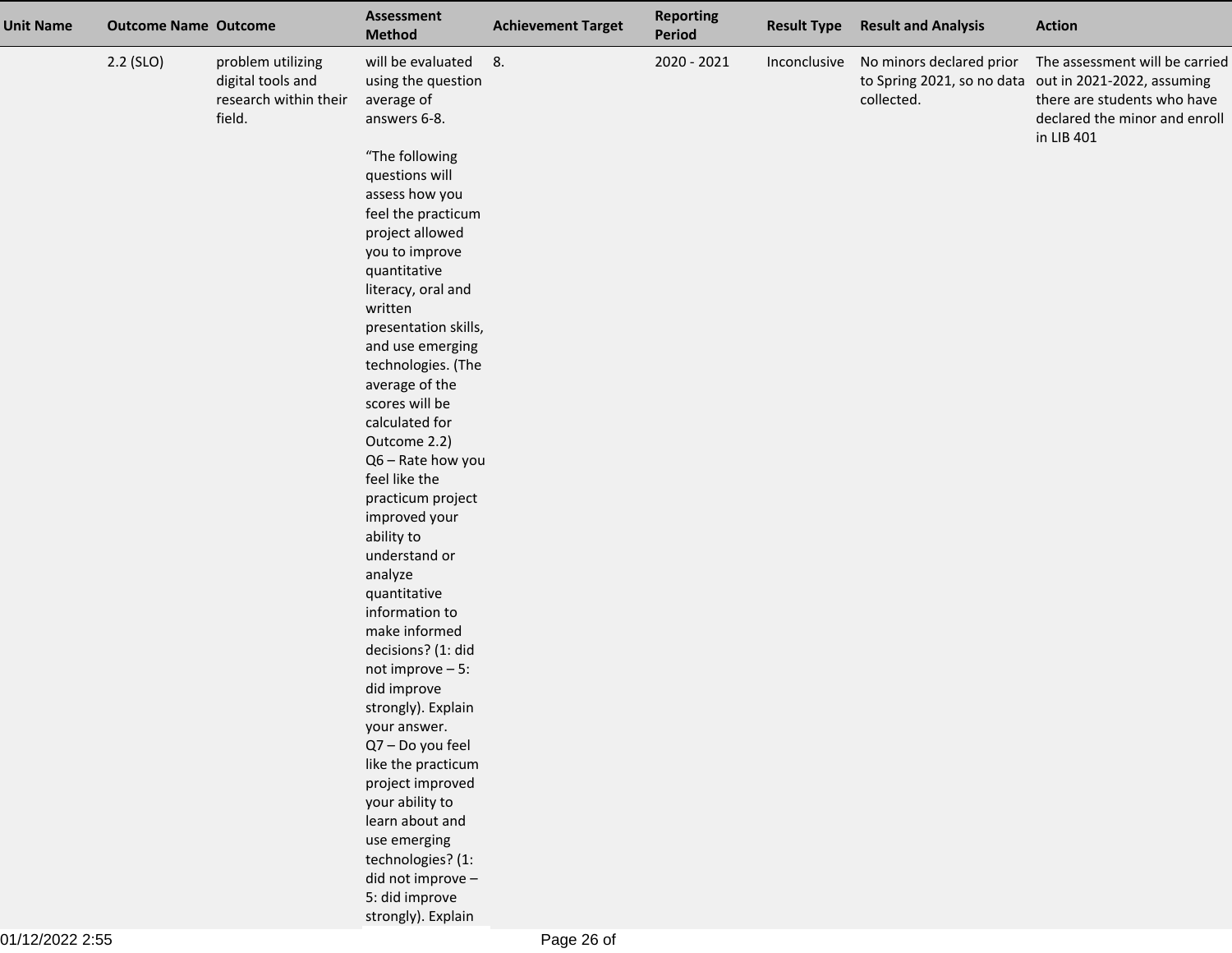| <b>Unit Name</b> | <b>Outcome Name Outcome</b> |                                                                           | <b>Assessment</b><br><b>Method</b>                                    | <b>Achievement Target</b> | <b>Reporting</b><br>Period | <b>Result Type</b> | <b>Result and Analysis</b>                          | <b>Action</b>                                                                                                                                                         |
|------------------|-----------------------------|---------------------------------------------------------------------------|-----------------------------------------------------------------------|---------------------------|----------------------------|--------------------|-----------------------------------------------------|-----------------------------------------------------------------------------------------------------------------------------------------------------------------------|
|                  | $2.2$ (SLO)                 | problem utilizing<br>digital tools and<br>research within their<br>field. | will be evaluated<br>using the question<br>average of<br>answers 6-8. | 8.                        | 2020 - 2021                |                    | Inconclusive No minors declared prior<br>collected. | The assessment will be carried<br>to Spring 2021, so no data out in 2021-2022, assuming<br>there are students who have<br>declared the minor and enroll<br>in LIB 401 |
|                  |                             |                                                                           | "The following<br>questions will                                      |                           |                            |                    |                                                     |                                                                                                                                                                       |
|                  |                             |                                                                           | assess how you                                                        |                           |                            |                    |                                                     |                                                                                                                                                                       |
|                  |                             |                                                                           | feel the practicum                                                    |                           |                            |                    |                                                     |                                                                                                                                                                       |
|                  |                             |                                                                           | project allowed                                                       |                           |                            |                    |                                                     |                                                                                                                                                                       |
|                  |                             |                                                                           | you to improve                                                        |                           |                            |                    |                                                     |                                                                                                                                                                       |
|                  |                             |                                                                           | quantitative                                                          |                           |                            |                    |                                                     |                                                                                                                                                                       |
|                  |                             |                                                                           | literacy, oral and                                                    |                           |                            |                    |                                                     |                                                                                                                                                                       |
|                  |                             |                                                                           | written                                                               |                           |                            |                    |                                                     |                                                                                                                                                                       |
|                  |                             |                                                                           | presentation skills,<br>and use emerging                              |                           |                            |                    |                                                     |                                                                                                                                                                       |
|                  |                             |                                                                           | technologies. (The                                                    |                           |                            |                    |                                                     |                                                                                                                                                                       |
|                  |                             |                                                                           | average of the                                                        |                           |                            |                    |                                                     |                                                                                                                                                                       |
|                  |                             |                                                                           | scores will be                                                        |                           |                            |                    |                                                     |                                                                                                                                                                       |
|                  |                             |                                                                           | calculated for                                                        |                           |                            |                    |                                                     |                                                                                                                                                                       |
|                  |                             |                                                                           | Outcome 2.2)                                                          |                           |                            |                    |                                                     |                                                                                                                                                                       |
|                  |                             |                                                                           | Q6 - Rate how you                                                     |                           |                            |                    |                                                     |                                                                                                                                                                       |
|                  |                             |                                                                           | feel like the                                                         |                           |                            |                    |                                                     |                                                                                                                                                                       |
|                  |                             |                                                                           | practicum project                                                     |                           |                            |                    |                                                     |                                                                                                                                                                       |
|                  |                             |                                                                           | improved your                                                         |                           |                            |                    |                                                     |                                                                                                                                                                       |
|                  |                             |                                                                           | ability to<br>understand or                                           |                           |                            |                    |                                                     |                                                                                                                                                                       |
|                  |                             |                                                                           | analyze                                                               |                           |                            |                    |                                                     |                                                                                                                                                                       |
|                  |                             |                                                                           | quantitative                                                          |                           |                            |                    |                                                     |                                                                                                                                                                       |
|                  |                             |                                                                           | information to                                                        |                           |                            |                    |                                                     |                                                                                                                                                                       |
|                  |                             |                                                                           | make informed                                                         |                           |                            |                    |                                                     |                                                                                                                                                                       |
|                  |                             |                                                                           | decisions? (1: did                                                    |                           |                            |                    |                                                     |                                                                                                                                                                       |
|                  |                             |                                                                           | not improve $-5$ :                                                    |                           |                            |                    |                                                     |                                                                                                                                                                       |
|                  |                             |                                                                           | did improve                                                           |                           |                            |                    |                                                     |                                                                                                                                                                       |
|                  |                             |                                                                           | strongly). Explain                                                    |                           |                            |                    |                                                     |                                                                                                                                                                       |
|                  |                             |                                                                           | your answer.                                                          |                           |                            |                    |                                                     |                                                                                                                                                                       |
|                  |                             |                                                                           | Q7 - Do you feel                                                      |                           |                            |                    |                                                     |                                                                                                                                                                       |
|                  |                             |                                                                           | like the practicum                                                    |                           |                            |                    |                                                     |                                                                                                                                                                       |
|                  |                             |                                                                           | project improved<br>your ability to                                   |                           |                            |                    |                                                     |                                                                                                                                                                       |
|                  |                             |                                                                           | learn about and                                                       |                           |                            |                    |                                                     |                                                                                                                                                                       |
|                  |                             |                                                                           | use emerging                                                          |                           |                            |                    |                                                     |                                                                                                                                                                       |
|                  |                             |                                                                           | technologies? (1:                                                     |                           |                            |                    |                                                     |                                                                                                                                                                       |
|                  |                             |                                                                           | did not improve -                                                     |                           |                            |                    |                                                     |                                                                                                                                                                       |
|                  |                             |                                                                           | 5: did improve                                                        |                           |                            |                    |                                                     |                                                                                                                                                                       |
|                  |                             |                                                                           | strongly). Explain                                                    |                           |                            |                    |                                                     |                                                                                                                                                                       |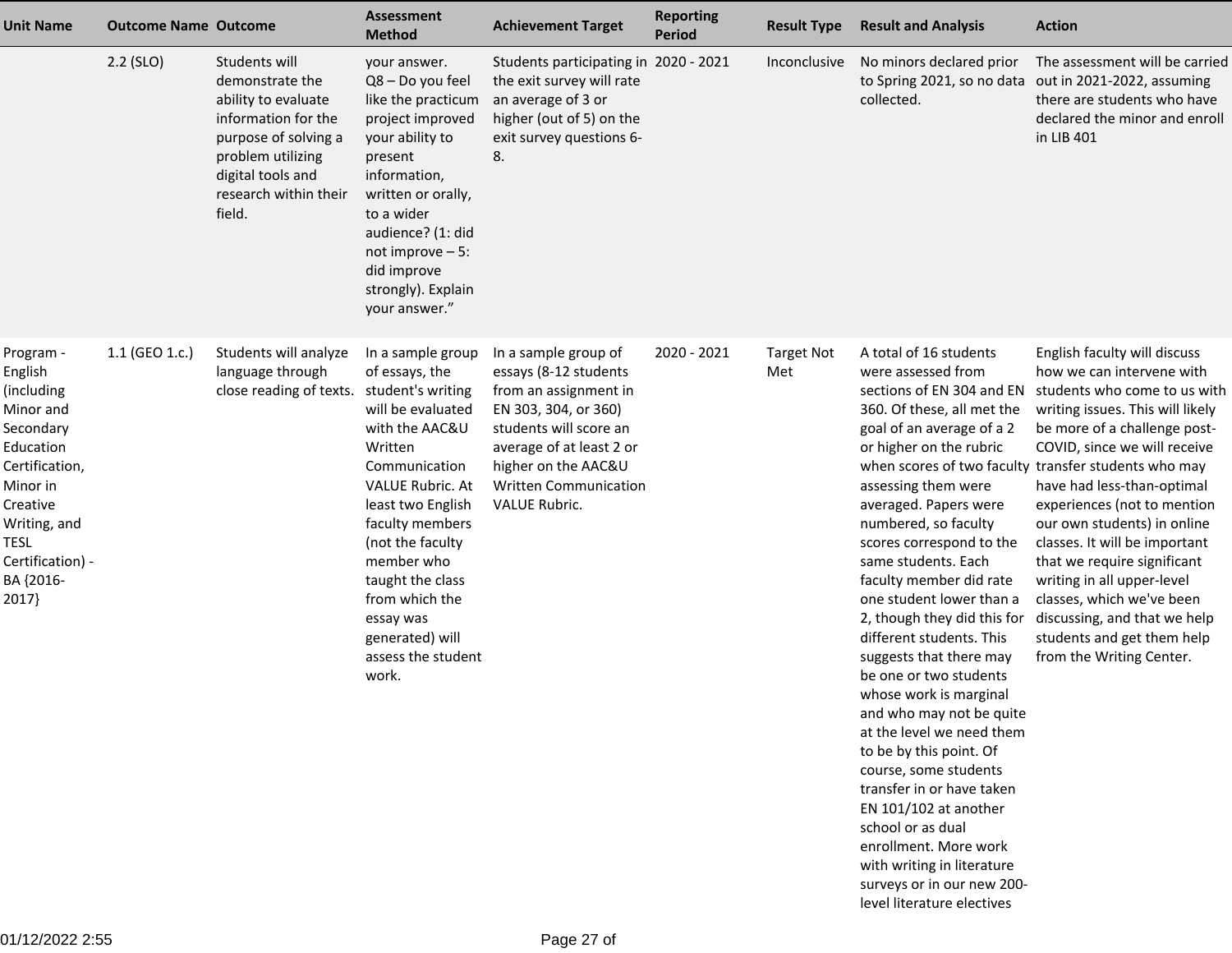| <b>Unit Name</b>                                                                                                                                                                     | <b>Outcome Name Outcome</b> |                                                                                                                                                                                     | <b>Assessment</b><br><b>Method</b>                                                                                                                                                                                                                                                                               | <b>Achievement Target</b>                                                                                                                                                                                                    | <b>Reporting</b><br><b>Period</b> | <b>Result Type</b>       | <b>Result and Analysis</b>                                                                                                                                                                                                                                                                                                                                                                                                                                                                                                                                                                                                                                                                                                                 | <b>Action</b>                                                                                                                                                                                                                                                                                                                                                                                                                                                                                                                                                                                                                |
|--------------------------------------------------------------------------------------------------------------------------------------------------------------------------------------|-----------------------------|-------------------------------------------------------------------------------------------------------------------------------------------------------------------------------------|------------------------------------------------------------------------------------------------------------------------------------------------------------------------------------------------------------------------------------------------------------------------------------------------------------------|------------------------------------------------------------------------------------------------------------------------------------------------------------------------------------------------------------------------------|-----------------------------------|--------------------------|--------------------------------------------------------------------------------------------------------------------------------------------------------------------------------------------------------------------------------------------------------------------------------------------------------------------------------------------------------------------------------------------------------------------------------------------------------------------------------------------------------------------------------------------------------------------------------------------------------------------------------------------------------------------------------------------------------------------------------------------|------------------------------------------------------------------------------------------------------------------------------------------------------------------------------------------------------------------------------------------------------------------------------------------------------------------------------------------------------------------------------------------------------------------------------------------------------------------------------------------------------------------------------------------------------------------------------------------------------------------------------|
|                                                                                                                                                                                      | $2.2$ (SLO)                 | Students will<br>demonstrate the<br>ability to evaluate<br>information for the<br>purpose of solving a<br>problem utilizing<br>digital tools and<br>research within their<br>field. | your answer.<br>Q8 - Do you feel<br>like the practicum<br>project improved<br>your ability to<br>present<br>information,<br>written or orally,<br>to a wider<br>audience? (1: did<br>not improve $-5$ :<br>did improve<br>strongly). Explain<br>your answer."                                                    | Students participating in 2020 - 2021<br>the exit survey will rate<br>an average of 3 or<br>higher (out of 5) on the<br>exit survey questions 6-<br>8.                                                                       |                                   | Inconclusive             | No minors declared prior<br>collected.                                                                                                                                                                                                                                                                                                                                                                                                                                                                                                                                                                                                                                                                                                     | The assessment will be carried<br>to Spring 2021, so no data out in 2021-2022, assuming<br>there are students who have<br>declared the minor and enroll<br>in LIB 401                                                                                                                                                                                                                                                                                                                                                                                                                                                        |
| Program -<br>English<br>(including<br>Minor and<br>Secondary<br>Education<br>Certification,<br>Minor in<br>Creative<br>Writing, and<br>TESL<br>Certification) -<br>BA {2016-<br>2017 | 1.1 (GEO 1.c.)              | Students will analyze<br>language through<br>close reading of texts. student's writing                                                                                              | In a sample group<br>of essays, the<br>will be evaluated<br>with the AAC&U<br>Written<br>Communication<br><b>VALUE Rubric. At</b><br>least two English<br>faculty members<br>(not the faculty<br>member who<br>taught the class<br>from which the<br>essay was<br>generated) will<br>assess the student<br>work. | In a sample group of<br>essays (8-12 students<br>from an assignment in<br>EN 303, 304, or 360)<br>students will score an<br>average of at least 2 or<br>higher on the AAC&U<br><b>Written Communication</b><br>VALUE Rubric. | 2020 - 2021                       | <b>Target Not</b><br>Met | A total of 16 students<br>were assessed from<br>360. Of these, all met the<br>goal of an average of a 2<br>or higher on the rubric<br>assessing them were<br>averaged. Papers were<br>numbered, so faculty<br>scores correspond to the<br>same students. Each<br>faculty member did rate<br>one student lower than a<br>different students. This<br>suggests that there may<br>be one or two students<br>whose work is marginal<br>and who may not be quite<br>at the level we need them<br>to be by this point. Of<br>course, some students<br>transfer in or have taken<br>EN 101/102 at another<br>school or as dual<br>enrollment. More work<br>with writing in literature<br>surveys or in our new 200-<br>level literature electives | English faculty will discuss<br>how we can intervene with<br>sections of EN 304 and EN students who come to us with<br>writing issues. This will likely<br>be more of a challenge post-<br>COVID, since we will receive<br>when scores of two faculty transfer students who may<br>have had less-than-optimal<br>experiences (not to mention<br>our own students) in online<br>classes. It will be important<br>that we require significant<br>writing in all upper-level<br>classes, which we've been<br>2, though they did this for discussing, and that we help<br>students and get them help<br>from the Writing Center. |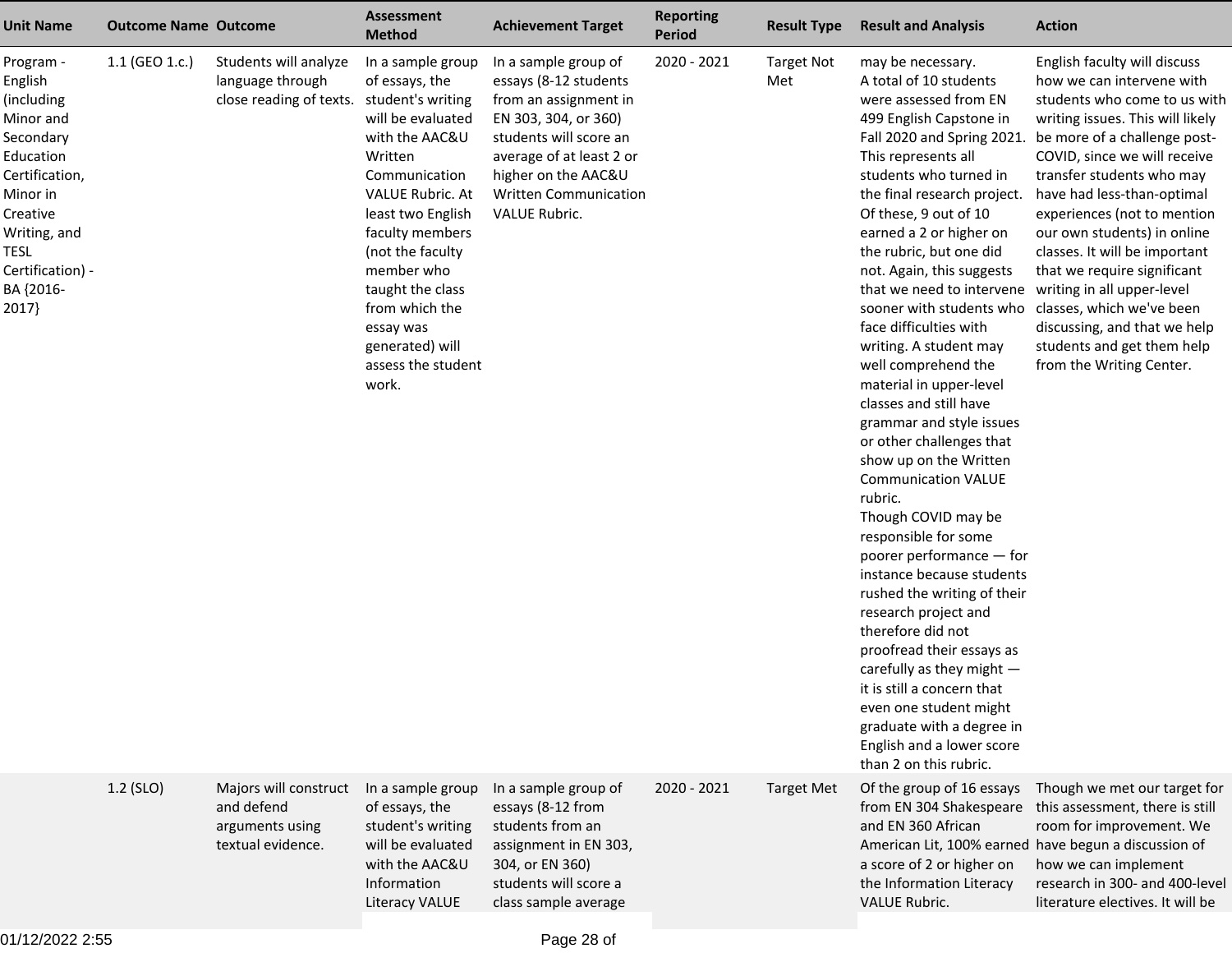| <b>Unit Name</b>                                                                                                                                                                      | <b>Outcome Name Outcome</b> |                                                                                        | <b>Assessment</b><br><b>Method</b>                                                                                                                                                                                                                                                                               | <b>Achievement Target</b>                                                                                                                                                                                                           | <b>Reporting</b><br><b>Period</b> | <b>Result Type</b>       | <b>Result and Analysis</b>                                                                                                                                                                                                                                                                                                                                                                                                                                                                                                                                                                                                                                                                                                                                                                                                                                                                                                                                                                                                                                                                     | <b>Action</b>                                                                                                                                                                                                                                                                                                                                                                                                                                                                    |
|---------------------------------------------------------------------------------------------------------------------------------------------------------------------------------------|-----------------------------|----------------------------------------------------------------------------------------|------------------------------------------------------------------------------------------------------------------------------------------------------------------------------------------------------------------------------------------------------------------------------------------------------------------|-------------------------------------------------------------------------------------------------------------------------------------------------------------------------------------------------------------------------------------|-----------------------------------|--------------------------|------------------------------------------------------------------------------------------------------------------------------------------------------------------------------------------------------------------------------------------------------------------------------------------------------------------------------------------------------------------------------------------------------------------------------------------------------------------------------------------------------------------------------------------------------------------------------------------------------------------------------------------------------------------------------------------------------------------------------------------------------------------------------------------------------------------------------------------------------------------------------------------------------------------------------------------------------------------------------------------------------------------------------------------------------------------------------------------------|----------------------------------------------------------------------------------------------------------------------------------------------------------------------------------------------------------------------------------------------------------------------------------------------------------------------------------------------------------------------------------------------------------------------------------------------------------------------------------|
| Program -<br>English<br>(including<br>Minor and<br>Secondary<br>Education<br>Certification,<br>Minor in<br>Creative<br>Writing, and<br>TESL<br>Certification) -<br>BA {2016-<br>2017} | 1.1 (GEO 1.c.)              | Students will analyze<br>language through<br>close reading of texts. student's writing | In a sample group<br>of essays, the<br>will be evaluated<br>with the AAC&U<br>Written<br>Communication<br><b>VALUE Rubric. At</b><br>least two English<br>faculty members<br>(not the faculty<br>member who<br>taught the class<br>from which the<br>essay was<br>generated) will<br>assess the student<br>work. | In a sample group of<br>essays (8-12 students<br>from an assignment in<br>EN 303, 304, or 360)<br>students will score an<br>average of at least 2 or<br>higher on the AAC&U<br><b>Written Communication</b><br><b>VALUE Rubric.</b> | 2020 - 2021                       | <b>Target Not</b><br>Met | may be necessary.<br>A total of 10 students<br>were assessed from EN<br>499 English Capstone in<br>Fall 2020 and Spring 2021.<br>This represents all<br>students who turned in<br>the final research project.<br>Of these, 9 out of 10<br>earned a 2 or higher on<br>the rubric, but one did<br>not. Again, this suggests<br>that we need to intervene writing in all upper-level<br>sooner with students who classes, which we've been<br>face difficulties with<br>writing. A student may<br>well comprehend the<br>material in upper-level<br>classes and still have<br>grammar and style issues<br>or other challenges that<br>show up on the Written<br><b>Communication VALUE</b><br>rubric.<br>Though COVID may be<br>responsible for some<br>poorer performance - for<br>instance because students<br>rushed the writing of their<br>research project and<br>therefore did not<br>proofread their essays as<br>carefully as they might $-$<br>it is still a concern that<br>even one student might<br>graduate with a degree in<br>English and a lower score<br>than 2 on this rubric. | English faculty will discuss<br>how we can intervene with<br>students who come to us with<br>writing issues. This will likely<br>be more of a challenge post-<br>COVID, since we will receive<br>transfer students who may<br>have had less-than-optimal<br>experiences (not to mention<br>our own students) in online<br>classes. It will be important<br>that we require significant<br>discussing, and that we help<br>students and get them help<br>from the Writing Center. |
|                                                                                                                                                                                       | $1.2$ (SLO)                 | Majors will construct<br>and defend<br>arguments using<br>textual evidence.            | In a sample group<br>of essays, the<br>student's writing<br>will be evaluated<br>with the AAC&U<br>Information<br><b>Literacy VALUE</b>                                                                                                                                                                          | In a sample group of<br>essays (8-12 from<br>students from an<br>assignment in EN 303,<br>304, or EN 360)<br>students will score a<br>class sample average                                                                          | 2020 - 2021                       | <b>Target Met</b>        | Of the group of 16 essays<br>from EN 304 Shakespeare<br>and EN 360 African<br>a score of 2 or higher on<br>the Information Literacy<br><b>VALUE Rubric.</b>                                                                                                                                                                                                                                                                                                                                                                                                                                                                                                                                                                                                                                                                                                                                                                                                                                                                                                                                    | Though we met our target for<br>this assessment, there is still<br>room for improvement. We<br>American Lit, 100% earned have begun a discussion of<br>how we can implement<br>research in 300- and 400-level<br>literature electives. It will be                                                                                                                                                                                                                                |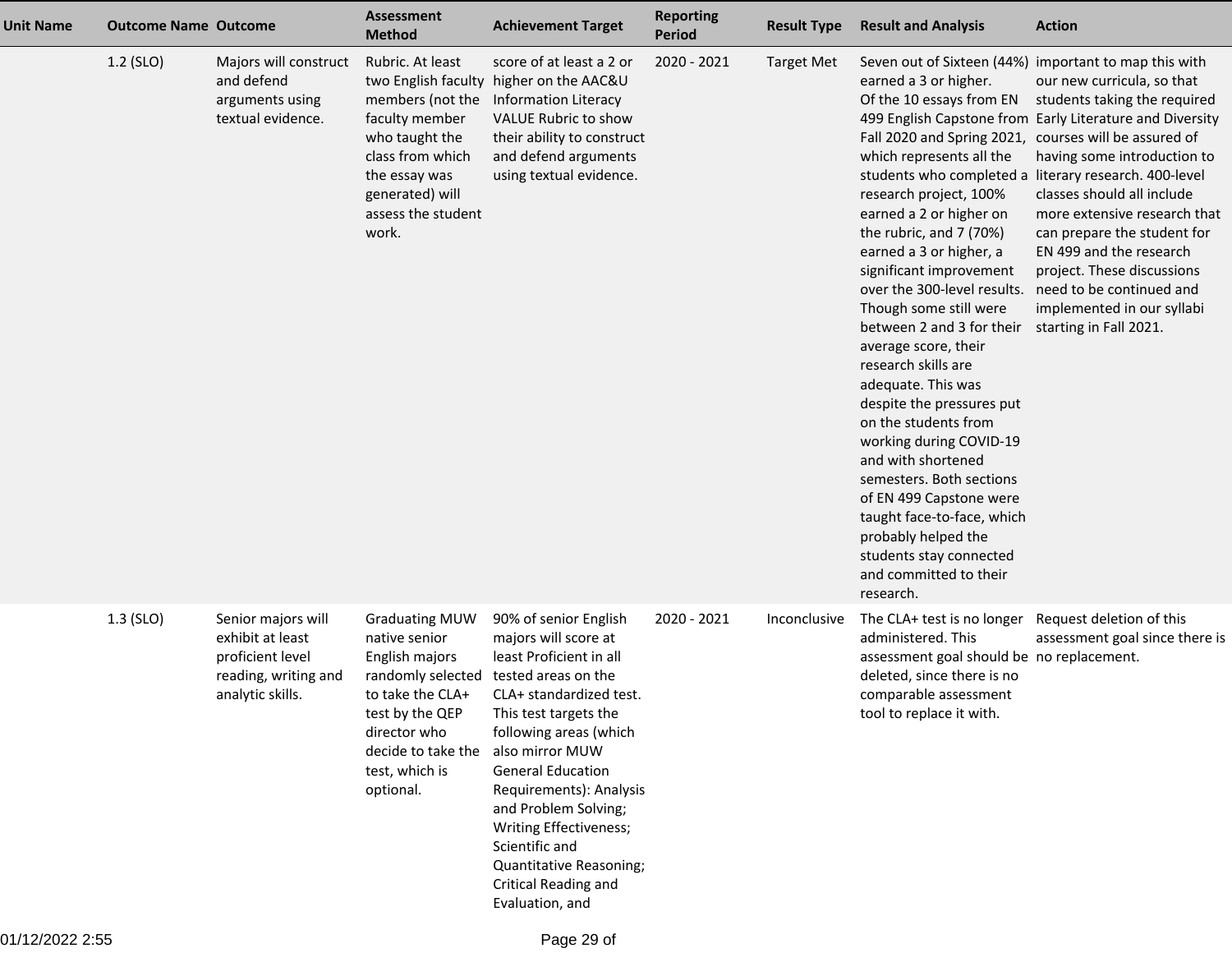| <b>Unit Name</b> | <b>Outcome Name Outcome</b> |                                                                                                        | <b>Assessment</b><br><b>Method</b>                                                                                                                                                        | <b>Achievement Target</b>                                                                                                                                                                                                                                                                                                                                                                         | <b>Reporting</b><br>Period | <b>Result Type</b> | <b>Result and Analysis</b>                                                                                                                                                                                                                                                                                                                                                                                                                                                                                                                                                                                                                                                                                                  | <b>Action</b>                                                                                                                                                                                                                                                                                                                                                                                                                                                                                                     |
|------------------|-----------------------------|--------------------------------------------------------------------------------------------------------|-------------------------------------------------------------------------------------------------------------------------------------------------------------------------------------------|---------------------------------------------------------------------------------------------------------------------------------------------------------------------------------------------------------------------------------------------------------------------------------------------------------------------------------------------------------------------------------------------------|----------------------------|--------------------|-----------------------------------------------------------------------------------------------------------------------------------------------------------------------------------------------------------------------------------------------------------------------------------------------------------------------------------------------------------------------------------------------------------------------------------------------------------------------------------------------------------------------------------------------------------------------------------------------------------------------------------------------------------------------------------------------------------------------------|-------------------------------------------------------------------------------------------------------------------------------------------------------------------------------------------------------------------------------------------------------------------------------------------------------------------------------------------------------------------------------------------------------------------------------------------------------------------------------------------------------------------|
|                  | $1.2$ (SLO)                 | Majors will construct<br>and defend<br>arguments using<br>textual evidence.                            | Rubric. At least<br>members (not the<br>faculty member<br>who taught the<br>class from which<br>the essay was<br>generated) will<br>assess the student<br>work.                           | score of at least a 2 or<br>two English faculty higher on the AAC&U<br>Information Literacy<br>VALUE Rubric to show<br>their ability to construct<br>and defend arguments<br>using textual evidence.                                                                                                                                                                                              | 2020 - 2021                | <b>Target Met</b>  | earned a 3 or higher.<br>Of the 10 essays from EN<br>Fall 2020 and Spring 2021, courses will be assured of<br>which represents all the<br>research project, 100%<br>earned a 2 or higher on<br>the rubric, and 7 (70%)<br>earned a 3 or higher, a<br>significant improvement<br>over the 300-level results.<br>Though some still were<br>between 2 and 3 for their<br>average score, their<br>research skills are<br>adequate. This was<br>despite the pressures put<br>on the students from<br>working during COVID-19<br>and with shortened<br>semesters. Both sections<br>of EN 499 Capstone were<br>taught face-to-face, which<br>probably helped the<br>students stay connected<br>and committed to their<br>research. | Seven out of Sixteen (44%) important to map this with<br>our new curricula, so that<br>students taking the required<br>499 English Capstone from Early Literature and Diversity<br>having some introduction to<br>students who completed a literary research. 400-level<br>classes should all include<br>more extensive research that<br>can prepare the student for<br>EN 499 and the research<br>project. These discussions<br>need to be continued and<br>implemented in our syllabi<br>starting in Fall 2021. |
|                  | $1.3$ (SLO)                 | Senior majors will<br>exhibit at least<br>proficient level<br>reading, writing and<br>analytic skills. | <b>Graduating MUW</b><br>native senior<br>English majors<br>randomly selected<br>to take the CLA+<br>test by the QEP<br>director who<br>decide to take the<br>test, which is<br>optional. | 90% of senior English<br>majors will score at<br>least Proficient in all<br>tested areas on the<br>CLA+ standardized test.<br>This test targets the<br>following areas (which<br>also mirror MUW<br><b>General Education</b><br>Requirements): Analysis<br>and Problem Solving;<br>Writing Effectiveness;<br>Scientific and<br>Quantitative Reasoning;<br>Critical Reading and<br>Evaluation, and | 2020 - 2021                | Inconclusive       | The CLA+ test is no longer<br>administered. This<br>assessment goal should be no replacement.<br>deleted, since there is no<br>comparable assessment<br>tool to replace it with.                                                                                                                                                                                                                                                                                                                                                                                                                                                                                                                                            | Request deletion of this<br>assessment goal since there is                                                                                                                                                                                                                                                                                                                                                                                                                                                        |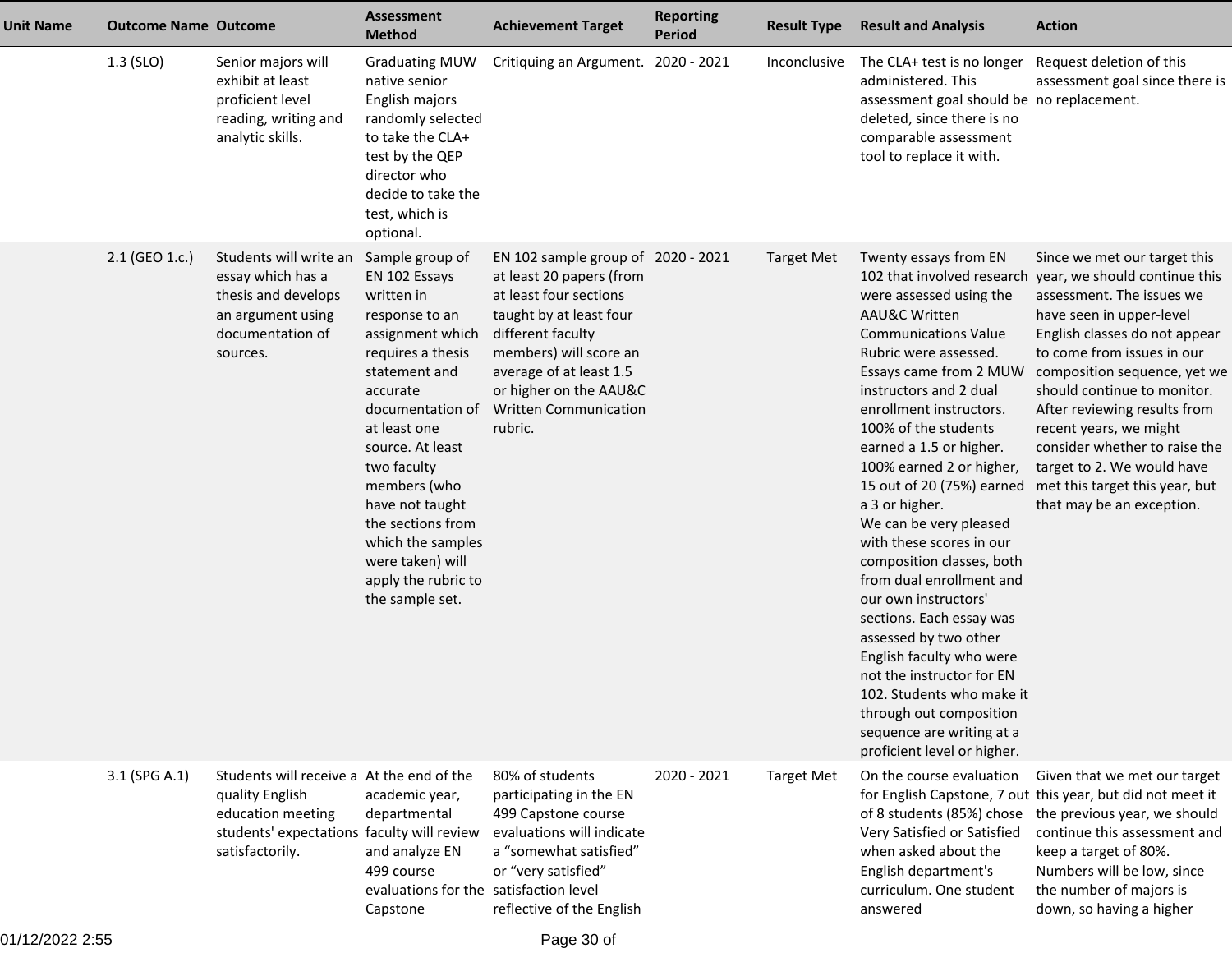| <b>Unit Name</b> | <b>Outcome Name Outcome</b> |                                                                                                                                                    | Assessment<br><b>Method</b>                                                                                                                                                                                                                                                                                                                              | <b>Achievement Target</b>                                                                                                                                                                                                                                          | <b>Reporting</b><br><b>Period</b> | <b>Result Type</b> | <b>Result and Analysis</b>                                                                                                                                                                                                                                                                                                                                                                                                                                                                                                                                                                                                                                                                                                  | <b>Action</b>                                                                                                                                                                                                                                                                                                                                                                                                                                                          |
|------------------|-----------------------------|----------------------------------------------------------------------------------------------------------------------------------------------------|----------------------------------------------------------------------------------------------------------------------------------------------------------------------------------------------------------------------------------------------------------------------------------------------------------------------------------------------------------|--------------------------------------------------------------------------------------------------------------------------------------------------------------------------------------------------------------------------------------------------------------------|-----------------------------------|--------------------|-----------------------------------------------------------------------------------------------------------------------------------------------------------------------------------------------------------------------------------------------------------------------------------------------------------------------------------------------------------------------------------------------------------------------------------------------------------------------------------------------------------------------------------------------------------------------------------------------------------------------------------------------------------------------------------------------------------------------------|------------------------------------------------------------------------------------------------------------------------------------------------------------------------------------------------------------------------------------------------------------------------------------------------------------------------------------------------------------------------------------------------------------------------------------------------------------------------|
|                  | $1.3$ (SLO)                 | Senior majors will<br>exhibit at least<br>proficient level<br>reading, writing and<br>analytic skills.                                             | <b>Graduating MUW</b><br>native senior<br>English majors<br>randomly selected<br>to take the CLA+<br>test by the QEP<br>director who<br>decide to take the<br>test, which is<br>optional.                                                                                                                                                                | Critiquing an Argument. 2020 - 2021                                                                                                                                                                                                                                |                                   | Inconclusive       | The CLA+ test is no longer<br>administered. This<br>assessment goal should be no replacement.<br>deleted, since there is no<br>comparable assessment<br>tool to replace it with.                                                                                                                                                                                                                                                                                                                                                                                                                                                                                                                                            | Request deletion of this<br>assessment goal since there is                                                                                                                                                                                                                                                                                                                                                                                                             |
|                  | 2.1 (GEO 1.c.)              | Students will write an<br>essay which has a<br>thesis and develops<br>an argument using<br>documentation of<br>sources.                            | Sample group of<br>EN 102 Essays<br>written in<br>response to an<br>assignment which<br>requires a thesis<br>statement and<br>accurate<br>documentation of<br>at least one<br>source. At least<br>two faculty<br>members (who<br>have not taught<br>the sections from<br>which the samples<br>were taken) will<br>apply the rubric to<br>the sample set. | EN 102 sample group of 2020 - 2021<br>at least 20 papers (from<br>at least four sections<br>taught by at least four<br>different faculty<br>members) will score an<br>average of at least 1.5<br>or higher on the AAU&C<br><b>Written Communication</b><br>rubric. |                                   | Target Met         | Twenty essays from EN<br>102 that involved research<br>were assessed using the<br><b>AAU&amp;C Written</b><br><b>Communications Value</b><br>Rubric were assessed.<br>Essays came from 2 MUW<br>instructors and 2 dual<br>enrollment instructors.<br>100% of the students<br>earned a 1.5 or higher.<br>100% earned 2 or higher,<br>a 3 or higher.<br>We can be very pleased<br>with these scores in our<br>composition classes, both<br>from dual enrollment and<br>our own instructors'<br>sections. Each essay was<br>assessed by two other<br>English faculty who were<br>not the instructor for EN<br>102. Students who make it<br>through out composition<br>sequence are writing at a<br>proficient level or higher. | Since we met our target this<br>year, we should continue this<br>assessment. The issues we<br>have seen in upper-level<br>English classes do not appear<br>to come from issues in our<br>composition sequence, yet we<br>should continue to monitor.<br>After reviewing results from<br>recent years, we might<br>consider whether to raise the<br>target to 2. We would have<br>15 out of 20 (75%) earned met this target this year, but<br>that may be an exception. |
|                  | 3.1 (SPG A.1)               | Students will receive a At the end of the<br>quality English<br>education meeting<br>students' expectations faculty will review<br>satisfactorily. | academic year,<br>departmental<br>and analyze EN<br>499 course<br>evaluations for the satisfaction level<br>Capstone                                                                                                                                                                                                                                     | 80% of students<br>participating in the EN<br>499 Capstone course<br>evaluations will indicate<br>a "somewhat satisfied"<br>or "very satisfied"<br>reflective of the English                                                                                       | 2020 - 2021                       | <b>Target Met</b>  | On the course evaluation<br>Very Satisfied or Satisfied<br>when asked about the<br>English department's<br>curriculum. One student<br>answered                                                                                                                                                                                                                                                                                                                                                                                                                                                                                                                                                                              | Given that we met our target<br>for English Capstone, 7 out this year, but did not meet it<br>of 8 students (85%) chose the previous year, we should<br>continue this assessment and<br>keep a target of 80%.<br>Numbers will be low, since<br>the number of majors is<br>down, so having a higher                                                                                                                                                                     |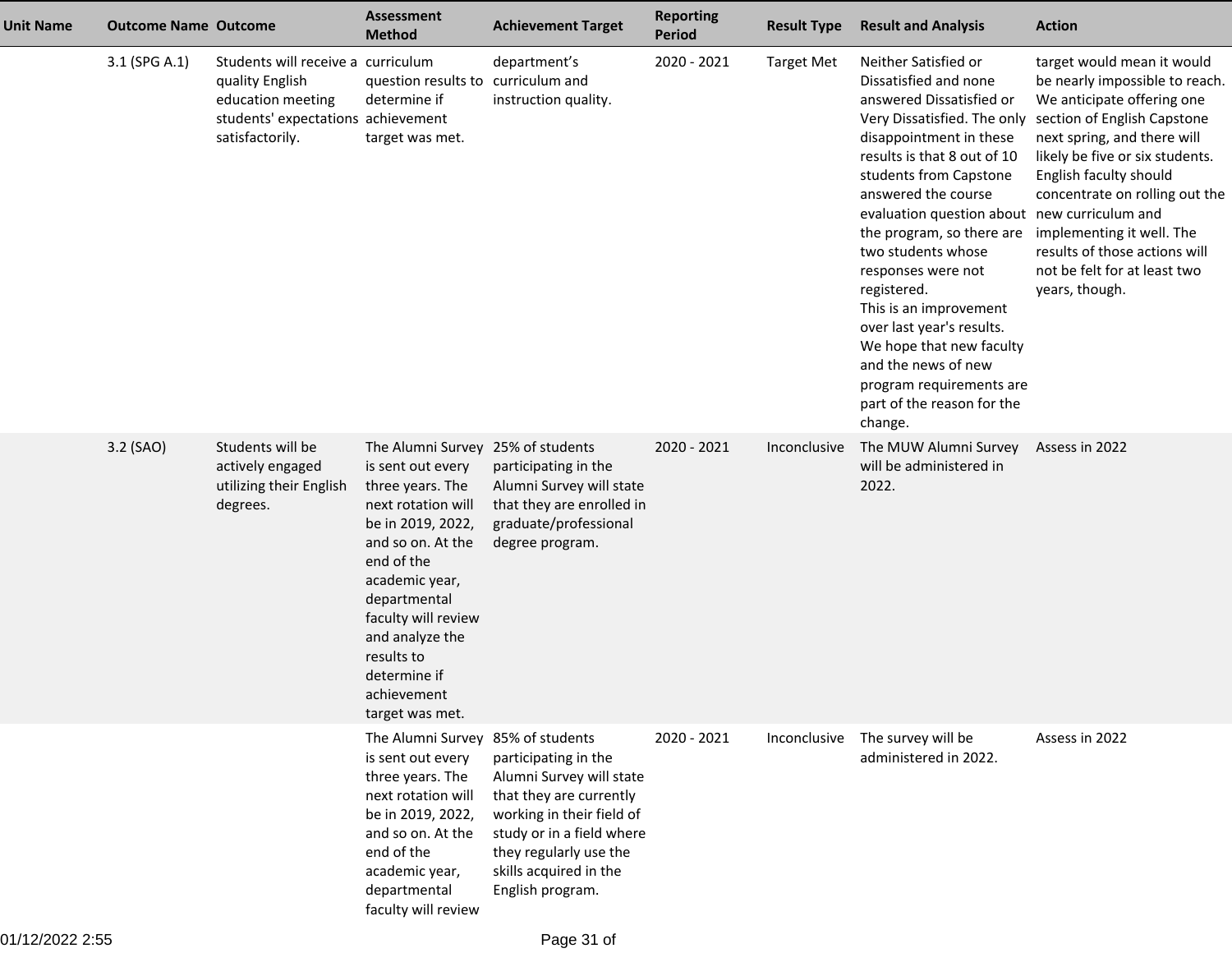| <b>Unit Name</b> | <b>Outcome Name Outcome</b> |                                                                                                                                     | <b>Assessment</b><br><b>Method</b>                                                                                                                                                                                                                                                                   | <b>Achievement Target</b>                                                                                                                                                                                     | <b>Reporting</b><br><b>Period</b> | <b>Result Type</b> | <b>Result and Analysis</b>                                                                                                                                                                                                                                                                                                                                                                                                                                                                                                            | <b>Action</b>                                                                                                                                                                                                                                                                                                                                                          |
|------------------|-----------------------------|-------------------------------------------------------------------------------------------------------------------------------------|------------------------------------------------------------------------------------------------------------------------------------------------------------------------------------------------------------------------------------------------------------------------------------------------------|---------------------------------------------------------------------------------------------------------------------------------------------------------------------------------------------------------------|-----------------------------------|--------------------|---------------------------------------------------------------------------------------------------------------------------------------------------------------------------------------------------------------------------------------------------------------------------------------------------------------------------------------------------------------------------------------------------------------------------------------------------------------------------------------------------------------------------------------|------------------------------------------------------------------------------------------------------------------------------------------------------------------------------------------------------------------------------------------------------------------------------------------------------------------------------------------------------------------------|
|                  | 3.1 (SPG A.1)               | Students will receive a curriculum<br>quality English<br>education meeting<br>students' expectations achievement<br>satisfactorily. | question results to curriculum and<br>determine if<br>target was met.                                                                                                                                                                                                                                | department's<br>instruction quality.                                                                                                                                                                          | 2020 - 2021                       | <b>Target Met</b>  | Neither Satisfied or<br>Dissatisfied and none<br>answered Dissatisfied or<br>disappointment in these<br>results is that 8 out of 10<br>students from Capstone<br>answered the course<br>evaluation question about new curriculum and<br>the program, so there are implementing it well. The<br>two students whose<br>responses were not<br>registered.<br>This is an improvement<br>over last year's results.<br>We hope that new faculty<br>and the news of new<br>program requirements are<br>part of the reason for the<br>change. | target would mean it would<br>be nearly impossible to reach.<br>We anticipate offering one<br>Very Dissatisfied. The only section of English Capstone<br>next spring, and there will<br>likely be five or six students.<br>English faculty should<br>concentrate on rolling out the<br>results of those actions will<br>not be felt for at least two<br>years, though. |
|                  | 3.2 (SAO)                   | Students will be<br>actively engaged<br>utilizing their English<br>degrees.                                                         | The Alumni Survey 25% of students<br>is sent out every<br>three years. The<br>next rotation will<br>be in 2019, 2022,<br>and so on. At the<br>end of the<br>academic year,<br>departmental<br>faculty will review<br>and analyze the<br>results to<br>determine if<br>achievement<br>target was met. | participating in the<br>Alumni Survey will state<br>that they are enrolled in<br>graduate/professional<br>degree program.                                                                                     | 2020 - 2021                       | Inconclusive       | The MUW Alumni Survey<br>will be administered in<br>2022.                                                                                                                                                                                                                                                                                                                                                                                                                                                                             | Assess in 2022                                                                                                                                                                                                                                                                                                                                                         |
|                  |                             |                                                                                                                                     | The Alumni Survey 85% of students<br>is sent out every<br>three years. The<br>next rotation will<br>be in 2019, 2022,<br>and so on. At the<br>end of the<br>academic year,<br>departmental<br>faculty will review                                                                                    | participating in the<br>Alumni Survey will state<br>that they are currently<br>working in their field of<br>study or in a field where<br>they regularly use the<br>skills acquired in the<br>English program. | 2020 - 2021                       | Inconclusive       | The survey will be<br>administered in 2022.                                                                                                                                                                                                                                                                                                                                                                                                                                                                                           | Assess in 2022                                                                                                                                                                                                                                                                                                                                                         |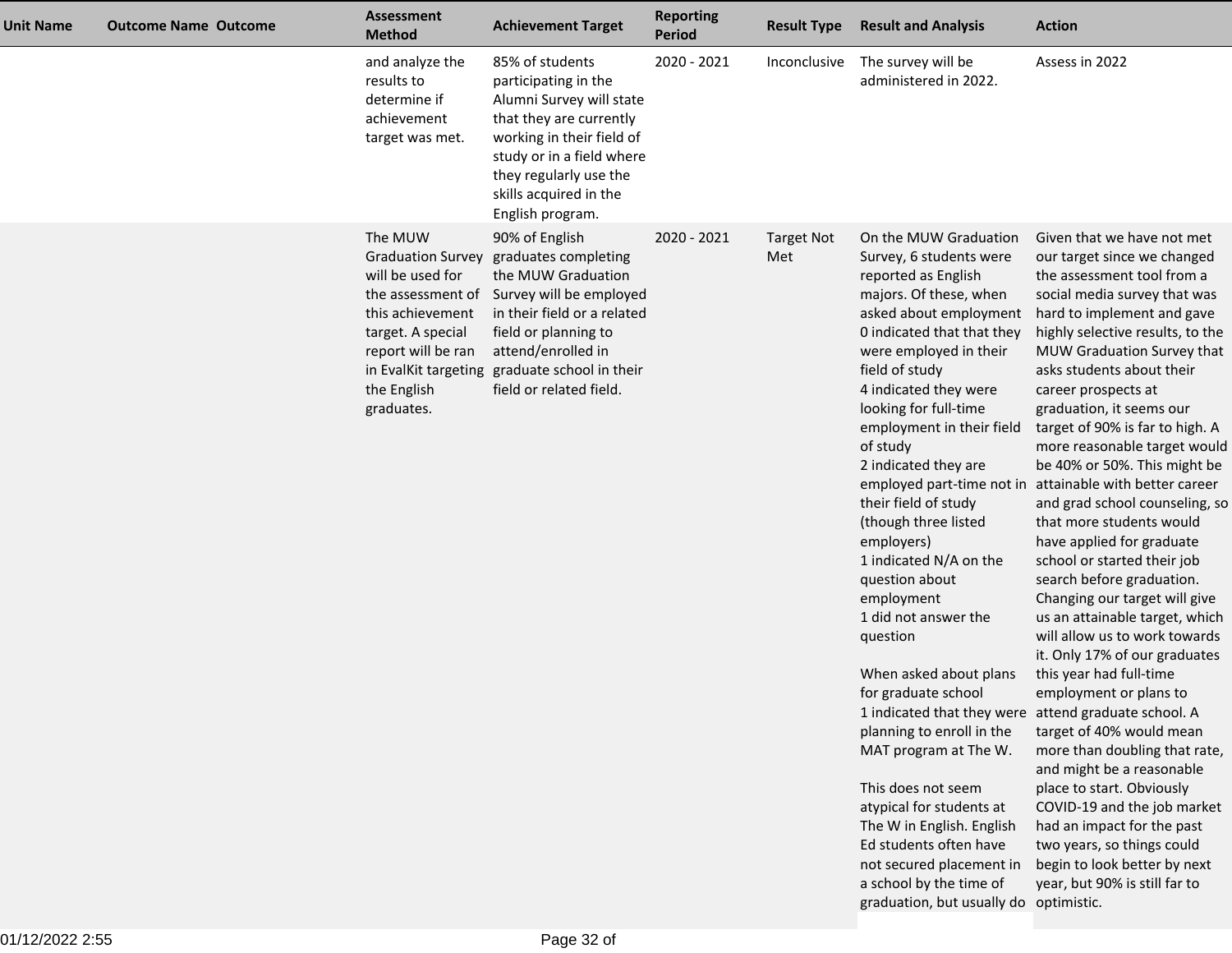| 85% of students<br>2020 - 2021<br>The survey will be<br>Assess in 2022<br>and analyze the<br>Inconclusive<br>results to<br>administered in 2022.<br>participating in the<br>determine if<br>Alumni Survey will state<br>that they are currently<br>achievement<br>working in their field of<br>target was met.<br>study or in a field where<br>they regularly use the<br>skills acquired in the<br>English program.<br>The MUW<br>90% of English<br>2020 - 2021<br>On the MUW Graduation<br><b>Target Not</b><br><b>Graduation Survey</b><br>graduates completing<br>Met<br>Survey, 6 students were<br>will be used for<br>the MUW Graduation<br>reported as English<br>Survey will be employed<br>majors. Of these, when<br>the assessment of<br>this achievement<br>in their field or a related<br>asked about employment<br>0 indicated that that they<br>target. A special<br>field or planning to<br>report will be ran<br>attend/enrolled in<br>were employed in their<br>in EvalKit targeting graduate school in their<br>field of study<br>asks students about their<br>field or related field.<br>4 indicated they were<br>the English<br>career prospects at<br>looking for full-time<br>graduates.<br>graduation, it seems our<br>employment in their field<br>of study<br>2 indicated they are<br>employed part-time not in attainable with better career<br>their field of study<br>(though three listed<br>that more students would<br>employers)<br>have applied for graduate<br>school or started their job<br>1 indicated N/A on the<br>question about<br>search before graduation.<br>employment<br>1 did not answer the<br>question<br>When asked about plans<br>this year had full-time<br>for graduate school<br>employment or plans to<br>1 indicated that they were attend graduate school. A<br>planning to enroll in the<br>target of 40% would mean<br>MAT program at The W.<br>and might be a reasonable | <b>Unit Name</b> | <b>Outcome Name Outcome</b> | <b>Assessment</b><br><b>Method</b> | <b>Achievement Target</b> | <b>Reporting</b><br><b>Period</b> | <b>Result Type</b> | <b>Result and Analysis</b> | <b>Action</b>                                                                                                                                                                                                                                                                                                                                                                                                                                                                                                                                                                                     |
|-------------------------------------------------------------------------------------------------------------------------------------------------------------------------------------------------------------------------------------------------------------------------------------------------------------------------------------------------------------------------------------------------------------------------------------------------------------------------------------------------------------------------------------------------------------------------------------------------------------------------------------------------------------------------------------------------------------------------------------------------------------------------------------------------------------------------------------------------------------------------------------------------------------------------------------------------------------------------------------------------------------------------------------------------------------------------------------------------------------------------------------------------------------------------------------------------------------------------------------------------------------------------------------------------------------------------------------------------------------------------------------------------------------------------------------------------------------------------------------------------------------------------------------------------------------------------------------------------------------------------------------------------------------------------------------------------------------------------------------------------------------------------------------------------------------------------------------------------------------------------------------------------------------------------------------|------------------|-----------------------------|------------------------------------|---------------------------|-----------------------------------|--------------------|----------------------------|---------------------------------------------------------------------------------------------------------------------------------------------------------------------------------------------------------------------------------------------------------------------------------------------------------------------------------------------------------------------------------------------------------------------------------------------------------------------------------------------------------------------------------------------------------------------------------------------------|
|                                                                                                                                                                                                                                                                                                                                                                                                                                                                                                                                                                                                                                                                                                                                                                                                                                                                                                                                                                                                                                                                                                                                                                                                                                                                                                                                                                                                                                                                                                                                                                                                                                                                                                                                                                                                                                                                                                                                     |                  |                             |                                    |                           |                                   |                    |                            |                                                                                                                                                                                                                                                                                                                                                                                                                                                                                                                                                                                                   |
| This does not seem<br>place to start. Obviously<br>atypical for students at<br>had an impact for the past<br>The W in English. English<br>Ed students often have<br>two years, so things could<br>not secured placement in<br>a school by the time of<br>year, but 90% is still far to<br>graduation, but usually do optimistic.                                                                                                                                                                                                                                                                                                                                                                                                                                                                                                                                                                                                                                                                                                                                                                                                                                                                                                                                                                                                                                                                                                                                                                                                                                                                                                                                                                                                                                                                                                                                                                                                    |                  |                             |                                    |                           |                                   |                    |                            | Given that we have not met<br>our target since we changed<br>the assessment tool from a<br>social media survey that was<br>hard to implement and gave<br>highly selective results, to the<br>MUW Graduation Survey that<br>target of 90% is far to high. A<br>more reasonable target would<br>be 40% or 50%. This might be<br>and grad school counseling, so<br>Changing our target will give<br>us an attainable target, which<br>will allow us to work towards<br>it. Only 17% of our graduates<br>more than doubling that rate,<br>COVID-19 and the job market<br>begin to look better by next |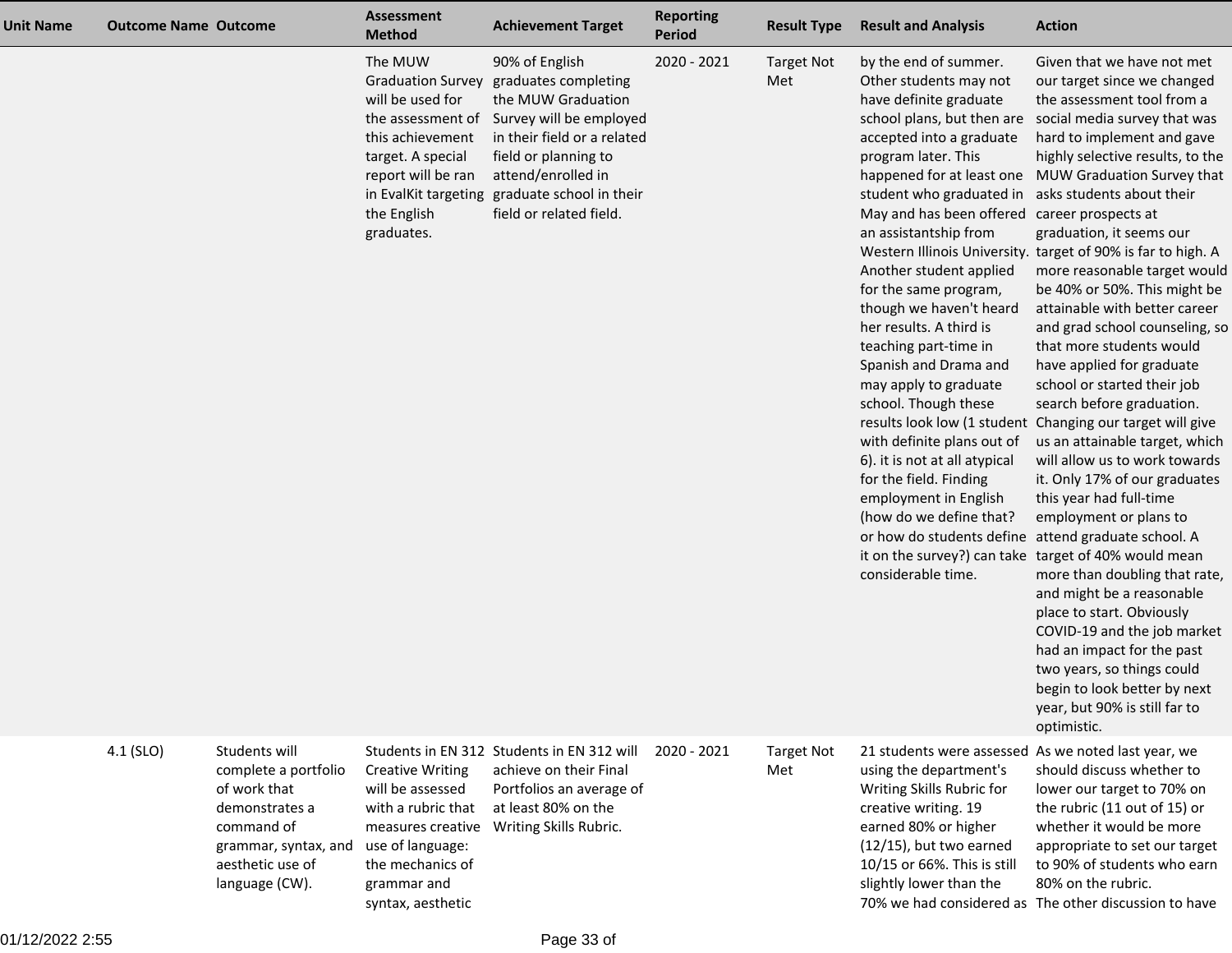| <b>Unit Name</b> | <b>Outcome Name Outcome</b> |                                                                                                                                                     | <b>Assessment</b><br><b>Method</b>                                                                                                                                                               | <b>Achievement Target</b>                                                                                                                                                                                                   | <b>Reporting</b><br><b>Period</b> | <b>Result Type</b>       | <b>Result and Analysis</b>                                                                                                                                                                                                                                                                                                                                                                                                                                                                                                                                                                                                                                                                                                                                 | <b>Action</b>                                                                                                                                                                                                                                                                                                                                                                                                                                                                                                                                                                                                                                                                                                                                                                                                                                                                                                                                                                                                                                                                                                                |
|------------------|-----------------------------|-----------------------------------------------------------------------------------------------------------------------------------------------------|--------------------------------------------------------------------------------------------------------------------------------------------------------------------------------------------------|-----------------------------------------------------------------------------------------------------------------------------------------------------------------------------------------------------------------------------|-----------------------------------|--------------------------|------------------------------------------------------------------------------------------------------------------------------------------------------------------------------------------------------------------------------------------------------------------------------------------------------------------------------------------------------------------------------------------------------------------------------------------------------------------------------------------------------------------------------------------------------------------------------------------------------------------------------------------------------------------------------------------------------------------------------------------------------------|------------------------------------------------------------------------------------------------------------------------------------------------------------------------------------------------------------------------------------------------------------------------------------------------------------------------------------------------------------------------------------------------------------------------------------------------------------------------------------------------------------------------------------------------------------------------------------------------------------------------------------------------------------------------------------------------------------------------------------------------------------------------------------------------------------------------------------------------------------------------------------------------------------------------------------------------------------------------------------------------------------------------------------------------------------------------------------------------------------------------------|
|                  |                             |                                                                                                                                                     | The MUW<br><b>Graduation Survey</b><br>will be used for<br>the assessment of<br>this achievement<br>target. A special<br>report will be ran<br>in EvalKit targeting<br>the English<br>graduates. | 90% of English<br>graduates completing<br>the MUW Graduation<br>Survey will be employed<br>in their field or a related<br>field or planning to<br>attend/enrolled in<br>graduate school in their<br>field or related field. | 2020 - 2021                       | <b>Target Not</b><br>Met | by the end of summer.<br>Other students may not<br>have definite graduate<br>accepted into a graduate<br>program later. This<br>student who graduated in asks students about their<br>May and has been offered career prospects at<br>an assistantship from<br>Another student applied<br>for the same program,<br>though we haven't heard<br>her results. A third is<br>teaching part-time in<br>Spanish and Drama and<br>may apply to graduate<br>school. Though these<br>with definite plans out of<br>6). it is not at all atypical<br>for the field. Finding<br>employment in English<br>(how do we define that?<br>or how do students define attend graduate school. A<br>it on the survey?) can take target of 40% would mean<br>considerable time. | Given that we have not met<br>our target since we changed<br>the assessment tool from a<br>school plans, but then are social media survey that was<br>hard to implement and gave<br>highly selective results, to the<br>happened for at least one MUW Graduation Survey that<br>graduation, it seems our<br>Western Illinois University. target of 90% is far to high. A<br>more reasonable target would<br>be 40% or 50%. This might be<br>attainable with better career<br>and grad school counseling, so<br>that more students would<br>have applied for graduate<br>school or started their job<br>search before graduation.<br>results look low (1 student Changing our target will give<br>us an attainable target, which<br>will allow us to work towards<br>it. Only 17% of our graduates<br>this year had full-time<br>employment or plans to<br>more than doubling that rate,<br>and might be a reasonable<br>place to start. Obviously<br>COVID-19 and the job market<br>had an impact for the past<br>two years, so things could<br>begin to look better by next<br>year, but 90% is still far to<br>optimistic. |
|                  | 4.1 (SLO)                   | Students will<br>complete a portfolio<br>of work that<br>demonstrates a<br>command of<br>grammar, syntax, and<br>aesthetic use of<br>language (CW). | <b>Creative Writing</b><br>will be assessed<br>with a rubric that<br>measures creative<br>use of language:<br>the mechanics of<br>grammar and<br>syntax, aesthetic                               | Students in EN 312 Students in EN 312 will<br>achieve on their Final<br>Portfolios an average of<br>at least 80% on the<br>Writing Skills Rubric.                                                                           | 2020 - 2021                       | <b>Target Not</b><br>Met | 21 students were assessed As we noted last year, we<br>using the department's<br>Writing Skills Rubric for<br>creative writing. 19<br>earned 80% or higher<br>$(12/15)$ , but two earned<br>10/15 or 66%. This is still<br>slightly lower than the                                                                                                                                                                                                                                                                                                                                                                                                                                                                                                         | should discuss whether to<br>lower our target to 70% on<br>the rubric (11 out of 15) or<br>whether it would be more<br>appropriate to set our target<br>to 90% of students who earn<br>80% on the rubric.<br>70% we had considered as The other discussion to have                                                                                                                                                                                                                                                                                                                                                                                                                                                                                                                                                                                                                                                                                                                                                                                                                                                           |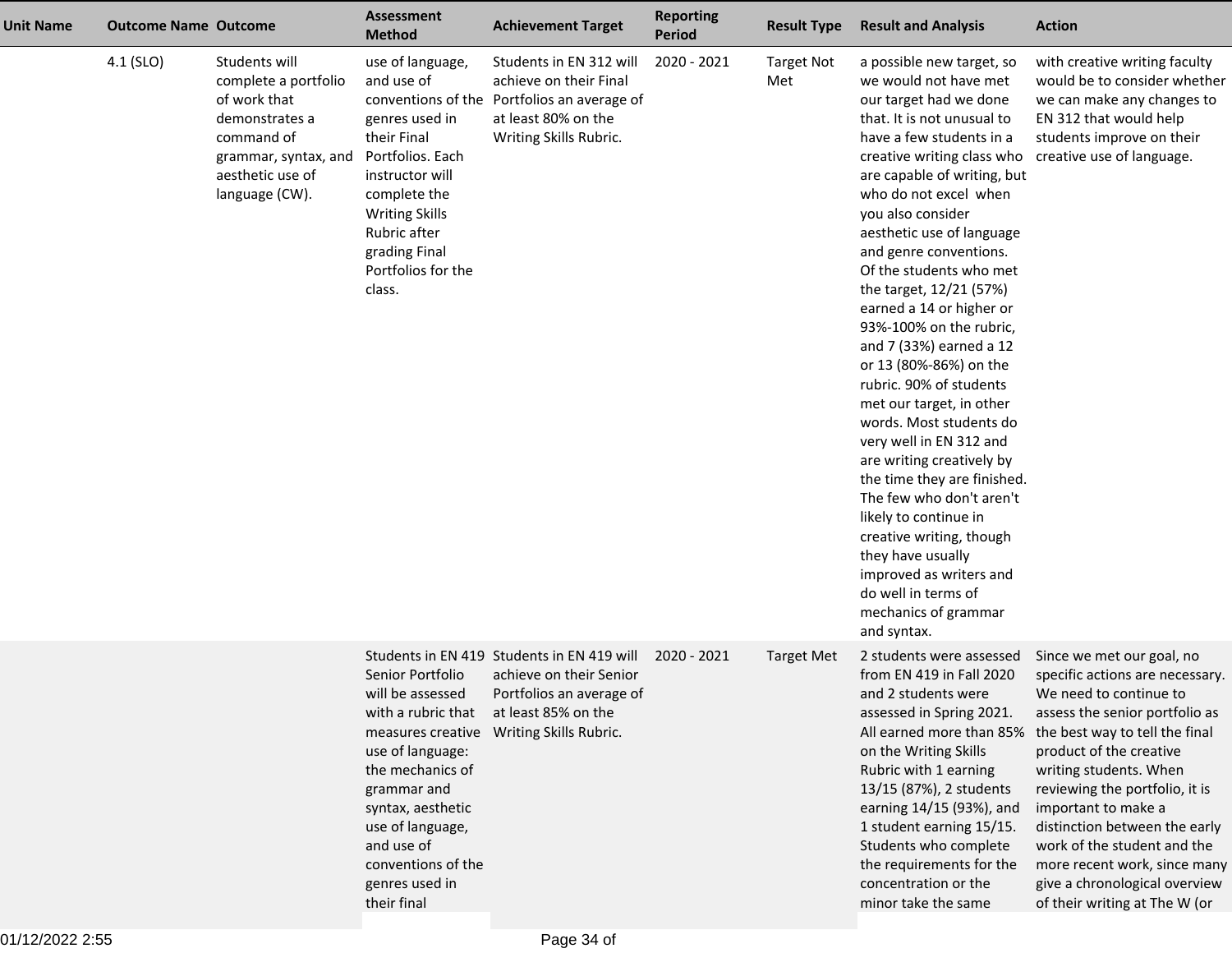| Unit Name | <b>Outcome Name Outcome</b> |                                                                                                                                                     | <b>Assessment</b><br><b>Method</b>                                                                                                                                                                               | <b>Achievement Target</b>                                                                                                                         | <b>Reporting</b><br><b>Period</b> | <b>Result Type</b>       | <b>Result and Analysis</b>                                                                                                                                                                                                                                                                                                                                                                                                                                                                                                                                                                                                                                                                                                                                                                                                                                                   | <b>Action</b>                                                                                                                                                                                                                                                                                                                                                                                                                              |
|-----------|-----------------------------|-----------------------------------------------------------------------------------------------------------------------------------------------------|------------------------------------------------------------------------------------------------------------------------------------------------------------------------------------------------------------------|---------------------------------------------------------------------------------------------------------------------------------------------------|-----------------------------------|--------------------------|------------------------------------------------------------------------------------------------------------------------------------------------------------------------------------------------------------------------------------------------------------------------------------------------------------------------------------------------------------------------------------------------------------------------------------------------------------------------------------------------------------------------------------------------------------------------------------------------------------------------------------------------------------------------------------------------------------------------------------------------------------------------------------------------------------------------------------------------------------------------------|--------------------------------------------------------------------------------------------------------------------------------------------------------------------------------------------------------------------------------------------------------------------------------------------------------------------------------------------------------------------------------------------------------------------------------------------|
|           | 4.1 (SLO)                   | Students will<br>complete a portfolio<br>of work that<br>demonstrates a<br>command of<br>grammar, syntax, and<br>aesthetic use of<br>language (CW). | use of language,<br>and use of<br>genres used in<br>their Final<br>Portfolios. Each<br>instructor will<br>complete the<br><b>Writing Skills</b><br>Rubric after<br>grading Final<br>Portfolios for the<br>class. | Students in EN 312 will<br>achieve on their Final<br>conventions of the Portfolios an average of<br>at least 80% on the<br>Writing Skills Rubric. | 2020 - 2021                       | <b>Target Not</b><br>Met | a possible new target, so<br>we would not have met<br>our target had we done<br>that. It is not unusual to<br>have a few students in a<br>creative writing class who creative use of language.<br>are capable of writing, but<br>who do not excel when<br>you also consider<br>aesthetic use of language<br>and genre conventions.<br>Of the students who met<br>the target, 12/21 (57%)<br>earned a 14 or higher or<br>93%-100% on the rubric,<br>and 7 (33%) earned a 12<br>or 13 (80%-86%) on the<br>rubric. 90% of students<br>met our target, in other<br>words. Most students do<br>very well in EN 312 and<br>are writing creatively by<br>the time they are finished.<br>The few who don't aren't<br>likely to continue in<br>creative writing, though<br>they have usually<br>improved as writers and<br>do well in terms of<br>mechanics of grammar<br>and syntax. | with creative writing faculty<br>would be to consider whether<br>we can make any changes to<br>EN 312 that would help<br>students improve on their                                                                                                                                                                                                                                                                                         |
|           |                             |                                                                                                                                                     | Senior Portfolio<br>will be assessed<br>use of language:<br>the mechanics of<br>grammar and<br>syntax, aesthetic<br>use of language,<br>and use of<br>conventions of the<br>genres used in<br>their final        | Students in EN 419 Students in EN 419 will<br>achieve on their Senior<br>Portfolios an average of<br>with a rubric that at least 85% on the       | 2020 - 2021                       | <b>Target Met</b>        | 2 students were assessed<br>from EN 419 in Fall 2020<br>and 2 students were<br>assessed in Spring 2021.<br>All earned more than 85%<br>on the Writing Skills<br>Rubric with 1 earning<br>13/15 (87%), 2 students<br>earning 14/15 (93%), and<br>1 student earning 15/15.<br>Students who complete<br>the requirements for the<br>concentration or the<br>minor take the same                                                                                                                                                                                                                                                                                                                                                                                                                                                                                                 | Since we met our goal, no<br>specific actions are necessary.<br>We need to continue to<br>assess the senior portfolio as<br>the best way to tell the final<br>product of the creative<br>writing students. When<br>reviewing the portfolio, it is<br>important to make a<br>distinction between the early<br>work of the student and the<br>more recent work, since many<br>give a chronological overview<br>of their writing at The W (or |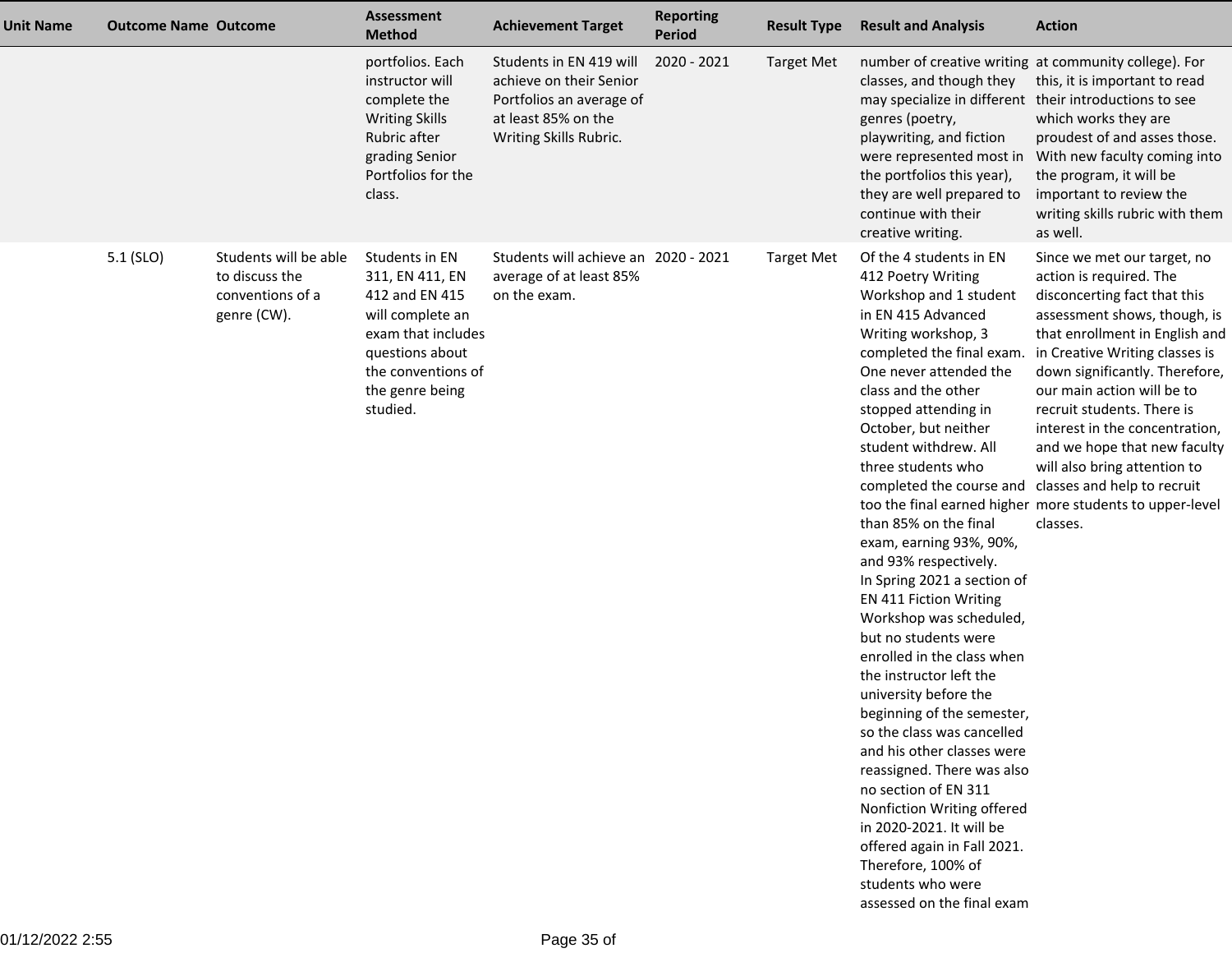| <b>Unit Name</b> | <b>Outcome Name Outcome</b> |                                                                            | <b>Assessment</b><br><b>Method</b>                                                                                                                                    | <b>Achievement Target</b>                                                                                                       | <b>Reporting</b><br><b>Period</b> | <b>Result Type</b> | <b>Result and Analysis</b>                                                                                                                                                                                                                                                                                                                                                                                                                                                                                                                                                                                                                                                                                                                                                                                                                                                                                                                             | <b>Action</b>                                                                                                                                                                                                                                                                                                                                                                                                                                                      |
|------------------|-----------------------------|----------------------------------------------------------------------------|-----------------------------------------------------------------------------------------------------------------------------------------------------------------------|---------------------------------------------------------------------------------------------------------------------------------|-----------------------------------|--------------------|--------------------------------------------------------------------------------------------------------------------------------------------------------------------------------------------------------------------------------------------------------------------------------------------------------------------------------------------------------------------------------------------------------------------------------------------------------------------------------------------------------------------------------------------------------------------------------------------------------------------------------------------------------------------------------------------------------------------------------------------------------------------------------------------------------------------------------------------------------------------------------------------------------------------------------------------------------|--------------------------------------------------------------------------------------------------------------------------------------------------------------------------------------------------------------------------------------------------------------------------------------------------------------------------------------------------------------------------------------------------------------------------------------------------------------------|
|                  |                             |                                                                            | portfolios. Each<br>instructor will<br>complete the<br><b>Writing Skills</b><br>Rubric after<br>grading Senior<br>Portfolios for the<br>class.                        | Students in EN 419 will<br>achieve on their Senior<br>Portfolios an average of<br>at least 85% on the<br>Writing Skills Rubric. | 2020 - 2021                       | <b>Target Met</b>  | number of creative writing at community college). For<br>classes, and though they<br>may specialize in different their introductions to see<br>genres (poetry,<br>playwriting, and fiction<br>were represented most in<br>the portfolios this year),<br>they are well prepared to<br>continue with their<br>creative writing.                                                                                                                                                                                                                                                                                                                                                                                                                                                                                                                                                                                                                          | this, it is important to read<br>which works they are<br>proudest of and asses those.<br>With new faculty coming into<br>the program, it will be<br>important to review the<br>writing skills rubric with them<br>as well.                                                                                                                                                                                                                                         |
|                  | 5.1 (SLO)                   | Students will be able<br>to discuss the<br>conventions of a<br>genre (CW). | Students in EN<br>311, EN 411, EN<br>412 and EN 415<br>will complete an<br>exam that includes<br>questions about<br>the conventions of<br>the genre being<br>studied. | Students will achieve an 2020 - 2021<br>average of at least 85%<br>on the exam.                                                 |                                   | <b>Target Met</b>  | Of the 4 students in EN<br>412 Poetry Writing<br>Workshop and 1 student<br>in EN 415 Advanced<br>Writing workshop, 3<br>completed the final exam.<br>One never attended the<br>class and the other<br>stopped attending in<br>October, but neither<br>student withdrew. All<br>three students who<br>completed the course and classes and help to recruit<br>than 85% on the final<br>exam, earning 93%, 90%,<br>and 93% respectively.<br>In Spring 2021 a section of<br>EN 411 Fiction Writing<br>Workshop was scheduled,<br>but no students were<br>enrolled in the class when<br>the instructor left the<br>university before the<br>beginning of the semester,<br>so the class was cancelled<br>and his other classes were<br>reassigned. There was also<br>no section of EN 311<br>Nonfiction Writing offered<br>in 2020-2021. It will be<br>offered again in Fall 2021.<br>Therefore, 100% of<br>students who were<br>assessed on the final exam | Since we met our target, no<br>action is required. The<br>disconcerting fact that this<br>assessment shows, though, is<br>that enrollment in English and<br>in Creative Writing classes is<br>down significantly. Therefore,<br>our main action will be to<br>recruit students. There is<br>interest in the concentration,<br>and we hope that new faculty<br>will also bring attention to<br>too the final earned higher more students to upper-level<br>classes. |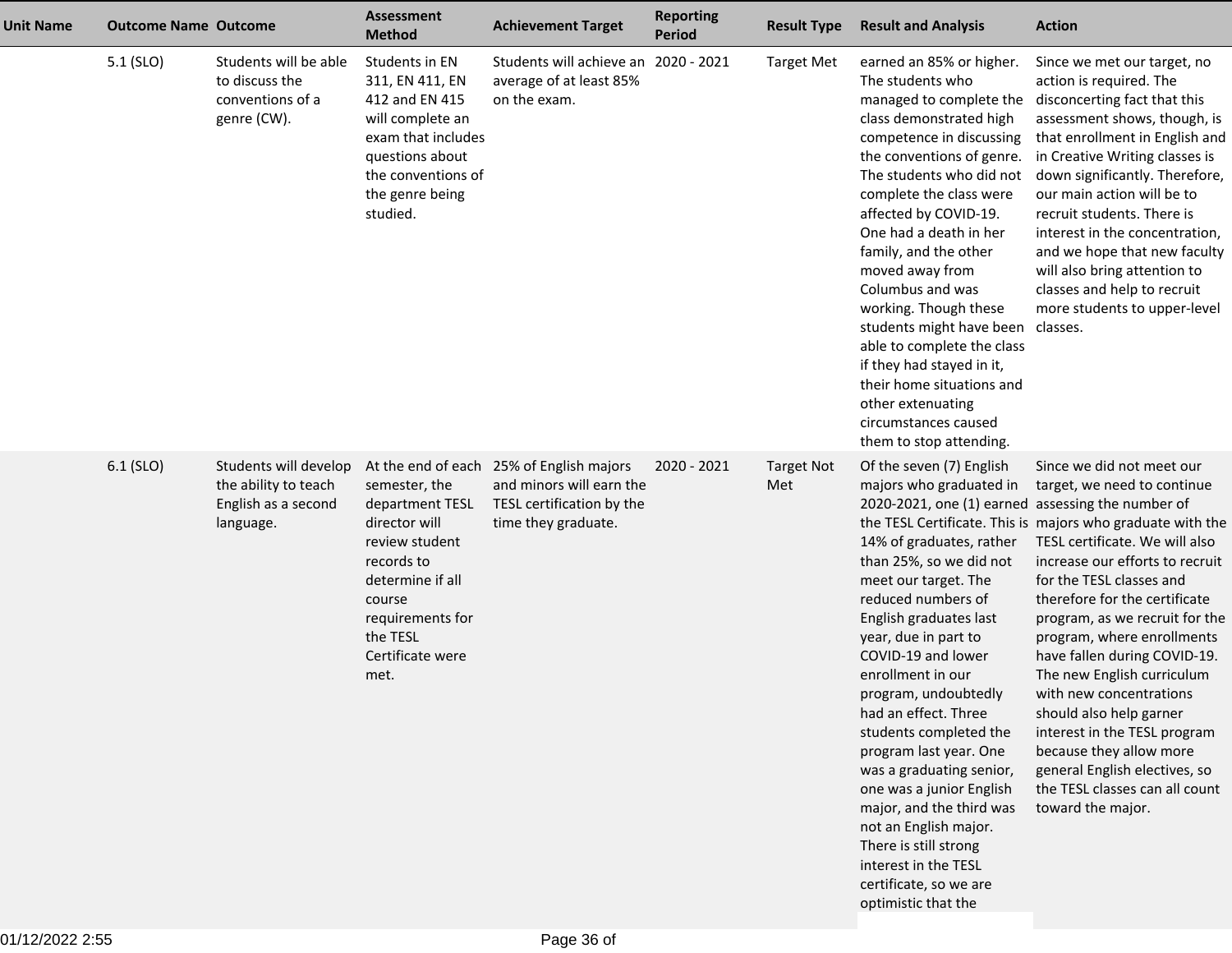| <b>Unit Name</b> | <b>Outcome Name Outcome</b> |                                                                                   | <b>Assessment</b><br><b>Method</b>                                                                                                                                          | <b>Achievement Target</b>                                                                                                | <b>Reporting</b><br><b>Period</b> | <b>Result Type</b>       | <b>Result and Analysis</b>                                                                                                                                                                                                                                                                                                                                                                                                                                                                                                                                                                                                    | <b>Action</b>                                                                                                                                                                                                                                                                                                                                                                                                                                                                                                                                                                                   |
|------------------|-----------------------------|-----------------------------------------------------------------------------------|-----------------------------------------------------------------------------------------------------------------------------------------------------------------------------|--------------------------------------------------------------------------------------------------------------------------|-----------------------------------|--------------------------|-------------------------------------------------------------------------------------------------------------------------------------------------------------------------------------------------------------------------------------------------------------------------------------------------------------------------------------------------------------------------------------------------------------------------------------------------------------------------------------------------------------------------------------------------------------------------------------------------------------------------------|-------------------------------------------------------------------------------------------------------------------------------------------------------------------------------------------------------------------------------------------------------------------------------------------------------------------------------------------------------------------------------------------------------------------------------------------------------------------------------------------------------------------------------------------------------------------------------------------------|
|                  | 5.1 (SLO)                   | Students will be able<br>to discuss the<br>conventions of a<br>genre (CW).        | Students in EN<br>311, EN 411, EN<br>412 and EN 415<br>will complete an<br>exam that includes<br>questions about<br>the conventions of<br>the genre being<br>studied.       | Students will achieve an 2020 - 2021<br>average of at least 85%<br>on the exam.                                          |                                   | <b>Target Met</b>        | earned an 85% or higher.<br>The students who<br>managed to complete the<br>class demonstrated high<br>competence in discussing<br>the conventions of genre.<br>The students who did not<br>complete the class were<br>affected by COVID-19.<br>One had a death in her<br>family, and the other<br>moved away from<br>Columbus and was<br>working. Though these<br>students might have been<br>able to complete the class<br>if they had stayed in it,<br>their home situations and<br>other extenuating<br>circumstances caused<br>them to stop attending.                                                                    | Since we met our target, no<br>action is required. The<br>disconcerting fact that this<br>assessment shows, though, is<br>that enrollment in English and<br>in Creative Writing classes is<br>down significantly. Therefore,<br>our main action will be to<br>recruit students. There is<br>interest in the concentration,<br>and we hope that new faculty<br>will also bring attention to<br>classes and help to recruit<br>more students to upper-level<br>classes.                                                                                                                           |
|                  | 6.1 (SLO)                   | Students will develop<br>the ability to teach<br>English as a second<br>language. | semester, the<br>department TESL<br>director will<br>review student<br>records to<br>determine if all<br>course<br>requirements for<br>the TESL<br>Certificate were<br>met. | At the end of each 25% of English majors<br>and minors will earn the<br>TESL certification by the<br>time they graduate. | 2020 - 2021                       | <b>Target Not</b><br>Met | Of the seven (7) English<br>majors who graduated in<br>2020-2021, one (1) earned assessing the number of<br>14% of graduates, rather<br>than 25%, so we did not<br>meet our target. The<br>reduced numbers of<br>English graduates last<br>year, due in part to<br>COVID-19 and lower<br>enrollment in our<br>program, undoubtedly<br>had an effect. Three<br>students completed the<br>program last year. One<br>was a graduating senior,<br>one was a junior English<br>major, and the third was<br>not an English major.<br>There is still strong<br>interest in the TESL<br>certificate, so we are<br>optimistic that the | Since we did not meet our<br>target, we need to continue<br>the TESL Certificate. This is majors who graduate with the<br>TESL certificate. We will also<br>increase our efforts to recruit<br>for the TESL classes and<br>therefore for the certificate<br>program, as we recruit for the<br>program, where enrollments<br>have fallen during COVID-19.<br>The new English curriculum<br>with new concentrations<br>should also help garner<br>interest in the TESL program<br>because they allow more<br>general English electives, so<br>the TESL classes can all count<br>toward the major. |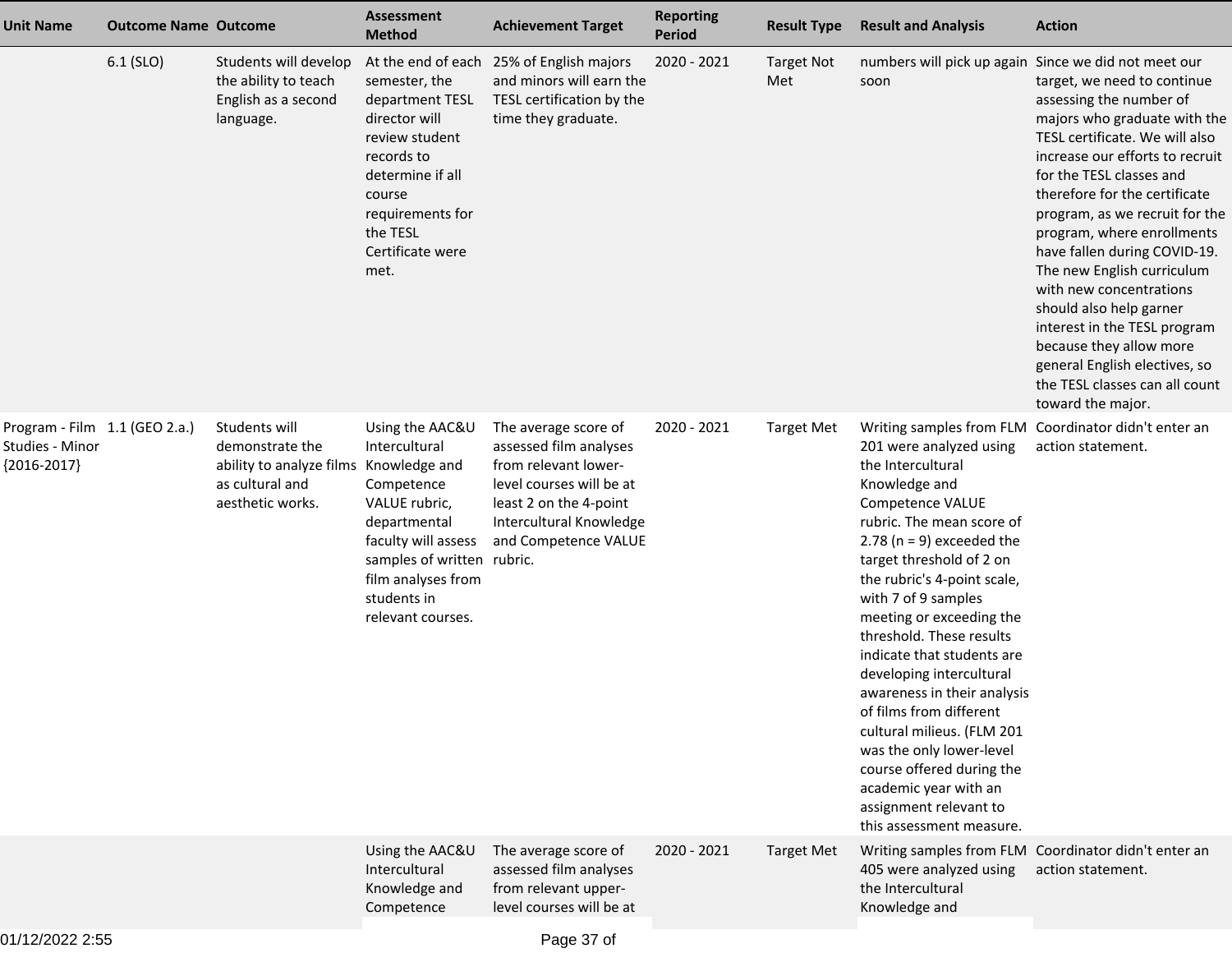| <b>Unit Name</b>                                                  | <b>Outcome Name Outcome</b> |                                                                                                                   | <b>Assessment</b><br><b>Method</b>                                                                                                                                                                | <b>Achievement Target</b>                                                                                                                                                       | <b>Reporting</b><br><b>Period</b> | <b>Result Type</b>       | <b>Result and Analysis</b>                                                                                                                                                                                                                                                                                                                                                                                                                                                                                                                                                          | <b>Action</b>                                                                                                                                                                                                                                                                                                                                                                                                                                                                                                                                                   |
|-------------------------------------------------------------------|-----------------------------|-------------------------------------------------------------------------------------------------------------------|---------------------------------------------------------------------------------------------------------------------------------------------------------------------------------------------------|---------------------------------------------------------------------------------------------------------------------------------------------------------------------------------|-----------------------------------|--------------------------|-------------------------------------------------------------------------------------------------------------------------------------------------------------------------------------------------------------------------------------------------------------------------------------------------------------------------------------------------------------------------------------------------------------------------------------------------------------------------------------------------------------------------------------------------------------------------------------|-----------------------------------------------------------------------------------------------------------------------------------------------------------------------------------------------------------------------------------------------------------------------------------------------------------------------------------------------------------------------------------------------------------------------------------------------------------------------------------------------------------------------------------------------------------------|
|                                                                   | 6.1 (SLO)                   | Students will develop<br>the ability to teach<br>English as a second<br>language.                                 | At the end of each<br>semester, the<br>department TESL<br>director will<br>review student<br>records to<br>determine if all<br>course<br>requirements for<br>the TESL<br>Certificate were<br>met. | 25% of English majors<br>and minors will earn the<br>TESL certification by the<br>time they graduate.                                                                           | 2020 - 2021                       | <b>Target Not</b><br>Met | numbers will pick up again Since we did not meet our<br>soon                                                                                                                                                                                                                                                                                                                                                                                                                                                                                                                        | target, we need to continue<br>assessing the number of<br>majors who graduate with the<br>TESL certificate. We will also<br>increase our efforts to recruit<br>for the TESL classes and<br>therefore for the certificate<br>program, as we recruit for the<br>program, where enrollments<br>have fallen during COVID-19.<br>The new English curriculum<br>with new concentrations<br>should also help garner<br>interest in the TESL program<br>because they allow more<br>general English electives, so<br>the TESL classes can all count<br>toward the major. |
| Program - Film 1.1 (GEO 2.a.)<br>Studies - Minor<br>${2016-2017}$ |                             | Students will<br>demonstrate the<br>ability to analyze films Knowledge and<br>as cultural and<br>aesthetic works. | Using the AAC&U<br>Intercultural<br>Competence<br>VALUE rubric,<br>departmental<br>faculty will assess<br>samples of written rubric.<br>film analyses from<br>students in<br>relevant courses.    | The average score of<br>assessed film analyses<br>from relevant lower-<br>level courses will be at<br>least 2 on the 4-point<br>Intercultural Knowledge<br>and Competence VALUE | 2020 - 2021                       | <b>Target Met</b>        | 201 were analyzed using<br>the Intercultural<br>Knowledge and<br>Competence VALUE<br>rubric. The mean score of<br>2.78 ( $n = 9$ ) exceeded the<br>target threshold of 2 on<br>the rubric's 4-point scale,<br>with 7 of 9 samples<br>meeting or exceeding the<br>threshold. These results<br>indicate that students are<br>developing intercultural<br>awareness in their analysis<br>of films from different<br>cultural milieus. (FLM 201<br>was the only lower-level<br>course offered during the<br>academic year with an<br>assignment relevant to<br>this assessment measure. | Writing samples from FLM Coordinator didn't enter an<br>action statement.                                                                                                                                                                                                                                                                                                                                                                                                                                                                                       |
|                                                                   |                             |                                                                                                                   | Using the AAC&U<br>Intercultural<br>Knowledge and<br>Competence                                                                                                                                   | The average score of<br>assessed film analyses<br>from relevant upper-<br>level courses will be at                                                                              | 2020 - 2021                       | <b>Target Met</b>        | 405 were analyzed using<br>the Intercultural<br>Knowledge and                                                                                                                                                                                                                                                                                                                                                                                                                                                                                                                       | Writing samples from FLM Coordinator didn't enter an<br>action statement.                                                                                                                                                                                                                                                                                                                                                                                                                                                                                       |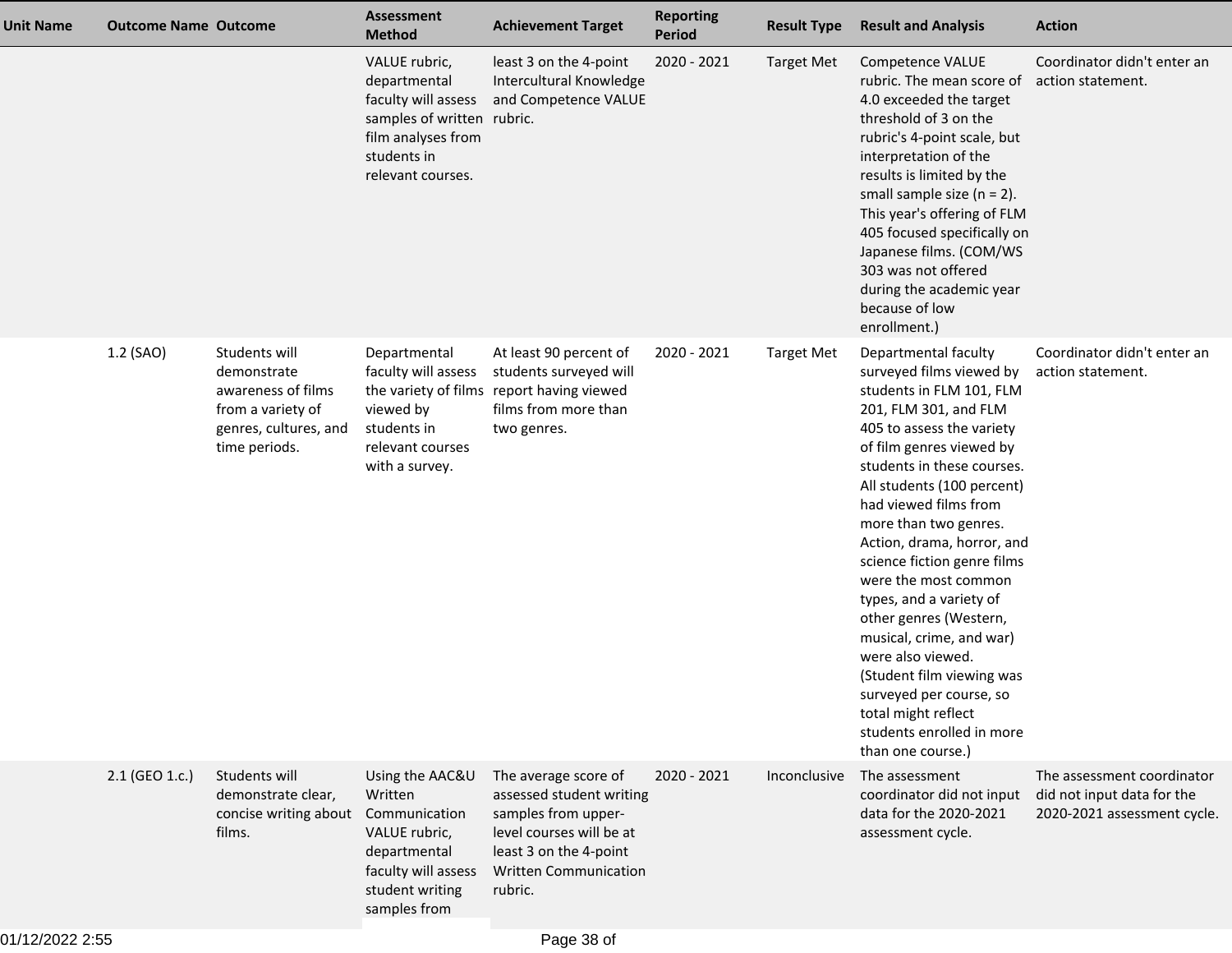| <b>Unit Name</b> | <b>Outcome Name Outcome</b> |                                                                                                                   | <b>Assessment</b><br><b>Method</b>                                                                                                           | <b>Achievement Target</b>                                                                                                                                                | <b>Reporting</b><br><b>Period</b> | <b>Result Type</b> | <b>Result and Analysis</b>                                                                                                                                                                                                                                                                                                                                                                                                                                                                                                                                                                               | <b>Action</b>                                                                           |
|------------------|-----------------------------|-------------------------------------------------------------------------------------------------------------------|----------------------------------------------------------------------------------------------------------------------------------------------|--------------------------------------------------------------------------------------------------------------------------------------------------------------------------|-----------------------------------|--------------------|----------------------------------------------------------------------------------------------------------------------------------------------------------------------------------------------------------------------------------------------------------------------------------------------------------------------------------------------------------------------------------------------------------------------------------------------------------------------------------------------------------------------------------------------------------------------------------------------------------|-----------------------------------------------------------------------------------------|
|                  |                             |                                                                                                                   | VALUE rubric,<br>departmental<br>faculty will assess<br>samples of written rubric.<br>film analyses from<br>students in<br>relevant courses. | least 3 on the 4-point<br>Intercultural Knowledge<br>and Competence VALUE                                                                                                | 2020 - 2021                       | <b>Target Met</b>  | Competence VALUE<br>rubric. The mean score of<br>4.0 exceeded the target<br>threshold of 3 on the<br>rubric's 4-point scale, but<br>interpretation of the<br>results is limited by the<br>small sample size $(n = 2)$ .<br>This year's offering of FLM<br>405 focused specifically on<br>Japanese films. (COM/WS<br>303 was not offered<br>during the academic year<br>because of low<br>enrollment.)                                                                                                                                                                                                    | Coordinator didn't enter an<br>action statement.                                        |
|                  | 1.2 (SAO)                   | Students will<br>demonstrate<br>awareness of films<br>from a variety of<br>genres, cultures, and<br>time periods. | Departmental<br>faculty will assess<br>viewed by<br>students in<br>relevant courses<br>with a survey.                                        | At least 90 percent of<br>students surveyed will<br>the variety of films report having viewed<br>films from more than<br>two genres.                                     | 2020 - 2021                       | <b>Target Met</b>  | Departmental faculty<br>surveyed films viewed by<br>students in FLM 101, FLM<br>201, FLM 301, and FLM<br>405 to assess the variety<br>of film genres viewed by<br>students in these courses.<br>All students (100 percent)<br>had viewed films from<br>more than two genres.<br>Action, drama, horror, and<br>science fiction genre films<br>were the most common<br>types, and a variety of<br>other genres (Western,<br>musical, crime, and war)<br>were also viewed.<br>(Student film viewing was<br>surveyed per course, so<br>total might reflect<br>students enrolled in more<br>than one course.) | Coordinator didn't enter an<br>action statement.                                        |
|                  | 2.1 (GEO 1.c.)              | Students will<br>demonstrate clear,<br>concise writing about<br>films.                                            | Using the AAC&U<br>Written<br>Communication<br>VALUE rubric,<br>departmental<br>faculty will assess<br>student writing<br>samples from       | The average score of<br>assessed student writing<br>samples from upper-<br>level courses will be at<br>least 3 on the 4-point<br><b>Written Communication</b><br>rubric. | 2020 - 2021                       | Inconclusive       | The assessment<br>coordinator did not input<br>data for the 2020-2021<br>assessment cycle.                                                                                                                                                                                                                                                                                                                                                                                                                                                                                                               | The assessment coordinator<br>did not input data for the<br>2020-2021 assessment cycle. |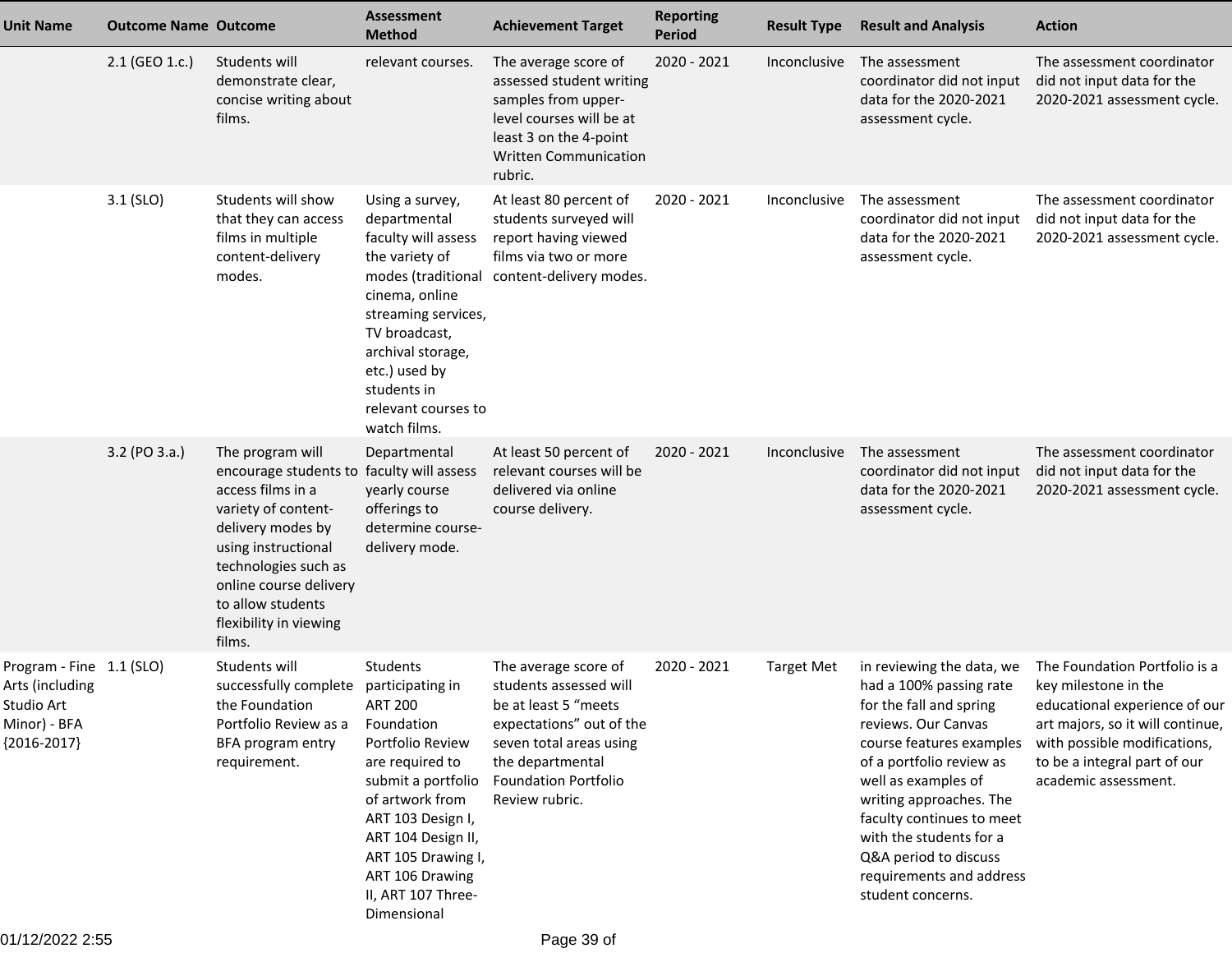| <b>Unit Name</b>                                                                           | <b>Outcome Name Outcome</b> |                                                                                                                                                                                                                                                                  | <b>Assessment</b><br><b>Method</b>                                                                                                                                                                                                                | <b>Achievement Target</b>                                                                                                                                                                          | <b>Reporting</b><br><b>Period</b> | <b>Result Type</b>  | <b>Result and Analysis</b>                                                                                                                                                                                                                                                                                                                         | <b>Action</b>                                                                                                                                                                                                      |
|--------------------------------------------------------------------------------------------|-----------------------------|------------------------------------------------------------------------------------------------------------------------------------------------------------------------------------------------------------------------------------------------------------------|---------------------------------------------------------------------------------------------------------------------------------------------------------------------------------------------------------------------------------------------------|----------------------------------------------------------------------------------------------------------------------------------------------------------------------------------------------------|-----------------------------------|---------------------|----------------------------------------------------------------------------------------------------------------------------------------------------------------------------------------------------------------------------------------------------------------------------------------------------------------------------------------------------|--------------------------------------------------------------------------------------------------------------------------------------------------------------------------------------------------------------------|
|                                                                                            | 2.1 (GEO 1.c.)              | Students will<br>demonstrate clear,<br>concise writing about<br>films.                                                                                                                                                                                           | relevant courses.                                                                                                                                                                                                                                 | The average score of<br>assessed student writing<br>samples from upper-<br>level courses will be at<br>least 3 on the 4-point<br><b>Written Communication</b><br>rubric.                           | 2020 - 2021                       | Inconclusive        | The assessment<br>coordinator did not input<br>data for the 2020-2021<br>assessment cycle.                                                                                                                                                                                                                                                         | The assessment coordinator<br>did not input data for the<br>2020-2021 assessment cycle.                                                                                                                            |
|                                                                                            | $3.1$ (SLO)                 | Students will show<br>that they can access<br>films in multiple<br>content-delivery<br>modes.                                                                                                                                                                    | Using a survey,<br>departmental<br>faculty will assess<br>the variety of<br>cinema, online<br>streaming services,<br>TV broadcast,<br>archival storage,<br>etc.) used by<br>students in<br>relevant courses to<br>watch films.                    | At least 80 percent of<br>students surveyed will<br>report having viewed<br>films via two or more<br>modes (traditional content-delivery modes.                                                    | 2020 - 2021                       | Inconclusive        | The assessment<br>coordinator did not input<br>data for the 2020-2021<br>assessment cycle.                                                                                                                                                                                                                                                         | The assessment coordinator<br>did not input data for the<br>2020-2021 assessment cycle.                                                                                                                            |
|                                                                                            | 3.2 (PO 3.a.)               | The program will<br>encourage students to faculty will assess<br>access films in a<br>variety of content-<br>delivery modes by<br>using instructional<br>technologies such as<br>online course delivery<br>to allow students<br>flexibility in viewing<br>films. | Departmental<br>yearly course<br>offerings to<br>determine course-<br>delivery mode.                                                                                                                                                              | At least 50 percent of<br>relevant courses will be<br>delivered via online<br>course delivery.                                                                                                     | 2020 - 2021                       | <i>Inconclusive</i> | The assessment<br>coordinator did not input<br>data for the 2020-2021<br>assessment cycle.                                                                                                                                                                                                                                                         | The assessment coordinator<br>did not input data for the<br>2020-2021 assessment cycle.                                                                                                                            |
| Program - Fine 1.1 (SLO)<br>Arts (including<br>Studio Art<br>Minor) - BFA<br>${2016-2017}$ |                             | Students will<br>successfully complete participating in<br>the Foundation<br>Portfolio Review as a<br>BFA program entry<br>requirement.                                                                                                                          | Students<br><b>ART 200</b><br>Foundation<br>Portfolio Review<br>are required to<br>submit a portfolio<br>of artwork from<br>ART 103 Design I,<br>ART 104 Design II,<br>ART 105 Drawing I,<br>ART 106 Drawing<br>II, ART 107 Three-<br>Dimensional | The average score of<br>students assessed will<br>be at least 5 "meets<br>expectations" out of the<br>seven total areas using<br>the departmental<br><b>Foundation Portfolio</b><br>Review rubric. | 2020 - 2021                       | <b>Target Met</b>   | in reviewing the data, we<br>had a 100% passing rate<br>for the fall and spring<br>reviews. Our Canvas<br>course features examples<br>of a portfolio review as<br>well as examples of<br>writing approaches. The<br>faculty continues to meet<br>with the students for a<br>Q&A period to discuss<br>requirements and address<br>student concerns. | The Foundation Portfolio is a<br>key milestone in the<br>educational experience of our<br>art majors, so it will continue,<br>with possible modifications,<br>to be a integral part of our<br>academic assessment. |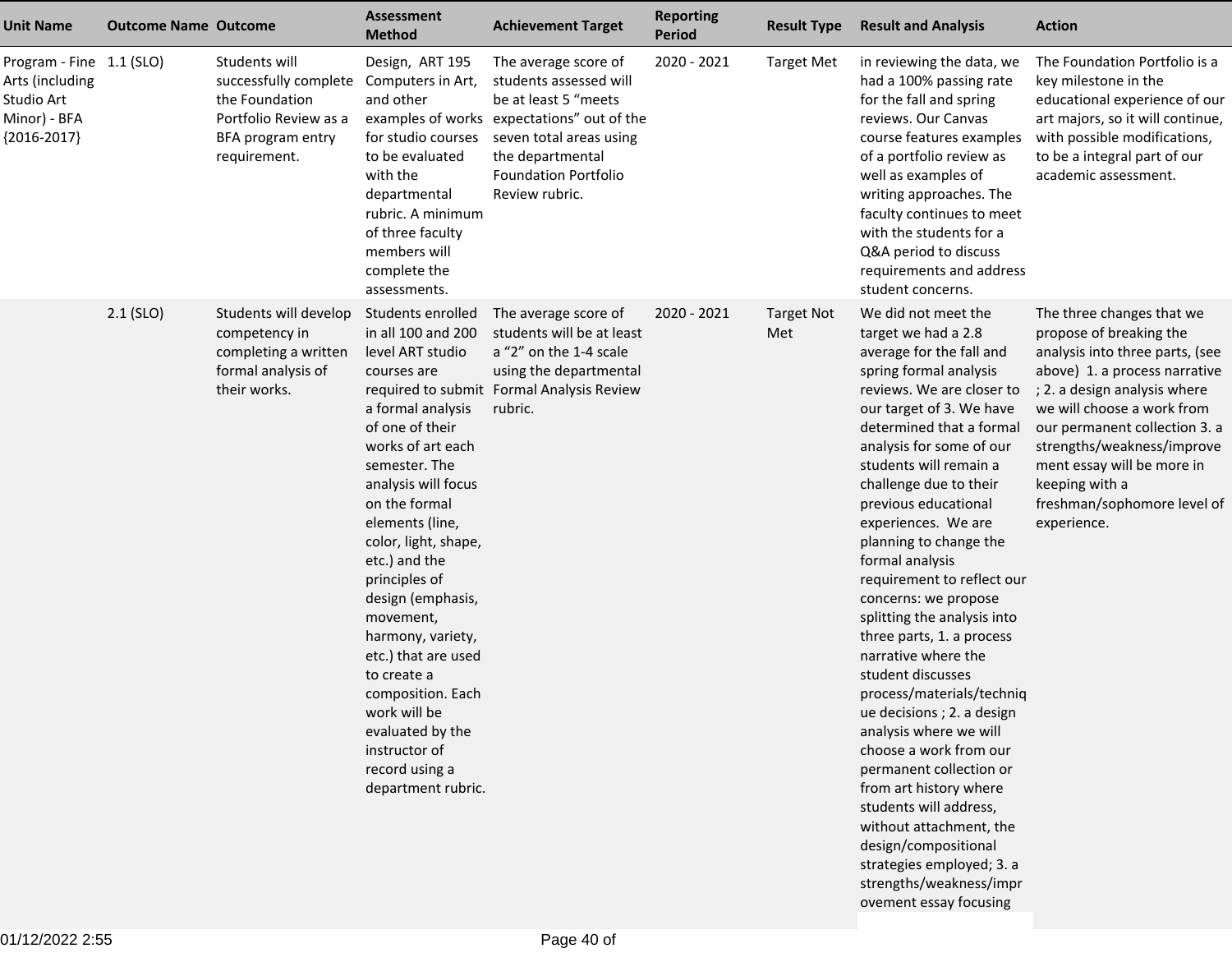| <b>Unit Name</b>                                                                           | <b>Outcome Name Outcome</b> |                                                                                                                        | <b>Assessment</b><br><b>Method</b>                                                                                                                                                                                                                                                                                                                                                                                                                                                           | <b>Achievement Target</b>                                                                                                                                                                                            | <b>Reporting</b><br>Period | <b>Result Type</b>       | <b>Result and Analysis</b>                                                                                                                                                                                                                                                                                                                                                                                                                                                                                                                                                                                                                                                                                                                                                                                                               | <b>Action</b>                                                                                                                                                                                                                                                                                                                                       |
|--------------------------------------------------------------------------------------------|-----------------------------|------------------------------------------------------------------------------------------------------------------------|----------------------------------------------------------------------------------------------------------------------------------------------------------------------------------------------------------------------------------------------------------------------------------------------------------------------------------------------------------------------------------------------------------------------------------------------------------------------------------------------|----------------------------------------------------------------------------------------------------------------------------------------------------------------------------------------------------------------------|----------------------------|--------------------------|------------------------------------------------------------------------------------------------------------------------------------------------------------------------------------------------------------------------------------------------------------------------------------------------------------------------------------------------------------------------------------------------------------------------------------------------------------------------------------------------------------------------------------------------------------------------------------------------------------------------------------------------------------------------------------------------------------------------------------------------------------------------------------------------------------------------------------------|-----------------------------------------------------------------------------------------------------------------------------------------------------------------------------------------------------------------------------------------------------------------------------------------------------------------------------------------------------|
| Program - Fine 1.1 (SLO)<br>Arts (including<br>Studio Art<br>Minor) - BFA<br>${2016-2017}$ |                             | Students will<br>successfully complete<br>the Foundation<br>Portfolio Review as a<br>BFA program entry<br>requirement. | Design, ART 195<br>Computers in Art,<br>and other<br>for studio courses<br>to be evaluated<br>with the<br>departmental<br>rubric. A minimum<br>of three faculty<br>members will<br>complete the<br>assessments.                                                                                                                                                                                                                                                                              | The average score of<br>students assessed will<br>be at least 5 "meets<br>examples of works expectations" out of the<br>seven total areas using<br>the departmental<br><b>Foundation Portfolio</b><br>Review rubric. | 2020 - 2021                | <b>Target Met</b>        | in reviewing the data, we<br>had a 100% passing rate<br>for the fall and spring<br>reviews. Our Canvas<br>course features examples<br>of a portfolio review as<br>well as examples of<br>writing approaches. The<br>faculty continues to meet<br>with the students for a<br>Q&A period to discuss<br>requirements and address<br>student concerns.                                                                                                                                                                                                                                                                                                                                                                                                                                                                                       | The Foundation Portfolio is a<br>key milestone in the<br>educational experience of our<br>art majors, so it will continue,<br>with possible modifications,<br>to be a integral part of our<br>academic assessment.                                                                                                                                  |
|                                                                                            | $2.1$ (SLO)                 | Students will develop<br>competency in<br>completing a written<br>formal analysis of<br>their works.                   | Students enrolled<br>in all 100 and 200<br>level ART studio<br>courses are<br>a formal analysis<br>of one of their<br>works of art each<br>semester. The<br>analysis will focus<br>on the formal<br>elements (line,<br>color, light, shape,<br>etc.) and the<br>principles of<br>design (emphasis,<br>movement,<br>harmony, variety,<br>etc.) that are used<br>to create a<br>composition. Each<br>work will be<br>evaluated by the<br>instructor of<br>record using a<br>department rubric. | The average score of<br>students will be at least<br>a "2" on the 1-4 scale<br>using the departmental<br>required to submit Formal Analysis Review<br>rubric.                                                        | 2020 - 2021                | <b>Target Not</b><br>Met | We did not meet the<br>target we had a 2.8<br>average for the fall and<br>spring formal analysis<br>reviews. We are closer to<br>our target of 3. We have<br>determined that a formal<br>analysis for some of our<br>students will remain a<br>challenge due to their<br>previous educational<br>experiences. We are<br>planning to change the<br>formal analysis<br>requirement to reflect our<br>concerns: we propose<br>splitting the analysis into<br>three parts, 1. a process<br>narrative where the<br>student discusses<br>process/materials/techniq<br>ue decisions ; 2. a design<br>analysis where we will<br>choose a work from our<br>permanent collection or<br>from art history where<br>students will address,<br>without attachment, the<br>design/compositional<br>strategies employed; 3. a<br>strengths/weakness/impr | The three changes that we<br>propose of breaking the<br>analysis into three parts, (see<br>above) 1. a process narrative<br>; 2. a design analysis where<br>we will choose a work from<br>our permanent collection 3. a<br>strengths/weakness/improve<br>ment essay will be more in<br>keeping with a<br>freshman/sophomore level of<br>experience. |

ovement essay focusing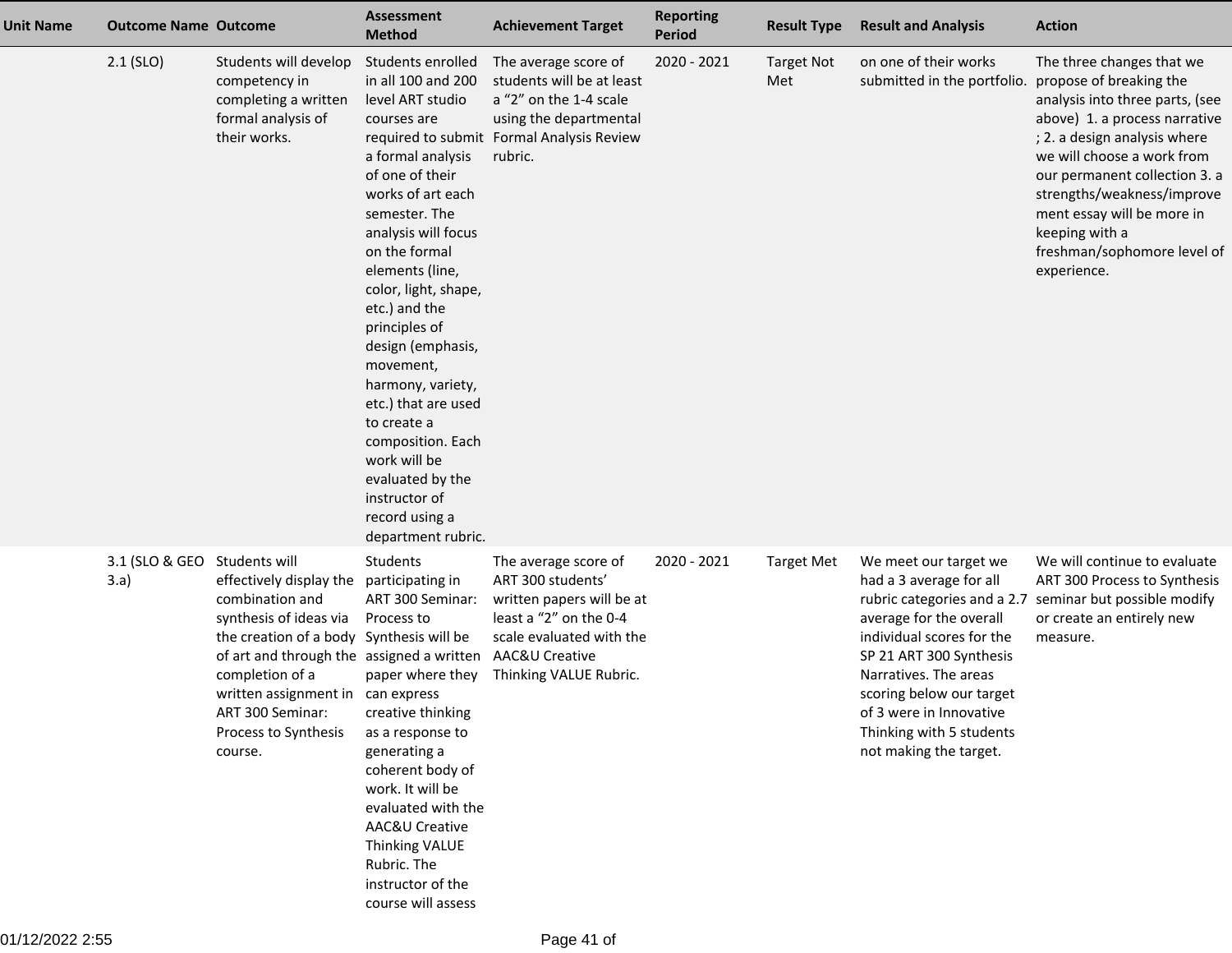| <b>Unit Name</b> | <b>Outcome Name Outcome</b>          |                                                                                                                                                                                                                                                                              | <b>Assessment</b><br><b>Method</b>                                                                                                                                                                                                                                                                                                                                                                                                                                                           | <b>Achievement Target</b>                                                                                                                                                | <b>Reporting</b><br>Period | <b>Result Type</b>       | <b>Result and Analysis</b>                                                                                                                                                                                                                                                | <b>Action</b>                                                                                                                                                                                                                                                                                                                                       |
|------------------|--------------------------------------|------------------------------------------------------------------------------------------------------------------------------------------------------------------------------------------------------------------------------------------------------------------------------|----------------------------------------------------------------------------------------------------------------------------------------------------------------------------------------------------------------------------------------------------------------------------------------------------------------------------------------------------------------------------------------------------------------------------------------------------------------------------------------------|--------------------------------------------------------------------------------------------------------------------------------------------------------------------------|----------------------------|--------------------------|---------------------------------------------------------------------------------------------------------------------------------------------------------------------------------------------------------------------------------------------------------------------------|-----------------------------------------------------------------------------------------------------------------------------------------------------------------------------------------------------------------------------------------------------------------------------------------------------------------------------------------------------|
|                  | $2.1$ (SLO)                          | Students will develop<br>competency in<br>completing a written<br>formal analysis of<br>their works.                                                                                                                                                                         | Students enrolled<br>in all 100 and 200<br>level ART studio<br>courses are<br>a formal analysis<br>of one of their<br>works of art each<br>semester. The<br>analysis will focus<br>on the formal<br>elements (line,<br>color, light, shape,<br>etc.) and the<br>principles of<br>design (emphasis,<br>movement,<br>harmony, variety,<br>etc.) that are used<br>to create a<br>composition. Each<br>work will be<br>evaluated by the<br>instructor of<br>record using a<br>department rubric. | The average score of<br>students will be at least<br>a "2" on the 1-4 scale<br>using the departmental<br>required to submit Formal Analysis Review<br>rubric.            | 2020 - 2021                | <b>Target Not</b><br>Met | on one of their works<br>submitted in the portfolio.                                                                                                                                                                                                                      | The three changes that we<br>propose of breaking the<br>analysis into three parts, (see<br>above) 1. a process narrative<br>; 2. a design analysis where<br>we will choose a work from<br>our permanent collection 3. a<br>strengths/weakness/improve<br>ment essay will be more in<br>keeping with a<br>freshman/sophomore level of<br>experience. |
|                  | 3.1 (SLO & GEO Students will<br>3.a) | effectively display the<br>combination and<br>synthesis of ideas via<br>the creation of a body Synthesis will be<br>of art and through the assigned a written<br>completion of a<br>written assignment in can express<br>ART 300 Seminar:<br>Process to Synthesis<br>course. | Students<br>participating in<br>ART 300 Seminar:<br>Process to<br>paper where they<br>creative thinking<br>as a response to<br>generating a<br>coherent body of<br>work. It will be<br>evaluated with the<br>AAC&U Creative<br><b>Thinking VALUE</b><br>Rubric. The<br>instructor of the<br>course will assess                                                                                                                                                                               | The average score of<br>ART 300 students'<br>written papers will be at<br>least a "2" on the 0-4<br>scale evaluated with the<br>AAC&U Creative<br>Thinking VALUE Rubric. | 2020 - 2021                | <b>Target Met</b>        | We meet our target we<br>had a 3 average for all<br>average for the overall<br>individual scores for the<br>SP 21 ART 300 Synthesis<br>Narratives. The areas<br>scoring below our target<br>of 3 were in Innovative<br>Thinking with 5 students<br>not making the target. | We will continue to evaluate<br>ART 300 Process to Synthesis<br>rubric categories and a 2.7 seminar but possible modify<br>or create an entirely new<br>measure.                                                                                                                                                                                    |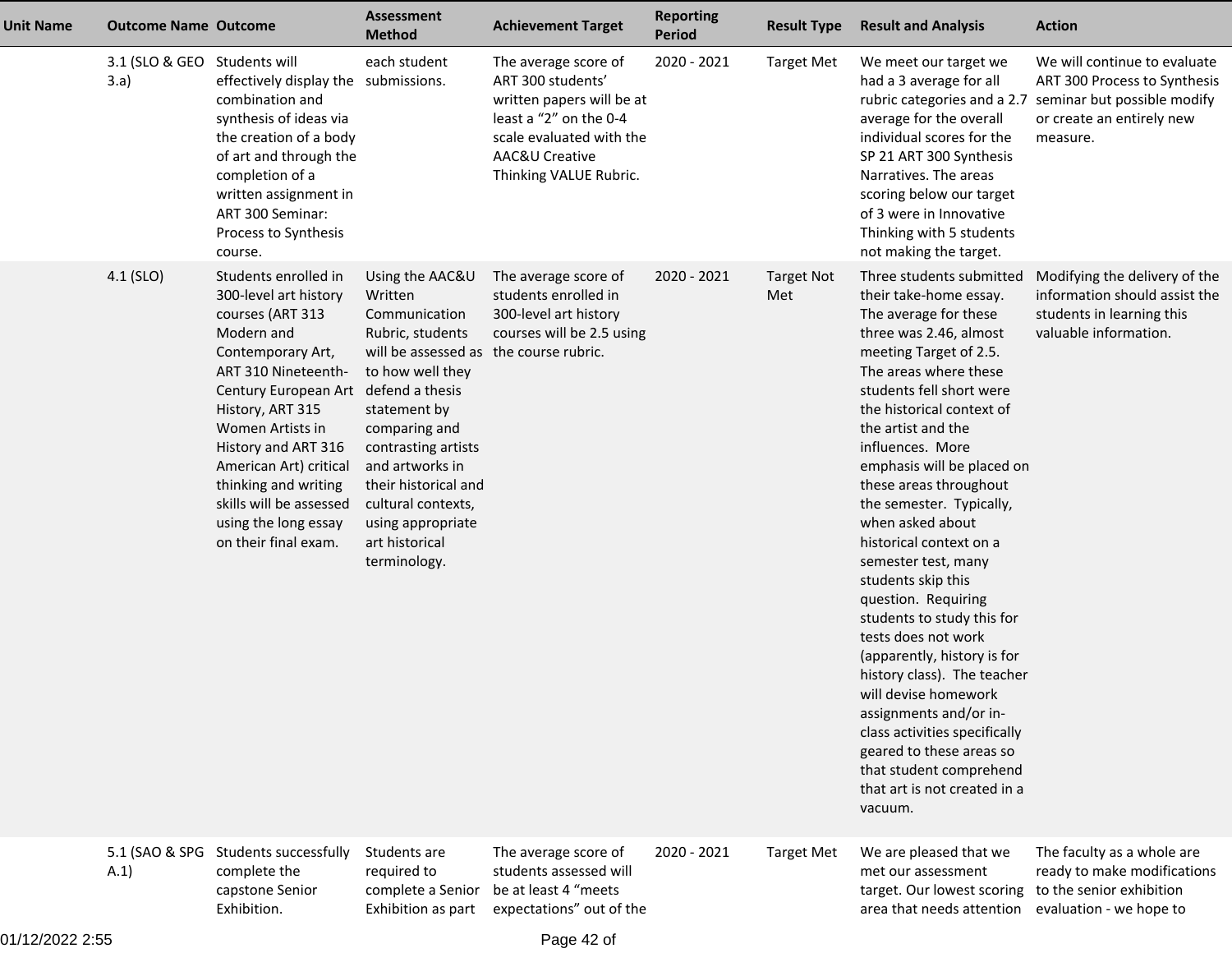| <b>Unit Name</b> | <b>Outcome Name Outcome</b>          |                                                                                                                                                                                                                                                                                                                                                                 | <b>Assessment</b><br><b>Method</b>                                                                                                                                                                                                                                                                            | <b>Achievement Target</b>                                                                                                                                                | <b>Reporting</b><br><b>Period</b> | <b>Result Type</b>       | <b>Result and Analysis</b>                                                                                                                                                                                                                                                                                                                                                                                                                                                                                                                                                                                                                                                                                                                                                 | <b>Action</b>                                                                                                                        |
|------------------|--------------------------------------|-----------------------------------------------------------------------------------------------------------------------------------------------------------------------------------------------------------------------------------------------------------------------------------------------------------------------------------------------------------------|---------------------------------------------------------------------------------------------------------------------------------------------------------------------------------------------------------------------------------------------------------------------------------------------------------------|--------------------------------------------------------------------------------------------------------------------------------------------------------------------------|-----------------------------------|--------------------------|----------------------------------------------------------------------------------------------------------------------------------------------------------------------------------------------------------------------------------------------------------------------------------------------------------------------------------------------------------------------------------------------------------------------------------------------------------------------------------------------------------------------------------------------------------------------------------------------------------------------------------------------------------------------------------------------------------------------------------------------------------------------------|--------------------------------------------------------------------------------------------------------------------------------------|
|                  | 3.1 (SLO & GEO Students will<br>3.a) | effectively display the submissions.<br>combination and<br>synthesis of ideas via<br>the creation of a body<br>of art and through the<br>completion of a<br>written assignment in<br>ART 300 Seminar:<br>Process to Synthesis<br>course.                                                                                                                        | each student                                                                                                                                                                                                                                                                                                  | The average score of<br>ART 300 students'<br>written papers will be at<br>least a "2" on the 0-4<br>scale evaluated with the<br>AAC&U Creative<br>Thinking VALUE Rubric. | 2020 - 2021                       | <b>Target Met</b>        | We meet our target we<br>had a 3 average for all<br>rubric categories and a 2.7<br>average for the overall<br>individual scores for the<br>SP 21 ART 300 Synthesis<br>Narratives. The areas<br>scoring below our target<br>of 3 were in Innovative<br>Thinking with 5 students<br>not making the target.                                                                                                                                                                                                                                                                                                                                                                                                                                                                   | We will continue to evaluate<br>ART 300 Process to Synthesis<br>seminar but possible modify<br>or create an entirely new<br>measure. |
|                  | 4.1 (SLO)                            | Students enrolled in<br>300-level art history<br>courses (ART 313<br>Modern and<br>Contemporary Art,<br>ART 310 Nineteenth-<br>Century European Art defend a thesis<br>History, ART 315<br>Women Artists in<br>History and ART 316<br>American Art) critical<br>thinking and writing<br>skills will be assessed<br>using the long essay<br>on their final exam. | Using the AAC&U<br>Written<br>Communication<br>Rubric, students<br>will be assessed as the course rubric.<br>to how well they<br>statement by<br>comparing and<br>contrasting artists<br>and artworks in<br>their historical and<br>cultural contexts,<br>using appropriate<br>art historical<br>terminology. | The average score of<br>students enrolled in<br>300-level art history<br>courses will be 2.5 using                                                                       | 2020 - 2021                       | <b>Target Not</b><br>Met | Three students submitted<br>their take-home essay.<br>The average for these<br>three was 2.46, almost<br>meeting Target of 2.5.<br>The areas where these<br>students fell short were<br>the historical context of<br>the artist and the<br>influences. More<br>emphasis will be placed on<br>these areas throughout<br>the semester. Typically,<br>when asked about<br>historical context on a<br>semester test, many<br>students skip this<br>question. Requiring<br>students to study this for<br>tests does not work<br>(apparently, history is for<br>history class). The teacher<br>will devise homework<br>assignments and/or in-<br>class activities specifically<br>geared to these areas so<br>that student comprehend<br>that art is not created in a<br>vacuum. | Modifying the delivery of the<br>information should assist the<br>students in learning this<br>valuable information.                 |
|                  | 5.1 (SAO & SPG<br>A.1)               | Students successfully<br>complete the<br>capstone Senior<br>Exhibition.                                                                                                                                                                                                                                                                                         | Students are<br>required to<br>complete a Senior<br>Exhibition as part                                                                                                                                                                                                                                        | The average score of<br>students assessed will<br>be at least 4 "meets<br>expectations" out of the                                                                       | 2020 - 2021                       | <b>Target Met</b>        | We are pleased that we<br>met our assessment<br>target. Our lowest scoring<br>area that needs attention                                                                                                                                                                                                                                                                                                                                                                                                                                                                                                                                                                                                                                                                    | The faculty as a whole are<br>ready to make modifications<br>to the senior exhibition<br>evaluation - we hope to                     |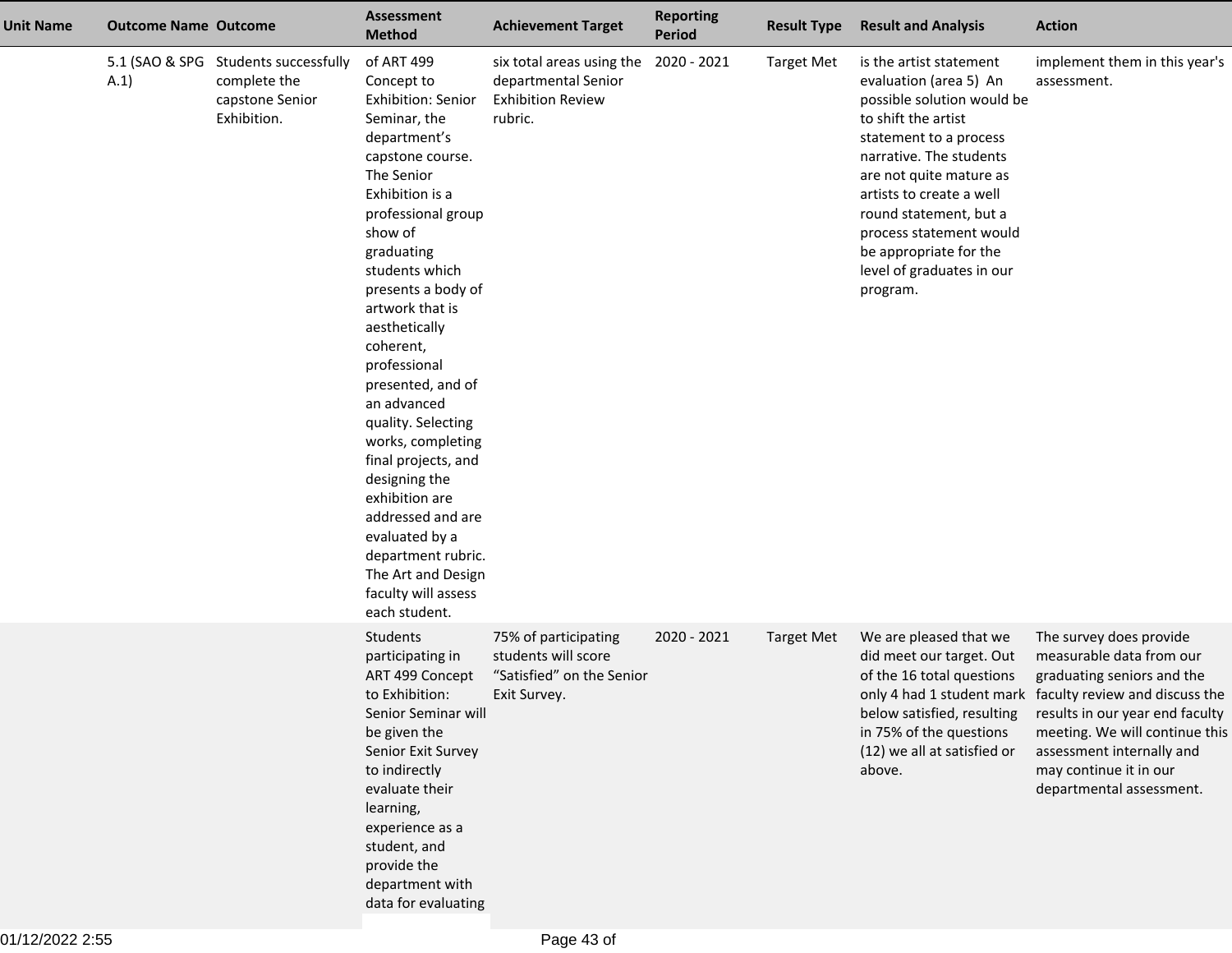| <b>Unit Name</b> | <b>Outcome Name Outcome</b> |                                                                                        | <b>Assessment</b><br><b>Method</b>                                                                                                                                                                                                                                                                                                                                                                                                                                                                                                                                     | <b>Achievement Target</b>                                                                | <b>Reporting</b><br><b>Period</b> | <b>Result Type</b> | <b>Result and Analysis</b>                                                                                                                                                                                                                                                                                                                 | <b>Action</b>                                                                                                                                                                                                                                                                                         |
|------------------|-----------------------------|----------------------------------------------------------------------------------------|------------------------------------------------------------------------------------------------------------------------------------------------------------------------------------------------------------------------------------------------------------------------------------------------------------------------------------------------------------------------------------------------------------------------------------------------------------------------------------------------------------------------------------------------------------------------|------------------------------------------------------------------------------------------|-----------------------------------|--------------------|--------------------------------------------------------------------------------------------------------------------------------------------------------------------------------------------------------------------------------------------------------------------------------------------------------------------------------------------|-------------------------------------------------------------------------------------------------------------------------------------------------------------------------------------------------------------------------------------------------------------------------------------------------------|
|                  | (A.1)                       | 5.1 (SAO & SPG Students successfully<br>complete the<br>capstone Senior<br>Exhibition. | of ART 499<br>Concept to<br><b>Exhibition: Senior</b><br>Seminar, the<br>department's<br>capstone course.<br>The Senior<br>Exhibition is a<br>professional group<br>show of<br>graduating<br>students which<br>presents a body of<br>artwork that is<br>aesthetically<br>coherent,<br>professional<br>presented, and of<br>an advanced<br>quality. Selecting<br>works, completing<br>final projects, and<br>designing the<br>exhibition are<br>addressed and are<br>evaluated by a<br>department rubric.<br>The Art and Design<br>faculty will assess<br>each student. | six total areas using the<br>departmental Senior<br><b>Exhibition Review</b><br>rubric.  | 2020 - 2021                       | <b>Target Met</b>  | is the artist statement<br>evaluation (area 5) An<br>possible solution would be<br>to shift the artist<br>statement to a process<br>narrative. The students<br>are not quite mature as<br>artists to create a well<br>round statement, but a<br>process statement would<br>be appropriate for the<br>level of graduates in our<br>program. | implement them in this year's<br>assessment.                                                                                                                                                                                                                                                          |
|                  |                             |                                                                                        | Students<br>participating in<br>ART 499 Concept<br>to Exhibition:<br>Senior Seminar will<br>be given the<br>Senior Exit Survey<br>to indirectly<br>evaluate their<br>learning,<br>experience as a<br>student, and<br>provide the<br>department with<br>data for evaluating                                                                                                                                                                                                                                                                                             | 75% of participating<br>students will score<br>"Satisfied" on the Senior<br>Exit Survey. | 2020 - 2021                       | <b>Target Met</b>  | We are pleased that we<br>did meet our target. Out<br>of the 16 total questions<br>below satisfied, resulting<br>in 75% of the questions<br>(12) we all at satisfied or<br>above.                                                                                                                                                          | The survey does provide<br>measurable data from our<br>graduating seniors and the<br>only 4 had 1 student mark faculty review and discuss the<br>results in our year end faculty<br>meeting. We will continue this<br>assessment internally and<br>may continue it in our<br>departmental assessment. |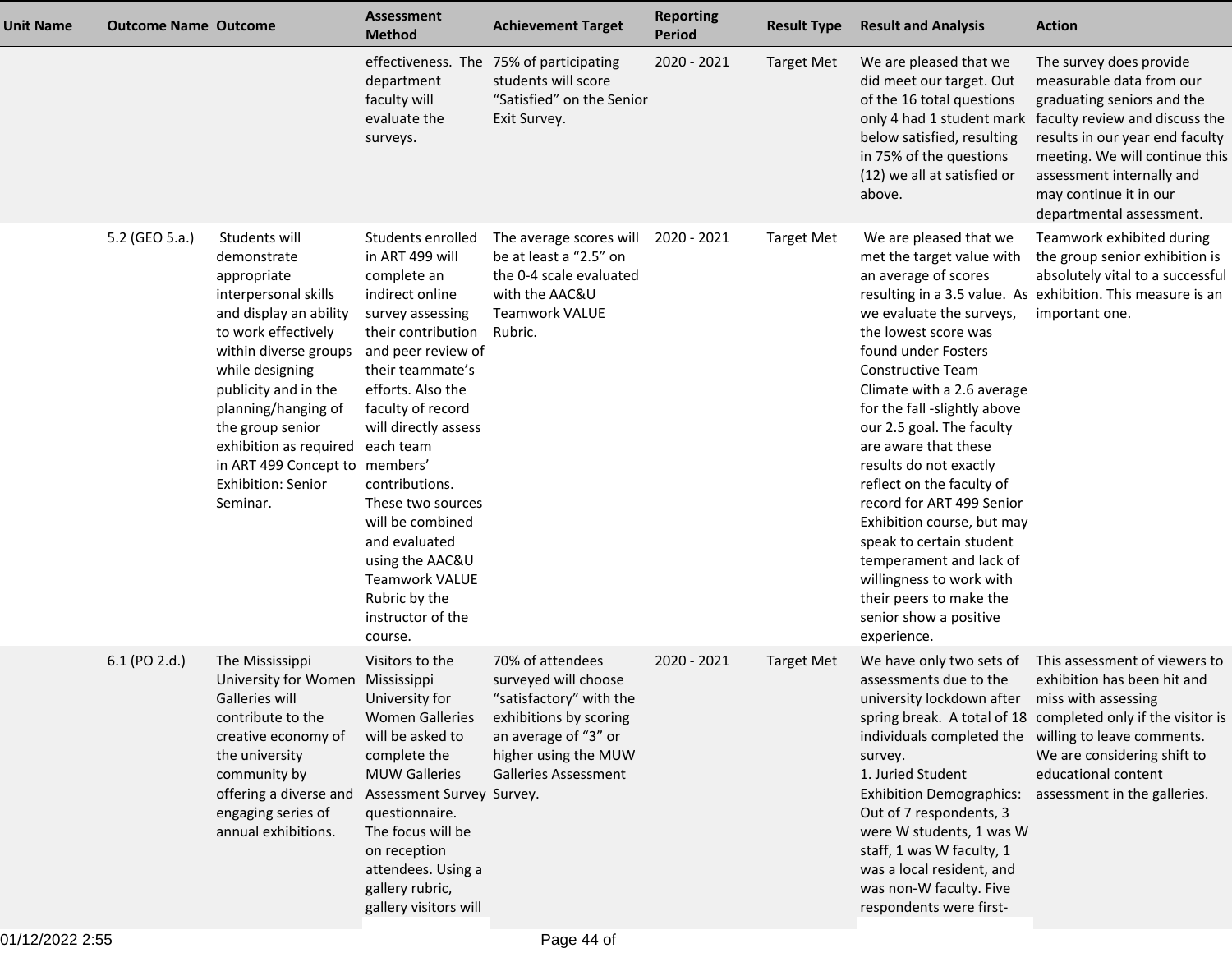| <b>Unit Name</b> | <b>Outcome Name Outcome</b> |                                                                                                                                                                                                                                                                                                                                   | <b>Assessment</b><br><b>Method</b>                                                                                                                                                                                                                                                                                                                                                                                 | <b>Achievement Target</b>                                                                                                                                                    | <b>Reporting</b><br><b>Period</b> | <b>Result Type</b> | <b>Result and Analysis</b>                                                                                                                                                                                                                                                                                                                                                                                                                                                                                                                                                     | <b>Action</b>                                                                                                                                                                                                                                                                                         |
|------------------|-----------------------------|-----------------------------------------------------------------------------------------------------------------------------------------------------------------------------------------------------------------------------------------------------------------------------------------------------------------------------------|--------------------------------------------------------------------------------------------------------------------------------------------------------------------------------------------------------------------------------------------------------------------------------------------------------------------------------------------------------------------------------------------------------------------|------------------------------------------------------------------------------------------------------------------------------------------------------------------------------|-----------------------------------|--------------------|--------------------------------------------------------------------------------------------------------------------------------------------------------------------------------------------------------------------------------------------------------------------------------------------------------------------------------------------------------------------------------------------------------------------------------------------------------------------------------------------------------------------------------------------------------------------------------|-------------------------------------------------------------------------------------------------------------------------------------------------------------------------------------------------------------------------------------------------------------------------------------------------------|
|                  |                             |                                                                                                                                                                                                                                                                                                                                   | department<br>faculty will<br>evaluate the<br>surveys.                                                                                                                                                                                                                                                                                                                                                             | effectiveness. The 75% of participating<br>students will score<br>"Satisfied" on the Senior<br>Exit Survey.                                                                  | 2020 - 2021                       | <b>Target Met</b>  | We are pleased that we<br>did meet our target. Out<br>of the 16 total questions<br>below satisfied, resulting<br>in 75% of the questions<br>(12) we all at satisfied or<br>above.                                                                                                                                                                                                                                                                                                                                                                                              | The survey does provide<br>measurable data from our<br>graduating seniors and the<br>only 4 had 1 student mark faculty review and discuss the<br>results in our year end faculty<br>meeting. We will continue this<br>assessment internally and<br>may continue it in our<br>departmental assessment. |
|                  | 5.2 (GEO 5.a.)              | Students will<br>demonstrate<br>appropriate<br>interpersonal skills<br>and display an ability<br>to work effectively<br>within diverse groups<br>while designing<br>publicity and in the<br>planning/hanging of<br>the group senior<br>exhibition as required<br>in ART 499 Concept to members'<br>Exhibition: Senior<br>Seminar. | Students enrolled<br>in ART 499 will<br>complete an<br>indirect online<br>survey assessing<br>their contribution<br>and peer review of<br>their teammate's<br>efforts. Also the<br>faculty of record<br>will directly assess<br>each team<br>contributions.<br>These two sources<br>will be combined<br>and evaluated<br>using the AAC&U<br><b>Teamwork VALUE</b><br>Rubric by the<br>instructor of the<br>course. | The average scores will<br>be at least a "2.5" on<br>the 0-4 scale evaluated<br>with the AAC&U<br><b>Teamwork VALUE</b><br>Rubric.                                           | 2020 - 2021                       | <b>Target Met</b>  | We are pleased that we<br>met the target value with<br>an average of scores<br>we evaluate the surveys,<br>the lowest score was<br>found under Fosters<br><b>Constructive Team</b><br>Climate with a 2.6 average<br>for the fall -slightly above<br>our 2.5 goal. The faculty<br>are aware that these<br>results do not exactly<br>reflect on the faculty of<br>record for ART 499 Senior<br>Exhibition course, but may<br>speak to certain student<br>temperament and lack of<br>willingness to work with<br>their peers to make the<br>senior show a positive<br>experience. | Teamwork exhibited during<br>the group senior exhibition is<br>absolutely vital to a successful<br>resulting in a 3.5 value. As exhibition. This measure is an<br>important one.                                                                                                                      |
|                  | 6.1 (PO 2.d.)               | The Mississippi<br>University for Women Mississippi<br>Galleries will<br>contribute to the<br>creative economy of<br>the university<br>community by<br>offering a diverse and<br>engaging series of<br>annual exhibitions.                                                                                                        | Visitors to the<br>University for<br><b>Women Galleries</b><br>will be asked to<br>complete the<br><b>MUW Galleries</b><br>Assessment Survey Survey.<br>questionnaire.<br>The focus will be<br>on reception<br>attendees. Using a<br>gallery rubric,<br>gallery visitors will                                                                                                                                      | 70% of attendees<br>surveyed will choose<br>"satisfactory" with the<br>exhibitions by scoring<br>an average of "3" or<br>higher using the MUW<br><b>Galleries Assessment</b> | 2020 - 2021                       | <b>Target Met</b>  | We have only two sets of<br>assessments due to the<br>university lockdown after miss with assessing<br>survey.<br>1. Juried Student<br><b>Exhibition Demographics:</b><br>Out of 7 respondents, 3<br>were W students, 1 was W<br>staff, 1 was W faculty, 1<br>was a local resident, and<br>was non-W faculty. Five<br>respondents were first-                                                                                                                                                                                                                                  | This assessment of viewers to<br>exhibition has been hit and<br>spring break. A total of 18 completed only if the visitor is<br>individuals completed the willing to leave comments.<br>We are considering shift to<br>educational content<br>assessment in the galleries.                            |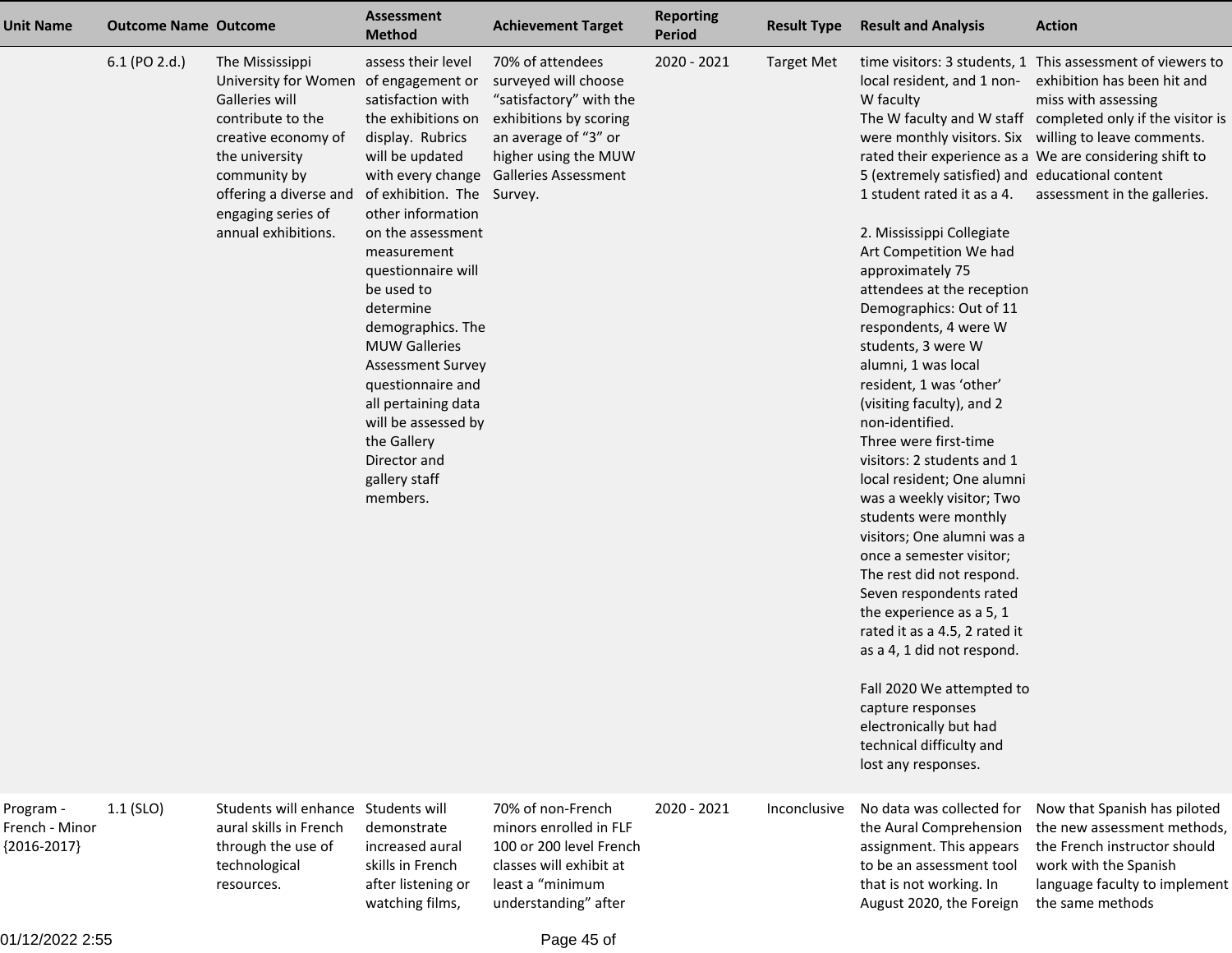| <b>Unit Name</b>                             | <b>Outcome Name Outcome</b> |                                                                                                                                                                                                                                 | <b>Assessment</b><br><b>Method</b>                                                                                                                                                                                                                                                                                                                                                                                                                                        | <b>Achievement Target</b>                                                                                                                                                    | <b>Reporting</b><br><b>Period</b> | <b>Result Type</b> | <b>Result and Analysis</b>                                                                                                                                                                                                                                                                                                                                                                                                                                                                                                                                                                                                                                                                                                                                                                                                                                                                           | <b>Action</b>                                                                                                                                                                                                                                                                                                                      |
|----------------------------------------------|-----------------------------|---------------------------------------------------------------------------------------------------------------------------------------------------------------------------------------------------------------------------------|---------------------------------------------------------------------------------------------------------------------------------------------------------------------------------------------------------------------------------------------------------------------------------------------------------------------------------------------------------------------------------------------------------------------------------------------------------------------------|------------------------------------------------------------------------------------------------------------------------------------------------------------------------------|-----------------------------------|--------------------|------------------------------------------------------------------------------------------------------------------------------------------------------------------------------------------------------------------------------------------------------------------------------------------------------------------------------------------------------------------------------------------------------------------------------------------------------------------------------------------------------------------------------------------------------------------------------------------------------------------------------------------------------------------------------------------------------------------------------------------------------------------------------------------------------------------------------------------------------------------------------------------------------|------------------------------------------------------------------------------------------------------------------------------------------------------------------------------------------------------------------------------------------------------------------------------------------------------------------------------------|
|                                              | 6.1 (PO 2.d.)               | The Mississippi<br>University for Women of engagement or<br>Galleries will<br>contribute to the<br>creative economy of<br>the university<br>community by<br>offering a diverse and<br>engaging series of<br>annual exhibitions. | assess their level<br>satisfaction with<br>the exhibitions on<br>display. Rubrics<br>will be updated<br>with every change<br>of exhibition. The Survey.<br>other information<br>on the assessment<br>measurement<br>questionnaire will<br>be used to<br>determine<br>demographics. The<br><b>MUW Galleries</b><br><b>Assessment Survey</b><br>questionnaire and<br>all pertaining data<br>will be assessed by<br>the Gallery<br>Director and<br>gallery staff<br>members. | 70% of attendees<br>surveyed will choose<br>"satisfactory" with the<br>exhibitions by scoring<br>an average of "3" or<br>higher using the MUW<br><b>Galleries Assessment</b> | 2020 - 2021                       | <b>Target Met</b>  | local resident, and 1 non-<br>W faculty<br>5 (extremely satisfied) and educational content<br>1 student rated it as a 4.<br>2. Mississippi Collegiate<br>Art Competition We had<br>approximately 75<br>attendees at the reception<br>Demographics: Out of 11<br>respondents, 4 were W<br>students, 3 were W<br>alumni, 1 was local<br>resident, 1 was 'other'<br>(visiting faculty), and 2<br>non-identified.<br>Three were first-time<br>visitors: 2 students and 1<br>local resident; One alumni<br>was a weekly visitor; Two<br>students were monthly<br>visitors; One alumni was a<br>once a semester visitor;<br>The rest did not respond.<br>Seven respondents rated<br>the experience as a 5, 1<br>rated it as a 4.5, 2 rated it<br>as a 4, 1 did not respond.<br>Fall 2020 We attempted to<br>capture responses<br>electronically but had<br>technical difficulty and<br>lost any responses. | time visitors: 3 students, 1 This assessment of viewers to<br>exhibition has been hit and<br>miss with assessing<br>The W faculty and W staff completed only if the visitor is<br>were monthly visitors. Six willing to leave comments.<br>rated their experience as a We are considering shift to<br>assessment in the galleries. |
| Program -<br>French - Minor<br>${2016-2017}$ | $1.1$ (SLO)                 | Students will enhance Students will<br>aural skills in French<br>through the use of<br>technological<br>resources.                                                                                                              | demonstrate<br>increased aural<br>skills in French<br>after listening or<br>watching films,                                                                                                                                                                                                                                                                                                                                                                               | 70% of non-French<br>minors enrolled in FLF<br>100 or 200 level French<br>classes will exhibit at<br>least a "minimum<br>understanding" after                                | 2020 - 2021                       | Inconclusive       | No data was collected for<br>the Aural Comprehension<br>assignment. This appears<br>to be an assessment tool<br>that is not working. In<br>August 2020, the Foreign                                                                                                                                                                                                                                                                                                                                                                                                                                                                                                                                                                                                                                                                                                                                  | Now that Spanish has piloted<br>the new assessment methods,<br>the French instructor should<br>work with the Spanish<br>language faculty to implement<br>the same methods                                                                                                                                                          |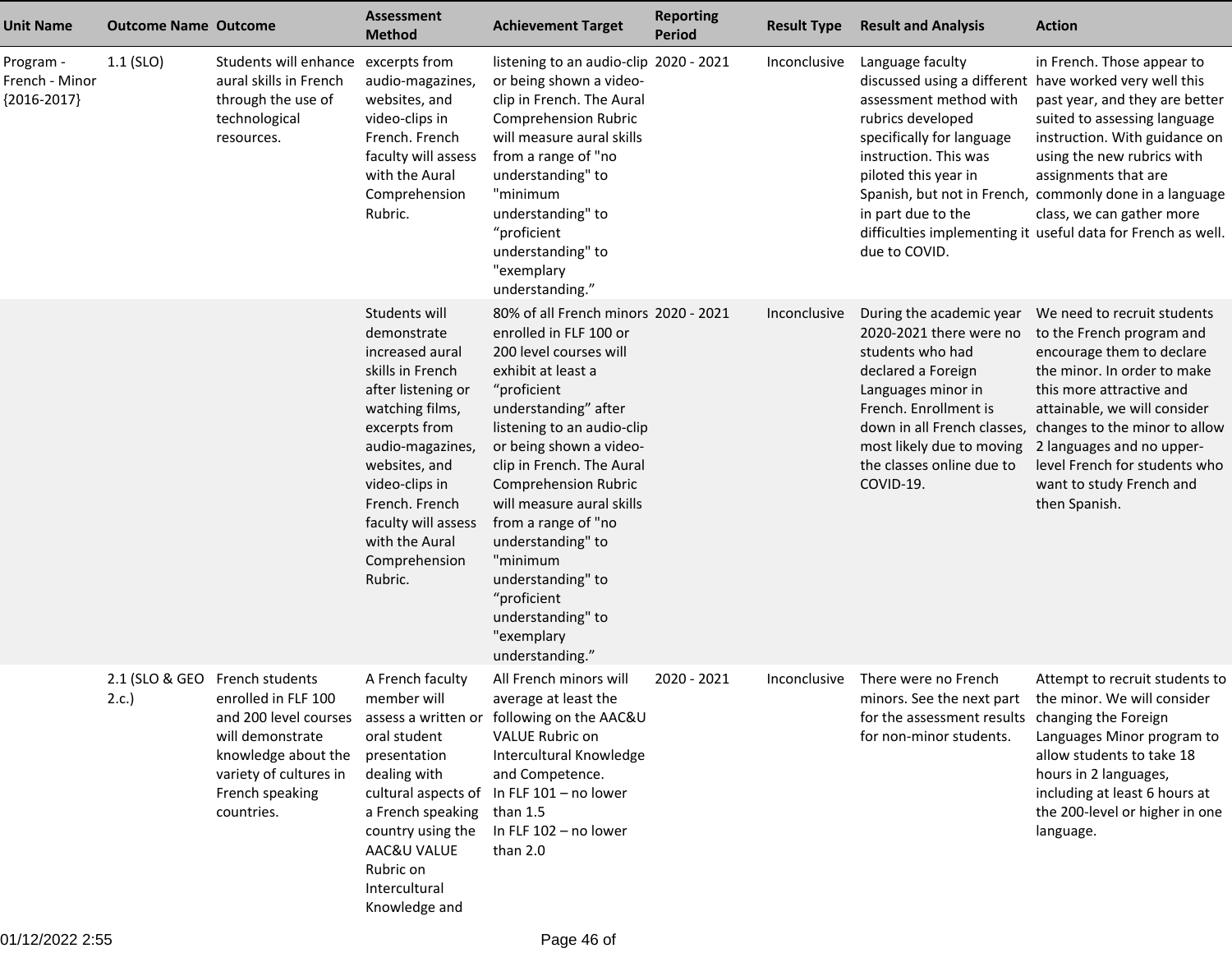| <b>Unit Name</b>                             | <b>Outcome Name Outcome</b> |                                                                                                                                                             | Assessment<br><b>Method</b>                                                                                                                                                                                                                                                 | <b>Achievement Target</b>                                                                                                                                                                                                                                                                                                                                                                                                                                 | <b>Reporting</b><br><b>Period</b> | <b>Result Type</b> | <b>Result and Analysis</b>                                                                                                                                                                                                                         | <b>Action</b>                                                                                                                                                                                                                                                                                                                               |
|----------------------------------------------|-----------------------------|-------------------------------------------------------------------------------------------------------------------------------------------------------------|-----------------------------------------------------------------------------------------------------------------------------------------------------------------------------------------------------------------------------------------------------------------------------|-----------------------------------------------------------------------------------------------------------------------------------------------------------------------------------------------------------------------------------------------------------------------------------------------------------------------------------------------------------------------------------------------------------------------------------------------------------|-----------------------------------|--------------------|----------------------------------------------------------------------------------------------------------------------------------------------------------------------------------------------------------------------------------------------------|---------------------------------------------------------------------------------------------------------------------------------------------------------------------------------------------------------------------------------------------------------------------------------------------------------------------------------------------|
| Program -<br>French - Minor<br>${2016-2017}$ | $1.1$ (SLO)                 | Students will enhance<br>aural skills in French<br>through the use of<br>technological<br>resources.                                                        | excerpts from<br>audio-magazines,<br>websites, and<br>video-clips in<br>French. French<br>faculty will assess<br>with the Aural<br>Comprehension<br>Rubric.                                                                                                                 | listening to an audio-clip 2020 - 2021<br>or being shown a video-<br>clip in French. The Aural<br><b>Comprehension Rubric</b><br>will measure aural skills<br>from a range of "no<br>understanding" to<br>"minimum<br>understanding" to<br>"proficient<br>understanding" to<br>"exemplary<br>understanding."                                                                                                                                              |                                   | Inconclusive       | Language faculty<br>discussed using a different have worked very well this<br>assessment method with<br>rubrics developed<br>specifically for language<br>instruction. This was<br>piloted this year in<br>in part due to the<br>due to COVID.     | in French. Those appear to<br>past year, and they are better<br>suited to assessing language<br>instruction. With guidance on<br>using the new rubrics with<br>assignments that are<br>Spanish, but not in French, commonly done in a language<br>class, we can gather more<br>difficulties implementing it useful data for French as well. |
|                                              |                             |                                                                                                                                                             | Students will<br>demonstrate<br>increased aural<br>skills in French<br>after listening or<br>watching films,<br>excerpts from<br>audio-magazines,<br>websites, and<br>video-clips in<br>French. French<br>faculty will assess<br>with the Aural<br>Comprehension<br>Rubric. | 80% of all French minors 2020 - 2021<br>enrolled in FLF 100 or<br>200 level courses will<br>exhibit at least a<br>"proficient<br>understanding" after<br>listening to an audio-clip<br>or being shown a video-<br>clip in French. The Aural<br><b>Comprehension Rubric</b><br>will measure aural skills<br>from a range of "no<br>understanding" to<br>"minimum<br>understanding" to<br>"proficient<br>understanding" to<br>"exemplary<br>understanding." |                                   | Inconclusive       | During the academic year<br>2020-2021 there were no<br>students who had<br>declared a Foreign<br>Languages minor in<br>French. Enrollment is<br>down in all French classes,<br>most likely due to moving<br>the classes online due to<br>COVID-19. | We need to recruit students<br>to the French program and<br>encourage them to declare<br>the minor. In order to make<br>this more attractive and<br>attainable, we will consider<br>changes to the minor to allow<br>2 languages and no upper-<br>level French for students who<br>want to study French and<br>then Spanish.                |
|                                              | 2.c.                        | 2.1 (SLO & GEO French students<br>enrolled in FLF 100<br>will demonstrate<br>knowledge about the<br>variety of cultures in<br>French speaking<br>countries. | A French faculty<br>member will<br>oral student<br>presentation<br>dealing with<br>a French speaking<br>country using the<br>AAC&U VALUE<br>Rubric on<br>Intercultural<br>Knowledge and                                                                                     | All French minors will<br>average at least the<br>and 200 level courses assess a written or following on the AAC&U<br><b>VALUE Rubric on</b><br>Intercultural Knowledge<br>and Competence.<br>cultural aspects of In FLF 101 - no lower<br>than $1.5$<br>In FLF 102 - no lower<br>than 2.0                                                                                                                                                                | 2020 - 2021                       | Inconclusive       | There were no French<br>for the assessment results changing the Foreign<br>for non-minor students.                                                                                                                                                 | Attempt to recruit students to<br>minors. See the next part the minor. We will consider<br>Languages Minor program to<br>allow students to take 18<br>hours in 2 languages,<br>including at least 6 hours at<br>the 200-level or higher in one<br>language.                                                                                 |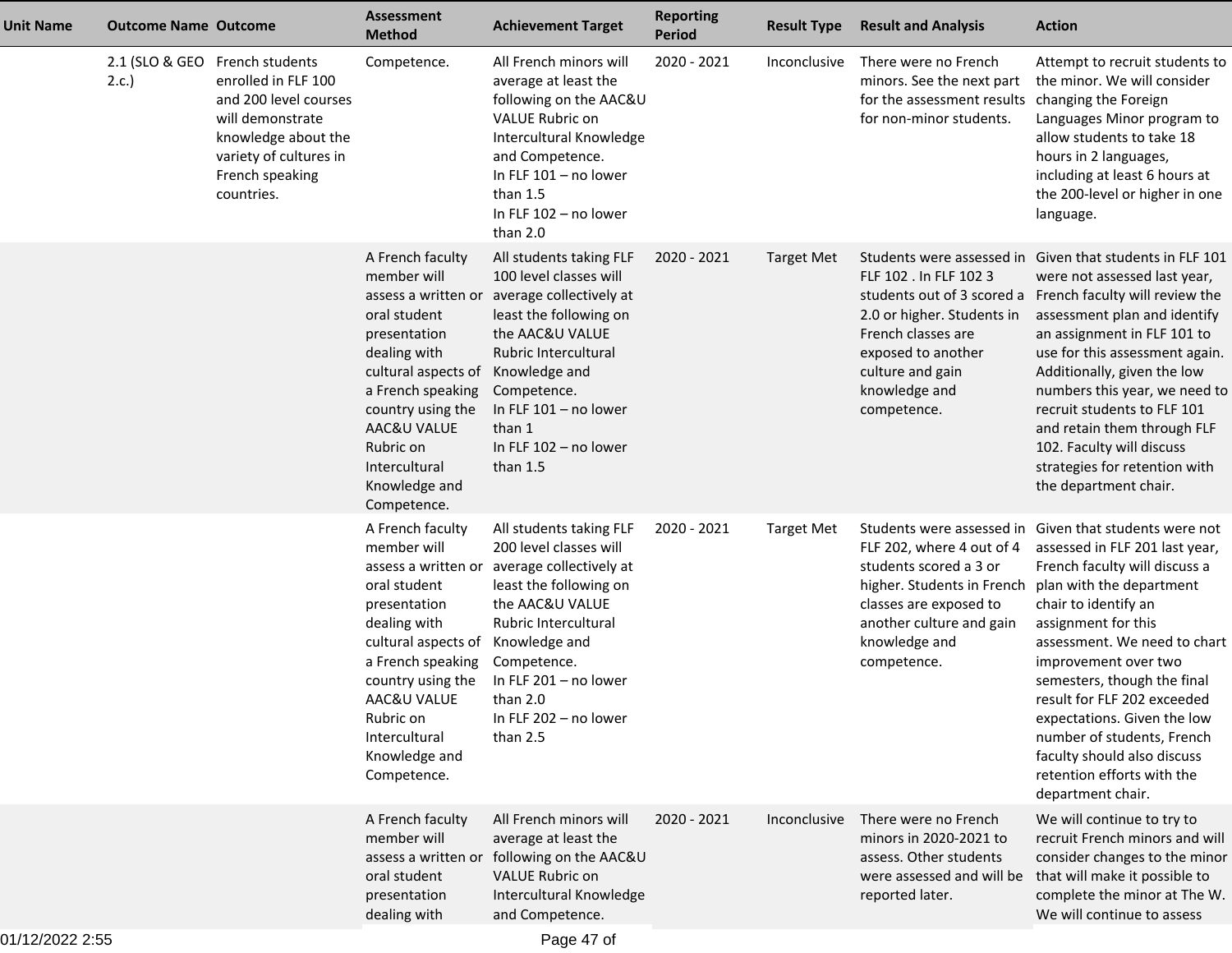| <b>Unit Name</b> | <b>Outcome Name Outcome</b>            |                                                                                                                                                    | <b>Assessment</b><br><b>Method</b>                                                                                                                                                                                                                   | <b>Achievement Target</b>                                                                                                                                                                                                                                     | <b>Reporting</b><br><b>Period</b> | <b>Result Type</b> | <b>Result and Analysis</b>                                                                                                                                                                       | <b>Action</b>                                                                                                                                                                                                                                                                                                                                                                                                                                                               |
|------------------|----------------------------------------|----------------------------------------------------------------------------------------------------------------------------------------------------|------------------------------------------------------------------------------------------------------------------------------------------------------------------------------------------------------------------------------------------------------|---------------------------------------------------------------------------------------------------------------------------------------------------------------------------------------------------------------------------------------------------------------|-----------------------------------|--------------------|--------------------------------------------------------------------------------------------------------------------------------------------------------------------------------------------------|-----------------------------------------------------------------------------------------------------------------------------------------------------------------------------------------------------------------------------------------------------------------------------------------------------------------------------------------------------------------------------------------------------------------------------------------------------------------------------|
|                  | 2.1 (SLO & GEO French students<br>2.c. | enrolled in FLF 100<br>and 200 level courses<br>will demonstrate<br>knowledge about the<br>variety of cultures in<br>French speaking<br>countries. | Competence.                                                                                                                                                                                                                                          | All French minors will<br>average at least the<br>following on the AAC&U<br><b>VALUE Rubric on</b><br>Intercultural Knowledge<br>and Competence.<br>In FLF 101 - no lower<br>than $1.5$<br>In FLF 102 - no lower<br>than 2.0                                  | 2020 - 2021                       | Inconclusive       | There were no French<br>minors. See the next part<br>for the assessment results changing the Foreign<br>for non-minor students.                                                                  | Attempt to recruit students to<br>the minor. We will consider<br>Languages Minor program to<br>allow students to take 18<br>hours in 2 languages,<br>including at least 6 hours at<br>the 200-level or higher in one<br>language.                                                                                                                                                                                                                                           |
|                  |                                        |                                                                                                                                                    | A French faculty<br>member will<br>assess a written or<br>oral student<br>presentation<br>dealing with<br>cultural aspects of<br>a French speaking<br>country using the<br>AAC&U VALUE<br>Rubric on<br>Intercultural<br>Knowledge and<br>Competence. | All students taking FLF<br>100 level classes will<br>average collectively at<br>least the following on<br>the AAC&U VALUE<br>Rubric Intercultural<br>Knowledge and<br>Competence.<br>In FLF $101 - no$ lower<br>than 1<br>In FLF 102 - no lower<br>than $1.5$ | 2020 - 2021                       | <b>Target Met</b>  | FLF 102 . In FLF 102 3<br>2.0 or higher. Students in<br>French classes are<br>exposed to another<br>culture and gain<br>knowledge and<br>competence.                                             | Students were assessed in Given that students in FLF 101<br>were not assessed last year,<br>students out of 3 scored a French faculty will review the<br>assessment plan and identify<br>an assignment in FLF 101 to<br>use for this assessment again.<br>Additionally, given the low<br>numbers this year, we need to<br>recruit students to FLF 101<br>and retain them through FLF<br>102. Faculty will discuss<br>strategies for retention with<br>the department chair. |
|                  |                                        |                                                                                                                                                    | A French faculty<br>member will<br>assess a written or<br>oral student<br>presentation<br>dealing with<br>cultural aspects of<br>a French speaking<br>country using the<br>AAC&U VALUE<br>Rubric on<br>Intercultural<br>Knowledge and<br>Competence. | All students taking FLF<br>200 level classes will<br>average collectively at<br>least the following on<br>the AAC&U VALUE<br>Rubric Intercultural<br>Knowledge and<br>Competence.<br>In FLF 201 - no lower<br>than 2.0<br>In FLF 202 - no lower<br>than $2.5$ | 2020 - 2021                       | <b>Target Met</b>  | FLF 202, where 4 out of 4<br>students scored a 3 or<br>higher. Students in French plan with the department<br>classes are exposed to<br>another culture and gain<br>knowledge and<br>competence. | Students were assessed in Given that students were not<br>assessed in FLF 201 last year,<br>French faculty will discuss a<br>chair to identify an<br>assignment for this<br>assessment. We need to chart<br>improvement over two<br>semesters, though the final<br>result for FLF 202 exceeded<br>expectations. Given the low<br>number of students, French<br>faculty should also discuss<br>retention efforts with the<br>department chair.                               |
|                  |                                        |                                                                                                                                                    | A French faculty<br>member will<br>assess a written or<br>oral student<br>presentation<br>dealing with                                                                                                                                               | All French minors will<br>average at least the<br>following on the AAC&U<br><b>VALUE Rubric on</b><br>Intercultural Knowledge<br>and Competence.                                                                                                              | 2020 - 2021                       | Inconclusive       | There were no French<br>minors in 2020-2021 to<br>assess. Other students<br>reported later.                                                                                                      | We will continue to try to<br>recruit French minors and will<br>consider changes to the minor<br>were assessed and will be that will make it possible to<br>complete the minor at The W.<br>We will continue to assess                                                                                                                                                                                                                                                      |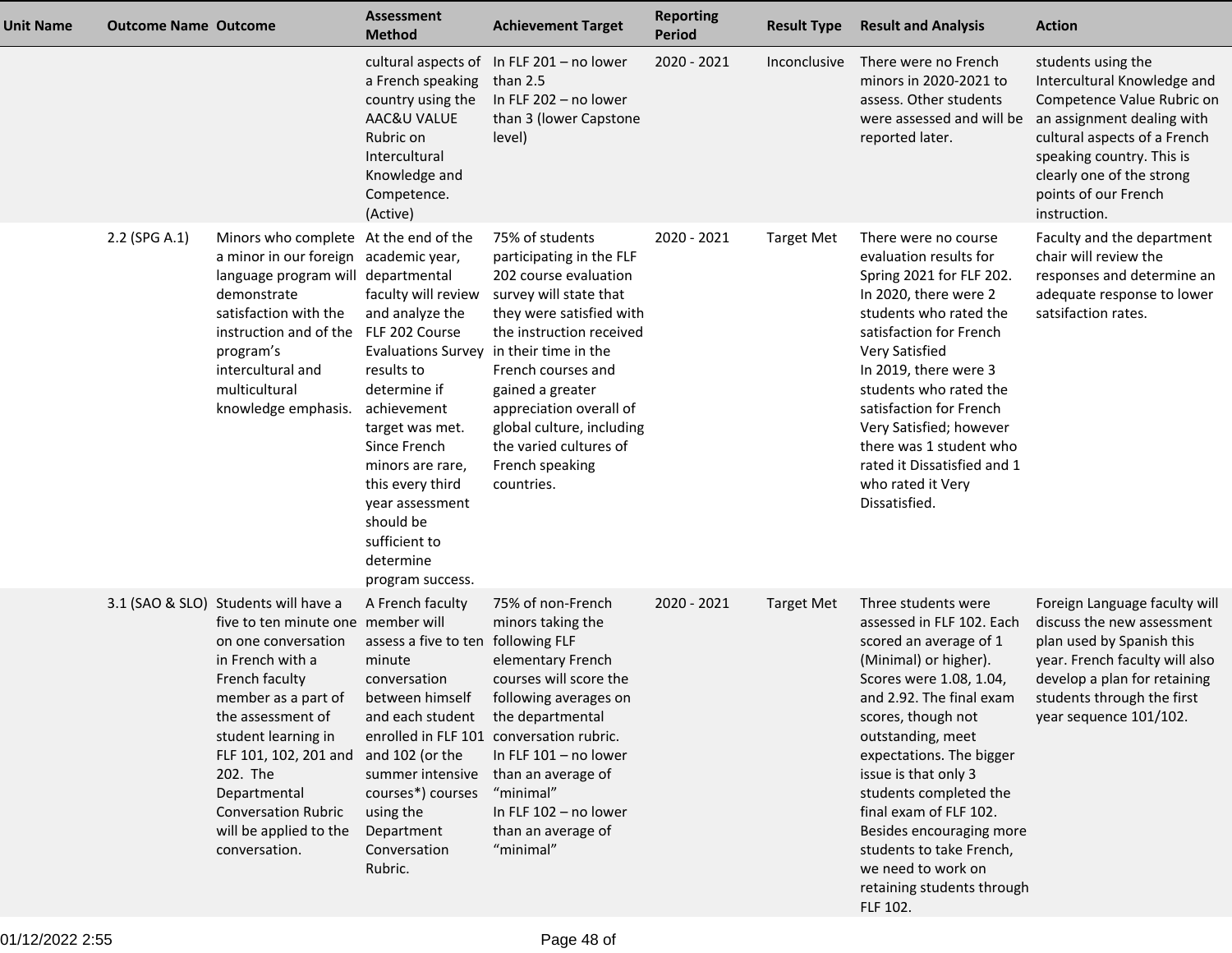| <b>Unit Name</b> | <b>Outcome Name Outcome</b> |                                                                                                                                                                                                                                                                                                                                          | Assessment<br><b>Method</b>                                                                                                                                                                                                                                                                                   | <b>Achievement Target</b>                                                                                                                                                                                                                                                                                           | <b>Reporting</b><br><b>Period</b> | <b>Result Type</b> | <b>Result and Analysis</b>                                                                                                                                                                                                                                                                                                                                                                                                            | <b>Action</b>                                                                                                                                                                                                                                   |
|------------------|-----------------------------|------------------------------------------------------------------------------------------------------------------------------------------------------------------------------------------------------------------------------------------------------------------------------------------------------------------------------------------|---------------------------------------------------------------------------------------------------------------------------------------------------------------------------------------------------------------------------------------------------------------------------------------------------------------|---------------------------------------------------------------------------------------------------------------------------------------------------------------------------------------------------------------------------------------------------------------------------------------------------------------------|-----------------------------------|--------------------|---------------------------------------------------------------------------------------------------------------------------------------------------------------------------------------------------------------------------------------------------------------------------------------------------------------------------------------------------------------------------------------------------------------------------------------|-------------------------------------------------------------------------------------------------------------------------------------------------------------------------------------------------------------------------------------------------|
|                  |                             |                                                                                                                                                                                                                                                                                                                                          | a French speaking<br>country using the<br>AAC&U VALUE<br>Rubric on<br>Intercultural<br>Knowledge and<br>Competence.<br>(Active)                                                                                                                                                                               | cultural aspects of In FLF 201 - no lower<br>than 2.5<br>In FLF 202 - no lower<br>than 3 (lower Capstone<br>level)                                                                                                                                                                                                  | 2020 - 2021                       | Inconclusive       | There were no French<br>minors in 2020-2021 to<br>assess. Other students<br>were assessed and will be<br>reported later.                                                                                                                                                                                                                                                                                                              | students using the<br>Intercultural Knowledge and<br>Competence Value Rubric on<br>an assignment dealing with<br>cultural aspects of a French<br>speaking country. This is<br>clearly one of the strong<br>points of our French<br>instruction. |
|                  | 2.2 (SPG A.1)               | Minors who complete At the end of the<br>a minor in our foreign academic year,<br>language program will departmental<br>demonstrate<br>satisfaction with the<br>instruction and of the<br>program's<br>intercultural and<br>multicultural<br>knowledge emphasis.                                                                         | faculty will review<br>and analyze the<br>FLF 202 Course<br>Evaluations Survey in their time in the<br>results to<br>determine if<br>achievement<br>target was met.<br>Since French<br>minors are rare,<br>this every third<br>year assessment<br>should be<br>sufficient to<br>determine<br>program success. | 75% of students<br>participating in the FLF<br>202 course evaluation<br>survey will state that<br>they were satisfied with<br>the instruction received<br>French courses and<br>gained a greater<br>appreciation overall of<br>global culture, including<br>the varied cultures of<br>French speaking<br>countries. | 2020 - 2021                       | <b>Target Met</b>  | There were no course<br>evaluation results for<br>Spring 2021 for FLF 202.<br>In 2020, there were 2<br>students who rated the<br>satisfaction for French<br>Very Satisfied<br>In 2019, there were 3<br>students who rated the<br>satisfaction for French<br>Very Satisfied; however<br>there was 1 student who<br>rated it Dissatisfied and 1<br>who rated it Very<br>Dissatisfied.                                                   | Faculty and the department<br>chair will review the<br>responses and determine an<br>adequate response to lower<br>satsifaction rates.                                                                                                          |
|                  |                             | 3.1 (SAO & SLO) Students will have a<br>five to ten minute one member will<br>on one conversation<br>in French with a<br>French faculty<br>member as a part of<br>the assessment of<br>student learning in<br>FLF 101, 102, 201 and<br>202. The<br>Departmental<br><b>Conversation Rubric</b><br>will be applied to the<br>conversation. | A French faculty<br>assess a five to ten following FLF<br>minute<br>conversation<br>between himself<br>and each student the departmental<br>and 102 (or the<br>summer intensive<br>courses*) courses<br>using the<br>Department<br>Conversation<br>Rubric.                                                    | 75% of non-French<br>minors taking the<br>elementary French<br>courses will score the<br>following averages on<br>enrolled in FLF 101 conversation rubric.<br>In FLF $101 - no lower$<br>than an average of<br>"minimal"<br>In FLF 102 - no lower<br>than an average of<br>"minimal"                                | 2020 - 2021                       | <b>Target Met</b>  | Three students were<br>assessed in FLF 102. Each<br>scored an average of 1<br>(Minimal) or higher).<br>Scores were 1.08, 1.04,<br>and 2.92. The final exam<br>scores, though not<br>outstanding, meet<br>expectations. The bigger<br>issue is that only 3<br>students completed the<br>final exam of FLF 102.<br>Besides encouraging more<br>students to take French,<br>we need to work on<br>retaining students through<br>FLF 102. | Foreign Language faculty will<br>discuss the new assessment<br>plan used by Spanish this<br>year. French faculty will also<br>develop a plan for retaining<br>students through the first<br>year sequence 101/102.                              |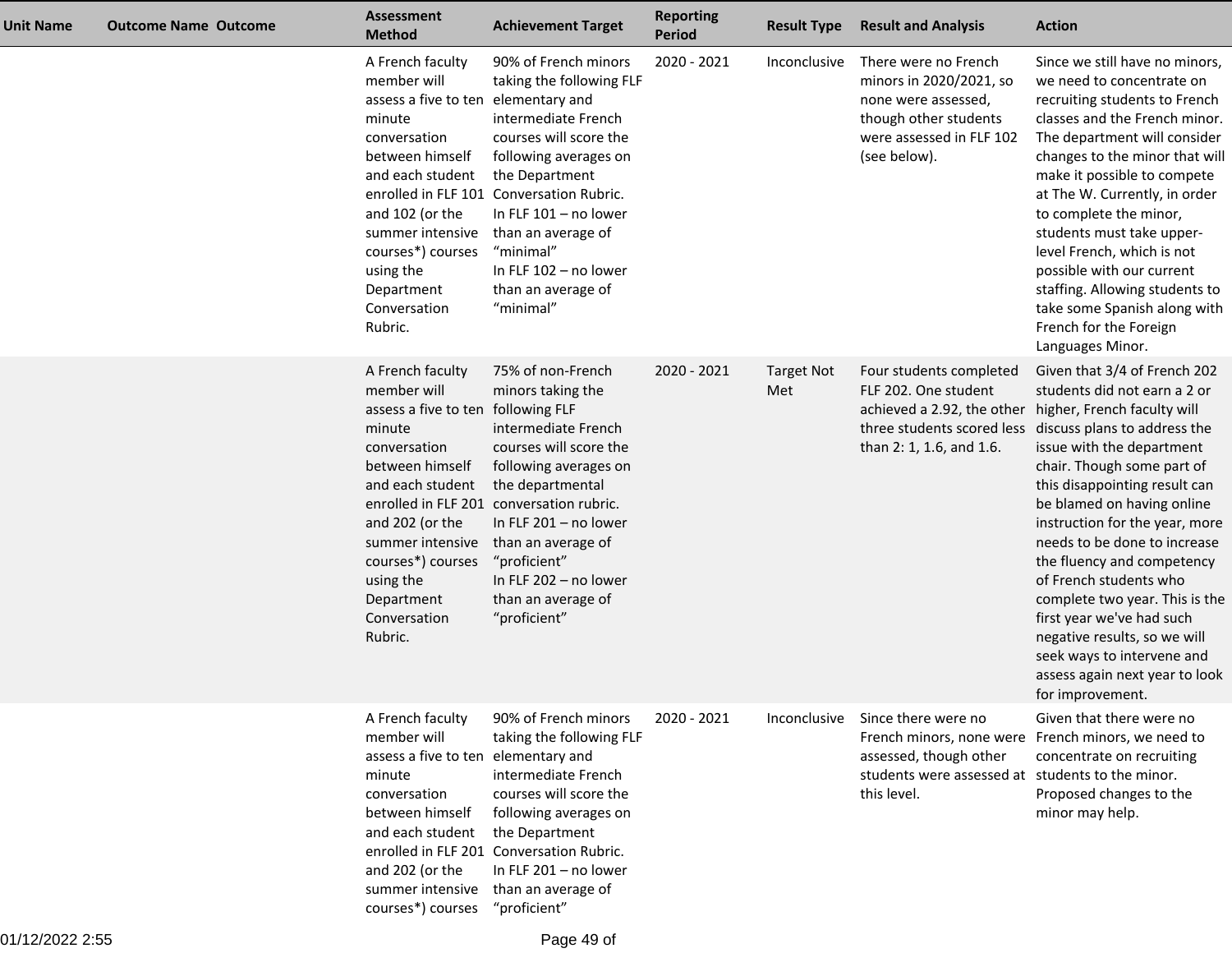| Unit Name | <b>Outcome Name Outcome</b> | <b>Assessment</b><br><b>Method</b>                                                                                                                                                                                                                        | <b>Achievement Target</b>                                                                                                                                                                                                                                                                                                       | <b>Reporting</b><br><b>Period</b> | <b>Result Type</b>       | <b>Result and Analysis</b>                                                                                                                  | <b>Action</b>                                                                                                                                                                                                                                                                                                                                                                                                                                                                                                                                                  |
|-----------|-----------------------------|-----------------------------------------------------------------------------------------------------------------------------------------------------------------------------------------------------------------------------------------------------------|---------------------------------------------------------------------------------------------------------------------------------------------------------------------------------------------------------------------------------------------------------------------------------------------------------------------------------|-----------------------------------|--------------------------|---------------------------------------------------------------------------------------------------------------------------------------------|----------------------------------------------------------------------------------------------------------------------------------------------------------------------------------------------------------------------------------------------------------------------------------------------------------------------------------------------------------------------------------------------------------------------------------------------------------------------------------------------------------------------------------------------------------------|
|           |                             | A French faculty<br>member will<br>assess a five to ten elementary and<br>minute<br>conversation<br>between himself<br>and each student<br>and 102 (or the<br>summer intensive<br>courses*) courses<br>using the<br>Department<br>Conversation<br>Rubric. | 90% of French minors<br>taking the following FLF<br>intermediate French<br>courses will score the<br>following averages on<br>the Department<br>enrolled in FLF 101 Conversation Rubric.<br>In FLF $101 - no$ lower<br>than an average of<br>"minimal"<br>In FLF 102 - no lower<br>than an average of<br>"minimal"              | 2020 - 2021                       | Inconclusive             | There were no French<br>minors in 2020/2021, so<br>none were assessed,<br>though other students<br>were assessed in FLF 102<br>(see below). | Since we still have no minors,<br>we need to concentrate on<br>recruiting students to French<br>classes and the French minor.<br>The department will consider<br>changes to the minor that will<br>make it possible to compete<br>at The W. Currently, in order<br>to complete the minor,<br>students must take upper-<br>level French, which is not<br>possible with our current<br>staffing. Allowing students to<br>take some Spanish along with<br>French for the Foreign<br>Languages Minor.                                                              |
|           |                             | A French faculty<br>member will<br>assess a five to ten<br>minute<br>conversation<br>between himself<br>and each student<br>and 202 (or the<br>summer intensive<br>courses*) courses<br>using the<br>Department<br>Conversation<br>Rubric.                | 75% of non-French<br>minors taking the<br>following FLF<br>intermediate French<br>courses will score the<br>following averages on<br>the departmental<br>enrolled in FLF 201 conversation rubric.<br>In FLF 201 - no lower<br>than an average of<br>"proficient"<br>In FLF 202 - no lower<br>than an average of<br>"proficient" | 2020 - 2021                       | <b>Target Not</b><br>Met | Four students completed<br>FLF 202. One student<br>achieved a 2.92, the other higher, French faculty will<br>than 2: 1, 1.6, and 1.6.       | Given that 3/4 of French 202<br>students did not earn a 2 or<br>three students scored less discuss plans to address the<br>issue with the department<br>chair. Though some part of<br>this disappointing result can<br>be blamed on having online<br>instruction for the year, more<br>needs to be done to increase<br>the fluency and competency<br>of French students who<br>complete two year. This is the<br>first year we've had such<br>negative results, so we will<br>seek ways to intervene and<br>assess again next year to look<br>for improvement. |
|           |                             | A French faculty<br>member will<br>assess a five to ten<br>minute<br>conversation<br>between himself<br>and each student<br>and 202 (or the<br>summer intensive<br>courses*) courses "proficient"                                                         | 90% of French minors<br>taking the following FLF<br>elementary and<br>intermediate French<br>courses will score the<br>following averages on<br>the Department<br>enrolled in FLF 201 Conversation Rubric.<br>In FLF 201 - no lower<br>than an average of                                                                       | 2020 - 2021                       | Inconclusive             | Since there were no<br>assessed, though other<br>students were assessed at students to the minor.<br>this level.                            | Given that there were no<br>French minors, none were French minors, we need to<br>concentrate on recruiting<br>Proposed changes to the<br>minor may help.                                                                                                                                                                                                                                                                                                                                                                                                      |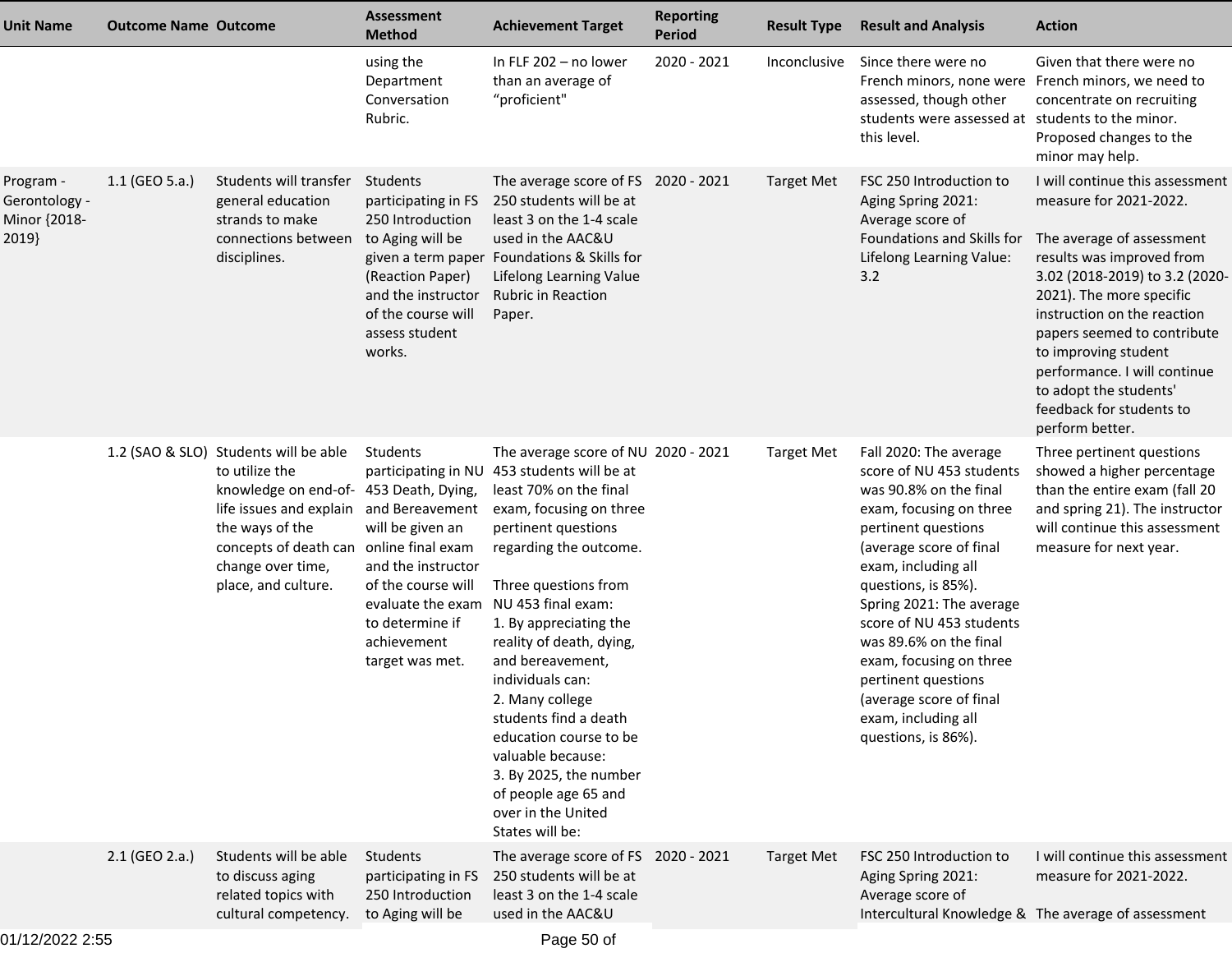| <b>Unit Name</b>                                    | <b>Outcome Name Outcome</b> |                                                                                                                                                                                                                                                        | <b>Assessment</b><br><b>Method</b>                                                                                                                                                        | <b>Achievement Target</b>                                                                                                                                                                                                                                                                                                                                                                                                                                                                                                  | <b>Reporting</b><br><b>Period</b> | <b>Result Type</b> | <b>Result and Analysis</b>                                                                                                                                                                                                                                                                                                                                                                                           | <b>Action</b>                                                                                                                                                                                                                                                                                                                                                                    |
|-----------------------------------------------------|-----------------------------|--------------------------------------------------------------------------------------------------------------------------------------------------------------------------------------------------------------------------------------------------------|-------------------------------------------------------------------------------------------------------------------------------------------------------------------------------------------|----------------------------------------------------------------------------------------------------------------------------------------------------------------------------------------------------------------------------------------------------------------------------------------------------------------------------------------------------------------------------------------------------------------------------------------------------------------------------------------------------------------------------|-----------------------------------|--------------------|----------------------------------------------------------------------------------------------------------------------------------------------------------------------------------------------------------------------------------------------------------------------------------------------------------------------------------------------------------------------------------------------------------------------|----------------------------------------------------------------------------------------------------------------------------------------------------------------------------------------------------------------------------------------------------------------------------------------------------------------------------------------------------------------------------------|
|                                                     |                             |                                                                                                                                                                                                                                                        | using the<br>Department<br>Conversation<br>Rubric.                                                                                                                                        | In FLF 202 - no lower<br>than an average of<br>"proficient"                                                                                                                                                                                                                                                                                                                                                                                                                                                                | 2020 - 2021                       | Inconclusive       | Since there were no<br>assessed, though other<br>students were assessed at students to the minor.<br>this level.                                                                                                                                                                                                                                                                                                     | Given that there were no<br>French minors, none were French minors, we need to<br>concentrate on recruiting<br>Proposed changes to the<br>minor may help.                                                                                                                                                                                                                        |
| Program -<br>Gerontology -<br>Minor {2018-<br>2019} | 1.1 (GEO 5.a.)              | Students will transfer<br>general education<br>strands to make<br>connections between<br>disciplines.                                                                                                                                                  | Students<br>participating in FS<br>250 Introduction<br>to Aging will be<br>given a term paper<br>(Reaction Paper)<br>and the instructor<br>of the course will<br>assess student<br>works. | The average score of FS 2020 - 2021<br>250 students will be at<br>least 3 on the 1-4 scale<br>used in the AAC&U<br>Foundations & Skills for<br>Lifelong Learning Value<br><b>Rubric in Reaction</b><br>Paper.                                                                                                                                                                                                                                                                                                              |                                   | <b>Target Met</b>  | FSC 250 Introduction to<br>Aging Spring 2021:<br>Average score of<br>Foundations and Skills for<br>Lifelong Learning Value:<br>3.2                                                                                                                                                                                                                                                                                   | I will continue this assessment<br>measure for 2021-2022.<br>The average of assessment<br>results was improved from<br>3.02 (2018-2019) to 3.2 (2020-<br>2021). The more specific<br>instruction on the reaction<br>papers seemed to contribute<br>to improving student<br>performance. I will continue<br>to adopt the students'<br>feedback for students to<br>perform better. |
|                                                     |                             | 1.2 (SAO & SLO) Students will be able<br>to utilize the<br>knowledge on end-of- 453 Death, Dying,<br>life issues and explain and Bereavement<br>the ways of the<br>concepts of death can online final exam<br>change over time,<br>place, and culture. | Students<br>will be given an<br>and the instructor<br>of the course will<br>evaluate the exam<br>to determine if<br>achievement<br>target was met.                                        | The average score of NU 2020 - 2021<br>participating in NU 453 students will be at<br>least 70% on the final<br>exam, focusing on three<br>pertinent questions<br>regarding the outcome.<br>Three questions from<br>NU 453 final exam:<br>1. By appreciating the<br>reality of death, dying,<br>and bereavement,<br>individuals can:<br>2. Many college<br>students find a death<br>education course to be<br>valuable because:<br>3. By 2025, the number<br>of people age 65 and<br>over in the United<br>States will be: |                                   | <b>Target Met</b>  | Fall 2020: The average<br>score of NU 453 students<br>was 90.8% on the final<br>exam, focusing on three<br>pertinent questions<br>(average score of final<br>exam, including all<br>questions, is 85%).<br>Spring 2021: The average<br>score of NU 453 students<br>was 89.6% on the final<br>exam, focusing on three<br>pertinent questions<br>(average score of final<br>exam, including all<br>questions, is 86%). | Three pertinent questions<br>showed a higher percentage<br>than the entire exam (fall 20<br>and spring 21). The instructor<br>will continue this assessment<br>measure for next year.                                                                                                                                                                                            |
|                                                     | 2.1 (GEO 2.a.)              | Students will be able<br>to discuss aging<br>related topics with<br>cultural competency.                                                                                                                                                               | Students<br>participating in FS<br>250 Introduction<br>to Aging will be                                                                                                                   | The average score of FS 2020 - 2021<br>250 students will be at<br>least 3 on the 1-4 scale<br>used in the AAC&U                                                                                                                                                                                                                                                                                                                                                                                                            |                                   | <b>Target Met</b>  | FSC 250 Introduction to<br>Aging Spring 2021:<br>Average score of                                                                                                                                                                                                                                                                                                                                                    | I will continue this assessment<br>measure for 2021-2022.<br>Intercultural Knowledge & The average of assessment                                                                                                                                                                                                                                                                 |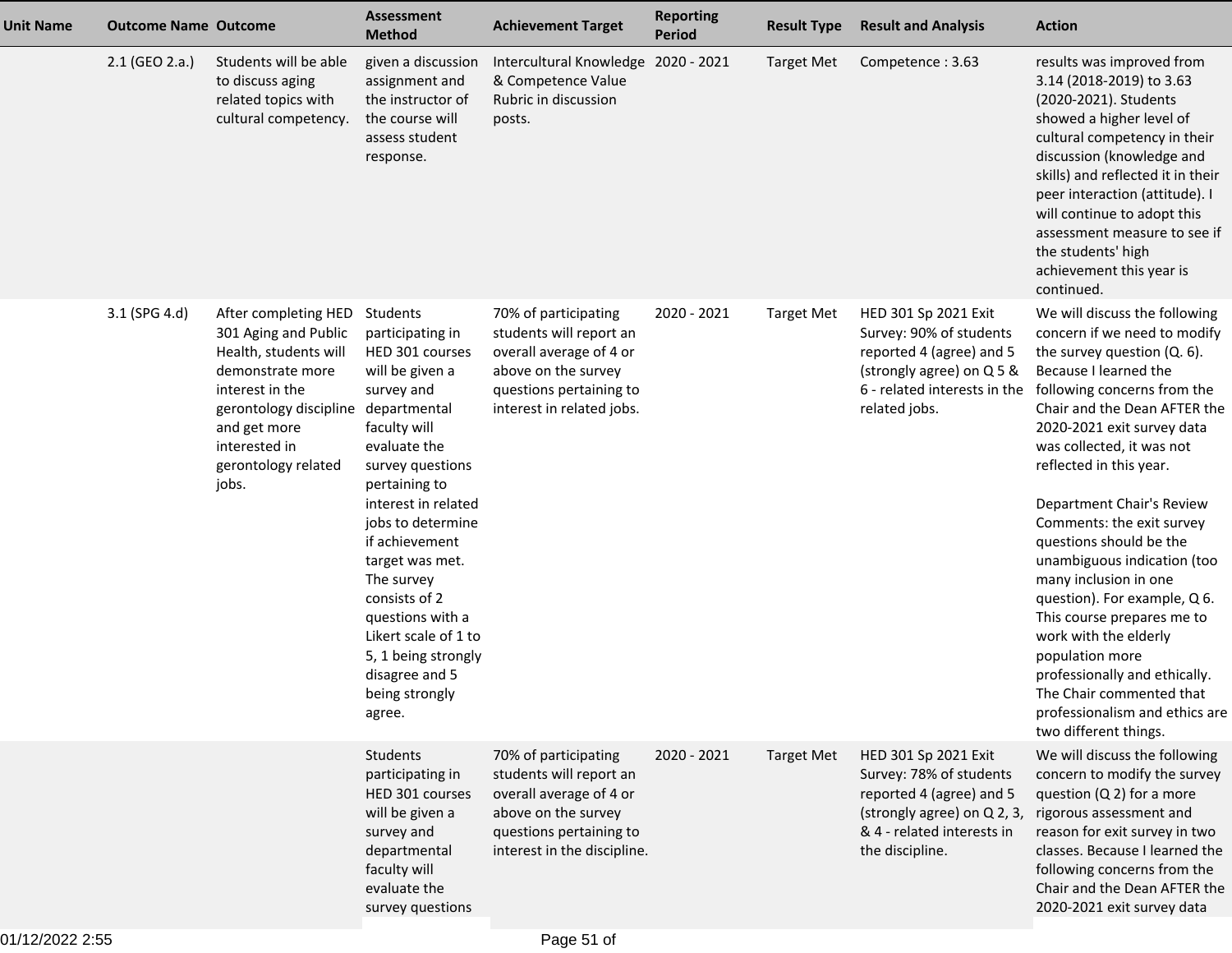| <b>Unit Name</b> | <b>Outcome Name Outcome</b> |                                                                                                                                                                                                                  | Assessment<br><b>Method</b>                                                                                                                                                                                                                                                                                                                                                                | <b>Achievement Target</b>                                                                                                                                   | <b>Reporting</b><br><b>Period</b> | <b>Result Type</b> | <b>Result and Analysis</b>                                                                                                                                  | <b>Action</b>                                                                                                                                                                                                                                                                                                                                                                                                                                                                                                                                                                                                                                             |
|------------------|-----------------------------|------------------------------------------------------------------------------------------------------------------------------------------------------------------------------------------------------------------|--------------------------------------------------------------------------------------------------------------------------------------------------------------------------------------------------------------------------------------------------------------------------------------------------------------------------------------------------------------------------------------------|-------------------------------------------------------------------------------------------------------------------------------------------------------------|-----------------------------------|--------------------|-------------------------------------------------------------------------------------------------------------------------------------------------------------|-----------------------------------------------------------------------------------------------------------------------------------------------------------------------------------------------------------------------------------------------------------------------------------------------------------------------------------------------------------------------------------------------------------------------------------------------------------------------------------------------------------------------------------------------------------------------------------------------------------------------------------------------------------|
|                  | 2.1 (GEO 2.a.)              | Students will be able<br>to discuss aging<br>related topics with<br>cultural competency.                                                                                                                         | given a discussion<br>assignment and<br>the instructor of<br>the course will<br>assess student<br>response.                                                                                                                                                                                                                                                                                | Intercultural Knowledge 2020 - 2021<br>& Competence Value<br>Rubric in discussion<br>posts.                                                                 |                                   | <b>Target Met</b>  | Competence: 3.63                                                                                                                                            | results was improved from<br>3.14 (2018-2019) to 3.63<br>(2020-2021). Students<br>showed a higher level of<br>cultural competency in their<br>discussion (knowledge and<br>skills) and reflected it in their<br>peer interaction (attitude). I<br>will continue to adopt this<br>assessment measure to see if<br>the students' high<br>achievement this year is<br>continued.                                                                                                                                                                                                                                                                             |
|                  | 3.1 (SPG 4.d)               | After completing HED Students<br>301 Aging and Public<br>Health, students will<br>demonstrate more<br>interest in the<br>gerontology discipline<br>and get more<br>interested in<br>gerontology related<br>jobs. | participating in<br>HED 301 courses<br>will be given a<br>survey and<br>departmental<br>faculty will<br>evaluate the<br>survey questions<br>pertaining to<br>interest in related<br>jobs to determine<br>if achievement<br>target was met.<br>The survey<br>consists of 2<br>questions with a<br>Likert scale of 1 to<br>5, 1 being strongly<br>disagree and 5<br>being strongly<br>agree. | 70% of participating<br>students will report an<br>overall average of 4 or<br>above on the survey<br>questions pertaining to<br>interest in related jobs.   | 2020 - 2021                       | <b>Target Met</b>  | HED 301 Sp 2021 Exit<br>Survey: 90% of students<br>reported 4 (agree) and 5<br>(strongly agree) on Q 5 &<br>6 - related interests in the<br>related jobs.   | We will discuss the following<br>concern if we need to modify<br>the survey question (Q. 6).<br>Because I learned the<br>following concerns from the<br>Chair and the Dean AFTER the<br>2020-2021 exit survey data<br>was collected, it was not<br>reflected in this year.<br>Department Chair's Review<br>Comments: the exit survey<br>questions should be the<br>unambiguous indication (too<br>many inclusion in one<br>question). For example, Q 6.<br>This course prepares me to<br>work with the elderly<br>population more<br>professionally and ethically.<br>The Chair commented that<br>professionalism and ethics are<br>two different things. |
|                  |                             |                                                                                                                                                                                                                  | Students<br>participating in<br>HED 301 courses<br>will be given a<br>survey and<br>departmental<br>faculty will<br>evaluate the<br>survey questions                                                                                                                                                                                                                                       | 70% of participating<br>students will report an<br>overall average of 4 or<br>above on the survey<br>questions pertaining to<br>interest in the discipline. | 2020 - 2021                       | <b>Target Met</b>  | HED 301 Sp 2021 Exit<br>Survey: 78% of students<br>reported 4 (agree) and 5<br>(strongly agree) on Q 2, 3,<br>& 4 - related interests in<br>the discipline. | We will discuss the following<br>concern to modify the survey<br>question $(Q 2)$ for a more<br>rigorous assessment and<br>reason for exit survey in two<br>classes. Because I learned the<br>following concerns from the<br>Chair and the Dean AFTER the<br>2020-2021 exit survey data                                                                                                                                                                                                                                                                                                                                                                   |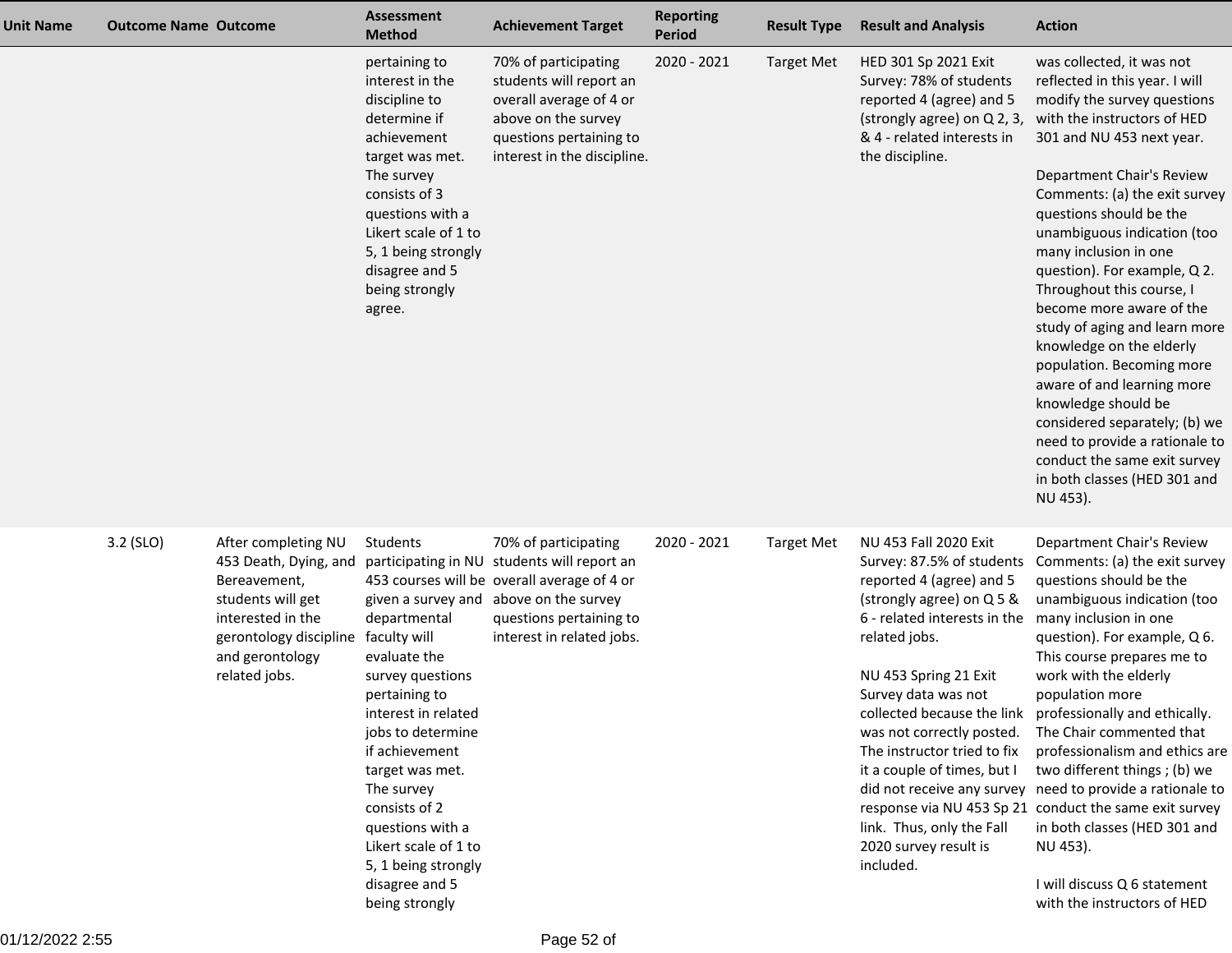| <b>Unit Name</b> | <b>Outcome Name Outcome</b> |                                                                                                                                                                      | <b>Assessment</b><br><b>Method</b>                                                                                                                                                                                                                                                                                   | <b>Achievement Target</b>                                                                                                                                                                                            | <b>Reporting</b><br>Period | <b>Result Type</b> | <b>Result and Analysis</b>                                                                                                                                                                                                                                                                                                                                                 | <b>Action</b>                                                                                                                                                                                                                                                                                                                                                                                                                                                                                                                                                                                                                                                                                  |
|------------------|-----------------------------|----------------------------------------------------------------------------------------------------------------------------------------------------------------------|----------------------------------------------------------------------------------------------------------------------------------------------------------------------------------------------------------------------------------------------------------------------------------------------------------------------|----------------------------------------------------------------------------------------------------------------------------------------------------------------------------------------------------------------------|----------------------------|--------------------|----------------------------------------------------------------------------------------------------------------------------------------------------------------------------------------------------------------------------------------------------------------------------------------------------------------------------------------------------------------------------|------------------------------------------------------------------------------------------------------------------------------------------------------------------------------------------------------------------------------------------------------------------------------------------------------------------------------------------------------------------------------------------------------------------------------------------------------------------------------------------------------------------------------------------------------------------------------------------------------------------------------------------------------------------------------------------------|
|                  |                             |                                                                                                                                                                      | pertaining to<br>interest in the<br>discipline to<br>determine if<br>achievement<br>target was met.<br>The survey<br>consists of 3<br>questions with a<br>Likert scale of 1 to<br>5, 1 being strongly<br>disagree and 5<br>being strongly<br>agree.                                                                  | 70% of participating<br>students will report an<br>overall average of 4 or<br>above on the survey<br>questions pertaining to<br>interest in the discipline.                                                          | 2020 - 2021                | <b>Target Met</b>  | HED 301 Sp 2021 Exit<br>Survey: 78% of students<br>reported 4 (agree) and 5<br>(strongly agree) on Q 2, 3,<br>& 4 - related interests in<br>the discipline.                                                                                                                                                                                                                | was collected, it was not<br>reflected in this year. I will<br>modify the survey questions<br>with the instructors of HED<br>301 and NU 453 next year.<br>Department Chair's Review<br>Comments: (a) the exit survey<br>questions should be the<br>unambiguous indication (too<br>many inclusion in one<br>question). For example, Q 2.<br>Throughout this course, I<br>become more aware of the<br>study of aging and learn more<br>knowledge on the elderly<br>population. Becoming more<br>aware of and learning more<br>knowledge should be<br>considered separately; (b) we<br>need to provide a rationale to<br>conduct the same exit survey<br>in both classes (HED 301 and<br>NU 453). |
|                  | 3.2 (SLO)                   | After completing NU<br>453 Death, Dying, and<br>Bereavement,<br>students will get<br>interested in the<br>gerontology discipline<br>and gerontology<br>related jobs. | Students<br>departmental<br>faculty will<br>evaluate the<br>survey questions<br>pertaining to<br>interest in related<br>jobs to determine<br>if achievement<br>target was met.<br>The survey<br>consists of 2<br>questions with a<br>Likert scale of 1 to<br>5, 1 being strongly<br>disagree and 5<br>being strongly | 70% of participating<br>participating in NU students will report an<br>453 courses will be overall average of 4 or<br>given a survey and above on the survey<br>questions pertaining to<br>interest in related jobs. | 2020 - 2021                | <b>Target Met</b>  | NU 453 Fall 2020 Exit<br>Survey: 87.5% of students<br>reported 4 (agree) and 5<br>(strongly agree) on Q 5 &<br>6 - related interests in the<br>related jobs.<br>NU 453 Spring 21 Exit<br>Survey data was not<br>was not correctly posted.<br>The instructor tried to fix<br>it a couple of times, but I<br>link. Thus, only the Fall<br>2020 survey result is<br>included. | Department Chair's Review<br>Comments: (a) the exit survey<br>questions should be the<br>unambiguous indication (too<br>many inclusion in one<br>question). For example, Q 6.<br>This course prepares me to<br>work with the elderly<br>population more<br>collected because the link professionally and ethically.<br>The Chair commented that<br>professionalism and ethics are<br>two different things; (b) we<br>did not receive any survey need to provide a rationale to<br>response via NU 453 Sp 21 conduct the same exit survey<br>in both classes (HED 301 and<br>NU 453).<br>I will discuss Q 6 statement<br>with the instructors of HED                                            |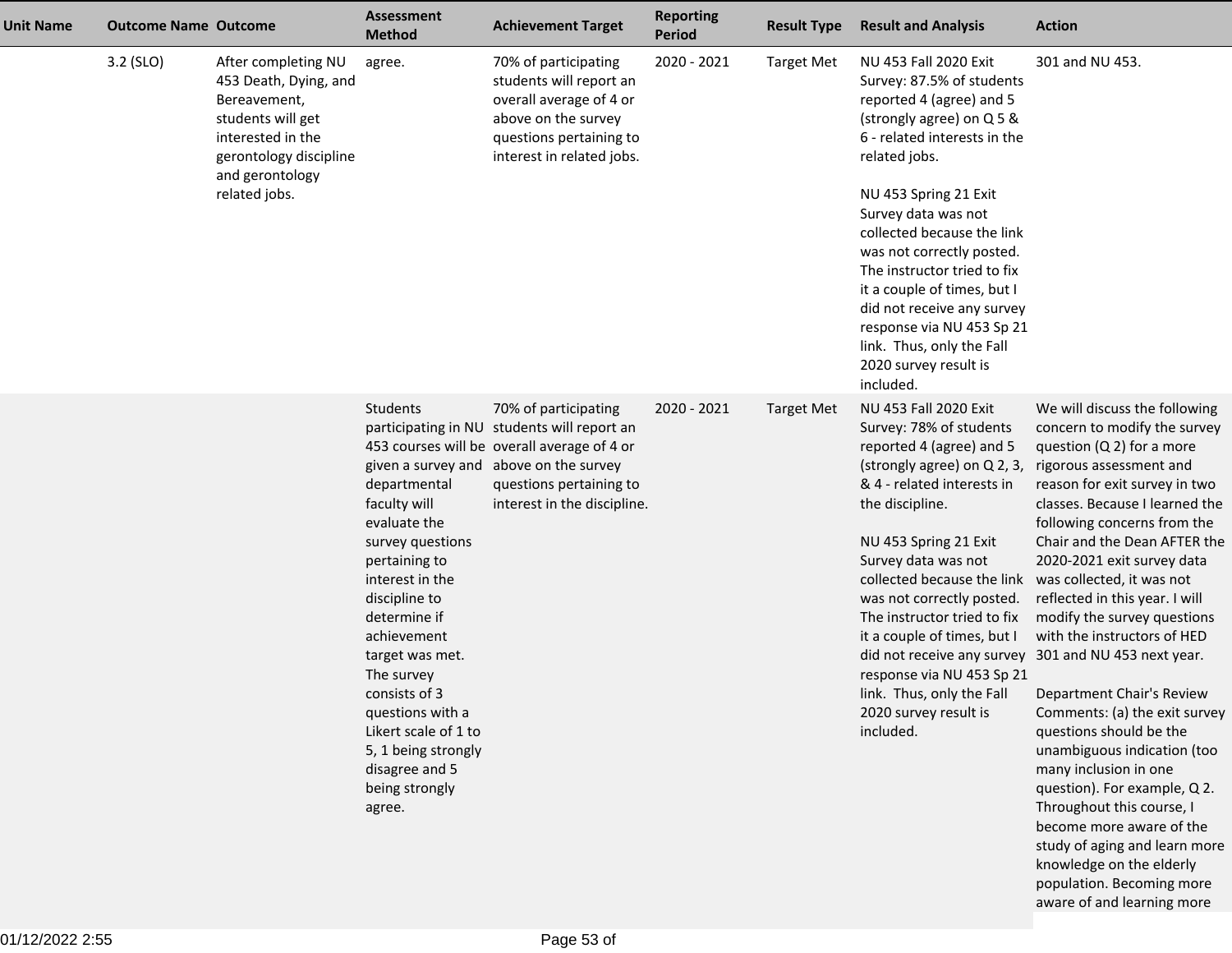| <b>Unit Name</b> | <b>Outcome Name Outcome</b> |                                                                                                                                                                      | <b>Assessment</b><br><b>Method</b>                                                                                                                                                                                                                                                                                                         | <b>Achievement Target</b>                                                                                                                                                                                              | <b>Reporting</b><br><b>Period</b> | <b>Result Type</b> | <b>Result and Analysis</b>                                                                                                                                                                                                                                                                                                                                                                                                                                          | <b>Action</b>                                                                                                                                                                                                                                                                                                                                                                                                                                                                                                                                                                                                                                                                                                                                                                                                    |
|------------------|-----------------------------|----------------------------------------------------------------------------------------------------------------------------------------------------------------------|--------------------------------------------------------------------------------------------------------------------------------------------------------------------------------------------------------------------------------------------------------------------------------------------------------------------------------------------|------------------------------------------------------------------------------------------------------------------------------------------------------------------------------------------------------------------------|-----------------------------------|--------------------|---------------------------------------------------------------------------------------------------------------------------------------------------------------------------------------------------------------------------------------------------------------------------------------------------------------------------------------------------------------------------------------------------------------------------------------------------------------------|------------------------------------------------------------------------------------------------------------------------------------------------------------------------------------------------------------------------------------------------------------------------------------------------------------------------------------------------------------------------------------------------------------------------------------------------------------------------------------------------------------------------------------------------------------------------------------------------------------------------------------------------------------------------------------------------------------------------------------------------------------------------------------------------------------------|
|                  | 3.2 (SLO)                   | After completing NU<br>453 Death, Dying, and<br>Bereavement,<br>students will get<br>interested in the<br>gerontology discipline<br>and gerontology<br>related jobs. | agree.                                                                                                                                                                                                                                                                                                                                     | 70% of participating<br>students will report an<br>overall average of 4 or<br>above on the survey<br>questions pertaining to<br>interest in related jobs.                                                              | 2020 - 2021                       | <b>Target Met</b>  | NU 453 Fall 2020 Exit<br>Survey: 87.5% of students<br>reported 4 (agree) and 5<br>(strongly agree) on Q 5 &<br>6 - related interests in the<br>related jobs.<br>NU 453 Spring 21 Exit<br>Survey data was not<br>collected because the link<br>was not correctly posted.<br>The instructor tried to fix<br>it a couple of times, but I<br>did not receive any survey<br>response via NU 453 Sp 21<br>link. Thus, only the Fall<br>2020 survey result is<br>included. | 301 and NU 453.                                                                                                                                                                                                                                                                                                                                                                                                                                                                                                                                                                                                                                                                                                                                                                                                  |
|                  |                             |                                                                                                                                                                      | <b>Students</b><br>departmental<br>faculty will<br>evaluate the<br>survey questions<br>pertaining to<br>interest in the<br>discipline to<br>determine if<br>achievement<br>target was met.<br>The survey<br>consists of 3<br>questions with a<br>Likert scale of 1 to<br>5, 1 being strongly<br>disagree and 5<br>being strongly<br>agree. | 70% of participating<br>participating in NU students will report an<br>453 courses will be overall average of 4 or<br>given a survey and above on the survey<br>questions pertaining to<br>interest in the discipline. | 2020 - 2021                       | <b>Target Met</b>  | NU 453 Fall 2020 Exit<br>Survey: 78% of students<br>reported 4 (agree) and 5<br>(strongly agree) on Q 2, 3,<br>& 4 - related interests in<br>the discipline.<br>NU 453 Spring 21 Exit<br>Survey data was not<br>collected because the link<br>was not correctly posted.<br>The instructor tried to fix<br>it a couple of times, but I<br>response via NU 453 Sp 21<br>link. Thus, only the Fall<br>2020 survey result is<br>included.                               | We will discuss the following<br>concern to modify the survey<br>question $(Q 2)$ for a more<br>rigorous assessment and<br>reason for exit survey in two<br>classes. Because I learned the<br>following concerns from the<br>Chair and the Dean AFTER the<br>2020-2021 exit survey data<br>was collected, it was not<br>reflected in this year. I will<br>modify the survey questions<br>with the instructors of HED<br>did not receive any survey 301 and NU 453 next year.<br>Department Chair's Review<br>Comments: (a) the exit survey<br>questions should be the<br>unambiguous indication (too<br>many inclusion in one<br>question). For example, Q 2.<br>Throughout this course, I<br>become more aware of the<br>study of aging and learn more<br>knowledge on the elderly<br>population. Becoming more |

aware of and learning more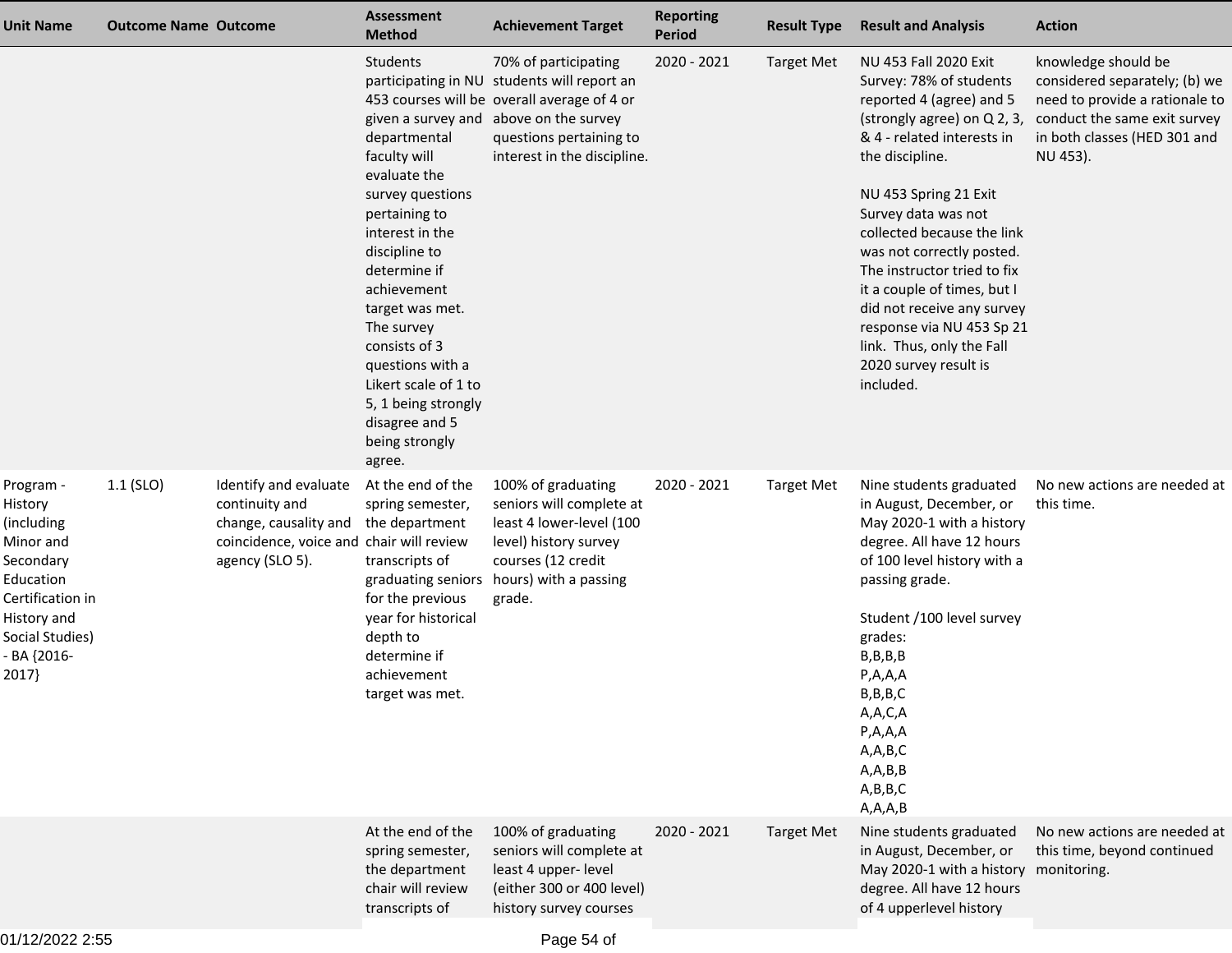| <b>Unit Name</b>                                                                                                                                        | <b>Outcome Name Outcome</b> |                                                                                                                                 | <b>Assessment</b><br><b>Method</b>                                                                                                                                                                                                                                                                                                  | <b>Achievement Target</b>                                                                                                                                                                                              | <b>Reporting</b><br>Period | <b>Result Type</b> | <b>Result and Analysis</b>                                                                                                                                                                                                                                                                                                                                                                                                                                          | <b>Action</b>                                                                                                                                                      |
|---------------------------------------------------------------------------------------------------------------------------------------------------------|-----------------------------|---------------------------------------------------------------------------------------------------------------------------------|-------------------------------------------------------------------------------------------------------------------------------------------------------------------------------------------------------------------------------------------------------------------------------------------------------------------------------------|------------------------------------------------------------------------------------------------------------------------------------------------------------------------------------------------------------------------|----------------------------|--------------------|---------------------------------------------------------------------------------------------------------------------------------------------------------------------------------------------------------------------------------------------------------------------------------------------------------------------------------------------------------------------------------------------------------------------------------------------------------------------|--------------------------------------------------------------------------------------------------------------------------------------------------------------------|
|                                                                                                                                                         |                             |                                                                                                                                 | Students<br>departmental<br>faculty will<br>evaluate the<br>survey questions<br>pertaining to<br>interest in the<br>discipline to<br>determine if<br>achievement<br>target was met.<br>The survey<br>consists of 3<br>questions with a<br>Likert scale of 1 to<br>5, 1 being strongly<br>disagree and 5<br>being strongly<br>agree. | 70% of participating<br>participating in NU students will report an<br>453 courses will be overall average of 4 or<br>given a survey and above on the survey<br>questions pertaining to<br>interest in the discipline. | 2020 - 2021                | <b>Target Met</b>  | NU 453 Fall 2020 Exit<br>Survey: 78% of students<br>reported 4 (agree) and 5<br>(strongly agree) on Q 2, 3,<br>& 4 - related interests in<br>the discipline.<br>NU 453 Spring 21 Exit<br>Survey data was not<br>collected because the link<br>was not correctly posted.<br>The instructor tried to fix<br>it a couple of times, but I<br>did not receive any survey<br>response via NU 453 Sp 21<br>link. Thus, only the Fall<br>2020 survey result is<br>included. | knowledge should be<br>considered separately; (b) we<br>need to provide a rationale to<br>conduct the same exit survey<br>in both classes (HED 301 and<br>NU 453). |
| Program -<br>History<br>(including<br>Minor and<br>Secondary<br>Education<br>Certification in<br>History and<br>Social Studies)<br>- BA {2016-<br>2017} | $1.1$ (SLO)                 | Identify and evaluate<br>continuity and<br>change, causality and<br>coincidence, voice and chair will review<br>agency (SLO 5). | At the end of the<br>spring semester,<br>the department<br>transcripts of<br>graduating seniors<br>for the previous<br>year for historical<br>depth to<br>determine if<br>achievement<br>target was met.                                                                                                                            | 100% of graduating<br>seniors will complete at<br>least 4 lower-level (100<br>level) history survey<br>courses (12 credit<br>hours) with a passing<br>grade.                                                           | 2020 - 2021                | <b>Target Met</b>  | Nine students graduated<br>in August, December, or<br>May 2020-1 with a history<br>degree. All have 12 hours<br>of 100 level history with a<br>passing grade.<br>Student /100 level survey<br>grades:<br>B, B, B, B<br>P, A, A, A<br>B, B, B, C<br>A,A,C,A<br>P, A, A, A<br>A, A, B, C<br>A, A, B, B<br>A,B,B,C<br>A, A, A, B                                                                                                                                       | No new actions are needed at<br>this time.                                                                                                                         |
|                                                                                                                                                         |                             |                                                                                                                                 | At the end of the<br>spring semester,<br>the department<br>chair will review<br>transcripts of                                                                                                                                                                                                                                      | 100% of graduating<br>seniors will complete at<br>least 4 upper- level<br>(either 300 or 400 level)<br>history survey courses                                                                                          | 2020 - 2021                | <b>Target Met</b>  | Nine students graduated<br>in August, December, or<br>May 2020-1 with a history monitoring.<br>degree. All have 12 hours<br>of 4 upperlevel history                                                                                                                                                                                                                                                                                                                 | No new actions are needed at<br>this time, beyond continued                                                                                                        |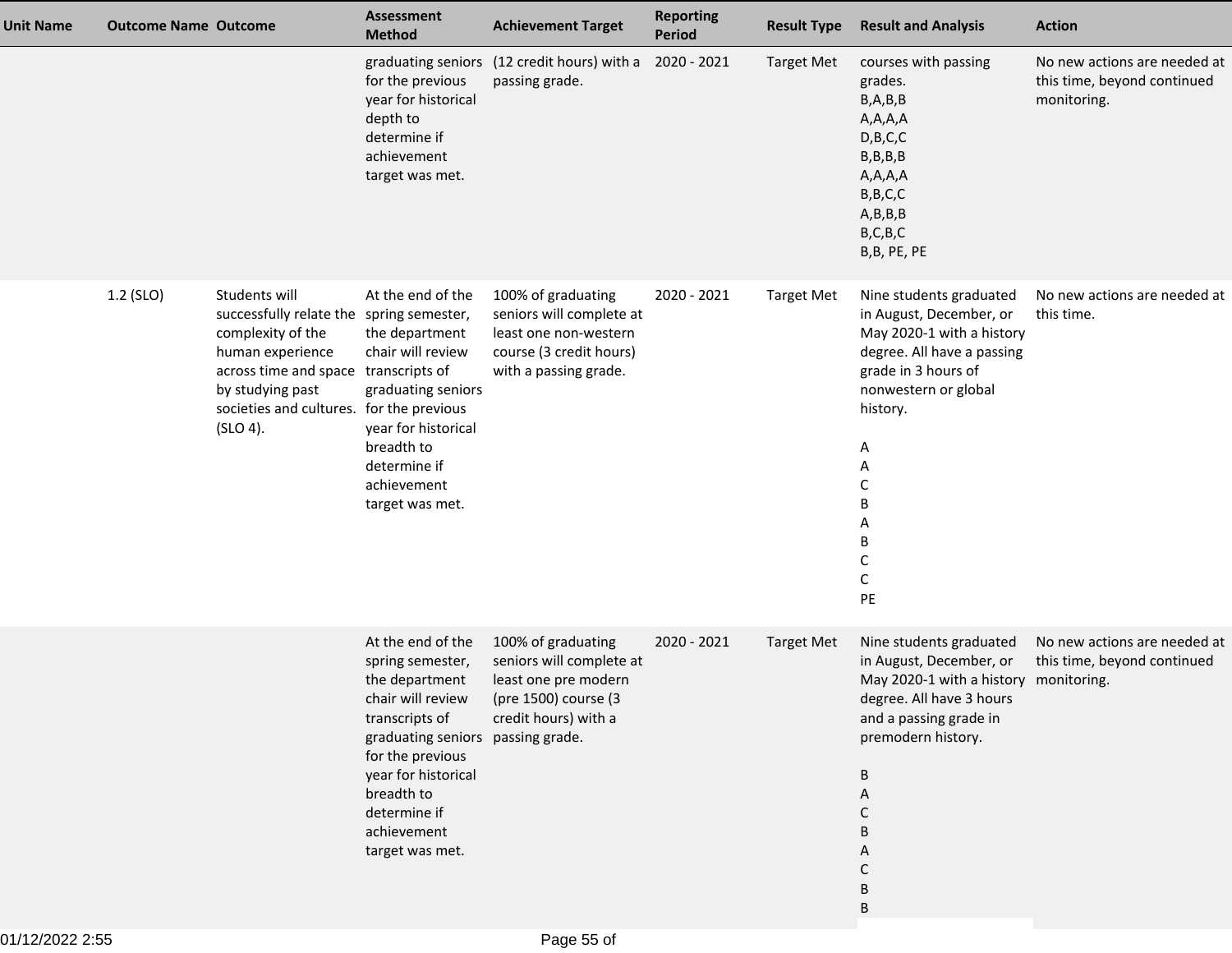| <b>Unit Name</b> | <b>Outcome Name Outcome</b> |                                                                                                                                                                                                                        | Assessment<br><b>Method</b>                                                                                                                                                                                                                    | <b>Achievement Target</b>                                                                                                   | <b>Reporting</b><br>Period | <b>Result Type</b> | <b>Result and Analysis</b>                                                                                                                                                                                             | <b>Action</b>                                                              |
|------------------|-----------------------------|------------------------------------------------------------------------------------------------------------------------------------------------------------------------------------------------------------------------|------------------------------------------------------------------------------------------------------------------------------------------------------------------------------------------------------------------------------------------------|-----------------------------------------------------------------------------------------------------------------------------|----------------------------|--------------------|------------------------------------------------------------------------------------------------------------------------------------------------------------------------------------------------------------------------|----------------------------------------------------------------------------|
|                  |                             |                                                                                                                                                                                                                        | for the previous<br>year for historical<br>depth to<br>determine if<br>achievement<br>target was met.                                                                                                                                          | graduating seniors (12 credit hours) with a<br>passing grade.                                                               | 2020 - 2021                | <b>Target Met</b>  | courses with passing<br>grades.<br>B, A, B, B<br>A, A, A, A<br>D, B, C, C<br>B, B, B, B<br>A,A,A,A<br>B, B, C, C<br>A,B,B,B<br>B, C, B, C<br>B,B, PE, PE                                                               | No new actions are needed at<br>this time, beyond continued<br>monitoring. |
|                  | 1.2 (SLO)                   | Students will<br>successfully relate the spring semester,<br>complexity of the<br>human experience<br>across time and space transcripts of<br>by studying past<br>societies and cultures. for the previous<br>(SLO 4). | At the end of the<br>the department<br>chair will review<br>graduating seniors<br>year for historical<br>breadth to<br>determine if<br>achievement<br>target was met.                                                                          | 100% of graduating<br>seniors will complete at<br>least one non-western<br>course (3 credit hours)<br>with a passing grade. | 2020 - 2021                | <b>Target Met</b>  | Nine students graduated<br>in August, December, or<br>May 2020-1 with a history<br>degree. All have a passing<br>grade in 3 hours of<br>nonwestern or global<br>history.<br>A<br>Α<br>С<br>В<br>A<br>Β<br>C<br>C<br>PE | No new actions are needed at<br>this time.                                 |
|                  |                             |                                                                                                                                                                                                                        | At the end of the<br>spring semester,<br>the department<br>chair will review<br>transcripts of<br>graduating seniors passing grade.<br>for the previous<br>year for historical<br>breadth to<br>determine if<br>achievement<br>target was met. | 100% of graduating<br>seniors will complete at<br>least one pre modern<br>(pre 1500) course (3<br>credit hours) with a      | 2020 - 2021                | <b>Target Met</b>  | Nine students graduated<br>in August, December, or<br>May 2020-1 with a history monitoring.<br>degree. All have 3 hours<br>and a passing grade in<br>premodern history.<br>B<br>A<br>С<br>B<br>А<br>C<br>В             | No new actions are needed at<br>this time, beyond continued                |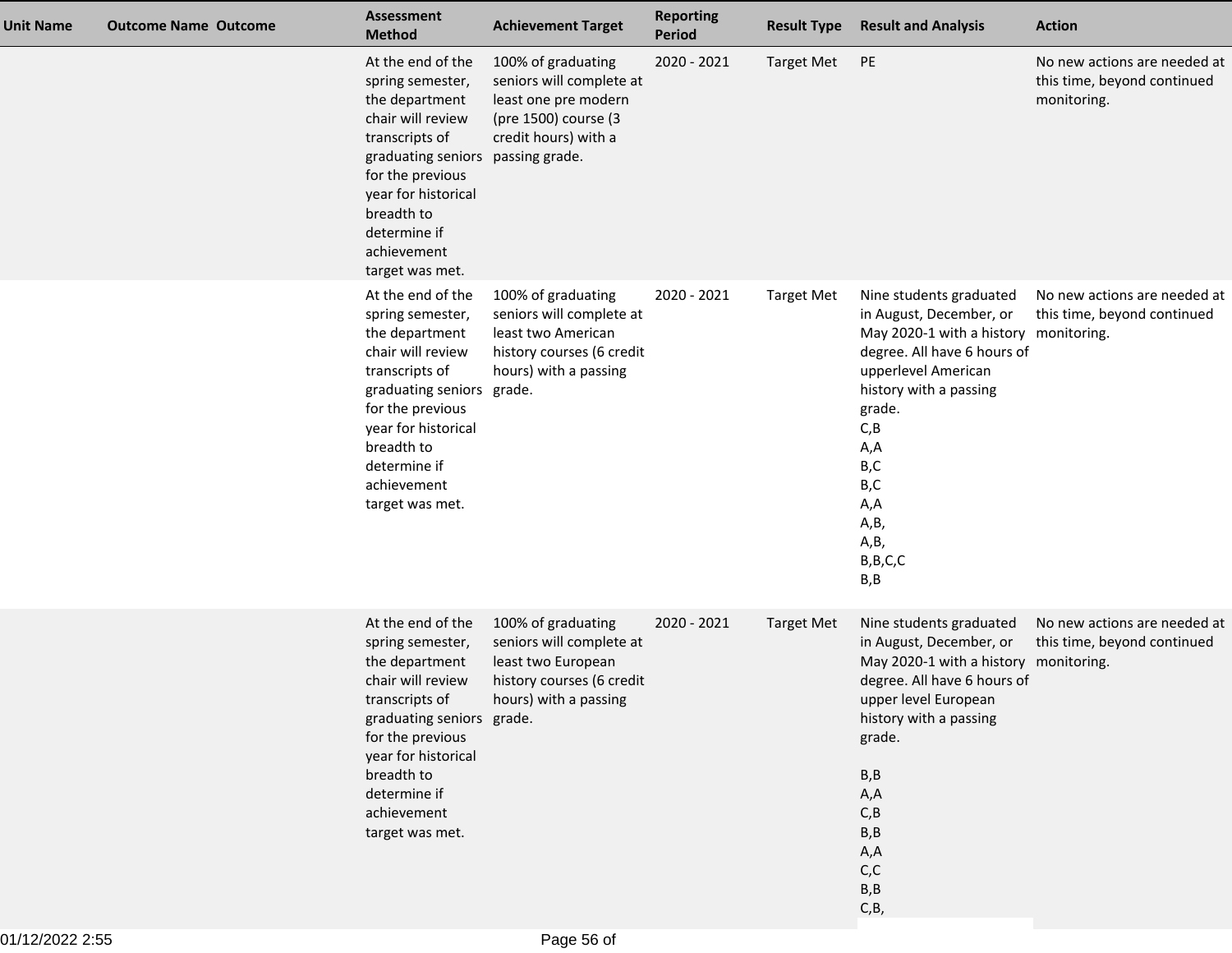| <b>Unit Name</b> | <b>Outcome Name Outcome</b> | <b>Assessment</b><br><b>Method</b>                                                                                                                                                                                                     | <b>Achievement Target</b>                                                                                                                 | <b>Reporting</b><br><b>Period</b> | <b>Result Type</b> | <b>Result and Analysis</b>                                                                                                                                                                                                                                                | <b>Action</b>                                                              |
|------------------|-----------------------------|----------------------------------------------------------------------------------------------------------------------------------------------------------------------------------------------------------------------------------------|-------------------------------------------------------------------------------------------------------------------------------------------|-----------------------------------|--------------------|---------------------------------------------------------------------------------------------------------------------------------------------------------------------------------------------------------------------------------------------------------------------------|----------------------------------------------------------------------------|
|                  |                             | At the end of the<br>spring semester,<br>the department<br>chair will review<br>transcripts of<br>graduating seniors<br>for the previous<br>year for historical<br>breadth to<br>determine if<br>achievement<br>target was met.        | 100% of graduating<br>seniors will complete at<br>least one pre modern<br>(pre 1500) course (3<br>credit hours) with a<br>passing grade.  | 2020 - 2021                       | <b>Target Met</b>  | PE                                                                                                                                                                                                                                                                        | No new actions are needed at<br>this time, beyond continued<br>monitoring. |
|                  |                             | At the end of the<br>spring semester,<br>the department<br>chair will review<br>transcripts of<br>graduating seniors grade.<br>for the previous<br>year for historical<br>breadth to<br>determine if<br>achievement<br>target was met. | 100% of graduating<br>seniors will complete at<br>least two American<br>history courses (6 credit<br>hours) with a passing                | 2020 - 2021                       | <b>Target Met</b>  | Nine students graduated<br>in August, December, or<br>May 2020-1 with a history monitoring.<br>degree. All have 6 hours of<br>upperlevel American<br>history with a passing<br>grade.<br>C, B<br>A,A<br>B,C<br>B,C<br>A,A<br>A,B,<br>A,B,<br>B, B, C, C<br>B,B            | No new actions are needed at<br>this time, beyond continued                |
|                  |                             | At the end of the<br>spring semester,<br>the department<br>chair will review<br>graduating seniors grade.<br>for the previous<br>year for historical<br>breadth to<br>determine if<br>achievement<br>target was met.                   | 100% of graduating<br>seniors will complete at<br>least two European<br>history courses (6 credit<br>transcripts of hours) with a passing | 2020 - 2021                       | <b>Target Met</b>  | Nine students graduated<br>in August, December, or<br>May 2020-1 with a history<br>degree. All have 6 hours of<br>upper level European<br>history with a passing<br>grade.<br>$\mathsf B,\mathsf B$<br>A,A<br>C, B<br>B,B<br>A,A<br>C, C<br>$\mathsf B,\mathsf B$<br>C,B, | No new actions are needed at<br>this time, beyond continued<br>monitoring. |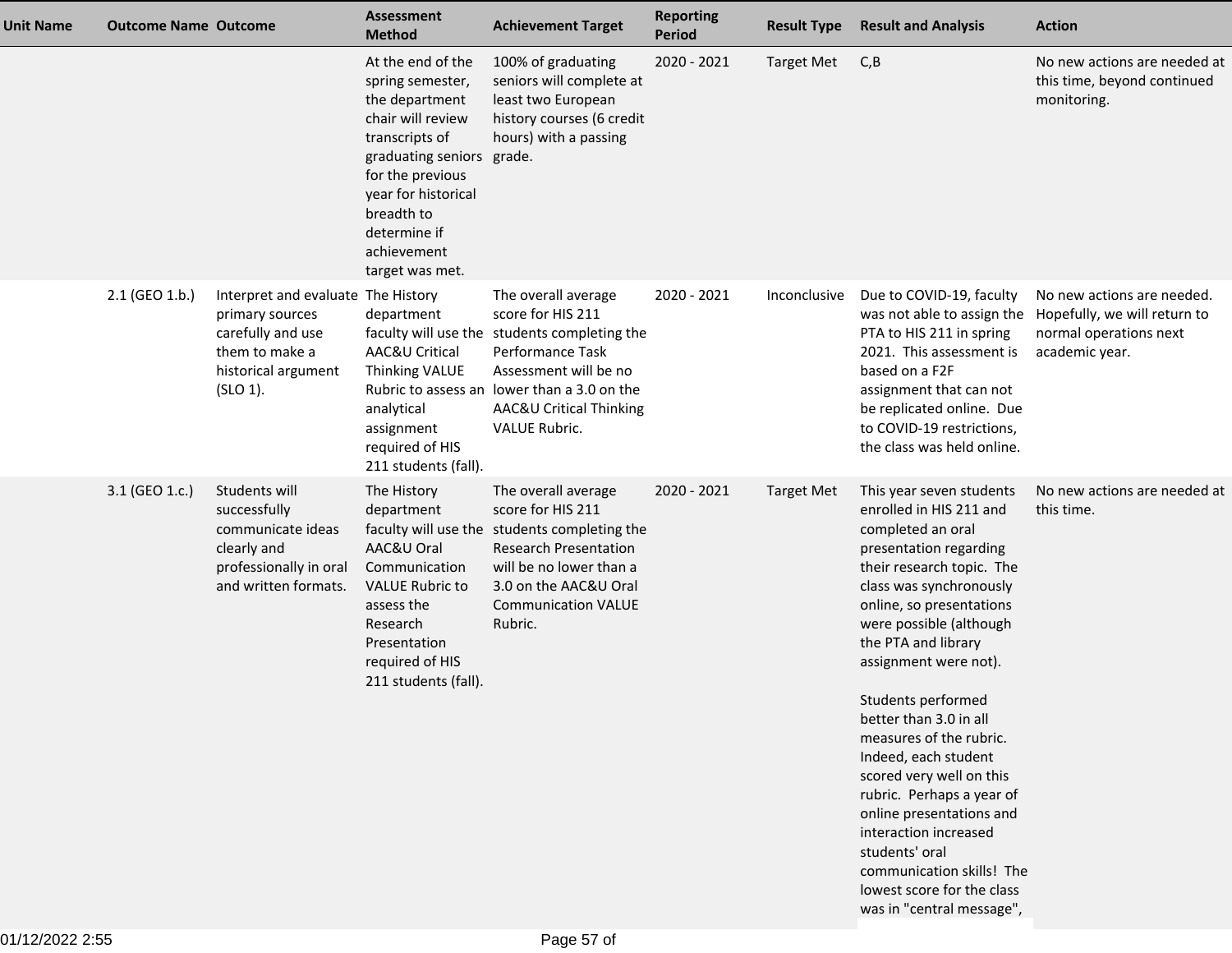| <b>Unit Name</b> | <b>Outcome Name Outcome</b> |                                                                                                                                 | <b>Assessment</b><br><b>Method</b>                                                                                                                                                                                                     | <b>Achievement Target</b>                                                                                                                                                                                                               | <b>Reporting</b><br>Period | <b>Result Type</b> | <b>Result and Analysis</b>                                                                                                                                                                                                                                                                                                                                                                                                                                                                                                                                                                   | <b>Action</b>                                                                                          |
|------------------|-----------------------------|---------------------------------------------------------------------------------------------------------------------------------|----------------------------------------------------------------------------------------------------------------------------------------------------------------------------------------------------------------------------------------|-----------------------------------------------------------------------------------------------------------------------------------------------------------------------------------------------------------------------------------------|----------------------------|--------------------|----------------------------------------------------------------------------------------------------------------------------------------------------------------------------------------------------------------------------------------------------------------------------------------------------------------------------------------------------------------------------------------------------------------------------------------------------------------------------------------------------------------------------------------------------------------------------------------------|--------------------------------------------------------------------------------------------------------|
|                  |                             |                                                                                                                                 | At the end of the<br>spring semester,<br>the department<br>chair will review<br>transcripts of<br>graduating seniors grade.<br>for the previous<br>year for historical<br>breadth to<br>determine if<br>achievement<br>target was met. | 100% of graduating<br>seniors will complete at<br>least two European<br>history courses (6 credit<br>hours) with a passing                                                                                                              | 2020 - 2021                | <b>Target Met</b>  | C, B                                                                                                                                                                                                                                                                                                                                                                                                                                                                                                                                                                                         | No new actions are needed at<br>this time, beyond continued<br>monitoring.                             |
|                  | 2.1 (GEO 1.b.)              | Interpret and evaluate The History<br>primary sources<br>carefully and use<br>them to make a<br>historical argument<br>(SLO 1). | department<br>AAC&U Critical<br>Thinking VALUE<br>analytical<br>assignment<br>required of HIS<br>211 students (fall).                                                                                                                  | The overall average<br>score for HIS 211<br>faculty will use the students completing the<br>Performance Task<br>Assessment will be no<br>Rubric to assess an lower than a 3.0 on the<br>AAC&U Critical Thinking<br><b>VALUE Rubric.</b> | 2020 - 2021                | Inconclusive       | Due to COVID-19, faculty<br>was not able to assign the<br>PTA to HIS 211 in spring<br>2021. This assessment is<br>based on a F2F<br>assignment that can not<br>be replicated online. Due<br>to COVID-19 restrictions,<br>the class was held online.                                                                                                                                                                                                                                                                                                                                          | No new actions are needed.<br>Hopefully, we will return to<br>normal operations next<br>academic year. |
|                  | 3.1 (GEO 1.c.)              | Students will<br>successfully<br>communicate ideas<br>clearly and<br>professionally in oral<br>and written formats.             | The History<br>department<br>AAC&U Oral<br>Communication<br><b>VALUE Rubric to</b><br>assess the<br>Research<br>Presentation<br>required of HIS<br>211 students (fall).                                                                | The overall average<br>score for HIS 211<br>faculty will use the students completing the<br><b>Research Presentation</b><br>will be no lower than a<br>3.0 on the AAC&U Oral<br><b>Communication VALUE</b><br>Rubric.                   | 2020 - 2021                | <b>Target Met</b>  | This year seven students<br>enrolled in HIS 211 and<br>completed an oral<br>presentation regarding<br>their research topic. The<br>class was synchronously<br>online, so presentations<br>were possible (although<br>the PTA and library<br>assignment were not).<br>Students performed<br>better than 3.0 in all<br>measures of the rubric.<br>Indeed, each student<br>scored very well on this<br>rubric. Perhaps a year of<br>online presentations and<br>interaction increased<br>students' oral<br>communication skills! The<br>lowest score for the class<br>was in "central message", | No new actions are needed at<br>this time.                                                             |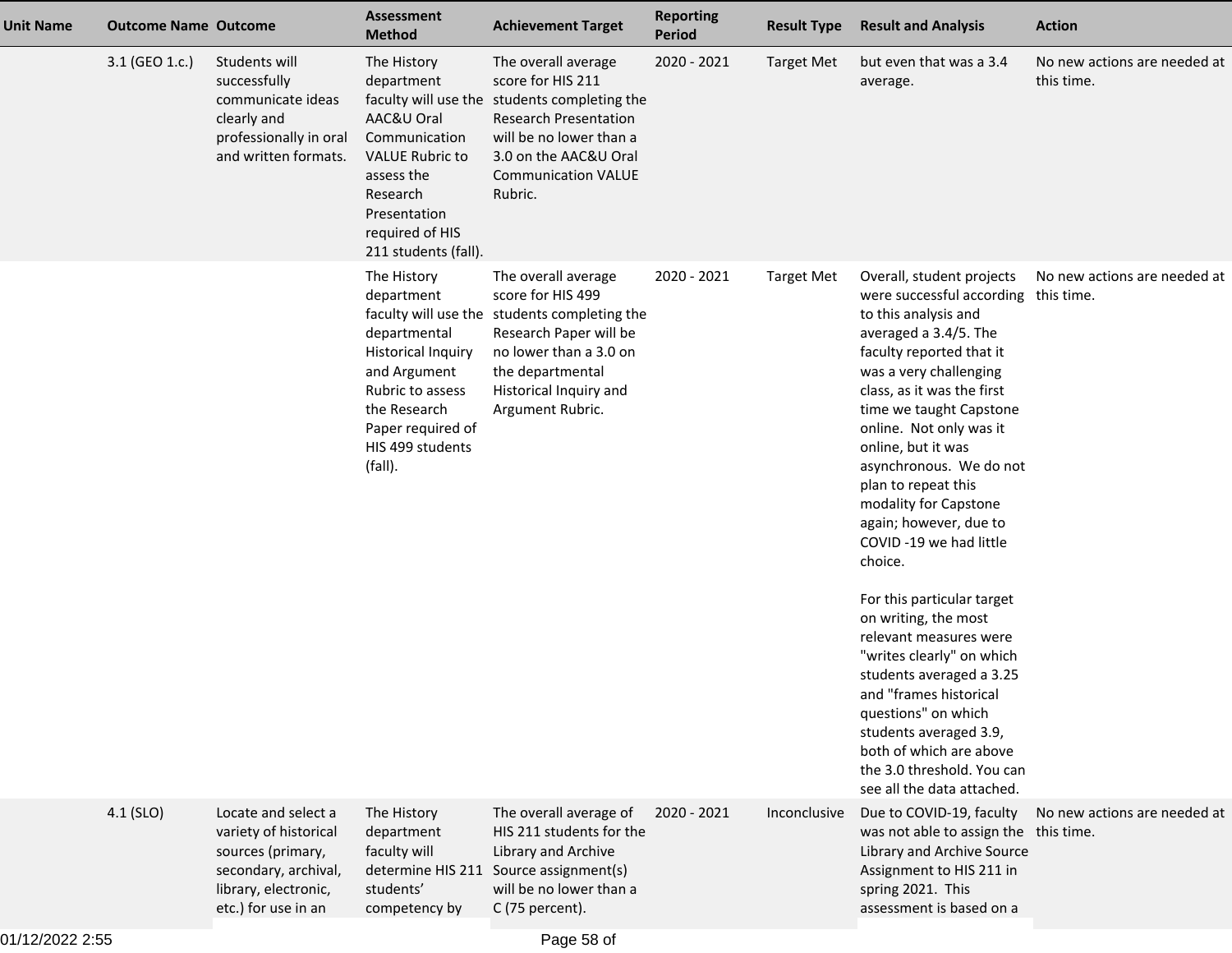| <b>Unit Name</b> | <b>Outcome Name Outcome</b> |                                                                                                                                          | <b>Assessment</b><br><b>Method</b>                                                                                                                                             | <b>Achievement Target</b>                                                                                                                                                                                             | <b>Reporting</b><br><b>Period</b> | <b>Result Type</b> | <b>Result and Analysis</b>                                                                                                                                                                                                                                                                                                                                                                                                                                 | <b>Action</b>                              |
|------------------|-----------------------------|------------------------------------------------------------------------------------------------------------------------------------------|--------------------------------------------------------------------------------------------------------------------------------------------------------------------------------|-----------------------------------------------------------------------------------------------------------------------------------------------------------------------------------------------------------------------|-----------------------------------|--------------------|------------------------------------------------------------------------------------------------------------------------------------------------------------------------------------------------------------------------------------------------------------------------------------------------------------------------------------------------------------------------------------------------------------------------------------------------------------|--------------------------------------------|
|                  | 3.1 (GEO 1.c.)              | Students will<br>successfully<br>communicate ideas<br>clearly and<br>professionally in oral<br>and written formats.                      | The History<br>department<br>AAC&U Oral<br>Communication<br><b>VALUE Rubric to</b><br>assess the<br>Research<br>Presentation<br>required of HIS<br>211 students (fall).        | The overall average<br>score for HIS 211<br>faculty will use the students completing the<br><b>Research Presentation</b><br>will be no lower than a<br>3.0 on the AAC&U Oral<br><b>Communication VALUE</b><br>Rubric. | 2020 - 2021                       | <b>Target Met</b>  | but even that was a 3.4<br>average.                                                                                                                                                                                                                                                                                                                                                                                                                        | No new actions are needed at<br>this time. |
|                  |                             |                                                                                                                                          | The History<br>department<br>departmental<br><b>Historical Inquiry</b><br>and Argument<br>Rubric to assess<br>the Research<br>Paper required of<br>HIS 499 students<br>(fall). | The overall average<br>score for HIS 499<br>faculty will use the students completing the<br>Research Paper will be<br>no lower than a 3.0 on<br>the departmental<br>Historical Inquiry and<br>Argument Rubric.        | 2020 - 2021                       | <b>Target Met</b>  | Overall, student projects<br>were successful according this time.<br>to this analysis and<br>averaged a 3.4/5. The<br>faculty reported that it<br>was a very challenging<br>class, as it was the first<br>time we taught Capstone<br>online. Not only was it<br>online, but it was<br>asynchronous. We do not<br>plan to repeat this<br>modality for Capstone<br>again; however, due to<br>COVID-19 we had little<br>choice.<br>For this particular target | No new actions are needed at               |
|                  |                             |                                                                                                                                          |                                                                                                                                                                                |                                                                                                                                                                                                                       |                                   |                    | on writing, the most<br>relevant measures were<br>"writes clearly" on which<br>students averaged a 3.25<br>and "frames historical<br>questions" on which<br>students averaged 3.9,<br>both of which are above<br>the 3.0 threshold. You can<br>see all the data attached.                                                                                                                                                                                  |                                            |
|                  | $4.1$ (SLO)                 | Locate and select a<br>variety of historical<br>sources (primary,<br>secondary, archival,<br>library, electronic,<br>etc.) for use in an | The History<br>department<br>faculty will<br>determine HIS 211<br>students'<br>competency by                                                                                   | The overall average of<br>HIS 211 students for the<br>Library and Archive<br>Source assignment(s)<br>will be no lower than a<br>C (75 percent).                                                                       | 2020 - 2021                       | Inconclusive       | Due to COVID-19, faculty<br>was not able to assign the this time.<br>Library and Archive Source<br>Assignment to HIS 211 in<br>spring 2021. This<br>assessment is based on a                                                                                                                                                                                                                                                                               | No new actions are needed at               |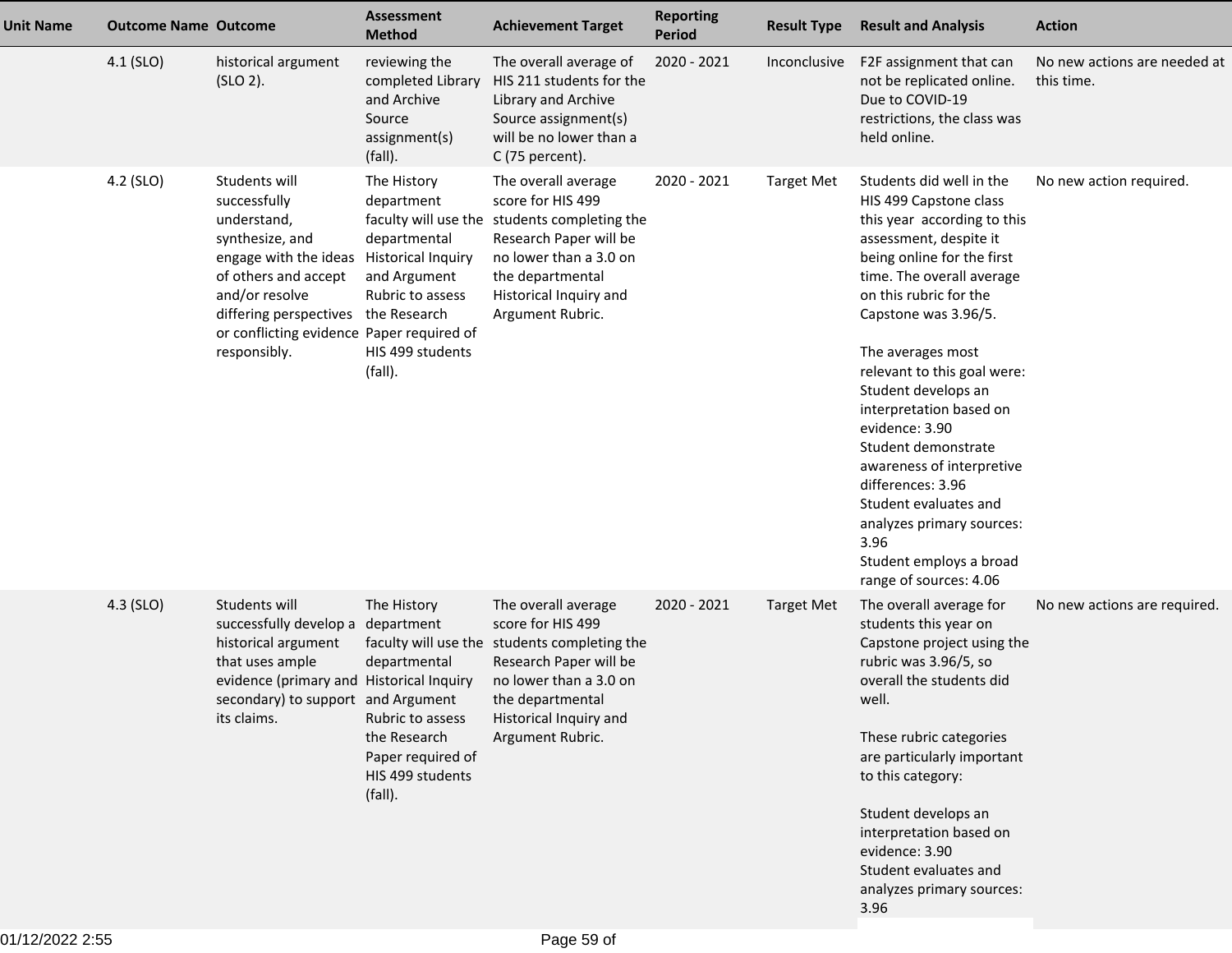| <b>Unit Name</b> | <b>Outcome Name Outcome</b> |                                                                                                                                                                                                                                                           | <b>Assessment</b><br><b>Method</b>                                                                                                | <b>Achievement Target</b>                                                                                                                                                                                      | <b>Reporting</b><br><b>Period</b> | <b>Result Type</b> | <b>Result and Analysis</b>                                                                                                                                                                                                                                                                                                                                                                                                                                                                                                                   | <b>Action</b>                              |
|------------------|-----------------------------|-----------------------------------------------------------------------------------------------------------------------------------------------------------------------------------------------------------------------------------------------------------|-----------------------------------------------------------------------------------------------------------------------------------|----------------------------------------------------------------------------------------------------------------------------------------------------------------------------------------------------------------|-----------------------------------|--------------------|----------------------------------------------------------------------------------------------------------------------------------------------------------------------------------------------------------------------------------------------------------------------------------------------------------------------------------------------------------------------------------------------------------------------------------------------------------------------------------------------------------------------------------------------|--------------------------------------------|
|                  | 4.1 (SLO)                   | historical argument<br>$(SLO 2)$ .                                                                                                                                                                                                                        | reviewing the<br>completed Library<br>and Archive<br>Source<br>assignment(s)<br>(fall).                                           | The overall average of<br>HIS 211 students for the<br>Library and Archive<br>Source assignment(s)<br>will be no lower than a<br>C (75 percent).                                                                | 2020 - 2021                       | Inconclusive       | F2F assignment that can<br>not be replicated online.<br>Due to COVID-19<br>restrictions, the class was<br>held online.                                                                                                                                                                                                                                                                                                                                                                                                                       | No new actions are needed at<br>this time. |
|                  | 4.2 (SLO)                   | Students will<br>successfully<br>understand,<br>synthesize, and<br>engage with the ideas Historical Inquiry<br>of others and accept<br>and/or resolve<br>differing perspectives the Research<br>or conflicting evidence Paper required of<br>responsibly. | The History<br>department<br>departmental<br>and Argument<br>Rubric to assess<br>HIS 499 students<br>(fall).                      | The overall average<br>score for HIS 499<br>faculty will use the students completing the<br>Research Paper will be<br>no lower than a 3.0 on<br>the departmental<br>Historical Inquiry and<br>Argument Rubric. | 2020 - 2021                       | <b>Target Met</b>  | Students did well in the<br>HIS 499 Capstone class<br>this year according to this<br>assessment, despite it<br>being online for the first<br>time. The overall average<br>on this rubric for the<br>Capstone was 3.96/5.<br>The averages most<br>relevant to this goal were:<br>Student develops an<br>interpretation based on<br>evidence: 3.90<br>Student demonstrate<br>awareness of interpretive<br>differences: 3.96<br>Student evaluates and<br>analyzes primary sources:<br>3.96<br>Student employs a broad<br>range of sources: 4.06 | No new action required.                    |
|                  | 4.3 (SLO)                   | Students will<br>successfully develop a<br>historical argument<br>that uses ample<br>evidence (primary and Historical Inquiry<br>secondary) to support and Argument<br>its claims.                                                                        | The History<br>department<br>departmental<br>Rubric to assess<br>the Research<br>Paper required of<br>HIS 499 students<br>(fall). | The overall average<br>score for HIS 499<br>faculty will use the students completing the<br>Research Paper will be<br>no lower than a 3.0 on<br>the departmental<br>Historical Inquiry and<br>Argument Rubric. | 2020 - 2021                       | <b>Target Met</b>  | The overall average for<br>students this year on<br>Capstone project using the<br>rubric was 3.96/5, so<br>overall the students did<br>well.<br>These rubric categories<br>are particularly important<br>to this category:<br>Student develops an<br>interpretation based on<br>evidence: 3.90<br>Student evaluates and<br>analyzes primary sources:<br>3.96                                                                                                                                                                                 | No new actions are required.               |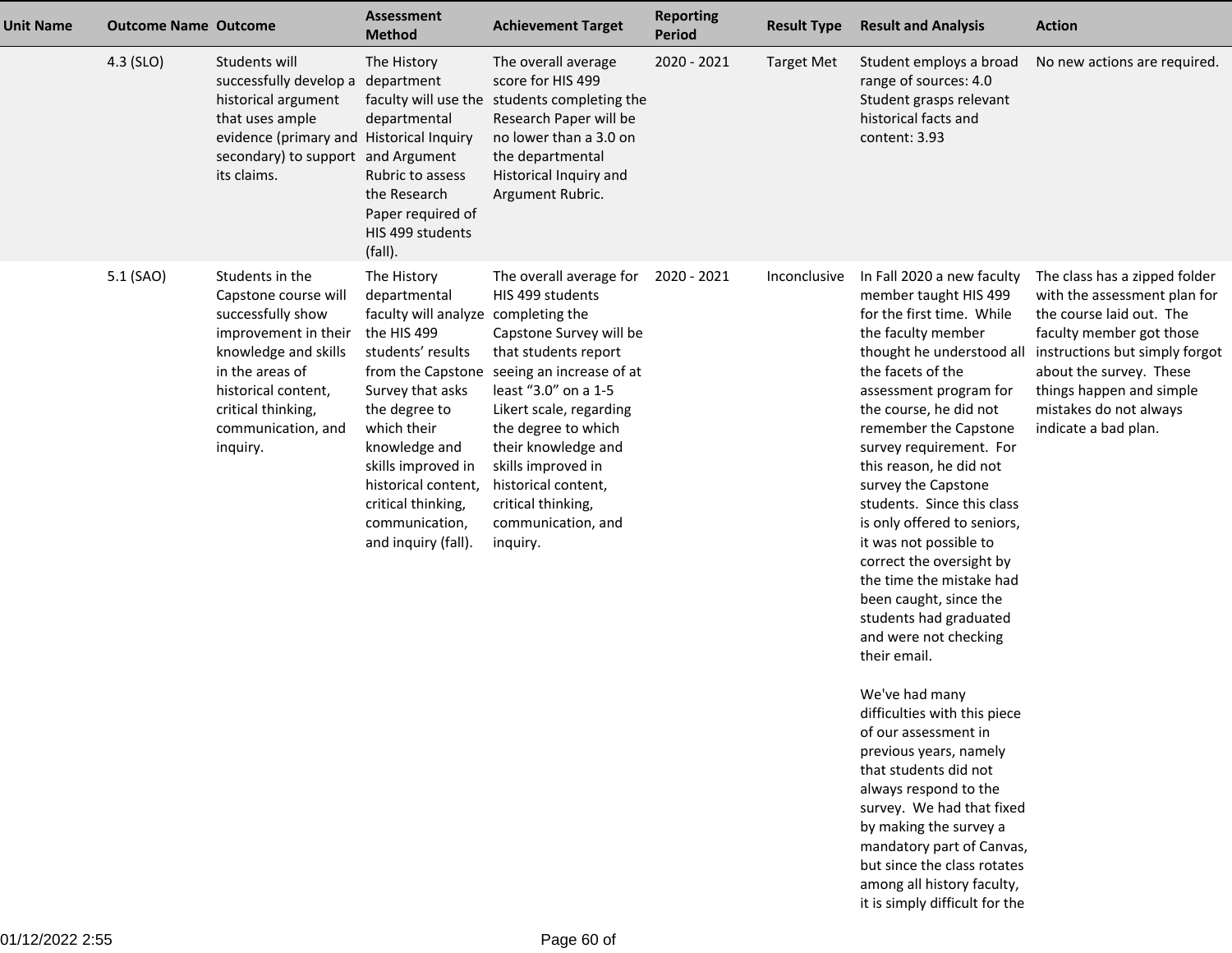| <b>Unit Name</b> | <b>Outcome Name Outcome</b> |                                                                                                                                                                                                                | <b>Assessment</b><br><b>Method</b>                                                                                                                                                                                                                                                                           | <b>Achievement Target</b>                                                                                                                                                                                                                                                                                                        | <b>Reporting</b><br>Period | <b>Result Type</b> | <b>Result and Analysis</b>                                                                                                                                                                                                                                                                                                                                                                                                                                                                                                                                                                                                                                                                                                                                                                                                              | <b>Action</b>                                                                                                                                                                                                                                                    |
|------------------|-----------------------------|----------------------------------------------------------------------------------------------------------------------------------------------------------------------------------------------------------------|--------------------------------------------------------------------------------------------------------------------------------------------------------------------------------------------------------------------------------------------------------------------------------------------------------------|----------------------------------------------------------------------------------------------------------------------------------------------------------------------------------------------------------------------------------------------------------------------------------------------------------------------------------|----------------------------|--------------------|-----------------------------------------------------------------------------------------------------------------------------------------------------------------------------------------------------------------------------------------------------------------------------------------------------------------------------------------------------------------------------------------------------------------------------------------------------------------------------------------------------------------------------------------------------------------------------------------------------------------------------------------------------------------------------------------------------------------------------------------------------------------------------------------------------------------------------------------|------------------------------------------------------------------------------------------------------------------------------------------------------------------------------------------------------------------------------------------------------------------|
|                  | 4.3 (SLO)                   | Students will<br>successfully develop a department<br>historical argument<br>that uses ample<br>evidence (primary and Historical Inquiry<br>secondary) to support and Argument<br>its claims.                  | The History<br>departmental<br>Rubric to assess<br>the Research<br>Paper required of<br>HIS 499 students<br>(fall).                                                                                                                                                                                          | The overall average<br>score for HIS 499<br>faculty will use the students completing the<br>Research Paper will be<br>no lower than a 3.0 on<br>the departmental<br>Historical Inquiry and<br>Argument Rubric.                                                                                                                   | 2020 - 2021                | <b>Target Met</b>  | Student employs a broad<br>range of sources: 4.0<br>Student grasps relevant<br>historical facts and<br>content: 3.93                                                                                                                                                                                                                                                                                                                                                                                                                                                                                                                                                                                                                                                                                                                    | No new actions are required.                                                                                                                                                                                                                                     |
|                  | 5.1 (SAO)                   | Students in the<br>Capstone course will<br>successfully show<br>improvement in their<br>knowledge and skills<br>in the areas of<br>historical content,<br>critical thinking,<br>communication, and<br>inquiry. | The History<br>departmental<br>faculty will analyze completing the<br>the HIS 499<br>students' results<br>from the Capstone<br>Survey that asks<br>the degree to<br>which their<br>knowledge and<br>skills improved in<br>historical content,<br>critical thinking,<br>communication,<br>and inquiry (fall). | The overall average for<br>HIS 499 students<br>Capstone Survey will be<br>that students report<br>seeing an increase of at<br>least "3.0" on a 1-5<br>Likert scale, regarding<br>the degree to which<br>their knowledge and<br>skills improved in<br>historical content,<br>critical thinking,<br>communication, and<br>inquiry. | 2020 - 2021                | Inconclusive       | In Fall 2020 a new faculty<br>member taught HIS 499<br>for the first time. While<br>the faculty member<br>thought he understood all<br>the facets of the<br>assessment program for<br>the course, he did not<br>remember the Capstone<br>survey requirement. For<br>this reason, he did not<br>survey the Capstone<br>students. Since this class<br>is only offered to seniors,<br>it was not possible to<br>correct the oversight by<br>the time the mistake had<br>been caught, since the<br>students had graduated<br>and were not checking<br>their email.<br>We've had many<br>difficulties with this piece<br>of our assessment in<br>previous years, namely<br>that students did not<br>always respond to the<br>survey. We had that fixed<br>by making the survey a<br>mandatory part of Canvas,<br>but since the class rotates | The class has a zipped folder<br>with the assessment plan for<br>the course laid out. The<br>faculty member got those<br>instructions but simply forgot<br>about the survey. These<br>things happen and simple<br>mistakes do not always<br>indicate a bad plan. |

 among all history faculty,it is simply difficult for the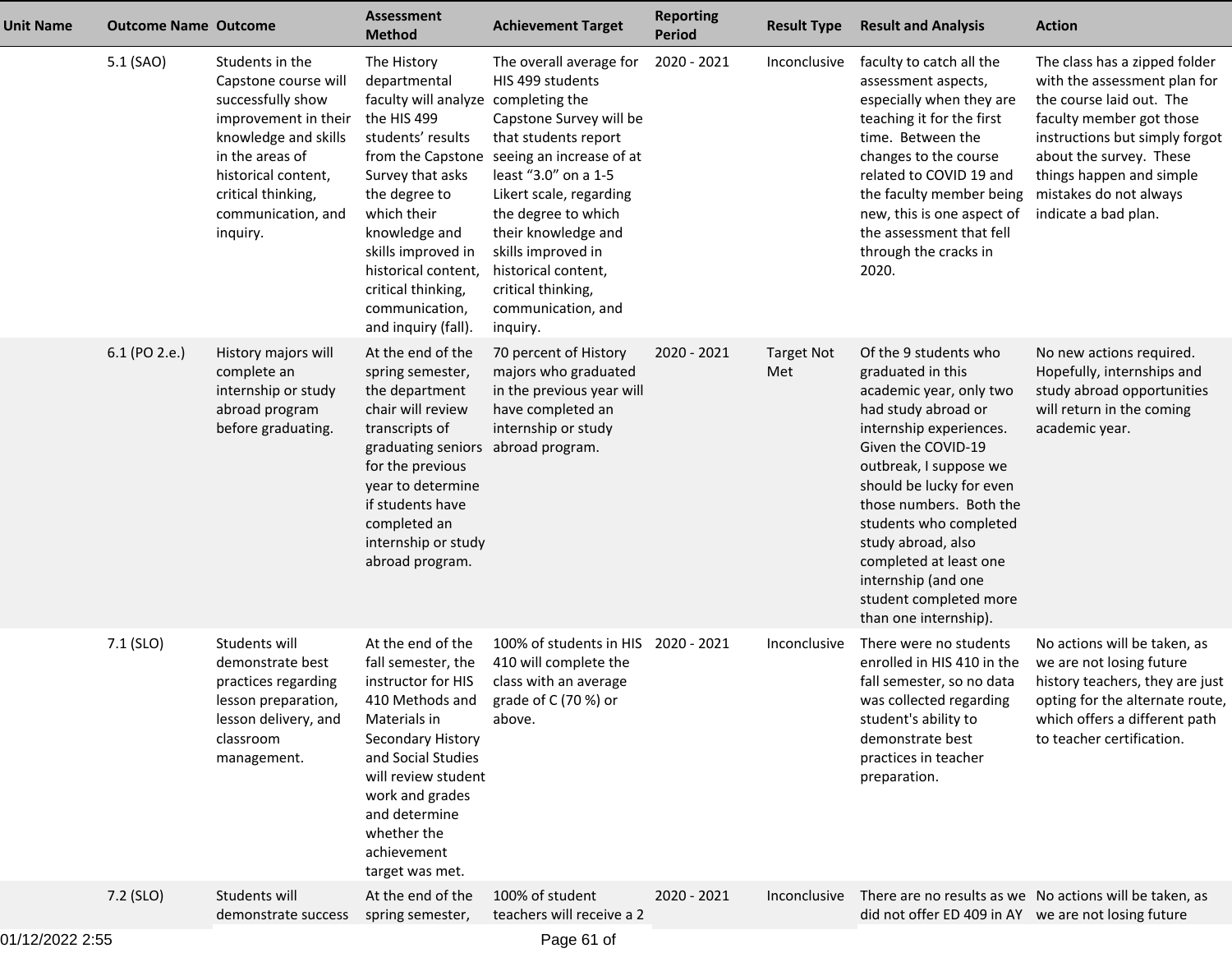| <b>Unit Name</b> | <b>Outcome Name Outcome</b> |                                                                                                                                                                                                                | <b>Assessment</b><br><b>Method</b>                                                                                                                                                                                                                                                                           | <b>Achievement Target</b>                                                                                                                                                                                                                                                                                                        | <b>Reporting</b><br><b>Period</b> | <b>Result Type</b>       | <b>Result and Analysis</b>                                                                                                                                                                                                                                                                                                                                                         | <b>Action</b>                                                                                                                                                                                                                                                    |
|------------------|-----------------------------|----------------------------------------------------------------------------------------------------------------------------------------------------------------------------------------------------------------|--------------------------------------------------------------------------------------------------------------------------------------------------------------------------------------------------------------------------------------------------------------------------------------------------------------|----------------------------------------------------------------------------------------------------------------------------------------------------------------------------------------------------------------------------------------------------------------------------------------------------------------------------------|-----------------------------------|--------------------------|------------------------------------------------------------------------------------------------------------------------------------------------------------------------------------------------------------------------------------------------------------------------------------------------------------------------------------------------------------------------------------|------------------------------------------------------------------------------------------------------------------------------------------------------------------------------------------------------------------------------------------------------------------|
|                  | 5.1 (SAO)                   | Students in the<br>Capstone course will<br>successfully show<br>improvement in their<br>knowledge and skills<br>in the areas of<br>historical content,<br>critical thinking,<br>communication, and<br>inquiry. | The History<br>departmental<br>faculty will analyze completing the<br>the HIS 499<br>students' results<br>from the Capstone<br>Survey that asks<br>the degree to<br>which their<br>knowledge and<br>skills improved in<br>historical content,<br>critical thinking,<br>communication,<br>and inquiry (fall). | The overall average for<br>HIS 499 students<br>Capstone Survey will be<br>that students report<br>seeing an increase of at<br>least "3.0" on a 1-5<br>Likert scale, regarding<br>the degree to which<br>their knowledge and<br>skills improved in<br>historical content,<br>critical thinking,<br>communication, and<br>inquiry. | 2020 - 2021                       | Inconclusive             | faculty to catch all the<br>assessment aspects,<br>especially when they are<br>teaching it for the first<br>time. Between the<br>changes to the course<br>related to COVID 19 and<br>the faculty member being<br>new, this is one aspect of<br>the assessment that fell<br>through the cracks in<br>2020.                                                                          | The class has a zipped folder<br>with the assessment plan for<br>the course laid out. The<br>faculty member got those<br>instructions but simply forgot<br>about the survey. These<br>things happen and simple<br>mistakes do not always<br>indicate a bad plan. |
|                  | 6.1 (PO 2.e.)               | History majors will<br>complete an<br>internship or study<br>abroad program<br>before graduating.                                                                                                              | At the end of the<br>spring semester,<br>the department<br>chair will review<br>transcripts of<br>graduating seniors<br>for the previous<br>year to determine<br>if students have<br>completed an<br>internship or study<br>abroad program.                                                                  | 70 percent of History<br>majors who graduated<br>in the previous year will<br>have completed an<br>internship or study<br>abroad program.                                                                                                                                                                                        | 2020 - 2021                       | <b>Target Not</b><br>Met | Of the 9 students who<br>graduated in this<br>academic year, only two<br>had study abroad or<br>internship experiences.<br>Given the COVID-19<br>outbreak, I suppose we<br>should be lucky for even<br>those numbers. Both the<br>students who completed<br>study abroad, also<br>completed at least one<br>internship (and one<br>student completed more<br>than one internship). | No new actions required.<br>Hopefully, internships and<br>study abroad opportunities<br>will return in the coming<br>academic year.                                                                                                                              |
|                  | 7.1 (SLO)                   | Students will<br>demonstrate best<br>practices regarding<br>lesson preparation,<br>lesson delivery, and<br>classroom<br>management.                                                                            | At the end of the<br>fall semester, the<br>instructor for HIS<br>410 Methods and<br>Materials in<br>Secondary History<br>and Social Studies<br>will review student<br>work and grades<br>and determine<br>whether the<br>achievement<br>target was met.                                                      | 100% of students in HIS<br>410 will complete the<br>class with an average<br>grade of C (70 %) or<br>above.                                                                                                                                                                                                                      | 2020 - 2021                       | Inconclusive             | There were no students<br>enrolled in HIS 410 in the<br>fall semester, so no data<br>was collected regarding<br>student's ability to<br>demonstrate best<br>practices in teacher<br>preparation.                                                                                                                                                                                   | No actions will be taken, as<br>we are not losing future<br>history teachers, they are just<br>opting for the alternate route,<br>which offers a different path<br>to teacher certification.                                                                     |
|                  | 7.2 (SLO)                   | Students will<br>demonstrate success                                                                                                                                                                           | At the end of the<br>spring semester,                                                                                                                                                                                                                                                                        | 100% of student<br>teachers will receive a 2                                                                                                                                                                                                                                                                                     | 2020 - 2021                       | Inconclusive             | did not offer ED 409 in AY we are not losing future                                                                                                                                                                                                                                                                                                                                | There are no results as we No actions will be taken, as                                                                                                                                                                                                          |
|                  |                             |                                                                                                                                                                                                                |                                                                                                                                                                                                                                                                                                              |                                                                                                                                                                                                                                                                                                                                  |                                   |                          |                                                                                                                                                                                                                                                                                                                                                                                    |                                                                                                                                                                                                                                                                  |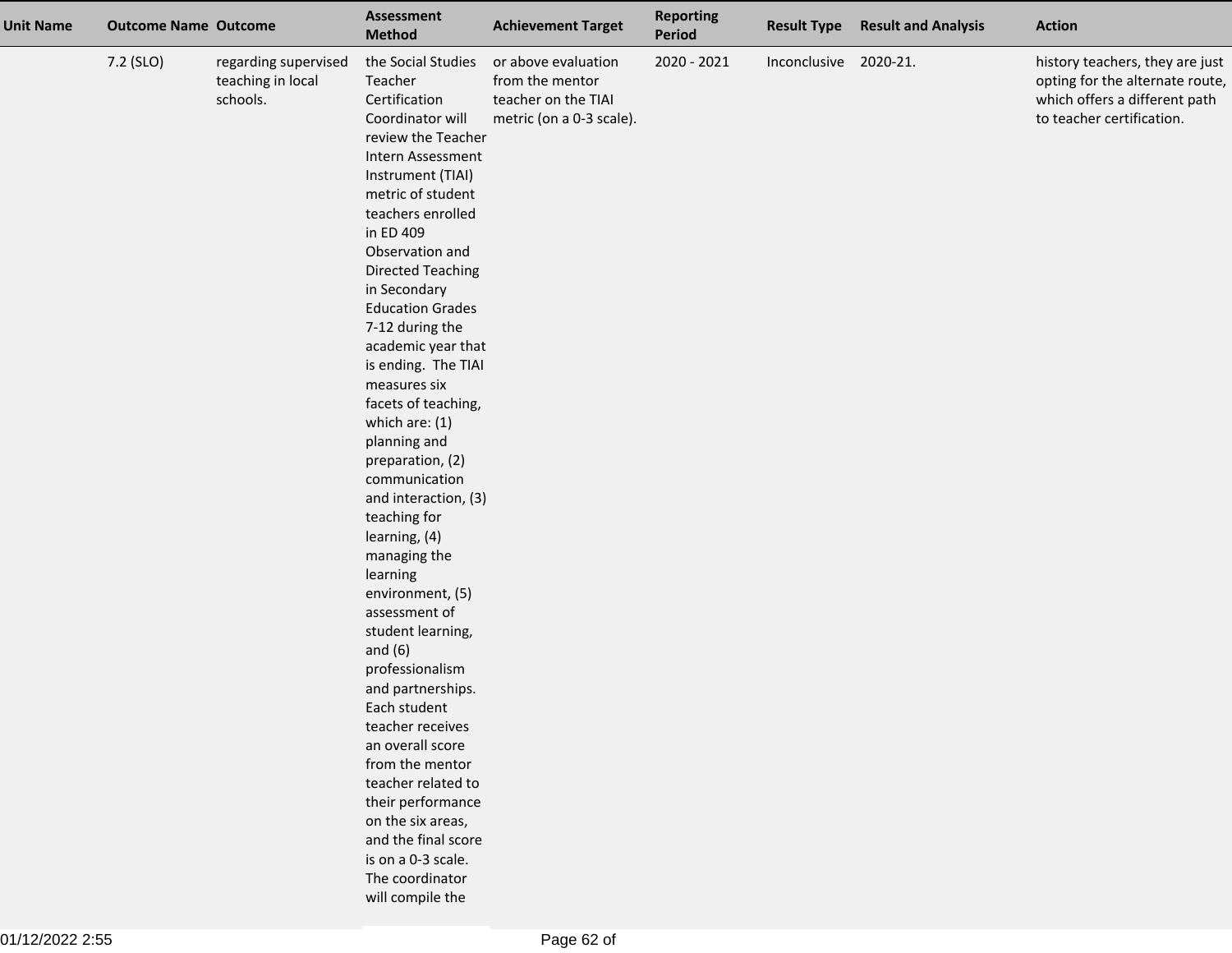| <b>Unit Name</b> | <b>Outcome Name Outcome</b> |                                                       | Assessment<br><b>Method</b>                                                                                                                                                                                                                                                                                                                                                                                                                                                                                                                                                                                                                                                                                                                                                                                                                                                                          | <b>Achievement Target</b>                                                                 | <b>Reporting</b><br><b>Period</b> | <b>Result Type</b>    | <b>Result and Analysis</b> | <b>Action</b>                                                                                                                    |
|------------------|-----------------------------|-------------------------------------------------------|------------------------------------------------------------------------------------------------------------------------------------------------------------------------------------------------------------------------------------------------------------------------------------------------------------------------------------------------------------------------------------------------------------------------------------------------------------------------------------------------------------------------------------------------------------------------------------------------------------------------------------------------------------------------------------------------------------------------------------------------------------------------------------------------------------------------------------------------------------------------------------------------------|-------------------------------------------------------------------------------------------|-----------------------------------|-----------------------|----------------------------|----------------------------------------------------------------------------------------------------------------------------------|
|                  | 7.2 (SLO)                   | regarding supervised<br>teaching in local<br>schools. | the Social Studies<br>Teacher<br>Certification<br>Coordinator will<br>review the Teacher<br>Intern Assessment<br>Instrument (TIAI)<br>metric of student<br>teachers enrolled<br>in ED 409<br>Observation and<br><b>Directed Teaching</b><br>in Secondary<br><b>Education Grades</b><br>7-12 during the<br>academic year that<br>is ending. The TIAI<br>measures six<br>facets of teaching,<br>which are: (1)<br>planning and<br>preparation, (2)<br>communication<br>and interaction, (3)<br>teaching for<br>learning, (4)<br>managing the<br>learning<br>environment, (5)<br>assessment of<br>student learning,<br>and $(6)$<br>professionalism<br>and partnerships.<br>Each student<br>teacher receives<br>an overall score<br>from the mentor<br>teacher related to<br>their performance<br>on the six areas,<br>and the final score<br>is on a 0-3 scale.<br>The coordinator<br>will compile the | or above evaluation<br>from the mentor<br>teacher on the TIAI<br>metric (on a 0-3 scale). | 2020 - 2021                       | Inconclusive 2020-21. |                            | history teachers, they are just<br>opting for the alternate route,<br>which offers a different path<br>to teacher certification. |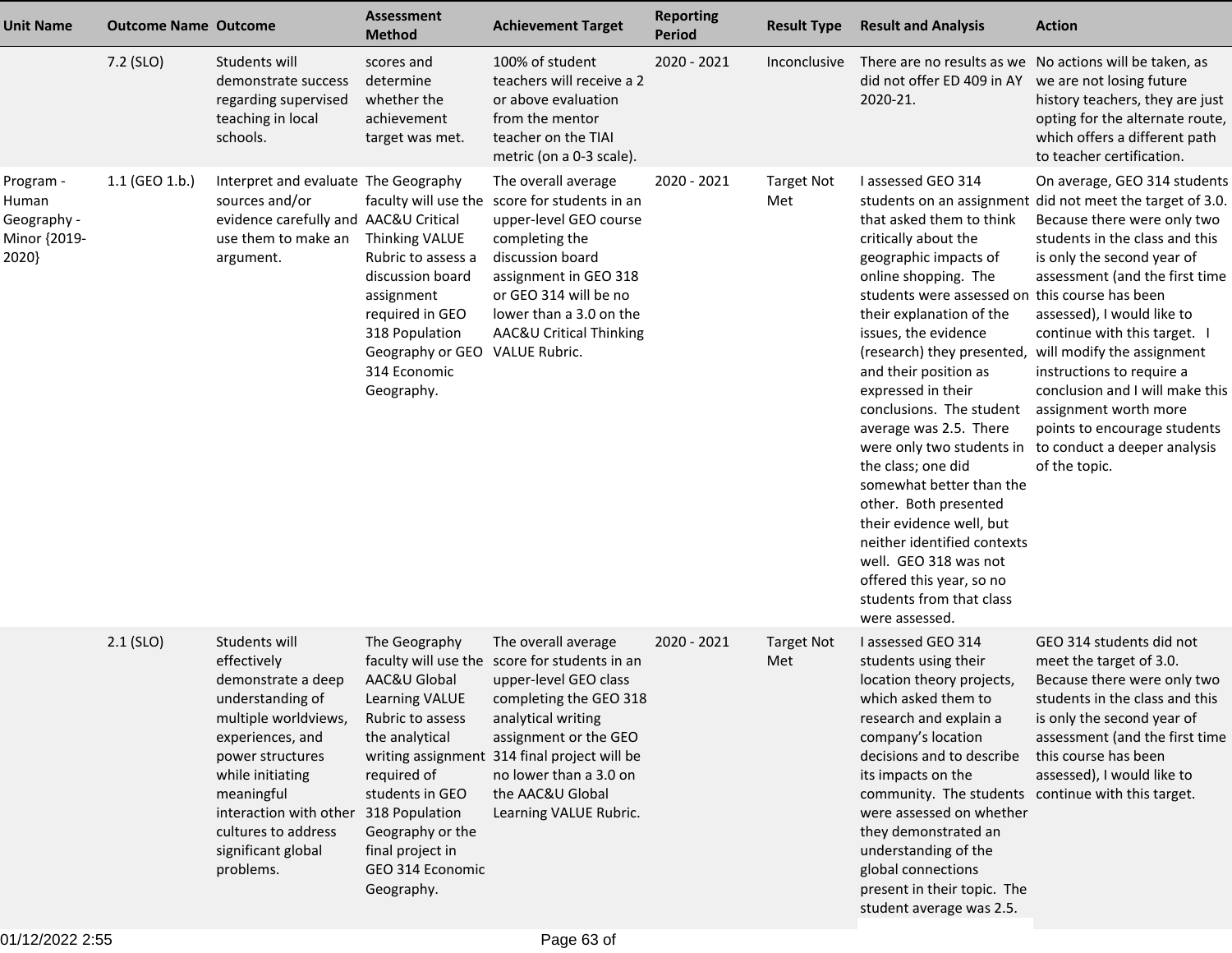| <b>Unit Name</b>                                           | <b>Outcome Name Outcome</b> |                                                                                                                                                                                                                                                              | <b>Assessment</b><br><b>Method</b>                                                                                                                                                                                         | <b>Achievement Target</b>                                                                                                                                                                                                                                                                      | <b>Reporting</b><br><b>Period</b> | <b>Result Type</b>       | <b>Result and Analysis</b>                                                                                                                                                                                                                                                                                                                                                                                                                                                                                                                                                                                                             | <b>Action</b>                                                                                                                                                                                                                                                                                                                                                                                                                                                                                    |
|------------------------------------------------------------|-----------------------------|--------------------------------------------------------------------------------------------------------------------------------------------------------------------------------------------------------------------------------------------------------------|----------------------------------------------------------------------------------------------------------------------------------------------------------------------------------------------------------------------------|------------------------------------------------------------------------------------------------------------------------------------------------------------------------------------------------------------------------------------------------------------------------------------------------|-----------------------------------|--------------------------|----------------------------------------------------------------------------------------------------------------------------------------------------------------------------------------------------------------------------------------------------------------------------------------------------------------------------------------------------------------------------------------------------------------------------------------------------------------------------------------------------------------------------------------------------------------------------------------------------------------------------------------|--------------------------------------------------------------------------------------------------------------------------------------------------------------------------------------------------------------------------------------------------------------------------------------------------------------------------------------------------------------------------------------------------------------------------------------------------------------------------------------------------|
|                                                            | 7.2 (SLO)                   | Students will<br>demonstrate success<br>regarding supervised<br>teaching in local<br>schools.                                                                                                                                                                | scores and<br>determine<br>whether the<br>achievement<br>target was met.                                                                                                                                                   | 100% of student<br>teachers will receive a 2<br>or above evaluation<br>from the mentor<br>teacher on the TIAI<br>metric (on a 0-3 scale).                                                                                                                                                      | 2020 - 2021                       | Inconclusive             | did not offer ED 409 in AY<br>2020-21.                                                                                                                                                                                                                                                                                                                                                                                                                                                                                                                                                                                                 | There are no results as we No actions will be taken, as<br>we are not losing future<br>history teachers, they are just<br>opting for the alternate route,<br>which offers a different path<br>to teacher certification.                                                                                                                                                                                                                                                                          |
| Program -<br>Human<br>Geography -<br>Minor {2019-<br>2020} | 1.1 (GEO 1.b.)              | Interpret and evaluate The Geography<br>sources and/or<br>evidence carefully and AAC&U Critical<br>use them to make an<br>argument.                                                                                                                          | <b>Thinking VALUE</b><br>Rubric to assess a<br>discussion board<br>assignment<br>required in GEO<br>318 Population<br>Geography or GEO<br>314 Economic<br>Geography.                                                       | The overall average<br>faculty will use the score for students in an<br>upper-level GEO course<br>completing the<br>discussion board<br>assignment in GEO 318<br>or GEO 314 will be no<br>lower than a 3.0 on the<br>AAC&U Critical Thinking<br>VALUE Rubric.                                  | 2020 - 2021                       | <b>Target Not</b><br>Met | I assessed GEO 314<br>that asked them to think<br>critically about the<br>geographic impacts of<br>online shopping. The<br>students were assessed on this course has been<br>their explanation of the<br>issues, the evidence<br>(research) they presented,<br>and their position as<br>expressed in their<br>conclusions. The student<br>average was 2.5. There<br>were only two students in<br>the class; one did<br>somewhat better than the<br>other. Both presented<br>their evidence well, but<br>neither identified contexts<br>well. GEO 318 was not<br>offered this year, so no<br>students from that class<br>were assessed. | On average, GEO 314 students<br>students on an assignment did not meet the target of 3.0.<br>Because there were only two<br>students in the class and this<br>is only the second year of<br>assessment (and the first time<br>assessed), I would like to<br>continue with this target. I<br>will modify the assignment<br>instructions to require a<br>conclusion and I will make this<br>assignment worth more<br>points to encourage students<br>to conduct a deeper analysis<br>of the topic. |
|                                                            | $2.1$ (SLO)                 | Students will<br>effectively<br>demonstrate a deep<br>understanding of<br>multiple worldviews,<br>experiences, and<br>power structures<br>while initiating<br>meaningful<br>interaction with other<br>cultures to address<br>significant global<br>problems. | The Geography<br>AAC&U Global<br><b>Learning VALUE</b><br>Rubric to assess<br>the analytical<br>required of<br>students in GEO<br>318 Population<br>Geography or the<br>final project in<br>GEO 314 Economic<br>Geography. | The overall average<br>faculty will use the score for students in an<br>upper-level GEO class<br>completing the GEO 318<br>analytical writing<br>assignment or the GEO<br>writing assignment 314 final project will be<br>no lower than a 3.0 on<br>the AAC&U Global<br>Learning VALUE Rubric. | 2020 - 2021                       | <b>Target Not</b><br>Met | I assessed GEO 314<br>students using their<br>location theory projects,<br>which asked them to<br>research and explain a<br>company's location<br>decisions and to describe<br>its impacts on the<br>community. The students continue with this target.<br>were assessed on whether<br>they demonstrated an<br>understanding of the<br>global connections<br>present in their topic. The<br>student average was 2.5.                                                                                                                                                                                                                   | GEO 314 students did not<br>meet the target of 3.0.<br>Because there were only two<br>students in the class and this<br>is only the second year of<br>assessment (and the first time<br>this course has been<br>assessed), I would like to                                                                                                                                                                                                                                                       |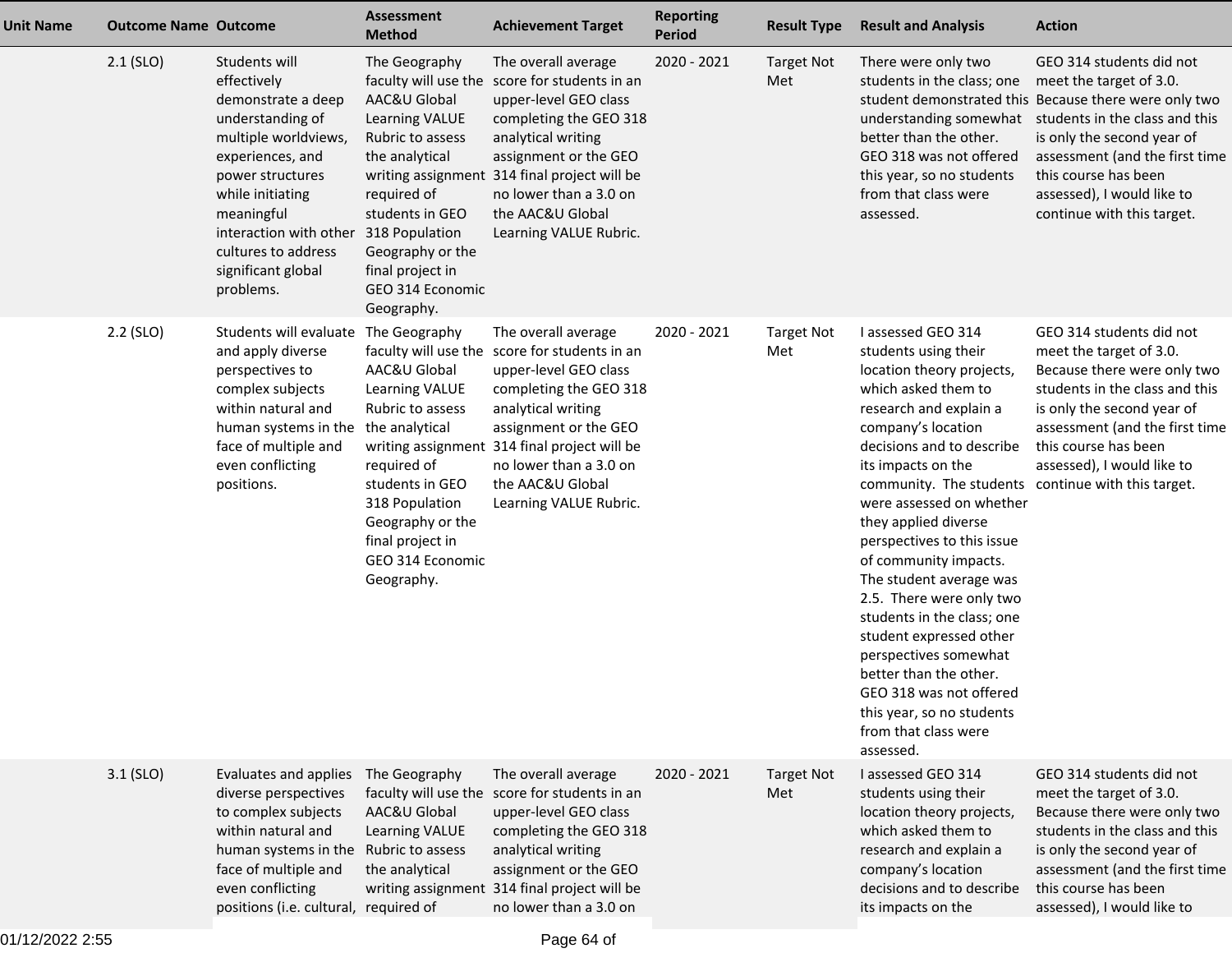| <b>Unit Name</b> | <b>Outcome Name Outcome</b> |                                                                                                                                                                                                                                                              | <b>Assessment</b><br><b>Method</b>                                                                                                                                                                                                          | <b>Achievement Target</b>                                                                                                                                                                                                                                                                      | <b>Reporting</b><br><b>Period</b> | <b>Result Type</b>       | <b>Result and Analysis</b>                                                                                                                                                                                                                                                                                                                                                                                                                                                                                                                                                                                                         | <b>Action</b>                                                                                                                                                                                                                                                                                      |
|------------------|-----------------------------|--------------------------------------------------------------------------------------------------------------------------------------------------------------------------------------------------------------------------------------------------------------|---------------------------------------------------------------------------------------------------------------------------------------------------------------------------------------------------------------------------------------------|------------------------------------------------------------------------------------------------------------------------------------------------------------------------------------------------------------------------------------------------------------------------------------------------|-----------------------------------|--------------------------|------------------------------------------------------------------------------------------------------------------------------------------------------------------------------------------------------------------------------------------------------------------------------------------------------------------------------------------------------------------------------------------------------------------------------------------------------------------------------------------------------------------------------------------------------------------------------------------------------------------------------------|----------------------------------------------------------------------------------------------------------------------------------------------------------------------------------------------------------------------------------------------------------------------------------------------------|
|                  | $2.1$ (SLO)                 | Students will<br>effectively<br>demonstrate a deep<br>understanding of<br>multiple worldviews,<br>experiences, and<br>power structures<br>while initiating<br>meaningful<br>interaction with other<br>cultures to address<br>significant global<br>problems. | The Geography<br>AAC&U Global<br>Learning VALUE<br>Rubric to assess<br>the analytical<br>required of<br>students in GEO<br>318 Population<br>Geography or the<br>final project in<br>GEO 314 Economic<br>Geography.                         | The overall average<br>faculty will use the score for students in an<br>upper-level GEO class<br>completing the GEO 318<br>analytical writing<br>assignment or the GEO<br>writing assignment 314 final project will be<br>no lower than a 3.0 on<br>the AAC&U Global<br>Learning VALUE Rubric. | 2020 - 2021                       | <b>Target Not</b><br>Met | There were only two<br>students in the class; one<br>understanding somewhat<br>better than the other.<br>GEO 318 was not offered<br>this year, so no students<br>from that class were<br>assessed.                                                                                                                                                                                                                                                                                                                                                                                                                                 | GEO 314 students did not<br>meet the target of 3.0.<br>student demonstrated this Because there were only two<br>students in the class and this<br>is only the second year of<br>assessment (and the first time<br>this course has been<br>assessed), I would like to<br>continue with this target. |
|                  | $2.2$ (SLO)                 | Students will evaluate<br>and apply diverse<br>perspectives to<br>complex subjects<br>within natural and<br>human systems in the<br>face of multiple and<br>even conflicting<br>positions.                                                                   | The Geography<br>faculty will use the<br>AAC&U Global<br>Learning VALUE<br>Rubric to assess<br>the analytical<br>required of<br>students in GEO<br>318 Population<br>Geography or the<br>final project in<br>GEO 314 Economic<br>Geography. | The overall average<br>score for students in an<br>upper-level GEO class<br>completing the GEO 318<br>analytical writing<br>assignment or the GEO<br>writing assignment 314 final project will be<br>no lower than a 3.0 on<br>the AAC&U Global<br>Learning VALUE Rubric.                      | 2020 - 2021                       | <b>Target Not</b><br>Met | I assessed GEO 314<br>students using their<br>location theory projects,<br>which asked them to<br>research and explain a<br>company's location<br>decisions and to describe<br>its impacts on the<br>community. The students continue with this target.<br>were assessed on whether<br>they applied diverse<br>perspectives to this issue<br>of community impacts.<br>The student average was<br>2.5. There were only two<br>students in the class; one<br>student expressed other<br>perspectives somewhat<br>better than the other.<br>GEO 318 was not offered<br>this year, so no students<br>from that class were<br>assessed. | GEO 314 students did not<br>meet the target of 3.0.<br>Because there were only two<br>students in the class and this<br>is only the second year of<br>assessment (and the first time<br>this course has been<br>assessed), I would like to                                                         |
|                  | 3.1 (SLO)                   | Evaluates and applies<br>diverse perspectives<br>to complex subjects<br>within natural and<br>human systems in the Rubric to assess<br>face of multiple and<br>even conflicting<br>positions (i.e. cultural, required of                                     | The Geography<br>AAC&U Global<br>Learning VALUE<br>the analytical                                                                                                                                                                           | The overall average<br>faculty will use the score for students in an<br>upper-level GEO class<br>completing the GEO 318<br>analytical writing<br>assignment or the GEO<br>writing assignment 314 final project will be<br>no lower than a 3.0 on                                               | 2020 - 2021                       | <b>Target Not</b><br>Met | I assessed GEO 314<br>students using their<br>location theory projects,<br>which asked them to<br>research and explain a<br>company's location<br>decisions and to describe<br>its impacts on the                                                                                                                                                                                                                                                                                                                                                                                                                                  | GEO 314 students did not<br>meet the target of 3.0.<br>Because there were only two<br>students in the class and this<br>is only the second year of<br>assessment (and the first time<br>this course has been<br>assessed), I would like to                                                         |

01/12/2022 2:55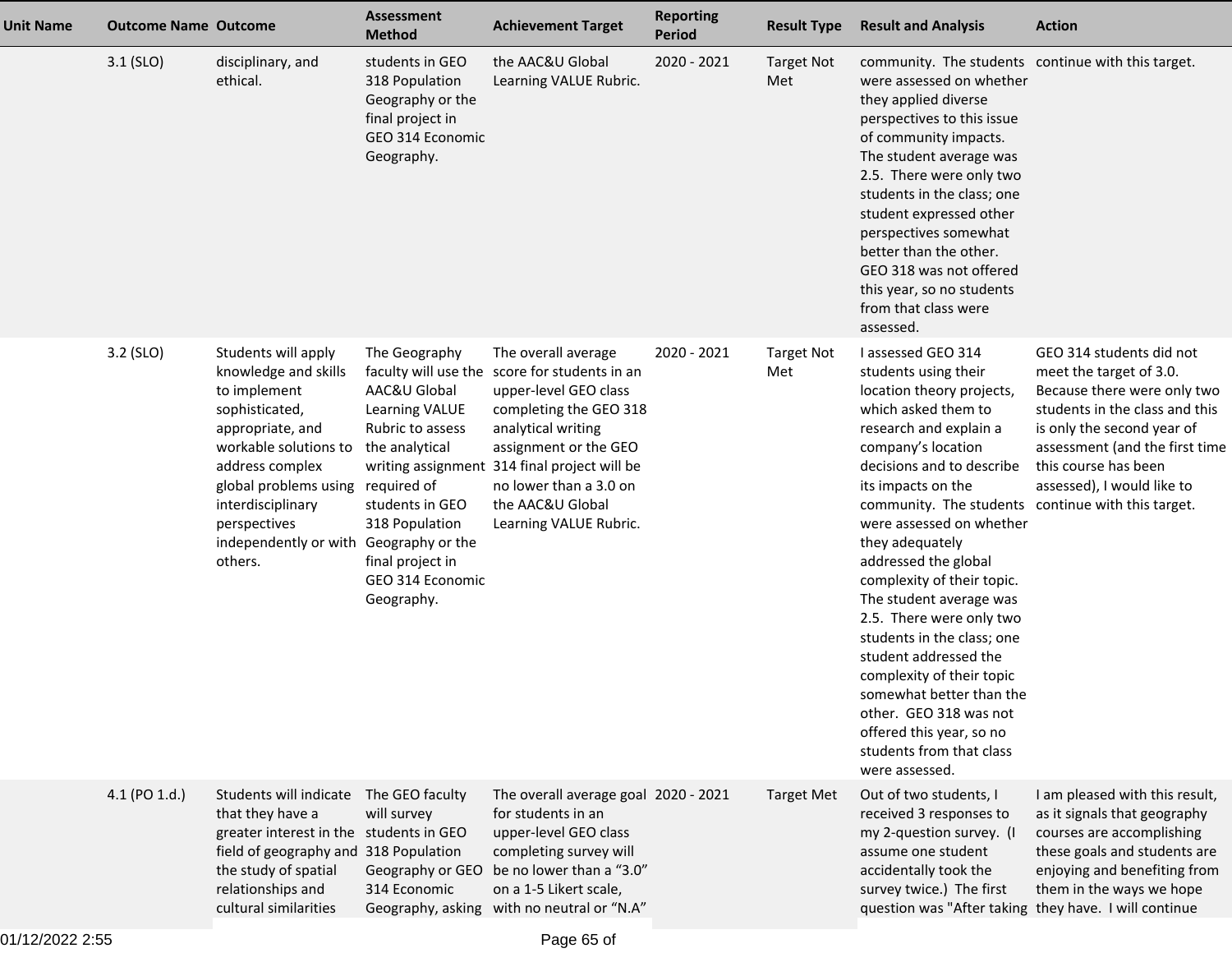| <b>Unit Name</b> | <b>Outcome Name Outcome</b> |                                                                                                                                                                                                                                                                              | <b>Assessment</b><br><b>Method</b>                                                                                                                                               | <b>Achievement Target</b>                                                                                                                                                                                                                                                                      | <b>Reporting</b><br><b>Period</b> | <b>Result Type</b>       | <b>Result and Analysis</b>                                                                                                                                                                                                                                                                                                                                                                                                                                                                                                                                                                                                              | <b>Action</b>                                                                                                                                                                                                                              |
|------------------|-----------------------------|------------------------------------------------------------------------------------------------------------------------------------------------------------------------------------------------------------------------------------------------------------------------------|----------------------------------------------------------------------------------------------------------------------------------------------------------------------------------|------------------------------------------------------------------------------------------------------------------------------------------------------------------------------------------------------------------------------------------------------------------------------------------------|-----------------------------------|--------------------------|-----------------------------------------------------------------------------------------------------------------------------------------------------------------------------------------------------------------------------------------------------------------------------------------------------------------------------------------------------------------------------------------------------------------------------------------------------------------------------------------------------------------------------------------------------------------------------------------------------------------------------------------|--------------------------------------------------------------------------------------------------------------------------------------------------------------------------------------------------------------------------------------------|
|                  | $3.1$ (SLO)                 | disciplinary, and<br>ethical.                                                                                                                                                                                                                                                | students in GEO<br>318 Population<br>Geography or the<br>final project in<br>GEO 314 Economic<br>Geography.                                                                      | the AAC&U Global<br>Learning VALUE Rubric.                                                                                                                                                                                                                                                     | 2020 - 2021                       | <b>Target Not</b><br>Met | community. The students continue with this target.<br>were assessed on whether<br>they applied diverse<br>perspectives to this issue<br>of community impacts.<br>The student average was<br>2.5. There were only two<br>students in the class; one<br>student expressed other<br>perspectives somewhat<br>better than the other.<br>GEO 318 was not offered<br>this year, so no students<br>from that class were<br>assessed.                                                                                                                                                                                                           |                                                                                                                                                                                                                                            |
|                  | 3.2 (SLO)                   | Students will apply<br>knowledge and skills<br>to implement<br>sophisticated,<br>appropriate, and<br>workable solutions to<br>address complex<br>global problems using required of<br>interdisciplinary<br>perspectives<br>independently or with Geography or the<br>others. | The Geography<br>AAC&U Global<br>Learning VALUE<br>Rubric to assess<br>the analytical<br>students in GEO<br>318 Population<br>final project in<br>GEO 314 Economic<br>Geography. | The overall average<br>faculty will use the score for students in an<br>upper-level GEO class<br>completing the GEO 318<br>analytical writing<br>assignment or the GEO<br>writing assignment 314 final project will be<br>no lower than a 3.0 on<br>the AAC&U Global<br>Learning VALUE Rubric. | 2020 - 2021                       | <b>Target Not</b><br>Met | I assessed GEO 314<br>students using their<br>location theory projects,<br>which asked them to<br>research and explain a<br>company's location<br>decisions and to describe<br>its impacts on the<br>community. The students continue with this target.<br>were assessed on whether<br>they adequately<br>addressed the global<br>complexity of their topic.<br>The student average was<br>2.5. There were only two<br>students in the class; one<br>student addressed the<br>complexity of their topic<br>somewhat better than the<br>other. GEO 318 was not<br>offered this year, so no<br>students from that class<br>were assessed. | GEO 314 students did not<br>meet the target of 3.0.<br>Because there were only two<br>students in the class and this<br>is only the second year of<br>assessment (and the first time<br>this course has been<br>assessed), I would like to |
|                  | 4.1 (PO 1.d.)               | Students will indicate The GEO faculty<br>that they have a<br>greater interest in the students in GEO<br>field of geography and 318 Population<br>the study of spatial<br>relationships and<br>cultural similarities                                                         | will survey<br>Geography or GEO<br>314 Economic                                                                                                                                  | The overall average goal 2020 - 2021<br>for students in an<br>upper-level GEO class<br>completing survey will<br>be no lower than a "3.0"<br>on a 1-5 Likert scale,<br>Geography, asking with no neutral or "N.A"                                                                              |                                   | <b>Target Met</b>        | Out of two students, I<br>received 3 responses to<br>my 2-question survey. (I<br>assume one student<br>accidentally took the<br>survey twice.) The first<br>question was "After taking they have. I will continue                                                                                                                                                                                                                                                                                                                                                                                                                       | I am pleased with this result,<br>as it signals that geography<br>courses are accomplishing<br>these goals and students are<br>enjoying and benefiting from<br>them in the ways we hope                                                    |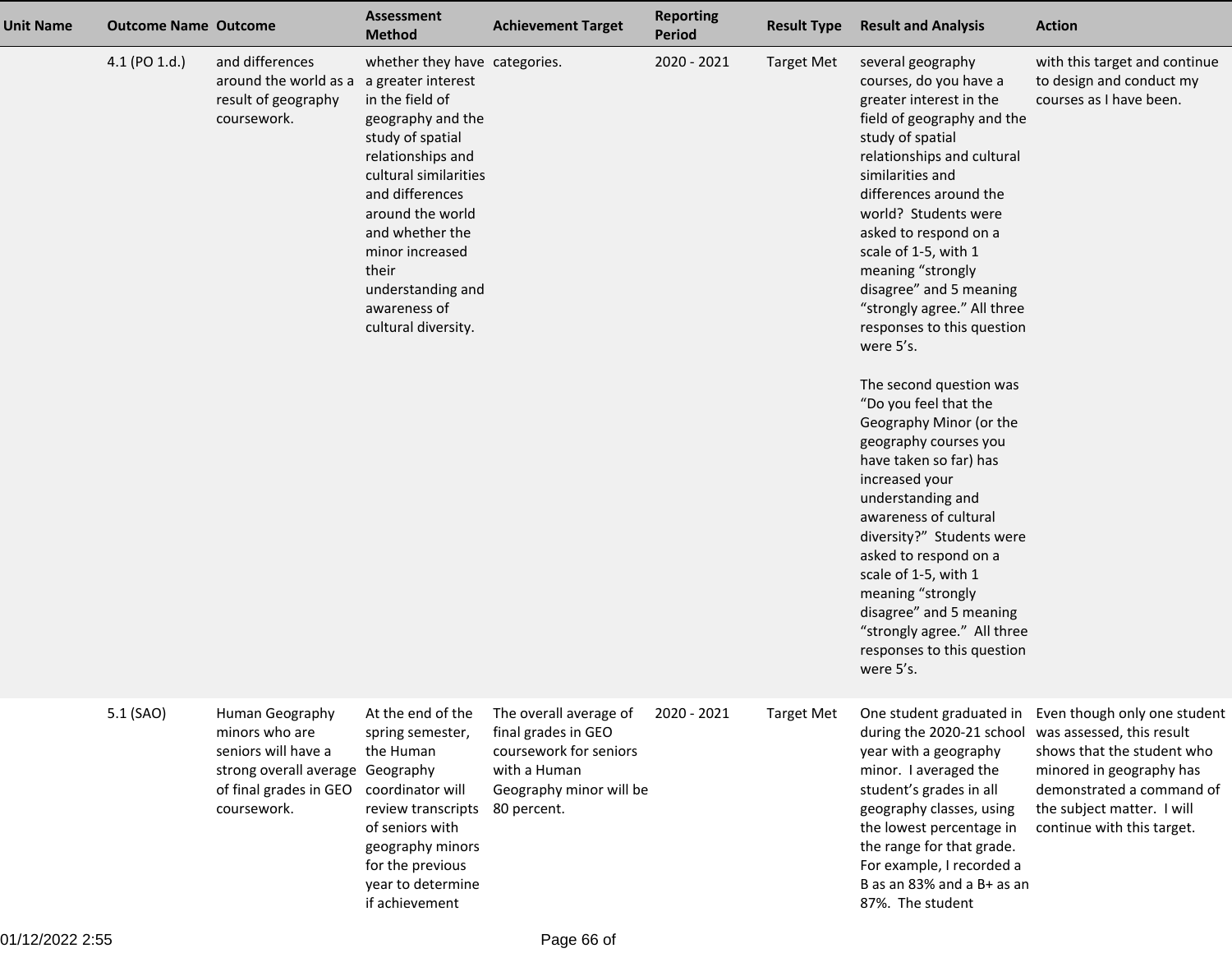| <b>Unit Name</b> | <b>Outcome Name Outcome</b> |                                                                                                                                       | <b>Assessment</b><br><b>Method</b>                                                                                                                                                                                                                                                        | <b>Achievement Target</b>                                                                                                         | <b>Reporting</b><br>Period | <b>Result Type</b> | <b>Result and Analysis</b>                                                                                                                                                                                                                                                                                                                                                                                                                                                                                                                                                                                                                                                                                                                                                                                        | <b>Action</b>                                                                                                                                                                                                |
|------------------|-----------------------------|---------------------------------------------------------------------------------------------------------------------------------------|-------------------------------------------------------------------------------------------------------------------------------------------------------------------------------------------------------------------------------------------------------------------------------------------|-----------------------------------------------------------------------------------------------------------------------------------|----------------------------|--------------------|-------------------------------------------------------------------------------------------------------------------------------------------------------------------------------------------------------------------------------------------------------------------------------------------------------------------------------------------------------------------------------------------------------------------------------------------------------------------------------------------------------------------------------------------------------------------------------------------------------------------------------------------------------------------------------------------------------------------------------------------------------------------------------------------------------------------|--------------------------------------------------------------------------------------------------------------------------------------------------------------------------------------------------------------|
|                  | 4.1 (PO 1.d.)               | and differences<br>around the world as a a greater interest<br>result of geography<br>coursework.                                     | whether they have categories.<br>in the field of<br>geography and the<br>study of spatial<br>relationships and<br>cultural similarities<br>and differences<br>around the world<br>and whether the<br>minor increased<br>their<br>understanding and<br>awareness of<br>cultural diversity. |                                                                                                                                   | 2020 - 2021                | <b>Target Met</b>  | several geography<br>courses, do you have a<br>greater interest in the<br>field of geography and the<br>study of spatial<br>relationships and cultural<br>similarities and<br>differences around the<br>world? Students were<br>asked to respond on a<br>scale of 1-5, with 1<br>meaning "strongly<br>disagree" and 5 meaning<br>"strongly agree." All three<br>responses to this question<br>were 5's.<br>The second question was<br>"Do you feel that the<br>Geography Minor (or the<br>geography courses you<br>have taken so far) has<br>increased your<br>understanding and<br>awareness of cultural<br>diversity?" Students were<br>asked to respond on a<br>scale of 1-5, with 1<br>meaning "strongly<br>disagree" and 5 meaning<br>"strongly agree." All three<br>responses to this question<br>were 5's. | with this target and continue<br>to design and conduct my<br>courses as I have been.                                                                                                                         |
|                  | 5.1 (SAO)                   | Human Geography<br>minors who are<br>seniors will have a<br>strong overall average Geography<br>of final grades in GEO<br>coursework. | At the end of the<br>spring semester,<br>the Human<br>coordinator will<br>review transcripts<br>of seniors with<br>geography minors<br>for the previous<br>year to determine<br>if achievement                                                                                            | The overall average of<br>final grades in GEO<br>coursework for seniors<br>with a Human<br>Geography minor will be<br>80 percent. | 2020 - 2021                | <b>Target Met</b>  | One student graduated in<br>during the 2020-21 school<br>year with a geography<br>minor. I averaged the<br>student's grades in all<br>geography classes, using<br>the lowest percentage in<br>the range for that grade.<br>For example, I recorded a<br>B as an 83% and a B+ as an<br>87%. The student                                                                                                                                                                                                                                                                                                                                                                                                                                                                                                            | Even though only one student<br>was assessed, this result<br>shows that the student who<br>minored in geography has<br>demonstrated a command of<br>the subject matter. I will<br>continue with this target. |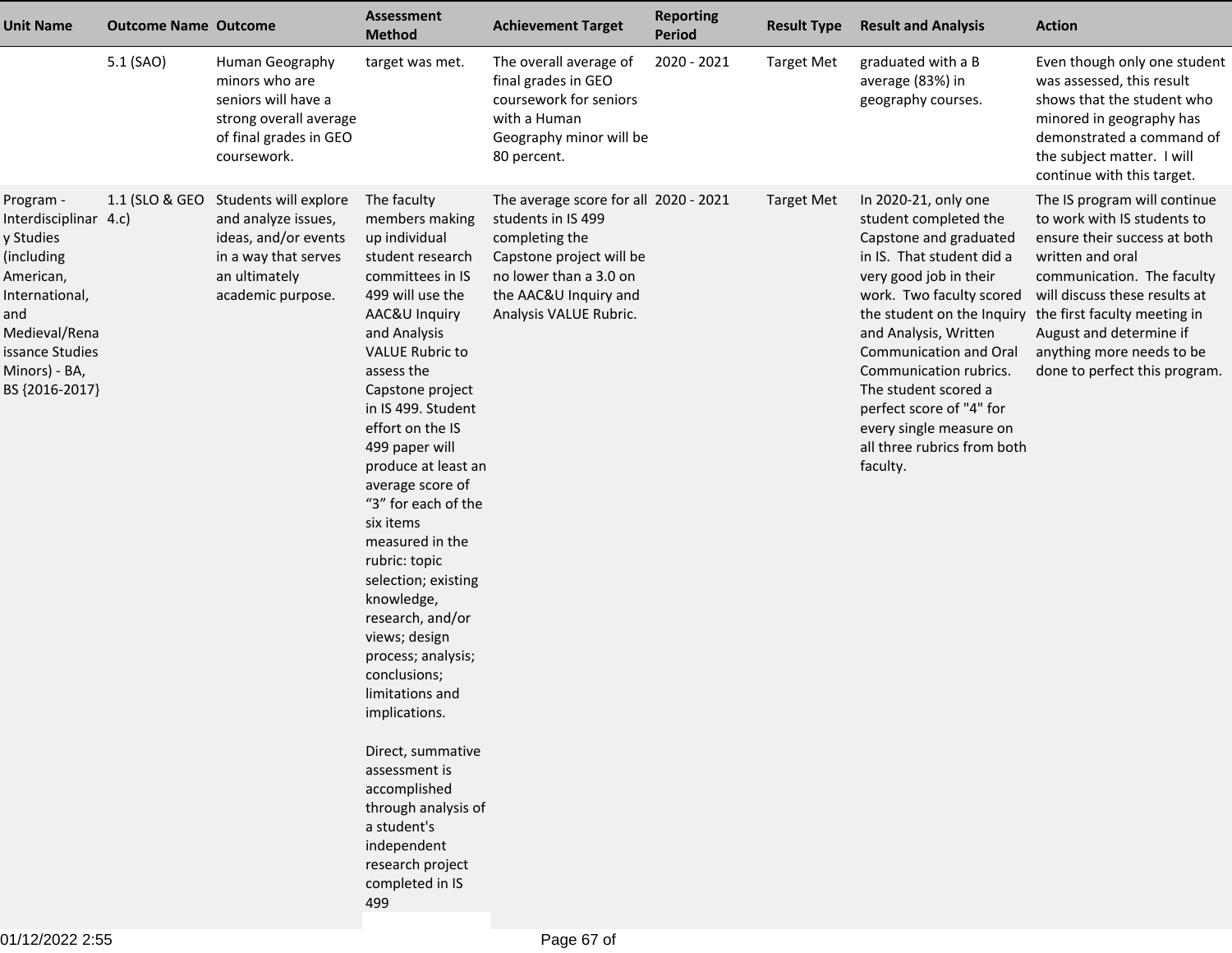| <b>Unit Name</b>                                                                                                                                                           | <b>Outcome Name Outcome</b> |                                                                                                                                                   | <b>Assessment</b><br><b>Method</b>                                                                                                                                                                                                                                                                                                                                                                                                                                                                                                                                                                                                                                                                  | <b>Achievement Target</b>                                                                                                                                                              | <b>Reporting</b><br><b>Period</b> | <b>Result Type</b> | <b>Result and Analysis</b>                                                                                                                                                                                                                                                                                                                                        | <b>Action</b>                                                                                                                                                                                                                                                                                                                      |
|----------------------------------------------------------------------------------------------------------------------------------------------------------------------------|-----------------------------|---------------------------------------------------------------------------------------------------------------------------------------------------|-----------------------------------------------------------------------------------------------------------------------------------------------------------------------------------------------------------------------------------------------------------------------------------------------------------------------------------------------------------------------------------------------------------------------------------------------------------------------------------------------------------------------------------------------------------------------------------------------------------------------------------------------------------------------------------------------------|----------------------------------------------------------------------------------------------------------------------------------------------------------------------------------------|-----------------------------------|--------------------|-------------------------------------------------------------------------------------------------------------------------------------------------------------------------------------------------------------------------------------------------------------------------------------------------------------------------------------------------------------------|------------------------------------------------------------------------------------------------------------------------------------------------------------------------------------------------------------------------------------------------------------------------------------------------------------------------------------|
|                                                                                                                                                                            | 5.1 (SAO)                   | Human Geography<br>minors who are<br>seniors will have a<br>strong overall average<br>of final grades in GEO<br>coursework.                       | target was met.                                                                                                                                                                                                                                                                                                                                                                                                                                                                                                                                                                                                                                                                                     | The overall average of<br>final grades in GEO<br>coursework for seniors<br>with a Human<br>Geography minor will be<br>80 percent.                                                      | 2020 - 2021                       | <b>Target Met</b>  | graduated with a B<br>average (83%) in<br>geography courses.                                                                                                                                                                                                                                                                                                      | Even though only one student<br>was assessed, this result<br>shows that the student who<br>minored in geography has<br>demonstrated a command of<br>the subject matter. I will<br>continue with this target.                                                                                                                       |
| Program -<br>Interdisciplinar 4.c)<br>y Studies<br>(including<br>American,<br>International,<br>and<br>Medieval/Rena<br>issance Studies<br>Minors) - BA,<br>BS {2016-2017} |                             | 1.1 (SLO & GEO Students will explore<br>and analyze issues,<br>ideas, and/or events<br>in a way that serves<br>an ultimately<br>academic purpose. | The faculty<br>members making<br>up individual<br>student research<br>committees in IS<br>499 will use the<br>AAC&U Inquiry<br>and Analysis<br><b>VALUE Rubric to</b><br>assess the<br>Capstone project<br>in IS 499. Student<br>effort on the IS<br>499 paper will<br>produce at least an<br>average score of<br>"3" for each of the<br>six items<br>measured in the<br>rubric: topic<br>selection; existing<br>knowledge,<br>research, and/or<br>views; design<br>process; analysis;<br>conclusions;<br>limitations and<br>implications.<br>Direct, summative<br>assessment is<br>accomplished<br>through analysis of<br>a student's<br>independent<br>research project<br>completed in IS<br>499 | The average score for all 2020 - 2021<br>students in IS 499<br>completing the<br>Capstone project will be<br>no lower than a 3.0 on<br>the AAC&U Inquiry and<br>Analysis VALUE Rubric. |                                   | <b>Target Met</b>  | In 2020-21, only one<br>student completed the<br>Capstone and graduated<br>in IS. That student did a<br>very good job in their<br>work. Two faculty scored<br>and Analysis, Written<br>Communication and Oral<br>Communication rubrics.<br>The student scored a<br>perfect score of "4" for<br>every single measure on<br>all three rubrics from both<br>faculty. | The IS program will continue<br>to work with IS students to<br>ensure their success at both<br>written and oral<br>communication. The faculty<br>will discuss these results at<br>the student on the Inquiry the first faculty meeting in<br>August and determine if<br>anything more needs to be<br>done to perfect this program. |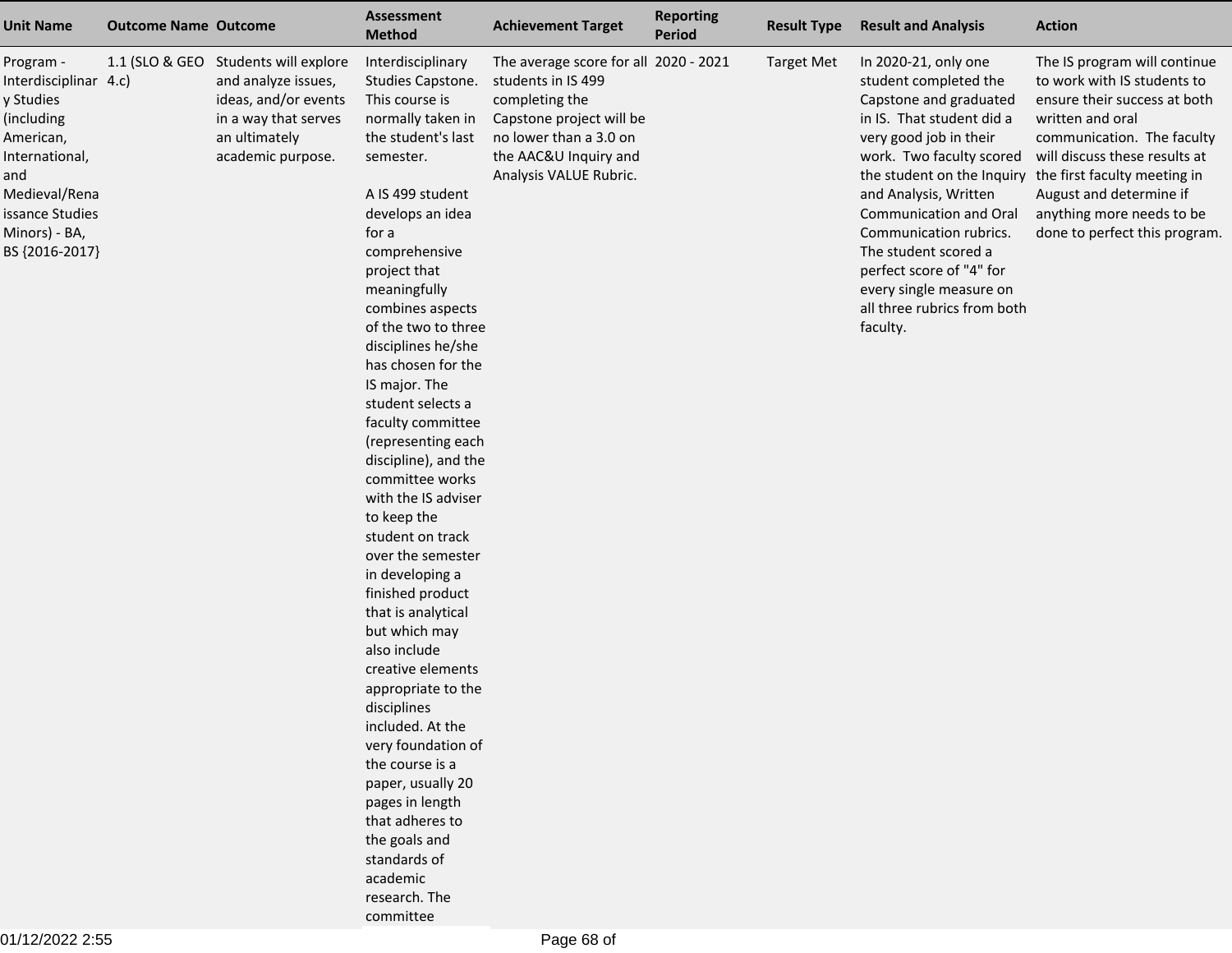| <b>Unit Name</b>                                                                                                                                                           | <b>Outcome Name Outcome</b> |                                                                                                                                                   | <b>Assessment</b><br><b>Method</b>                                                                                                                                                                                                                                                                                                                                                                                                                                                                                                                                                                                                                                                                                                                                                                                                                                              | <b>Achievement Target</b>                                                                                                                                                              | <b>Reporting</b><br>Period | <b>Result Type</b> | <b>Result and Analysis</b>                                                                                                                                                                                                                                                                                                                                        | <b>Action</b>                                                                                                                                                                                                                                                                                                                      |
|----------------------------------------------------------------------------------------------------------------------------------------------------------------------------|-----------------------------|---------------------------------------------------------------------------------------------------------------------------------------------------|---------------------------------------------------------------------------------------------------------------------------------------------------------------------------------------------------------------------------------------------------------------------------------------------------------------------------------------------------------------------------------------------------------------------------------------------------------------------------------------------------------------------------------------------------------------------------------------------------------------------------------------------------------------------------------------------------------------------------------------------------------------------------------------------------------------------------------------------------------------------------------|----------------------------------------------------------------------------------------------------------------------------------------------------------------------------------------|----------------------------|--------------------|-------------------------------------------------------------------------------------------------------------------------------------------------------------------------------------------------------------------------------------------------------------------------------------------------------------------------------------------------------------------|------------------------------------------------------------------------------------------------------------------------------------------------------------------------------------------------------------------------------------------------------------------------------------------------------------------------------------|
| Program -<br>Interdisciplinar 4.c)<br>y Studies<br>(including<br>American,<br>International,<br>and<br>Medieval/Rena<br>issance Studies<br>Minors) - BA,<br>BS {2016-2017} |                             | 1.1 (SLO & GEO Students will explore<br>and analyze issues,<br>ideas, and/or events<br>in a way that serves<br>an ultimately<br>academic purpose. | Interdisciplinary<br>Studies Capstone.<br>This course is<br>normally taken in<br>the student's last<br>semester.<br>A IS 499 student<br>develops an idea<br>for a<br>comprehensive<br>project that<br>meaningfully<br>combines aspects<br>of the two to three<br>disciplines he/she<br>has chosen for the<br>IS major. The<br>student selects a<br>faculty committee<br>(representing each<br>discipline), and the<br>committee works<br>with the IS adviser<br>to keep the<br>student on track<br>over the semester<br>in developing a<br>finished product<br>that is analytical<br>but which may<br>also include<br>creative elements<br>appropriate to the<br>disciplines<br>included. At the<br>very foundation of<br>the course is a<br>paper, usually 20<br>pages in length<br>that adheres to<br>the goals and<br>standards of<br>academic<br>research. The<br>committee | The average score for all 2020 - 2021<br>students in IS 499<br>completing the<br>Capstone project will be<br>no lower than a 3.0 on<br>the AAC&U Inquiry and<br>Analysis VALUE Rubric. |                            | <b>Target Met</b>  | In 2020-21, only one<br>student completed the<br>Capstone and graduated<br>in IS. That student did a<br>very good job in their<br>work. Two faculty scored<br>and Analysis, Written<br>Communication and Oral<br>Communication rubrics.<br>The student scored a<br>perfect score of "4" for<br>every single measure on<br>all three rubrics from both<br>faculty. | The IS program will continue<br>to work with IS students to<br>ensure their success at both<br>written and oral<br>communication. The faculty<br>will discuss these results at<br>the student on the Inquiry the first faculty meeting in<br>August and determine if<br>anything more needs to be<br>done to perfect this program. |

01/12/2022 2:55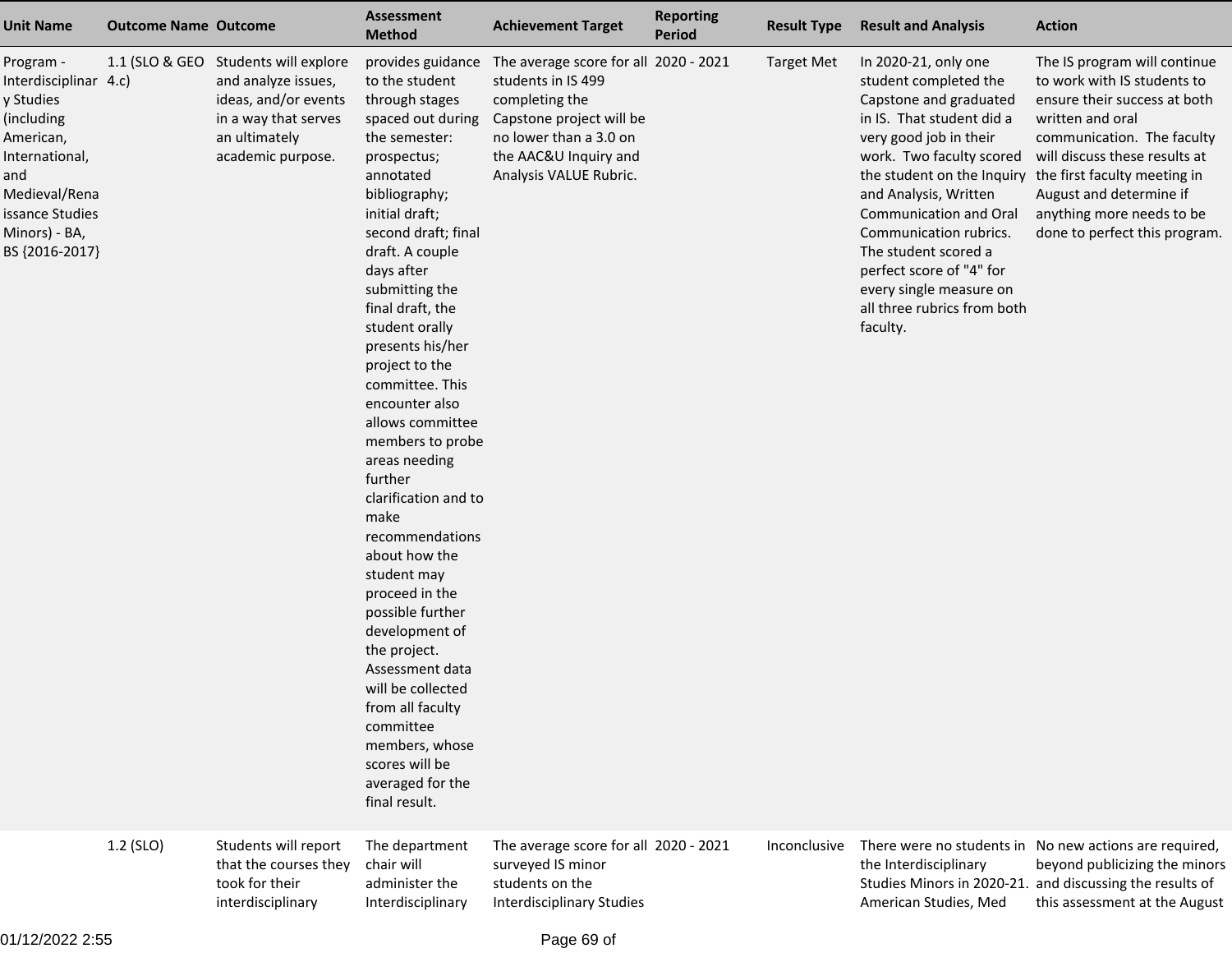| <b>Unit Name</b>                                                                                                                                                           | <b>Outcome Name Outcome</b> |                                                                                                                                                   | <b>Assessment</b><br><b>Method</b>                                                                                                                                                                                                                                                                                                                                                                                                                                                                                                                                                                                                                                                                                                     | <b>Achievement Target</b>                                                                                                                                                              | <b>Reporting</b><br><b>Period</b> | <b>Result Type</b> | <b>Result and Analysis</b>                                                                                                                                                                                                                                                                                                                                        | <b>Action</b>                                                                                                                                                                                                                                                                                                                      |
|----------------------------------------------------------------------------------------------------------------------------------------------------------------------------|-----------------------------|---------------------------------------------------------------------------------------------------------------------------------------------------|----------------------------------------------------------------------------------------------------------------------------------------------------------------------------------------------------------------------------------------------------------------------------------------------------------------------------------------------------------------------------------------------------------------------------------------------------------------------------------------------------------------------------------------------------------------------------------------------------------------------------------------------------------------------------------------------------------------------------------------|----------------------------------------------------------------------------------------------------------------------------------------------------------------------------------------|-----------------------------------|--------------------|-------------------------------------------------------------------------------------------------------------------------------------------------------------------------------------------------------------------------------------------------------------------------------------------------------------------------------------------------------------------|------------------------------------------------------------------------------------------------------------------------------------------------------------------------------------------------------------------------------------------------------------------------------------------------------------------------------------|
| Program -<br>Interdisciplinar 4.c)<br>y Studies<br>(including<br>American,<br>International,<br>and<br>Medieval/Rena<br>issance Studies<br>Minors) - BA,<br>BS {2016-2017} |                             | 1.1 (SLO & GEO Students will explore<br>and analyze issues,<br>ideas, and/or events<br>in a way that serves<br>an ultimately<br>academic purpose. | provides guidance<br>to the student<br>through stages<br>spaced out during<br>the semester:<br>prospectus;<br>annotated<br>bibliography;<br>initial draft;<br>second draft; final<br>draft. A couple<br>days after<br>submitting the<br>final draft, the<br>student orally<br>presents his/her<br>project to the<br>committee. This<br>encounter also<br>allows committee<br>members to probe<br>areas needing<br>further<br>clarification and to<br>make<br>recommendations<br>about how the<br>student may<br>proceed in the<br>possible further<br>development of<br>the project.<br>Assessment data<br>will be collected<br>from all faculty<br>committee<br>members, whose<br>scores will be<br>averaged for the<br>final result. | The average score for all 2020 - 2021<br>students in IS 499<br>completing the<br>Capstone project will be<br>no lower than a 3.0 on<br>the AAC&U Inquiry and<br>Analysis VALUE Rubric. |                                   | <b>Target Met</b>  | In 2020-21, only one<br>student completed the<br>Capstone and graduated<br>in IS. That student did a<br>very good job in their<br>work. Two faculty scored<br>and Analysis, Written<br>Communication and Oral<br>Communication rubrics.<br>The student scored a<br>perfect score of "4" for<br>every single measure on<br>all three rubrics from both<br>faculty. | The IS program will continue<br>to work with IS students to<br>ensure their success at both<br>written and oral<br>communication. The faculty<br>will discuss these results at<br>the student on the Inquiry the first faculty meeting in<br>August and determine if<br>anything more needs to be<br>done to perfect this program. |
|                                                                                                                                                                            | 1.2 (SLO)                   | Students will report<br>that the courses they<br>took for their<br>interdisciplinary                                                              | The department<br>chair will<br>administer the<br>Interdisciplinary                                                                                                                                                                                                                                                                                                                                                                                                                                                                                                                                                                                                                                                                    | The average score for all 2020 - 2021<br>surveyed IS minor<br>students on the<br><b>Interdisciplinary Studies</b>                                                                      |                                   | Inconclusive       | the Interdisciplinary<br>American Studies, Med                                                                                                                                                                                                                                                                                                                    | There were no students in No new actions are required,<br>beyond publicizing the minors<br>Studies Minors in 2020-21. and discussing the results of<br>this assessment at the August                                                                                                                                               |

01/12/2022 2:55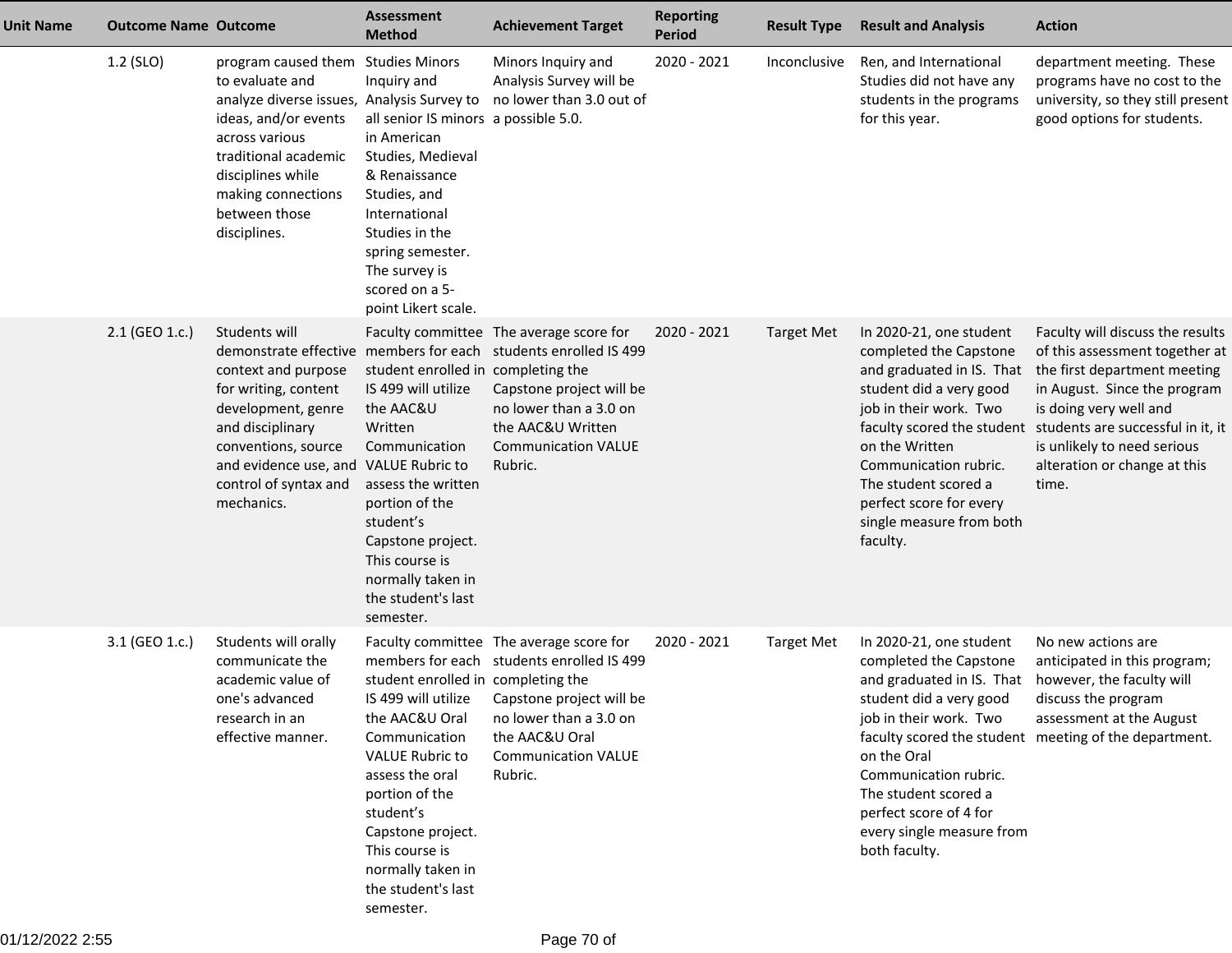| <b>Unit Name</b> | <b>Outcome Name Outcome</b> |                                                                                                                                                                                                                                                   | <b>Assessment</b><br><b>Method</b>                                                                                                                                                                                                                     | <b>Achievement Target</b>                                                                                                                                                                                                      | <b>Reporting</b><br><b>Period</b> | <b>Result Type</b> | <b>Result and Analysis</b>                                                                                                                                                                                                                                                                              | <b>Action</b>                                                                                                                                                                                                                                                             |
|------------------|-----------------------------|---------------------------------------------------------------------------------------------------------------------------------------------------------------------------------------------------------------------------------------------------|--------------------------------------------------------------------------------------------------------------------------------------------------------------------------------------------------------------------------------------------------------|--------------------------------------------------------------------------------------------------------------------------------------------------------------------------------------------------------------------------------|-----------------------------------|--------------------|---------------------------------------------------------------------------------------------------------------------------------------------------------------------------------------------------------------------------------------------------------------------------------------------------------|---------------------------------------------------------------------------------------------------------------------------------------------------------------------------------------------------------------------------------------------------------------------------|
|                  | 1.2 (SLO)                   | program caused them Studies Minors<br>to evaluate and<br>analyze diverse issues, Analysis Survey to<br>ideas, and/or events<br>across various<br>traditional academic<br>disciplines while<br>making connections<br>between those<br>disciplines. | Inquiry and<br>all senior IS minors a possible 5.0.<br>in American<br>Studies, Medieval<br>& Renaissance<br>Studies, and<br>International<br>Studies in the<br>spring semester.<br>The survey is<br>scored on a 5-<br>point Likert scale.              | Minors Inquiry and<br>Analysis Survey will be<br>no lower than 3.0 out of                                                                                                                                                      | 2020 - 2021                       | Inconclusive       | Ren, and International<br>Studies did not have any<br>students in the programs<br>for this year.                                                                                                                                                                                                        | department meeting. These<br>programs have no cost to the<br>university, so they still present<br>good options for students.                                                                                                                                              |
|                  | 2.1 (GEO 1.c.)              | Students will<br>context and purpose<br>for writing, content<br>development, genre<br>and disciplinary<br>conventions, source<br>and evidence use, and VALUE Rubric to<br>control of syntax and<br>mechanics.                                     | student enrolled in completing the<br>IS 499 will utilize<br>the AAC&U<br>Written<br>Communication<br>assess the written<br>portion of the<br>student's<br>Capstone project.<br>This course is<br>normally taken in<br>the student's last<br>semester. | Faculty committee The average score for<br>demonstrate effective members for each students enrolled IS 499<br>Capstone project will be<br>no lower than a 3.0 on<br>the AAC&U Written<br><b>Communication VALUE</b><br>Rubric. | 2020 - 2021                       | <b>Target Met</b>  | In 2020-21, one student<br>completed the Capstone<br>and graduated in IS. That<br>student did a very good<br>job in their work. Two<br>faculty scored the student<br>on the Written<br>Communication rubric.<br>The student scored a<br>perfect score for every<br>single measure from both<br>faculty. | Faculty will discuss the results<br>of this assessment together at<br>the first department meeting<br>in August. Since the program<br>is doing very well and<br>students are successful in it, it<br>is unlikely to need serious<br>alteration or change at this<br>time. |
|                  | 3.1 (GEO 1.c.)              | Students will orally<br>communicate the<br>academic value of<br>one's advanced<br>research in an<br>effective manner.                                                                                                                             | student enrolled in completing the<br>the AAC&U Oral<br>Communication<br><b>VALUE Rubric to</b><br>assess the oral<br>portion of the<br>student's<br>Capstone project.<br>This course is<br>normally taken in<br>the student's last<br>semester.       | Faculty committee The average score for<br>members for each students enrolled IS 499<br>IS 499 will utilize Capstone project will be<br>no lower than a 3.0 on<br>the AAC&U Oral<br><b>Communication VALUE</b><br>Rubric.      | 2020 - 2021                       | <b>Target Met</b>  | In 2020-21, one student<br>completed the Capstone<br>and graduated in IS. That<br>student did a very good<br>job in their work. Two<br>on the Oral<br>Communication rubric.<br>The student scored a<br>perfect score of 4 for<br>every single measure from<br>both faculty.                             | No new actions are<br>anticipated in this program;<br>however, the faculty will<br>discuss the program<br>assessment at the August<br>faculty scored the student meeting of the department.                                                                               |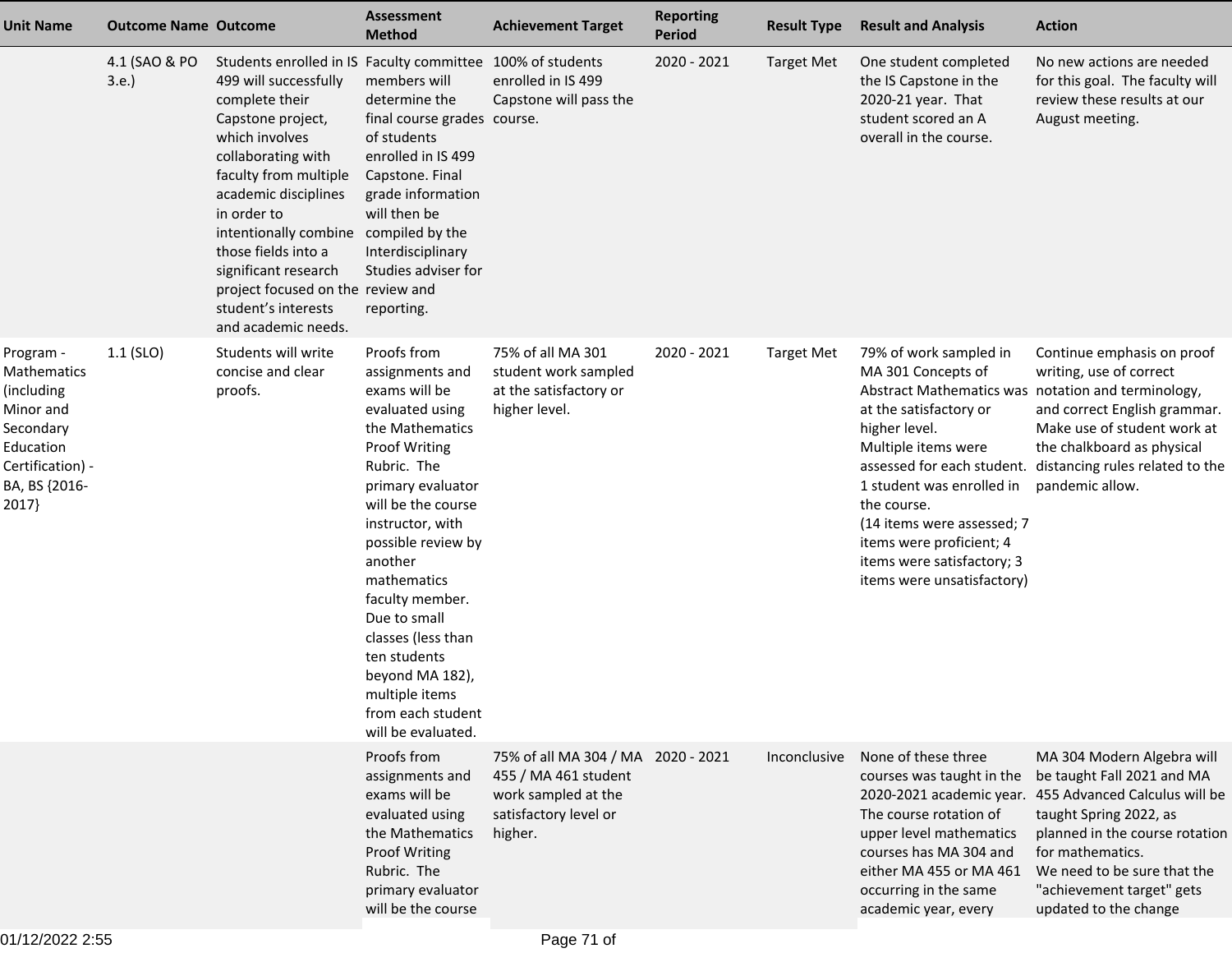| <b>Unit Name</b>                                                                                                            | <b>Outcome Name Outcome</b> |                                                                                                                                                                                                                                                                                                                                                                                                               | Assessment<br><b>Method</b>                                                                                                                                                                                                                                                                                                                                                                   | <b>Achievement Target</b>                                                                                             | <b>Reporting</b><br><b>Period</b> | <b>Result Type</b> | <b>Result and Analysis</b>                                                                                                                                                                                                                                                                                                             | <b>Action</b>                                                                                                                                                                                                                                                                           |
|-----------------------------------------------------------------------------------------------------------------------------|-----------------------------|---------------------------------------------------------------------------------------------------------------------------------------------------------------------------------------------------------------------------------------------------------------------------------------------------------------------------------------------------------------------------------------------------------------|-----------------------------------------------------------------------------------------------------------------------------------------------------------------------------------------------------------------------------------------------------------------------------------------------------------------------------------------------------------------------------------------------|-----------------------------------------------------------------------------------------------------------------------|-----------------------------------|--------------------|----------------------------------------------------------------------------------------------------------------------------------------------------------------------------------------------------------------------------------------------------------------------------------------------------------------------------------------|-----------------------------------------------------------------------------------------------------------------------------------------------------------------------------------------------------------------------------------------------------------------------------------------|
|                                                                                                                             | 4.1 (SAO & PO<br>3.e.       | Students enrolled in IS Faculty committee 100% of students<br>499 will successfully<br>complete their<br>Capstone project,<br>which involves<br>collaborating with<br>faculty from multiple<br>academic disciplines<br>in order to<br>intentionally combine compiled by the<br>those fields into a<br>significant research<br>project focused on the review and<br>student's interests<br>and academic needs. | members will<br>determine the<br>final course grades course.<br>of students<br>enrolled in IS 499<br>Capstone. Final<br>grade information<br>will then be<br>Interdisciplinary<br>Studies adviser for<br>reporting.                                                                                                                                                                           | enrolled in IS 499<br>Capstone will pass the                                                                          | 2020 - 2021                       | <b>Target Met</b>  | One student completed<br>the IS Capstone in the<br>2020-21 year. That<br>student scored an A<br>overall in the course.                                                                                                                                                                                                                 | No new actions are needed<br>for this goal. The faculty will<br>review these results at our<br>August meeting.                                                                                                                                                                          |
| Program -<br>Mathematics<br>(including<br>Minor and<br>Secondary<br>Education<br>Certification) -<br>BA, BS {2016-<br>2017} | $1.1$ (SLO)                 | Students will write<br>concise and clear<br>proofs.                                                                                                                                                                                                                                                                                                                                                           | Proofs from<br>assignments and<br>exams will be<br>evaluated using<br>the Mathematics<br>Proof Writing<br>Rubric. The<br>primary evaluator<br>will be the course<br>instructor, with<br>possible review by<br>another<br>mathematics<br>faculty member.<br>Due to small<br>classes (less than<br>ten students<br>beyond MA 182),<br>multiple items<br>from each student<br>will be evaluated. | 75% of all MA 301<br>student work sampled<br>at the satisfactory or<br>higher level.                                  | 2020 - 2021                       | <b>Target Met</b>  | 79% of work sampled in<br>MA 301 Concepts of<br>Abstract Mathematics was notation and terminology,<br>at the satisfactory or<br>higher level.<br>Multiple items were<br>1 student was enrolled in<br>the course.<br>(14 items were assessed; 7<br>items were proficient; 4<br>items were satisfactory; 3<br>items were unsatisfactory) | Continue emphasis on proof<br>writing, use of correct<br>and correct English grammar.<br>Make use of student work at<br>the chalkboard as physical<br>assessed for each student. distancing rules related to the<br>pandemic allow.                                                     |
|                                                                                                                             |                             |                                                                                                                                                                                                                                                                                                                                                                                                               | Proofs from<br>assignments and<br>exams will be<br>evaluated using<br>the Mathematics<br><b>Proof Writing</b><br>Rubric. The<br>primary evaluator<br>will be the course                                                                                                                                                                                                                       | 75% of all MA 304 / MA 2020 - 2021<br>455 / MA 461 student<br>work sampled at the<br>satisfactory level or<br>higher. |                                   | Inconclusive       | None of these three<br>courses was taught in the<br>The course rotation of<br>upper level mathematics<br>courses has MA 304 and<br>either MA 455 or MA 461<br>occurring in the same<br>academic year, every                                                                                                                            | MA 304 Modern Algebra will<br>be taught Fall 2021 and MA<br>2020-2021 academic year. 455 Advanced Calculus will be<br>taught Spring 2022, as<br>planned in the course rotation<br>for mathematics.<br>We need to be sure that the<br>"achievement target" gets<br>updated to the change |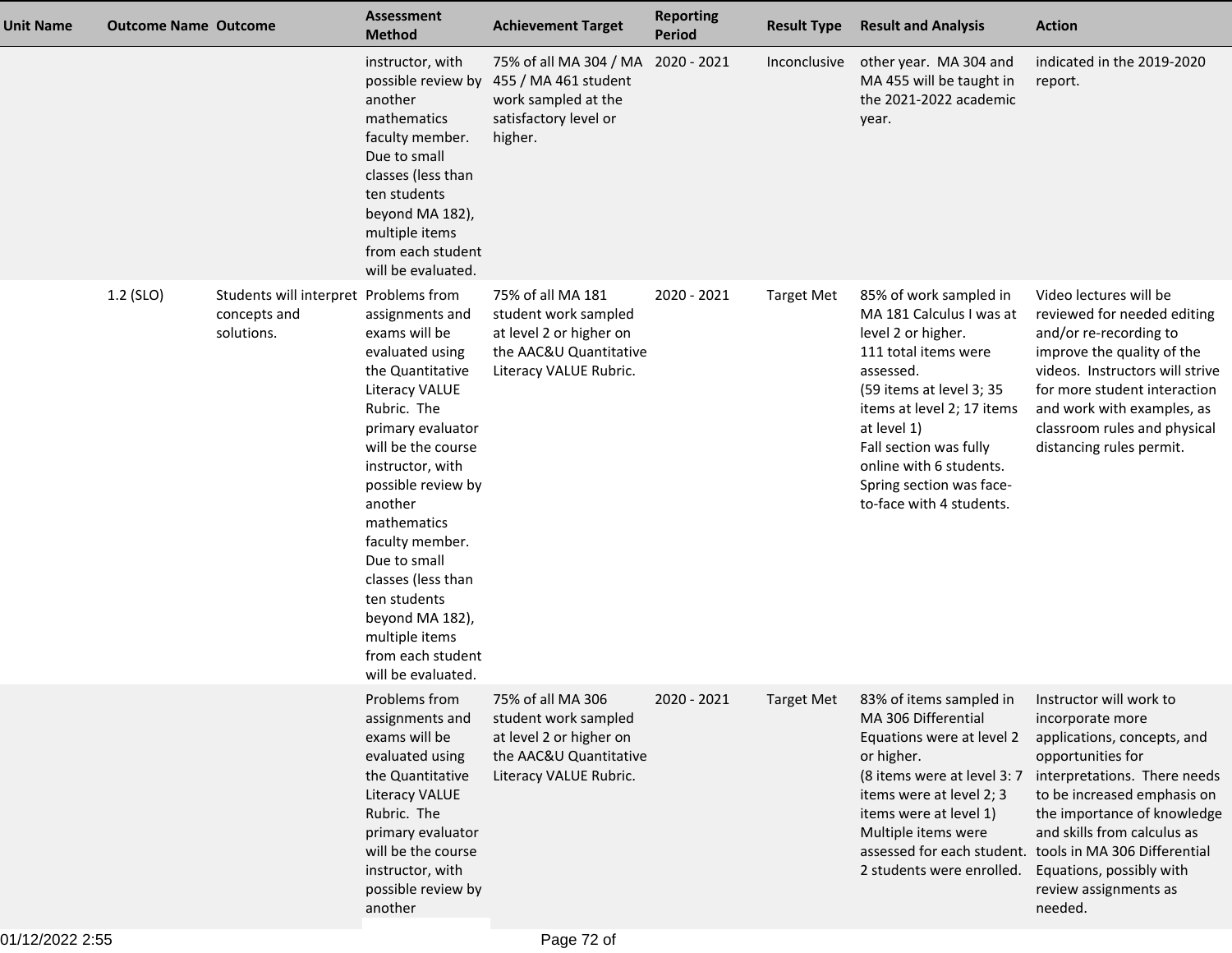| Unit Name | <b>Outcome Name Outcome</b> |                                                                     | <b>Assessment</b><br><b>Method</b>                                                                                                                                                                                                                                                                                                                                               | <b>Achievement Target</b>                                                                                                | <b>Reporting</b><br><b>Period</b> | <b>Result Type</b> | <b>Result and Analysis</b>                                                                                                                                                                                                                                                                          | <b>Action</b>                                                                                                                                                                                                                                                                                                                |
|-----------|-----------------------------|---------------------------------------------------------------------|----------------------------------------------------------------------------------------------------------------------------------------------------------------------------------------------------------------------------------------------------------------------------------------------------------------------------------------------------------------------------------|--------------------------------------------------------------------------------------------------------------------------|-----------------------------------|--------------------|-----------------------------------------------------------------------------------------------------------------------------------------------------------------------------------------------------------------------------------------------------------------------------------------------------|------------------------------------------------------------------------------------------------------------------------------------------------------------------------------------------------------------------------------------------------------------------------------------------------------------------------------|
|           |                             |                                                                     | instructor, with<br>possible review by<br>another<br>mathematics<br>faculty member.<br>Due to small<br>classes (less than<br>ten students<br>beyond MA 182),<br>multiple items<br>from each student<br>will be evaluated.                                                                                                                                                        | 75% of all MA 304 / MA<br>455 / MA 461 student<br>work sampled at the<br>satisfactory level or<br>higher.                | 2020 - 2021                       | Inconclusive       | other year. MA 304 and<br>MA 455 will be taught in<br>the 2021-2022 academic<br>year.                                                                                                                                                                                                               | indicated in the 2019-2020<br>report.                                                                                                                                                                                                                                                                                        |
|           | 1.2 (SLO)                   | Students will interpret Problems from<br>concepts and<br>solutions. | assignments and<br>exams will be<br>evaluated using<br>the Quantitative<br>Literacy VALUE<br>Rubric. The<br>primary evaluator<br>will be the course<br>instructor, with<br>possible review by<br>another<br>mathematics<br>faculty member.<br>Due to small<br>classes (less than<br>ten students<br>beyond MA 182),<br>multiple items<br>from each student<br>will be evaluated. | 75% of all MA 181<br>student work sampled<br>at level 2 or higher on<br>the AAC&U Quantitative<br>Literacy VALUE Rubric. | 2020 - 2021                       | <b>Target Met</b>  | 85% of work sampled in<br>MA 181 Calculus I was at<br>level 2 or higher.<br>111 total items were<br>assessed.<br>(59 items at level 3; 35<br>items at level 2; 17 items<br>at level 1)<br>Fall section was fully<br>online with 6 students.<br>Spring section was face-<br>to-face with 4 students. | Video lectures will be<br>reviewed for needed editing<br>and/or re-recording to<br>improve the quality of the<br>videos. Instructors will strive<br>for more student interaction<br>and work with examples, as<br>classroom rules and physical<br>distancing rules permit.                                                   |
|           |                             |                                                                     | Problems from<br>assignments and<br>exams will be<br>evaluated using<br>the Quantitative<br><b>Literacy VALUE</b><br>Rubric. The<br>primary evaluator<br>will be the course<br>instructor, with<br>possible review by<br>another                                                                                                                                                 | 75% of all MA 306<br>student work sampled<br>at level 2 or higher on<br>the AAC&U Quantitative<br>Literacy VALUE Rubric. | 2020 - 2021                       | <b>Target Met</b>  | 83% of items sampled in Instructor will work to<br>MA 306 Differential<br>Equations were at level 2<br>or higher.<br>(8 items were at level 3: 7<br>items were at level 2; 3<br>items were at level 1)<br>Multiple items were<br>2 students were enrolled.                                          | incorporate more<br>applications, concepts, and<br>opportunities for<br>interpretations. There needs<br>to be increased emphasis on<br>the importance of knowledge<br>and skills from calculus as<br>assessed for each student. tools in MA 306 Differential<br>Equations, possibly with<br>review assignments as<br>needed. |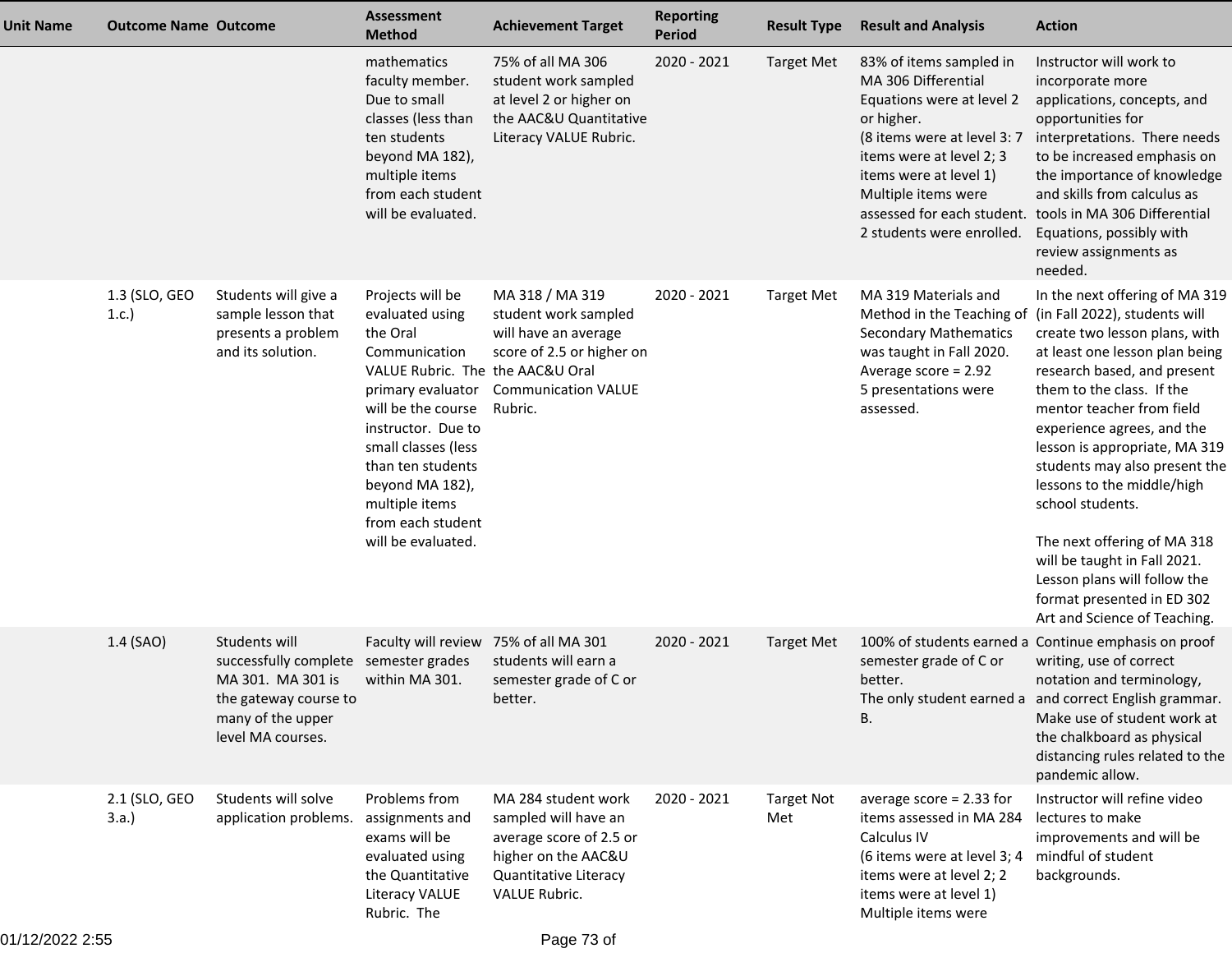| Unit Name | <b>Outcome Name Outcome</b> |                                                                                                                                | <b>Assessment</b><br><b>Method</b>                                                                                                                                                                                                                                                                | <b>Achievement Target</b>                                                                                                               | <b>Reporting</b><br><b>Period</b> | <b>Result Type</b>       | <b>Result and Analysis</b>                                                                                                                                                                                                                                       | <b>Action</b>                                                                                                                                                                                                                                                                                                                                                                                                                                                                                                                              |
|-----------|-----------------------------|--------------------------------------------------------------------------------------------------------------------------------|---------------------------------------------------------------------------------------------------------------------------------------------------------------------------------------------------------------------------------------------------------------------------------------------------|-----------------------------------------------------------------------------------------------------------------------------------------|-----------------------------------|--------------------------|------------------------------------------------------------------------------------------------------------------------------------------------------------------------------------------------------------------------------------------------------------------|--------------------------------------------------------------------------------------------------------------------------------------------------------------------------------------------------------------------------------------------------------------------------------------------------------------------------------------------------------------------------------------------------------------------------------------------------------------------------------------------------------------------------------------------|
|           |                             |                                                                                                                                | mathematics<br>faculty member.<br>Due to small<br>classes (less than<br>ten students<br>beyond MA 182),<br>multiple items<br>from each student<br>will be evaluated.                                                                                                                              | 75% of all MA 306<br>student work sampled<br>at level 2 or higher on<br>the AAC&U Quantitative<br>Literacy VALUE Rubric.                | 2020 - 2021                       | <b>Target Met</b>        | 83% of items sampled in<br>MA 306 Differential<br>Equations were at level 2<br>or higher.<br>(8 items were at level 3: 7<br>items were at level 2; 3<br>items were at level 1)<br>Multiple items were<br>assessed for each student.<br>2 students were enrolled. | Instructor will work to<br>incorporate more<br>applications, concepts, and<br>opportunities for<br>interpretations. There needs<br>to be increased emphasis on<br>the importance of knowledge<br>and skills from calculus as<br>tools in MA 306 Differential<br>Equations, possibly with<br>review assignments as<br>needed.                                                                                                                                                                                                               |
|           | 1.3 (SLO, GEO<br>1.c.)      | Students will give a<br>sample lesson that<br>presents a problem<br>and its solution.                                          | Projects will be<br>evaluated using<br>the Oral<br>Communication<br>VALUE Rubric. The the AAC&U Oral<br>primary evaluator<br>will be the course<br>instructor. Due to<br>small classes (less<br>than ten students<br>beyond MA 182),<br>multiple items<br>from each student<br>will be evaluated. | MA 318 / MA 319<br>student work sampled<br>will have an average<br>score of 2.5 or higher on<br><b>Communication VALUE</b><br>Rubric.   | 2020 - 2021                       | <b>Target Met</b>        | MA 319 Materials and<br>Method in the Teaching of<br><b>Secondary Mathematics</b><br>was taught in Fall 2020.<br>Average score = 2.92<br>5 presentations were<br>assessed.                                                                                       | In the next offering of MA 319<br>(in Fall 2022), students will<br>create two lesson plans, with<br>at least one lesson plan being<br>research based, and present<br>them to the class. If the<br>mentor teacher from field<br>experience agrees, and the<br>lesson is appropriate, MA 319<br>students may also present the<br>lessons to the middle/high<br>school students.<br>The next offering of MA 318<br>will be taught in Fall 2021.<br>Lesson plans will follow the<br>format presented in ED 302<br>Art and Science of Teaching. |
|           | 1.4 (SAO)                   | Students will<br>successfully complete<br>MA 301. MA 301 is<br>the gateway course to<br>many of the upper<br>level MA courses. | Faculty will review<br>semester grades<br>within MA 301.                                                                                                                                                                                                                                          | 75% of all MA 301<br>students will earn a<br>semester grade of C or<br>better.                                                          | 2020 - 2021                       | <b>Target Met</b>        | semester grade of C or<br>better.<br>В.                                                                                                                                                                                                                          | 100% of students earned a Continue emphasis on proof<br>writing, use of correct<br>notation and terminology,<br>The only student earned a and correct English grammar.<br>Make use of student work at<br>the chalkboard as physical<br>distancing rules related to the<br>pandemic allow.                                                                                                                                                                                                                                                  |
|           | 2.1 (SLO, GEO<br>3.a.       | Students will solve<br>application problems.                                                                                   | Problems from<br>assignments and<br>exams will be<br>evaluated using<br>the Quantitative<br>Literacy VALUE<br>Rubric. The                                                                                                                                                                         | MA 284 student work<br>sampled will have an<br>average score of 2.5 or<br>higher on the AAC&U<br>Quantitative Literacy<br>VALUE Rubric. | 2020 - 2021                       | <b>Target Not</b><br>Met | average score $= 2.33$ for<br>items assessed in MA 284<br>Calculus IV<br>(6 items were at level 3; 4<br>items were at level 2; 2<br>items were at level 1)<br>Multiple items were                                                                                | Instructor will refine video<br>lectures to make<br>improvements and will be<br>mindful of student<br>backgrounds.                                                                                                                                                                                                                                                                                                                                                                                                                         |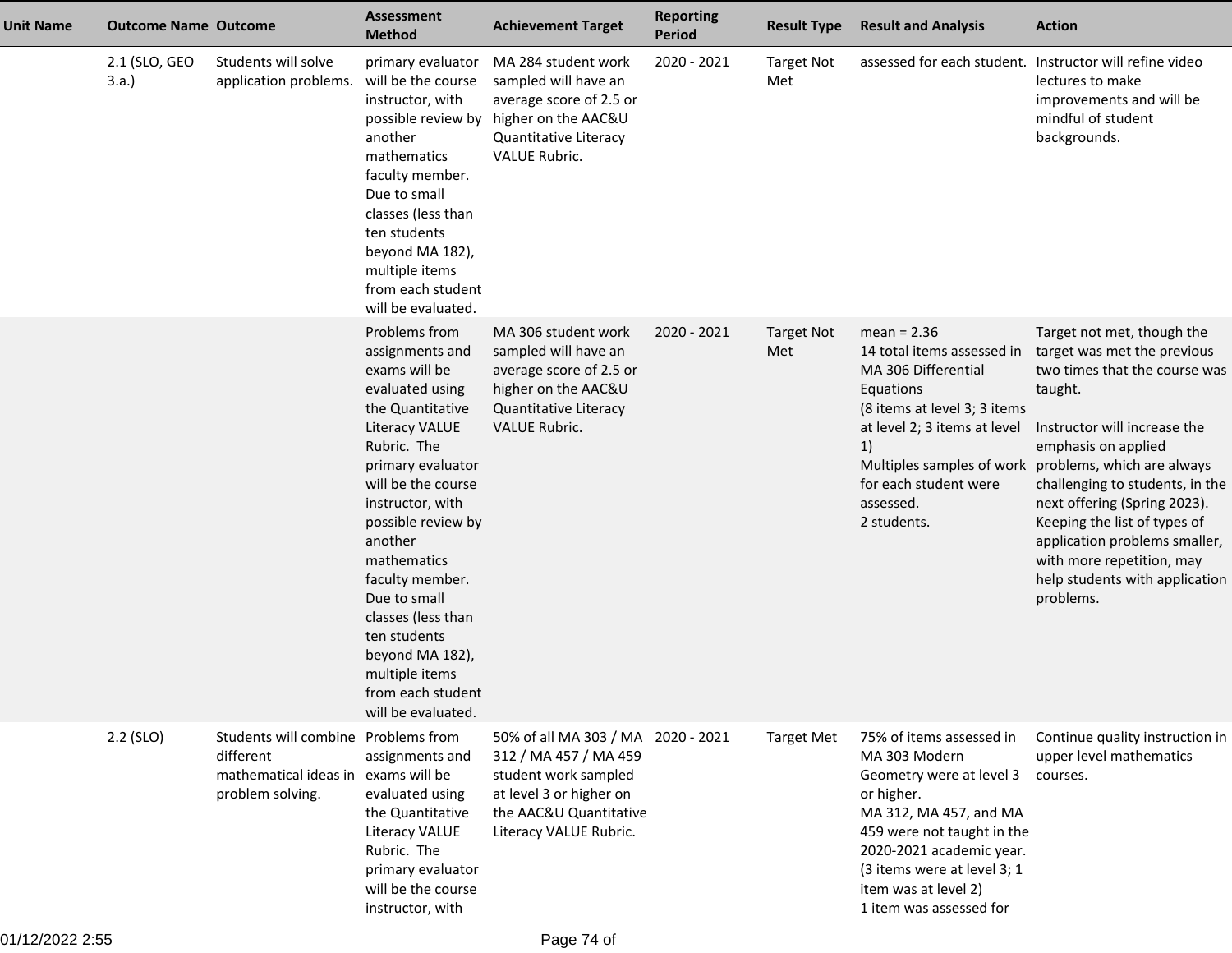| <b>Unit Name</b> | <b>Outcome Name Outcome</b> |                                                                                                             | <b>Assessment</b><br><b>Method</b>                                                                                                                                                                                                                                                                                                                                                                | <b>Achievement Target</b>                                                                                                                                          | <b>Reporting</b><br><b>Period</b> | <b>Result Type</b>       | <b>Result and Analysis</b>                                                                                                                                                                                                                                | <b>Action</b>                                                                                                                                                                                                                                                                                                                                                                                                                        |
|------------------|-----------------------------|-------------------------------------------------------------------------------------------------------------|---------------------------------------------------------------------------------------------------------------------------------------------------------------------------------------------------------------------------------------------------------------------------------------------------------------------------------------------------------------------------------------------------|--------------------------------------------------------------------------------------------------------------------------------------------------------------------|-----------------------------------|--------------------------|-----------------------------------------------------------------------------------------------------------------------------------------------------------------------------------------------------------------------------------------------------------|--------------------------------------------------------------------------------------------------------------------------------------------------------------------------------------------------------------------------------------------------------------------------------------------------------------------------------------------------------------------------------------------------------------------------------------|
|                  | 2.1 (SLO, GEO<br>3.a.       | Students will solve<br>application problems. will be the course                                             | primary evaluator<br>instructor, with<br>another<br>mathematics<br>faculty member.<br>Due to small<br>classes (less than<br>ten students<br>beyond MA 182),<br>multiple items<br>from each student<br>will be evaluated.                                                                                                                                                                          | MA 284 student work<br>sampled will have an<br>average score of 2.5 or<br>possible review by higher on the AAC&U<br>Quantitative Literacy<br><b>VALUE Rubric.</b>  | 2020 - 2021                       | <b>Target Not</b><br>Met | assessed for each student. Instructor will refine video                                                                                                                                                                                                   | lectures to make<br>improvements and will be<br>mindful of student<br>backgrounds.                                                                                                                                                                                                                                                                                                                                                   |
|                  |                             |                                                                                                             | Problems from<br>assignments and<br>exams will be<br>evaluated using<br>the Quantitative<br>Literacy VALUE<br>Rubric. The<br>primary evaluator<br>will be the course<br>instructor, with<br>possible review by<br>another<br>mathematics<br>faculty member.<br>Due to small<br>classes (less than<br>ten students<br>beyond MA 182),<br>multiple items<br>from each student<br>will be evaluated. | MA 306 student work<br>sampled will have an<br>average score of 2.5 or<br>higher on the AAC&U<br>Quantitative Literacy<br><b>VALUE Rubric.</b>                     | 2020 - 2021                       | <b>Target Not</b><br>Met | $mean = 2.36$<br>14 total items assessed in<br>MA 306 Differential<br>Equations<br>(8 items at level 3; 3 items<br>at level 2; 3 items at level<br>1)<br>for each student were<br>assessed.<br>2 students.                                                | Target not met, though the<br>target was met the previous<br>two times that the course was<br>taught.<br>Instructor will increase the<br>emphasis on applied<br>Multiples samples of work problems, which are always<br>challenging to students, in the<br>next offering (Spring 2023).<br>Keeping the list of types of<br>application problems smaller,<br>with more repetition, may<br>help students with application<br>problems. |
|                  | 2.2 (SLO)                   | Students will combine Problems from<br>different<br>mathematical ideas in exams will be<br>problem solving. | assignments and<br>evaluated using<br>the Quantitative<br>Literacy VALUE<br>Rubric. The<br>primary evaluator<br>will be the course<br>instructor, with                                                                                                                                                                                                                                            | 50% of all MA 303 / MA 2020 - 2021<br>312 / MA 457 / MA 459<br>student work sampled<br>at level 3 or higher on<br>the AAC&U Quantitative<br>Literacy VALUE Rubric. |                                   | <b>Target Met</b>        | 75% of items assessed in<br>MA 303 Modern<br>Geometry were at level 3<br>or higher.<br>MA 312, MA 457, and MA<br>459 were not taught in the<br>2020-2021 academic year.<br>(3 items were at level 3; 1<br>item was at level 2)<br>1 item was assessed for | Continue quality instruction in<br>upper level mathematics<br>courses.                                                                                                                                                                                                                                                                                                                                                               |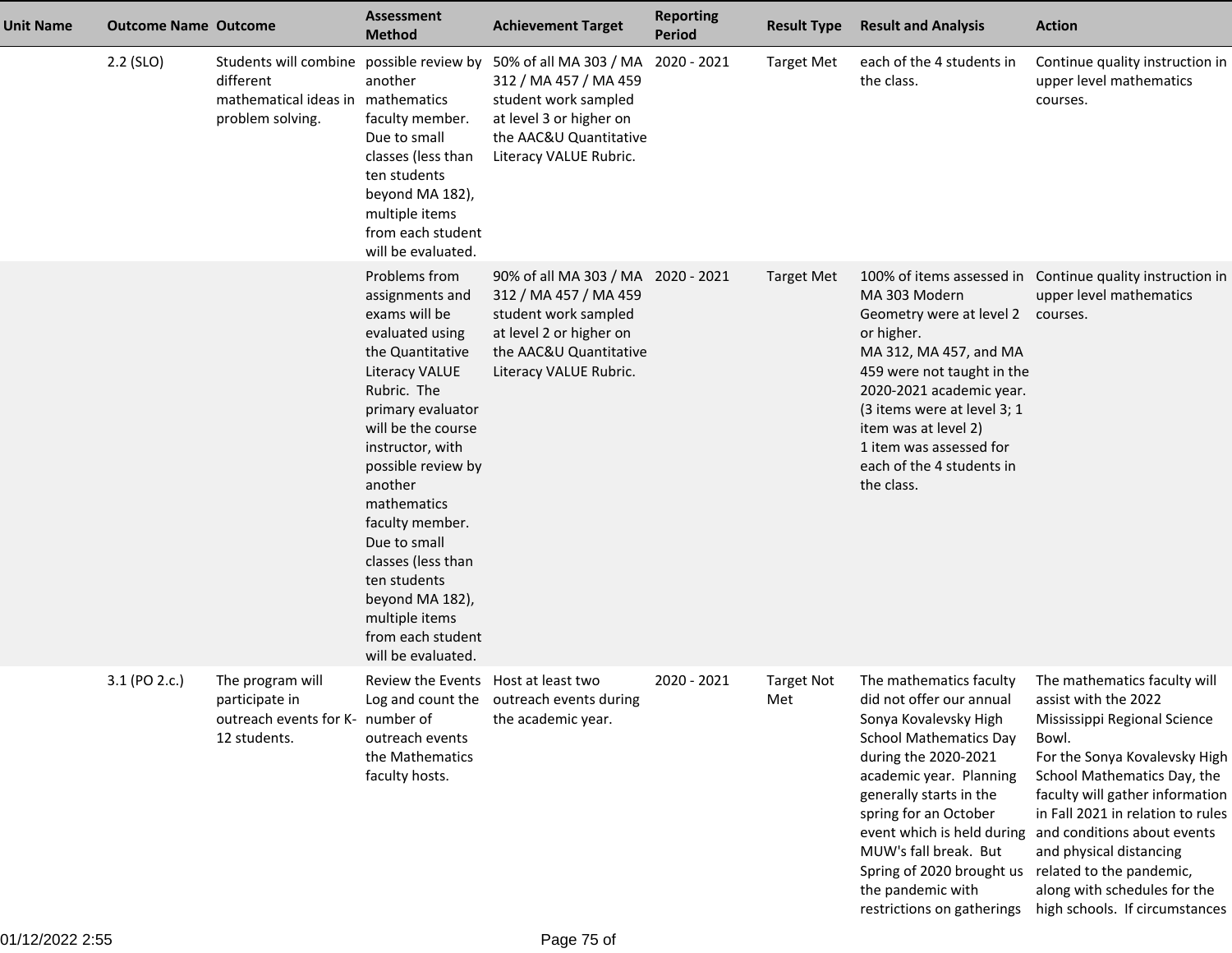| <b>Unit Name</b> | <b>Outcome Name Outcome</b> |                                                                                        | <b>Assessment</b><br><b>Method</b>                                                                                                                                                                                                                                                                                                                                                                       | <b>Achievement Target</b>                                                                                                                                                                       | <b>Reporting</b><br><b>Period</b> | <b>Result Type</b>       | <b>Result and Analysis</b>                                                                                                                                                                                                                                                                                                                             | <b>Action</b>                                                                                                                                                                                                                                                                                                                                                                                |
|------------------|-----------------------------|----------------------------------------------------------------------------------------|----------------------------------------------------------------------------------------------------------------------------------------------------------------------------------------------------------------------------------------------------------------------------------------------------------------------------------------------------------------------------------------------------------|-------------------------------------------------------------------------------------------------------------------------------------------------------------------------------------------------|-----------------------------------|--------------------------|--------------------------------------------------------------------------------------------------------------------------------------------------------------------------------------------------------------------------------------------------------------------------------------------------------------------------------------------------------|----------------------------------------------------------------------------------------------------------------------------------------------------------------------------------------------------------------------------------------------------------------------------------------------------------------------------------------------------------------------------------------------|
|                  | $2.2$ (SLO)                 | different<br>mathematical ideas in mathematics<br>problem solving.                     | another<br>faculty member.<br>Due to small<br>classes (less than<br>ten students<br>beyond MA 182),<br>multiple items<br>from each student<br>will be evaluated.                                                                                                                                                                                                                                         | Students will combine possible review by 50% of all MA 303 / MA<br>312 / MA 457 / MA 459<br>student work sampled<br>at level 3 or higher on<br>the AAC&U Quantitative<br>Literacy VALUE Rubric. | 2020 - 2021                       | <b>Target Met</b>        | each of the 4 students in<br>the class.                                                                                                                                                                                                                                                                                                                | Continue quality instruction in<br>upper level mathematics<br>courses.                                                                                                                                                                                                                                                                                                                       |
|                  |                             |                                                                                        | Problems from<br>assignments and<br>exams will be<br>evaluated using<br>the Quantitative<br><b>Literacy VALUE</b><br>Rubric. The<br>primary evaluator<br>will be the course<br>instructor, with<br>possible review by<br>another<br>mathematics<br>faculty member.<br>Due to small<br>classes (less than<br>ten students<br>beyond MA 182),<br>multiple items<br>from each student<br>will be evaluated. | 90% of all MA 303 / MA 2020 - 2021<br>312 / MA 457 / MA 459<br>student work sampled<br>at level 2 or higher on<br>the AAC&U Quantitative<br>Literacy VALUE Rubric.                              |                                   | <b>Target Met</b>        | MA 303 Modern<br>Geometry were at level 2 courses.<br>or higher.<br>MA 312, MA 457, and MA<br>459 were not taught in the<br>2020-2021 academic year.<br>(3 items were at level 3; 1<br>item was at level 2)<br>1 item was assessed for<br>each of the 4 students in<br>the class.                                                                      | 100% of items assessed in Continue quality instruction in<br>upper level mathematics                                                                                                                                                                                                                                                                                                         |
|                  | 3.1 (PO 2.c.)               | The program will<br>participate in<br>outreach events for K- number of<br>12 students. | Review the Events Host at least two<br>outreach events<br>the Mathematics<br>faculty hosts.                                                                                                                                                                                                                                                                                                              | Log and count the outreach events during<br>the academic year.                                                                                                                                  | 2020 - 2021                       | <b>Target Not</b><br>Met | The mathematics faculty<br>did not offer our annual<br>Sonya Kovalevsky High<br><b>School Mathematics Day</b><br>during the 2020-2021<br>academic year. Planning<br>generally starts in the<br>spring for an October<br>MUW's fall break. But<br>Spring of 2020 brought us related to the pandemic,<br>the pandemic with<br>restrictions on gatherings | The mathematics faculty will<br>assist with the 2022<br>Mississippi Regional Science<br>Bowl.<br>For the Sonya Kovalevsky High<br>School Mathematics Day, the<br>faculty will gather information<br>in Fall 2021 in relation to rules<br>event which is held during and conditions about events<br>and physical distancing<br>along with schedules for the<br>high schools. If circumstances |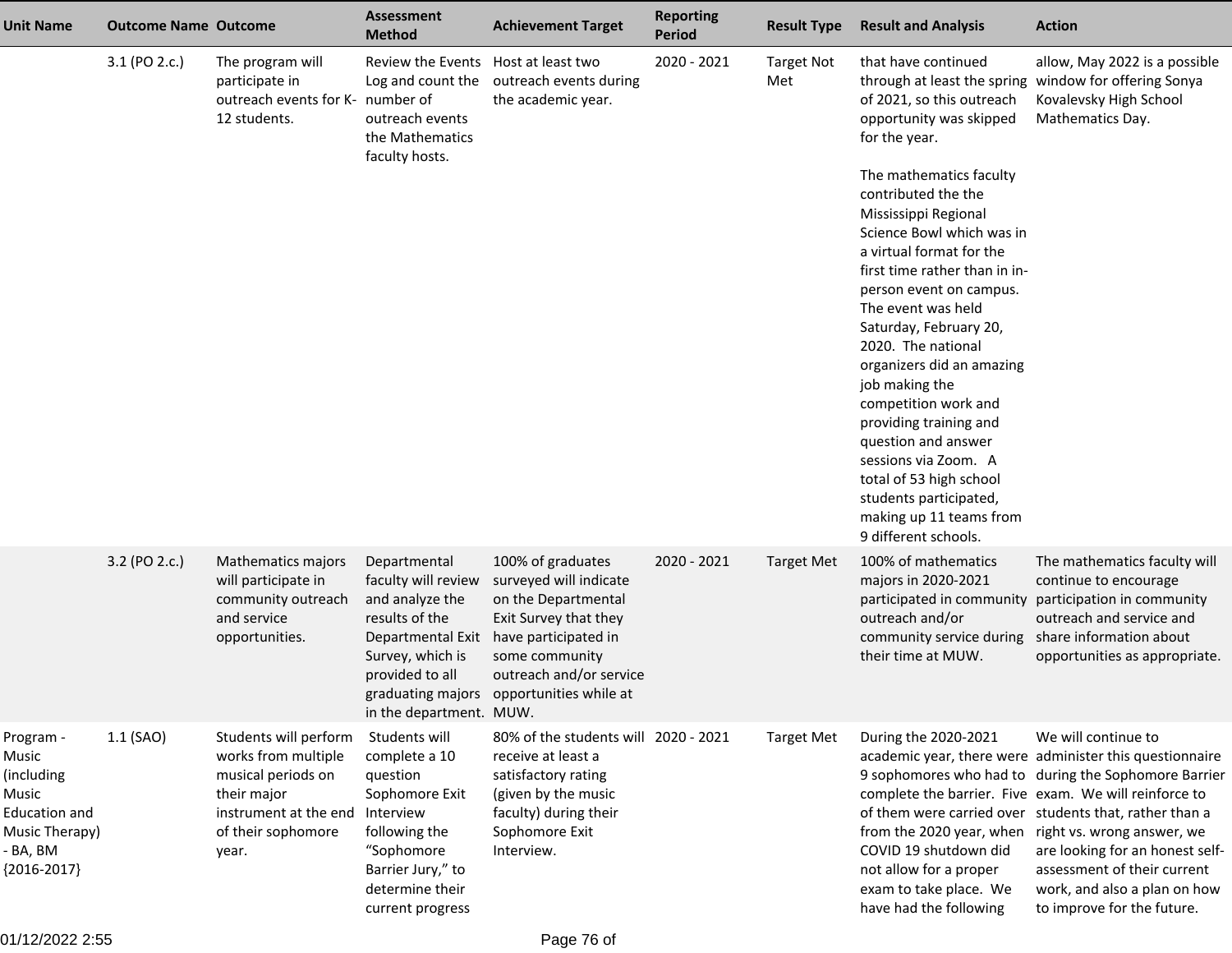| <b>Unit Name</b>                                                                                                 | <b>Outcome Name Outcome</b> |                                                                                                                                           | Assessment<br><b>Method</b>                                                                                                                                                          | <b>Achievement Target</b>                                                                                                                                                                  | <b>Reporting</b><br><b>Period</b> | <b>Result Type</b>       | <b>Result and Analysis</b>                                                                                                                                                                                                                                                                                                                                                                                                                                                                                                | <b>Action</b>                                                                                                                                                                                                                                                                                                                                                                                                           |
|------------------------------------------------------------------------------------------------------------------|-----------------------------|-------------------------------------------------------------------------------------------------------------------------------------------|--------------------------------------------------------------------------------------------------------------------------------------------------------------------------------------|--------------------------------------------------------------------------------------------------------------------------------------------------------------------------------------------|-----------------------------------|--------------------------|---------------------------------------------------------------------------------------------------------------------------------------------------------------------------------------------------------------------------------------------------------------------------------------------------------------------------------------------------------------------------------------------------------------------------------------------------------------------------------------------------------------------------|-------------------------------------------------------------------------------------------------------------------------------------------------------------------------------------------------------------------------------------------------------------------------------------------------------------------------------------------------------------------------------------------------------------------------|
|                                                                                                                  | 3.1 (PO 2.c.)               | The program will<br>participate in<br>outreach events for K- number of<br>12 students.                                                    | Review the Events<br>Log and count the<br>outreach events<br>the Mathematics<br>faculty hosts.                                                                                       | Host at least two<br>outreach events during<br>the academic year.                                                                                                                          | 2020 - 2021                       | <b>Target Not</b><br>Met | that have continued<br>through at least the spring<br>of 2021, so this outreach<br>opportunity was skipped<br>for the year.                                                                                                                                                                                                                                                                                                                                                                                               | allow, May 2022 is a possible<br>window for offering Sonya<br>Kovalevsky High School<br>Mathematics Day.                                                                                                                                                                                                                                                                                                                |
|                                                                                                                  |                             |                                                                                                                                           |                                                                                                                                                                                      |                                                                                                                                                                                            |                                   |                          | The mathematics faculty<br>contributed the the<br>Mississippi Regional<br>Science Bowl which was in<br>a virtual format for the<br>first time rather than in in-<br>person event on campus.<br>The event was held<br>Saturday, February 20,<br>2020. The national<br>organizers did an amazing<br>job making the<br>competition work and<br>providing training and<br>question and answer<br>sessions via Zoom. A<br>total of 53 high school<br>students participated,<br>making up 11 teams from<br>9 different schools. |                                                                                                                                                                                                                                                                                                                                                                                                                         |
|                                                                                                                  | 3.2 (PO 2.c.)               | Mathematics majors<br>will participate in<br>community outreach<br>and service<br>opportunities.                                          | Departmental<br>faculty will review<br>and analyze the<br>results of the<br>Departmental Exit<br>Survey, which is<br>provided to all<br>graduating majors<br>in the department. MUW. | 100% of graduates<br>surveyed will indicate<br>on the Departmental<br>Exit Survey that they<br>have participated in<br>some community<br>outreach and/or service<br>opportunities while at | 2020 - 2021                       | <b>Target Met</b>        | 100% of mathematics<br>majors in 2020-2021<br>participated in community<br>outreach and/or<br>community service during<br>their time at MUW.                                                                                                                                                                                                                                                                                                                                                                              | The mathematics faculty will<br>continue to encourage<br>participation in community<br>outreach and service and<br>share information about<br>opportunities as appropriate.                                                                                                                                                                                                                                             |
| Program -<br>Music<br>(including<br>Music<br><b>Education and</b><br>Music Therapy)<br>- BA, BM<br>${2016-2017}$ | 1.1 (SAO)                   | Students will perform<br>works from multiple<br>musical periods on<br>their major<br>instrument at the end<br>of their sophomore<br>year. | Students will<br>complete a 10<br>question<br>Sophomore Exit<br>Interview<br>following the<br>"Sophomore<br>Barrier Jury," to<br>determine their<br>current progress                 | 80% of the students will 2020 - 2021<br>receive at least a<br>satisfactory rating<br>(given by the music<br>faculty) during their<br>Sophomore Exit<br>Interview.                          |                                   | <b>Target Met</b>        | During the 2020-2021<br>from the 2020 year, when<br>COVID 19 shutdown did<br>not allow for a proper<br>exam to take place. We<br>have had the following                                                                                                                                                                                                                                                                                                                                                                   | We will continue to<br>academic year, there were administer this questionnaire<br>9 sophomores who had to during the Sophomore Barrier<br>complete the barrier. Five exam. We will reinforce to<br>of them were carried over students that, rather than a<br>right vs. wrong answer, we<br>are looking for an honest self-<br>assessment of their current<br>work, and also a plan on how<br>to improve for the future. |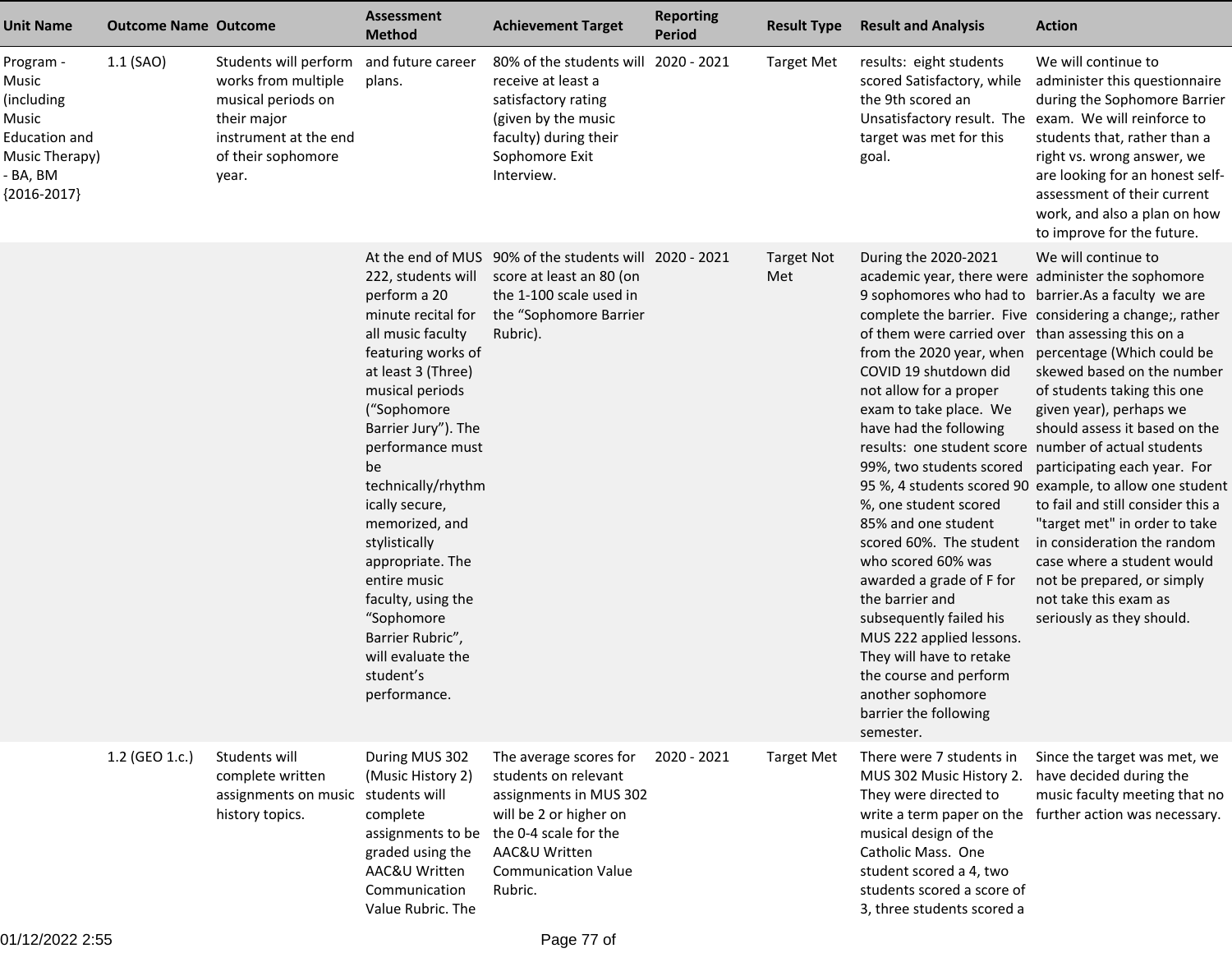| <b>Unit Name</b>                                                                                          | <b>Outcome Name Outcome</b> |                                                                                                                                           | <b>Assessment</b><br><b>Method</b>                                                                                                                                                                                                                                                                                                                                                                                                    | <b>Achievement Target</b>                                                                                                                                                             | <b>Reporting</b><br><b>Period</b> | <b>Result Type</b>       | <b>Result and Analysis</b>                                                                                                                                                                                                                                                                                                                                                                                                                                                                                                                                        | <b>Action</b>                                                                                                                                                                                                                                                                                                                                                                                                                                                                                                                                                                                                                                                                                                             |
|-----------------------------------------------------------------------------------------------------------|-----------------------------|-------------------------------------------------------------------------------------------------------------------------------------------|---------------------------------------------------------------------------------------------------------------------------------------------------------------------------------------------------------------------------------------------------------------------------------------------------------------------------------------------------------------------------------------------------------------------------------------|---------------------------------------------------------------------------------------------------------------------------------------------------------------------------------------|-----------------------------------|--------------------------|-------------------------------------------------------------------------------------------------------------------------------------------------------------------------------------------------------------------------------------------------------------------------------------------------------------------------------------------------------------------------------------------------------------------------------------------------------------------------------------------------------------------------------------------------------------------|---------------------------------------------------------------------------------------------------------------------------------------------------------------------------------------------------------------------------------------------------------------------------------------------------------------------------------------------------------------------------------------------------------------------------------------------------------------------------------------------------------------------------------------------------------------------------------------------------------------------------------------------------------------------------------------------------------------------------|
| Program -<br>Music<br>(including<br>Music<br>Education and<br>Music Therapy)<br>- BA, BM<br>${2016-2017}$ | 1.1 (SAO)                   | Students will perform<br>works from multiple<br>musical periods on<br>their major<br>instrument at the end<br>of their sophomore<br>year. | and future career<br>plans.                                                                                                                                                                                                                                                                                                                                                                                                           | 80% of the students will<br>receive at least a<br>satisfactory rating<br>(given by the music<br>faculty) during their<br>Sophomore Exit<br>Interview.                                 | 2020 - 2021                       | <b>Target Met</b>        | results: eight students<br>scored Satisfactory, while<br>the 9th scored an<br>target was met for this<br>goal.                                                                                                                                                                                                                                                                                                                                                                                                                                                    | We will continue to<br>administer this questionnaire<br>during the Sophomore Barrier<br>Unsatisfactory result. The exam. We will reinforce to<br>students that, rather than a<br>right vs. wrong answer, we<br>are looking for an honest self-<br>assessment of their current<br>work, and also a plan on how<br>to improve for the future.                                                                                                                                                                                                                                                                                                                                                                               |
|                                                                                                           |                             |                                                                                                                                           | 222, students will<br>perform a 20<br>minute recital for<br>all music faculty<br>featuring works of<br>at least 3 (Three)<br>musical periods<br>("Sophomore<br>Barrier Jury"). The<br>performance must<br>be<br>technically/rhythm<br>ically secure,<br>memorized, and<br>stylistically<br>appropriate. The<br>entire music<br>faculty, using the<br>"Sophomore<br>Barrier Rubric",<br>will evaluate the<br>student's<br>performance. | At the end of MUS 90% of the students will 2020 - 2021<br>score at least an 80 (on<br>the 1-100 scale used in<br>the "Sophomore Barrier<br>Rubric).                                   |                                   | <b>Target Not</b><br>Met | During the 2020-2021<br>of them were carried over than assessing this on a<br>COVID 19 shutdown did<br>not allow for a proper<br>exam to take place. We<br>have had the following<br>results: one student score number of actual students<br>%, one student scored<br>85% and one student<br>scored 60%. The student<br>who scored 60% was<br>awarded a grade of F for<br>the barrier and<br>subsequently failed his<br>MUS 222 applied lessons.<br>They will have to retake<br>the course and perform<br>another sophomore<br>barrier the following<br>semester. | We will continue to<br>academic year, there were administer the sophomore<br>9 sophomores who had to barrier. As a faculty we are<br>complete the barrier. Five considering a change;, rather<br>from the 2020 year, when percentage (Which could be<br>skewed based on the number<br>of students taking this one<br>given year), perhaps we<br>should assess it based on the<br>99%, two students scored participating each year. For<br>95 %, 4 students scored 90 example, to allow one student<br>to fail and still consider this a<br>"target met" in order to take<br>in consideration the random<br>case where a student would<br>not be prepared, or simply<br>not take this exam as<br>seriously as they should. |
|                                                                                                           | 1.2 (GEO 1.c.)              | Students will<br>complete written<br>assignments on music students will<br>history topics.                                                | During MUS 302<br>(Music History 2)<br>complete<br>assignments to be<br>graded using the<br>AAC&U Written<br>Communication<br>Value Rubric. The                                                                                                                                                                                                                                                                                       | The average scores for<br>students on relevant<br>assignments in MUS 302<br>will be 2 or higher on<br>the 0-4 scale for the<br>AAC&U Written<br><b>Communication Value</b><br>Rubric. | 2020 - 2021                       | <b>Target Met</b>        | There were 7 students in<br>MUS 302 Music History 2.<br>They were directed to<br>musical design of the<br>Catholic Mass. One<br>student scored a 4, two<br>students scored a score of<br>3, three students scored a                                                                                                                                                                                                                                                                                                                                               | Since the target was met, we<br>have decided during the<br>music faculty meeting that no<br>write a term paper on the further action was necessary.                                                                                                                                                                                                                                                                                                                                                                                                                                                                                                                                                                       |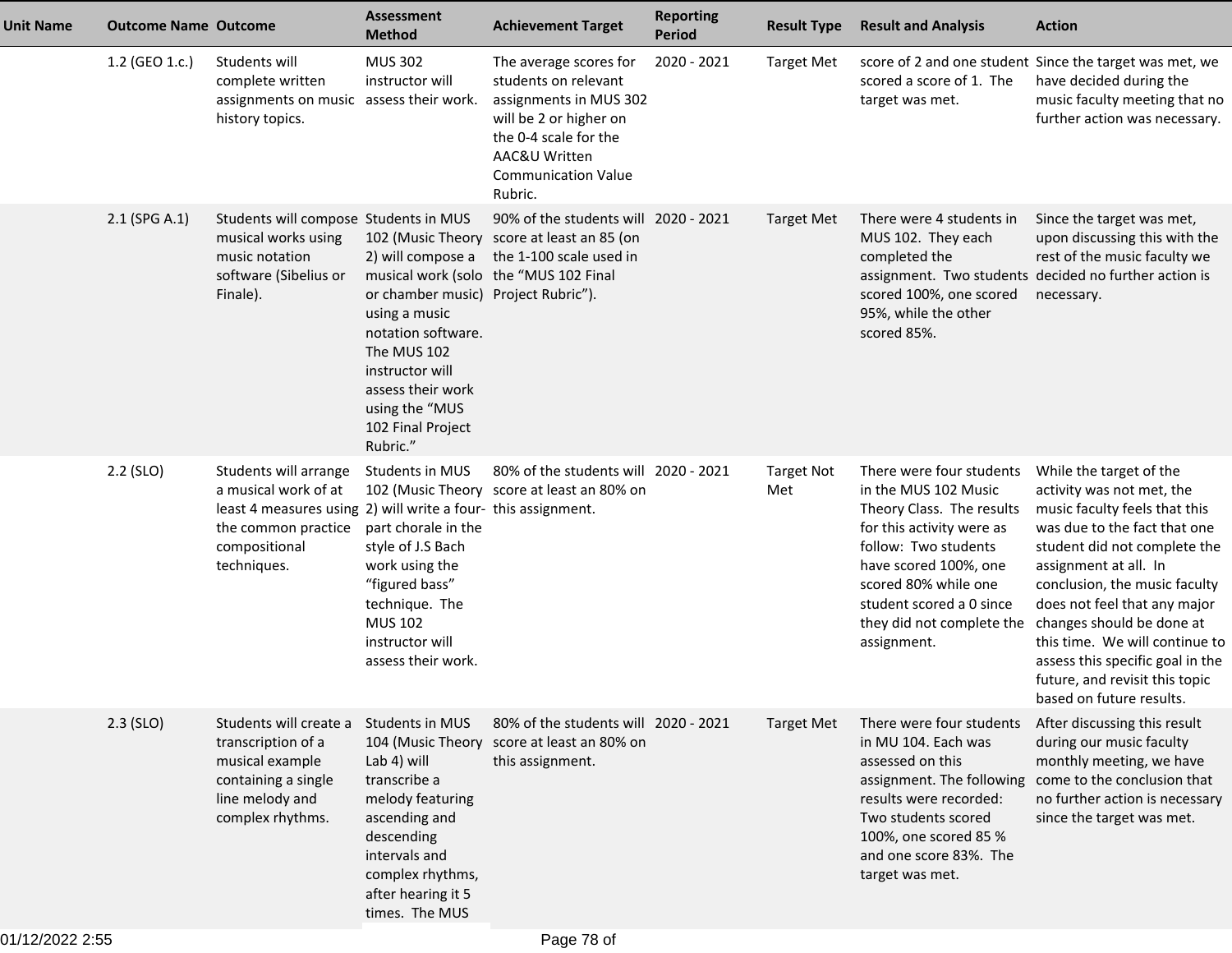| <b>Unit Name</b> | <b>Outcome Name Outcome</b> |                                                                                                                                                                       | <b>Assessment</b><br><b>Method</b>                                                                                                                                                                        | <b>Achievement Target</b>                                                                                                                                                             | <b>Reporting</b><br><b>Period</b> | <b>Result Type</b>       | <b>Result and Analysis</b>                                                                                                                                                                                                                                  | <b>Action</b>                                                                                                                                                                                                                                                                                                                                                                                                    |
|------------------|-----------------------------|-----------------------------------------------------------------------------------------------------------------------------------------------------------------------|-----------------------------------------------------------------------------------------------------------------------------------------------------------------------------------------------------------|---------------------------------------------------------------------------------------------------------------------------------------------------------------------------------------|-----------------------------------|--------------------------|-------------------------------------------------------------------------------------------------------------------------------------------------------------------------------------------------------------------------------------------------------------|------------------------------------------------------------------------------------------------------------------------------------------------------------------------------------------------------------------------------------------------------------------------------------------------------------------------------------------------------------------------------------------------------------------|
|                  | 1.2 (GEO 1.c.)              | Students will<br>complete written<br>assignments on music assess their work.<br>history topics.                                                                       | <b>MUS 302</b><br>instructor will                                                                                                                                                                         | The average scores for<br>students on relevant<br>assignments in MUS 302<br>will be 2 or higher on<br>the 0-4 scale for the<br>AAC&U Written<br><b>Communication Value</b><br>Rubric. | 2020 - 2021                       | <b>Target Met</b>        | scored a score of 1. The<br>target was met.                                                                                                                                                                                                                 | score of 2 and one student Since the target was met, we<br>have decided during the<br>music faculty meeting that no<br>further action was necessary.                                                                                                                                                                                                                                                             |
|                  | 2.1 (SPG A.1)               | Students will compose Students in MUS<br>musical works using<br>music notation<br>software (Sibelius or<br>Finale).                                                   | 2) will compose a<br>or chamber music) Project Rubric").<br>using a music<br>notation software.<br>The MUS 102<br>instructor will<br>assess their work<br>using the "MUS<br>102 Final Project<br>Rubric." | 90% of the students will 2020 - 2021<br>102 (Music Theory score at least an 85 (on<br>the 1-100 scale used in<br>musical work (solo the "MUS 102 Final                                |                                   | <b>Target Met</b>        | There were 4 students in<br>MUS 102. They each<br>completed the<br>scored 100%, one scored<br>95%, while the other<br>scored 85%.                                                                                                                           | Since the target was met,<br>upon discussing this with the<br>rest of the music faculty we<br>assignment. Two students decided no further action is<br>necessary.                                                                                                                                                                                                                                                |
|                  | 2.2 (SLO)                   | Students will arrange<br>a musical work of at<br>least 4 measures using 2) will write a four- this assignment.<br>the common practice<br>compositional<br>techniques. | Students in MUS<br>part chorale in the<br>style of J.S Bach<br>work using the<br>"figured bass"<br>technique. The<br><b>MUS 102</b><br>instructor will<br>assess their work.                              | 80% of the students will 2020 - 2021<br>102 (Music Theory score at least an 80% on                                                                                                    |                                   | <b>Target Not</b><br>Met | There were four students<br>in the MUS 102 Music<br>Theory Class. The results<br>for this activity were as<br>follow: Two students<br>have scored 100%, one<br>scored 80% while one<br>student scored a 0 since<br>they did not complete the<br>assignment. | While the target of the<br>activity was not met, the<br>music faculty feels that this<br>was due to the fact that one<br>student did not complete the<br>assignment at all. In<br>conclusion, the music faculty<br>does not feel that any major<br>changes should be done at<br>this time. We will continue to<br>assess this specific goal in the<br>future, and revisit this topic<br>based on future results. |
|                  | $2.3$ (SLO)                 | Students will create a Students in MUS<br>transcription of a<br>musical example<br>containing a single<br>line melody and<br>complex rhythms.                         | Lab 4) will<br>transcribe a<br>melody featuring<br>ascending and<br>descending<br>intervals and<br>complex rhythms,<br>after hearing it 5<br>times. The MUS                                               | 80% of the students will 2020 - 2021<br>104 (Music Theory score at least an 80% on<br>this assignment.                                                                                |                                   | <b>Target Met</b>        | There were four students<br>in MU 104. Each was<br>assessed on this<br>assignment. The following<br>results were recorded:<br>Two students scored<br>100%, one scored 85 %<br>and one score 83%. The<br>target was met.                                     | After discussing this result<br>during our music faculty<br>monthly meeting, we have<br>come to the conclusion that<br>no further action is necessary<br>since the target was met.                                                                                                                                                                                                                               |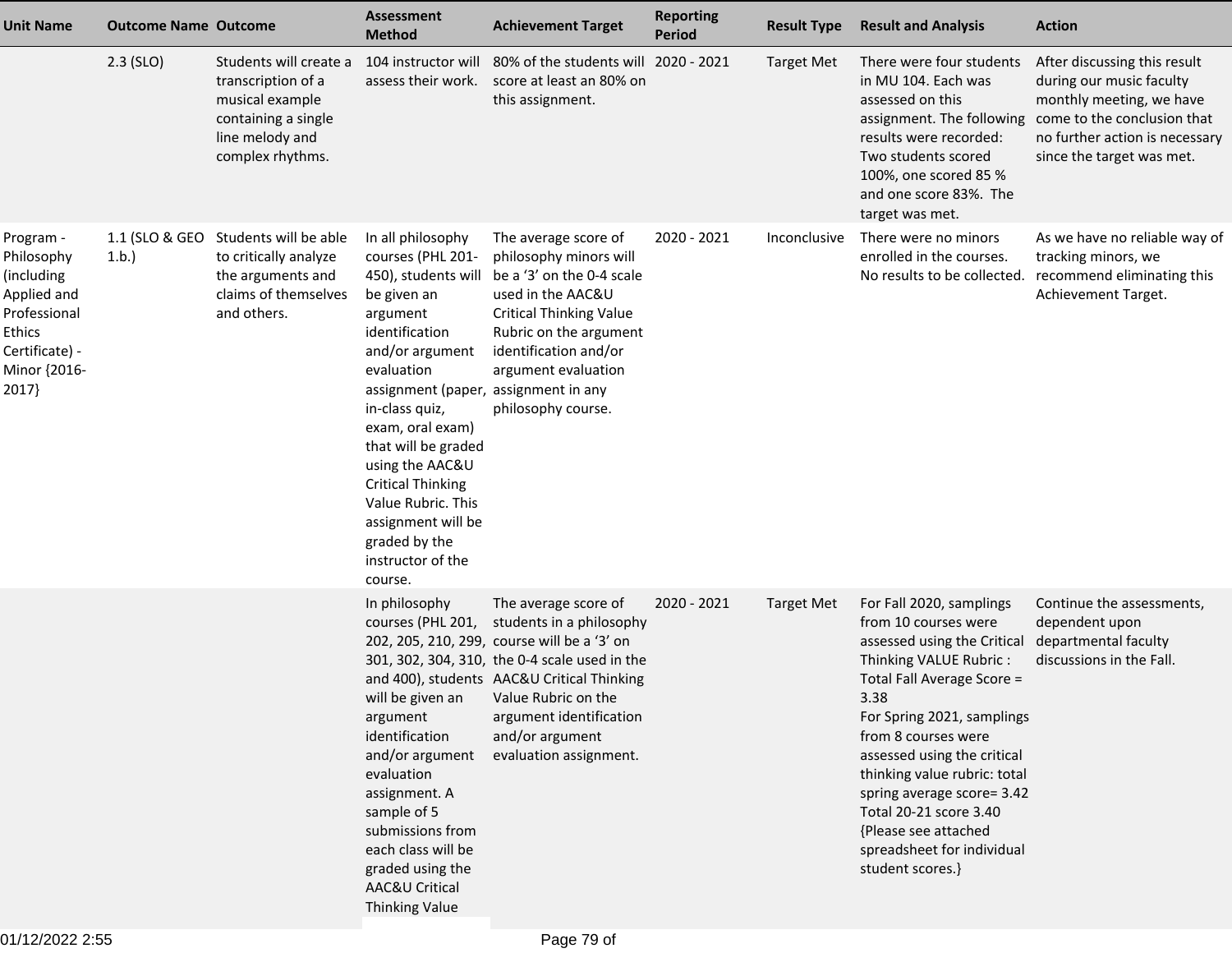| <b>Unit Name</b>                                                                                                          | <b>Outcome Name Outcome</b> |                                                                                                                               | <b>Assessment</b><br><b>Method</b>                                                                                                                                                                                                                                                                                                                                                           | <b>Achievement Target</b>                                                                                                                                                                                                                                                                                      | <b>Reporting</b><br><b>Period</b> | <b>Result Type</b> | <b>Result and Analysis</b>                                                                                                                                                                                                                                                                                                                                                                            | <b>Action</b>                                                                                                                                                                                                |
|---------------------------------------------------------------------------------------------------------------------------|-----------------------------|-------------------------------------------------------------------------------------------------------------------------------|----------------------------------------------------------------------------------------------------------------------------------------------------------------------------------------------------------------------------------------------------------------------------------------------------------------------------------------------------------------------------------------------|----------------------------------------------------------------------------------------------------------------------------------------------------------------------------------------------------------------------------------------------------------------------------------------------------------------|-----------------------------------|--------------------|-------------------------------------------------------------------------------------------------------------------------------------------------------------------------------------------------------------------------------------------------------------------------------------------------------------------------------------------------------------------------------------------------------|--------------------------------------------------------------------------------------------------------------------------------------------------------------------------------------------------------------|
|                                                                                                                           | $2.3$ (SLO)                 | Students will create a<br>transcription of a<br>musical example<br>containing a single<br>line melody and<br>complex rhythms. | 104 instructor will<br>assess their work.                                                                                                                                                                                                                                                                                                                                                    | 80% of the students will 2020 - 2021<br>score at least an 80% on<br>this assignment.                                                                                                                                                                                                                           |                                   | <b>Target Met</b>  | There were four students<br>in MU 104. Each was<br>assessed on this<br>results were recorded:<br>Two students scored<br>100%, one scored 85 %<br>and one score 83%. The<br>target was met.                                                                                                                                                                                                            | After discussing this result<br>during our music faculty<br>monthly meeting, we have<br>assignment. The following come to the conclusion that<br>no further action is necessary<br>since the target was met. |
| Program -<br>Philosophy<br>(including<br>Applied and<br>Professional<br>Ethics<br>Certificate) -<br>Minor {2016-<br>2017} | 1.1 (SLO & GEO<br>1.b.      | Students will be able<br>to critically analyze<br>the arguments and<br>claims of themselves<br>and others.                    | In all philosophy<br>courses (PHL 201-<br>450), students will<br>be given an<br>argument<br>identification<br>and/or argument<br>evaluation<br>assignment (paper, assignment in any<br>in-class quiz,<br>exam, oral exam)<br>that will be graded<br>using the AAC&U<br><b>Critical Thinking</b><br>Value Rubric. This<br>assignment will be<br>graded by the<br>instructor of the<br>course. | The average score of<br>philosophy minors will<br>be a '3' on the 0-4 scale<br>used in the AAC&U<br><b>Critical Thinking Value</b><br>Rubric on the argument<br>identification and/or<br>argument evaluation<br>philosophy course.                                                                             | 2020 - 2021                       | Inconclusive       | There were no minors<br>enrolled in the courses.<br>No results to be collected.                                                                                                                                                                                                                                                                                                                       | As we have no reliable way of<br>tracking minors, we<br>recommend eliminating this<br>Achievement Target.                                                                                                    |
|                                                                                                                           |                             |                                                                                                                               | In philosophy<br>courses (PHL 201,<br>argument<br>identification<br>and/or argument<br>evaluation<br>assignment. A<br>sample of 5<br>submissions from<br>each class will be<br>graded using the<br>AAC&U Critical<br><b>Thinking Value</b>                                                                                                                                                   | The average score of<br>students in a philosophy<br>202, 205, 210, 299, course will be a '3' on<br>301, 302, 304, 310, the 0-4 scale used in the<br>and 400), students AAC&U Critical Thinking<br>will be given an Value Rubric on the<br>argument identification<br>and/or argument<br>evaluation assignment. | 2020 - 2021                       | <b>Target Met</b>  | For Fall 2020, samplings<br>from 10 courses were<br>assessed using the Critical<br>Thinking VALUE Rubric:<br>Total Fall Average Score =<br>3.38<br>For Spring 2021, samplings<br>from 8 courses were<br>assessed using the critical<br>thinking value rubric: total<br>spring average score= 3.42<br>Total 20-21 score 3.40<br>{Please see attached<br>spreadsheet for individual<br>student scores.} | Continue the assessments,<br>dependent upon<br>departmental faculty<br>discussions in the Fall.                                                                                                              |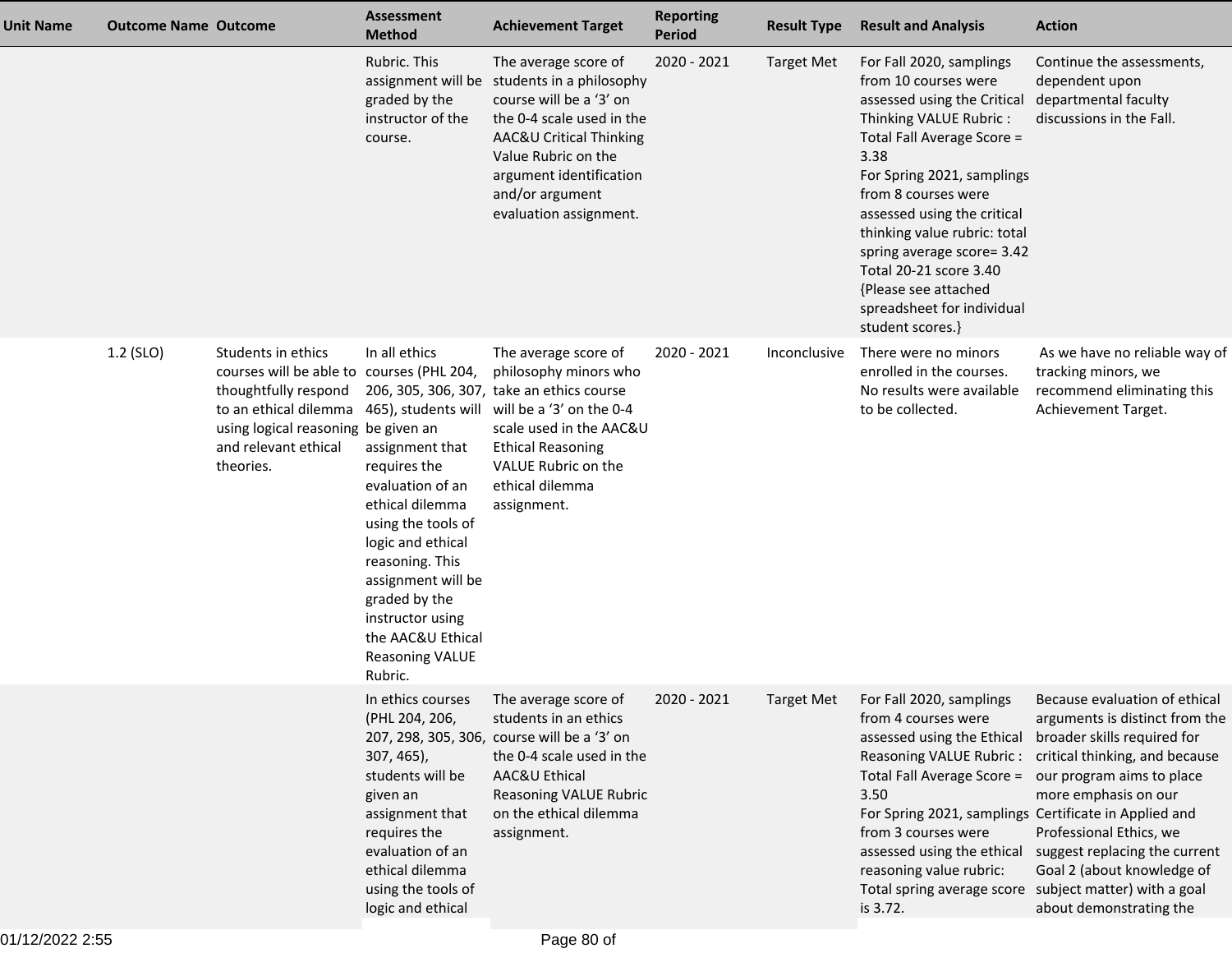| <b>Unit Name</b> | <b>Outcome Name Outcome</b> |                                                                                                                                                                                                                                           | <b>Assessment</b><br><b>Method</b>                                                                                                                                                                                                                                         | <b>Achievement Target</b>                                                                                                                                                                                                          | <b>Reporting</b><br><b>Period</b> | <b>Result Type</b> | <b>Result and Analysis</b>                                                                                                                                                                                                                                                                                                                                                                            | <b>Action</b>                                                                                                                                                                                                                                                                                              |
|------------------|-----------------------------|-------------------------------------------------------------------------------------------------------------------------------------------------------------------------------------------------------------------------------------------|----------------------------------------------------------------------------------------------------------------------------------------------------------------------------------------------------------------------------------------------------------------------------|------------------------------------------------------------------------------------------------------------------------------------------------------------------------------------------------------------------------------------|-----------------------------------|--------------------|-------------------------------------------------------------------------------------------------------------------------------------------------------------------------------------------------------------------------------------------------------------------------------------------------------------------------------------------------------------------------------------------------------|------------------------------------------------------------------------------------------------------------------------------------------------------------------------------------------------------------------------------------------------------------------------------------------------------------|
|                  |                             |                                                                                                                                                                                                                                           | Rubric. This<br>assignment will be<br>graded by the<br>instructor of the<br>course.                                                                                                                                                                                        | The average score of<br>students in a philosophy<br>course will be a '3' on<br>the 0-4 scale used in the<br>AAC&U Critical Thinking<br>Value Rubric on the<br>argument identification<br>and/or argument<br>evaluation assignment. | 2020 - 2021                       | <b>Target Met</b>  | For Fall 2020, samplings<br>from 10 courses were<br>assessed using the Critical<br>Thinking VALUE Rubric:<br>Total Fall Average Score =<br>3.38<br>For Spring 2021, samplings<br>from 8 courses were<br>assessed using the critical<br>thinking value rubric: total<br>spring average score= 3.42<br>Total 20-21 score 3.40<br>{Please see attached<br>spreadsheet for individual<br>student scores.} | Continue the assessments,<br>dependent upon<br>departmental faculty<br>discussions in the Fall.                                                                                                                                                                                                            |
|                  | 1.2 (SLO)                   | Students in ethics<br>courses will be able to courses (PHL 204,<br>thoughtfully respond<br>to an ethical dilemma 465), students will will be a '3' on the 0-4<br>using logical reasoning be given an<br>and relevant ethical<br>theories. | In all ethics<br>assignment that<br>requires the<br>evaluation of an<br>ethical dilemma<br>using the tools of<br>logic and ethical<br>reasoning. This<br>assignment will be<br>graded by the<br>instructor using<br>the AAC&U Ethical<br><b>Reasoning VALUE</b><br>Rubric. | The average score of<br>philosophy minors who<br>206, 305, 306, 307, take an ethics course<br>scale used in the AAC&U<br><b>Ethical Reasoning</b><br>VALUE Rubric on the<br>ethical dilemma<br>assignment.                         | 2020 - 2021                       | Inconclusive       | There were no minors<br>enrolled in the courses.<br>No results were available<br>to be collected.                                                                                                                                                                                                                                                                                                     | As we have no reliable way of<br>tracking minors, we<br>recommend eliminating this<br>Achievement Target.                                                                                                                                                                                                  |
|                  |                             |                                                                                                                                                                                                                                           | (PHL 204, 206,<br>307, 465),<br>students will be<br>given an<br>assignment that<br>requires the<br>evaluation of an<br>ethical dilemma<br>using the tools of<br>logic and ethical                                                                                          | In ethics courses The average score of<br>students in an ethics<br>207, 298, 305, 306, course will be a '3' on<br>the 0-4 scale used in the<br>AAC&U Ethical<br>Reasoning VALUE Rubric<br>on the ethical dilemma<br>assignment.    | 2020 - 2021                       | <b>Target Met</b>  | For Fall 2020, samplings<br>from 4 courses were<br>assessed using the Ethical<br>Reasoning VALUE Rubric:<br>Total Fall Average Score =<br>3.50<br>For Spring 2021, samplings Certificate in Applied and<br>from 3 courses were<br>assessed using the ethical<br>reasoning value rubric:<br>Total spring average score subject matter) with a goal<br>is 3.72.                                         | Because evaluation of ethical<br>arguments is distinct from the<br>broader skills required for<br>critical thinking, and because<br>our program aims to place<br>more emphasis on our<br>Professional Ethics, we<br>suggest replacing the current<br>Goal 2 (about knowledge of<br>about demonstrating the |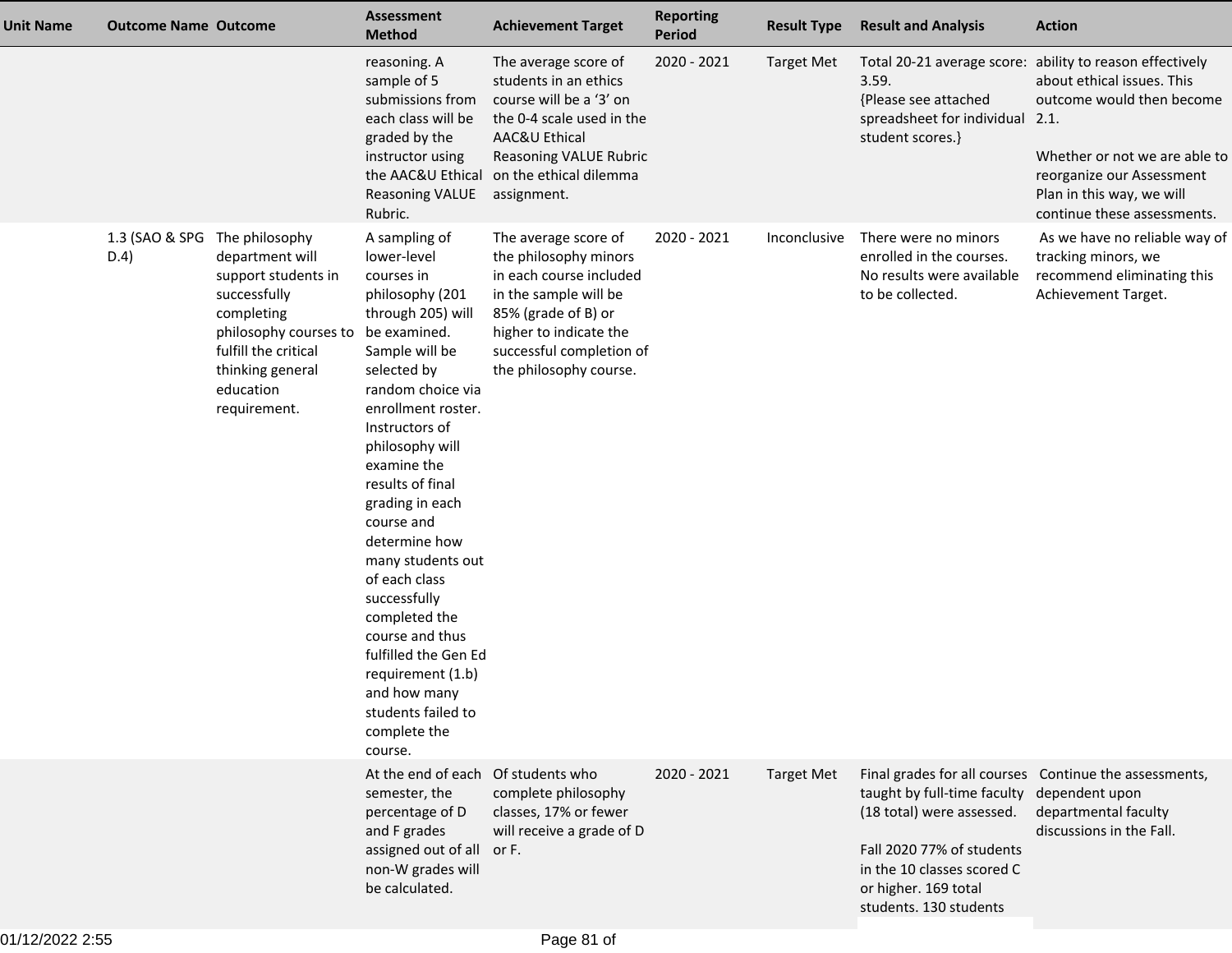| <b>Unit Name</b> | <b>Outcome Name Outcome</b> |                                                                                                                                                                                          | <b>Assessment</b><br><b>Method</b>                                                                                                                                                                                                                                                                                                                                                                                                                                                                               | <b>Achievement Target</b>                                                                                                                                                                                | <b>Reporting</b><br><b>Period</b> | <b>Result Type</b> | <b>Result and Analysis</b>                                                                                                                                                           | <b>Action</b>                                                                                                                                                                                                                                 |
|------------------|-----------------------------|------------------------------------------------------------------------------------------------------------------------------------------------------------------------------------------|------------------------------------------------------------------------------------------------------------------------------------------------------------------------------------------------------------------------------------------------------------------------------------------------------------------------------------------------------------------------------------------------------------------------------------------------------------------------------------------------------------------|----------------------------------------------------------------------------------------------------------------------------------------------------------------------------------------------------------|-----------------------------------|--------------------|--------------------------------------------------------------------------------------------------------------------------------------------------------------------------------------|-----------------------------------------------------------------------------------------------------------------------------------------------------------------------------------------------------------------------------------------------|
|                  |                             |                                                                                                                                                                                          | reasoning. A<br>sample of 5<br>submissions from<br>each class will be<br>graded by the<br>instructor using<br>the AAC&U Ethical<br><b>Reasoning VALUE</b><br>Rubric.                                                                                                                                                                                                                                                                                                                                             | The average score of<br>students in an ethics<br>course will be a '3' on<br>the 0-4 scale used in the<br>AAC&U Ethical<br><b>Reasoning VALUE Rubric</b><br>on the ethical dilemma<br>assignment.         | 2020 - 2021                       | <b>Target Met</b>  | 3.59.<br>{Please see attached<br>spreadsheet for individual 2.1.<br>student scores.}                                                                                                 | Total 20-21 average score: ability to reason effectively<br>about ethical issues. This<br>outcome would then become<br>Whether or not we are able to<br>reorganize our Assessment<br>Plan in this way, we will<br>continue these assessments. |
|                  | 1.3 (SAO & SPG<br>D.4)      | The philosophy<br>department will<br>support students in<br>successfully<br>completing<br>philosophy courses to<br>fulfill the critical<br>thinking general<br>education<br>requirement. | A sampling of<br>lower-level<br>courses in<br>philosophy (201<br>through 205) will<br>be examined.<br>Sample will be<br>selected by<br>random choice via<br>enrollment roster.<br>Instructors of<br>philosophy will<br>examine the<br>results of final<br>grading in each<br>course and<br>determine how<br>many students out<br>of each class<br>successfully<br>completed the<br>course and thus<br>fulfilled the Gen Ed<br>requirement (1.b)<br>and how many<br>students failed to<br>complete the<br>course. | The average score of<br>the philosophy minors<br>in each course included<br>in the sample will be<br>85% (grade of B) or<br>higher to indicate the<br>successful completion of<br>the philosophy course. | 2020 - 2021                       | Inconclusive       | There were no minors<br>enrolled in the courses.<br>No results were available<br>to be collected.                                                                                    | As we have no reliable way of<br>tracking minors, we<br>recommend eliminating this<br>Achievement Target.                                                                                                                                     |
|                  |                             |                                                                                                                                                                                          | At the end of each Of students who<br>semester, the<br>percentage of D<br>and F grades<br>assigned out of all<br>non-W grades will<br>be calculated.                                                                                                                                                                                                                                                                                                                                                             | complete philosophy<br>classes, 17% or fewer<br>will receive a grade of D<br>or F.                                                                                                                       | 2020 - 2021                       | <b>Target Met</b>  | taught by full-time faculty dependent upon<br>(18 total) were assessed.<br>Fall 2020 77% of students<br>in the 10 classes scored C<br>or higher. 169 total<br>students. 130 students | Final grades for all courses  Continue the assessments,<br>departmental faculty<br>discussions in the Fall.                                                                                                                                   |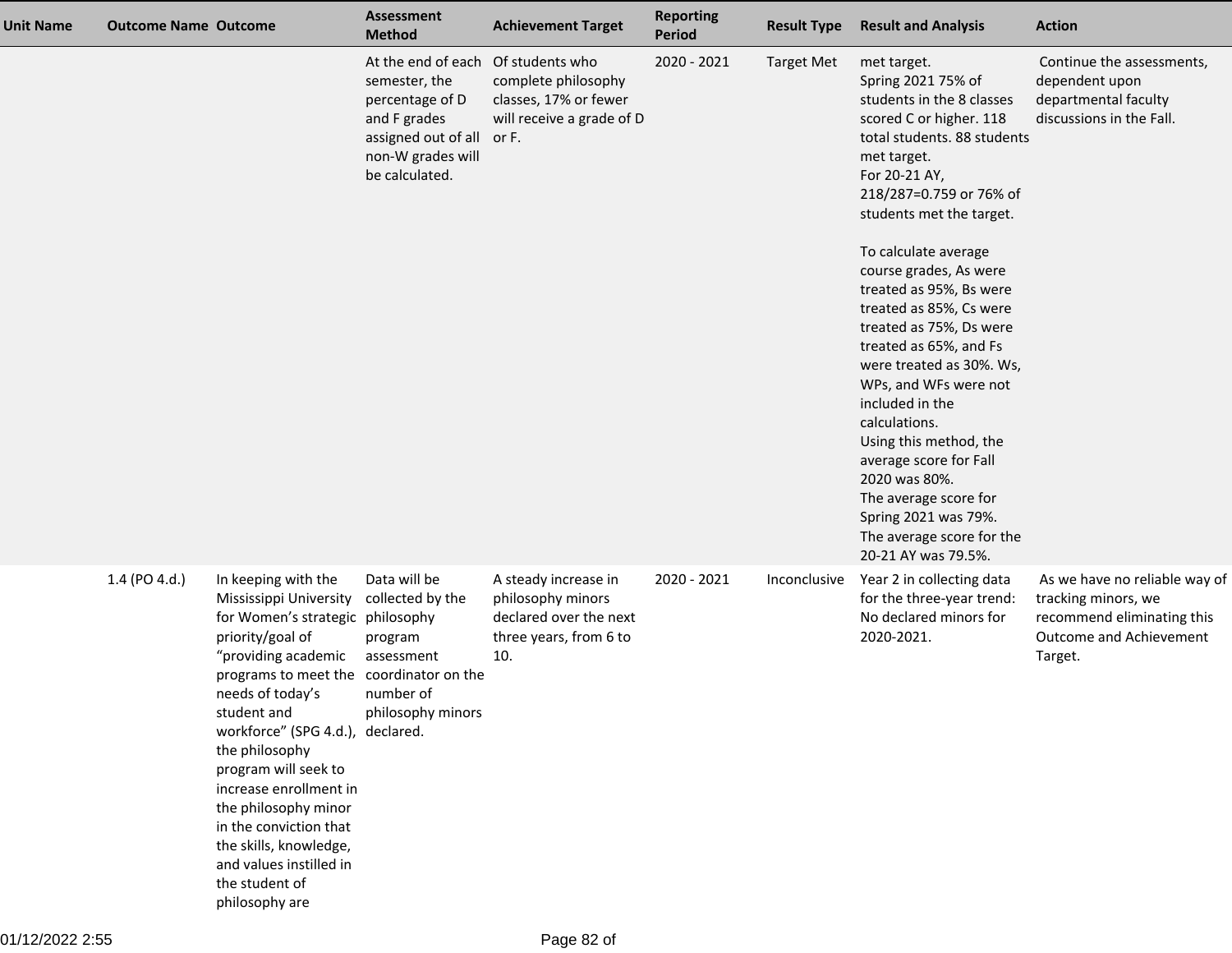| <b>Unit Name</b> | <b>Outcome Name Outcome</b> |                                                                                                                                                                                                                                                                                                                                                                                                                                                               | <b>Assessment</b><br><b>Method</b>                                                                                                   | <b>Achievement Target</b>                                                                             | <b>Reporting</b><br>Period | <b>Result Type</b> | <b>Result and Analysis</b>                                                                                                                                                                                                                                                                                                                                                                                                                                                                                                                                                                                                                      | <b>Action</b>                                                                                                            |
|------------------|-----------------------------|---------------------------------------------------------------------------------------------------------------------------------------------------------------------------------------------------------------------------------------------------------------------------------------------------------------------------------------------------------------------------------------------------------------------------------------------------------------|--------------------------------------------------------------------------------------------------------------------------------------|-------------------------------------------------------------------------------------------------------|----------------------------|--------------------|-------------------------------------------------------------------------------------------------------------------------------------------------------------------------------------------------------------------------------------------------------------------------------------------------------------------------------------------------------------------------------------------------------------------------------------------------------------------------------------------------------------------------------------------------------------------------------------------------------------------------------------------------|--------------------------------------------------------------------------------------------------------------------------|
|                  |                             |                                                                                                                                                                                                                                                                                                                                                                                                                                                               | At the end of each<br>semester, the<br>percentage of D<br>and F grades<br>assigned out of all<br>non-W grades will<br>be calculated. | Of students who<br>complete philosophy<br>classes, 17% or fewer<br>will receive a grade of D<br>or F. | 2020 - 2021                | <b>Target Met</b>  | met target.<br>Spring 2021 75% of<br>students in the 8 classes<br>scored C or higher. 118<br>total students. 88 students<br>met target.<br>For 20-21 AY,<br>218/287=0.759 or 76% of<br>students met the target.<br>To calculate average<br>course grades, As were<br>treated as 95%, Bs were<br>treated as 85%, Cs were<br>treated as 75%, Ds were<br>treated as 65%, and Fs<br>were treated as 30%. Ws,<br>WPs, and WFs were not<br>included in the<br>calculations.<br>Using this method, the<br>average score for Fall<br>2020 was 80%.<br>The average score for<br>Spring 2021 was 79%.<br>The average score for the<br>20-21 AY was 79.5%. | Continue the assessments,<br>dependent upon<br>departmental faculty<br>discussions in the Fall.                          |
|                  | 1.4 (PO 4.d.)               | In keeping with the<br>Mississippi University<br>for Women's strategic philosophy<br>priority/goal of<br>"providing academic<br>programs to meet the coordinator on the<br>needs of today's<br>student and<br>workforce" (SPG 4.d.), declared.<br>the philosophy<br>program will seek to<br>increase enrollment in<br>the philosophy minor<br>in the conviction that<br>the skills, knowledge,<br>and values instilled in<br>the student of<br>philosophy are | Data will be<br>collected by the<br>program<br>assessment<br>number of<br>philosophy minors                                          | A steady increase in<br>philosophy minors<br>declared over the next<br>three years, from 6 to<br>10.  | 2020 - 2021                | Inconclusive       | Year 2 in collecting data<br>for the three-year trend:<br>No declared minors for<br>2020-2021.                                                                                                                                                                                                                                                                                                                                                                                                                                                                                                                                                  | As we have no reliable way of<br>tracking minors, we<br>recommend eliminating this<br>Outcome and Achievement<br>Target. |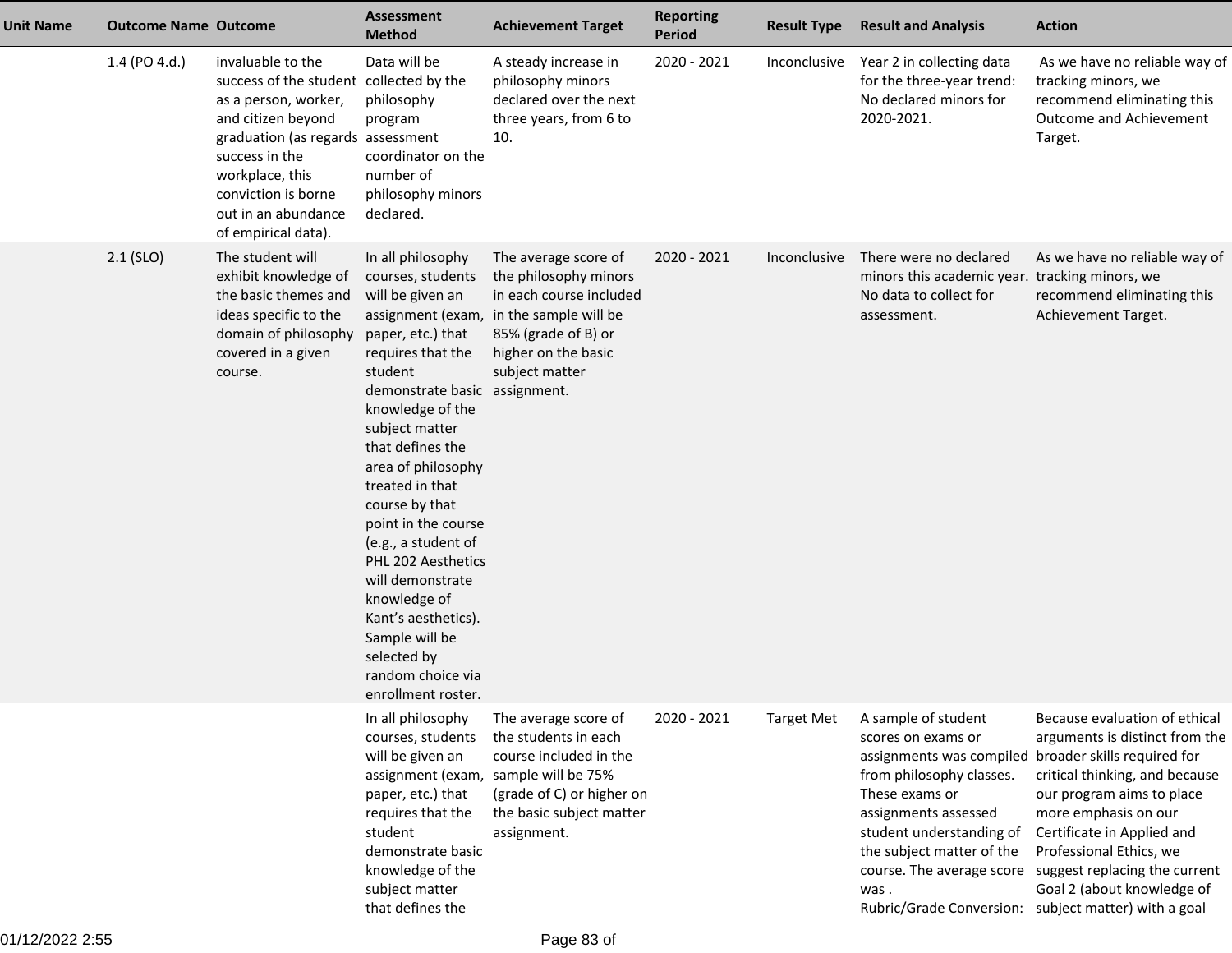| <b>Unit Name</b> | <b>Outcome Name Outcome</b> |                                                                                                                                                                                                                                                           | <b>Assessment</b><br><b>Method</b>                                                                                                                                                                                                                                                                                                                                                                                                                                               | <b>Achievement Target</b>                                                                                                                                                              | <b>Reporting</b><br><b>Period</b> | <b>Result Type</b> | <b>Result and Analysis</b>                                                                                                                                                                                                               | <b>Action</b>                                                                                                                                                                                                                                                                                                                                                    |
|------------------|-----------------------------|-----------------------------------------------------------------------------------------------------------------------------------------------------------------------------------------------------------------------------------------------------------|----------------------------------------------------------------------------------------------------------------------------------------------------------------------------------------------------------------------------------------------------------------------------------------------------------------------------------------------------------------------------------------------------------------------------------------------------------------------------------|----------------------------------------------------------------------------------------------------------------------------------------------------------------------------------------|-----------------------------------|--------------------|------------------------------------------------------------------------------------------------------------------------------------------------------------------------------------------------------------------------------------------|------------------------------------------------------------------------------------------------------------------------------------------------------------------------------------------------------------------------------------------------------------------------------------------------------------------------------------------------------------------|
|                  | 1.4 (PO 4.d.)               | invaluable to the<br>success of the student collected by the<br>as a person, worker,<br>and citizen beyond<br>graduation (as regards assessment<br>success in the<br>workplace, this<br>conviction is borne<br>out in an abundance<br>of empirical data). | Data will be<br>philosophy<br>program<br>coordinator on the<br>number of<br>philosophy minors<br>declared.                                                                                                                                                                                                                                                                                                                                                                       | A steady increase in<br>philosophy minors<br>declared over the next<br>three years, from 6 to<br>10.                                                                                   | 2020 - 2021                       | Inconclusive       | Year 2 in collecting data<br>for the three-year trend:<br>No declared minors for<br>2020-2021.                                                                                                                                           | As we have no reliable way of<br>tracking minors, we<br>recommend eliminating this<br>Outcome and Achievement<br>Target.                                                                                                                                                                                                                                         |
|                  | $2.1$ (SLO)                 | The student will<br>exhibit knowledge of<br>the basic themes and<br>ideas specific to the<br>domain of philosophy<br>covered in a given<br>course.                                                                                                        | In all philosophy<br>courses, students<br>will be given an<br>paper, etc.) that<br>requires that the<br>student<br>demonstrate basic assignment.<br>knowledge of the<br>subject matter<br>that defines the<br>area of philosophy<br>treated in that<br>course by that<br>point in the course<br>(e.g., a student of<br>PHL 202 Aesthetics<br>will demonstrate<br>knowledge of<br>Kant's aesthetics).<br>Sample will be<br>selected by<br>random choice via<br>enrollment roster. | The average score of<br>the philosophy minors<br>in each course included<br>assignment (exam, in the sample will be<br>85% (grade of B) or<br>higher on the basic<br>subject matter    | 2020 - 2021                       | Inconclusive       | There were no declared<br>minors this academic year. tracking minors, we<br>No data to collect for<br>assessment.                                                                                                                        | As we have no reliable way of<br>recommend eliminating this<br>Achievement Target.                                                                                                                                                                                                                                                                               |
|                  |                             |                                                                                                                                                                                                                                                           | In all philosophy<br>courses, students<br>will be given an<br>paper, etc.) that<br>requires that the<br>student<br>demonstrate basic<br>knowledge of the<br>subject matter<br>that defines the                                                                                                                                                                                                                                                                                   | The average score of<br>the students in each<br>course included in the<br>assignment (exam, sample will be 75%<br>(grade of C) or higher on<br>the basic subject matter<br>assignment. | 2020 - 2021                       | <b>Target Met</b>  | A sample of student<br>scores on exams or<br>assignments was compiled broader skills required for<br>from philosophy classes.<br>These exams or<br>assignments assessed<br>student understanding of<br>the subject matter of the<br>was. | Because evaluation of ethical<br>arguments is distinct from the<br>critical thinking, and because<br>our program aims to place<br>more emphasis on our<br>Certificate in Applied and<br>Professional Ethics, we<br>course. The average score suggest replacing the current<br>Goal 2 (about knowledge of<br>Rubric/Grade Conversion: subject matter) with a goal |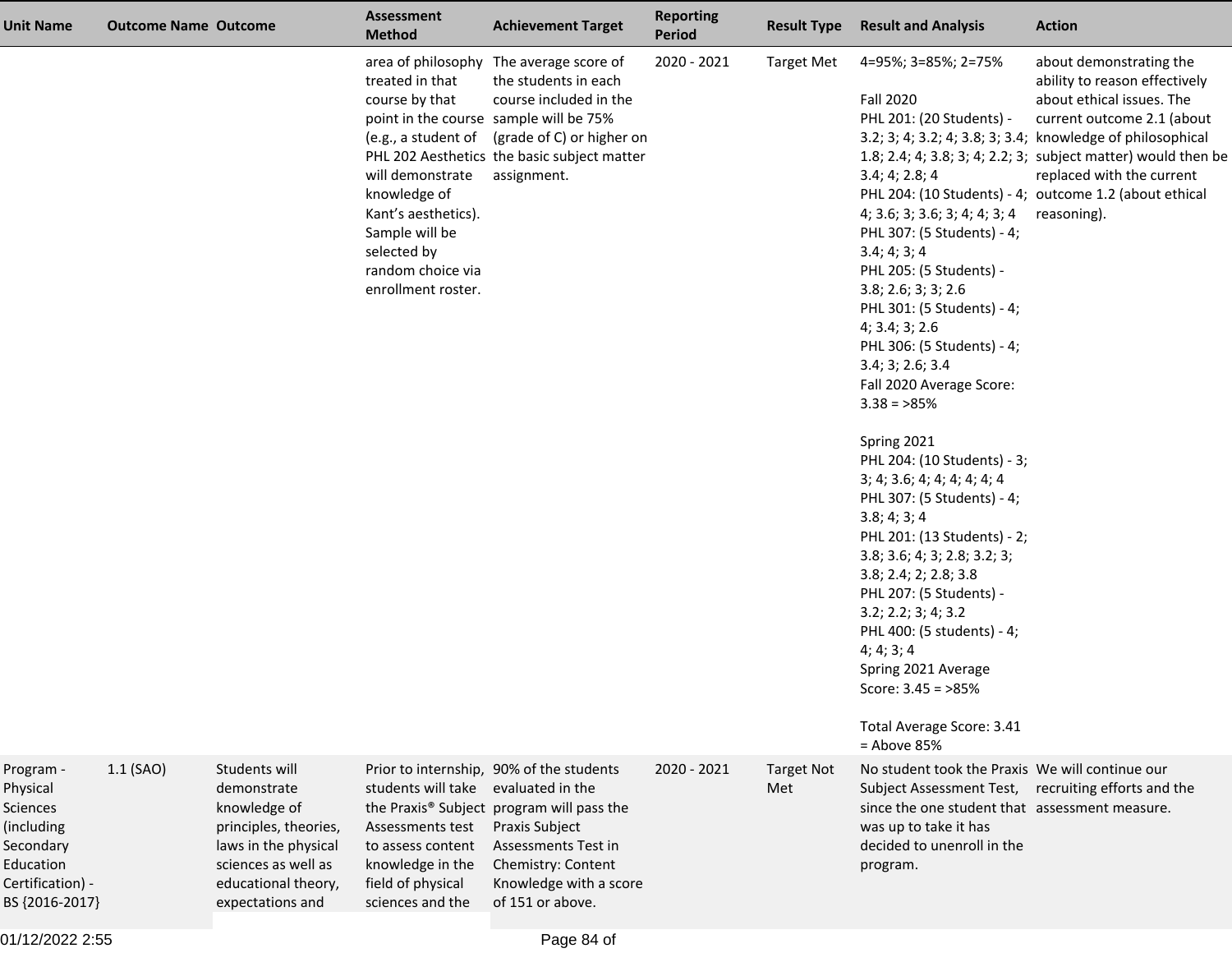| <b>Unit Name</b>                                                                                                       | <b>Outcome Name Outcome</b> |                                                                                                                                                                 | <b>Assessment</b><br><b>Method</b>                                                                                                                                       | <b>Achievement Target</b>                                                                                                                                                                                                                          | <b>Reporting</b><br><b>Period</b> | <b>Result Type</b>       | <b>Result and Analysis</b>                                                                                                                                                                                                                                                                                                                                                                                                                                                                                                                                                                                                                                                                                                                                                          | <b>Action</b>                                                                                                                                                                                                                                                                                                                                            |
|------------------------------------------------------------------------------------------------------------------------|-----------------------------|-----------------------------------------------------------------------------------------------------------------------------------------------------------------|--------------------------------------------------------------------------------------------------------------------------------------------------------------------------|----------------------------------------------------------------------------------------------------------------------------------------------------------------------------------------------------------------------------------------------------|-----------------------------------|--------------------------|-------------------------------------------------------------------------------------------------------------------------------------------------------------------------------------------------------------------------------------------------------------------------------------------------------------------------------------------------------------------------------------------------------------------------------------------------------------------------------------------------------------------------------------------------------------------------------------------------------------------------------------------------------------------------------------------------------------------------------------------------------------------------------------|----------------------------------------------------------------------------------------------------------------------------------------------------------------------------------------------------------------------------------------------------------------------------------------------------------------------------------------------------------|
|                                                                                                                        |                             |                                                                                                                                                                 | treated in that<br>course by that<br>will demonstrate<br>knowledge of<br>Kant's aesthetics).<br>Sample will be<br>selected by<br>random choice via<br>enrollment roster. | area of philosophy The average score of<br>the students in each<br>course included in the<br>point in the course sample will be 75%<br>(e.g., a student of (grade of C) or higher on<br>PHL 202 Aesthetics the basic subject matter<br>assignment. | 2020 - 2021                       | <b>Target Met</b>        | 4=95%; 3=85%; 2=75%<br><b>Fall 2020</b><br>PHL 201: (20 Students) -<br>3.4; 4; 2.8; 4<br>4; 3.6; 3; 3.6; 3; 4; 4; 3; 4<br>PHL 307: (5 Students) - 4;<br>3.4; 4; 3; 4<br>PHL 205: (5 Students) -<br>3.8; 2.6; 3; 3; 2.6<br>PHL 301: (5 Students) - 4;<br>4; 3.4; 3; 2.6<br>PHL 306: (5 Students) - 4;<br>3.4; 3; 2.6; 3.4<br>Fall 2020 Average Score:<br>$3.38 = 85\%$<br>Spring 2021<br>PHL 204: (10 Students) - 3;<br>3; 4; 3.6; 4; 4; 4; 4; 4; 4<br>PHL 307: (5 Students) - 4;<br>3.8; 4; 3; 4<br>PHL 201: (13 Students) - 2;<br>3.8; 3.6; 4; 3; 2.8; 3.2; 3;<br>3.8; 2.4; 2; 2.8; 3.8<br>PHL 207: (5 Students) -<br>3.2; 2.2; 3; 4; 3.2<br>PHL 400: (5 students) - 4;<br>4; 4; 3; 4<br>Spring 2021 Average<br>Score: $3.45 = 85\%$<br>Total Average Score: 3.41<br>$=$ Above 85% | about demonstrating the<br>ability to reason effectively<br>about ethical issues. The<br>current outcome 2.1 (about<br>3.2; 3; 4; 3.2; 4; 3.8; 3; 3.4; knowledge of philosophical<br>1.8; 2.4; 4; 3.8; 3; 4; 2.2; 3; subject matter) would then be<br>replaced with the current<br>PHL 204: (10 Students) - 4; outcome 1.2 (about ethical<br>reasoning). |
| Program -<br>Physical<br><b>Sciences</b><br>(including<br>Secondary<br>Education<br>Certification) -<br>BS {2016-2017} | $1.1$ (SAO)                 | Students will<br>demonstrate<br>knowledge of<br>principles, theories,<br>laws in the physical<br>sciences as well as<br>educational theory,<br>expectations and | students will take evaluated in the<br>Assessments test<br>to assess content<br>knowledge in the<br>field of physical<br>sciences and the                                | Prior to internship, 90% of the students<br>the Praxis® Subject program will pass the<br>Praxis Subject<br>Assessments Test in<br>Chemistry: Content<br>Knowledge with a score<br>of 151 or above.                                                 | $2020 - 2021$                     | <b>Target Not</b><br>Met | No student took the Praxis We will continue our<br>Subject Assessment Test, recruiting efforts and the<br>since the one student that assessment measure.<br>was up to take it has<br>decided to unenroll in the<br>program.                                                                                                                                                                                                                                                                                                                                                                                                                                                                                                                                                         |                                                                                                                                                                                                                                                                                                                                                          |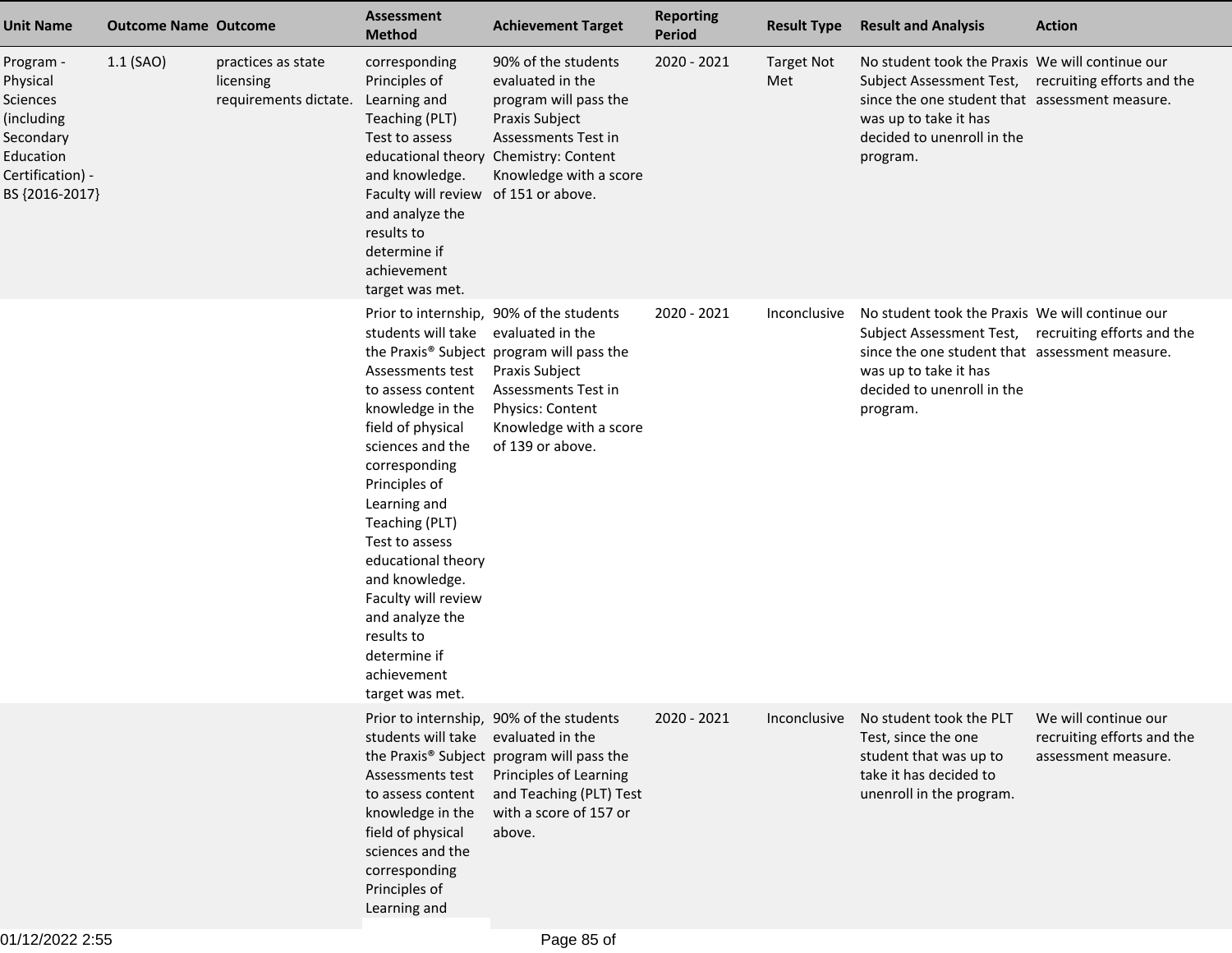| <b>Unit Name</b>                                                                                                | <b>Outcome Name Outcome</b> |                                                          | <b>Assessment</b><br><b>Method</b>                                                                                                                                                                                                                                                                                                                               | <b>Achievement Target</b>                                                                                                                                                                                            | <b>Reporting</b><br><b>Period</b> | <b>Result Type</b>       | <b>Result and Analysis</b>                                                                                                                                                                                                  | <b>Action</b>                                                             |
|-----------------------------------------------------------------------------------------------------------------|-----------------------------|----------------------------------------------------------|------------------------------------------------------------------------------------------------------------------------------------------------------------------------------------------------------------------------------------------------------------------------------------------------------------------------------------------------------------------|----------------------------------------------------------------------------------------------------------------------------------------------------------------------------------------------------------------------|-----------------------------------|--------------------------|-----------------------------------------------------------------------------------------------------------------------------------------------------------------------------------------------------------------------------|---------------------------------------------------------------------------|
| Program -<br>Physical<br>Sciences<br>(including<br>Secondary<br>Education<br>Certification) -<br>BS {2016-2017} | 1.1 (SAO)                   | practices as state<br>licensing<br>requirements dictate. | corresponding<br>Principles of<br>Learning and<br>Teaching (PLT)<br>Test to assess<br>educational theory<br>and knowledge.<br>Faculty will review of 151 or above.<br>and analyze the<br>results to<br>determine if<br>achievement<br>target was met.                                                                                                            | 90% of the students<br>evaluated in the<br>program will pass the<br>Praxis Subject<br>Assessments Test in<br>Chemistry: Content<br>Knowledge with a score                                                            | 2020 - 2021                       | <b>Target Not</b><br>Met | No student took the Praxis We will continue our<br>Subject Assessment Test, recruiting efforts and the<br>since the one student that assessment measure.<br>was up to take it has<br>decided to unenroll in the<br>program. |                                                                           |
|                                                                                                                 |                             |                                                          | students will take<br>Assessments test<br>to assess content<br>knowledge in the<br>field of physical<br>sciences and the<br>corresponding<br>Principles of<br>Learning and<br>Teaching (PLT)<br>Test to assess<br>educational theory<br>and knowledge.<br>Faculty will review<br>and analyze the<br>results to<br>determine if<br>achievement<br>target was met. | Prior to internship, 90% of the students<br>evaluated in the<br>the Praxis® Subject program will pass the<br>Praxis Subject<br>Assessments Test in<br>Physics: Content<br>Knowledge with a score<br>of 139 or above. | 2020 - 2021                       | Inconclusive             | No student took the Praxis We will continue our<br>Subject Assessment Test, recruiting efforts and the<br>since the one student that assessment measure.<br>was up to take it has<br>decided to unenroll in the<br>program. |                                                                           |
|                                                                                                                 |                             |                                                          | students will take<br>Assessments test<br>to assess content<br>knowledge in the<br>field of physical<br>sciences and the<br>corresponding<br>Principles of<br>Learning and                                                                                                                                                                                       | Prior to internship, 90% of the students<br>evaluated in the<br>the Praxis® Subject program will pass the<br>Principles of Learning<br>and Teaching (PLT) Test<br>with a score of 157 or<br>above.                   | 2020 - 2021                       | Inconclusive             | No student took the PLT<br>Test, since the one<br>student that was up to<br>take it has decided to<br>unenroll in the program.                                                                                              | We will continue our<br>recruiting efforts and the<br>assessment measure. |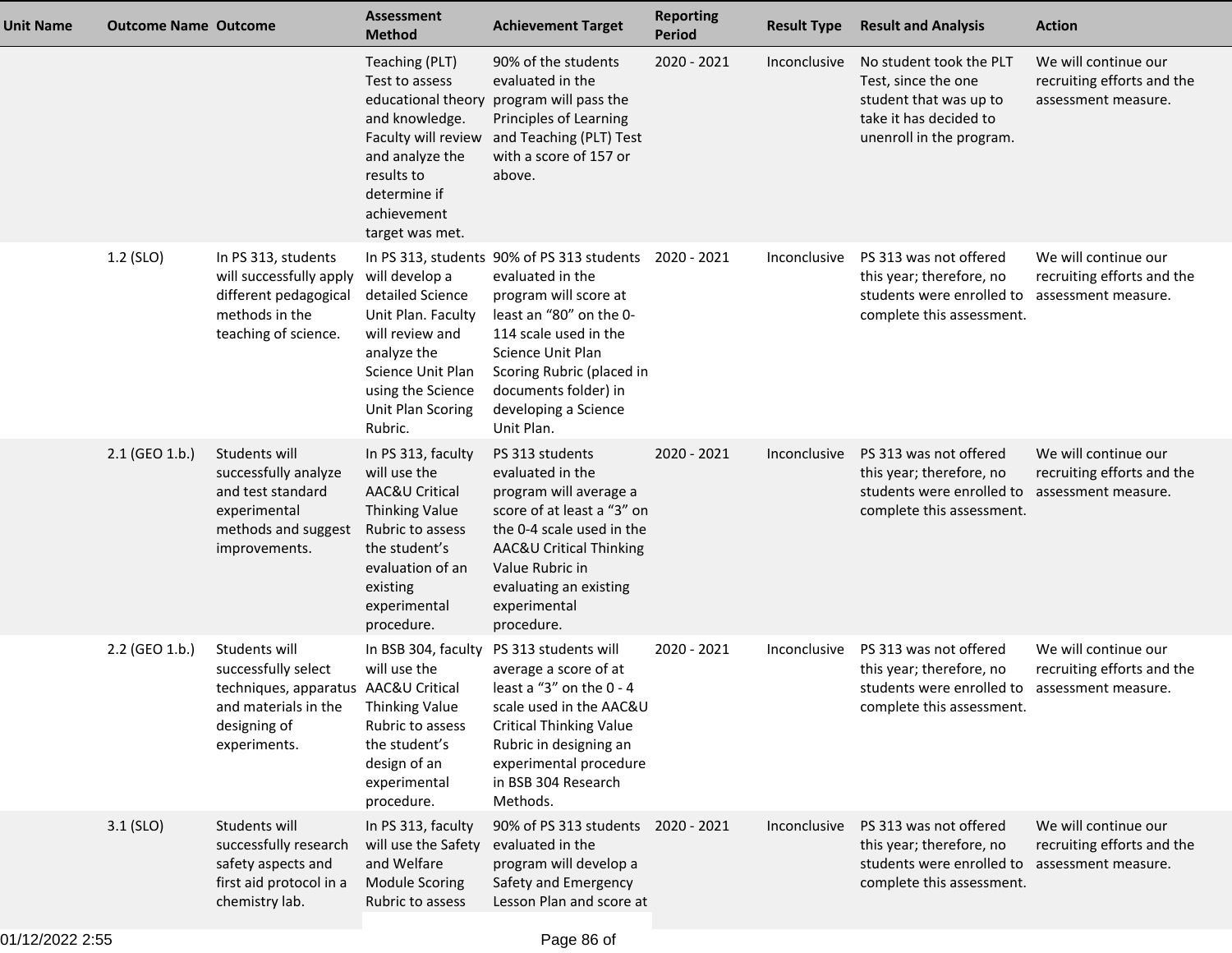| Unit Name | <b>Outcome Name Outcome</b> |                                                                                                                                      | <b>Assessment</b><br><b>Method</b>                                                                                                                                                          | <b>Achievement Target</b>                                                                                                                                                                                                                                   | <b>Reporting</b><br><b>Period</b> | <b>Result Type</b> | <b>Result and Analysis</b>                                                                                                       | <b>Action</b>                                                             |
|-----------|-----------------------------|--------------------------------------------------------------------------------------------------------------------------------------|---------------------------------------------------------------------------------------------------------------------------------------------------------------------------------------------|-------------------------------------------------------------------------------------------------------------------------------------------------------------------------------------------------------------------------------------------------------------|-----------------------------------|--------------------|----------------------------------------------------------------------------------------------------------------------------------|---------------------------------------------------------------------------|
|           |                             |                                                                                                                                      | Teaching (PLT)<br>Test to assess<br>educational theory<br>and knowledge.<br>Faculty will review<br>and analyze the<br>results to<br>determine if<br>achievement<br>target was met.          | 90% of the students<br>evaluated in the<br>program will pass the<br>Principles of Learning<br>and Teaching (PLT) Test<br>with a score of 157 or<br>above.                                                                                                   | 2020 - 2021                       | Inconclusive       | No student took the PLT<br>Test, since the one<br>student that was up to<br>take it has decided to<br>unenroll in the program.   | We will continue our<br>recruiting efforts and the<br>assessment measure. |
|           | 1.2 (SLO)                   | In PS 313, students<br>will successfully apply<br>different pedagogical<br>methods in the<br>teaching of science.                    | will develop a<br>detailed Science<br>Unit Plan. Faculty<br>will review and<br>analyze the<br>Science Unit Plan<br>using the Science<br>Unit Plan Scoring<br>Rubric.                        | In PS 313, students 90% of PS 313 students<br>evaluated in the<br>program will score at<br>least an "80" on the 0-<br>114 scale used in the<br>Science Unit Plan<br>Scoring Rubric (placed in<br>documents folder) in<br>developing a Science<br>Unit Plan. | 2020 - 2021                       | Inconclusive       | PS 313 was not offered<br>this year; therefore, no<br>students were enrolled to<br>complete this assessment.                     | We will continue our<br>recruiting efforts and the<br>assessment measure. |
|           | 2.1 (GEO 1.b.)              | Students will<br>successfully analyze<br>and test standard<br>experimental<br>methods and suggest<br>improvements.                   | In PS 313, faculty<br>will use the<br><b>AAC&amp;U Critical</b><br><b>Thinking Value</b><br>Rubric to assess<br>the student's<br>evaluation of an<br>existing<br>experimental<br>procedure. | PS 313 students<br>evaluated in the<br>program will average a<br>score of at least a "3" on<br>the 0-4 scale used in the<br>AAC&U Critical Thinking<br>Value Rubric in<br>evaluating an existing<br>experimental<br>procedure.                              | $2020 - 2021$                     | Inconclusive       | PS 313 was not offered<br>this year; therefore, no<br>students were enrolled to<br>complete this assessment.                     | We will continue our<br>recruiting efforts and the<br>assessment measure. |
|           | 2.2 (GEO 1.b.)              | Students will<br>successfully select<br>techniques, apparatus AAC&U Critical<br>and materials in the<br>designing of<br>experiments. | In BSB 304, faculty<br>will use the<br><b>Thinking Value</b><br>Rubric to assess<br>the student's<br>design of an<br>experimental<br>procedure.                                             | PS 313 students will<br>average a score of at<br>least a "3" on the 0 - 4<br>scale used in the AAC&U<br><b>Critical Thinking Value</b><br>Rubric in designing an<br>experimental procedure<br>in BSB 304 Research<br>Methods.                               | 2020 - 2021                       | Inconclusive       | PS 313 was not offered<br>this year; therefore, no<br>students were enrolled to<br>complete this assessment.                     | We will continue our<br>recruiting efforts and the<br>assessment measure. |
|           | $3.1$ (SLO)                 | Students will<br>successfully research<br>safety aspects and<br>first aid protocol in a<br>chemistry lab.                            | In PS 313, faculty<br>will use the Safety<br>and Welfare<br><b>Module Scoring</b><br>Rubric to assess                                                                                       | 90% of PS 313 students<br>evaluated in the<br>program will develop a<br>Safety and Emergency<br>Lesson Plan and score at                                                                                                                                    | 2020 - 2021                       | Inconclusive       | PS 313 was not offered<br>this year; therefore, no<br>students were enrolled to assessment measure.<br>complete this assessment. | We will continue our<br>recruiting efforts and the                        |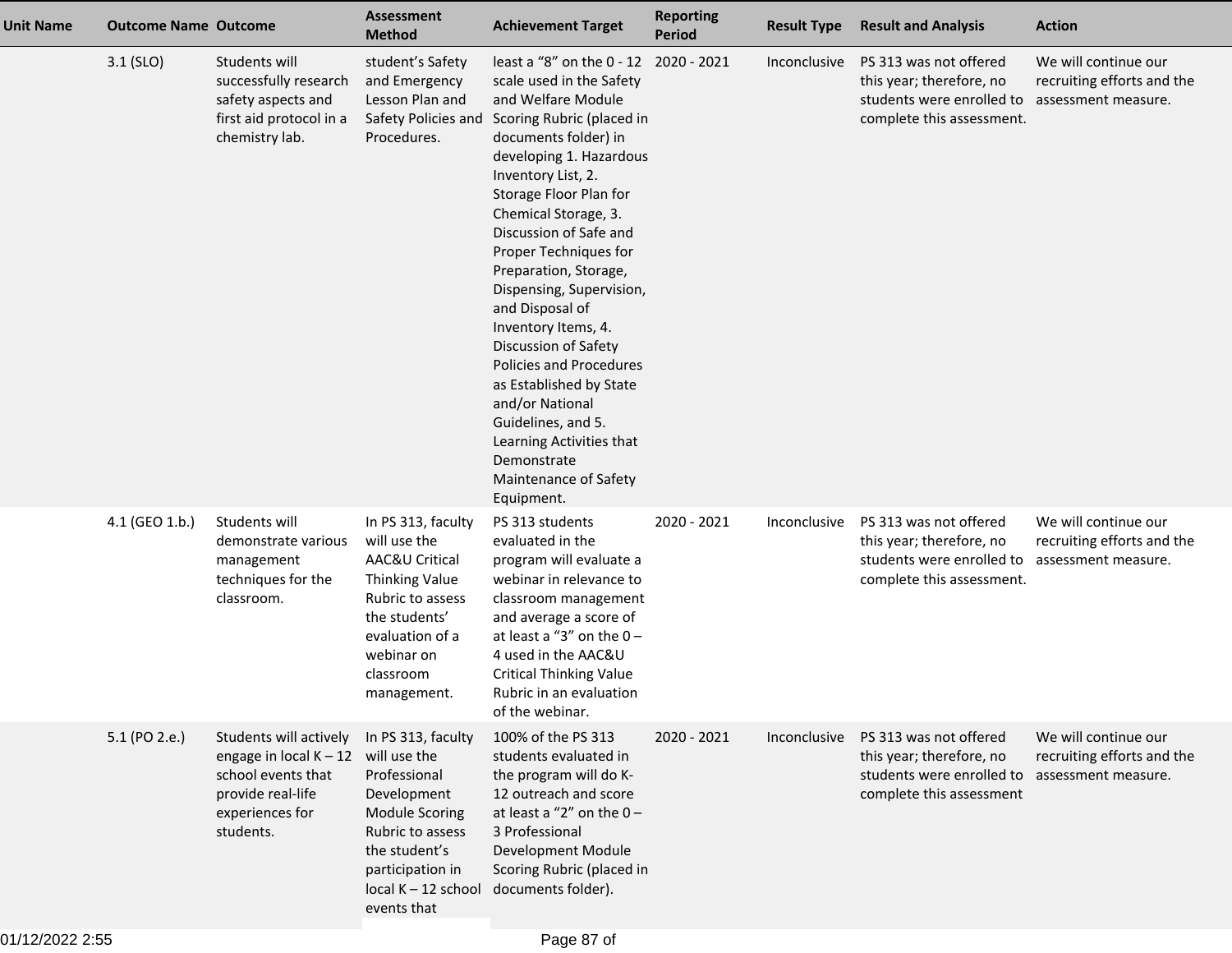| Unit Name | <b>Outcome Name Outcome</b> |                                                                                                                               | <b>Assessment</b><br><b>Method</b>                                                                                                                                                          | <b>Achievement Target</b>                                                                                                                                                                                                                                                                                                                                                                                                                                                                                                                                                                      | <b>Reporting</b><br><b>Period</b> | <b>Result Type</b> | <b>Result and Analysis</b>                                                                                                      | <b>Action</b>                                                             |
|-----------|-----------------------------|-------------------------------------------------------------------------------------------------------------------------------|---------------------------------------------------------------------------------------------------------------------------------------------------------------------------------------------|------------------------------------------------------------------------------------------------------------------------------------------------------------------------------------------------------------------------------------------------------------------------------------------------------------------------------------------------------------------------------------------------------------------------------------------------------------------------------------------------------------------------------------------------------------------------------------------------|-----------------------------------|--------------------|---------------------------------------------------------------------------------------------------------------------------------|---------------------------------------------------------------------------|
|           | $3.1$ (SLO)                 | Students will<br>successfully research<br>safety aspects and<br>first aid protocol in a<br>chemistry lab.                     | student's Safety<br>and Emergency<br>Lesson Plan and<br>Safety Policies and<br>Procedures.                                                                                                  | least a "8" on the 0 - 12<br>scale used in the Safety<br>and Welfare Module<br>Scoring Rubric (placed in<br>documents folder) in<br>developing 1. Hazardous<br>Inventory List, 2.<br>Storage Floor Plan for<br>Chemical Storage, 3.<br>Discussion of Safe and<br>Proper Techniques for<br>Preparation, Storage,<br>Dispensing, Supervision,<br>and Disposal of<br>Inventory Items, 4.<br>Discussion of Safety<br>Policies and Procedures<br>as Established by State<br>and/or National<br>Guidelines, and 5.<br>Learning Activities that<br>Demonstrate<br>Maintenance of Safety<br>Equipment. | 2020 - 2021                       | Inconclusive       | PS 313 was not offered<br>this year; therefore, no<br>students were enrolled to<br>complete this assessment.                    | We will continue our<br>recruiting efforts and the<br>assessment measure. |
|           | 4.1 (GEO 1.b.)              | Students will<br>demonstrate various<br>management<br>techniques for the<br>classroom.                                        | In PS 313, faculty<br>will use the<br>AAC&U Critical<br><b>Thinking Value</b><br>Rubric to assess<br>the students'<br>evaluation of a<br>webinar on<br>classroom<br>management.             | PS 313 students<br>evaluated in the<br>program will evaluate a<br>webinar in relevance to<br>classroom management<br>and average a score of<br>at least a "3" on the $0-$<br>4 used in the AAC&U<br><b>Critical Thinking Value</b><br>Rubric in an evaluation<br>of the webinar.                                                                                                                                                                                                                                                                                                               | 2020 - 2021                       | Inconclusive       | PS 313 was not offered<br>this year; therefore, no<br>students were enrolled to<br>complete this assessment.                    | We will continue our<br>recruiting efforts and the<br>assessment measure. |
|           | 5.1 (PO 2.e.)               | Students will actively<br>engage in local $K - 12$<br>school events that<br>provide real-life<br>experiences for<br>students. | In PS 313, faculty<br>will use the<br>Professional<br>Development<br><b>Module Scoring</b><br>Rubric to assess<br>the student's<br>participation in<br>$local K - 12 school$<br>events that | 100% of the PS 313<br>students evaluated in<br>the program will do K-<br>12 outreach and score<br>at least a "2" on the $0-$<br>3 Professional<br>Development Module<br>Scoring Rubric (placed in<br>documents folder).                                                                                                                                                                                                                                                                                                                                                                        | 2020 - 2021                       | Inconclusive       | PS 313 was not offered<br>this year; therefore, no<br>students were enrolled to assessment measure.<br>complete this assessment | We will continue our<br>recruiting efforts and the                        |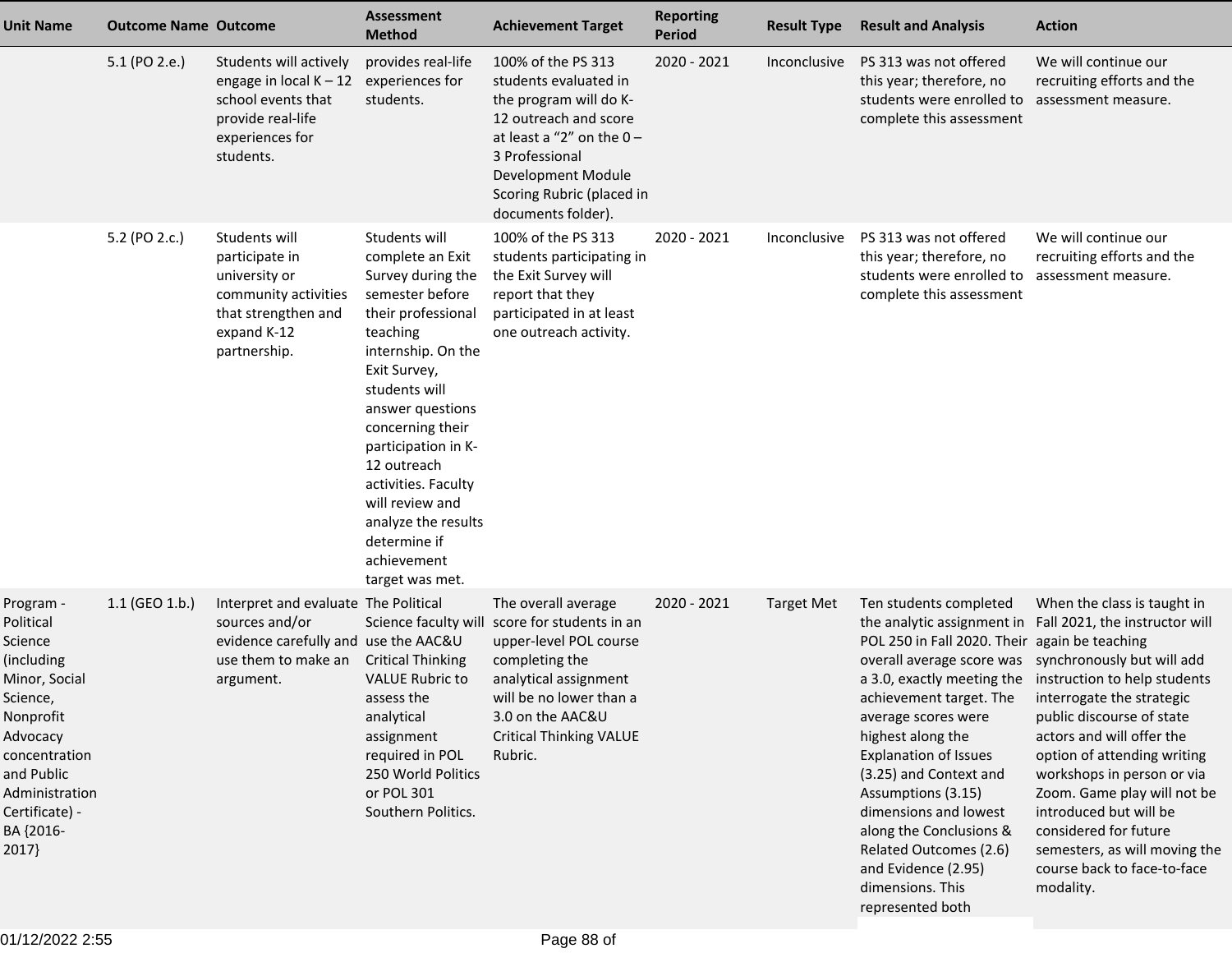| <b>Unit Name</b>                                                                                                                                                                               | <b>Outcome Name Outcome</b> |                                                                                                                                    | <b>Assessment</b><br><b>Method</b>                                                                                                                                                                                                                                                                                                                                  | <b>Achievement Target</b>                                                                                                                                                                                                             | <b>Reporting</b><br><b>Period</b> | <b>Result Type</b> | <b>Result and Analysis</b>                                                                                                                                                                                                                                                                                                                                                                                                                                                                  | <b>Action</b>                                                                                                                                                                                                                                                                                                                                                                                                  |
|------------------------------------------------------------------------------------------------------------------------------------------------------------------------------------------------|-----------------------------|------------------------------------------------------------------------------------------------------------------------------------|---------------------------------------------------------------------------------------------------------------------------------------------------------------------------------------------------------------------------------------------------------------------------------------------------------------------------------------------------------------------|---------------------------------------------------------------------------------------------------------------------------------------------------------------------------------------------------------------------------------------|-----------------------------------|--------------------|---------------------------------------------------------------------------------------------------------------------------------------------------------------------------------------------------------------------------------------------------------------------------------------------------------------------------------------------------------------------------------------------------------------------------------------------------------------------------------------------|----------------------------------------------------------------------------------------------------------------------------------------------------------------------------------------------------------------------------------------------------------------------------------------------------------------------------------------------------------------------------------------------------------------|
|                                                                                                                                                                                                | 5.1 (PO 2.e.)               | Students will actively<br>engage in local $K - 12$<br>school events that<br>provide real-life<br>experiences for<br>students.      | provides real-life<br>experiences for<br>students.                                                                                                                                                                                                                                                                                                                  | 100% of the PS 313<br>students evaluated in<br>the program will do K-<br>12 outreach and score<br>at least a "2" on the $0-$<br>3 Professional<br>Development Module<br>Scoring Rubric (placed in<br>documents folder).               | 2020 - 2021                       | Inconclusive       | PS 313 was not offered<br>this year; therefore, no<br>students were enrolled to<br>complete this assessment                                                                                                                                                                                                                                                                                                                                                                                 | We will continue our<br>recruiting efforts and the<br>assessment measure.                                                                                                                                                                                                                                                                                                                                      |
|                                                                                                                                                                                                | 5.2 (PO 2.c.)               | Students will<br>participate in<br>university or<br>community activities<br>that strengthen and<br>expand K-12<br>partnership.     | Students will<br>complete an Exit<br>Survey during the<br>semester before<br>their professional<br>teaching<br>internship. On the<br>Exit Survey,<br>students will<br>answer questions<br>concerning their<br>participation in K-<br>12 outreach<br>activities. Faculty<br>will review and<br>analyze the results<br>determine if<br>achievement<br>target was met. | 100% of the PS 313<br>students participating in<br>the Exit Survey will<br>report that they<br>participated in at least<br>one outreach activity.                                                                                     | 2020 - 2021                       | Inconclusive       | PS 313 was not offered<br>this year; therefore, no<br>students were enrolled to<br>complete this assessment                                                                                                                                                                                                                                                                                                                                                                                 | We will continue our<br>recruiting efforts and the<br>assessment measure.                                                                                                                                                                                                                                                                                                                                      |
| Program -<br>Political<br>Science<br>(including<br>Minor, Social<br>Science,<br>Nonprofit<br>Advocacy<br>concentration<br>and Public<br>Administration<br>Certificate) -<br>BA {2016-<br>2017} | 1.1 (GEO 1.b.)              | Interpret and evaluate The Political<br>sources and/or<br>evidence carefully and use the AAC&U<br>use them to make an<br>argument. | <b>Critical Thinking</b><br><b>VALUE Rubric to</b><br>assess the<br>analytical<br>assignment<br>required in POL<br>250 World Politics<br>or POL 301<br>Southern Politics.                                                                                                                                                                                           | The overall average<br>Science faculty will score for students in an<br>upper-level POL course<br>completing the<br>analytical assignment<br>will be no lower than a<br>3.0 on the AAC&U<br><b>Critical Thinking VALUE</b><br>Rubric. | 2020 - 2021                       | <b>Target Met</b>  | Ten students completed<br>the analytic assignment in<br>POL 250 in Fall 2020. Their again be teaching<br>overall average score was synchronously but will add<br>achievement target. The interrogate the strategic<br>average scores were<br>highest along the<br><b>Explanation of Issues</b><br>(3.25) and Context and<br>Assumptions (3.15)<br>dimensions and lowest<br>along the Conclusions &<br>Related Outcomes (2.6)<br>and Evidence (2.95)<br>dimensions. This<br>represented both | When the class is taught in<br>Fall 2021, the instructor will<br>a 3.0, exactly meeting the instruction to help students<br>public discourse of state<br>actors and will offer the<br>option of attending writing<br>workshops in person or via<br>Zoom. Game play will not be<br>introduced but will be<br>considered for future<br>semesters, as will moving the<br>course back to face-to-face<br>modality. |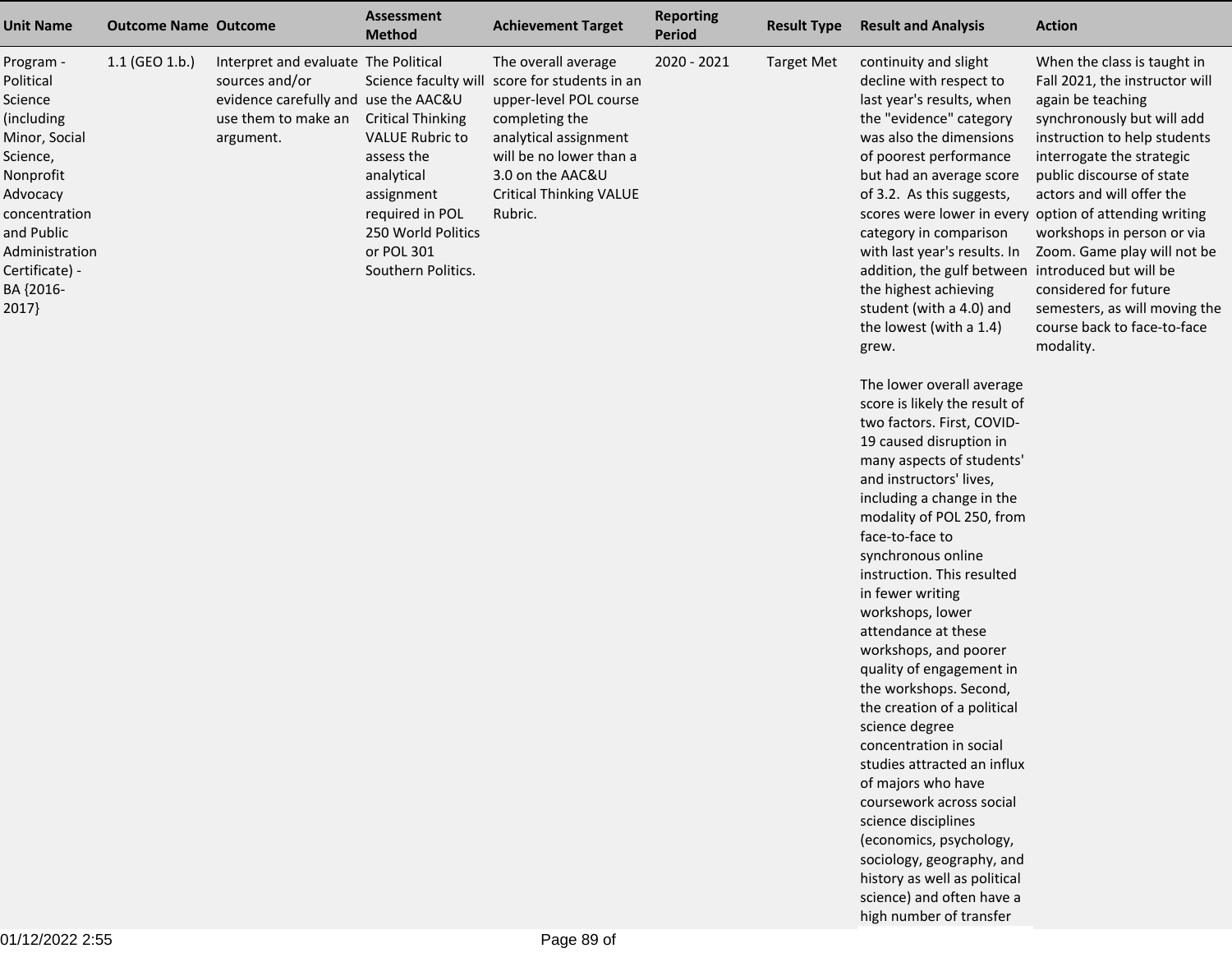| 1.1 (GEO 1.b.)<br>Interpret and evaluate The Political<br>The overall average<br>2020 - 2021<br><b>Target Met</b><br>continuity and slight<br>When the class is taught in<br>Program -<br>score for students in an<br>Political<br>sources and/or<br>Science faculty will<br>decline with respect to<br>Fall 2021, the instructor will<br>evidence carefully and use the AAC&U<br>upper-level POL course<br>last year's results, when<br>again be teaching<br>Science<br>use them to make an<br><b>Critical Thinking</b><br>completing the<br>the "evidence" category<br>synchronously but will add<br>(including<br>was also the dimensions<br>Minor, Social<br><b>VALUE Rubric to</b><br>analytical assignment<br>instruction to help students<br>argument.<br>will be no lower than a<br>of poorest performance<br>interrogate the strategic<br>Science,<br>assess the<br>3.0 on the AAC&U<br>public discourse of state<br>Nonprofit<br>analytical<br>but had an average score<br><b>Critical Thinking VALUE</b><br>of 3.2. As this suggests,<br>actors and will offer the<br>Advocacy<br>assignment<br>required in POL<br>Rubric.<br>scores were lower in every option of attending writing<br>concentration<br>and Public<br>250 World Politics<br>workshops in person or via<br>category in comparison<br>Administration<br>or POL 301<br>with last year's results. In<br>Zoom. Game play will not be<br>introduced but will be<br>Certificate) -<br>Southern Politics.<br>addition, the gulf between |  |
|-------------------------------------------------------------------------------------------------------------------------------------------------------------------------------------------------------------------------------------------------------------------------------------------------------------------------------------------------------------------------------------------------------------------------------------------------------------------------------------------------------------------------------------------------------------------------------------------------------------------------------------------------------------------------------------------------------------------------------------------------------------------------------------------------------------------------------------------------------------------------------------------------------------------------------------------------------------------------------------------------------------------------------------------------------------------------------------------------------------------------------------------------------------------------------------------------------------------------------------------------------------------------------------------------------------------------------------------------------------------------------------------------------------------------------------------------------------------------------------------------------------|--|
| BA {2016-<br>the highest achieving<br>considered for future<br>2017}<br>student (with a 4.0) and<br>semesters, as will moving the<br>course back to face-to-face<br>the lowest (with a 1.4)<br>modality.<br>grew.<br>The lower overall average<br>score is likely the result of<br>two factors. First, COVID-<br>19 caused disruption in<br>many aspects of students'<br>and instructors' lives,<br>including a change in the<br>modality of POL 250, from<br>face-to-face to<br>synchronous online<br>instruction. This resulted<br>in fewer writing<br>workshops, lower<br>attendance at these<br>workshops, and poorer<br>quality of engagement in<br>the workshops. Second,<br>the creation of a political<br>science degree<br>concentration in social<br>studies attracted an influx<br>of majors who have<br>coursework across social<br>science disciplines<br>(economics, psychology,<br>sociology, geography, and<br>history as well as political<br>science) and often have a<br>high number of transfer                                                                                                                                                                                                                                                                                                                                                                                                                                                                                         |  |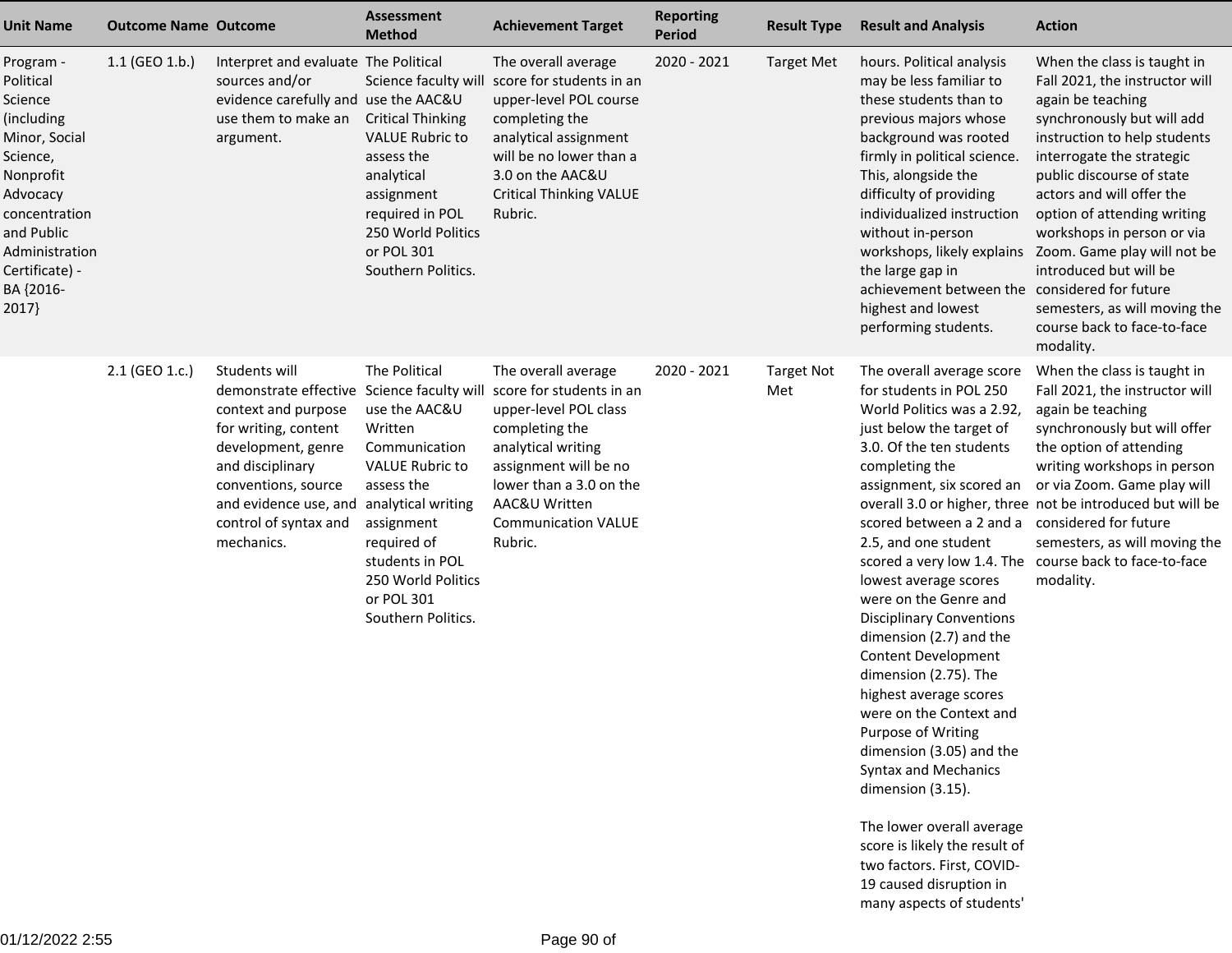| <b>Unit Name</b>                                                                                                                                                                               | <b>Outcome Name Outcome</b> |                                                                                                                                                                                                                                                                | <b>Assessment</b><br><b>Method</b>                                                                                                                                                                           | <b>Achievement Target</b>                                                                                                                                                                                                      | <b>Reporting</b><br><b>Period</b> | <b>Result Type</b>       | <b>Result and Analysis</b>                                                                                                                                                                                                                                                                                                                                                                                                                                                                                                                                                                                                          | <b>Action</b>                                                                                                                                                                                                                                                                                                                                                                                                                              |
|------------------------------------------------------------------------------------------------------------------------------------------------------------------------------------------------|-----------------------------|----------------------------------------------------------------------------------------------------------------------------------------------------------------------------------------------------------------------------------------------------------------|--------------------------------------------------------------------------------------------------------------------------------------------------------------------------------------------------------------|--------------------------------------------------------------------------------------------------------------------------------------------------------------------------------------------------------------------------------|-----------------------------------|--------------------------|-------------------------------------------------------------------------------------------------------------------------------------------------------------------------------------------------------------------------------------------------------------------------------------------------------------------------------------------------------------------------------------------------------------------------------------------------------------------------------------------------------------------------------------------------------------------------------------------------------------------------------------|--------------------------------------------------------------------------------------------------------------------------------------------------------------------------------------------------------------------------------------------------------------------------------------------------------------------------------------------------------------------------------------------------------------------------------------------|
| Program -<br>Political<br>Science<br>(including<br>Minor, Social<br>Science,<br>Nonprofit<br>Advocacy<br>concentration<br>and Public<br>Administration<br>Certificate) -<br>BA {2016-<br>2017} | 1.1 (GEO 1.b.)              | Interpret and evaluate The Political<br>sources and/or<br>evidence carefully and use the AAC&U<br>use them to make an<br>argument.                                                                                                                             | Science faculty will<br><b>Critical Thinking</b><br><b>VALUE Rubric to</b><br>assess the<br>analytical<br>assignment<br>required in POL<br>250 World Politics<br>or POL 301<br>Southern Politics.            | The overall average<br>score for students in an<br>upper-level POL course<br>completing the<br>analytical assignment<br>will be no lower than a<br>3.0 on the AAC&U<br><b>Critical Thinking VALUE</b><br>Rubric.               | 2020 - 2021                       | <b>Target Met</b>        | hours. Political analysis<br>may be less familiar to<br>these students than to<br>previous majors whose<br>background was rooted<br>firmly in political science.<br>This, alongside the<br>difficulty of providing<br>individualized instruction<br>without in-person<br>workshops, likely explains<br>the large gap in<br>achievement between the considered for future<br>highest and lowest<br>performing students.                                                                                                                                                                                                              | When the class is taught in<br>Fall 2021, the instructor will<br>again be teaching<br>synchronously but will add<br>instruction to help students<br>interrogate the strategic<br>public discourse of state<br>actors and will offer the<br>option of attending writing<br>workshops in person or via<br>Zoom. Game play will not be<br>introduced but will be<br>semesters, as will moving the<br>course back to face-to-face<br>modality. |
|                                                                                                                                                                                                | 2.1 (GEO 1.c.)              | Students will<br>demonstrate effective Science faculty will<br>context and purpose<br>for writing, content<br>development, genre<br>and disciplinary<br>conventions, source<br>and evidence use, and analytical writing<br>control of syntax and<br>mechanics. | The Political<br>use the AAC&U<br>Written<br>Communication<br><b>VALUE Rubric to</b><br>assess the<br>assignment<br>required of<br>students in POL<br>250 World Politics<br>or POL 301<br>Southern Politics. | The overall average<br>score for students in an<br>upper-level POL class<br>completing the<br>analytical writing<br>assignment will be no<br>lower than a 3.0 on the<br>AAC&U Written<br><b>Communication VALUE</b><br>Rubric. | 2020 - 2021                       | <b>Target Not</b><br>Met | The overall average score<br>for students in POL 250<br>World Politics was a 2.92,<br>just below the target of<br>3.0. Of the ten students<br>completing the<br>assignment, six scored an<br>scored between a 2 and a<br>2.5, and one student<br>scored a very low 1.4. The<br>lowest average scores<br>were on the Genre and<br><b>Disciplinary Conventions</b><br>dimension (2.7) and the<br>Content Development<br>dimension (2.75). The<br>highest average scores<br>were on the Context and<br>Purpose of Writing<br>dimension (3.05) and the<br><b>Syntax and Mechanics</b><br>dimension (3.15).<br>The lower overall average | When the class is taught in<br>Fall 2021, the instructor will<br>again be teaching<br>synchronously but will offer<br>the option of attending<br>writing workshops in person<br>or via Zoom. Game play will<br>overall 3.0 or higher, three not be introduced but will be<br>considered for future<br>semesters, as will moving the<br>course back to face-to-face<br>modality.                                                            |

The lower overall average score is likely the result of two factors. First, COVID-19 caused disruption inmany aspects of students'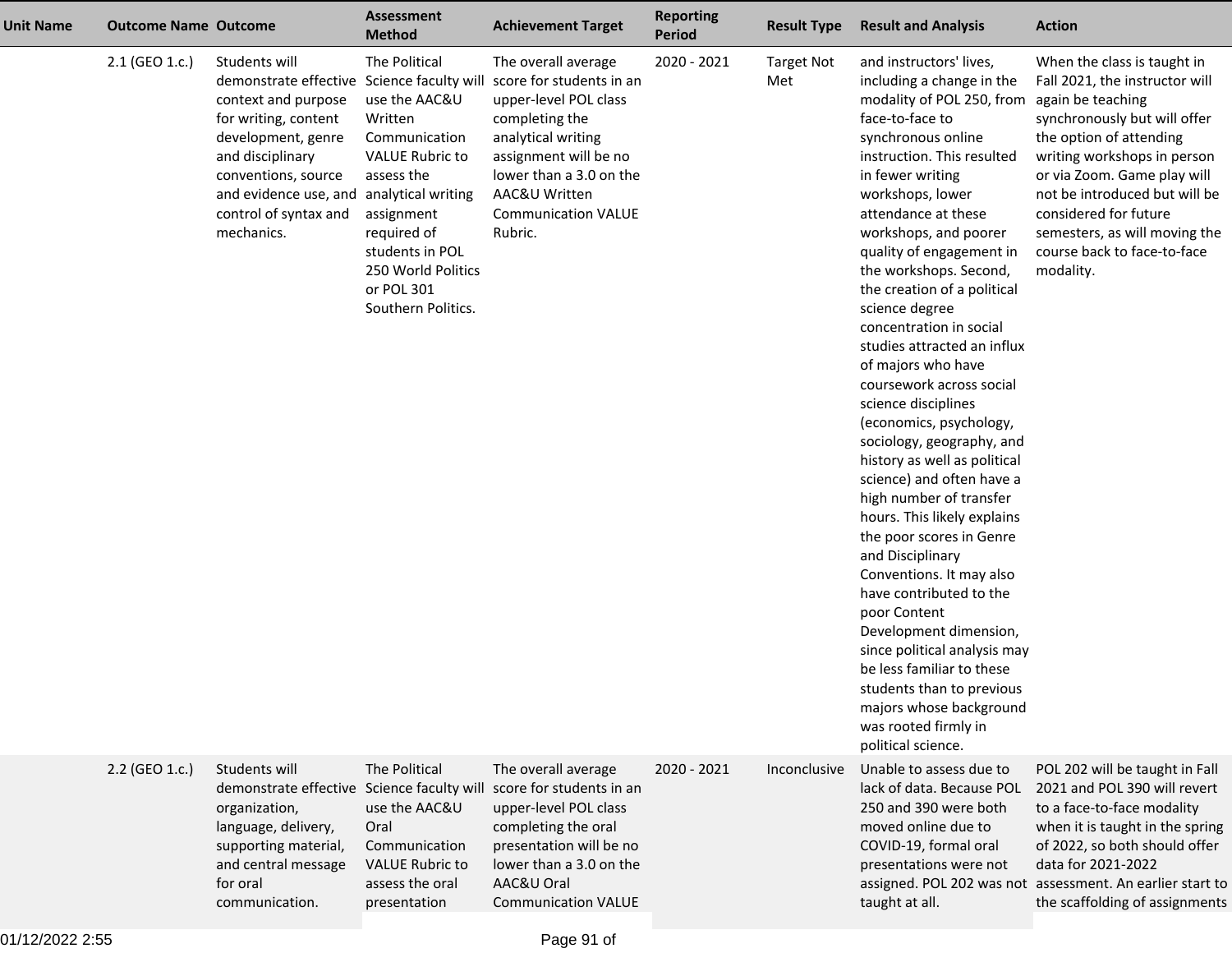| <b>Unit Name</b> | <b>Outcome Name Outcome</b> |                                                                                                                                                                                                                                                                | <b>Assessment</b><br><b>Method</b>                                                                                                                                                                           | <b>Achievement Target</b>                                                                                                                                                                                                      | <b>Reporting</b><br><b>Period</b> | <b>Result Type</b>       | <b>Result and Analysis</b>                                                                                                                                                                                                                                                                                                                                                                                                                                                                                                                                                                                                                                                                                                                                                                                                                                                                                                                                                                                      | <b>Action</b>                                                                                                                                                                                                                                                                                                                 |
|------------------|-----------------------------|----------------------------------------------------------------------------------------------------------------------------------------------------------------------------------------------------------------------------------------------------------------|--------------------------------------------------------------------------------------------------------------------------------------------------------------------------------------------------------------|--------------------------------------------------------------------------------------------------------------------------------------------------------------------------------------------------------------------------------|-----------------------------------|--------------------------|-----------------------------------------------------------------------------------------------------------------------------------------------------------------------------------------------------------------------------------------------------------------------------------------------------------------------------------------------------------------------------------------------------------------------------------------------------------------------------------------------------------------------------------------------------------------------------------------------------------------------------------------------------------------------------------------------------------------------------------------------------------------------------------------------------------------------------------------------------------------------------------------------------------------------------------------------------------------------------------------------------------------|-------------------------------------------------------------------------------------------------------------------------------------------------------------------------------------------------------------------------------------------------------------------------------------------------------------------------------|
|                  | 2.1 (GEO 1.c.)              | Students will<br>demonstrate effective Science faculty will<br>context and purpose<br>for writing, content<br>development, genre<br>and disciplinary<br>conventions, source<br>and evidence use, and analytical writing<br>control of syntax and<br>mechanics. | The Political<br>use the AAC&U<br>Written<br>Communication<br><b>VALUE Rubric to</b><br>assess the<br>assignment<br>required of<br>students in POL<br>250 World Politics<br>or POL 301<br>Southern Politics. | The overall average<br>score for students in an<br>upper-level POL class<br>completing the<br>analytical writing<br>assignment will be no<br>lower than a 3.0 on the<br>AAC&U Written<br><b>Communication VALUE</b><br>Rubric. | 2020 - 2021                       | <b>Target Not</b><br>Met | and instructors' lives,<br>including a change in the<br>modality of POL 250, from again be teaching<br>face-to-face to<br>synchronous online<br>instruction. This resulted<br>in fewer writing<br>workshops, lower<br>attendance at these<br>workshops, and poorer<br>quality of engagement in<br>the workshops. Second,<br>the creation of a political<br>science degree<br>concentration in social<br>studies attracted an influx<br>of majors who have<br>coursework across social<br>science disciplines<br>(economics, psychology,<br>sociology, geography, and<br>history as well as political<br>science) and often have a<br>high number of transfer<br>hours. This likely explains<br>the poor scores in Genre<br>and Disciplinary<br>Conventions. It may also<br>have contributed to the<br>poor Content<br>Development dimension,<br>since political analysis may<br>be less familiar to these<br>students than to previous<br>majors whose background<br>was rooted firmly in<br>political science. | When the class is taught in<br>Fall 2021, the instructor will<br>synchronously but will offer<br>the option of attending<br>writing workshops in person<br>or via Zoom. Game play will<br>not be introduced but will be<br>considered for future<br>semesters, as will moving the<br>course back to face-to-face<br>modality. |
|                  | 2.2 (GEO 1.c.)              | Students will<br>demonstrate effective<br>organization,<br>language, delivery,<br>supporting material,<br>and central message<br>for oral<br>communication.                                                                                                    | The Political<br>Science faculty will<br>use the AAC&U<br>Oral<br>Communication<br><b>VALUE Rubric to</b><br>assess the oral<br>presentation                                                                 | The overall average<br>score for students in an<br>upper-level POL class<br>completing the oral<br>presentation will be no<br>lower than a 3.0 on the<br>AAC&U Oral<br><b>Communication VALUE</b>                              | 2020 - 2021                       | Inconclusive             | Unable to assess due to<br>lack of data. Because POL<br>250 and 390 were both<br>moved online due to<br>COVID-19, formal oral<br>presentations were not<br>taught at all.                                                                                                                                                                                                                                                                                                                                                                                                                                                                                                                                                                                                                                                                                                                                                                                                                                       | POL 202 will be taught in Fall<br>2021 and POL 390 will revert<br>to a face-to-face modality<br>when it is taught in the spring<br>of 2022, so both should offer<br>data for 2021-2022<br>assigned. POL 202 was not assessment. An earlier start to<br>the scaffolding of assignments                                         |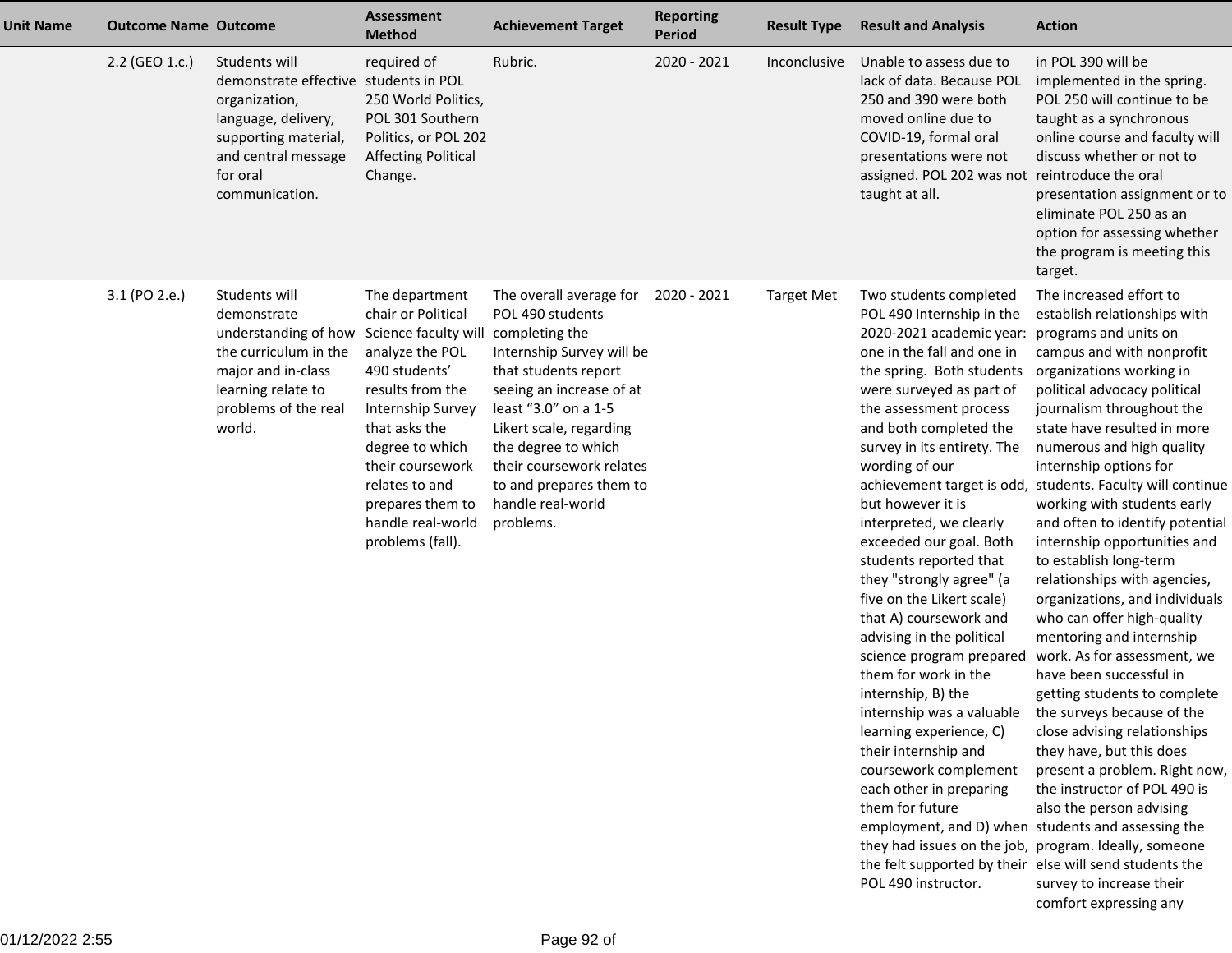| Unit Name | <b>Outcome Name Outcome</b> |                                                                                                                                                                             | <b>Assessment</b><br><b>Method</b>                                                                                                                                                                                                                                               | <b>Achievement Target</b>                                                                                                                                                                                                                                                                                         | <b>Reporting</b><br><b>Period</b> | <b>Result Type</b> | <b>Result and Analysis</b>                                                                                                                                                                                                                                                                                                                                                                                                                                                                                                                                                                                                                                                                                                                                                                                                                                                   | <b>Action</b>                                                                                                                                                                                                                                                                                                                                                                                                                                                                                                                                                                                                                                                                                                                                                                                                                                                                                                                                                                                                   |
|-----------|-----------------------------|-----------------------------------------------------------------------------------------------------------------------------------------------------------------------------|----------------------------------------------------------------------------------------------------------------------------------------------------------------------------------------------------------------------------------------------------------------------------------|-------------------------------------------------------------------------------------------------------------------------------------------------------------------------------------------------------------------------------------------------------------------------------------------------------------------|-----------------------------------|--------------------|------------------------------------------------------------------------------------------------------------------------------------------------------------------------------------------------------------------------------------------------------------------------------------------------------------------------------------------------------------------------------------------------------------------------------------------------------------------------------------------------------------------------------------------------------------------------------------------------------------------------------------------------------------------------------------------------------------------------------------------------------------------------------------------------------------------------------------------------------------------------------|-----------------------------------------------------------------------------------------------------------------------------------------------------------------------------------------------------------------------------------------------------------------------------------------------------------------------------------------------------------------------------------------------------------------------------------------------------------------------------------------------------------------------------------------------------------------------------------------------------------------------------------------------------------------------------------------------------------------------------------------------------------------------------------------------------------------------------------------------------------------------------------------------------------------------------------------------------------------------------------------------------------------|
|           | 2.2 (GEO 1.c.)              | Students will<br>demonstrate effective students in POL<br>organization,<br>language, delivery,<br>supporting material,<br>and central message<br>for oral<br>communication. | required of<br>250 World Politics,<br>POL 301 Southern<br>Politics, or POL 202<br><b>Affecting Political</b><br>Change.                                                                                                                                                          | Rubric.                                                                                                                                                                                                                                                                                                           | 2020 - 2021                       | Inconclusive       | Unable to assess due to<br>lack of data. Because POL<br>250 and 390 were both<br>moved online due to<br>COVID-19, formal oral<br>presentations were not<br>assigned. POL 202 was not reintroduce the oral<br>taught at all.                                                                                                                                                                                                                                                                                                                                                                                                                                                                                                                                                                                                                                                  | in POL 390 will be<br>implemented in the spring.<br>POL 250 will continue to be<br>taught as a synchronous<br>online course and faculty will<br>discuss whether or not to<br>presentation assignment or to<br>eliminate POL 250 as an<br>option for assessing whether<br>the program is meeting this<br>target.                                                                                                                                                                                                                                                                                                                                                                                                                                                                                                                                                                                                                                                                                                 |
|           | 3.1 (PO 2.e.)               | Students will<br>demonstrate<br>understanding of how<br>the curriculum in the<br>major and in-class<br>learning relate to<br>problems of the real<br>world.                 | The department<br>chair or Political<br>Science faculty will<br>analyze the POL<br>490 students'<br>results from the<br>Internship Survey<br>that asks the<br>degree to which<br>their coursework<br>relates to and<br>prepares them to<br>handle real-world<br>problems (fall). | The overall average for<br>POL 490 students<br>completing the<br>Internship Survey will be<br>that students report<br>seeing an increase of at<br>least "3.0" on a 1-5<br>Likert scale, regarding<br>the degree to which<br>their coursework relates<br>to and prepares them to<br>handle real-world<br>problems. | 2020 - 2021                       | <b>Target Met</b>  | Two students completed<br>POL 490 Internship in the<br>2020-2021 academic year:<br>one in the fall and one in<br>the spring. Both students<br>were surveyed as part of<br>the assessment process<br>and both completed the<br>survey in its entirety. The<br>wording of our<br>but however it is<br>interpreted, we clearly<br>exceeded our goal. Both<br>students reported that<br>they "strongly agree" (a<br>five on the Likert scale)<br>that A) coursework and<br>advising in the political<br>science program prepared<br>them for work in the<br>internship, B) the<br>internship was a valuable<br>learning experience, C)<br>their internship and<br>coursework complement<br>each other in preparing<br>them for future<br>they had issues on the job, program. Ideally, someone<br>the felt supported by their else will send students the<br>POL 490 instructor. | The increased effort to<br>establish relationships with<br>programs and units on<br>campus and with nonprofit<br>organizations working in<br>political advocacy political<br>journalism throughout the<br>state have resulted in more<br>numerous and high quality<br>internship options for<br>achievement target is odd, students. Faculty will continue<br>working with students early<br>and often to identify potential<br>internship opportunities and<br>to establish long-term<br>relationships with agencies,<br>organizations, and individuals<br>who can offer high-quality<br>mentoring and internship<br>work. As for assessment, we<br>have been successful in<br>getting students to complete<br>the surveys because of the<br>close advising relationships<br>they have, but this does<br>present a problem. Right now,<br>the instructor of POL 490 is<br>also the person advising<br>employment, and D) when students and assessing the<br>survey to increase their<br>comfort expressing any |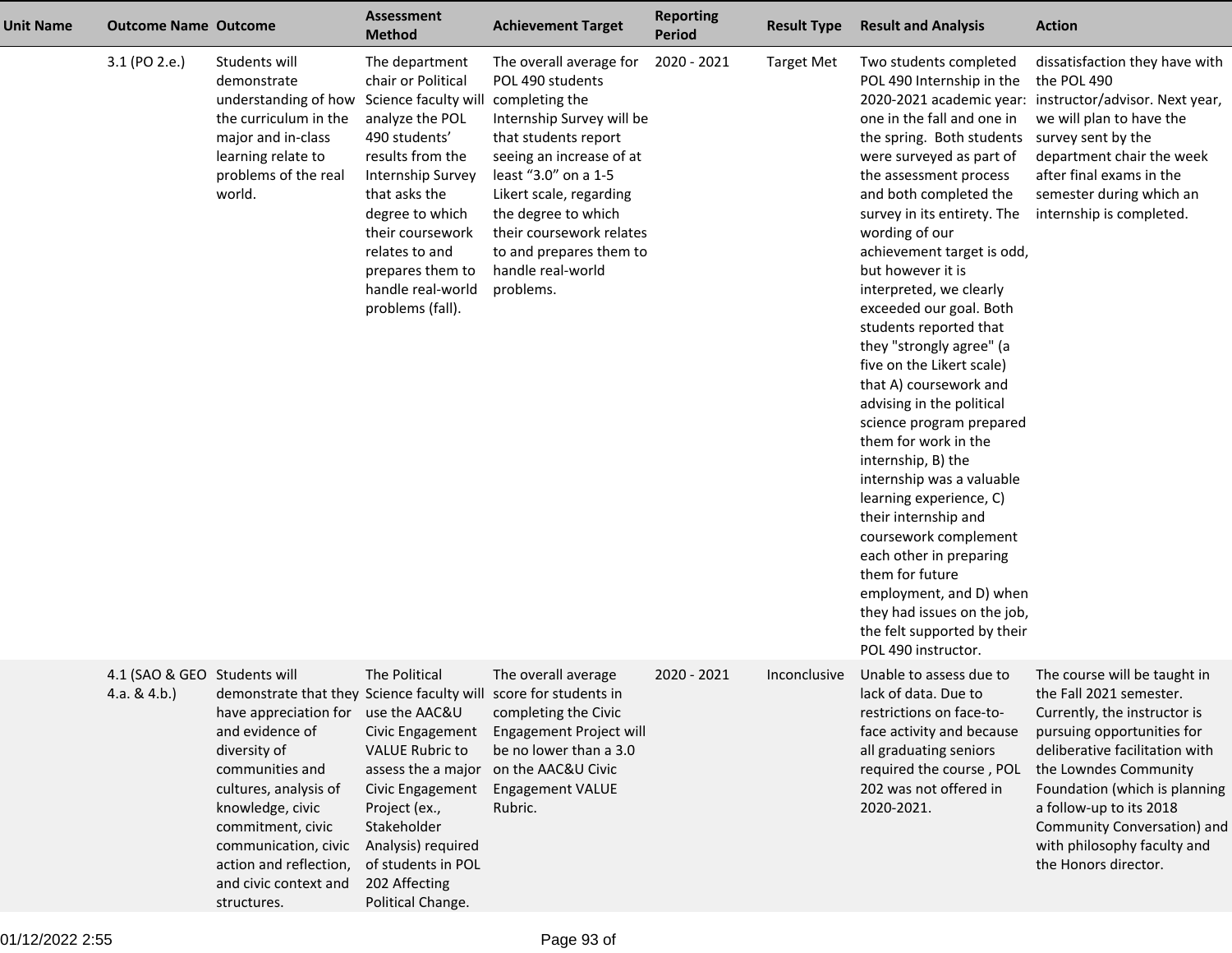| <b>Unit Name</b> | <b>Outcome Name Outcome</b>                     |                                                                                                                                                                                                                                                                                                             | <b>Assessment</b><br><b>Method</b>                                                                                                                                                                                                                                               | <b>Achievement Target</b>                                                                                                                                                                                                                                                                                         | <b>Reporting</b><br><b>Period</b> | <b>Result Type</b> | <b>Result and Analysis</b>                                                                                                                                                                                                                                                                                                                                                                                                                                                                                                                                                                                                                                                                                                                                                                                                                          | <b>Action</b>                                                                                                                                                                                                                                                                                                                      |
|------------------|-------------------------------------------------|-------------------------------------------------------------------------------------------------------------------------------------------------------------------------------------------------------------------------------------------------------------------------------------------------------------|----------------------------------------------------------------------------------------------------------------------------------------------------------------------------------------------------------------------------------------------------------------------------------|-------------------------------------------------------------------------------------------------------------------------------------------------------------------------------------------------------------------------------------------------------------------------------------------------------------------|-----------------------------------|--------------------|-----------------------------------------------------------------------------------------------------------------------------------------------------------------------------------------------------------------------------------------------------------------------------------------------------------------------------------------------------------------------------------------------------------------------------------------------------------------------------------------------------------------------------------------------------------------------------------------------------------------------------------------------------------------------------------------------------------------------------------------------------------------------------------------------------------------------------------------------------|------------------------------------------------------------------------------------------------------------------------------------------------------------------------------------------------------------------------------------------------------------------------------------------------------------------------------------|
|                  | 3.1 (PO 2.e.)                                   | Students will<br>demonstrate<br>understanding of how<br>the curriculum in the<br>major and in-class<br>learning relate to<br>problems of the real<br>world.                                                                                                                                                 | The department<br>chair or Political<br>Science faculty will<br>analyze the POL<br>490 students'<br>results from the<br>Internship Survey<br>that asks the<br>degree to which<br>their coursework<br>relates to and<br>prepares them to<br>handle real-world<br>problems (fall). | The overall average for<br>POL 490 students<br>completing the<br>Internship Survey will be<br>that students report<br>seeing an increase of at<br>least "3.0" on a 1-5<br>Likert scale, regarding<br>the degree to which<br>their coursework relates<br>to and prepares them to<br>handle real-world<br>problems. | 2020 - 2021                       | <b>Target Met</b>  | Two students completed<br>POL 490 Internship in the<br>one in the fall and one in<br>the spring. Both students<br>were surveyed as part of<br>the assessment process<br>and both completed the<br>survey in its entirety. The<br>wording of our<br>achievement target is odd,<br>but however it is<br>interpreted, we clearly<br>exceeded our goal. Both<br>students reported that<br>they "strongly agree" (a<br>five on the Likert scale)<br>that A) coursework and<br>advising in the political<br>science program prepared<br>them for work in the<br>internship, B) the<br>internship was a valuable<br>learning experience, C)<br>their internship and<br>coursework complement<br>each other in preparing<br>them for future<br>employment, and D) when<br>they had issues on the job,<br>the felt supported by their<br>POL 490 instructor. | dissatisfaction they have with<br>the POL 490<br>2020-2021 academic year: instructor/advisor. Next year,<br>we will plan to have the<br>survey sent by the<br>department chair the week<br>after final exams in the<br>semester during which an<br>internship is completed.                                                        |
|                  | 4.1 (SAO & GEO Students will<br>4.a. & $4.b.$ ) | demonstrate that they Science faculty will score for students in<br>have appreciation for<br>and evidence of<br>diversity of<br>communities and<br>cultures, analysis of<br>knowledge, civic<br>commitment, civic<br>communication, civic<br>action and reflection,<br>and civic context and<br>structures. | The Political<br>use the AAC&U<br>Civic Engagement<br><b>VALUE Rubric to</b><br>assess the a major<br>Civic Engagement<br>Project (ex.,<br>Stakeholder<br>Analysis) required<br>of students in POL<br>202 Affecting<br>Political Change.                                         | The overall average<br>completing the Civic<br>Engagement Project will<br>be no lower than a 3.0<br>on the AAC&U Civic<br><b>Engagement VALUE</b><br>Rubric.                                                                                                                                                      | 2020 - 2021                       | Inconclusive       | Unable to assess due to<br>lack of data. Due to<br>restrictions on face-to-<br>face activity and because<br>all graduating seniors<br>required the course, POL<br>202 was not offered in<br>2020-2021.                                                                                                                                                                                                                                                                                                                                                                                                                                                                                                                                                                                                                                              | The course will be taught in<br>the Fall 2021 semester.<br>Currently, the instructor is<br>pursuing opportunities for<br>deliberative facilitation with<br>the Lowndes Community<br>Foundation (which is planning<br>a follow-up to its 2018<br>Community Conversation) and<br>with philosophy faculty and<br>the Honors director. |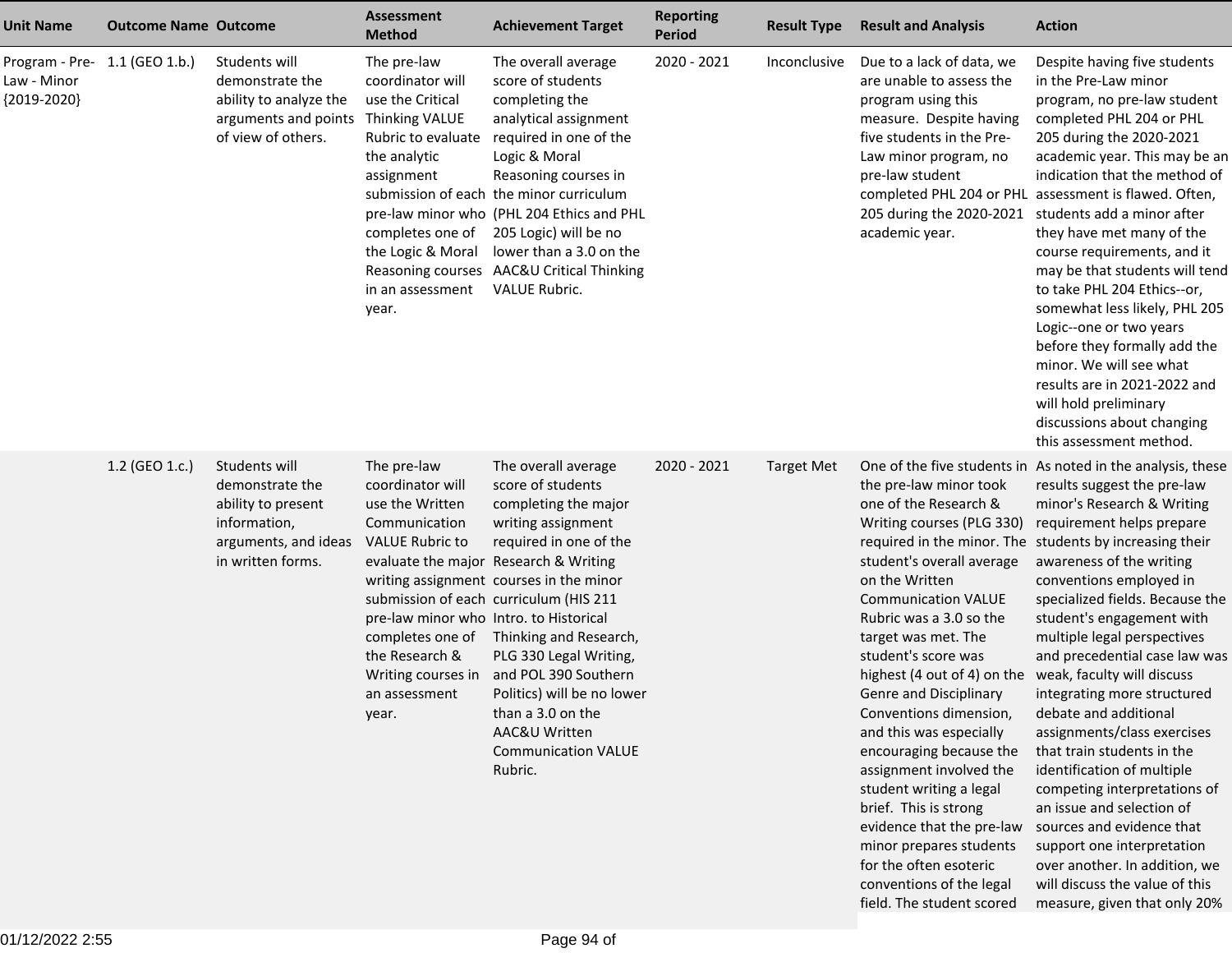| <b>Unit Name</b>                                                | <b>Outcome Name Outcome</b> |                                                                                                                     | <b>Assessment</b><br><b>Method</b>                                                                                                                                                                                            | <b>Achievement Target</b>                                                                                                                                                                                                                                                                                                                                                                                                               | <b>Reporting</b><br><b>Period</b> | <b>Result Type</b> | <b>Result and Analysis</b>                                                                                                                                                                                                                                                                                                                                                                                                                                                                                                                                                                            | <b>Action</b>                                                                                                                                                                                                                                                                                                                                                                                                                                                                                                                                                                                                                                                                                                                                                                                                       |
|-----------------------------------------------------------------|-----------------------------|---------------------------------------------------------------------------------------------------------------------|-------------------------------------------------------------------------------------------------------------------------------------------------------------------------------------------------------------------------------|-----------------------------------------------------------------------------------------------------------------------------------------------------------------------------------------------------------------------------------------------------------------------------------------------------------------------------------------------------------------------------------------------------------------------------------------|-----------------------------------|--------------------|-------------------------------------------------------------------------------------------------------------------------------------------------------------------------------------------------------------------------------------------------------------------------------------------------------------------------------------------------------------------------------------------------------------------------------------------------------------------------------------------------------------------------------------------------------------------------------------------------------|---------------------------------------------------------------------------------------------------------------------------------------------------------------------------------------------------------------------------------------------------------------------------------------------------------------------------------------------------------------------------------------------------------------------------------------------------------------------------------------------------------------------------------------------------------------------------------------------------------------------------------------------------------------------------------------------------------------------------------------------------------------------------------------------------------------------|
| Program - Pre- 1.1 (GEO 1.b.)<br>Law - Minor<br>${2019 - 2020}$ |                             | Students will<br>demonstrate the<br>ability to analyze the<br>arguments and points<br>of view of others.            | The pre-law<br>coordinator will<br>use the Critical<br><b>Thinking VALUE</b><br>Rubric to evaluate<br>the analytic<br>assignment<br>completes one of<br>the Logic & Moral<br>Reasoning courses<br>in an assessment<br>year.   | The overall average<br>score of students<br>completing the<br>analytical assignment<br>required in one of the<br>Logic & Moral<br>Reasoning courses in<br>submission of each the minor curriculum<br>pre-law minor who (PHL 204 Ethics and PHL<br>205 Logic) will be no<br>lower than a 3.0 on the<br>AAC&U Critical Thinking<br><b>VALUE Rubric.</b>                                                                                   | 2020 - 2021                       | Inconclusive       | Due to a lack of data, we<br>are unable to assess the<br>program using this<br>measure. Despite having<br>five students in the Pre-<br>Law minor program, no<br>pre-law student<br>205 during the 2020-2021<br>academic year.                                                                                                                                                                                                                                                                                                                                                                         | Despite having five students<br>in the Pre-Law minor<br>program, no pre-law student<br>completed PHL 204 or PHL<br>205 during the 2020-2021<br>academic year. This may be an<br>indication that the method of<br>completed PHL 204 or PHL assessment is flawed. Often,<br>students add a minor after<br>they have met many of the<br>course requirements, and it<br>may be that students will tend<br>to take PHL 204 Ethics--or,<br>somewhat less likely, PHL 205<br>Logic--one or two years<br>before they formally add the<br>minor. We will see what<br>results are in 2021-2022 and<br>will hold preliminary<br>discussions about changing<br>this assessment method.                                                                                                                                          |
|                                                                 | 1.2 (GEO 1.c.)              | Students will<br>demonstrate the<br>ability to present<br>information,<br>arguments, and ideas<br>in written forms. | The pre-law<br>coordinator will<br>use the Written<br>Communication<br><b>VALUE Rubric to</b><br>pre-law minor who Intro. to Historical<br>completes one of<br>the Research &<br>Writing courses in<br>an assessment<br>year. | The overall average<br>score of students<br>completing the major<br>writing assignment<br>required in one of the<br>evaluate the major Research & Writing<br>writing assignment courses in the minor<br>submission of each curriculum (HIS 211<br>Thinking and Research,<br>PLG 330 Legal Writing,<br>and POL 390 Southern<br>Politics) will be no lower<br>than a 3.0 on the<br>AAC&U Written<br><b>Communication VALUE</b><br>Rubric. | 2020 - 2021                       | <b>Target Met</b>  | the pre-law minor took<br>one of the Research &<br>Writing courses (PLG 330)<br>student's overall average<br>on the Written<br><b>Communication VALUE</b><br>Rubric was a 3.0 so the<br>target was met. The<br>student's score was<br>highest (4 out of 4) on the<br>Genre and Disciplinary<br>Conventions dimension,<br>and this was especially<br>encouraging because the<br>assignment involved the<br>student writing a legal<br>brief. This is strong<br>evidence that the pre-law<br>minor prepares students<br>for the often esoteric<br>conventions of the legal<br>field. The student scored | One of the five students in As noted in the analysis, these<br>results suggest the pre-law<br>minor's Research & Writing<br>requirement helps prepare<br>required in the minor. The students by increasing their<br>awareness of the writing<br>conventions employed in<br>specialized fields. Because the<br>student's engagement with<br>multiple legal perspectives<br>and precedential case law was<br>weak, faculty will discuss<br>integrating more structured<br>debate and additional<br>assignments/class exercises<br>that train students in the<br>identification of multiple<br>competing interpretations of<br>an issue and selection of<br>sources and evidence that<br>support one interpretation<br>over another. In addition, we<br>will discuss the value of this<br>measure, given that only 20% |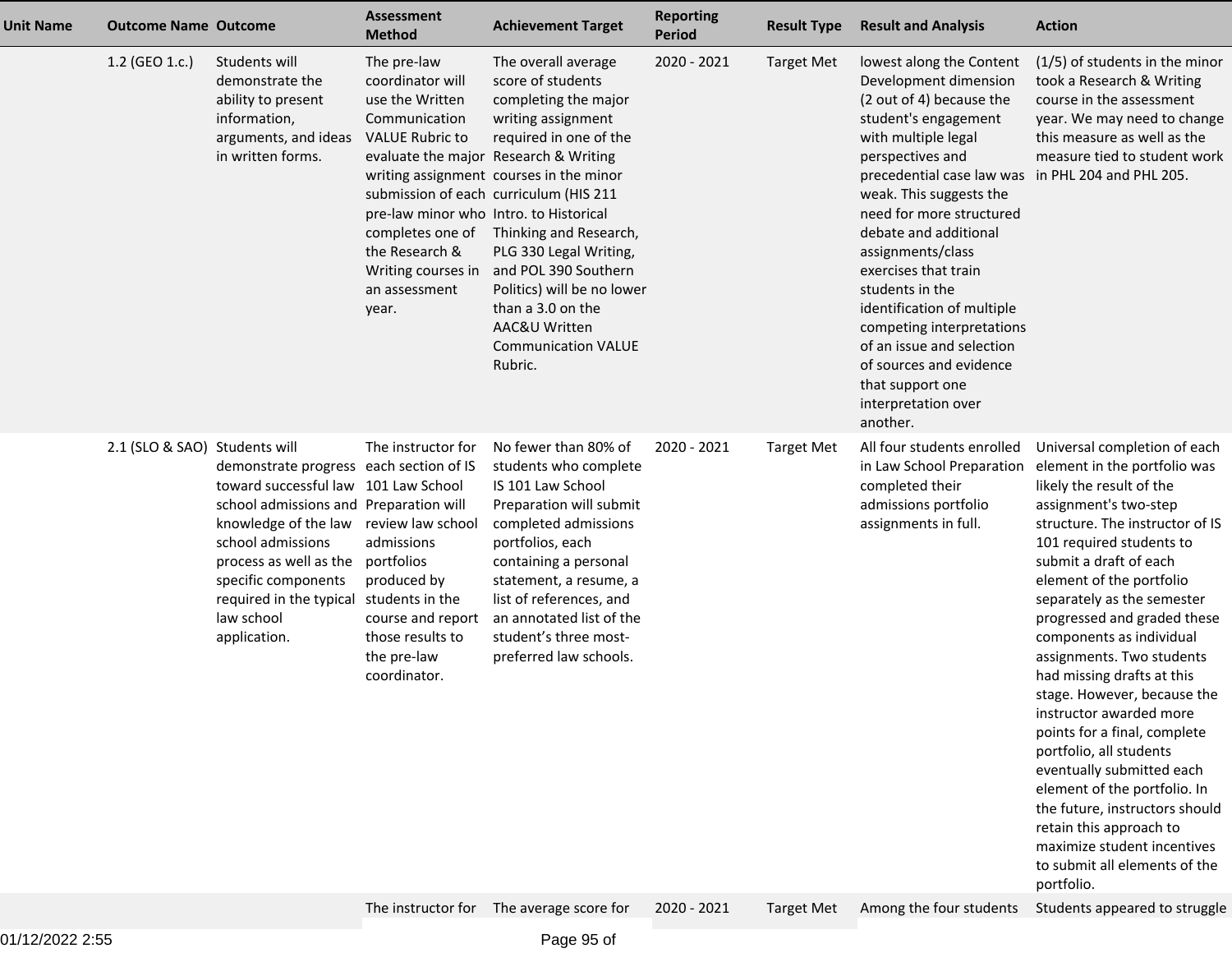| <b>Unit Name</b> | <b>Outcome Name Outcome</b>   |                                                                                                                                                                                                                                                                                  | <b>Assessment</b><br><b>Method</b>                                                                                                                                                                                            | <b>Achievement Target</b>                                                                                                                                                                                                                                                                                                                                                                                                               | <b>Reporting</b><br><b>Period</b> | <b>Result Type</b> | <b>Result and Analysis</b>                                                                                                                                                                                                                                                                                                                                                                                                                                                                                                      | <b>Action</b>                                                                                                                                                                                                                                                                                                                                                                                                                                                                                                                                                                                                                                                                                                           |
|------------------|-------------------------------|----------------------------------------------------------------------------------------------------------------------------------------------------------------------------------------------------------------------------------------------------------------------------------|-------------------------------------------------------------------------------------------------------------------------------------------------------------------------------------------------------------------------------|-----------------------------------------------------------------------------------------------------------------------------------------------------------------------------------------------------------------------------------------------------------------------------------------------------------------------------------------------------------------------------------------------------------------------------------------|-----------------------------------|--------------------|---------------------------------------------------------------------------------------------------------------------------------------------------------------------------------------------------------------------------------------------------------------------------------------------------------------------------------------------------------------------------------------------------------------------------------------------------------------------------------------------------------------------------------|-------------------------------------------------------------------------------------------------------------------------------------------------------------------------------------------------------------------------------------------------------------------------------------------------------------------------------------------------------------------------------------------------------------------------------------------------------------------------------------------------------------------------------------------------------------------------------------------------------------------------------------------------------------------------------------------------------------------------|
|                  | 1.2 (GEO 1.c.)                | Students will<br>demonstrate the<br>ability to present<br>information,<br>arguments, and ideas<br>in written forms.                                                                                                                                                              | The pre-law<br>coordinator will<br>use the Written<br>Communication<br><b>VALUE Rubric to</b><br>pre-law minor who Intro. to Historical<br>completes one of<br>the Research &<br>Writing courses in<br>an assessment<br>year. | The overall average<br>score of students<br>completing the major<br>writing assignment<br>required in one of the<br>evaluate the major Research & Writing<br>writing assignment courses in the minor<br>submission of each curriculum (HIS 211<br>Thinking and Research,<br>PLG 330 Legal Writing,<br>and POL 390 Southern<br>Politics) will be no lower<br>than a 3.0 on the<br>AAC&U Written<br><b>Communication VALUE</b><br>Rubric. | 2020 - 2021                       | <b>Target Met</b>  | lowest along the Content<br>Development dimension<br>(2 out of 4) because the<br>student's engagement<br>with multiple legal<br>perspectives and<br>precedential case law was in PHL 204 and PHL 205.<br>weak. This suggests the<br>need for more structured<br>debate and additional<br>assignments/class<br>exercises that train<br>students in the<br>identification of multiple<br>competing interpretations<br>of an issue and selection<br>of sources and evidence<br>that support one<br>interpretation over<br>another. | $(1/5)$ of students in the minor<br>took a Research & Writing<br>course in the assessment<br>year. We may need to change<br>this measure as well as the<br>measure tied to student work                                                                                                                                                                                                                                                                                                                                                                                                                                                                                                                                 |
|                  | 2.1 (SLO & SAO) Students will | demonstrate progress each section of IS<br>toward successful law 101 Law School<br>school admissions and Preparation will<br>knowledge of the law<br>school admissions<br>process as well as the<br>specific components<br>required in the typical<br>law school<br>application. | The instructor for<br>review law school<br>admissions<br>portfolios<br>produced by<br>students in the<br>course and report<br>those results to<br>the pre-law<br>coordinator.                                                 | No fewer than 80% of<br>students who complete<br>IS 101 Law School<br>Preparation will submit<br>completed admissions<br>portfolios, each<br>containing a personal<br>statement, a resume, a<br>list of references, and<br>an annotated list of the<br>student's three most-<br>preferred law schools.                                                                                                                                  | 2020 - 2021                       | <b>Target Met</b>  | All four students enrolled<br>in Law School Preparation<br>completed their<br>admissions portfolio<br>assignments in full.                                                                                                                                                                                                                                                                                                                                                                                                      | Universal completion of each<br>element in the portfolio was<br>likely the result of the<br>assignment's two-step<br>structure. The instructor of IS<br>101 required students to<br>submit a draft of each<br>element of the portfolio<br>separately as the semester<br>progressed and graded these<br>components as individual<br>assignments. Two students<br>had missing drafts at this<br>stage. However, because the<br>instructor awarded more<br>points for a final, complete<br>portfolio, all students<br>eventually submitted each<br>element of the portfolio. In<br>the future, instructors should<br>retain this approach to<br>maximize student incentives<br>to submit all elements of the<br>portfolio. |
|                  |                               |                                                                                                                                                                                                                                                                                  |                                                                                                                                                                                                                               | The instructor for The average score for                                                                                                                                                                                                                                                                                                                                                                                                | 2020 - 2021                       | <b>Target Met</b>  | Among the four students                                                                                                                                                                                                                                                                                                                                                                                                                                                                                                         | Students appeared to struggle                                                                                                                                                                                                                                                                                                                                                                                                                                                                                                                                                                                                                                                                                           |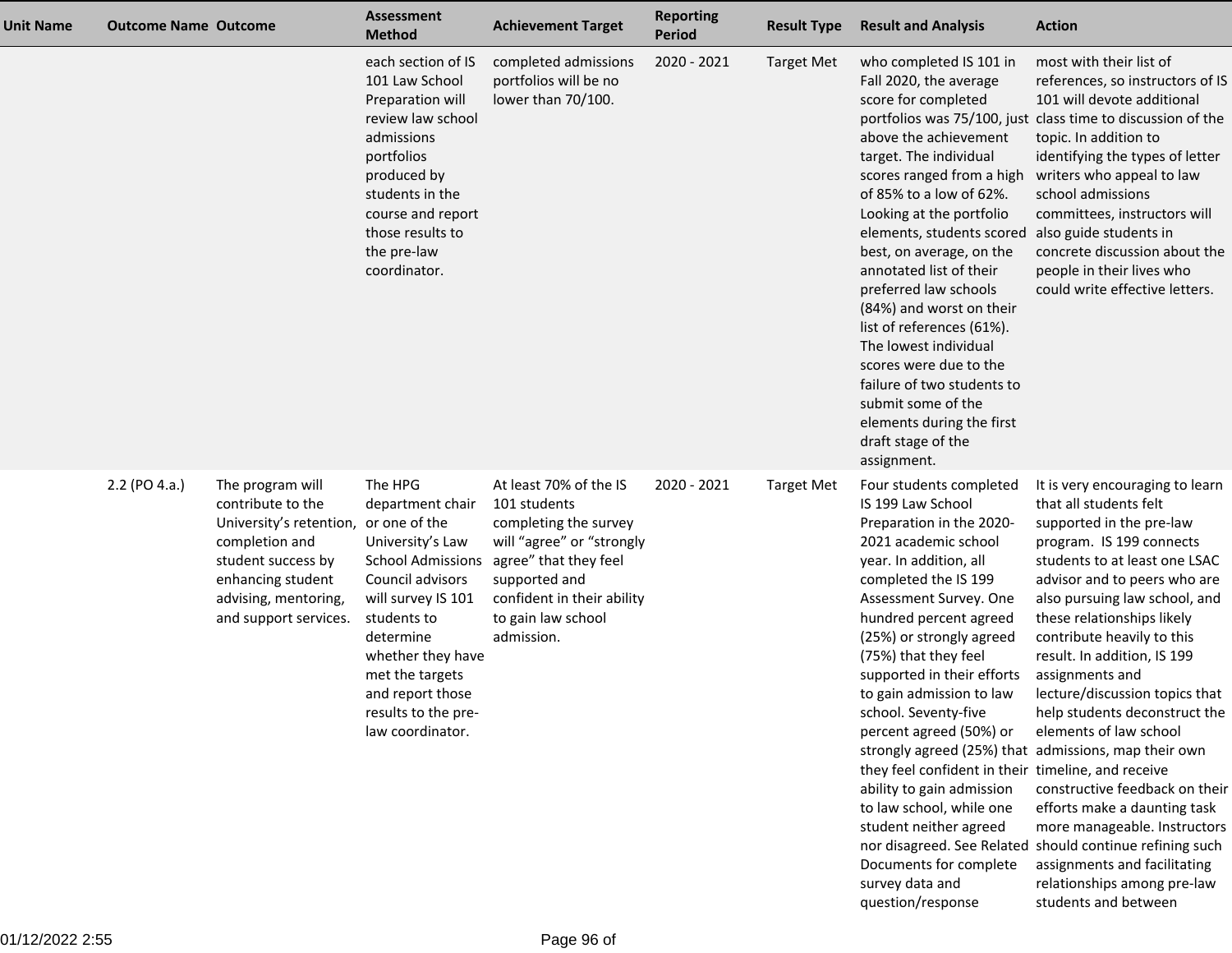| <b>Unit Name</b> | <b>Outcome Name Outcome</b> |                                                                                                                                                                                | <b>Assessment</b><br><b>Method</b>                                                                                                                                                                                                                                        | <b>Achievement Target</b>                                                                                                                                                                                | <b>Reporting</b><br><b>Period</b> | <b>Result Type</b> | <b>Result and Analysis</b>                                                                                                                                                                                                                                                                                                                                                                                                                                                                                                                                                                                                                 | <b>Action</b>                                                                                                                                                                                                                                                                                                                                                                                                                                                                                                                                                                                                                                                                       |
|------------------|-----------------------------|--------------------------------------------------------------------------------------------------------------------------------------------------------------------------------|---------------------------------------------------------------------------------------------------------------------------------------------------------------------------------------------------------------------------------------------------------------------------|----------------------------------------------------------------------------------------------------------------------------------------------------------------------------------------------------------|-----------------------------------|--------------------|--------------------------------------------------------------------------------------------------------------------------------------------------------------------------------------------------------------------------------------------------------------------------------------------------------------------------------------------------------------------------------------------------------------------------------------------------------------------------------------------------------------------------------------------------------------------------------------------------------------------------------------------|-------------------------------------------------------------------------------------------------------------------------------------------------------------------------------------------------------------------------------------------------------------------------------------------------------------------------------------------------------------------------------------------------------------------------------------------------------------------------------------------------------------------------------------------------------------------------------------------------------------------------------------------------------------------------------------|
|                  |                             |                                                                                                                                                                                | each section of IS<br>101 Law School<br>Preparation will<br>review law school<br>admissions<br>portfolios<br>produced by<br>students in the<br>course and report<br>those results to<br>the pre-law<br>coordinator.                                                       | completed admissions<br>portfolios will be no<br>lower than 70/100.                                                                                                                                      | 2020 - 2021                       | <b>Target Met</b>  | who completed IS 101 in<br>Fall 2020, the average<br>score for completed<br>above the achievement<br>target. The individual<br>scores ranged from a high<br>of 85% to a low of 62%.<br>Looking at the portfolio<br>elements, students scored<br>best, on average, on the<br>annotated list of their<br>preferred law schools<br>(84%) and worst on their<br>list of references (61%).<br>The lowest individual<br>scores were due to the<br>failure of two students to<br>submit some of the<br>elements during the first<br>draft stage of the<br>assignment.                                                                             | most with their list of<br>references, so instructors of IS<br>101 will devote additional<br>portfolios was 75/100, just class time to discussion of the<br>topic. In addition to<br>identifying the types of letter<br>writers who appeal to law<br>school admissions<br>committees, instructors will<br>also guide students in<br>concrete discussion about the<br>people in their lives who<br>could write effective letters.                                                                                                                                                                                                                                                    |
|                  | 2.2 (PO 4.a.)               | The program will<br>contribute to the<br>University's retention,<br>completion and<br>student success by<br>enhancing student<br>advising, mentoring,<br>and support services. | The HPG<br>department chair<br>or one of the<br>University's Law<br><b>School Admissions</b><br>Council advisors<br>will survey IS 101<br>students to<br>determine<br>whether they have<br>met the targets<br>and report those<br>results to the pre-<br>law coordinator. | At least 70% of the IS<br>101 students<br>completing the survey<br>will "agree" or "strongly<br>agree" that they feel<br>supported and<br>confident in their ability<br>to gain law school<br>admission. | 2020 - 2021                       | <b>Target Met</b>  | Four students completed<br>IS 199 Law School<br>Preparation in the 2020-<br>2021 academic school<br>year. In addition, all<br>completed the IS 199<br>Assessment Survey. One<br>hundred percent agreed<br>(25%) or strongly agreed<br>(75%) that they feel<br>supported in their efforts<br>to gain admission to law<br>school. Seventy-five<br>percent agreed (50%) or<br>strongly agreed (25%) that admissions, map their own<br>they feel confident in their timeline, and receive<br>ability to gain admission<br>to law school, while one<br>student neither agreed<br>Documents for complete<br>survey data and<br>question/response | It is very encouraging to learn<br>that all students felt<br>supported in the pre-law<br>program. IS 199 connects<br>students to at least one LSAC<br>advisor and to peers who are<br>also pursuing law school, and<br>these relationships likely<br>contribute heavily to this<br>result. In addition, IS 199<br>assignments and<br>lecture/discussion topics that<br>help students deconstruct the<br>elements of law school<br>constructive feedback on their<br>efforts make a daunting task<br>more manageable. Instructors<br>nor disagreed. See Related should continue refining such<br>assignments and facilitating<br>relationships among pre-law<br>students and between |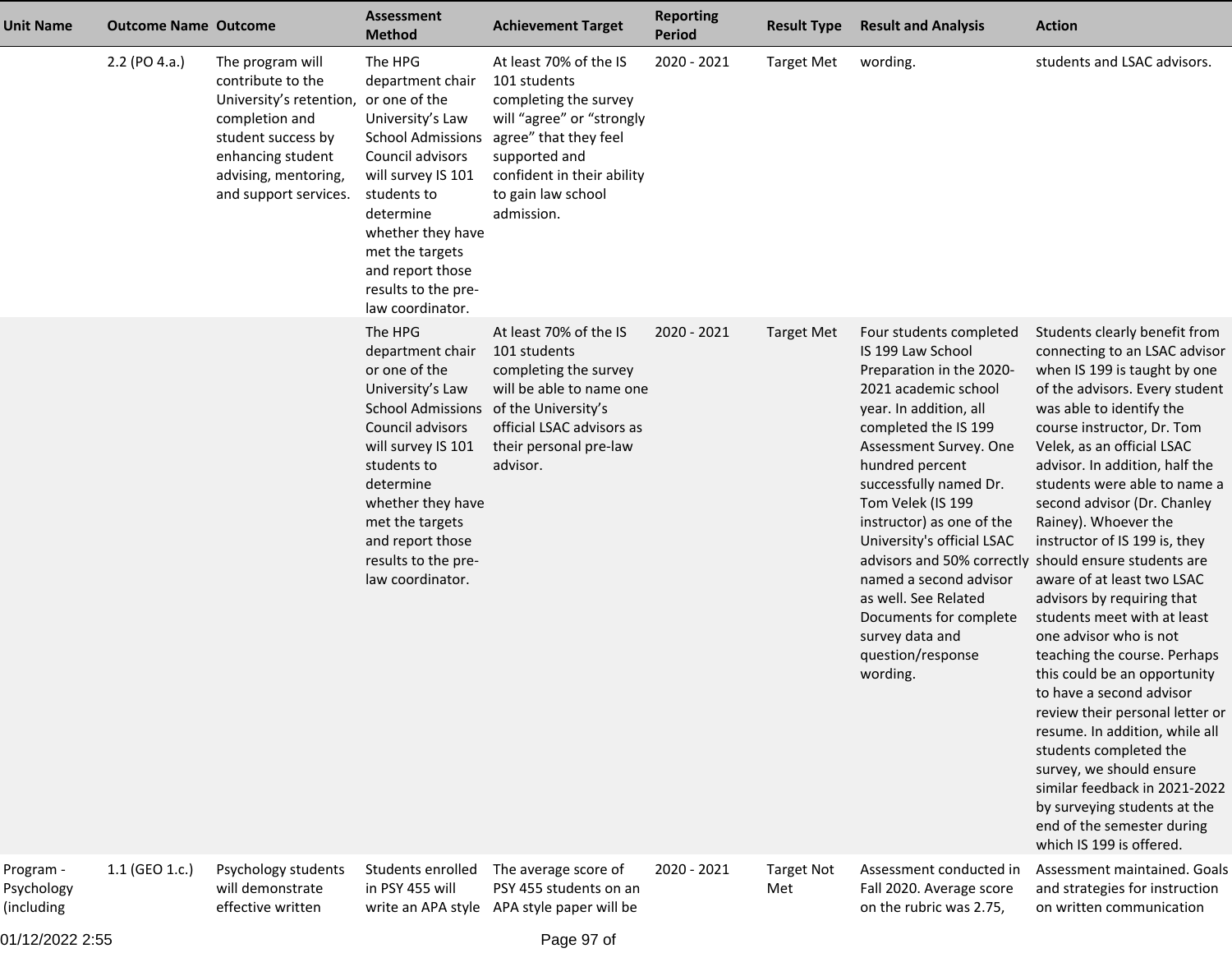| <b>Unit Name</b>                      | <b>Outcome Name Outcome</b> |                                                                                                                                                                                              | <b>Assessment</b><br><b>Method</b>                                                                                                                                                                                                                                        | <b>Achievement Target</b>                                                                                                                                                                                | <b>Reporting</b><br><b>Period</b> | <b>Result Type</b>       | <b>Result and Analysis</b>                                                                                                                                                                                                                                                                                                                                                                                                                | <b>Action</b>                                                                                                                                                                                                                                                                                                                                                                                                                                                                                                                                                                                                                                                                                                                                                                                                                                                                                                      |
|---------------------------------------|-----------------------------|----------------------------------------------------------------------------------------------------------------------------------------------------------------------------------------------|---------------------------------------------------------------------------------------------------------------------------------------------------------------------------------------------------------------------------------------------------------------------------|----------------------------------------------------------------------------------------------------------------------------------------------------------------------------------------------------------|-----------------------------------|--------------------------|-------------------------------------------------------------------------------------------------------------------------------------------------------------------------------------------------------------------------------------------------------------------------------------------------------------------------------------------------------------------------------------------------------------------------------------------|--------------------------------------------------------------------------------------------------------------------------------------------------------------------------------------------------------------------------------------------------------------------------------------------------------------------------------------------------------------------------------------------------------------------------------------------------------------------------------------------------------------------------------------------------------------------------------------------------------------------------------------------------------------------------------------------------------------------------------------------------------------------------------------------------------------------------------------------------------------------------------------------------------------------|
|                                       | 2.2 (PO 4.a.)               | The program will<br>contribute to the<br>University's retention, or one of the<br>completion and<br>student success by<br>enhancing student<br>advising, mentoring,<br>and support services. | The HPG<br>department chair<br>University's Law<br><b>School Admissions</b><br>Council advisors<br>will survey IS 101<br>students to<br>determine<br>whether they have<br>met the targets<br>and report those<br>results to the pre-<br>law coordinator.                  | At least 70% of the IS<br>101 students<br>completing the survey<br>will "agree" or "strongly<br>agree" that they feel<br>supported and<br>confident in their ability<br>to gain law school<br>admission. | 2020 - 2021                       | <b>Target Met</b>        | wording.                                                                                                                                                                                                                                                                                                                                                                                                                                  | students and LSAC advisors.                                                                                                                                                                                                                                                                                                                                                                                                                                                                                                                                                                                                                                                                                                                                                                                                                                                                                        |
|                                       |                             |                                                                                                                                                                                              | The HPG<br>department chair<br>or one of the<br>University's Law<br><b>School Admissions</b><br>Council advisors<br>will survey IS 101<br>students to<br>determine<br>whether they have<br>met the targets<br>and report those<br>results to the pre-<br>law coordinator. | At least 70% of the IS<br>101 students<br>completing the survey<br>will be able to name one<br>of the University's<br>official LSAC advisors as<br>their personal pre-law<br>advisor.                    | $2020 - 2021$                     | <b>Target Met</b>        | Four students completed<br>IS 199 Law School<br>Preparation in the 2020-<br>2021 academic school<br>year. In addition, all<br>completed the IS 199<br>Assessment Survey. One<br>hundred percent<br>successfully named Dr.<br>Tom Velek (IS 199<br>instructor) as one of the<br>University's official LSAC<br>named a second advisor<br>as well. See Related<br>Documents for complete<br>survey data and<br>question/response<br>wording. | Students clearly benefit from<br>connecting to an LSAC advisor<br>when IS 199 is taught by one<br>of the advisors. Every student<br>was able to identify the<br>course instructor, Dr. Tom<br>Velek, as an official LSAC<br>advisor. In addition, half the<br>students were able to name a<br>second advisor (Dr. Chanley<br>Rainey). Whoever the<br>instructor of IS 199 is, they<br>advisors and 50% correctly should ensure students are<br>aware of at least two LSAC<br>advisors by requiring that<br>students meet with at least<br>one advisor who is not<br>teaching the course. Perhaps<br>this could be an opportunity<br>to have a second advisor<br>review their personal letter or<br>resume. In addition, while all<br>students completed the<br>survey, we should ensure<br>similar feedback in 2021-2022<br>by surveying students at the<br>end of the semester during<br>which IS 199 is offered. |
| Program -<br>Psychology<br>(including | 1.1 (GEO 1.c.)              | Psychology students<br>will demonstrate<br>effective written                                                                                                                                 | Students enrolled<br>in PSY 455 will<br>write an APA style                                                                                                                                                                                                                | The average score of<br>PSY 455 students on an<br>APA style paper will be                                                                                                                                | 2020 - 2021                       | <b>Target Not</b><br>Met | Assessment conducted in<br>Fall 2020. Average score<br>on the rubric was 2.75,                                                                                                                                                                                                                                                                                                                                                            | Assessment maintained. Goals<br>and strategies for instruction<br>on written communication                                                                                                                                                                                                                                                                                                                                                                                                                                                                                                                                                                                                                                                                                                                                                                                                                         |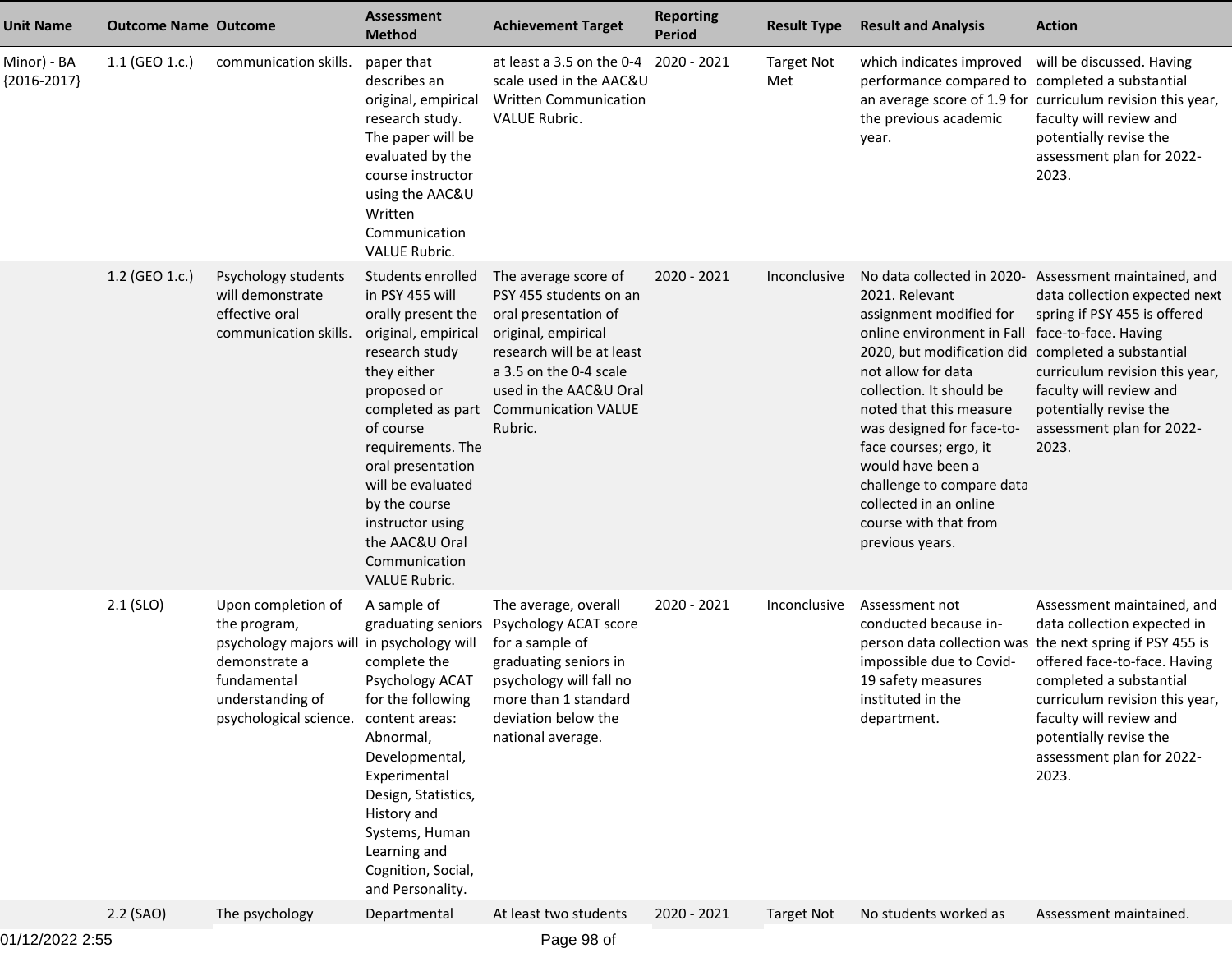| <b>Unit Name</b>             | <b>Outcome Name Outcome</b> |                                                                                                                                                                              | Assessment<br><b>Method</b>                                                                                                                                                                                                                                                                                                        | <b>Achievement Target</b>                                                                                                                                                                                               | <b>Reporting</b><br><b>Period</b> | <b>Result Type</b>       | <b>Result and Analysis</b>                                                                                                                                                                                                                                                                                                                                                             | <b>Action</b>                                                                                                                                                                                                                                                                                                 |
|------------------------------|-----------------------------|------------------------------------------------------------------------------------------------------------------------------------------------------------------------------|------------------------------------------------------------------------------------------------------------------------------------------------------------------------------------------------------------------------------------------------------------------------------------------------------------------------------------|-------------------------------------------------------------------------------------------------------------------------------------------------------------------------------------------------------------------------|-----------------------------------|--------------------------|----------------------------------------------------------------------------------------------------------------------------------------------------------------------------------------------------------------------------------------------------------------------------------------------------------------------------------------------------------------------------------------|---------------------------------------------------------------------------------------------------------------------------------------------------------------------------------------------------------------------------------------------------------------------------------------------------------------|
| Minor) - BA<br>${2016-2017}$ | 1.1 (GEO 1.c.)              | communication skills.                                                                                                                                                        | paper that<br>describes an<br>original, empirical<br>research study.<br>The paper will be<br>evaluated by the<br>course instructor<br>using the AAC&U<br>Written<br>Communication<br><b>VALUE Rubric.</b>                                                                                                                          | at least a 3.5 on the 0-4 2020 - 2021<br>scale used in the AAC&U<br><b>Written Communication</b><br><b>VALUE Rubric.</b>                                                                                                |                                   | <b>Target Not</b><br>Met | which indicates improved<br>performance compared to completed a substantial<br>the previous academic<br>year.                                                                                                                                                                                                                                                                          | will be discussed. Having<br>an average score of 1.9 for curriculum revision this year,<br>faculty will review and<br>potentially revise the<br>assessment plan for 2022-<br>2023.                                                                                                                            |
|                              | 1.2 (GEO 1.c.)              | Psychology students<br>will demonstrate<br>effective oral<br>communication skills.                                                                                           | Students enrolled<br>in PSY 455 will<br>orally present the<br>original, empirical<br>research study<br>they either<br>proposed or<br>completed as part<br>of course<br>requirements. The<br>oral presentation<br>will be evaluated<br>by the course<br>instructor using<br>the AAC&U Oral<br>Communication<br><b>VALUE Rubric.</b> | The average score of<br>PSY 455 students on an<br>oral presentation of<br>original, empirical<br>research will be at least<br>a 3.5 on the 0-4 scale<br>used in the AAC&U Oral<br><b>Communication VALUE</b><br>Rubric. | 2020 - 2021                       | Inconclusive             | 2021. Relevant<br>assignment modified for<br>online environment in Fall face-to-face. Having<br>2020, but modification did<br>not allow for data<br>collection. It should be<br>noted that this measure<br>was designed for face-to-<br>face courses; ergo, it<br>would have been a<br>challenge to compare data<br>collected in an online<br>course with that from<br>previous years. | No data collected in 2020- Assessment maintained, and<br>data collection expected next<br>spring if PSY 455 is offered<br>completed a substantial<br>curriculum revision this year,<br>faculty will review and<br>potentially revise the<br>assessment plan for 2022-<br>2023.                                |
|                              | $2.1$ (SLO)                 | Upon completion of<br>the program,<br>psychology majors will in psychology will<br>demonstrate a<br>fundamental<br>understanding of<br>psychological science. content areas: | A sample of<br>graduating seniors<br>complete the<br>Psychology ACAT<br>for the following<br>Abnormal,<br>Developmental,<br>Experimental<br>Design, Statistics,<br>History and<br>Systems, Human<br>Learning and<br>Cognition, Social,<br>and Personality.                                                                         | The average, overall<br>Psychology ACAT score<br>for a sample of<br>graduating seniors in<br>psychology will fall no<br>more than 1 standard<br>deviation below the<br>national average.                                | 2020 - 2021                       | Inconclusive             | Assessment not<br>conducted because in-<br>impossible due to Covid-<br>19 safety measures<br>instituted in the<br>department.                                                                                                                                                                                                                                                          | Assessment maintained, and<br>data collection expected in<br>person data collection was the next spring if PSY 455 is<br>offered face-to-face. Having<br>completed a substantial<br>curriculum revision this year,<br>faculty will review and<br>potentially revise the<br>assessment plan for 2022-<br>2023. |
|                              | 2.2 (SAO)                   | The psychology                                                                                                                                                               | Departmental                                                                                                                                                                                                                                                                                                                       | At least two students                                                                                                                                                                                                   | 2020 - 2021                       | <b>Target Not</b>        | No students worked as                                                                                                                                                                                                                                                                                                                                                                  | Assessment maintained.                                                                                                                                                                                                                                                                                        |
|                              |                             |                                                                                                                                                                              |                                                                                                                                                                                                                                                                                                                                    |                                                                                                                                                                                                                         |                                   |                          |                                                                                                                                                                                                                                                                                                                                                                                        |                                                                                                                                                                                                                                                                                                               |

01/12/2022 2:55

Page 98 of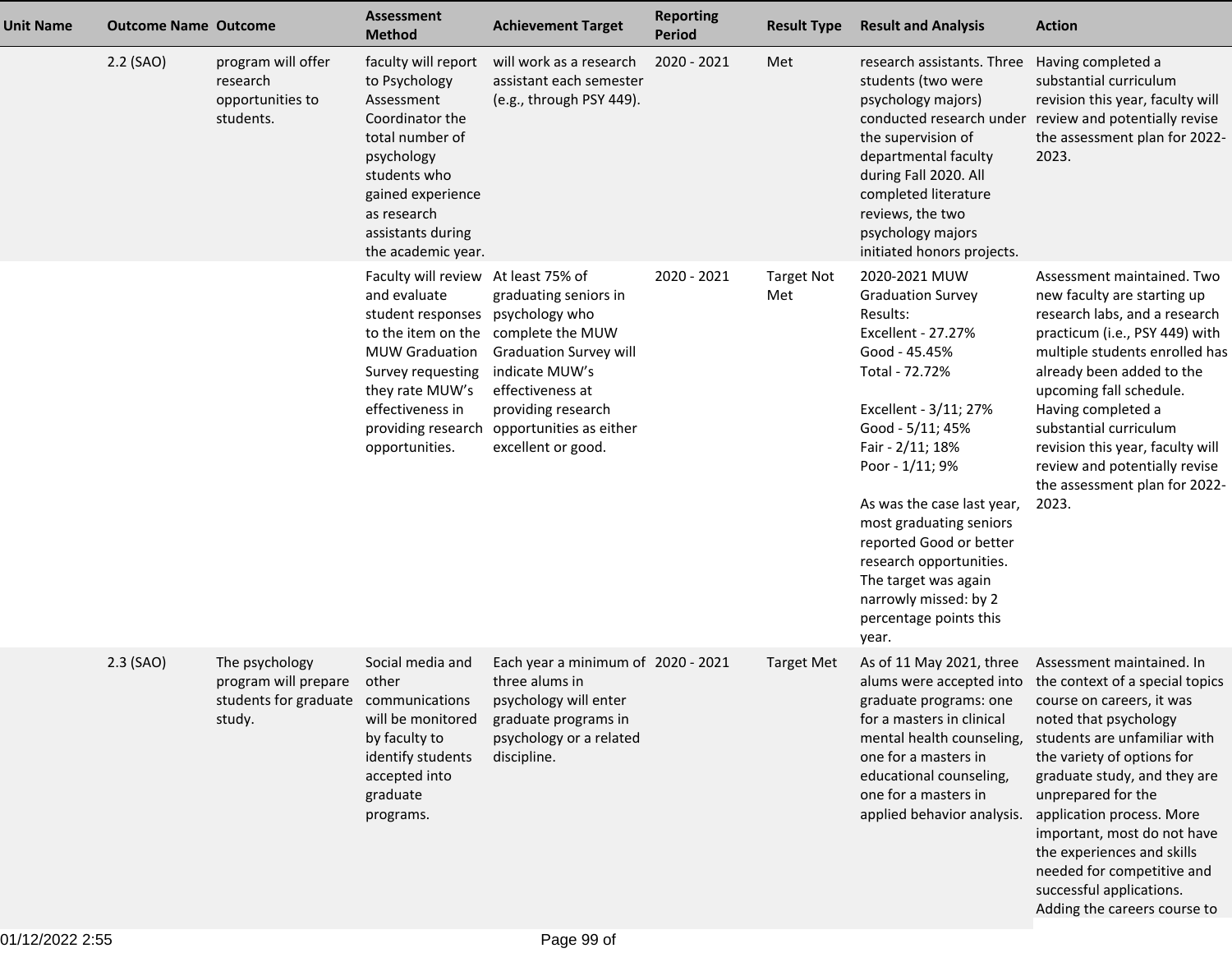| <b>Unit Name</b> | <b>Outcome Name Outcome</b> |                                                                                                | <b>Assessment</b><br><b>Method</b>                                                                                                                                                                                          | <b>Achievement Target</b>                                                                                                                                                                                 | <b>Reporting</b><br><b>Period</b> | <b>Result Type</b>       | <b>Result and Analysis</b>                                                                                                                                                                                                                                                                                                                                                                            | <b>Action</b>                                                                                                                                                                                                                                                                                                                                                                                                                                   |
|------------------|-----------------------------|------------------------------------------------------------------------------------------------|-----------------------------------------------------------------------------------------------------------------------------------------------------------------------------------------------------------------------------|-----------------------------------------------------------------------------------------------------------------------------------------------------------------------------------------------------------|-----------------------------------|--------------------------|-------------------------------------------------------------------------------------------------------------------------------------------------------------------------------------------------------------------------------------------------------------------------------------------------------------------------------------------------------------------------------------------------------|-------------------------------------------------------------------------------------------------------------------------------------------------------------------------------------------------------------------------------------------------------------------------------------------------------------------------------------------------------------------------------------------------------------------------------------------------|
|                  | 2.2 (SAO)                   | program will offer<br>research<br>opportunities to<br>students.                                | faculty will report<br>to Psychology<br>Assessment<br>Coordinator the<br>total number of<br>psychology<br>students who<br>gained experience<br>as research<br>assistants during<br>the academic year.                       | will work as a research<br>assistant each semester<br>(e.g., through PSY 449).                                                                                                                            | 2020 - 2021                       | Met                      | research assistants. Three<br>students (two were<br>psychology majors)<br>the supervision of<br>departmental faculty<br>during Fall 2020. All<br>completed literature<br>reviews, the two<br>psychology majors<br>initiated honors projects.                                                                                                                                                          | Having completed a<br>substantial curriculum<br>revision this year, faculty will<br>conducted research under review and potentially revise<br>the assessment plan for 2022-<br>2023.                                                                                                                                                                                                                                                            |
|                  |                             |                                                                                                | Faculty will review At least 75% of<br>and evaluate<br>student responses<br>to the item on the<br><b>MUW Graduation</b><br>Survey requesting<br>they rate MUW's<br>effectiveness in<br>providing research<br>opportunities. | graduating seniors in<br>psychology who<br>complete the MUW<br><b>Graduation Survey will</b><br>indicate MUW's<br>effectiveness at<br>providing research<br>opportunities as either<br>excellent or good. | 2020 - 2021                       | <b>Target Not</b><br>Met | 2020-2021 MUW<br><b>Graduation Survey</b><br>Results:<br>Excellent - 27.27%<br>Good - 45.45%<br>Total - 72.72%<br>Excellent - 3/11; 27%<br>Good - 5/11; 45%<br>Fair - 2/11; 18%<br>Poor - 1/11; 9%<br>As was the case last year,<br>most graduating seniors<br>reported Good or better<br>research opportunities.<br>The target was again<br>narrowly missed: by 2<br>percentage points this<br>year. | Assessment maintained. Two<br>new faculty are starting up<br>research labs, and a research<br>practicum (i.e., PSY 449) with<br>multiple students enrolled has<br>already been added to the<br>upcoming fall schedule.<br>Having completed a<br>substantial curriculum<br>revision this year, faculty will<br>review and potentially revise<br>the assessment plan for 2022-<br>2023.                                                           |
|                  | $2.3$ (SAO)                 | The psychology<br>program will prepare other<br>students for graduate communications<br>study. | Social media and<br>will be monitored<br>by faculty to<br>identify students<br>accepted into<br>graduate<br>programs.                                                                                                       | Each year a minimum of 2020 - 2021<br>three alums in<br>psychology will enter<br>graduate programs in<br>psychology or a related<br>discipline.                                                           |                                   | <b>Target Met</b>        | graduate programs: one course on careers, it was<br>for a masters in clinical<br>mental health counseling,<br>one for a masters in<br>educational counseling,<br>one for a masters in<br>applied behavior analysis.                                                                                                                                                                                   | As of 11 May 2021, three Assessment maintained. In<br>alums were accepted into the context of a special topics<br>noted that psychology<br>students are unfamiliar with<br>the variety of options for<br>graduate study, and they are<br>unprepared for the<br>application process. More<br>important, most do not have<br>the experiences and skills<br>needed for competitive and<br>successful applications.<br>Adding the careers course to |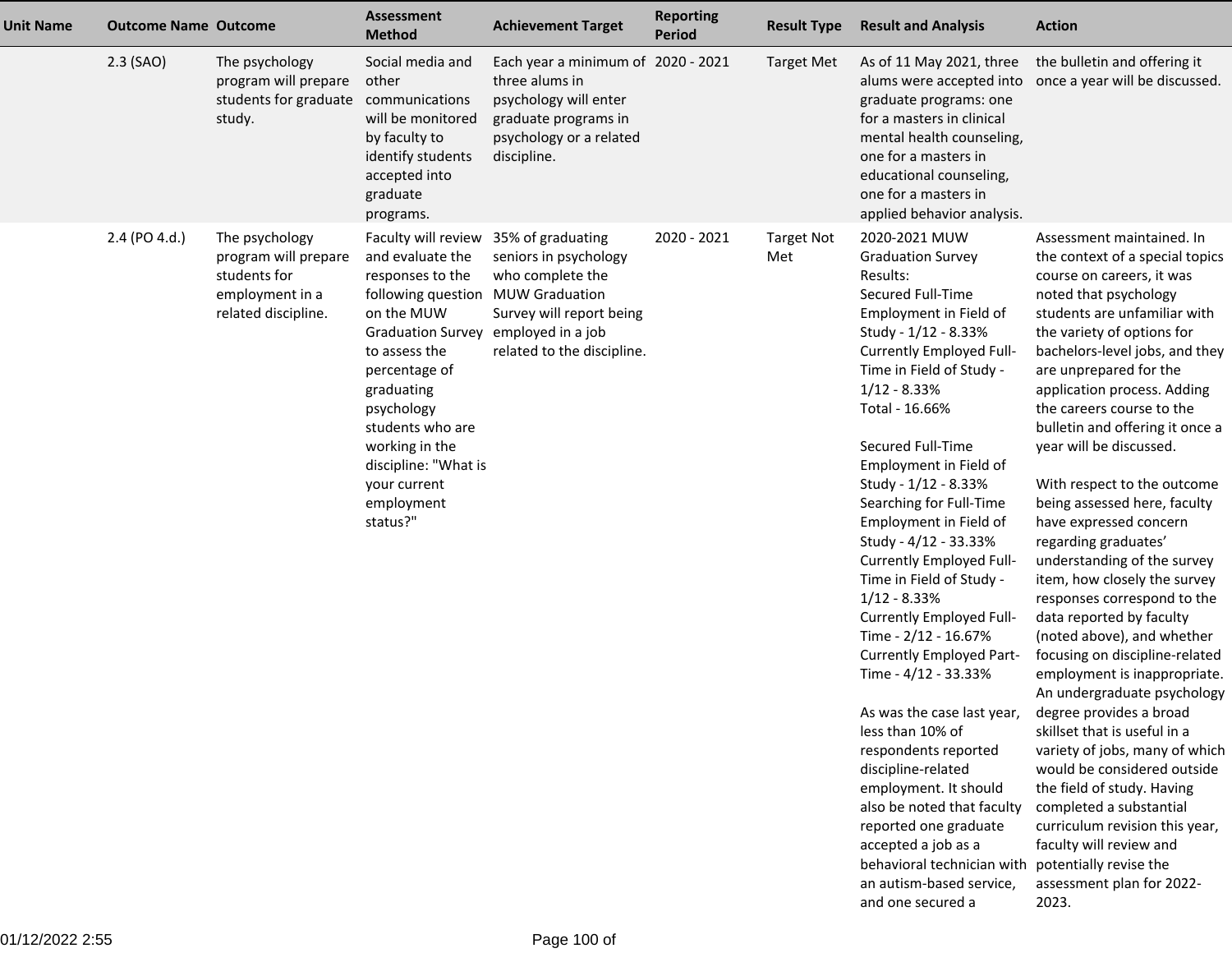| <b>Unit Name</b> | <b>Outcome Name Outcome</b> |                                                                                                  | Assessment<br><b>Method</b>                                                                                                                                                                                                                                                                       | <b>Achievement Target</b>                                                                                                                                              | <b>Reporting</b><br><b>Period</b> | <b>Result Type</b>       | <b>Result and Analysis</b>                                                                                                                                                                                                                                                                                                                                                                                                                                                                                                                                                                                                                                                                                                                                                                                                                            | <b>Action</b>                                                                                                                                                                                                                                                                                                                                                                                                                                                                                                                                                                                                                                                                                                                                                                                                                                                                                                                                                                                                                                                      |
|------------------|-----------------------------|--------------------------------------------------------------------------------------------------|---------------------------------------------------------------------------------------------------------------------------------------------------------------------------------------------------------------------------------------------------------------------------------------------------|------------------------------------------------------------------------------------------------------------------------------------------------------------------------|-----------------------------------|--------------------------|-------------------------------------------------------------------------------------------------------------------------------------------------------------------------------------------------------------------------------------------------------------------------------------------------------------------------------------------------------------------------------------------------------------------------------------------------------------------------------------------------------------------------------------------------------------------------------------------------------------------------------------------------------------------------------------------------------------------------------------------------------------------------------------------------------------------------------------------------------|--------------------------------------------------------------------------------------------------------------------------------------------------------------------------------------------------------------------------------------------------------------------------------------------------------------------------------------------------------------------------------------------------------------------------------------------------------------------------------------------------------------------------------------------------------------------------------------------------------------------------------------------------------------------------------------------------------------------------------------------------------------------------------------------------------------------------------------------------------------------------------------------------------------------------------------------------------------------------------------------------------------------------------------------------------------------|
|                  | $2.3$ (SAO)                 | The psychology<br>program will prepare<br>students for graduate<br>study.                        | Social media and<br>other<br>communications<br>will be monitored<br>by faculty to<br>identify students<br>accepted into<br>graduate<br>programs.                                                                                                                                                  | Each year a minimum of 2020 - 2021<br>three alums in<br>psychology will enter<br>graduate programs in<br>psychology or a related<br>discipline.                        |                                   | <b>Target Met</b>        | As of 11 May 2021, three<br>alums were accepted into<br>graduate programs: one<br>for a masters in clinical<br>mental health counseling,<br>one for a masters in<br>educational counseling,<br>one for a masters in<br>applied behavior analysis.                                                                                                                                                                                                                                                                                                                                                                                                                                                                                                                                                                                                     | the bulletin and offering it<br>once a year will be discussed.                                                                                                                                                                                                                                                                                                                                                                                                                                                                                                                                                                                                                                                                                                                                                                                                                                                                                                                                                                                                     |
|                  | 2.4 (PO 4.d.)               | The psychology<br>program will prepare<br>students for<br>employment in a<br>related discipline. | Faculty will review<br>and evaluate the<br>responses to the<br>following question<br>on the MUW<br><b>Graduation Survey</b><br>to assess the<br>percentage of<br>graduating<br>psychology<br>students who are<br>working in the<br>discipline: "What is<br>your current<br>employment<br>status?" | 35% of graduating<br>seniors in psychology<br>who complete the<br><b>MUW Graduation</b><br>Survey will report being<br>employed in a job<br>related to the discipline. | 2020 - 2021                       | <b>Target Not</b><br>Met | 2020-2021 MUW<br><b>Graduation Survey</b><br>Results:<br>Secured Full-Time<br>Employment in Field of<br>Study - 1/12 - 8.33%<br>Currently Employed Full-<br>Time in Field of Study -<br>$1/12 - 8.33%$<br>Total - 16.66%<br>Secured Full-Time<br>Employment in Field of<br>Study - 1/12 - 8.33%<br>Searching for Full-Time<br>Employment in Field of<br>Study - 4/12 - 33.33%<br>Currently Employed Full-<br>Time in Field of Study -<br>$1/12 - 8.33%$<br>Currently Employed Full-<br>Time - 2/12 - 16.67%<br>Currently Employed Part-<br>Time - 4/12 - 33.33%<br>As was the case last year,<br>less than 10% of<br>respondents reported<br>discipline-related<br>employment. It should<br>also be noted that faculty<br>reported one graduate<br>accepted a job as a<br>behavioral technician with<br>an autism-based service,<br>and one secured a | Assessment maintained. In<br>the context of a special topics<br>course on careers, it was<br>noted that psychology<br>students are unfamiliar with<br>the variety of options for<br>bachelors-level jobs, and they<br>are unprepared for the<br>application process. Adding<br>the careers course to the<br>bulletin and offering it once a<br>year will be discussed.<br>With respect to the outcome<br>being assessed here, faculty<br>have expressed concern<br>regarding graduates'<br>understanding of the survey<br>item, how closely the survey<br>responses correspond to the<br>data reported by faculty<br>(noted above), and whether<br>focusing on discipline-related<br>employment is inappropriate.<br>An undergraduate psychology<br>degree provides a broad<br>skillset that is useful in a<br>variety of jobs, many of which<br>would be considered outside<br>the field of study. Having<br>completed a substantial<br>curriculum revision this year,<br>faculty will review and<br>potentially revise the<br>assessment plan for 2022-<br>2023. |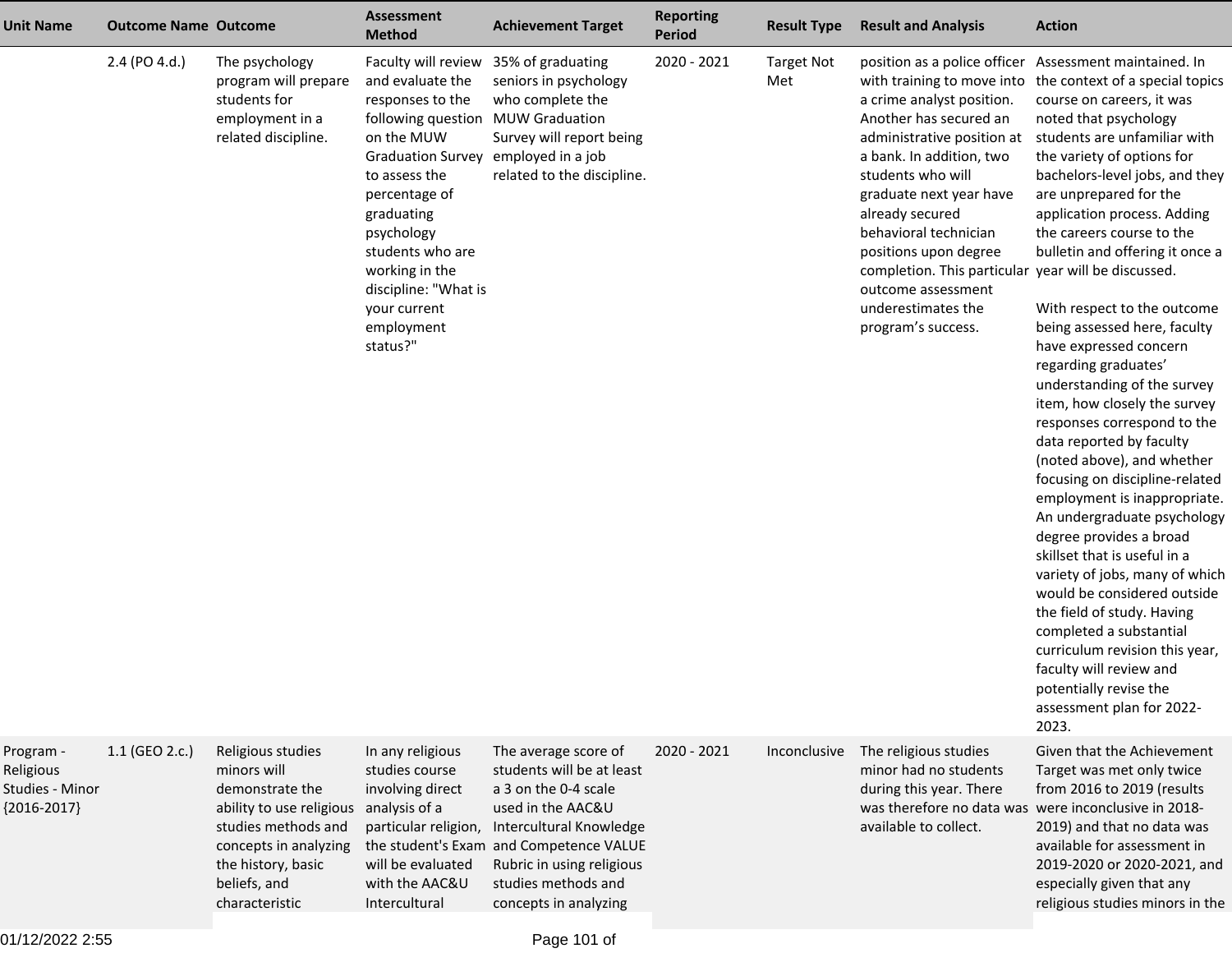| <b>Unit Name</b>                                           | <b>Outcome Name Outcome</b> |                                                                                                                                                                                         | <b>Assessment</b><br><b>Method</b>                                                                                                                                                                                                                                                                                                            | <b>Achievement Target</b>                                                                                                                                                                                                                         | <b>Reporting</b><br><b>Period</b> | <b>Result Type</b>       | <b>Result and Analysis</b>                                                                                                                                                                                                                                                                                                                                  | <b>Action</b>                                                                                                                                                                                                                                                                                                                                                                                                                                                                                                                                                                                                                                                                                                                                                                                                                                                                                                                                                                                                                                                                                   |
|------------------------------------------------------------|-----------------------------|-----------------------------------------------------------------------------------------------------------------------------------------------------------------------------------------|-----------------------------------------------------------------------------------------------------------------------------------------------------------------------------------------------------------------------------------------------------------------------------------------------------------------------------------------------|---------------------------------------------------------------------------------------------------------------------------------------------------------------------------------------------------------------------------------------------------|-----------------------------------|--------------------------|-------------------------------------------------------------------------------------------------------------------------------------------------------------------------------------------------------------------------------------------------------------------------------------------------------------------------------------------------------------|-------------------------------------------------------------------------------------------------------------------------------------------------------------------------------------------------------------------------------------------------------------------------------------------------------------------------------------------------------------------------------------------------------------------------------------------------------------------------------------------------------------------------------------------------------------------------------------------------------------------------------------------------------------------------------------------------------------------------------------------------------------------------------------------------------------------------------------------------------------------------------------------------------------------------------------------------------------------------------------------------------------------------------------------------------------------------------------------------|
|                                                            | 2.4 (PO 4.d.)               | The psychology<br>program will prepare<br>students for<br>employment in a<br>related discipline.                                                                                        | Faculty will review 35% of graduating<br>and evaluate the<br>responses to the<br>following question MUW Graduation<br>on the MUW<br>Graduation Survey employed in a job<br>to assess the<br>percentage of<br>graduating<br>psychology<br>students who are<br>working in the<br>discipline: "What is<br>your current<br>employment<br>status?" | seniors in psychology<br>who complete the<br>Survey will report being<br>related to the discipline.                                                                                                                                               | 2020 - 2021                       | <b>Target Not</b><br>Met | a crime analyst position.<br>Another has secured an<br>administrative position at<br>a bank. In addition, two<br>students who will<br>graduate next year have<br>already secured<br>behavioral technician<br>positions upon degree<br>completion. This particular year will be discussed.<br>outcome assessment<br>underestimates the<br>program's success. | position as a police officer Assessment maintained. In<br>with training to move into the context of a special topics<br>course on careers, it was<br>noted that psychology<br>students are unfamiliar with<br>the variety of options for<br>bachelors-level jobs, and they<br>are unprepared for the<br>application process. Adding<br>the careers course to the<br>bulletin and offering it once a<br>With respect to the outcome<br>being assessed here, faculty<br>have expressed concern<br>regarding graduates'<br>understanding of the survey<br>item, how closely the survey<br>responses correspond to the<br>data reported by faculty<br>(noted above), and whether<br>focusing on discipline-related<br>employment is inappropriate.<br>An undergraduate psychology<br>degree provides a broad<br>skillset that is useful in a<br>variety of jobs, many of which<br>would be considered outside<br>the field of study. Having<br>completed a substantial<br>curriculum revision this year,<br>faculty will review and<br>potentially revise the<br>assessment plan for 2022-<br>2023. |
| Program -<br>Religious<br>Studies - Minor<br>${2016-2017}$ | 1.1 (GEO 2.c.)              | Religious studies<br>minors will<br>demonstrate the<br>ability to use religious<br>studies methods and<br>concepts in analyzing<br>the history, basic<br>beliefs, and<br>characteristic | In any religious<br>studies course<br>involving direct<br>analysis of a<br>particular religion,<br>will be evaluated<br>with the AAC&U<br>Intercultural                                                                                                                                                                                       | The average score of<br>students will be at least<br>a 3 on the 0-4 scale<br>used in the AAC&U<br>Intercultural Knowledge<br>the student's Exam and Competence VALUE<br>Rubric in using religious<br>studies methods and<br>concepts in analyzing | 2020 - 2021                       | Inconclusive             | The religious studies<br>minor had no students<br>during this year. There<br>available to collect.                                                                                                                                                                                                                                                          | Given that the Achievement<br>Target was met only twice<br>from 2016 to 2019 (results<br>was therefore no data was were inconclusive in 2018-<br>2019) and that no data was<br>available for assessment in<br>2019-2020 or 2020-2021, and<br>especially given that any<br>religious studies minors in the                                                                                                                                                                                                                                                                                                                                                                                                                                                                                                                                                                                                                                                                                                                                                                                       |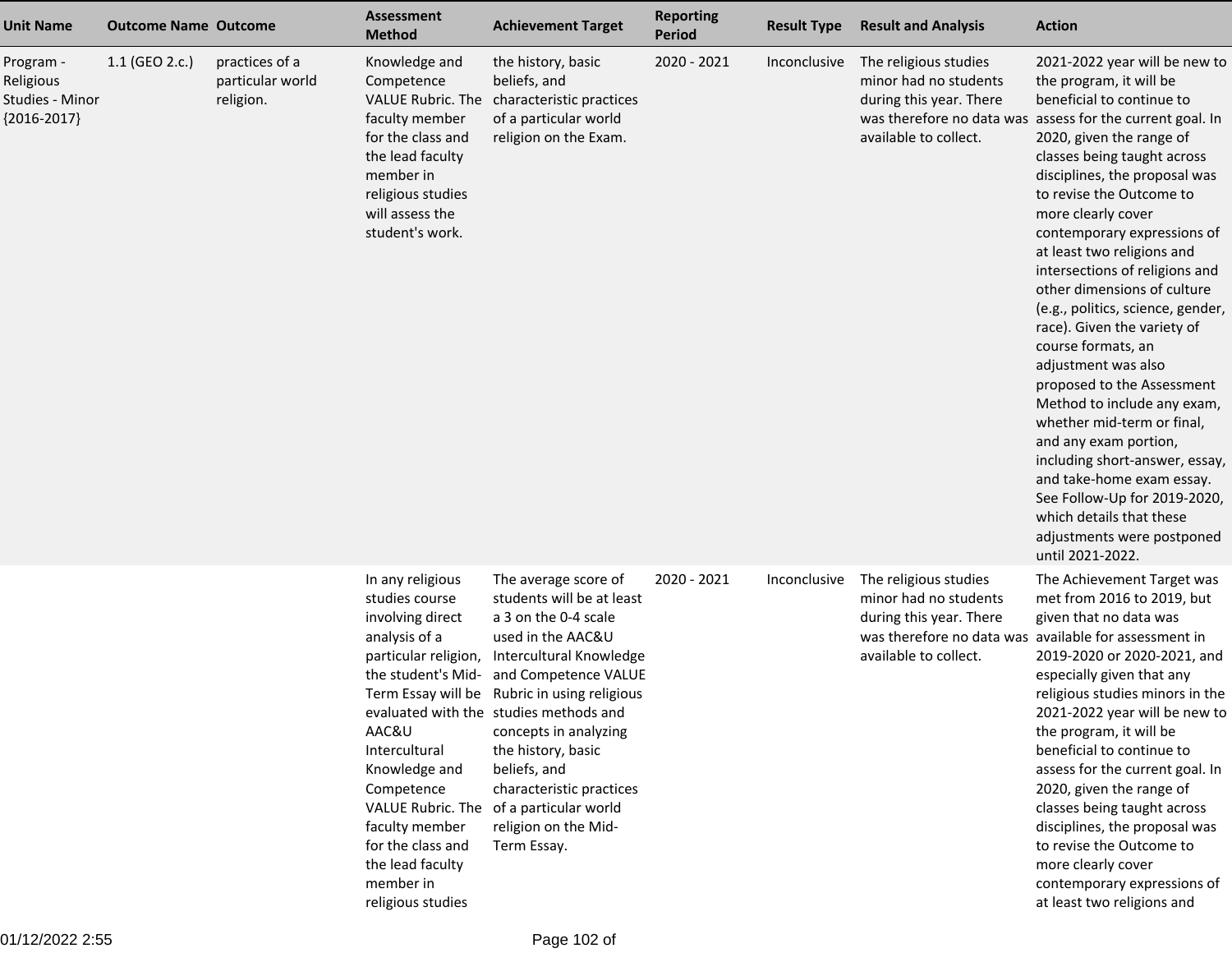| <b>Unit Name</b>                                           | <b>Outcome Name Outcome</b> |                                                 | <b>Assessment</b><br><b>Method</b>                                                                                                                                                                                                                                          | <b>Achievement Target</b>                                                                                                                                                                                                                                                                                                                                                                                                | <b>Reporting</b><br><b>Period</b> | <b>Result Type</b> | <b>Result and Analysis</b>                                                                         | <b>Action</b>                                                                                                                                                                                                                                                                                                                                                                                                                                                                                                                                                                                                                                                                                                                                                                                                                                    |
|------------------------------------------------------------|-----------------------------|-------------------------------------------------|-----------------------------------------------------------------------------------------------------------------------------------------------------------------------------------------------------------------------------------------------------------------------------|--------------------------------------------------------------------------------------------------------------------------------------------------------------------------------------------------------------------------------------------------------------------------------------------------------------------------------------------------------------------------------------------------------------------------|-----------------------------------|--------------------|----------------------------------------------------------------------------------------------------|--------------------------------------------------------------------------------------------------------------------------------------------------------------------------------------------------------------------------------------------------------------------------------------------------------------------------------------------------------------------------------------------------------------------------------------------------------------------------------------------------------------------------------------------------------------------------------------------------------------------------------------------------------------------------------------------------------------------------------------------------------------------------------------------------------------------------------------------------|
| Program -<br>Religious<br>Studies - Minor<br>${2016-2017}$ | 1.1 (GEO 2.c.)              | practices of a<br>particular world<br>religion. | Knowledge and<br>Competence<br><b>VALUE Rubric. The</b><br>faculty member<br>for the class and<br>the lead faculty<br>member in<br>religious studies<br>will assess the<br>student's work.                                                                                  | the history, basic<br>beliefs, and<br>characteristic practices<br>of a particular world<br>religion on the Exam.                                                                                                                                                                                                                                                                                                         | 2020 - 2021                       | Inconclusive       | The religious studies<br>minor had no students<br>during this year. There<br>available to collect. | 2021-2022 year will be new to<br>the program, it will be<br>beneficial to continue to<br>was therefore no data was assess for the current goal. In<br>2020, given the range of<br>classes being taught across<br>disciplines, the proposal was<br>to revise the Outcome to<br>more clearly cover<br>contemporary expressions of<br>at least two religions and<br>intersections of religions and<br>other dimensions of culture<br>(e.g., politics, science, gender,<br>race). Given the variety of<br>course formats, an<br>adjustment was also<br>proposed to the Assessment<br>Method to include any exam,<br>whether mid-term or final,<br>and any exam portion,<br>including short-answer, essay,<br>and take-home exam essay.<br>See Follow-Up for 2019-2020,<br>which details that these<br>adjustments were postponed<br>until 2021-2022. |
|                                                            |                             |                                                 | In any religious<br>studies course<br>involving direct<br>analysis of a<br>particular religion,<br>the student's Mid-<br>AAC&U<br>Intercultural<br>Knowledge and<br>Competence<br>faculty member<br>for the class and<br>the lead faculty<br>member in<br>religious studies | The average score of<br>students will be at least<br>a 3 on the 0-4 scale<br>used in the AAC&U<br>Intercultural Knowledge<br>and Competence VALUE<br>Term Essay will be Rubric in using religious<br>evaluated with the studies methods and<br>concepts in analyzing<br>the history, basic<br>beliefs, and<br>characteristic practices<br>VALUE Rubric. The of a particular world<br>religion on the Mid-<br>Term Essay. | 2020 - 2021                       | Inconclusive       | The religious studies<br>minor had no students<br>during this year. There<br>available to collect. | The Achievement Target was<br>met from 2016 to 2019, but<br>given that no data was<br>was therefore no data was available for assessment in<br>2019-2020 or 2020-2021, and<br>especially given that any<br>religious studies minors in the<br>2021-2022 year will be new to<br>the program, it will be<br>beneficial to continue to<br>assess for the current goal. In<br>2020, given the range of<br>classes being taught across<br>disciplines, the proposal was<br>to revise the Outcome to<br>more clearly cover<br>contemporary expressions of<br>at least two religions and                                                                                                                                                                                                                                                                |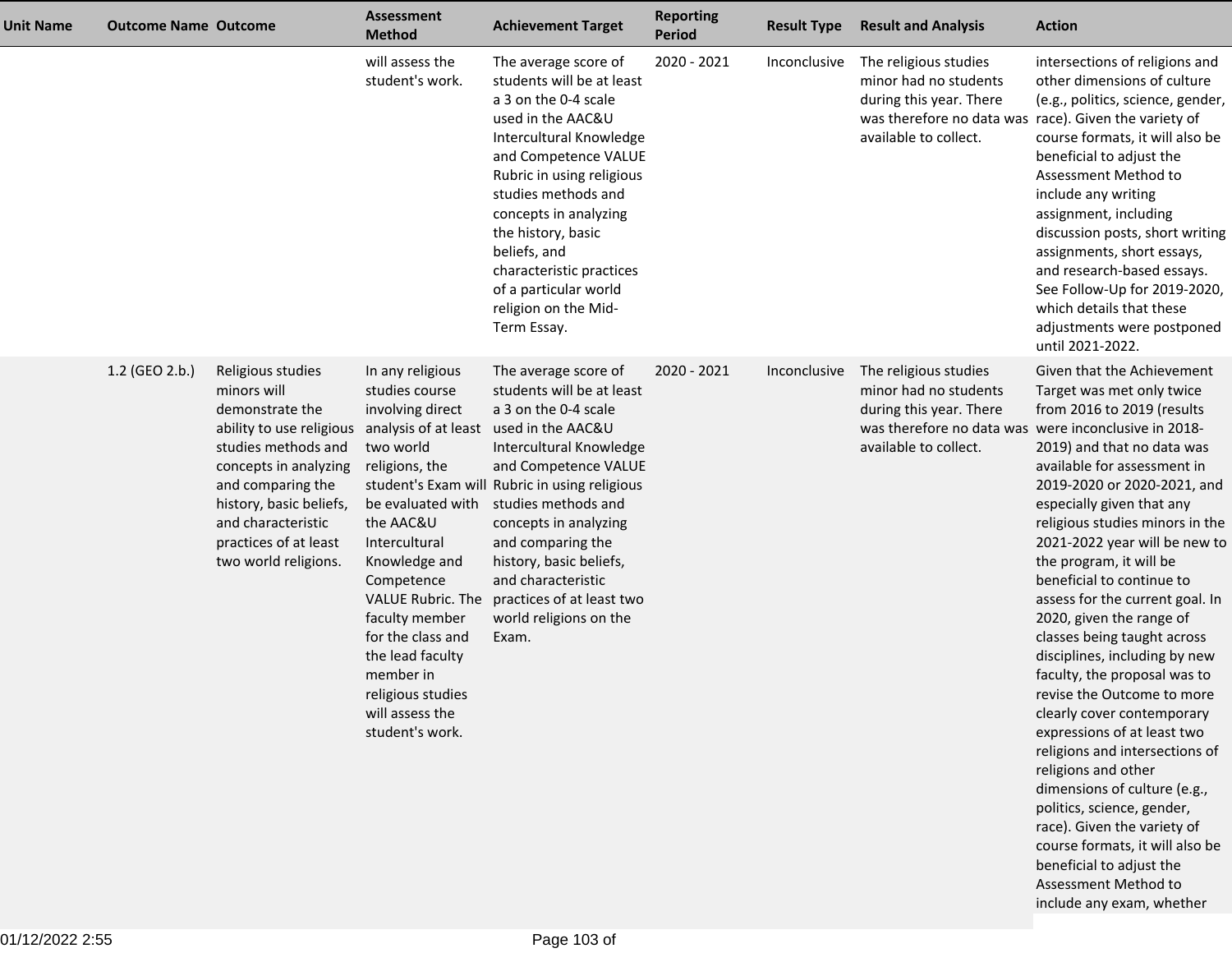| <b>Unit Name</b> | <b>Outcome Name Outcome</b> |                                                                                                                                                                                                                                                        | <b>Assessment</b><br><b>Method</b>                                                                                                                                                                                                                                                                                                                             | <b>Achievement Target</b>                                                                                                                                                                                                                                                                                                                                                                | <b>Reporting</b><br><b>Period</b> | <b>Result Type</b> | <b>Result and Analysis</b>                                                                                                                                  | <b>Action</b>                                                                                                                                                                                                                                                                                                                                                                                                                                                                                                                                                                                                                                                                                                                                                                                                                                                                                                                          |
|------------------|-----------------------------|--------------------------------------------------------------------------------------------------------------------------------------------------------------------------------------------------------------------------------------------------------|----------------------------------------------------------------------------------------------------------------------------------------------------------------------------------------------------------------------------------------------------------------------------------------------------------------------------------------------------------------|------------------------------------------------------------------------------------------------------------------------------------------------------------------------------------------------------------------------------------------------------------------------------------------------------------------------------------------------------------------------------------------|-----------------------------------|--------------------|-------------------------------------------------------------------------------------------------------------------------------------------------------------|----------------------------------------------------------------------------------------------------------------------------------------------------------------------------------------------------------------------------------------------------------------------------------------------------------------------------------------------------------------------------------------------------------------------------------------------------------------------------------------------------------------------------------------------------------------------------------------------------------------------------------------------------------------------------------------------------------------------------------------------------------------------------------------------------------------------------------------------------------------------------------------------------------------------------------------|
|                  |                             |                                                                                                                                                                                                                                                        | will assess the<br>student's work.                                                                                                                                                                                                                                                                                                                             | The average score of<br>students will be at least<br>a 3 on the 0-4 scale<br>used in the AAC&U<br>Intercultural Knowledge<br>and Competence VALUE<br>Rubric in using religious<br>studies methods and<br>concepts in analyzing<br>the history, basic<br>beliefs, and<br>characteristic practices<br>of a particular world<br>religion on the Mid-<br>Term Essay.                         | 2020 - 2021                       | Inconclusive       | The religious studies<br>minor had no students<br>during this year. There<br>was therefore no data was race). Given the variety of<br>available to collect. | intersections of religions and<br>other dimensions of culture<br>(e.g., politics, science, gender,<br>course formats, it will also be<br>beneficial to adjust the<br>Assessment Method to<br>include any writing<br>assignment, including<br>discussion posts, short writing<br>assignments, short essays,<br>and research-based essays.<br>See Follow-Up for 2019-2020,<br>which details that these<br>adjustments were postponed<br>until 2021-2022.                                                                                                                                                                                                                                                                                                                                                                                                                                                                                 |
|                  | 1.2 (GEO 2.b.)              | Religious studies<br>minors will<br>demonstrate the<br>ability to use religious<br>studies methods and<br>concepts in analyzing<br>and comparing the<br>history, basic beliefs,<br>and characteristic<br>practices of at least<br>two world religions. | In any religious<br>studies course<br>involving direct<br>analysis of at least<br>two world<br>religions, the<br>be evaluated with<br>the AAC&U<br>Intercultural<br>Knowledge and<br>Competence<br><b>VALUE Rubric. The</b><br>faculty member<br>for the class and<br>the lead faculty<br>member in<br>religious studies<br>will assess the<br>student's work. | The average score of<br>students will be at least<br>a 3 on the 0-4 scale<br>used in the AAC&U<br>Intercultural Knowledge<br>and Competence VALUE<br>student's Exam will Rubric in using religious<br>studies methods and<br>concepts in analyzing<br>and comparing the<br>history, basic beliefs,<br>and characteristic<br>practices of at least two<br>world religions on the<br>Exam. | 2020 - 2021                       | Inconclusive       | The religious studies<br>minor had no students<br>during this year. There<br>available to collect.                                                          | Given that the Achievement<br>Target was met only twice<br>from 2016 to 2019 (results<br>was therefore no data was were inconclusive in 2018-<br>2019) and that no data was<br>available for assessment in<br>2019-2020 or 2020-2021, and<br>especially given that any<br>religious studies minors in the<br>2021-2022 year will be new to<br>the program, it will be<br>beneficial to continue to<br>assess for the current goal. In<br>2020, given the range of<br>classes being taught across<br>disciplines, including by new<br>faculty, the proposal was to<br>revise the Outcome to more<br>clearly cover contemporary<br>expressions of at least two<br>religions and intersections of<br>religions and other<br>dimensions of culture (e.g.,<br>politics, science, gender,<br>race). Given the variety of<br>course formats, it will also be<br>beneficial to adjust the<br>Assessment Method to<br>include any exam, whether |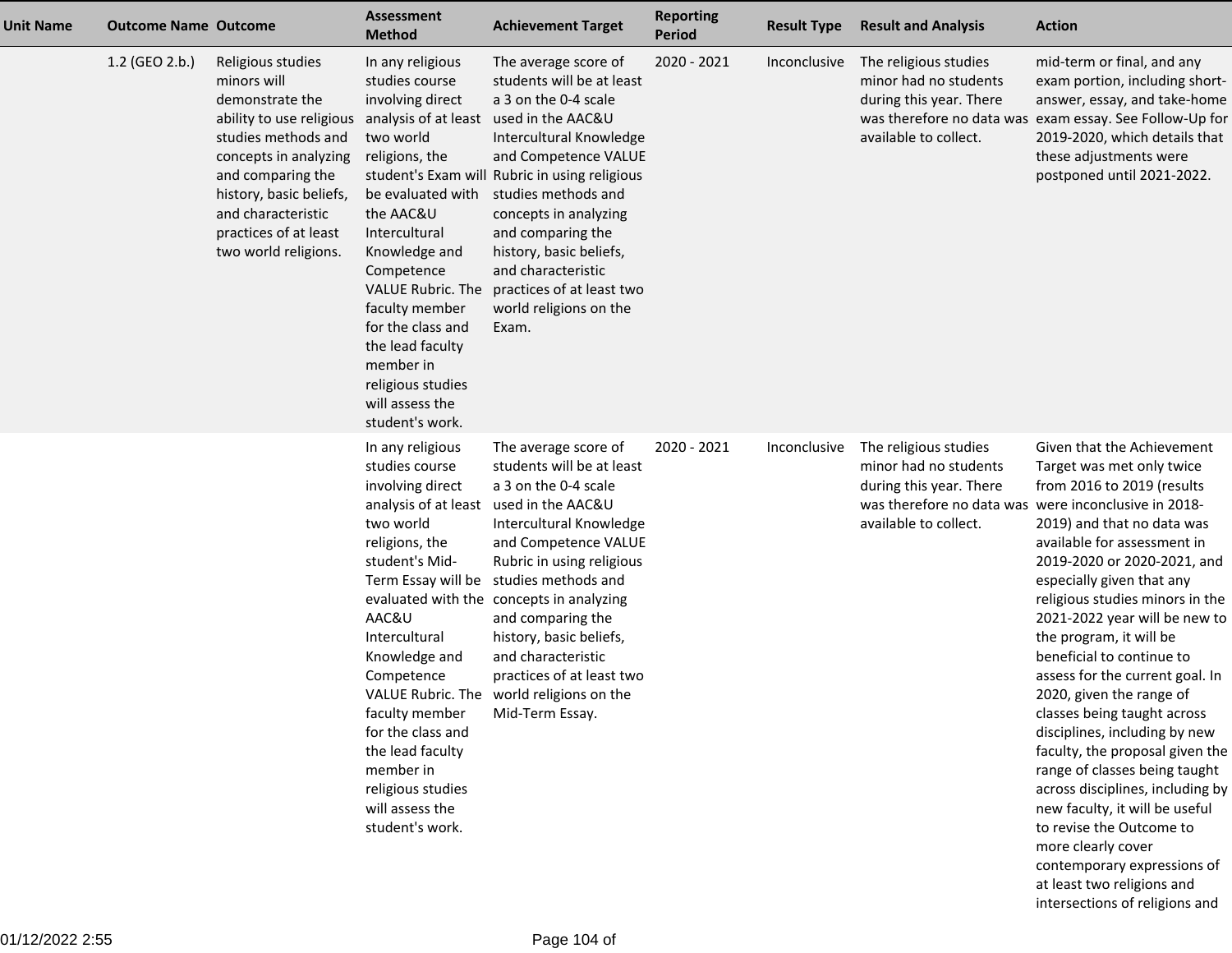| <b>Unit Name</b> | <b>Outcome Name Outcome</b> |                                                                                                                                                                                                                                                                             | Assessment<br><b>Method</b>                                                                                                                                                                                                                                                                                                     | <b>Achievement Target</b>                                                                                                                                                                                                                                                                                                                                                                                                              | <b>Reporting</b><br><b>Period</b> | <b>Result Type</b> | <b>Result and Analysis</b>                                                                                                                                 | <b>Action</b>                                                                                                                                                                                                                                                                                                                                                                                                                                                                                                                                                                                                                                                                                                                                                        |
|------------------|-----------------------------|-----------------------------------------------------------------------------------------------------------------------------------------------------------------------------------------------------------------------------------------------------------------------------|---------------------------------------------------------------------------------------------------------------------------------------------------------------------------------------------------------------------------------------------------------------------------------------------------------------------------------|----------------------------------------------------------------------------------------------------------------------------------------------------------------------------------------------------------------------------------------------------------------------------------------------------------------------------------------------------------------------------------------------------------------------------------------|-----------------------------------|--------------------|------------------------------------------------------------------------------------------------------------------------------------------------------------|----------------------------------------------------------------------------------------------------------------------------------------------------------------------------------------------------------------------------------------------------------------------------------------------------------------------------------------------------------------------------------------------------------------------------------------------------------------------------------------------------------------------------------------------------------------------------------------------------------------------------------------------------------------------------------------------------------------------------------------------------------------------|
|                  | 1.2 (GEO 2.b.)              | Religious studies<br>minors will<br>demonstrate the<br>ability to use religious analysis of at least<br>studies methods and<br>concepts in analyzing<br>and comparing the<br>history, basic beliefs,<br>and characteristic<br>practices of at least<br>two world religions. | In any religious<br>studies course<br>involving direct<br>two world<br>religions, the<br>be evaluated with<br>the AAC&U<br>Intercultural<br>Knowledge and<br>Competence<br>VALUE Rubric. The<br>faculty member<br>for the class and<br>the lead faculty<br>member in<br>religious studies<br>will assess the<br>student's work. | The average score of<br>students will be at least<br>a 3 on the 0-4 scale<br>used in the AAC&U<br>Intercultural Knowledge<br>and Competence VALUE<br>student's Exam will Rubric in using religious<br>studies methods and<br>concepts in analyzing<br>and comparing the<br>history, basic beliefs,<br>and characteristic<br>practices of at least two<br>world religions on the<br>Exam.                                               | 2020 - 2021                       | Inconclusive       | The religious studies<br>minor had no students<br>during this year. There<br>available to collect.                                                         | mid-term or final, and any<br>exam portion, including short-<br>answer, essay, and take-home<br>was therefore no data was exam essay. See Follow-Up for<br>2019-2020, which details that<br>these adjustments were<br>postponed until 2021-2022.                                                                                                                                                                                                                                                                                                                                                                                                                                                                                                                     |
|                  |                             |                                                                                                                                                                                                                                                                             | In any religious<br>studies course<br>involving direct<br>analysis of at least<br>two world<br>religions, the<br>student's Mid-<br>AAC&U<br>Intercultural<br>Knowledge and<br>Competence<br>faculty member<br>for the class and<br>the lead faculty<br>member in<br>religious studies<br>will assess the<br>student's work.     | The average score of<br>students will be at least<br>a 3 on the 0-4 scale<br>used in the AAC&U<br>Intercultural Knowledge<br>and Competence VALUE<br>Rubric in using religious<br>Term Essay will be studies methods and<br>evaluated with the concepts in analyzing<br>and comparing the<br>history, basic beliefs,<br>and characteristic<br>practices of at least two<br>VALUE Rubric. The world religions on the<br>Mid-Term Essay. | 2020 - 2021                       | Inconclusive       | The religious studies<br>minor had no students<br>during this year. There<br>was therefore no data was were inconclusive in 2018-<br>available to collect. | Given that the Achievement<br>Target was met only twice<br>from 2016 to 2019 (results<br>2019) and that no data was<br>available for assessment in<br>2019-2020 or 2020-2021, and<br>especially given that any<br>religious studies minors in the<br>2021-2022 year will be new to<br>the program, it will be<br>beneficial to continue to<br>assess for the current goal. In<br>2020, given the range of<br>classes being taught across<br>disciplines, including by new<br>faculty, the proposal given the<br>range of classes being taught<br>across disciplines, including by<br>new faculty, it will be useful<br>to revise the Outcome to<br>more clearly cover<br>contemporary expressions of<br>at least two religions and<br>intersections of religions and |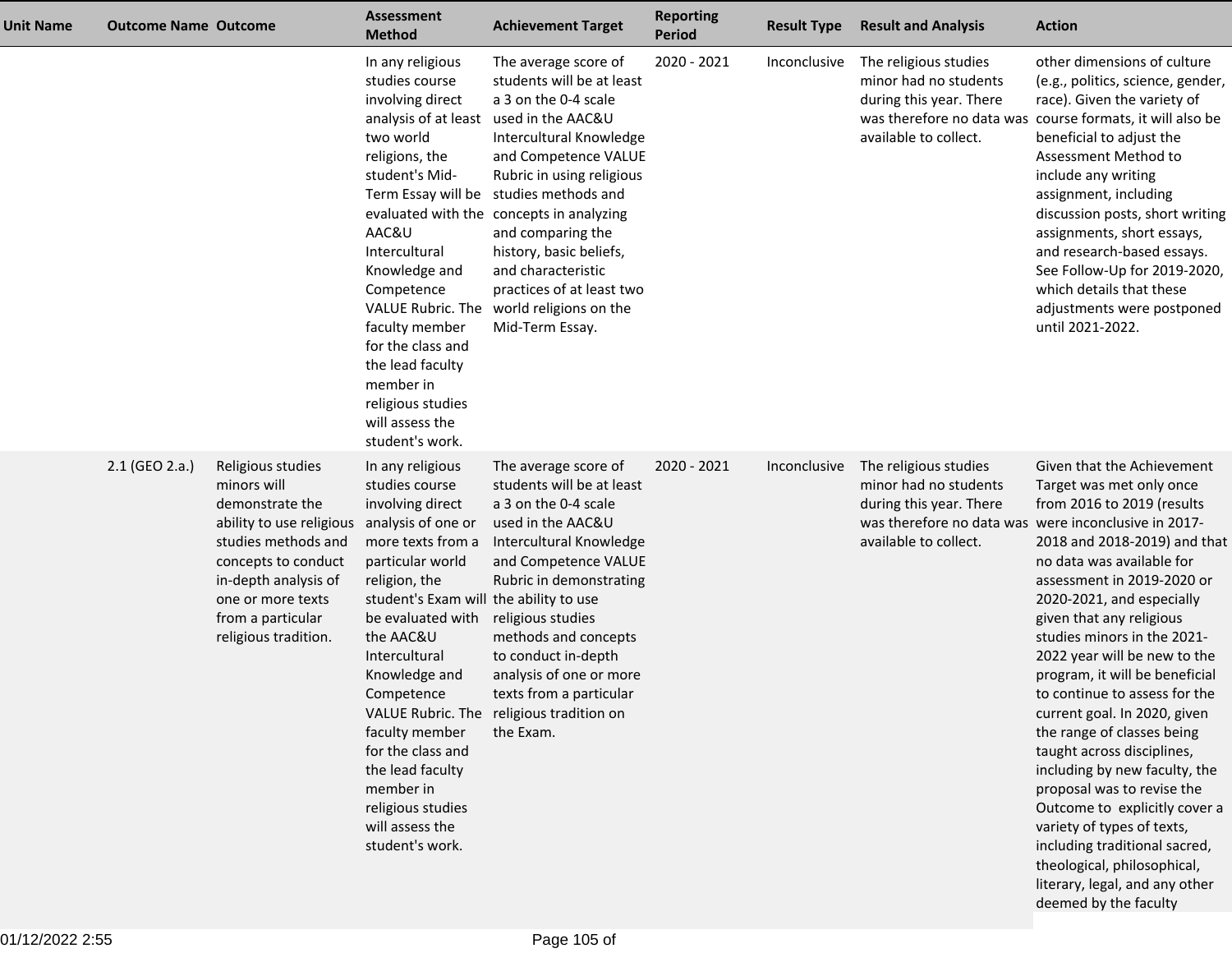| Unit Name | <b>Outcome Name Outcome</b> |                                                                                                                                                                                                                         | <b>Assessment</b><br><b>Method</b>                                                                                                                                                                                                                                                                                                                                                                    | <b>Achievement Target</b>                                                                                                                                                                                                                                                                                                                                                                                                              | <b>Reporting</b><br><b>Period</b> | <b>Result Type</b> | <b>Result and Analysis</b>                                                                                                                                 | <b>Action</b>                                                                                                                                                                                                                                                                                                                                                                                                                                                                                                                                                                                                                                                                                                                   |
|-----------|-----------------------------|-------------------------------------------------------------------------------------------------------------------------------------------------------------------------------------------------------------------------|-------------------------------------------------------------------------------------------------------------------------------------------------------------------------------------------------------------------------------------------------------------------------------------------------------------------------------------------------------------------------------------------------------|----------------------------------------------------------------------------------------------------------------------------------------------------------------------------------------------------------------------------------------------------------------------------------------------------------------------------------------------------------------------------------------------------------------------------------------|-----------------------------------|--------------------|------------------------------------------------------------------------------------------------------------------------------------------------------------|---------------------------------------------------------------------------------------------------------------------------------------------------------------------------------------------------------------------------------------------------------------------------------------------------------------------------------------------------------------------------------------------------------------------------------------------------------------------------------------------------------------------------------------------------------------------------------------------------------------------------------------------------------------------------------------------------------------------------------|
|           |                             |                                                                                                                                                                                                                         | In any religious<br>studies course<br>involving direct<br>analysis of at least<br>two world<br>religions, the<br>student's Mid-<br>AAC&U<br>Intercultural<br>Knowledge and<br>Competence<br>faculty member<br>for the class and<br>the lead faculty<br>member in<br>religious studies<br>will assess the<br>student's work.                                                                           | The average score of<br>students will be at least<br>a 3 on the 0-4 scale<br>used in the AAC&U<br>Intercultural Knowledge<br>and Competence VALUE<br>Rubric in using religious<br>Term Essay will be studies methods and<br>evaluated with the concepts in analyzing<br>and comparing the<br>history, basic beliefs,<br>and characteristic<br>practices of at least two<br>VALUE Rubric. The world religions on the<br>Mid-Term Essay. | 2020 - 2021                       | Inconclusive       | The religious studies<br>minor had no students<br>during this year. There<br>available to collect.                                                         | other dimensions of culture<br>(e.g., politics, science, gender,<br>race). Given the variety of<br>was therefore no data was course formats, it will also be<br>beneficial to adjust the<br>Assessment Method to<br>include any writing<br>assignment, including<br>discussion posts, short writing<br>assignments, short essays,<br>and research-based essays.<br>See Follow-Up for 2019-2020,<br>which details that these<br>adjustments were postponed<br>until 2021-2022.                                                                                                                                                                                                                                                   |
|           | 2.1 (GEO 2.a.)              | Religious studies<br>minors will<br>demonstrate the<br>ability to use religious<br>studies methods and<br>concepts to conduct<br>in-depth analysis of<br>one or more texts<br>from a particular<br>religious tradition. | In any religious<br>studies course<br>involving direct<br>analysis of one or<br>more texts from a<br>particular world<br>religion, the<br>student's Exam will the ability to use<br>be evaluated with<br>the AAC&U<br>Intercultural<br>Knowledge and<br>Competence<br>faculty member<br>for the class and<br>the lead faculty<br>member in<br>religious studies<br>will assess the<br>student's work. | The average score of<br>students will be at least<br>a 3 on the 0-4 scale<br>used in the AAC&U<br>Intercultural Knowledge<br>and Competence VALUE<br>Rubric in demonstrating<br>religious studies<br>methods and concepts<br>to conduct in-depth<br>analysis of one or more<br>texts from a particular<br>VALUE Rubric. The religious tradition on<br>the Exam.                                                                        | 2020 - 2021                       | Inconclusive       | The religious studies<br>minor had no students<br>during this year. There<br>was therefore no data was were inconclusive in 2017-<br>available to collect. | Given that the Achievement<br>Target was met only once<br>from 2016 to 2019 (results<br>2018 and 2018-2019) and that<br>no data was available for<br>assessment in 2019-2020 or<br>2020-2021, and especially<br>given that any religious<br>studies minors in the 2021-<br>2022 year will be new to the<br>program, it will be beneficial<br>to continue to assess for the<br>current goal. In 2020, given<br>the range of classes being<br>taught across disciplines,<br>including by new faculty, the<br>proposal was to revise the<br>Outcome to explicitly cover a<br>variety of types of texts,<br>including traditional sacred,<br>theological, philosophical,<br>literary, legal, and any other<br>deemed by the faculty |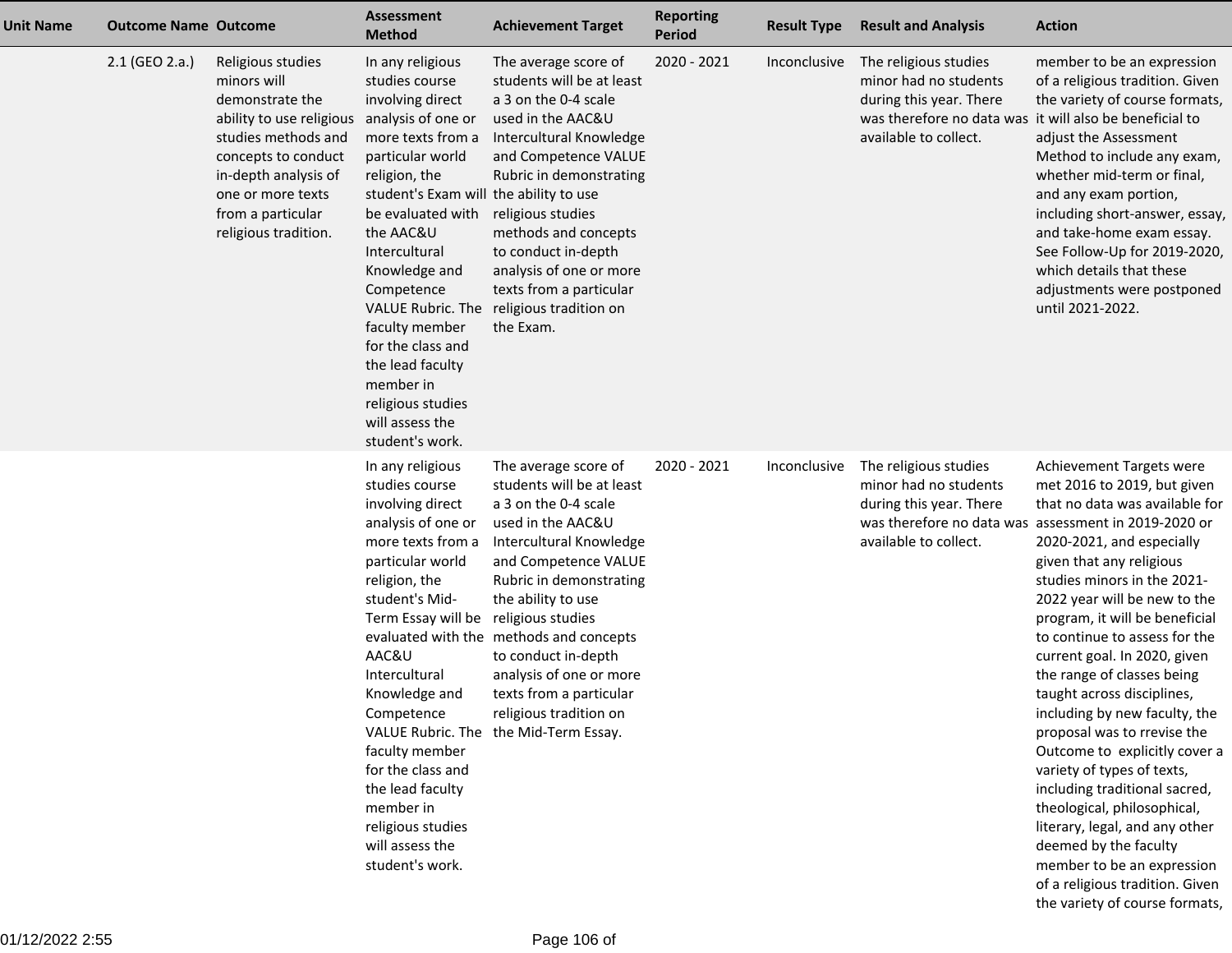| <b>Unit Name</b> | <b>Outcome Name Outcome</b> |                                                                                                                                                                                                                         | <b>Assessment</b><br><b>Method</b>                                                                                                                                                                                                                                                                                                                                                                                         | <b>Achievement Target</b>                                                                                                                                                                                                                                                                                                                                                                     | <b>Reporting</b><br><b>Period</b> | <b>Result Type</b> | <b>Result and Analysis</b>                                                                                                                                    | <b>Action</b>                                                                                                                                                                                                                                                                                                                                                                                                                                                                                                                                                                                                                                                                                                                                                                                         |
|------------------|-----------------------------|-------------------------------------------------------------------------------------------------------------------------------------------------------------------------------------------------------------------------|----------------------------------------------------------------------------------------------------------------------------------------------------------------------------------------------------------------------------------------------------------------------------------------------------------------------------------------------------------------------------------------------------------------------------|-----------------------------------------------------------------------------------------------------------------------------------------------------------------------------------------------------------------------------------------------------------------------------------------------------------------------------------------------------------------------------------------------|-----------------------------------|--------------------|---------------------------------------------------------------------------------------------------------------------------------------------------------------|-------------------------------------------------------------------------------------------------------------------------------------------------------------------------------------------------------------------------------------------------------------------------------------------------------------------------------------------------------------------------------------------------------------------------------------------------------------------------------------------------------------------------------------------------------------------------------------------------------------------------------------------------------------------------------------------------------------------------------------------------------------------------------------------------------|
|                  | 2.1 (GEO 2.a.)              | Religious studies<br>minors will<br>demonstrate the<br>ability to use religious<br>studies methods and<br>concepts to conduct<br>in-depth analysis of<br>one or more texts<br>from a particular<br>religious tradition. | In any religious<br>studies course<br>involving direct<br>analysis of one or<br>more texts from a<br>particular world<br>religion, the<br>student's Exam will the ability to use<br>be evaluated with<br>the AAC&U<br>Intercultural<br>Knowledge and<br>Competence<br>VALUE Rubric. The<br>faculty member<br>for the class and<br>the lead faculty<br>member in<br>religious studies<br>will assess the<br>student's work. | The average score of<br>students will be at least<br>a 3 on the 0-4 scale<br>used in the AAC&U<br>Intercultural Knowledge<br>and Competence VALUE<br>Rubric in demonstrating<br>religious studies<br>methods and concepts<br>to conduct in-depth<br>analysis of one or more<br>texts from a particular<br>religious tradition on<br>the Exam.                                                 | 2020 - 2021                       | Inconclusive       | The religious studies<br>minor had no students<br>during this year. There<br>was therefore no data was it will also be beneficial to<br>available to collect. | member to be an expression<br>of a religious tradition. Given<br>the variety of course formats,<br>adjust the Assessment<br>Method to include any exam,<br>whether mid-term or final,<br>and any exam portion,<br>including short-answer, essay,<br>and take-home exam essay.<br>See Follow-Up for 2019-2020,<br>which details that these<br>adjustments were postponed<br>until 2021-2022.                                                                                                                                                                                                                                                                                                                                                                                                           |
|                  |                             |                                                                                                                                                                                                                         | In any religious<br>studies course<br>involving direct<br>analysis of one or<br>more texts from a<br>particular world<br>religion, the<br>student's Mid-<br>Term Essay will be religious studies<br>AAC&U<br>Intercultural<br>Knowledge and<br>Competence<br>faculty member<br>for the class and<br>the lead faculty<br>member in<br>religious studies<br>will assess the<br>student's work.                               | The average score of<br>students will be at least<br>a 3 on the 0-4 scale<br>used in the AAC&U<br>Intercultural Knowledge<br>and Competence VALUE<br>Rubric in demonstrating<br>the ability to use<br>evaluated with the methods and concepts<br>to conduct in-depth<br>analysis of one or more<br>texts from a particular<br>religious tradition on<br>VALUE Rubric. The the Mid-Term Essay. | 2020 - 2021                       | Inconclusive       | The religious studies<br>minor had no students<br>during this year. There<br>available to collect.                                                            | Achievement Targets were<br>met 2016 to 2019, but given<br>that no data was available for<br>was therefore no data was assessment in 2019-2020 or<br>2020-2021, and especially<br>given that any religious<br>studies minors in the 2021-<br>2022 year will be new to the<br>program, it will be beneficial<br>to continue to assess for the<br>current goal. In 2020, given<br>the range of classes being<br>taught across disciplines,<br>including by new faculty, the<br>proposal was to rrevise the<br>Outcome to explicitly cover a<br>variety of types of texts,<br>including traditional sacred,<br>theological, philosophical,<br>literary, legal, and any other<br>deemed by the faculty<br>member to be an expression<br>of a religious tradition. Given<br>the variety of course formats, |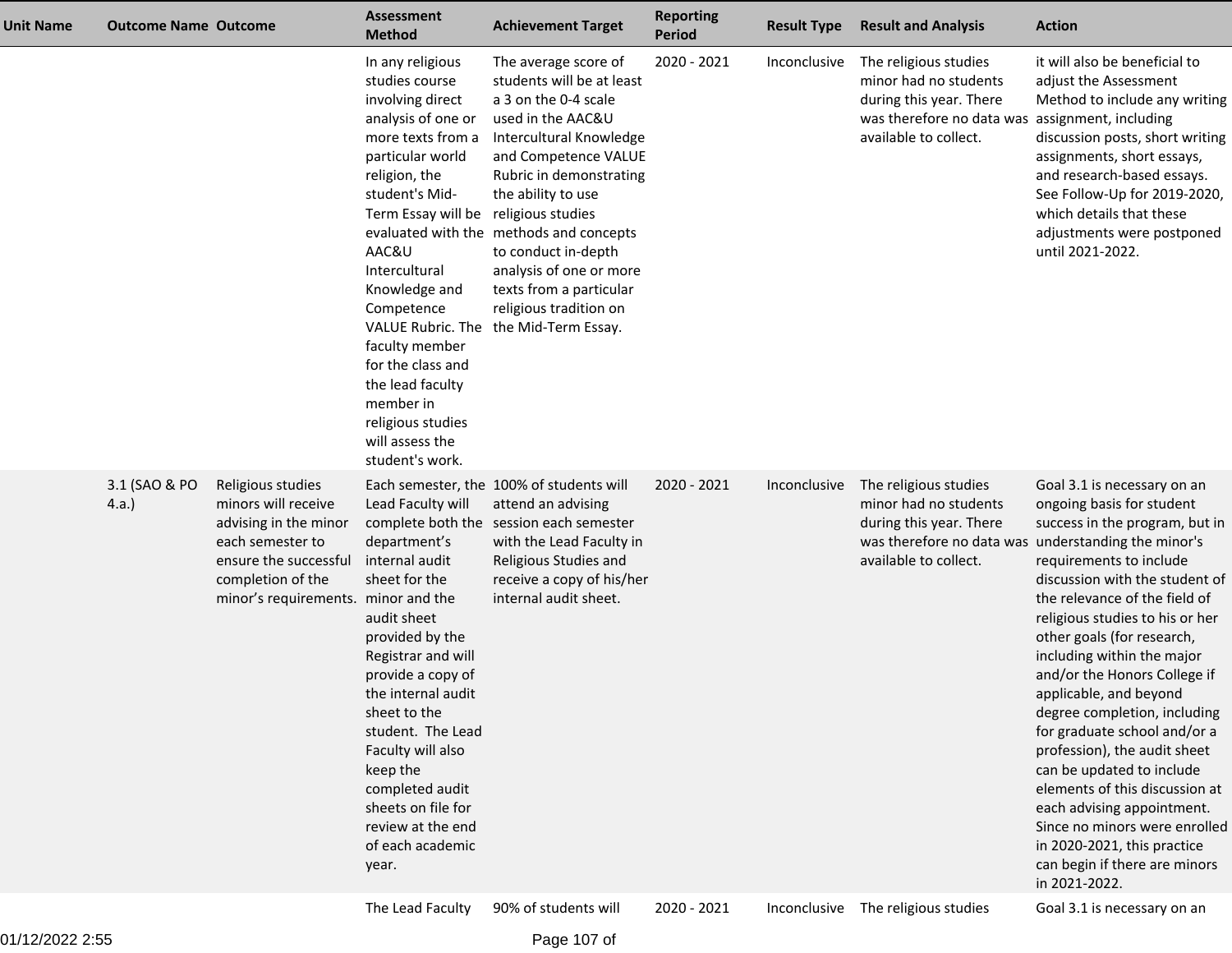| <b>Unit Name</b> | <b>Outcome Name Outcome</b> |                                                                                                                                                                            | <b>Assessment</b><br><b>Method</b>                                                                                                                                                                                                                                                                                                                                                           | <b>Achievement Target</b>                                                                                                                                                                                                                                                                                                                                                                     | <b>Reporting</b><br><b>Period</b> | <b>Result Type</b> | <b>Result and Analysis</b>                                                                                                                                | <b>Action</b>                                                                                                                                                                                                                                                                                                                                                                                                                                                                                                                                                                                                                                                    |
|------------------|-----------------------------|----------------------------------------------------------------------------------------------------------------------------------------------------------------------------|----------------------------------------------------------------------------------------------------------------------------------------------------------------------------------------------------------------------------------------------------------------------------------------------------------------------------------------------------------------------------------------------|-----------------------------------------------------------------------------------------------------------------------------------------------------------------------------------------------------------------------------------------------------------------------------------------------------------------------------------------------------------------------------------------------|-----------------------------------|--------------------|-----------------------------------------------------------------------------------------------------------------------------------------------------------|------------------------------------------------------------------------------------------------------------------------------------------------------------------------------------------------------------------------------------------------------------------------------------------------------------------------------------------------------------------------------------------------------------------------------------------------------------------------------------------------------------------------------------------------------------------------------------------------------------------------------------------------------------------|
|                  |                             |                                                                                                                                                                            | In any religious<br>studies course<br>involving direct<br>analysis of one or<br>more texts from a<br>particular world<br>religion, the<br>student's Mid-<br>Term Essay will be religious studies<br>AAC&U<br>Intercultural<br>Knowledge and<br>Competence<br>faculty member<br>for the class and<br>the lead faculty<br>member in<br>religious studies<br>will assess the<br>student's work. | The average score of<br>students will be at least<br>a 3 on the 0-4 scale<br>used in the AAC&U<br>Intercultural Knowledge<br>and Competence VALUE<br>Rubric in demonstrating<br>the ability to use<br>evaluated with the methods and concepts<br>to conduct in-depth<br>analysis of one or more<br>texts from a particular<br>religious tradition on<br>VALUE Rubric. The the Mid-Term Essay. | 2020 - 2021                       | Inconclusive       | The religious studies<br>minor had no students<br>during this year. There<br>was therefore no data was assignment, including<br>available to collect.     | it will also be beneficial to<br>adjust the Assessment<br>Method to include any writing<br>discussion posts, short writing<br>assignments, short essays,<br>and research-based essays.<br>See Follow-Up for 2019-2020,<br>which details that these<br>adjustments were postponed<br>until 2021-2022.                                                                                                                                                                                                                                                                                                                                                             |
|                  | 3.1 (SAO & PO<br>4.a.       | Religious studies<br>minors will receive<br>advising in the minor<br>each semester to<br>ensure the successful<br>completion of the<br>minor's requirements. minor and the | Lead Faculty will<br>department's<br>internal audit<br>sheet for the<br>audit sheet<br>provided by the<br>Registrar and will<br>provide a copy of<br>the internal audit<br>sheet to the<br>student. The Lead<br>Faculty will also<br>keep the<br>completed audit<br>sheets on file for<br>review at the end<br>of each academic<br>year.                                                     | Each semester, the 100% of students will<br>attend an advising<br>complete both the session each semester<br>with the Lead Faculty in<br>Religious Studies and<br>receive a copy of his/her<br>internal audit sheet.                                                                                                                                                                          | 2020 - 2021                       | Inconclusive       | The religious studies<br>minor had no students<br>during this year. There<br>was therefore no data was understanding the minor's<br>available to collect. | Goal 3.1 is necessary on an<br>ongoing basis for student<br>success in the program, but in<br>requirements to include<br>discussion with the student of<br>the relevance of the field of<br>religious studies to his or her<br>other goals (for research,<br>including within the major<br>and/or the Honors College if<br>applicable, and beyond<br>degree completion, including<br>for graduate school and/or a<br>profession), the audit sheet<br>can be updated to include<br>elements of this discussion at<br>each advising appointment.<br>Since no minors were enrolled<br>in 2020-2021, this practice<br>can begin if there are minors<br>in 2021-2022. |
|                  |                             |                                                                                                                                                                            | The Lead Faculty                                                                                                                                                                                                                                                                                                                                                                             | 90% of students will                                                                                                                                                                                                                                                                                                                                                                          | 2020 - 2021                       |                    | Inconclusive The religious studies                                                                                                                        | Goal 3.1 is necessary on an                                                                                                                                                                                                                                                                                                                                                                                                                                                                                                                                                                                                                                      |

Page 107 of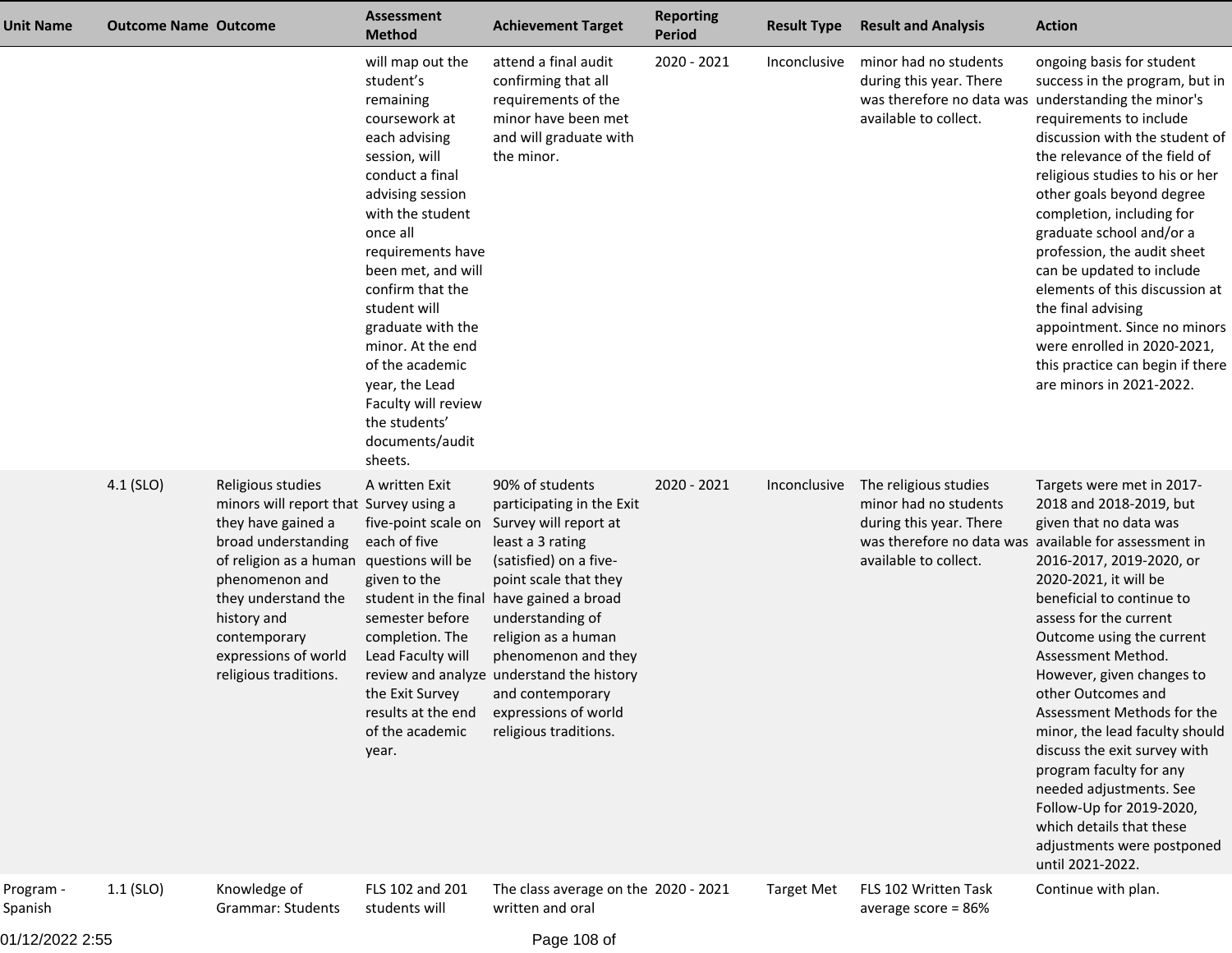| Unit Name            | <b>Outcome Name Outcome</b> |                                                                                                                                                                                                                                                                               | <b>Assessment</b><br><b>Method</b>                                                                                                                                                                                                                                                                                                                                                                       | <b>Achievement Target</b>                                                                                                                                                                                                                                                                                                                                                    | <b>Reporting</b><br><b>Period</b> | <b>Result Type</b> | <b>Result and Analysis</b>                                                                                                       | <b>Action</b>                                                                                                                                                                                                                                                                                                                                                                                                                                                                                                                                                                                                             |
|----------------------|-----------------------------|-------------------------------------------------------------------------------------------------------------------------------------------------------------------------------------------------------------------------------------------------------------------------------|----------------------------------------------------------------------------------------------------------------------------------------------------------------------------------------------------------------------------------------------------------------------------------------------------------------------------------------------------------------------------------------------------------|------------------------------------------------------------------------------------------------------------------------------------------------------------------------------------------------------------------------------------------------------------------------------------------------------------------------------------------------------------------------------|-----------------------------------|--------------------|----------------------------------------------------------------------------------------------------------------------------------|---------------------------------------------------------------------------------------------------------------------------------------------------------------------------------------------------------------------------------------------------------------------------------------------------------------------------------------------------------------------------------------------------------------------------------------------------------------------------------------------------------------------------------------------------------------------------------------------------------------------------|
|                      |                             |                                                                                                                                                                                                                                                                               | will map out the<br>student's<br>remaining<br>coursework at<br>each advising<br>session, will<br>conduct a final<br>advising session<br>with the student<br>once all<br>requirements have<br>been met, and will<br>confirm that the<br>student will<br>graduate with the<br>minor. At the end<br>of the academic<br>year, the Lead<br>Faculty will review<br>the students'<br>documents/audit<br>sheets. | attend a final audit<br>confirming that all<br>requirements of the<br>minor have been met<br>and will graduate with<br>the minor.                                                                                                                                                                                                                                            | 2020 - 2021                       | Inconclusive       | minor had no students<br>during this year. There<br>was therefore no data was understanding the minor's<br>available to collect. | ongoing basis for student<br>success in the program, but in<br>requirements to include<br>discussion with the student of<br>the relevance of the field of<br>religious studies to his or her<br>other goals beyond degree<br>completion, including for<br>graduate school and/or a<br>profession, the audit sheet<br>can be updated to include<br>elements of this discussion at<br>the final advising<br>appointment. Since no minors<br>were enrolled in 2020-2021,<br>this practice can begin if there<br>are minors in 2021-2022.                                                                                     |
|                      | 4.1 (SLO)                   | Religious studies<br>minors will report that Survey using a<br>they have gained a<br>broad understanding<br>of religion as a human questions will be<br>phenomenon and<br>they understand the<br>history and<br>contemporary<br>expressions of world<br>religious traditions. | A written Exit<br>five-point scale on<br>each of five<br>given to the<br>semester before<br>completion. The<br>Lead Faculty will<br>the Exit Survey<br>results at the end<br>of the academic<br>year.                                                                                                                                                                                                    | 90% of students<br>participating in the Exit<br>Survey will report at<br>least a 3 rating<br>(satisfied) on a five-<br>point scale that they<br>student in the final have gained a broad<br>understanding of<br>religion as a human<br>phenomenon and they<br>review and analyze understand the history<br>and contemporary<br>expressions of world<br>religious traditions. | 2020 - 2021                       | Inconclusive       | The religious studies<br>minor had no students<br>during this year. There<br>available to collect.                               | Targets were met in 2017-<br>2018 and 2018-2019, but<br>given that no data was<br>was therefore no data was available for assessment in<br>2016-2017, 2019-2020, or<br>2020-2021, it will be<br>beneficial to continue to<br>assess for the current<br>Outcome using the current<br>Assessment Method.<br>However, given changes to<br>other Outcomes and<br>Assessment Methods for the<br>minor, the lead faculty should<br>discuss the exit survey with<br>program faculty for any<br>needed adjustments. See<br>Follow-Up for 2019-2020,<br>which details that these<br>adjustments were postponed<br>until 2021-2022. |
| Program -<br>Spanish | $1.1$ (SLO)                 | Knowledge of<br><b>Grammar: Students</b>                                                                                                                                                                                                                                      | FLS 102 and 201<br>students will                                                                                                                                                                                                                                                                                                                                                                         | The class average on the 2020 - 2021<br>written and oral                                                                                                                                                                                                                                                                                                                     |                                   | <b>Target Met</b>  | FLS 102 Written Task<br>average score = $86%$                                                                                    | Continue with plan.                                                                                                                                                                                                                                                                                                                                                                                                                                                                                                                                                                                                       |

Page 108 of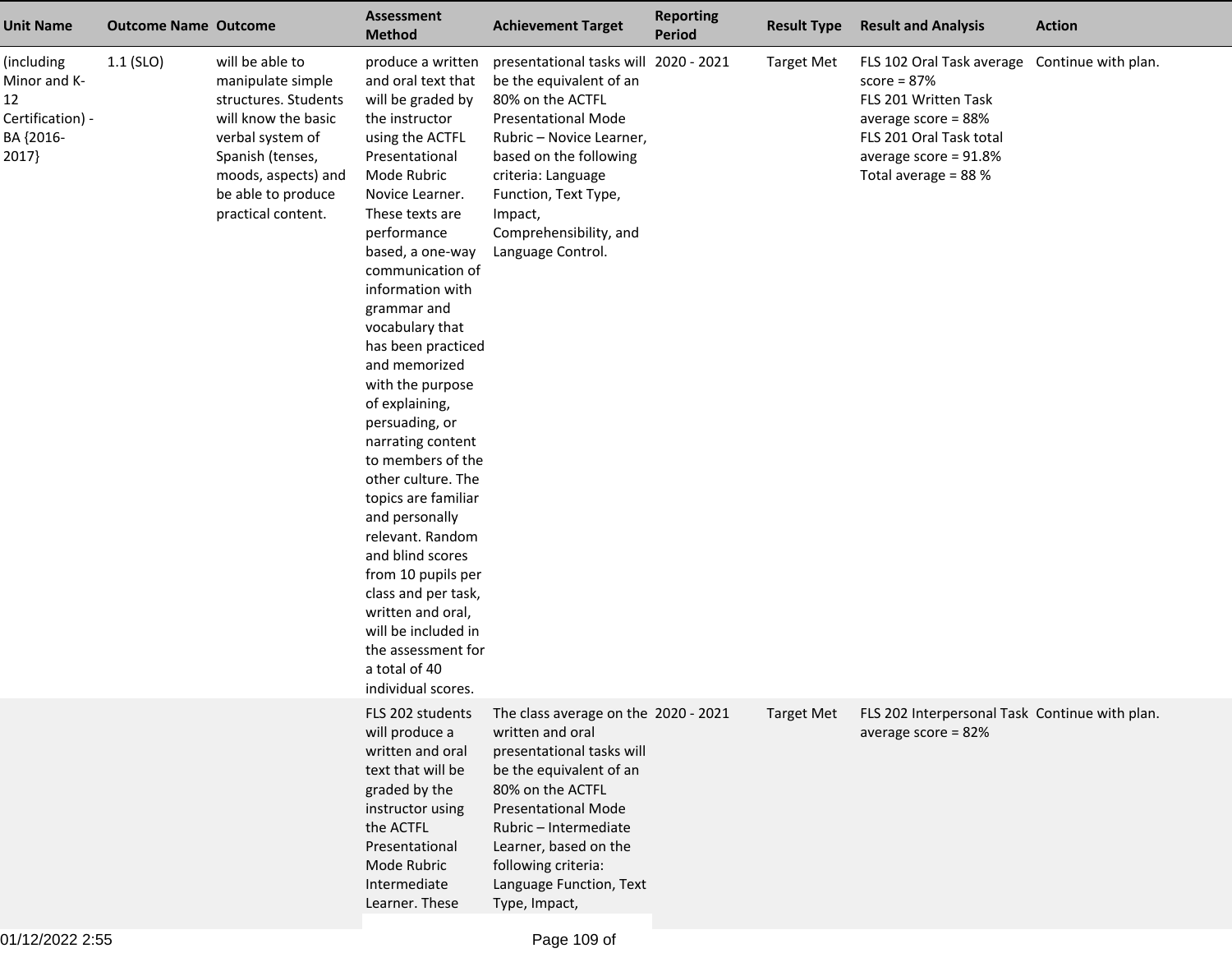| <b>Unit Name</b>                                                           | <b>Outcome Name Outcome</b> |                                                                                                                                                                                                | <b>Assessment</b><br><b>Method</b>                                                                                                                                                                                                                                                                                                                                                                                                                                                                                                                                                                                                                                                          | <b>Achievement Target</b>                                                                                                                                                                                                                                                               | <b>Reporting</b><br><b>Period</b> | <b>Result Type</b> | <b>Result and Analysis</b>                                                                                                                                                                | <b>Action</b> |
|----------------------------------------------------------------------------|-----------------------------|------------------------------------------------------------------------------------------------------------------------------------------------------------------------------------------------|---------------------------------------------------------------------------------------------------------------------------------------------------------------------------------------------------------------------------------------------------------------------------------------------------------------------------------------------------------------------------------------------------------------------------------------------------------------------------------------------------------------------------------------------------------------------------------------------------------------------------------------------------------------------------------------------|-----------------------------------------------------------------------------------------------------------------------------------------------------------------------------------------------------------------------------------------------------------------------------------------|-----------------------------------|--------------------|-------------------------------------------------------------------------------------------------------------------------------------------------------------------------------------------|---------------|
| (including<br>Minor and K-<br>12<br>Certification) -<br>BA {2016-<br>2017} | $1.1$ (SLO)                 | will be able to<br>manipulate simple<br>structures. Students<br>will know the basic<br>verbal system of<br>Spanish (tenses,<br>moods, aspects) and<br>be able to produce<br>practical content. | produce a written<br>and oral text that<br>will be graded by<br>the instructor<br>using the ACTFL<br>Presentational<br>Mode Rubric<br>Novice Learner.<br>These texts are<br>performance<br>based, a one-way<br>communication of<br>information with<br>grammar and<br>vocabulary that<br>has been practiced<br>and memorized<br>with the purpose<br>of explaining,<br>persuading, or<br>narrating content<br>to members of the<br>other culture. The<br>topics are familiar<br>and personally<br>relevant. Random<br>and blind scores<br>from 10 pupils per<br>class and per task,<br>written and oral,<br>will be included in<br>the assessment for<br>a total of 40<br>individual scores. | presentational tasks will 2020 - 2021<br>be the equivalent of an<br>80% on the ACTFL<br><b>Presentational Mode</b><br>Rubric - Novice Learner,<br>based on the following<br>criteria: Language<br>Function, Text Type,<br>Impact,<br>Comprehensibility, and<br>Language Control.        |                                   | <b>Target Met</b>  | FLS 102 Oral Task average Continue with plan.<br>$score = 87%$<br>FLS 201 Written Task<br>average score = 88%<br>FLS 201 Oral Task total<br>average score = 91.8%<br>Total average = 88 % |               |
|                                                                            |                             |                                                                                                                                                                                                | FLS 202 students<br>will produce a<br>written and oral<br>text that will be<br>graded by the<br>instructor using<br>the ACTFL<br>Presentational<br>Mode Rubric<br>Intermediate<br>Learner. These                                                                                                                                                                                                                                                                                                                                                                                                                                                                                            | The class average on the 2020 - 2021<br>written and oral<br>presentational tasks will<br>be the equivalent of an<br>80% on the ACTFL<br><b>Presentational Mode</b><br>Rubric - Intermediate<br>Learner, based on the<br>following criteria:<br>Language Function, Text<br>Type, Impact, |                                   | <b>Target Met</b>  | FLS 202 Interpersonal Task Continue with plan.<br>average score = $82%$                                                                                                                   |               |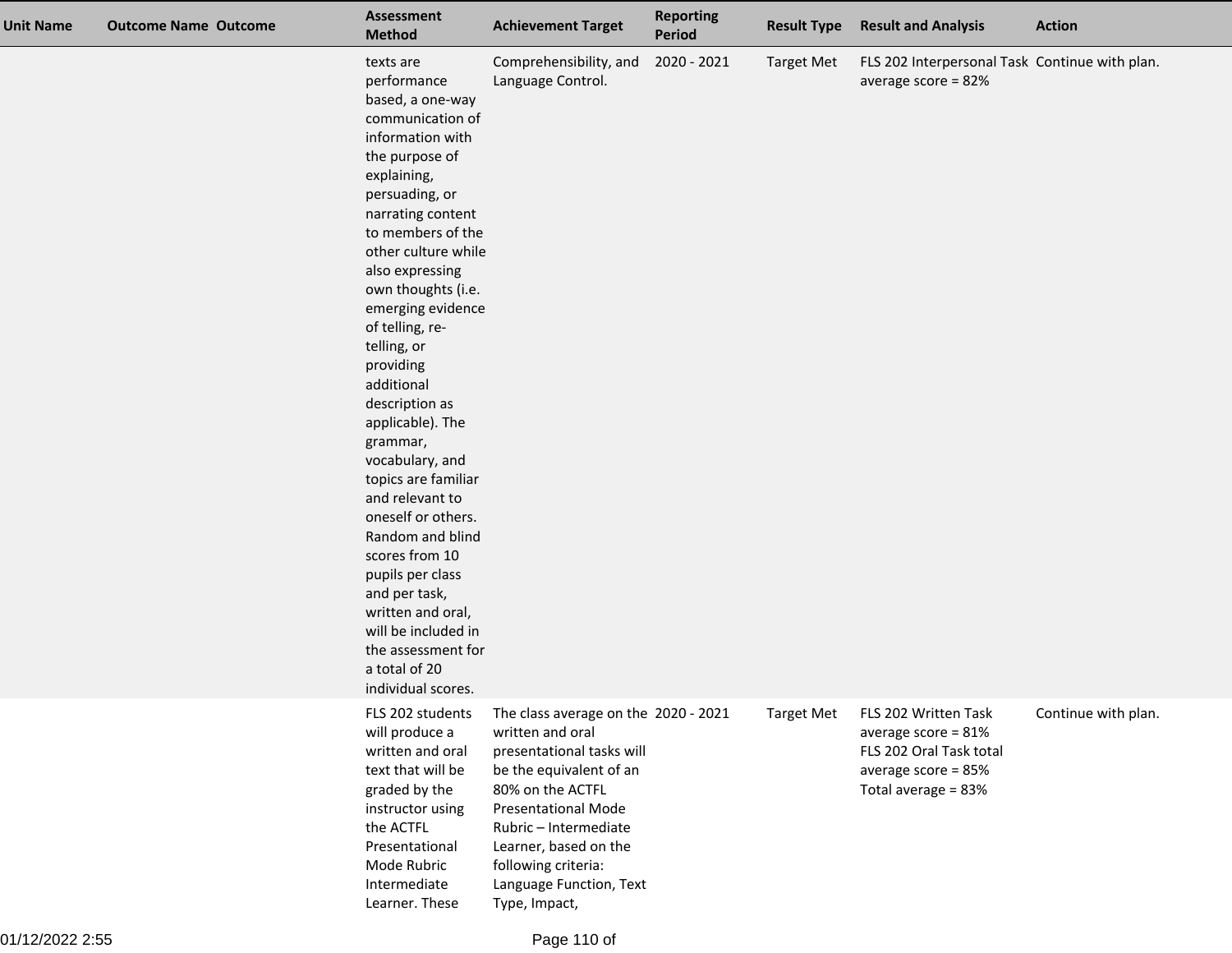| <b>Unit Name</b> | <b>Outcome Name Outcome</b> | <b>Assessment</b><br><b>Method</b>                                                                                                                                                                                                                                                                                                                                                                                                                                                                                                                                                                                                                           | <b>Achievement Target</b>                                                                                                                                                                                                                                                               | <b>Reporting</b><br><b>Period</b> | <b>Result Type</b> | <b>Result and Analysis</b>                                                                                              | <b>Action</b>       |
|------------------|-----------------------------|--------------------------------------------------------------------------------------------------------------------------------------------------------------------------------------------------------------------------------------------------------------------------------------------------------------------------------------------------------------------------------------------------------------------------------------------------------------------------------------------------------------------------------------------------------------------------------------------------------------------------------------------------------------|-----------------------------------------------------------------------------------------------------------------------------------------------------------------------------------------------------------------------------------------------------------------------------------------|-----------------------------------|--------------------|-------------------------------------------------------------------------------------------------------------------------|---------------------|
|                  |                             | texts are<br>performance<br>based, a one-way<br>communication of<br>information with<br>the purpose of<br>explaining,<br>persuading, or<br>narrating content<br>to members of the<br>other culture while<br>also expressing<br>own thoughts (i.e.<br>emerging evidence<br>of telling, re-<br>telling, or<br>providing<br>additional<br>description as<br>applicable). The<br>grammar,<br>vocabulary, and<br>topics are familiar<br>and relevant to<br>oneself or others.<br>Random and blind<br>scores from 10<br>pupils per class<br>and per task,<br>written and oral,<br>will be included in<br>the assessment for<br>a total of 20<br>individual scores. | Comprehensibility, and<br>Language Control.                                                                                                                                                                                                                                             | 2020 - 2021                       | <b>Target Met</b>  | FLS 202 Interpersonal Task Continue with plan.<br>average score = $82%$                                                 |                     |
|                  |                             | FLS 202 students<br>will produce a<br>written and oral<br>text that will be<br>graded by the<br>instructor using<br>the ACTFL<br>Presentational<br>Mode Rubric<br>Intermediate<br>Learner. These                                                                                                                                                                                                                                                                                                                                                                                                                                                             | The class average on the 2020 - 2021<br>written and oral<br>presentational tasks will<br>be the equivalent of an<br>80% on the ACTFL<br><b>Presentational Mode</b><br>Rubric - Intermediate<br>Learner, based on the<br>following criteria:<br>Language Function, Text<br>Type, Impact, |                                   | <b>Target Met</b>  | FLS 202 Written Task<br>average score = $81\%$<br>FLS 202 Oral Task total<br>average score = 85%<br>Total average = 83% | Continue with plan. |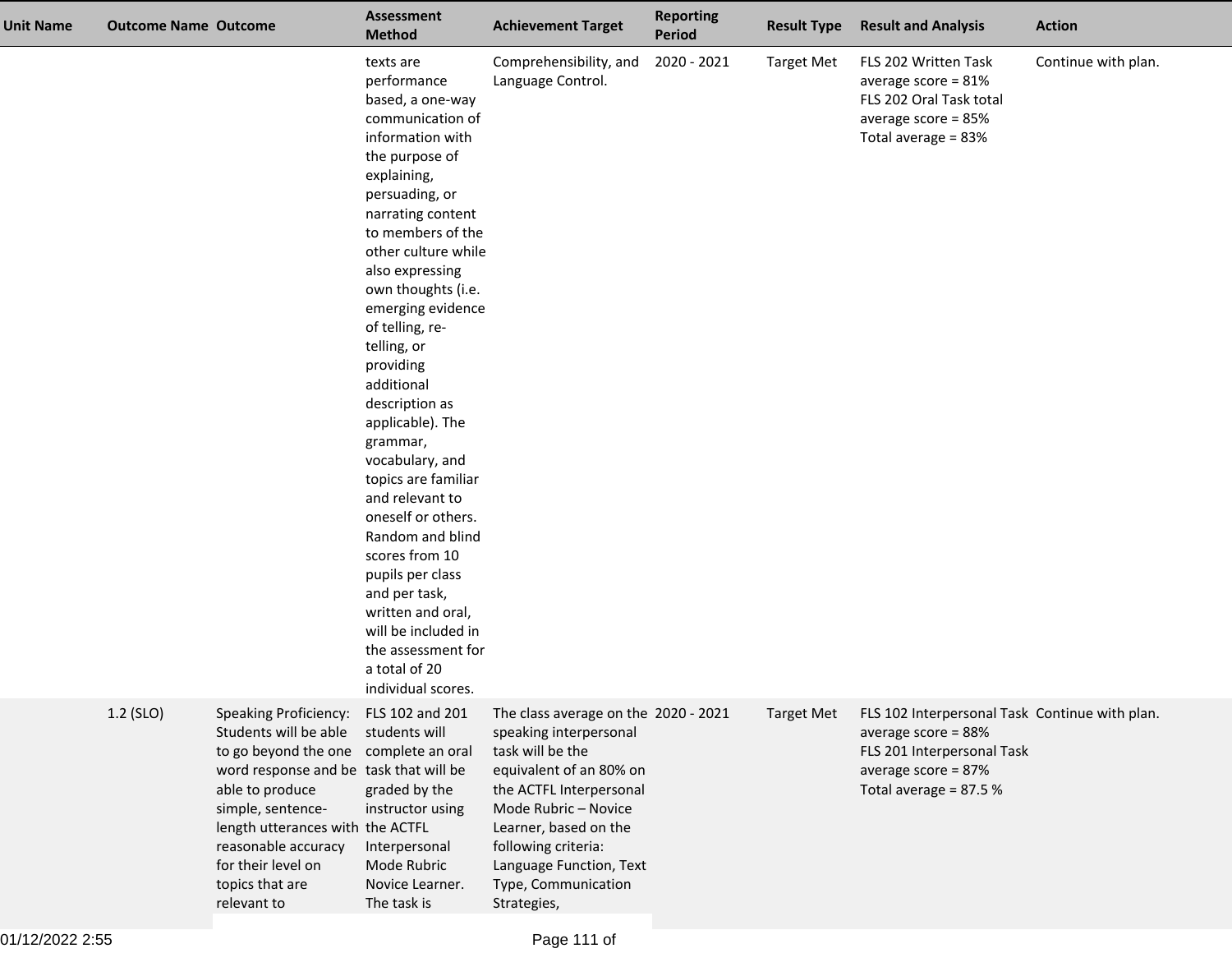| <b>Unit Name</b> | <b>Outcome Name Outcome</b> |                                                                                                                                                                                                                                                                                                     | Assessment<br><b>Method</b>                                                                                                                                                                                                                                                                                                                                                                                                                                                                                                                                                                                                                                  | <b>Achievement Target</b>                                                                                                                                                                                                                                                         | <b>Reporting</b><br><b>Period</b> | <b>Result Type</b> | <b>Result and Analysis</b>                                                                                                                           | <b>Action</b>       |
|------------------|-----------------------------|-----------------------------------------------------------------------------------------------------------------------------------------------------------------------------------------------------------------------------------------------------------------------------------------------------|--------------------------------------------------------------------------------------------------------------------------------------------------------------------------------------------------------------------------------------------------------------------------------------------------------------------------------------------------------------------------------------------------------------------------------------------------------------------------------------------------------------------------------------------------------------------------------------------------------------------------------------------------------------|-----------------------------------------------------------------------------------------------------------------------------------------------------------------------------------------------------------------------------------------------------------------------------------|-----------------------------------|--------------------|------------------------------------------------------------------------------------------------------------------------------------------------------|---------------------|
|                  |                             |                                                                                                                                                                                                                                                                                                     | texts are<br>performance<br>based, a one-way<br>communication of<br>information with<br>the purpose of<br>explaining,<br>persuading, or<br>narrating content<br>to members of the<br>other culture while<br>also expressing<br>own thoughts (i.e.<br>emerging evidence<br>of telling, re-<br>telling, or<br>providing<br>additional<br>description as<br>applicable). The<br>grammar,<br>vocabulary, and<br>topics are familiar<br>and relevant to<br>oneself or others.<br>Random and blind<br>scores from 10<br>pupils per class<br>and per task,<br>written and oral,<br>will be included in<br>the assessment for<br>a total of 20<br>individual scores. | Comprehensibility, and<br>Language Control.                                                                                                                                                                                                                                       | 2020 - 2021                       | <b>Target Met</b>  | FLS 202 Written Task<br>average score = $81\%$<br>FLS 202 Oral Task total<br>average score = $85%$<br>Total average = 83%                            | Continue with plan. |
|                  | 1.2 (SLO)                   | <b>Speaking Proficiency:</b><br>Students will be able<br>to go beyond the one complete an oral<br>word response and be task that will be<br>able to produce<br>simple, sentence-<br>length utterances with the ACTFL<br>reasonable accuracy<br>for their level on<br>topics that are<br>relevant to | FLS 102 and 201<br>students will<br>graded by the<br>instructor using<br>Interpersonal<br>Mode Rubric<br>Novice Learner.<br>The task is                                                                                                                                                                                                                                                                                                                                                                                                                                                                                                                      | The class average on the 2020 - 2021<br>speaking interpersonal<br>task will be the<br>equivalent of an 80% on<br>the ACTFL Interpersonal<br>Mode Rubric - Novice<br>Learner, based on the<br>following criteria:<br>Language Function, Text<br>Type, Communication<br>Strategies, |                                   | <b>Target Met</b>  | FLS 102 Interpersonal Task Continue with plan.<br>average score = 88%<br>FLS 201 Interpersonal Task<br>average score = 87%<br>Total average = 87.5 % |                     |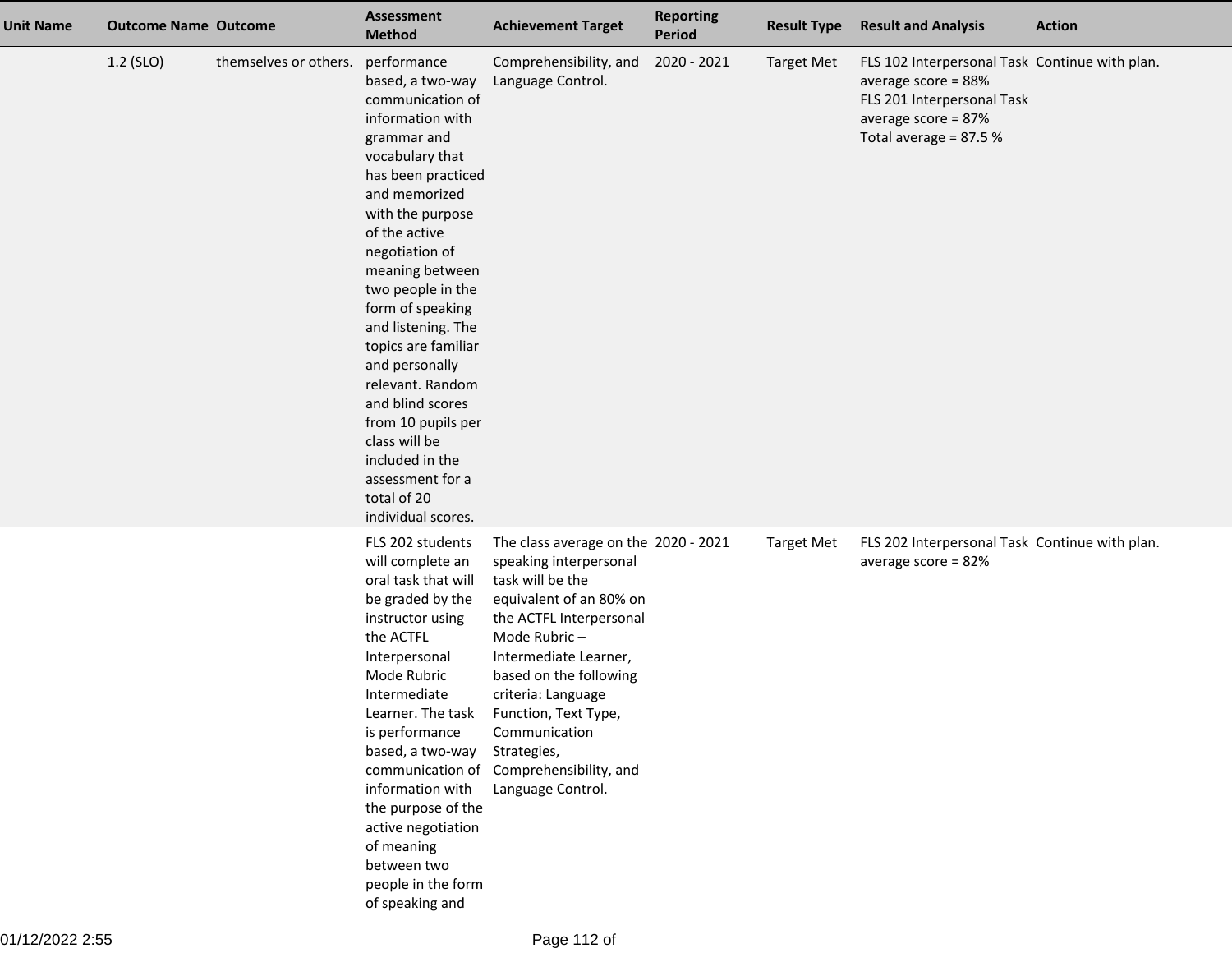| Unit Name | <b>Outcome Name Outcome</b> |                       | <b>Assessment</b><br><b>Method</b>                                                                                                                                                                                                                                                                                                                                                                                                                                                            | <b>Achievement Target</b>                                                                                                                                                                                                                                                                                                                                 | <b>Reporting</b><br><b>Period</b> | <b>Result Type</b> | <b>Result and Analysis</b>                                                                                                                              | <b>Action</b> |
|-----------|-----------------------------|-----------------------|-----------------------------------------------------------------------------------------------------------------------------------------------------------------------------------------------------------------------------------------------------------------------------------------------------------------------------------------------------------------------------------------------------------------------------------------------------------------------------------------------|-----------------------------------------------------------------------------------------------------------------------------------------------------------------------------------------------------------------------------------------------------------------------------------------------------------------------------------------------------------|-----------------------------------|--------------------|---------------------------------------------------------------------------------------------------------------------------------------------------------|---------------|
|           | 1.2 (SLO)                   | themselves or others. | performance<br>based, a two-way<br>communication of<br>information with<br>grammar and<br>vocabulary that<br>has been practiced<br>and memorized<br>with the purpose<br>of the active<br>negotiation of<br>meaning between<br>two people in the<br>form of speaking<br>and listening. The<br>topics are familiar<br>and personally<br>relevant. Random<br>and blind scores<br>from 10 pupils per<br>class will be<br>included in the<br>assessment for a<br>total of 20<br>individual scores. | Comprehensibility, and<br>Language Control.                                                                                                                                                                                                                                                                                                               | 2020 - 2021                       | <b>Target Met</b>  | FLS 102 Interpersonal Task Continue with plan.<br>average score = 88%<br>FLS 201 Interpersonal Task<br>average score = $87%$<br>Total average = $87.5%$ |               |
|           |                             |                       | FLS 202 students<br>will complete an<br>oral task that will<br>be graded by the<br>instructor using<br>the ACTFL<br>Interpersonal<br>Mode Rubric<br>Intermediate<br>Learner. The task<br>is performance<br>based, a two-way<br>information with<br>the purpose of the<br>active negotiation<br>of meaning<br>between two<br>people in the form<br>of speaking and                                                                                                                             | The class average on the 2020 - 2021<br>speaking interpersonal<br>task will be the<br>equivalent of an 80% on<br>the ACTFL Interpersonal<br>Mode Rubric-<br>Intermediate Learner,<br>based on the following<br>criteria: Language<br>Function, Text Type,<br>Communication<br>Strategies,<br>communication of Comprehensibility, and<br>Language Control. |                                   | <b>Target Met</b>  | FLS 202 Interpersonal Task Continue with plan.<br>average score = $82%$                                                                                 |               |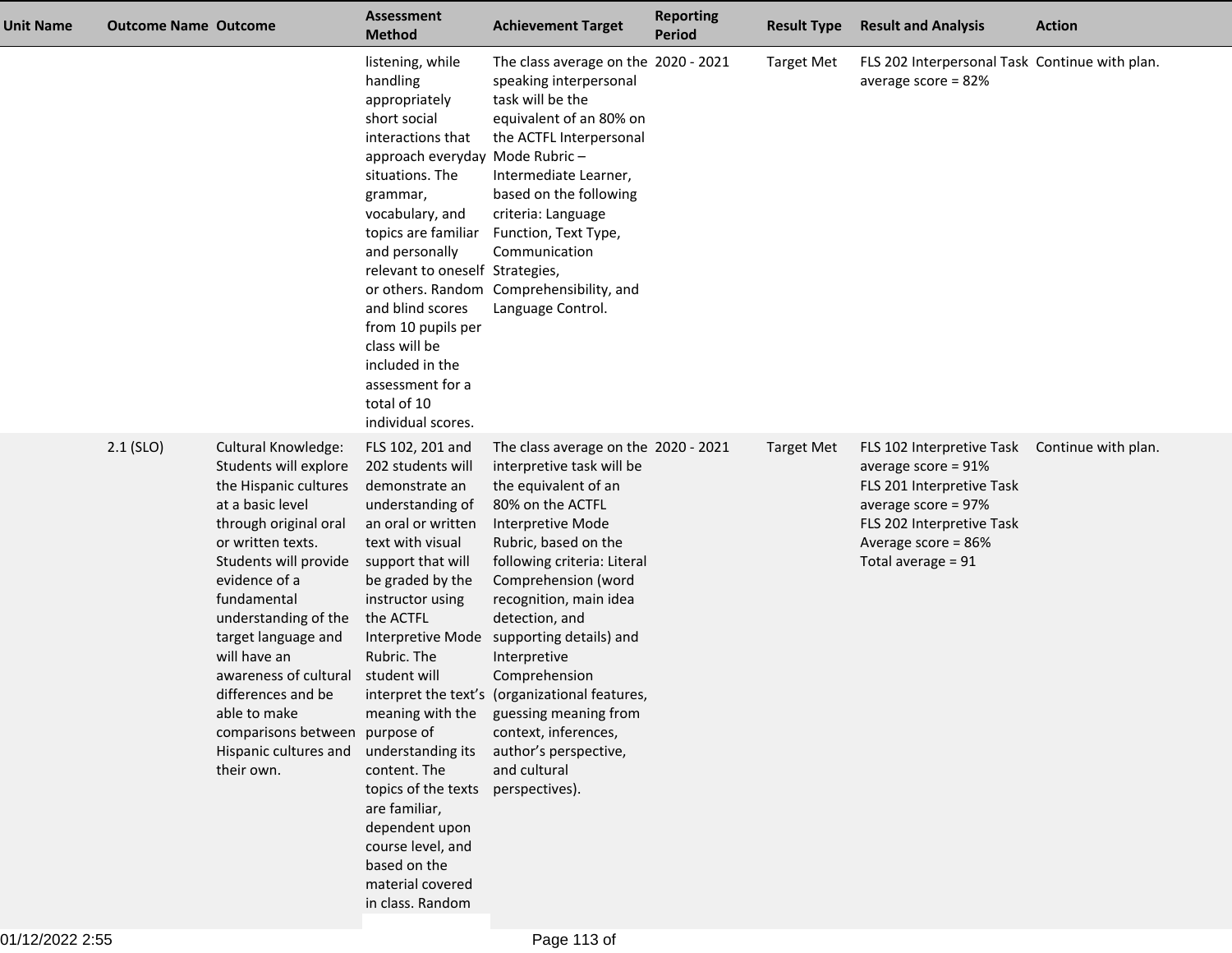| Unit Name | <b>Outcome Name Outcome</b> |                                                                                                                                                                                                                                                                                                                                                                                                         | <b>Assessment</b><br><b>Method</b>                                                                                                                                                                                                                                                                                                                                                                                             | <b>Achievement Target</b>                                                                                                                                                                                                                                                                                                                                                                                                                                                                                | <b>Reporting</b><br><b>Period</b> | <b>Result Type</b> | <b>Result and Analysis</b>                                                                                                                                                           | <b>Action</b>       |
|-----------|-----------------------------|---------------------------------------------------------------------------------------------------------------------------------------------------------------------------------------------------------------------------------------------------------------------------------------------------------------------------------------------------------------------------------------------------------|--------------------------------------------------------------------------------------------------------------------------------------------------------------------------------------------------------------------------------------------------------------------------------------------------------------------------------------------------------------------------------------------------------------------------------|----------------------------------------------------------------------------------------------------------------------------------------------------------------------------------------------------------------------------------------------------------------------------------------------------------------------------------------------------------------------------------------------------------------------------------------------------------------------------------------------------------|-----------------------------------|--------------------|--------------------------------------------------------------------------------------------------------------------------------------------------------------------------------------|---------------------|
|           |                             |                                                                                                                                                                                                                                                                                                                                                                                                         | listening, while<br>handling<br>appropriately<br>short social<br>interactions that<br>approach everyday Mode Rubric-<br>situations. The<br>grammar,<br>vocabulary, and<br>topics are familiar<br>and personally<br>relevant to oneself Strategies,<br>and blind scores<br>from 10 pupils per<br>class will be<br>included in the<br>assessment for a<br>total of 10<br>individual scores.                                      | The class average on the 2020 - 2021<br>speaking interpersonal<br>task will be the<br>equivalent of an 80% on<br>the ACTFL Interpersonal<br>Intermediate Learner,<br>based on the following<br>criteria: Language<br>Function, Text Type,<br>Communication<br>or others. Random Comprehensibility, and<br>Language Control.                                                                                                                                                                              |                                   | <b>Target Met</b>  | FLS 202 Interpersonal Task Continue with plan.<br>average score = 82%                                                                                                                |                     |
|           | $2.1$ (SLO)                 | Cultural Knowledge:<br>Students will explore<br>the Hispanic cultures<br>at a basic level<br>through original oral<br>or written texts.<br>Students will provide<br>evidence of a<br>fundamental<br>understanding of the<br>target language and<br>will have an<br>awareness of cultural<br>differences and be<br>able to make<br>comparisons between purpose of<br>Hispanic cultures and<br>their own. | FLS 102, 201 and<br>202 students will<br>demonstrate an<br>understanding of<br>an oral or written<br>text with visual<br>support that will<br>be graded by the<br>instructor using<br>the ACTFL<br>Rubric. The<br>student will<br>meaning with the<br>understanding its<br>content. The<br>topics of the texts<br>are familiar,<br>dependent upon<br>course level, and<br>based on the<br>material covered<br>in class. Random | The class average on the 2020 - 2021<br>interpretive task will be<br>the equivalent of an<br>80% on the ACTFL<br>Interpretive Mode<br>Rubric, based on the<br>following criteria: Literal<br>Comprehension (word<br>recognition, main idea<br>detection, and<br>Interpretive Mode supporting details) and<br>Interpretive<br>Comprehension<br>interpret the text's (organizational features,<br>guessing meaning from<br>context, inferences,<br>author's perspective,<br>and cultural<br>perspectives). |                                   | <b>Target Met</b>  | FLS 102 Interpretive Task<br>average score = $91\%$<br>FLS 201 Interpretive Task<br>average score = $97\%$<br>FLS 202 Interpretive Task<br>Average score = 86%<br>Total average = 91 | Continue with plan. |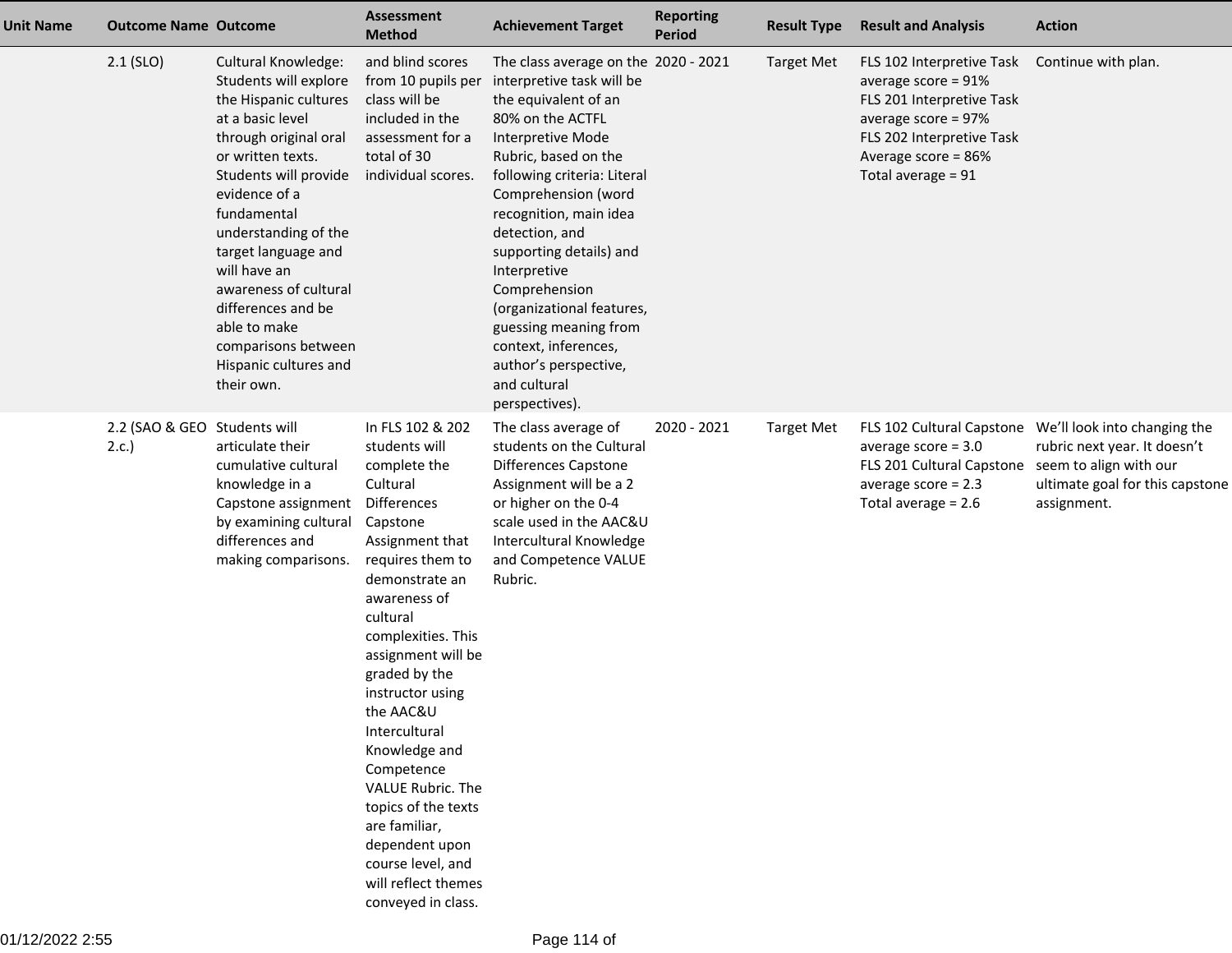| <b>Unit Name</b> | <b>Outcome Name Outcome</b>          |                                                                                                                                                                                                                                                                                                                                                                                                     | <b>Assessment</b><br><b>Method</b>                                                                                                                                                                                                                                                                                                                                                                                                                                           | <b>Achievement Target</b>                                                                                                                                                                                                                                                                                                                                                                                                                                         | <b>Reporting</b><br><b>Period</b> | <b>Result Type</b> | <b>Result and Analysis</b>                                                                                                                                                        | <b>Action</b>                                                                                                                            |
|------------------|--------------------------------------|-----------------------------------------------------------------------------------------------------------------------------------------------------------------------------------------------------------------------------------------------------------------------------------------------------------------------------------------------------------------------------------------------------|------------------------------------------------------------------------------------------------------------------------------------------------------------------------------------------------------------------------------------------------------------------------------------------------------------------------------------------------------------------------------------------------------------------------------------------------------------------------------|-------------------------------------------------------------------------------------------------------------------------------------------------------------------------------------------------------------------------------------------------------------------------------------------------------------------------------------------------------------------------------------------------------------------------------------------------------------------|-----------------------------------|--------------------|-----------------------------------------------------------------------------------------------------------------------------------------------------------------------------------|------------------------------------------------------------------------------------------------------------------------------------------|
|                  | $2.1$ (SLO)                          | <b>Cultural Knowledge:</b><br>Students will explore<br>the Hispanic cultures<br>at a basic level<br>through original oral<br>or written texts.<br>Students will provide<br>evidence of a<br>fundamental<br>understanding of the<br>target language and<br>will have an<br>awareness of cultural<br>differences and be<br>able to make<br>comparisons between<br>Hispanic cultures and<br>their own. | and blind scores<br>from 10 pupils per<br>class will be<br>included in the<br>assessment for a<br>total of 30<br>individual scores.                                                                                                                                                                                                                                                                                                                                          | The class average on the 2020 - 2021<br>interpretive task will be<br>the equivalent of an<br>80% on the ACTFL<br>Interpretive Mode<br>Rubric, based on the<br>following criteria: Literal<br>Comprehension (word<br>recognition, main idea<br>detection, and<br>supporting details) and<br>Interpretive<br>Comprehension<br>(organizational features,<br>guessing meaning from<br>context, inferences,<br>author's perspective,<br>and cultural<br>perspectives). |                                   | <b>Target Met</b>  | FLS 102 Interpretive Task<br>average score = $91\%$<br>FLS 201 Interpretive Task<br>average score = 97%<br>FLS 202 Interpretive Task<br>Average score = 86%<br>Total average = 91 | Continue with plan.                                                                                                                      |
|                  | 2.2 (SAO & GEO Students will<br>2.c. | articulate their<br>cumulative cultural<br>knowledge in a<br>Capstone assignment<br>by examining cultural<br>differences and<br>making comparisons.                                                                                                                                                                                                                                                 | In FLS 102 & 202<br>students will<br>complete the<br>Cultural<br>Differences<br>Capstone<br>Assignment that<br>requires them to<br>demonstrate an<br>awareness of<br>cultural<br>complexities. This<br>assignment will be<br>graded by the<br>instructor using<br>the AAC&U<br>Intercultural<br>Knowledge and<br>Competence<br>VALUE Rubric. The<br>topics of the texts<br>are familiar,<br>dependent upon<br>course level, and<br>will reflect themes<br>conveyed in class. | The class average of<br>students on the Cultural<br><b>Differences Capstone</b><br>Assignment will be a 2<br>or higher on the 0-4<br>scale used in the AAC&U<br>Intercultural Knowledge<br>and Competence VALUE<br>Rubric.                                                                                                                                                                                                                                        | 2020 - 2021                       | <b>Target Met</b>  | FLS 102 Cultural Capstone<br>average score $= 3.0$<br>FLS 201 Cultural Capstone<br>average score $= 2.3$<br>Total average = $2.6$                                                 | We'll look into changing the<br>rubric next year. It doesn't<br>seem to align with our<br>ultimate goal for this capstone<br>assignment. |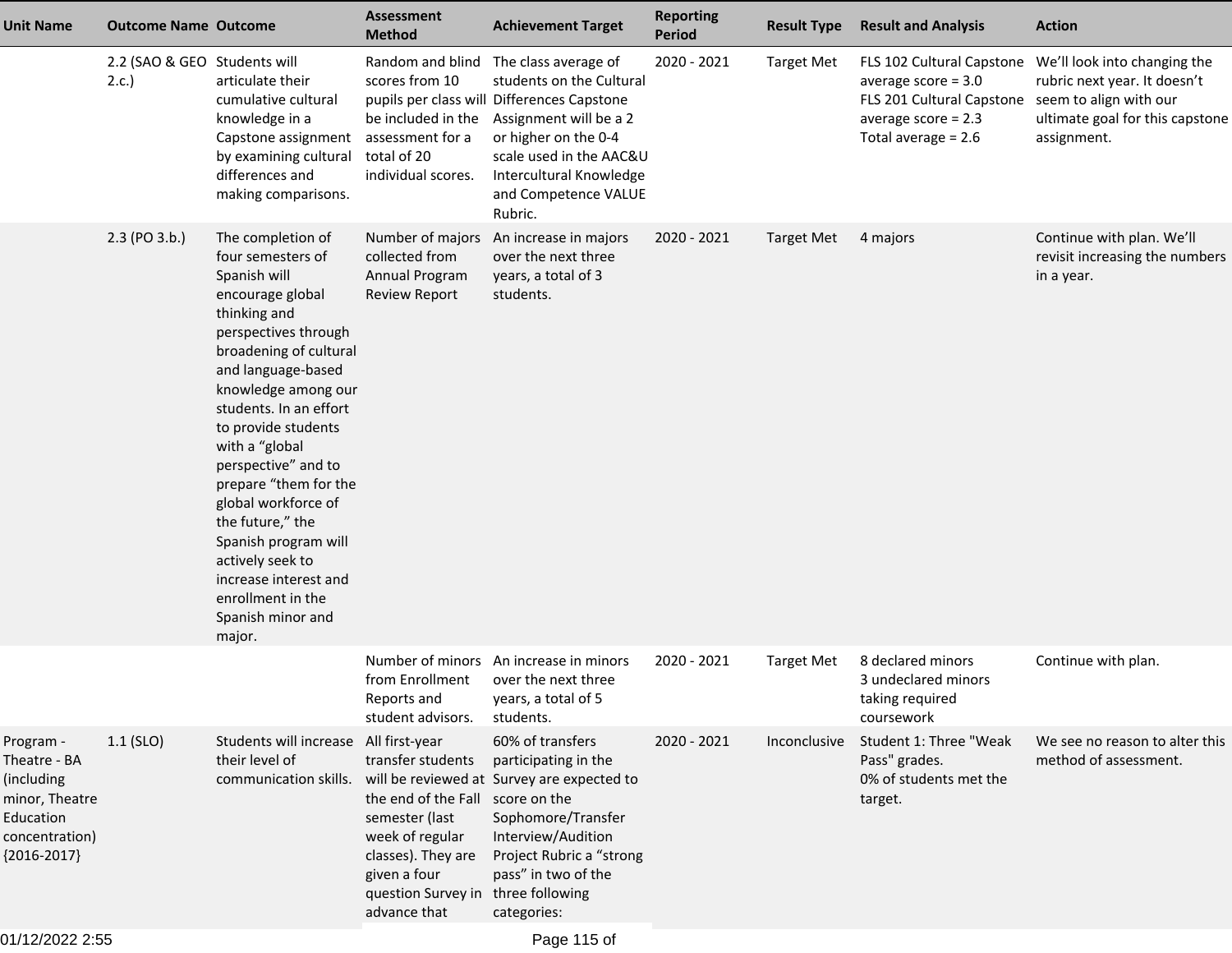| <b>Unit Name</b>                                                                                          | <b>Outcome Name Outcome</b>          |                                                                                                                                                                                                                                                                                                                                                                                                                                                                                  | <b>Assessment</b><br><b>Method</b>                                                                                                                                     | <b>Achievement Target</b>                                                                                                                                                                                                                 | <b>Reporting</b><br><b>Period</b> | <b>Result Type</b> | <b>Result and Analysis</b>                                                                                                | <b>Action</b>                                                                                                                            |
|-----------------------------------------------------------------------------------------------------------|--------------------------------------|----------------------------------------------------------------------------------------------------------------------------------------------------------------------------------------------------------------------------------------------------------------------------------------------------------------------------------------------------------------------------------------------------------------------------------------------------------------------------------|------------------------------------------------------------------------------------------------------------------------------------------------------------------------|-------------------------------------------------------------------------------------------------------------------------------------------------------------------------------------------------------------------------------------------|-----------------------------------|--------------------|---------------------------------------------------------------------------------------------------------------------------|------------------------------------------------------------------------------------------------------------------------------------------|
|                                                                                                           | 2.2 (SAO & GEO Students will<br>2.c. | articulate their<br>cumulative cultural<br>knowledge in a<br>Capstone assignment<br>by examining cultural<br>differences and<br>making comparisons.                                                                                                                                                                                                                                                                                                                              | Random and blind<br>scores from 10<br>be included in the<br>assessment for a<br>total of 20<br>individual scores.                                                      | The class average of<br>students on the Cultural<br>pupils per class will Differences Capstone<br>Assignment will be a 2<br>or higher on the 0-4<br>scale used in the AAC&U<br>Intercultural Knowledge<br>and Competence VALUE<br>Rubric. | 2020 - 2021                       | <b>Target Met</b>  | average score $= 3.0$<br>FLS 201 Cultural Capstone seem to align with our<br>average score $= 2.3$<br>Total average = 2.6 | FLS 102 Cultural Capstone We'll look into changing the<br>rubric next year. It doesn't<br>ultimate goal for this capstone<br>assignment. |
|                                                                                                           | 2.3 (PO 3.b.)                        | The completion of<br>four semesters of<br>Spanish will<br>encourage global<br>thinking and<br>perspectives through<br>broadening of cultural<br>and language-based<br>knowledge among our<br>students. In an effort<br>to provide students<br>with a "global<br>perspective" and to<br>prepare "them for the<br>global workforce of<br>the future," the<br>Spanish program will<br>actively seek to<br>increase interest and<br>enrollment in the<br>Spanish minor and<br>major. | Number of majors<br>collected from<br>Annual Program<br><b>Review Report</b>                                                                                           | An increase in majors<br>over the next three<br>years, a total of 3<br>students.                                                                                                                                                          | 2020 - 2021                       | <b>Target Met</b>  | 4 majors                                                                                                                  | Continue with plan. We'll<br>revisit increasing the numbers<br>in a year.                                                                |
|                                                                                                           |                                      |                                                                                                                                                                                                                                                                                                                                                                                                                                                                                  | from Enrollment<br>Reports and<br>student advisors.                                                                                                                    | Number of minors An increase in minors<br>over the next three<br>years, a total of 5<br>students.                                                                                                                                         | 2020 - 2021                       | <b>Target Met</b>  | 8 declared minors<br>3 undeclared minors<br>taking required<br>coursework                                                 | Continue with plan.                                                                                                                      |
| Program -<br>Theatre - BA<br>(including<br>minor, Theatre<br>Education<br>concentration)<br>${2016-2017}$ | $1.1$ (SLO)                          | Students will increase All first-year<br>their level of<br>communication skills.                                                                                                                                                                                                                                                                                                                                                                                                 | transfer students<br>the end of the Fall score on the<br>semester (last<br>week of regular<br>classes). They are<br>given a four<br>question Survey in<br>advance that | 60% of transfers<br>participating in the<br>will be reviewed at Survey are expected to<br>Sophomore/Transfer<br>Interview/Audition<br>Project Rubric a "strong<br>pass" in two of the<br>three following<br>categories:                   | 2020 - 2021                       | Inconclusive       | Student 1: Three "Weak<br>Pass" grades.<br>0% of students met the<br>target.                                              | We see no reason to alter this<br>method of assessment.                                                                                  |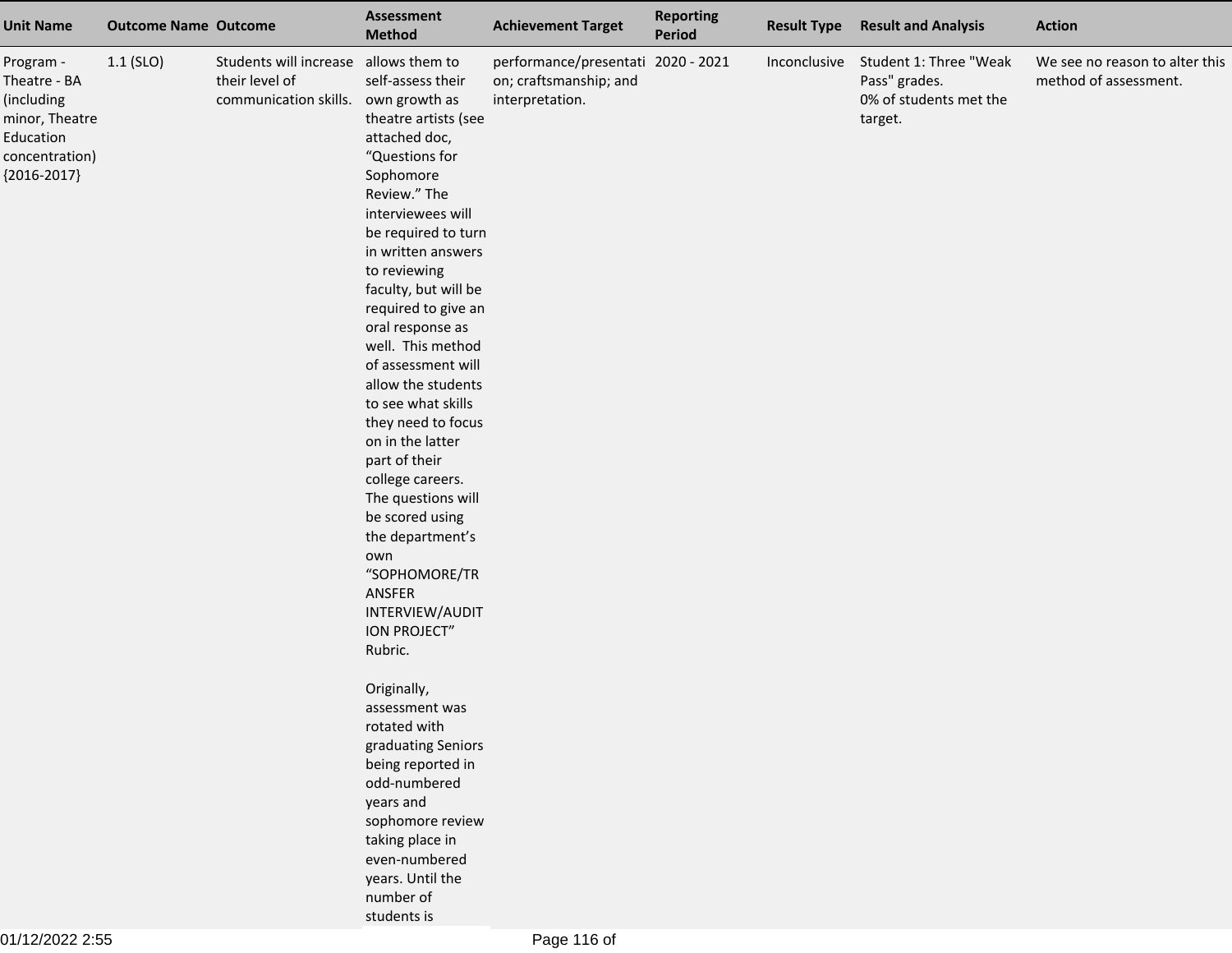| <b>Unit Name</b>                                                                                            | <b>Outcome Name Outcome</b> |                                                                   | Assessment<br><b>Method</b>                                                                                                                                                                                                                                                                                                                                                                                                                                                                                                                                                                                                                                                                                                                                                                                                                                  | <b>Achievement Target</b>                                                       | <b>Reporting</b><br>Period | <b>Result Type</b> | <b>Result and Analysis</b>                                                   | <b>Action</b>                                           |
|-------------------------------------------------------------------------------------------------------------|-----------------------------|-------------------------------------------------------------------|--------------------------------------------------------------------------------------------------------------------------------------------------------------------------------------------------------------------------------------------------------------------------------------------------------------------------------------------------------------------------------------------------------------------------------------------------------------------------------------------------------------------------------------------------------------------------------------------------------------------------------------------------------------------------------------------------------------------------------------------------------------------------------------------------------------------------------------------------------------|---------------------------------------------------------------------------------|----------------------------|--------------------|------------------------------------------------------------------------------|---------------------------------------------------------|
| Program -<br>Theatre - BA<br>(including<br>minor, Theatre<br>Education<br>concentration)<br>${2016 - 2017}$ | $1.1$ (SLO)                 | Students will increase<br>their level of<br>communication skills. | allows them to<br>self-assess their<br>own growth as<br>theatre artists (see<br>attached doc,<br>"Questions for<br>Sophomore<br>Review." The<br>interviewees will<br>be required to turn<br>in written answers<br>to reviewing<br>faculty, but will be<br>required to give an<br>oral response as<br>well. This method<br>of assessment will<br>allow the students<br>to see what skills<br>they need to focus<br>on in the latter<br>part of their<br>college careers.<br>The questions will<br>be scored using<br>the department's<br>own<br>"SOPHOMORE/TR<br>ANSFER<br>INTERVIEW/AUDIT<br><b>ION PROJECT"</b><br>Rubric.<br>Originally,<br>assessment was<br>rotated with<br>graduating Seniors<br>being reported in<br>odd-numbered<br>years and<br>sophomore review<br>taking place in<br>even-numbered<br>years. Until the<br>number of<br>students is | performance/presentati 2020 - 2021<br>on; craftsmanship; and<br>interpretation. |                            | Inconclusive       | Student 1: Three "Weak<br>Pass" grades.<br>0% of students met the<br>target. | We see no reason to alter this<br>method of assessment. |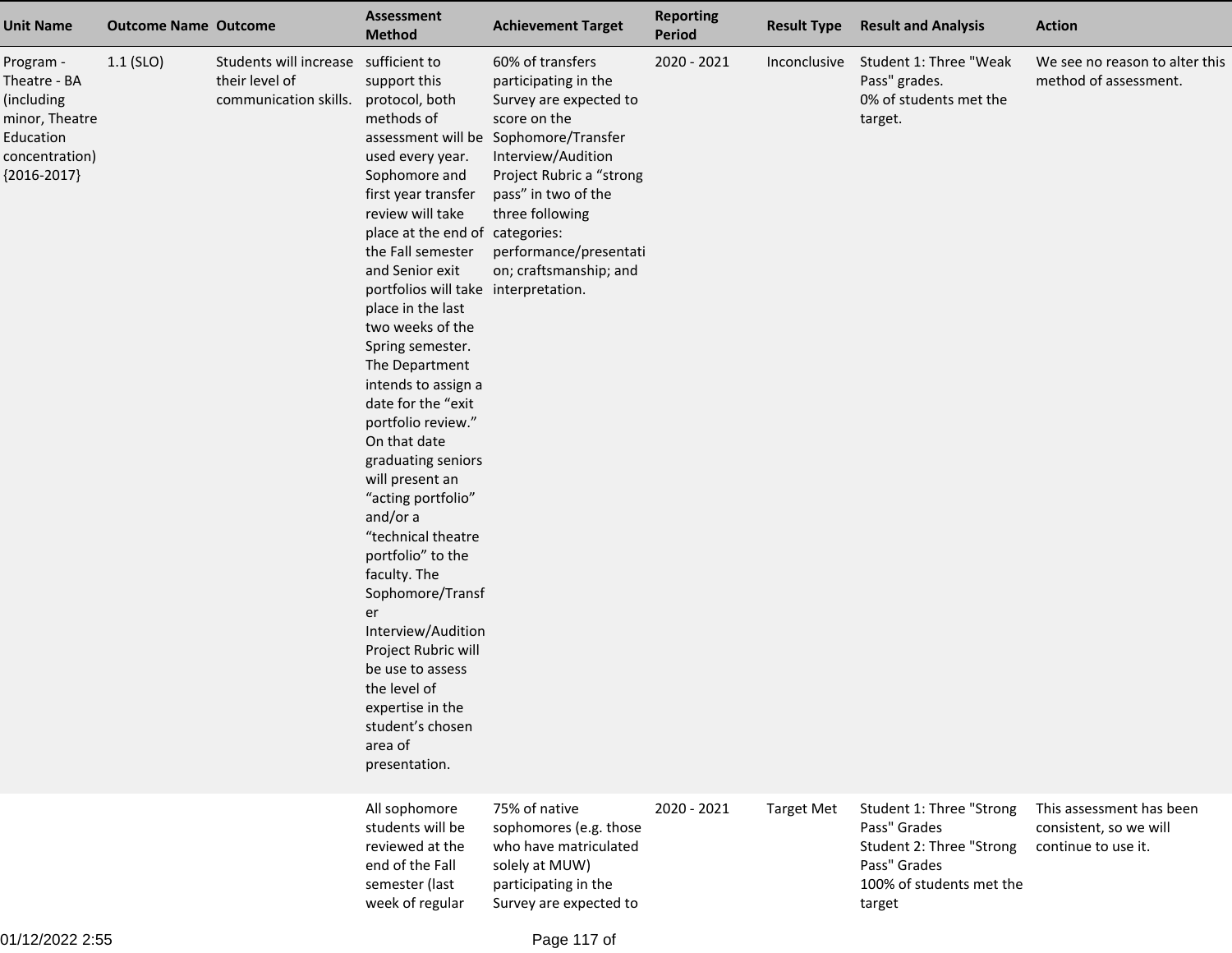| <b>Unit Name</b>                                                                                          | <b>Outcome Name Outcome</b> |                                                                                 | <b>Assessment</b><br><b>Method</b>                                                                                                                                                                                                                                                                                                                                                                                                                                                                                                                                                                                                                                                                                                     | <b>Achievement Target</b>                                                                                                                                                                                                                                                   | <b>Reporting</b><br>Period | <b>Result Type</b> | <b>Result and Analysis</b>                                                                                                 | <b>Action</b>                                                             |
|-----------------------------------------------------------------------------------------------------------|-----------------------------|---------------------------------------------------------------------------------|----------------------------------------------------------------------------------------------------------------------------------------------------------------------------------------------------------------------------------------------------------------------------------------------------------------------------------------------------------------------------------------------------------------------------------------------------------------------------------------------------------------------------------------------------------------------------------------------------------------------------------------------------------------------------------------------------------------------------------------|-----------------------------------------------------------------------------------------------------------------------------------------------------------------------------------------------------------------------------------------------------------------------------|----------------------------|--------------------|----------------------------------------------------------------------------------------------------------------------------|---------------------------------------------------------------------------|
| Program -<br>Theatre - BA<br>(including<br>minor, Theatre<br>Education<br>concentration)<br>${2016-2017}$ | $1.1$ (SLO)                 | Students will increase sufficient to<br>their level of<br>communication skills. | support this<br>protocol, both<br>methods of<br>used every year.<br>Sophomore and<br>first year transfer<br>review will take<br>place at the end of categories:<br>the Fall semester<br>and Senior exit<br>portfolios will take interpretation.<br>place in the last<br>two weeks of the<br>Spring semester.<br>The Department<br>intends to assign a<br>date for the "exit<br>portfolio review."<br>On that date<br>graduating seniors<br>will present an<br>"acting portfolio"<br>and/or a<br>"technical theatre<br>portfolio" to the<br>faculty. The<br>Sophomore/Transf<br>er<br>Interview/Audition<br>Project Rubric will<br>be use to assess<br>the level of<br>expertise in the<br>student's chosen<br>area of<br>presentation. | 60% of transfers<br>participating in the<br>Survey are expected to<br>score on the<br>assessment will be Sophomore/Transfer<br>Interview/Audition<br>Project Rubric a "strong<br>pass" in two of the<br>three following<br>performance/presentati<br>on; craftsmanship; and | 2020 - 2021                | Inconclusive       | Student 1: Three "Weak<br>Pass" grades.<br>0% of students met the<br>target.                                               | We see no reason to alter this<br>method of assessment.                   |
|                                                                                                           |                             |                                                                                 | All sophomore<br>students will be<br>reviewed at the<br>end of the Fall<br>semester (last<br>week of regular                                                                                                                                                                                                                                                                                                                                                                                                                                                                                                                                                                                                                           | 75% of native<br>sophomores (e.g. those<br>who have matriculated<br>solely at MUW)<br>participating in the<br>Survey are expected to                                                                                                                                        | 2020 - 2021                | <b>Target Met</b>  | Student 1: Three "Strong<br>Pass" Grades<br>Student 2: Three "Strong<br>Pass" Grades<br>100% of students met the<br>target | This assessment has been<br>consistent, so we will<br>continue to use it. |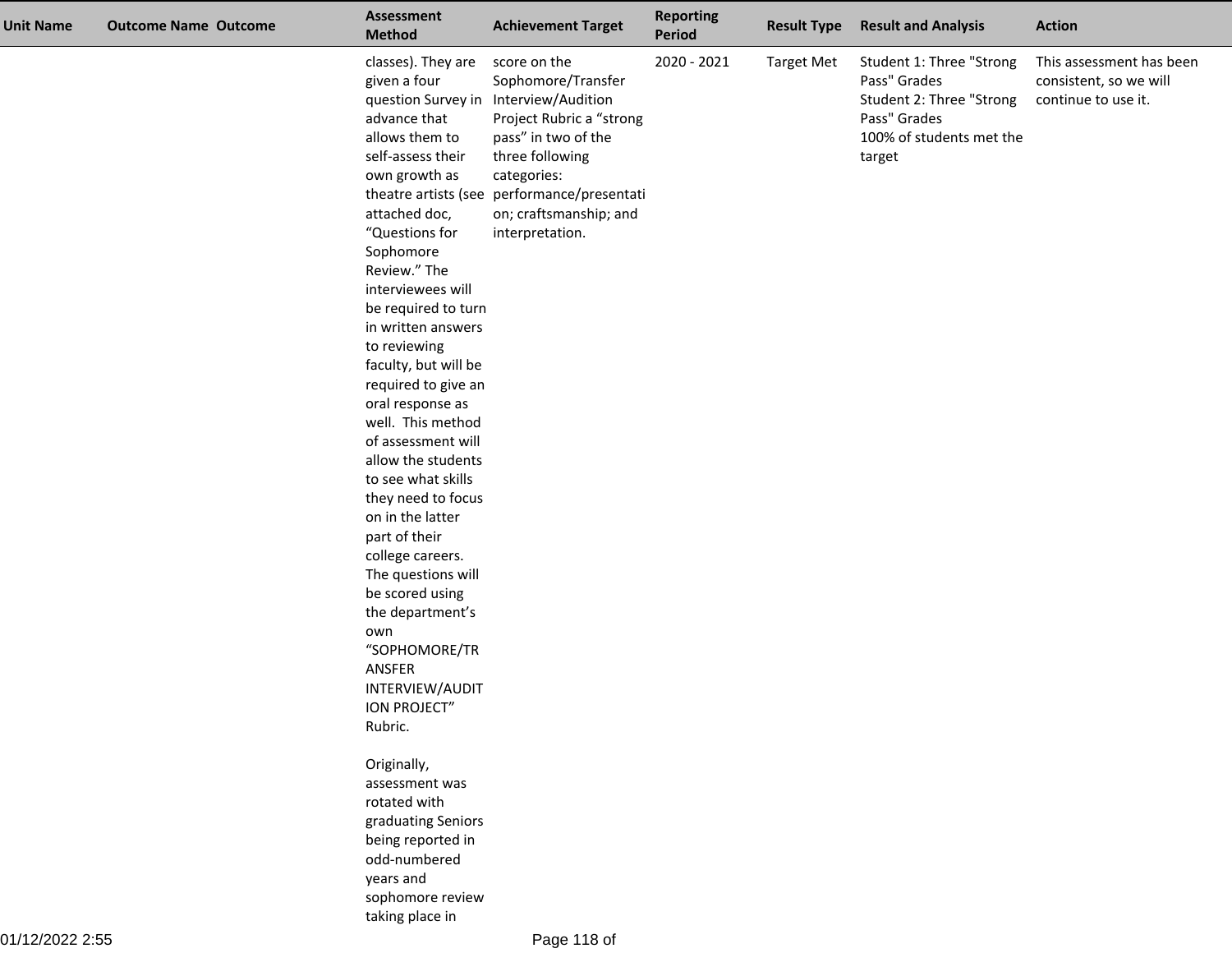| <b>Unit Name</b> | <b>Outcome Name Outcome</b> | <b>Assessment</b><br><b>Method</b>                                                                                                                                                                                                                                                                                                                                                                                                                                                                                                                                                                                                                       | <b>Achievement Target</b>                                                                                                                                                                                                                                    | <b>Reporting</b><br><b>Period</b> | <b>Result Type</b> | <b>Result and Analysis</b>                                                                                                 | <b>Action</b>                                                             |
|------------------|-----------------------------|----------------------------------------------------------------------------------------------------------------------------------------------------------------------------------------------------------------------------------------------------------------------------------------------------------------------------------------------------------------------------------------------------------------------------------------------------------------------------------------------------------------------------------------------------------------------------------------------------------------------------------------------------------|--------------------------------------------------------------------------------------------------------------------------------------------------------------------------------------------------------------------------------------------------------------|-----------------------------------|--------------------|----------------------------------------------------------------------------------------------------------------------------|---------------------------------------------------------------------------|
|                  |                             | classes). They are<br>given a four<br>advance that<br>allows them to<br>self-assess their<br>own growth as<br>attached doc,<br>"Questions for<br>Sophomore<br>Review." The<br>interviewees will<br>be required to turn<br>in written answers<br>to reviewing<br>faculty, but will be<br>required to give an<br>oral response as<br>well. This method<br>of assessment will<br>allow the students<br>to see what skills<br>they need to focus<br>on in the latter<br>part of their<br>college careers.<br>The questions will<br>be scored using<br>the department's<br>own<br>"SOPHOMORE/TR<br>ANSFER<br>INTERVIEW/AUDIT<br><b>ION PROJECT</b><br>Rubric. | score on the<br>Sophomore/Transfer<br>question Survey in Interview/Audition<br>Project Rubric a "strong<br>pass" in two of the<br>three following<br>categories:<br>theatre artists (see performance/presentati<br>on; craftsmanship; and<br>interpretation. | 2020 - 2021                       | <b>Target Met</b>  | Student 1: Three "Strong<br>Pass" Grades<br>Student 2: Three "Strong<br>Pass" Grades<br>100% of students met the<br>target | This assessment has been<br>consistent, so we will<br>continue to use it. |
|                  |                             | Originally,<br>assessment was<br>rotated with<br>graduating Seniors<br>being reported in<br>odd-numbered<br>years and<br>sophomore review<br>taking place in                                                                                                                                                                                                                                                                                                                                                                                                                                                                                             |                                                                                                                                                                                                                                                              |                                   |                    |                                                                                                                            |                                                                           |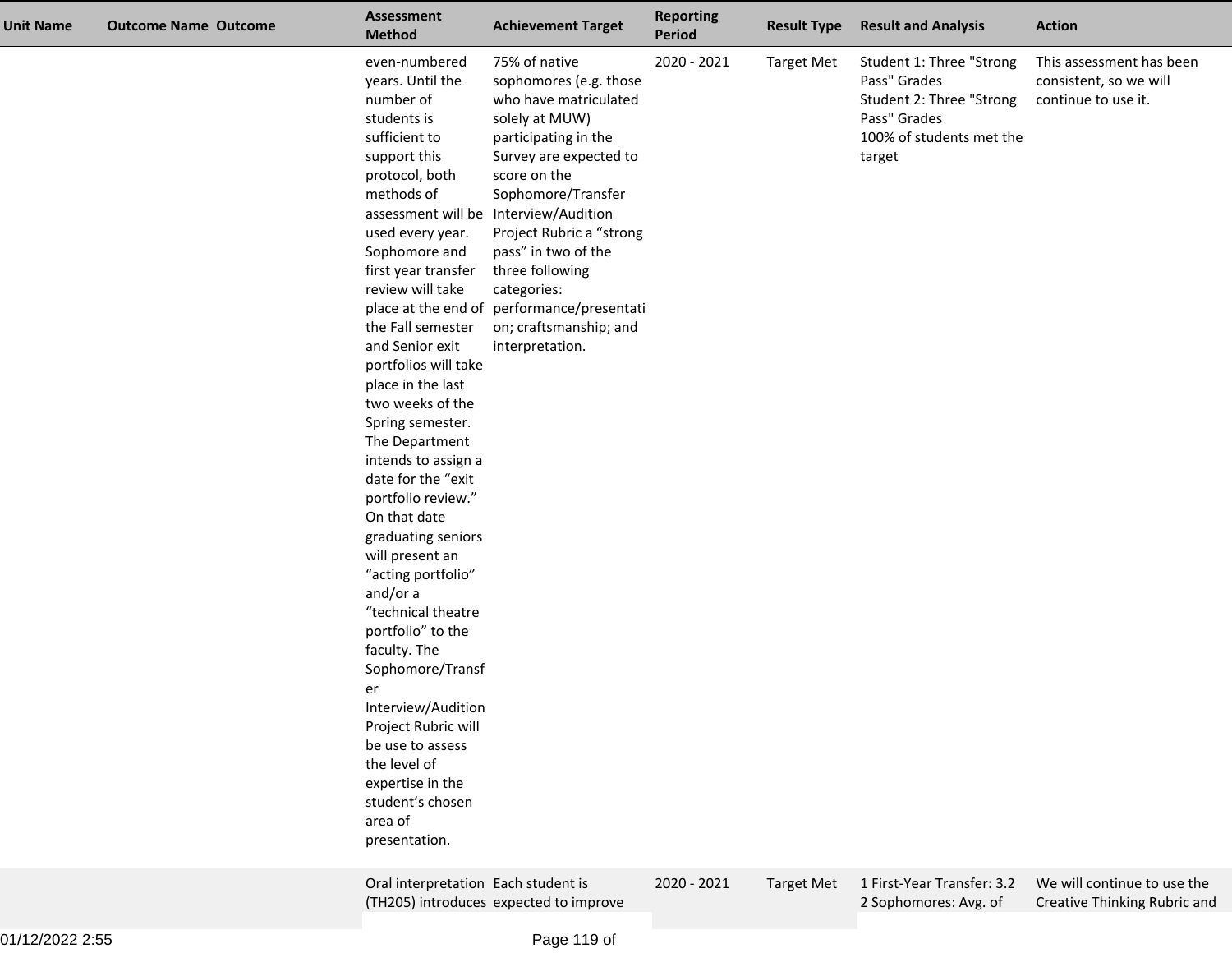| <b>Unit Name</b> | <b>Outcome Name Outcome</b> | <b>Assessment</b><br><b>Method</b>                                                                                                                                                                                                                                                                                                                                                                                                                                                                                                                                                                                                                                                                                                                                    | <b>Achievement Target</b>                                                                                                                                                                                                                                                                                                                                                                           | <b>Reporting</b><br><b>Period</b> | <b>Result Type</b> | <b>Result and Analysis</b>                                                                                                 | <b>Action</b>                                                             |
|------------------|-----------------------------|-----------------------------------------------------------------------------------------------------------------------------------------------------------------------------------------------------------------------------------------------------------------------------------------------------------------------------------------------------------------------------------------------------------------------------------------------------------------------------------------------------------------------------------------------------------------------------------------------------------------------------------------------------------------------------------------------------------------------------------------------------------------------|-----------------------------------------------------------------------------------------------------------------------------------------------------------------------------------------------------------------------------------------------------------------------------------------------------------------------------------------------------------------------------------------------------|-----------------------------------|--------------------|----------------------------------------------------------------------------------------------------------------------------|---------------------------------------------------------------------------|
|                  |                             | even-numbered<br>years. Until the<br>number of<br>students is<br>sufficient to<br>support this<br>protocol, both<br>methods of<br>used every year.<br>Sophomore and<br>first year transfer<br>review will take<br>the Fall semester<br>and Senior exit<br>portfolios will take<br>place in the last<br>two weeks of the<br>Spring semester.<br>The Department<br>intends to assign a<br>date for the "exit<br>portfolio review."<br>On that date<br>graduating seniors<br>will present an<br>"acting portfolio"<br>and/or a<br>"technical theatre<br>portfolio" to the<br>faculty. The<br>Sophomore/Transf<br>er<br>Interview/Audition<br>Project Rubric will<br>be use to assess<br>the level of<br>expertise in the<br>student's chosen<br>area of<br>presentation. | 75% of native<br>sophomores (e.g. those<br>who have matriculated<br>solely at MUW)<br>participating in the<br>Survey are expected to<br>score on the<br>Sophomore/Transfer<br>assessment will be Interview/Audition<br>Project Rubric a "strong<br>pass" in two of the<br>three following<br>categories:<br>place at the end of performance/presentati<br>on; craftsmanship; and<br>interpretation. | 2020 - 2021                       | <b>Target Met</b>  | Student 1: Three "Strong<br>Pass" Grades<br>Student 2: Three "Strong<br>Pass" Grades<br>100% of students met the<br>target | This assessment has been<br>consistent, so we will<br>continue to use it. |
|                  |                             | Oral interpretation Each student is                                                                                                                                                                                                                                                                                                                                                                                                                                                                                                                                                                                                                                                                                                                                   |                                                                                                                                                                                                                                                                                                                                                                                                     | 2020 - 2021                       | <b>Target Met</b>  |                                                                                                                            | 1 First-Year Transfer: 3.2  We will continue to use the                   |

2 Sophomores: Avg. of

Creative Thinking Rubric and

(TH205) introduces expected to improve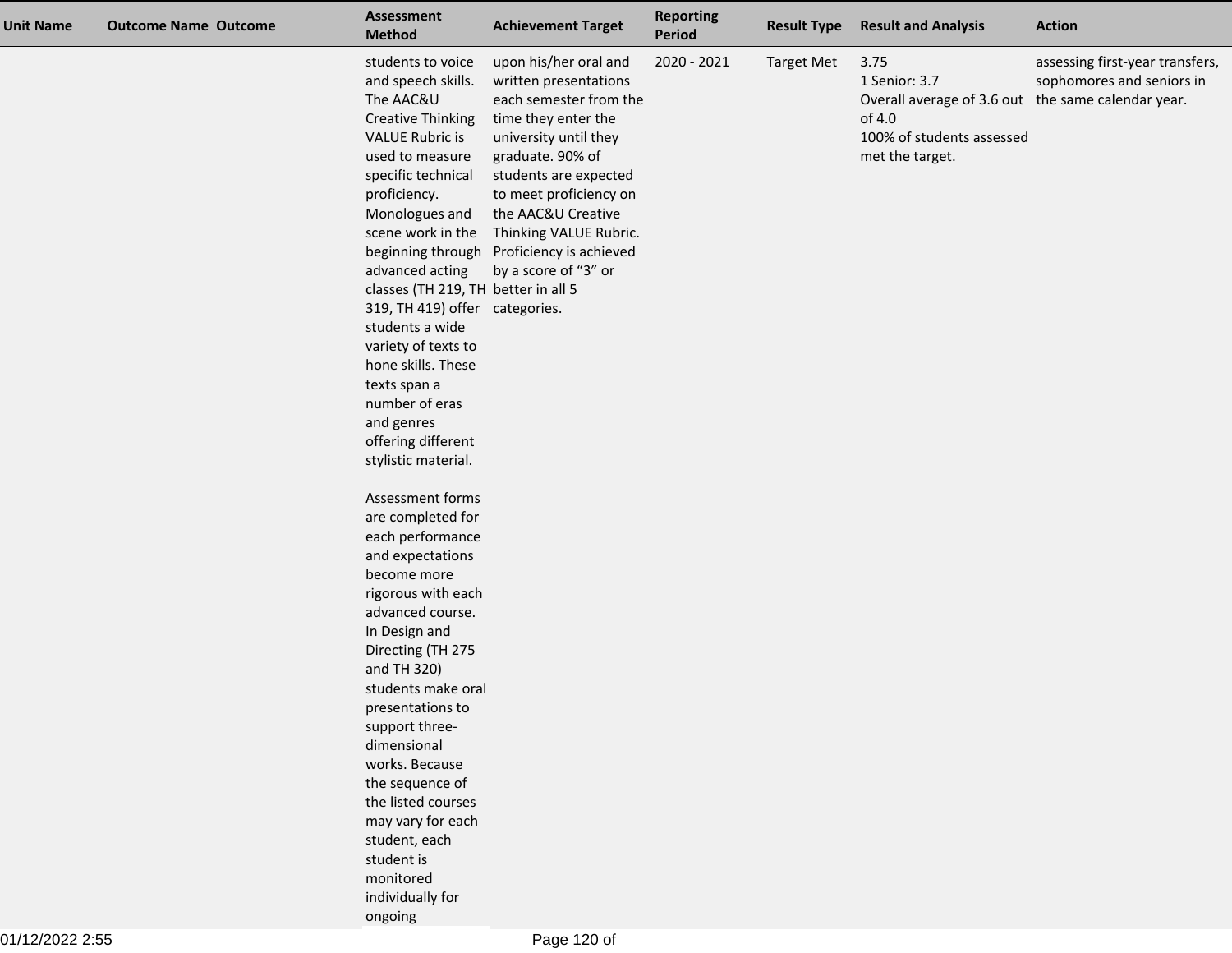| <b>Unit Name</b> | <b>Outcome Name Outcome</b> | <b>Assessment</b><br><b>Method</b>                                                                                                                                                                                                                                                                                                                                                                                                                                  | <b>Achievement Target</b>                                                                                                                                                                                                                                                                                            | <b>Reporting</b><br>Period | <b>Result Type</b> | <b>Result and Analysis</b>                                                                                                            | <b>Action</b>                                                |
|------------------|-----------------------------|---------------------------------------------------------------------------------------------------------------------------------------------------------------------------------------------------------------------------------------------------------------------------------------------------------------------------------------------------------------------------------------------------------------------------------------------------------------------|----------------------------------------------------------------------------------------------------------------------------------------------------------------------------------------------------------------------------------------------------------------------------------------------------------------------|----------------------------|--------------------|---------------------------------------------------------------------------------------------------------------------------------------|--------------------------------------------------------------|
|                  |                             | students to voice<br>and speech skills.<br>The AAC&U<br><b>Creative Thinking</b><br><b>VALUE Rubric is</b><br>used to measure<br>specific technical<br>proficiency.<br>Monologues and<br>scene work in the<br>advanced acting<br>classes (TH 219, TH better in all 5<br>319, TH 419) offer categories.<br>students a wide<br>variety of texts to<br>hone skills. These<br>texts span a<br>number of eras<br>and genres<br>offering different<br>stylistic material. | upon his/her oral and<br>written presentations<br>each semester from the<br>time they enter the<br>university until they<br>graduate. 90% of<br>students are expected<br>to meet proficiency on<br>the AAC&U Creative<br>Thinking VALUE Rubric.<br>beginning through Proficiency is achieved<br>by a score of "3" or | 2020 - 2021                | <b>Target Met</b>  | 3.75<br>1 Senior: 3.7<br>Overall average of 3.6 out the same calendar year.<br>of 4.0<br>100% of students assessed<br>met the target. | assessing first-year transfers,<br>sophomores and seniors in |
|                  |                             | Assessment forms<br>are completed for<br>each performance<br>and expectations<br>become more<br>rigorous with each<br>advanced course.<br>In Design and<br>Directing (TH 275<br>and TH 320)<br>students make oral<br>presentations to<br>support three-<br>dimensional<br>works. Because<br>the sequence of<br>the listed courses<br>may vary for each<br>student, each<br>student is<br>monitored<br>individually for<br>ongoing                                   |                                                                                                                                                                                                                                                                                                                      |                            |                    |                                                                                                                                       |                                                              |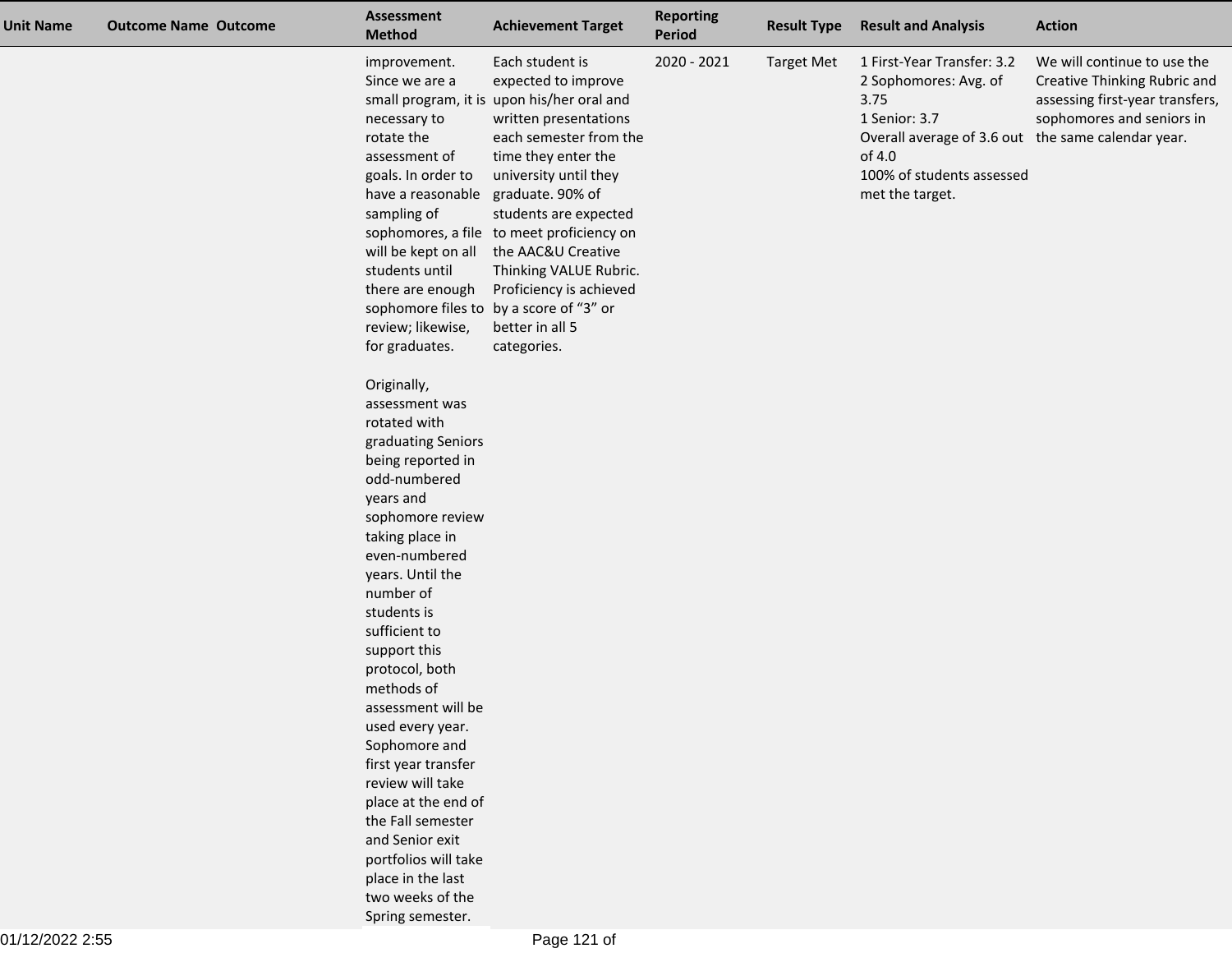| <b>Unit Name</b> | <b>Outcome Name Outcome</b> | Assessment<br><b>Method</b>                                                                                                                                                                                                                                                                                                                                | <b>Achievement Target</b>                                                                                                                                                                                                                                                                                                                                                                                                                      | <b>Reporting</b><br><b>Period</b> | <b>Result Type</b> | <b>Result and Analysis</b>                                                                                                                                                                   | <b>Action</b>                                                                                                               |
|------------------|-----------------------------|------------------------------------------------------------------------------------------------------------------------------------------------------------------------------------------------------------------------------------------------------------------------------------------------------------------------------------------------------------|------------------------------------------------------------------------------------------------------------------------------------------------------------------------------------------------------------------------------------------------------------------------------------------------------------------------------------------------------------------------------------------------------------------------------------------------|-----------------------------------|--------------------|----------------------------------------------------------------------------------------------------------------------------------------------------------------------------------------------|-----------------------------------------------------------------------------------------------------------------------------|
|                  |                             | improvement.<br>Since we are a<br>necessary to<br>rotate the<br>assessment of<br>goals. In order to<br>have a reasonable<br>sampling of<br>students until<br>there are enough<br>review; likewise,                                                                                                                                                         | Each student is<br>expected to improve<br>small program, it is upon his/her oral and<br>written presentations<br>each semester from the<br>time they enter the<br>university until they<br>graduate. 90% of<br>students are expected<br>sophomores, a file to meet proficiency on<br>will be kept on all the AAC&U Creative<br>Thinking VALUE Rubric.<br>Proficiency is achieved<br>sophomore files to by a score of "3" or<br>better in all 5 | 2020 - 2021                       | <b>Target Met</b>  | 1 First-Year Transfer: 3.2<br>2 Sophomores: Avg. of<br>3.75<br>1 Senior: 3.7<br>Overall average of 3.6 out the same calendar year.<br>of 4.0<br>100% of students assessed<br>met the target. | We will continue to use the<br>Creative Thinking Rubric and<br>assessing first-year transfers,<br>sophomores and seniors in |
|                  |                             | for graduates.<br>Originally,<br>assessment was<br>rotated with<br>graduating Seniors<br>being reported in<br>odd-numbered<br>years and<br>sophomore review<br>taking place in<br>even-numbered<br>years. Until the<br>number of<br>students is<br>sufficient to<br>support this<br>protocol, both<br>methods of<br>assessment will be<br>used every year. | categories.                                                                                                                                                                                                                                                                                                                                                                                                                                    |                                   |                    |                                                                                                                                                                                              |                                                                                                                             |
|                  |                             | Sophomore and<br>first year transfer<br>review will take<br>place at the end of<br>the Fall semester<br>and Senior exit<br>portfolios will take<br>place in the last<br>two weeks of the<br>Spring semester.                                                                                                                                               |                                                                                                                                                                                                                                                                                                                                                                                                                                                |                                   |                    |                                                                                                                                                                                              |                                                                                                                             |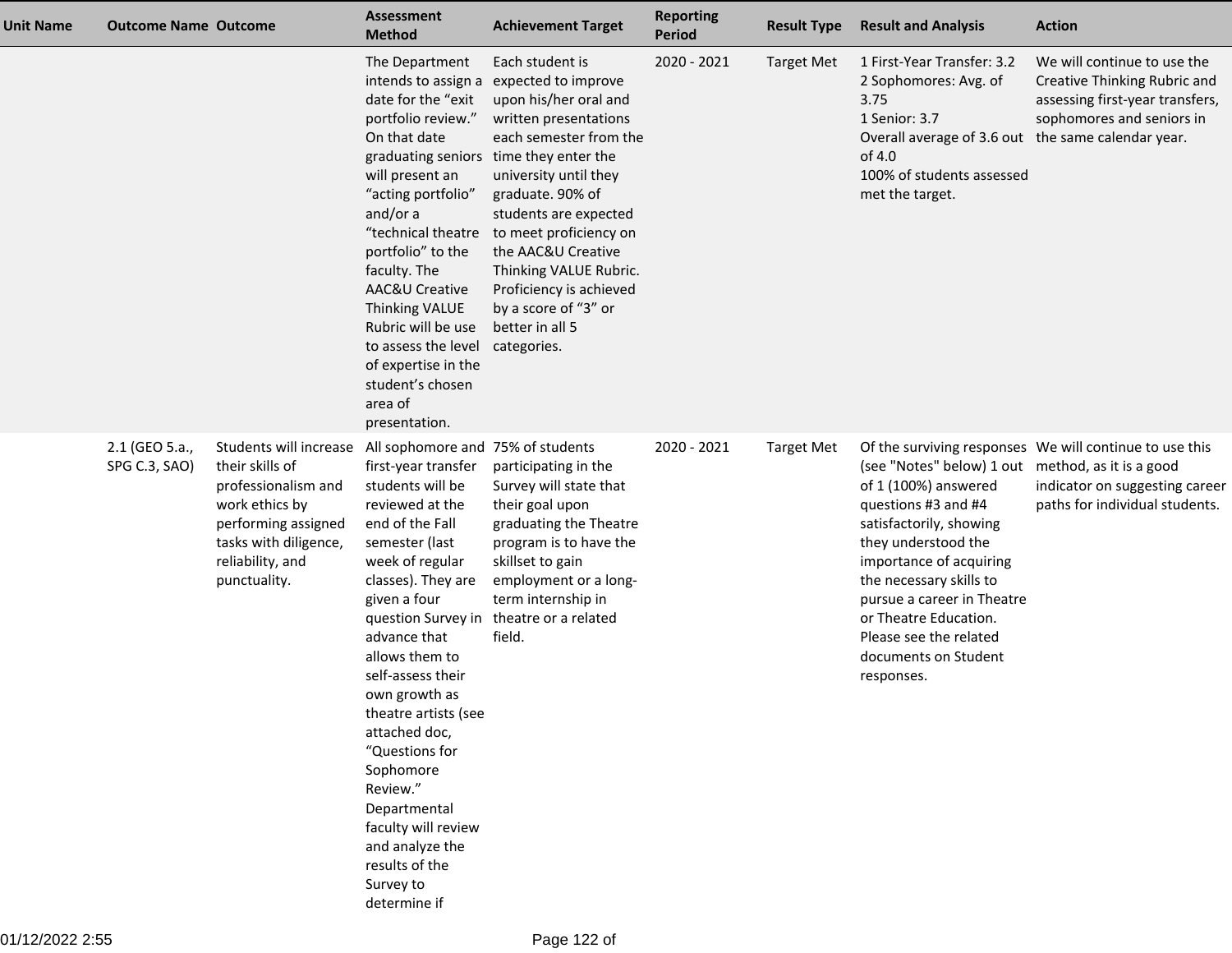| <b>Unit Name</b> | <b>Outcome Name Outcome</b>     |                                                                                                                                                                        | <b>Assessment</b><br><b>Method</b>                                                                                                                                                                                                                                                                                                                                                                                                                                                       | <b>Achievement Target</b>                                                                                                                                                                                                                                                                                                                                                                         | <b>Reporting</b><br><b>Period</b> | <b>Result Type</b> | <b>Result and Analysis</b>                                                                                                                                                                                                                                                                                                      | <b>Action</b>                                                                                                               |
|------------------|---------------------------------|------------------------------------------------------------------------------------------------------------------------------------------------------------------------|------------------------------------------------------------------------------------------------------------------------------------------------------------------------------------------------------------------------------------------------------------------------------------------------------------------------------------------------------------------------------------------------------------------------------------------------------------------------------------------|---------------------------------------------------------------------------------------------------------------------------------------------------------------------------------------------------------------------------------------------------------------------------------------------------------------------------------------------------------------------------------------------------|-----------------------------------|--------------------|---------------------------------------------------------------------------------------------------------------------------------------------------------------------------------------------------------------------------------------------------------------------------------------------------------------------------------|-----------------------------------------------------------------------------------------------------------------------------|
|                  |                                 |                                                                                                                                                                        | The Department<br>intends to assign a<br>date for the "exit<br>portfolio review."<br>On that date<br>will present an<br>"acting portfolio"<br>and/or a<br>"technical theatre<br>portfolio" to the<br>faculty. The<br>AAC&U Creative<br><b>Thinking VALUE</b><br>Rubric will be use<br>to assess the level<br>of expertise in the<br>student's chosen<br>area of<br>presentation.                                                                                                         | Each student is<br>expected to improve<br>upon his/her oral and<br>written presentations<br>each semester from the<br>graduating seniors time they enter the<br>university until they<br>graduate. 90% of<br>students are expected<br>to meet proficiency on<br>the AAC&U Creative<br>Thinking VALUE Rubric.<br>Proficiency is achieved<br>by a score of "3" or<br>better in all 5<br>categories. | 2020 - 2021                       | <b>Target Met</b>  | 1 First-Year Transfer: 3.2<br>2 Sophomores: Avg. of<br>3.75<br>1 Senior: 3.7<br>Overall average of 3.6 out the same calendar year.<br>of 4.0<br>100% of students assessed<br>met the target.                                                                                                                                    | We will continue to use the<br>Creative Thinking Rubric and<br>assessing first-year transfers,<br>sophomores and seniors in |
|                  | 2.1 (GEO 5.a.,<br>SPG C.3, SAO) | Students will increase<br>their skills of<br>professionalism and<br>work ethics by<br>performing assigned<br>tasks with diligence,<br>reliability, and<br>punctuality. | All sophomore and 75% of students<br>first-year transfer<br>students will be<br>reviewed at the<br>end of the Fall<br>semester (last<br>week of regular<br>classes). They are<br>given a four<br>question Survey in<br>advance that<br>allows them to<br>self-assess their<br>own growth as<br>theatre artists (see<br>attached doc,<br>"Questions for<br>Sophomore<br>Review."<br>Departmental<br>faculty will review<br>and analyze the<br>results of the<br>Survey to<br>determine if | participating in the<br>Survey will state that<br>their goal upon<br>graduating the Theatre<br>program is to have the<br>skillset to gain<br>employment or a long-<br>term internship in<br>theatre or a related<br>field.                                                                                                                                                                        | 2020 - 2021                       | <b>Target Met</b>  | (see "Notes" below) 1 out method, as it is a good<br>of 1 (100%) answered<br>questions #3 and #4<br>satisfactorily, showing<br>they understood the<br>importance of acquiring<br>the necessary skills to<br>pursue a career in Theatre<br>or Theatre Education.<br>Please see the related<br>documents on Student<br>responses. | Of the surviving responses We will continue to use this<br>indicator on suggesting career<br>paths for individual students. |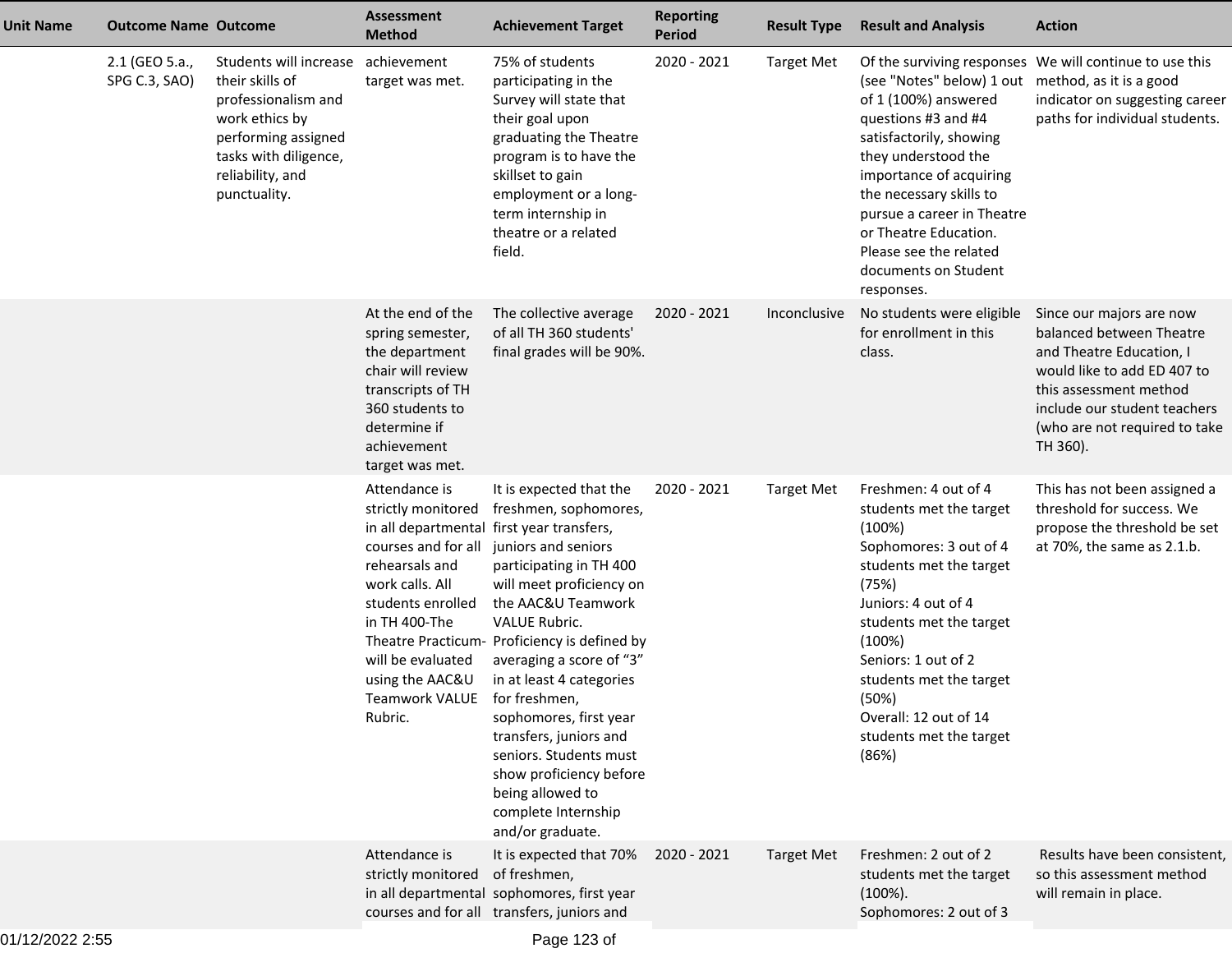| <b>Unit Name</b> | <b>Outcome Name Outcome</b>     |                                                                                                                                                                                    | <b>Assessment</b><br><b>Method</b>                                                                                                                                                                                                                      | <b>Achievement Target</b>                                                                                                                                                                                                                                                                                                                                                                                                                                                     | <b>Reporting</b><br><b>Period</b> | <b>Result Type</b> | <b>Result and Analysis</b>                                                                                                                                                                                                                                                                                                      | <b>Action</b>                                                                                                                                                                                                          |
|------------------|---------------------------------|------------------------------------------------------------------------------------------------------------------------------------------------------------------------------------|---------------------------------------------------------------------------------------------------------------------------------------------------------------------------------------------------------------------------------------------------------|-------------------------------------------------------------------------------------------------------------------------------------------------------------------------------------------------------------------------------------------------------------------------------------------------------------------------------------------------------------------------------------------------------------------------------------------------------------------------------|-----------------------------------|--------------------|---------------------------------------------------------------------------------------------------------------------------------------------------------------------------------------------------------------------------------------------------------------------------------------------------------------------------------|------------------------------------------------------------------------------------------------------------------------------------------------------------------------------------------------------------------------|
|                  | 2.1 (GEO 5.a.,<br>SPG C.3, SAO) | Students will increase achievement<br>their skills of<br>professionalism and<br>work ethics by<br>performing assigned<br>tasks with diligence,<br>reliability, and<br>punctuality. | target was met.                                                                                                                                                                                                                                         | 75% of students<br>participating in the<br>Survey will state that<br>their goal upon<br>graduating the Theatre<br>program is to have the<br>skillset to gain<br>employment or a long-<br>term internship in<br>theatre or a related<br>field.                                                                                                                                                                                                                                 | 2020 - 2021                       | <b>Target Met</b>  | (see "Notes" below) 1 out method, as it is a good<br>of 1 (100%) answered<br>questions #3 and #4<br>satisfactorily, showing<br>they understood the<br>importance of acquiring<br>the necessary skills to<br>pursue a career in Theatre<br>or Theatre Education.<br>Please see the related<br>documents on Student<br>responses. | Of the surviving responses We will continue to use this<br>indicator on suggesting career<br>paths for individual students.                                                                                            |
|                  |                                 |                                                                                                                                                                                    | At the end of the<br>spring semester,<br>the department<br>chair will review<br>transcripts of TH<br>360 students to<br>determine if<br>achievement<br>target was met.                                                                                  | The collective average<br>of all TH 360 students'<br>final grades will be 90%.                                                                                                                                                                                                                                                                                                                                                                                                | 2020 - 2021                       | Inconclusive       | No students were eligible<br>for enrollment in this<br>class.                                                                                                                                                                                                                                                                   | Since our majors are now<br>balanced between Theatre<br>and Theatre Education, I<br>would like to add ED 407 to<br>this assessment method<br>include our student teachers<br>(who are not required to take<br>TH 360). |
|                  |                                 |                                                                                                                                                                                    | Attendance is<br>strictly monitored<br>in all departmental first year transfers,<br>courses and for all<br>rehearsals and<br>work calls. All<br>students enrolled<br>in TH 400-The<br>will be evaluated<br>using the AAC&U<br>Teamwork VALUE<br>Rubric. | It is expected that the<br>freshmen, sophomores,<br>juniors and seniors<br>participating in TH 400<br>will meet proficiency on<br>the AAC&U Teamwork<br><b>VALUE Rubric.</b><br>Theatre Practicum- Proficiency is defined by<br>averaging a score of "3"<br>in at least 4 categories<br>for freshmen,<br>sophomores, first year<br>transfers, juniors and<br>seniors. Students must<br>show proficiency before<br>being allowed to<br>complete Internship<br>and/or graduate. | 2020 - 2021                       | <b>Target Met</b>  | Freshmen: 4 out of 4<br>students met the target<br>(100%)<br>Sophomores: 3 out of 4<br>students met the target<br>(75%)<br>Juniors: 4 out of 4<br>students met the target<br>(100%)<br>Seniors: 1 out of 2<br>students met the target<br>(50%)<br>Overall: 12 out of 14<br>students met the target<br>(86%)                     | This has not been assigned a<br>threshold for success. We<br>propose the threshold be set<br>at 70%, the same as 2.1.b.                                                                                                |
|                  |                                 |                                                                                                                                                                                    | Attendance is<br>strictly monitored                                                                                                                                                                                                                     | It is expected that 70%<br>of freshmen,<br>in all departmental sophomores, first year<br>courses and for all transfers, juniors and                                                                                                                                                                                                                                                                                                                                           | 2020 - 2021                       | <b>Target Met</b>  | Freshmen: 2 out of 2<br>students met the target<br>$(100\%)$ .<br>Sophomores: 2 out of 3                                                                                                                                                                                                                                        | Results have been consistent,<br>so this assessment method<br>will remain in place.                                                                                                                                    |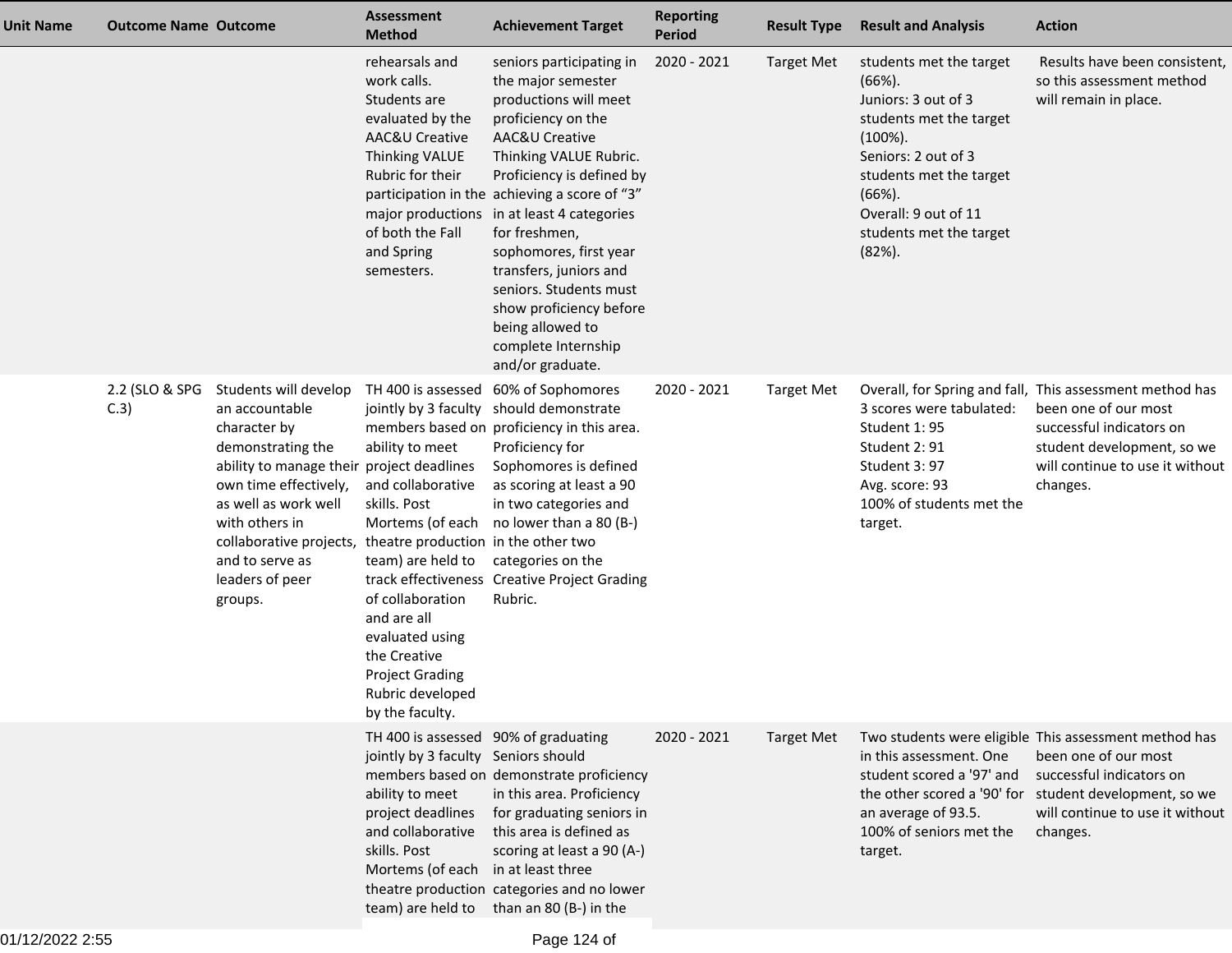| <b>Unit Name</b> | <b>Outcome Name Outcome</b> |                                                                                                                                                                                                                                                                                                              | <b>Assessment</b><br><b>Method</b>                                                                                                                                                                                                                         | <b>Achievement Target</b>                                                                                                                                                                                                                                                                                                                                                                                                                                      | <b>Reporting</b><br><b>Period</b> | <b>Result Type</b> | <b>Result and Analysis</b>                                                                                                                                                                                                          | <b>Action</b>                                                                                                                                                                                                      |
|------------------|-----------------------------|--------------------------------------------------------------------------------------------------------------------------------------------------------------------------------------------------------------------------------------------------------------------------------------------------------------|------------------------------------------------------------------------------------------------------------------------------------------------------------------------------------------------------------------------------------------------------------|----------------------------------------------------------------------------------------------------------------------------------------------------------------------------------------------------------------------------------------------------------------------------------------------------------------------------------------------------------------------------------------------------------------------------------------------------------------|-----------------------------------|--------------------|-------------------------------------------------------------------------------------------------------------------------------------------------------------------------------------------------------------------------------------|--------------------------------------------------------------------------------------------------------------------------------------------------------------------------------------------------------------------|
|                  |                             |                                                                                                                                                                                                                                                                                                              | rehearsals and<br>work calls.<br>Students are<br>evaluated by the<br>AAC&U Creative<br>Thinking VALUE<br>Rubric for their<br>of both the Fall<br>and Spring<br>semesters.                                                                                  | seniors participating in<br>the major semester<br>productions will meet<br>proficiency on the<br>AAC&U Creative<br>Thinking VALUE Rubric.<br>Proficiency is defined by<br>participation in the achieving a score of "3"<br>major productions in at least 4 categories<br>for freshmen,<br>sophomores, first year<br>transfers, juniors and<br>seniors. Students must<br>show proficiency before<br>being allowed to<br>complete Internship<br>and/or graduate. | 2020 - 2021                       | <b>Target Met</b>  | students met the target<br>$(66%)$ .<br>Juniors: 3 out of 3<br>students met the target<br>$(100\%).$<br>Seniors: 2 out of 3<br>students met the target<br>$(66%)$ .<br>Overall: 9 out of 11<br>students met the target<br>$(82%)$ . | Results have been consistent,<br>so this assessment method<br>will remain in place.                                                                                                                                |
|                  | 2.2 (SLO & SPG<br>C.3       | Students will develop<br>an accountable<br>character by<br>demonstrating the<br>ability to manage their project deadlines<br>own time effectively,<br>as well as work well<br>with others in<br>collaborative projects, theatre production in the other two<br>and to serve as<br>leaders of peer<br>groups. | TH 400 is assessed<br>ability to meet<br>and collaborative<br>skills. Post<br>Mortems (of each<br>team) are held to<br>of collaboration<br>and are all<br>evaluated using<br>the Creative<br><b>Project Grading</b><br>Rubric developed<br>by the faculty. | 60% of Sophomores<br>jointly by 3 faculty should demonstrate<br>members based on proficiency in this area.<br>Proficiency for<br>Sophomores is defined<br>as scoring at least a 90<br>in two categories and<br>no lower than a 80 (B-)<br>categories on the<br>track effectiveness Creative Project Grading<br>Rubric.                                                                                                                                         | 2020 - 2021                       | <b>Target Met</b>  | 3 scores were tabulated:<br>Student 1:95<br>Student 2:91<br>Student 3:97<br>Avg. score: 93<br>100% of students met the<br>target.                                                                                                   | Overall, for Spring and fall, This assessment method has<br>been one of our most<br>successful indicators on<br>student development, so we<br>will continue to use it without<br>changes.                          |
|                  |                             |                                                                                                                                                                                                                                                                                                              | TH 400 is assessed 90% of graduating<br>jointly by 3 faculty Seniors should<br>ability to meet<br>project deadlines<br>and collaborative<br>skills. Post<br>Mortems (of each in at least three                                                             | members based on demonstrate proficiency<br>in this area. Proficiency<br>for graduating seniors in<br>this area is defined as<br>scoring at least a 90 (A-)<br>theatre production categories and no lower<br>team) are held to than an 80 (B-) in the                                                                                                                                                                                                          | 2020 - 2021                       | <b>Target Met</b>  | in this assessment. One<br>student scored a '97' and<br>an average of 93.5.<br>100% of seniors met the<br>target.                                                                                                                   | Two students were eligible This assessment method has<br>been one of our most<br>successful indicators on<br>the other scored a '90' for student development, so we<br>will continue to use it without<br>changes. |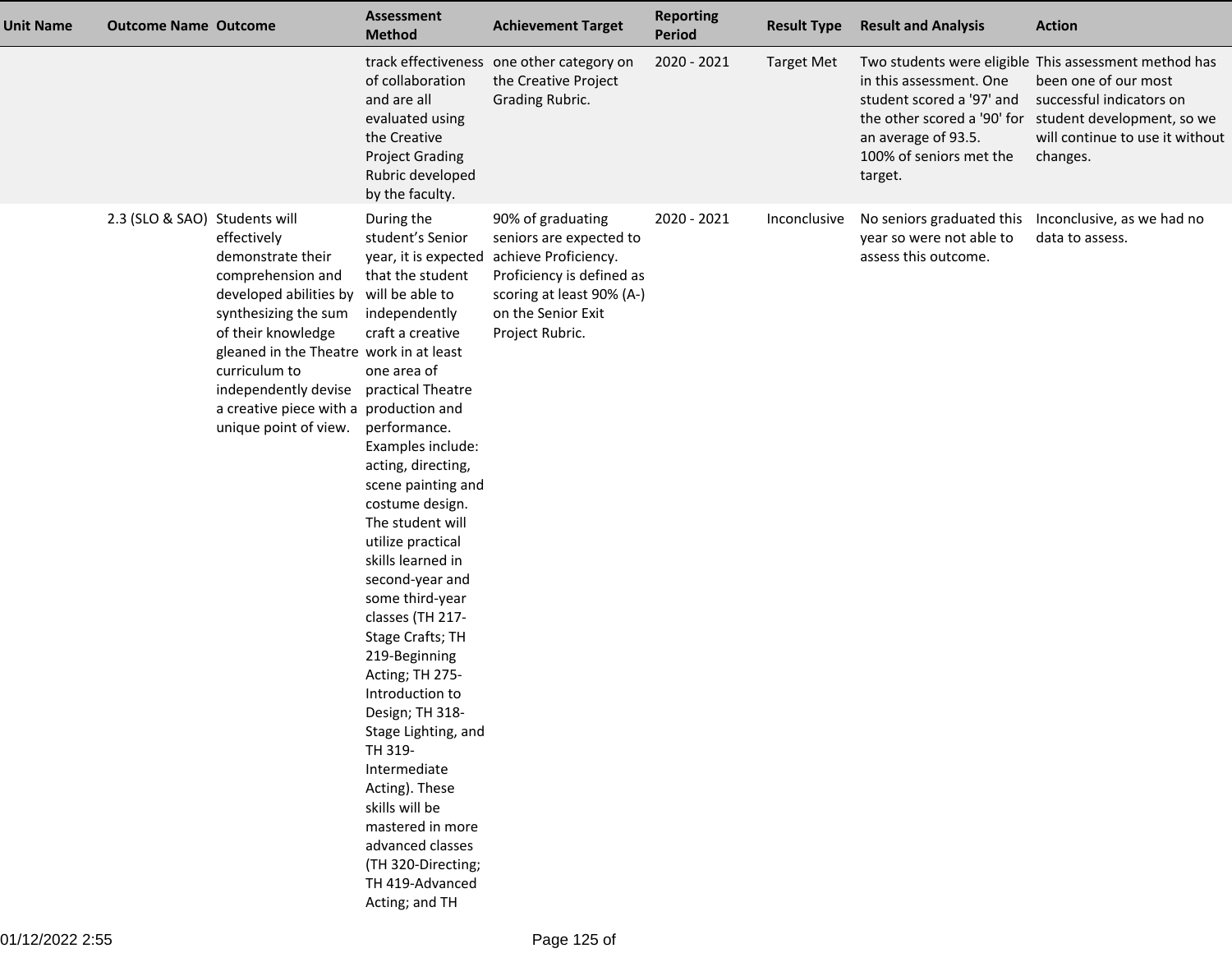| <b>Unit Name</b> | <b>Outcome Name Outcome</b>   |                                                                                                                                                                                                                                                                                      | <b>Assessment</b><br><b>Method</b>                                                                                                                                                                                                                                                                                                                                                                                                                                                                                                                                                                                                                                                        | <b>Achievement Target</b>                                                                                                                                               | <b>Reporting</b><br>Period | <b>Result Type</b> | <b>Result and Analysis</b>                                                                                        | <b>Action</b>                                                                                                                                                                                                      |
|------------------|-------------------------------|--------------------------------------------------------------------------------------------------------------------------------------------------------------------------------------------------------------------------------------------------------------------------------------|-------------------------------------------------------------------------------------------------------------------------------------------------------------------------------------------------------------------------------------------------------------------------------------------------------------------------------------------------------------------------------------------------------------------------------------------------------------------------------------------------------------------------------------------------------------------------------------------------------------------------------------------------------------------------------------------|-------------------------------------------------------------------------------------------------------------------------------------------------------------------------|----------------------------|--------------------|-------------------------------------------------------------------------------------------------------------------|--------------------------------------------------------------------------------------------------------------------------------------------------------------------------------------------------------------------|
|                  |                               |                                                                                                                                                                                                                                                                                      | of collaboration<br>and are all<br>evaluated using<br>the Creative<br><b>Project Grading</b><br>Rubric developed<br>by the faculty.                                                                                                                                                                                                                                                                                                                                                                                                                                                                                                                                                       | track effectiveness one other category on<br>the Creative Project<br>Grading Rubric.                                                                                    | 2020 - 2021                | <b>Target Met</b>  | in this assessment. One<br>student scored a '97' and<br>an average of 93.5.<br>100% of seniors met the<br>target. | Two students were eligible This assessment method has<br>been one of our most<br>successful indicators on<br>the other scored a '90' for student development, so we<br>will continue to use it without<br>changes. |
|                  | 2.3 (SLO & SAO) Students will | effectively<br>demonstrate their<br>comprehension and<br>developed abilities by<br>synthesizing the sum<br>of their knowledge<br>gleaned in the Theatre work in at least<br>curriculum to<br>independently devise<br>a creative piece with a production and<br>unique point of view. | During the<br>student's Senior<br>year, it is expected<br>that the student<br>will be able to<br>independently<br>craft a creative<br>one area of<br>practical Theatre<br>performance.<br>Examples include:<br>acting, directing,<br>scene painting and<br>costume design.<br>The student will<br>utilize practical<br>skills learned in<br>second-year and<br>some third-year<br>classes (TH 217-<br>Stage Crafts; TH<br>219-Beginning<br>Acting; TH 275-<br>Introduction to<br>Design; TH 318-<br>Stage Lighting, and<br>TH 319-<br>Intermediate<br>Acting). These<br>skills will be<br>mastered in more<br>advanced classes<br>(TH 320-Directing;<br>TH 419-Advanced<br>Acting; and TH | 90% of graduating<br>seniors are expected to<br>achieve Proficiency.<br>Proficiency is defined as<br>scoring at least 90% (A-)<br>on the Senior Exit<br>Project Rubric. | 2020 - 2021                | Inconclusive       | No seniors graduated this<br>year so were not able to<br>assess this outcome.                                     | Inconclusive, as we had no<br>data to assess.                                                                                                                                                                      |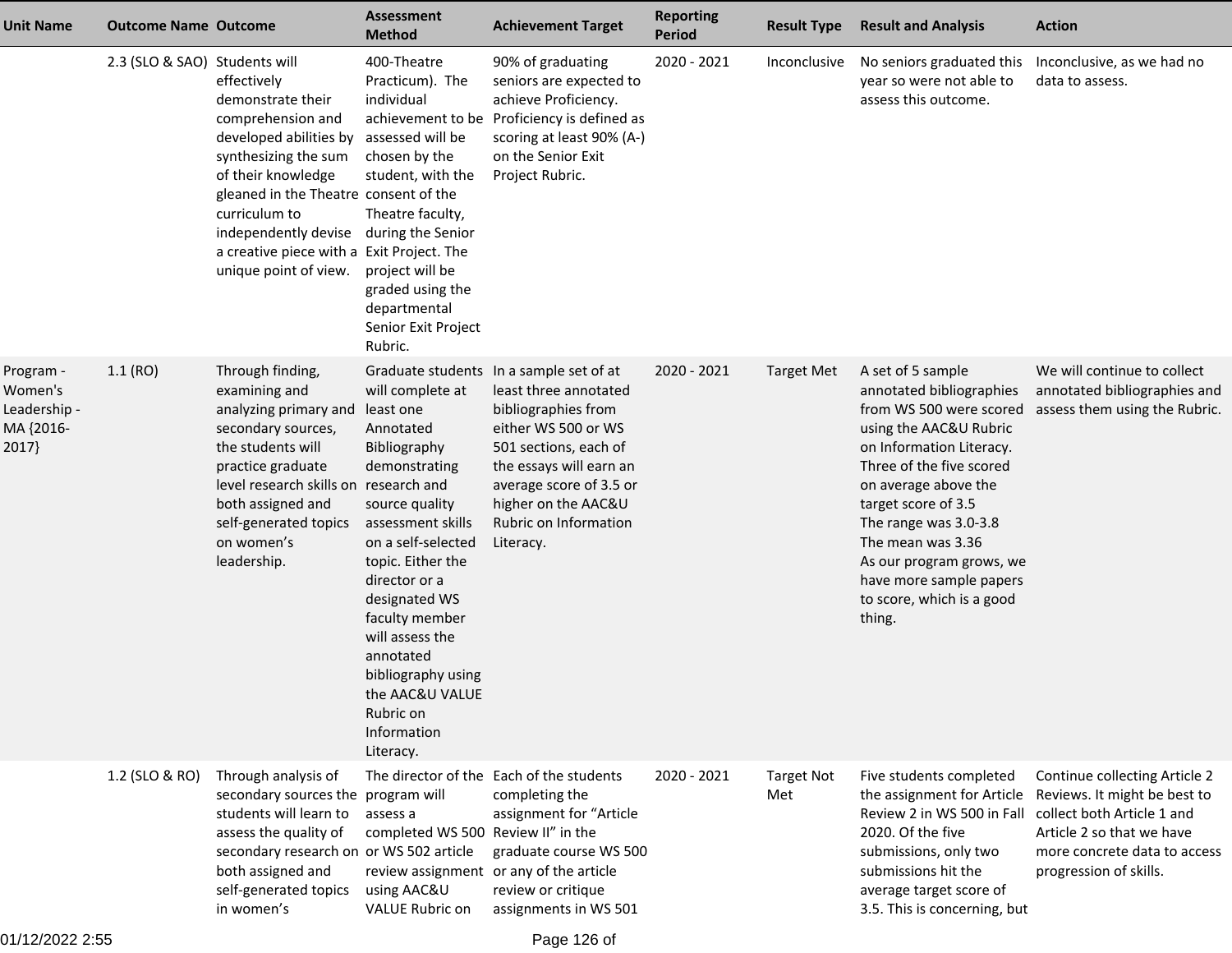| Unit Name                                                  | <b>Outcome Name Outcome</b>   |                                                                                                                                                                                                                                                                                       | <b>Assessment</b><br><b>Method</b>                                                                                                                                                                                                                                                                                                  | <b>Achievement Target</b>                                                                                                                                                                                                                                  | <b>Reporting</b><br><b>Period</b> | <b>Result Type</b>       | <b>Result and Analysis</b>                                                                                                                                                                                                                                                                                                                            | <b>Action</b>                                                                                                                                                                      |
|------------------------------------------------------------|-------------------------------|---------------------------------------------------------------------------------------------------------------------------------------------------------------------------------------------------------------------------------------------------------------------------------------|-------------------------------------------------------------------------------------------------------------------------------------------------------------------------------------------------------------------------------------------------------------------------------------------------------------------------------------|------------------------------------------------------------------------------------------------------------------------------------------------------------------------------------------------------------------------------------------------------------|-----------------------------------|--------------------------|-------------------------------------------------------------------------------------------------------------------------------------------------------------------------------------------------------------------------------------------------------------------------------------------------------------------------------------------------------|------------------------------------------------------------------------------------------------------------------------------------------------------------------------------------|
|                                                            | 2.3 (SLO & SAO) Students will | effectively<br>demonstrate their<br>comprehension and<br>developed abilities by<br>synthesizing the sum<br>of their knowledge<br>gleaned in the Theatre consent of the<br>curriculum to<br>independently devise<br>a creative piece with a Exit Project. The<br>unique point of view. | 400-Theatre<br>Practicum). The<br>individual<br>assessed will be<br>chosen by the<br>student, with the<br>Theatre faculty,<br>during the Senior<br>project will be<br>graded using the<br>departmental<br>Senior Exit Project<br>Rubric.                                                                                            | 90% of graduating<br>seniors are expected to<br>achieve Proficiency.<br>achievement to be Proficiency is defined as<br>scoring at least 90% (A-)<br>on the Senior Exit<br>Project Rubric.                                                                  | 2020 - 2021                       | Inconclusive             | No seniors graduated this<br>year so were not able to<br>assess this outcome.                                                                                                                                                                                                                                                                         | Inconclusive, as we had no<br>data to assess.                                                                                                                                      |
| Program -<br>Women's<br>Leadership -<br>MA {2016-<br>2017} | 1.1(RO)                       | Through finding,<br>examining and<br>analyzing primary and<br>secondary sources,<br>the students will<br>practice graduate<br>level research skills on research and<br>both assigned and<br>self-generated topics<br>on women's<br>leadership.                                        | will complete at<br>least one<br>Annotated<br>Bibliography<br>demonstrating<br>source quality<br>assessment skills<br>on a self-selected<br>topic. Either the<br>director or a<br>designated WS<br>faculty member<br>will assess the<br>annotated<br>bibliography using<br>the AAC&U VALUE<br>Rubric on<br>Information<br>Literacy. | Graduate students In a sample set of at<br>least three annotated<br>bibliographies from<br>either WS 500 or WS<br>501 sections, each of<br>the essays will earn an<br>average score of 3.5 or<br>higher on the AAC&U<br>Rubric on Information<br>Literacy. | 2020 - 2021                       | <b>Target Met</b>        | A set of 5 sample<br>annotated bibliographies<br>from WS 500 were scored<br>using the AAC&U Rubric<br>on Information Literacy.<br>Three of the five scored<br>on average above the<br>target score of 3.5<br>The range was 3.0-3.8<br>The mean was 3.36<br>As our program grows, we<br>have more sample papers<br>to score, which is a good<br>thing. | We will continue to collect<br>annotated bibliographies and<br>assess them using the Rubric.                                                                                       |
|                                                            | 1.2 (SLO & RO)                | Through analysis of<br>secondary sources the program will<br>students will learn to<br>assess the quality of<br>secondary research on or WS 502 article<br>both assigned and<br>self-generated topics<br>in women's                                                                   | assess a<br>completed WS 500 Review II" in the<br>using AAC&U<br>VALUE Rubric on                                                                                                                                                                                                                                                    | The director of the Each of the students<br>completing the<br>assignment for "Article<br>graduate course WS 500<br>review assignment or any of the article<br>review or critique<br>assignments in WS 501                                                  | 2020 - 2021                       | <b>Target Not</b><br>Met | Five students completed<br>the assignment for Article<br>Review 2 in WS 500 in Fall<br>2020. Of the five<br>submissions, only two<br>submissions hit the<br>average target score of<br>3.5. This is concerning, but                                                                                                                                   | Continue collecting Article 2<br>Reviews. It might be best to<br>collect both Article 1 and<br>Article 2 so that we have<br>more concrete data to access<br>progression of skills. |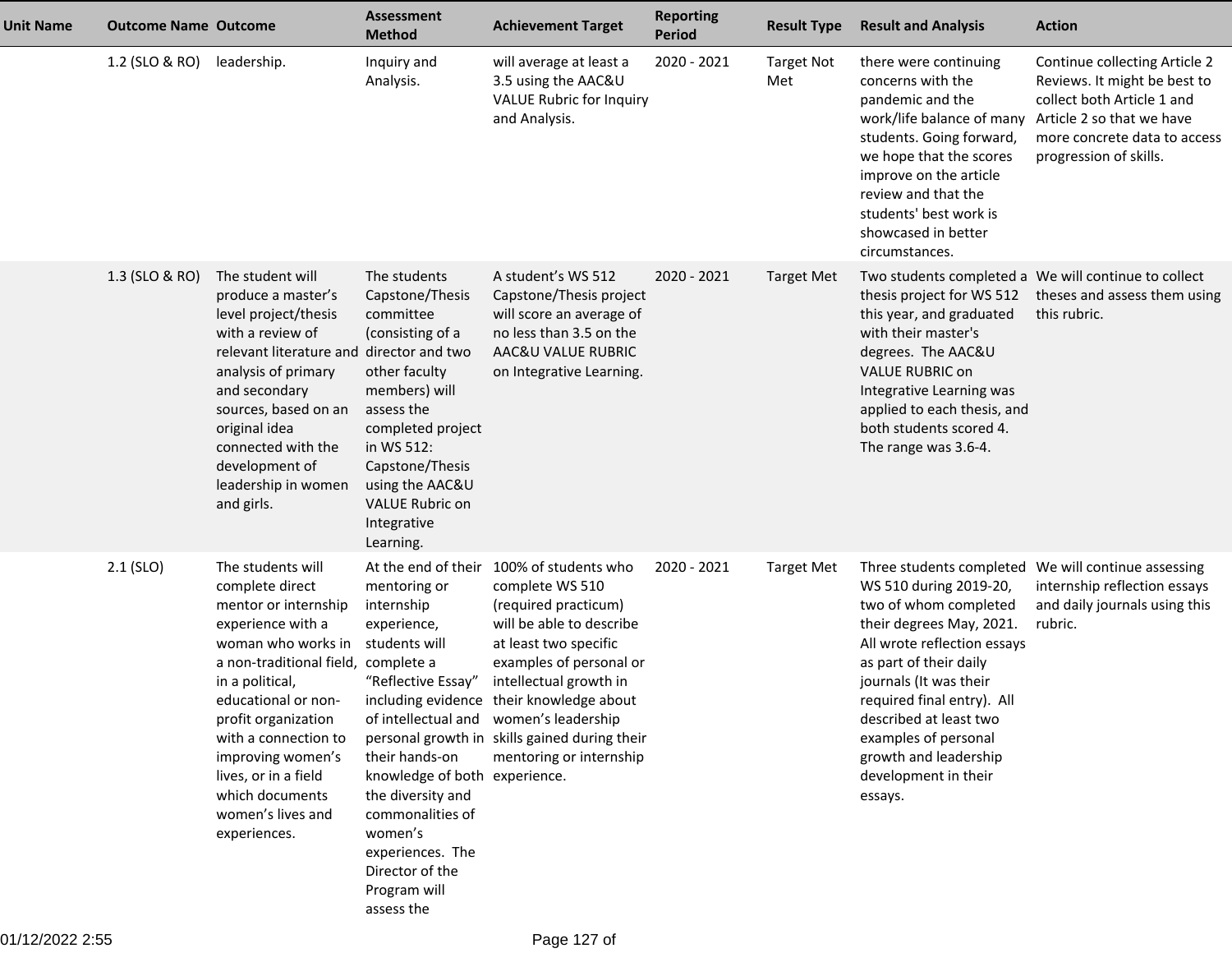| <b>Unit Name</b> | <b>Outcome Name Outcome</b> |                                                                                                                                                                                                                                                                                                                       | <b>Assessment</b><br><b>Method</b>                                                                                                                                                                                                                                                  | <b>Achievement Target</b>                                                                                                                                                                                                                                                                                                                                       | <b>Reporting</b><br><b>Period</b> | <b>Result Type</b>       | <b>Result and Analysis</b>                                                                                                                                                                                                                                                                                 | <b>Action</b>                                                                                                                                                                      |
|------------------|-----------------------------|-----------------------------------------------------------------------------------------------------------------------------------------------------------------------------------------------------------------------------------------------------------------------------------------------------------------------|-------------------------------------------------------------------------------------------------------------------------------------------------------------------------------------------------------------------------------------------------------------------------------------|-----------------------------------------------------------------------------------------------------------------------------------------------------------------------------------------------------------------------------------------------------------------------------------------------------------------------------------------------------------------|-----------------------------------|--------------------------|------------------------------------------------------------------------------------------------------------------------------------------------------------------------------------------------------------------------------------------------------------------------------------------------------------|------------------------------------------------------------------------------------------------------------------------------------------------------------------------------------|
|                  | 1.2 (SLO & RO)              | leadership.                                                                                                                                                                                                                                                                                                           | Inquiry and<br>Analysis.                                                                                                                                                                                                                                                            | will average at least a<br>3.5 using the AAC&U<br>VALUE Rubric for Inquiry<br>and Analysis.                                                                                                                                                                                                                                                                     | 2020 - 2021                       | <b>Target Not</b><br>Met | there were continuing<br>concerns with the<br>pandemic and the<br>work/life balance of many<br>students. Going forward,<br>we hope that the scores<br>improve on the article<br>review and that the<br>students' best work is<br>showcased in better<br>circumstances.                                     | Continue collecting Article 2<br>Reviews. It might be best to<br>collect both Article 1 and<br>Article 2 so that we have<br>more concrete data to access<br>progression of skills. |
|                  | 1.3 (SLO & RO)              | The student will<br>produce a master's<br>level project/thesis<br>with a review of<br>relevant literature and<br>analysis of primary<br>and secondary<br>sources, based on an<br>original idea<br>connected with the<br>development of<br>leadership in women<br>and girls.                                           | The students<br>Capstone/Thesis<br>committee<br>(consisting of a<br>director and two<br>other faculty<br>members) will<br>assess the<br>completed project<br>in WS 512:<br>Capstone/Thesis<br>using the AAC&U<br><b>VALUE Rubric on</b><br>Integrative<br>Learning.                 | A student's WS 512<br>Capstone/Thesis project<br>will score an average of<br>no less than 3.5 on the<br>AAC&U VALUE RUBRIC<br>on Integrative Learning.                                                                                                                                                                                                          | 2020 - 2021                       | <b>Target Met</b>        | thesis project for WS 512<br>this year, and graduated<br>with their master's<br>degrees. The AAC&U<br><b>VALUE RUBRIC on</b><br>Integrative Learning was<br>applied to each thesis, and<br>both students scored 4.<br>The range was 3.6-4.                                                                 | Two students completed a We will continue to collect<br>theses and assess them using<br>this rubric.                                                                               |
|                  | $2.1$ (SLO)                 | The students will<br>complete direct<br>mentor or internship<br>experience with a<br>woman who works in<br>a non-traditional field, complete a<br>in a political,<br>profit organization<br>with a connection to<br>improving women's<br>lives, or in a field<br>which documents<br>women's lives and<br>experiences. | At the end of their<br>mentoring or<br>internship<br>experience,<br>students will<br>"Reflective Essay"<br>their hands-on<br>knowledge of both experience.<br>the diversity and<br>commonalities of<br>women's<br>experiences. The<br>Director of the<br>Program will<br>assess the | 100% of students who<br>complete WS 510<br>(required practicum)<br>will be able to describe<br>at least two specific<br>examples of personal or<br>intellectual growth in<br>educational or non- including evidence their knowledge about<br>of intellectual and women's leadership<br>personal growth in skills gained during their<br>mentoring or internship | 2020 - 2021                       | <b>Target Met</b>        | WS 510 during 2019-20,<br>two of whom completed<br>their degrees May, 2021.<br>All wrote reflection essays<br>as part of their daily<br>journals (It was their<br>required final entry). All<br>described at least two<br>examples of personal<br>growth and leadership<br>development in their<br>essays. | Three students completed We will continue assessing<br>internship reflection essays<br>and daily journals using this<br>rubric.                                                    |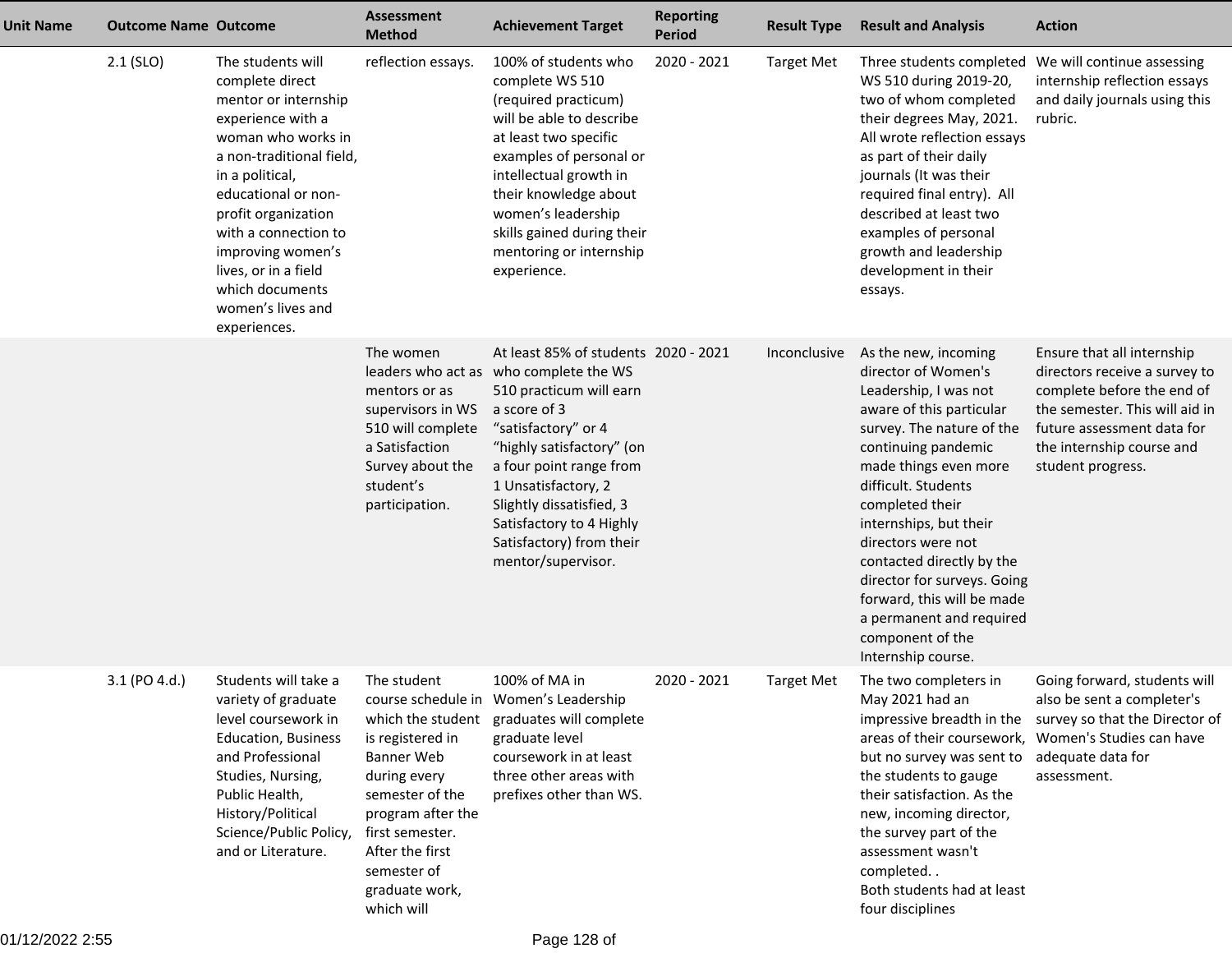| <b>Unit Name</b> | <b>Outcome Name Outcome</b> |                                                                                                                                                                                                                                                                                                                                   | <b>Assessment</b><br><b>Method</b>                                                                                                                                                         | <b>Achievement Target</b>                                                                                                                                                                                                                                                                                              | <b>Reporting</b><br><b>Period</b> | <b>Result Type</b> | <b>Result and Analysis</b>                                                                                                                                                                                                                                                                                                                                                                                                              | <b>Action</b>                                                                                                                                                                                               |
|------------------|-----------------------------|-----------------------------------------------------------------------------------------------------------------------------------------------------------------------------------------------------------------------------------------------------------------------------------------------------------------------------------|--------------------------------------------------------------------------------------------------------------------------------------------------------------------------------------------|------------------------------------------------------------------------------------------------------------------------------------------------------------------------------------------------------------------------------------------------------------------------------------------------------------------------|-----------------------------------|--------------------|-----------------------------------------------------------------------------------------------------------------------------------------------------------------------------------------------------------------------------------------------------------------------------------------------------------------------------------------------------------------------------------------------------------------------------------------|-------------------------------------------------------------------------------------------------------------------------------------------------------------------------------------------------------------|
|                  | $2.1$ (SLO)                 | The students will<br>complete direct<br>mentor or internship<br>experience with a<br>woman who works in<br>a non-traditional field,<br>in a political,<br>educational or non-<br>profit organization<br>with a connection to<br>improving women's<br>lives, or in a field<br>which documents<br>women's lives and<br>experiences. | reflection essays.                                                                                                                                                                         | 100% of students who<br>complete WS 510<br>(required practicum)<br>will be able to describe<br>at least two specific<br>examples of personal or<br>intellectual growth in<br>their knowledge about<br>women's leadership<br>skills gained during their<br>mentoring or internship<br>experience.                       | 2020 - 2021                       | <b>Target Met</b>  | Three students completed<br>WS 510 during 2019-20,<br>two of whom completed<br>their degrees May, 2021.<br>All wrote reflection essays<br>as part of their daily<br>journals (It was their<br>required final entry). All<br>described at least two<br>examples of personal<br>growth and leadership<br>development in their<br>essays.                                                                                                  | We will continue assessing<br>internship reflection essays<br>and daily journals using this<br>rubric.                                                                                                      |
|                  |                             |                                                                                                                                                                                                                                                                                                                                   | The women<br>leaders who act as<br>mentors or as<br>supervisors in WS<br>510 will complete<br>a Satisfaction<br>Survey about the<br>student's<br>participation.                            | At least 85% of students 2020 - 2021<br>who complete the WS<br>510 practicum will earn<br>a score of 3<br>"satisfactory" or 4<br>"highly satisfactory" (on<br>a four point range from<br>1 Unsatisfactory, 2<br>Slightly dissatisfied, 3<br>Satisfactory to 4 Highly<br>Satisfactory) from their<br>mentor/supervisor. |                                   | Inconclusive       | As the new, incoming<br>director of Women's<br>Leadership, I was not<br>aware of this particular<br>survey. The nature of the<br>continuing pandemic<br>made things even more<br>difficult. Students<br>completed their<br>internships, but their<br>directors were not<br>contacted directly by the<br>director for surveys. Going<br>forward, this will be made<br>a permanent and required<br>component of the<br>Internship course. | Ensure that all internship<br>directors receive a survey to<br>complete before the end of<br>the semester. This will aid in<br>future assessment data for<br>the internship course and<br>student progress. |
|                  | 3.1 (PO 4.d.)               | Students will take a<br>variety of graduate<br>level coursework in<br><b>Education, Business</b><br>and Professional<br>Studies, Nursing,<br>Public Health,<br>History/Political<br>Science/Public Policy,<br>and or Literature.                                                                                                  | The student<br>is registered in<br>Banner Web<br>during every<br>semester of the<br>program after the<br>first semester.<br>After the first<br>semester of<br>graduate work,<br>which will | 100% of MA in<br>course schedule in Women's Leadership<br>which the student graduates will complete<br>graduate level<br>coursework in at least<br>three other areas with<br>prefixes other than WS.                                                                                                                   | 2020 - 2021                       | <b>Target Met</b>  | The two completers in<br>May 2021 had an<br>areas of their coursework, Women's Studies can have<br>but no survey was sent to<br>the students to gauge<br>their satisfaction. As the<br>new, incoming director,<br>the survey part of the<br>assessment wasn't<br>completed<br>Both students had at least<br>four disciplines                                                                                                            | Going forward, students will<br>also be sent a completer's<br>impressive breadth in the survey so that the Director of<br>adequate data for<br>assessment.                                                  |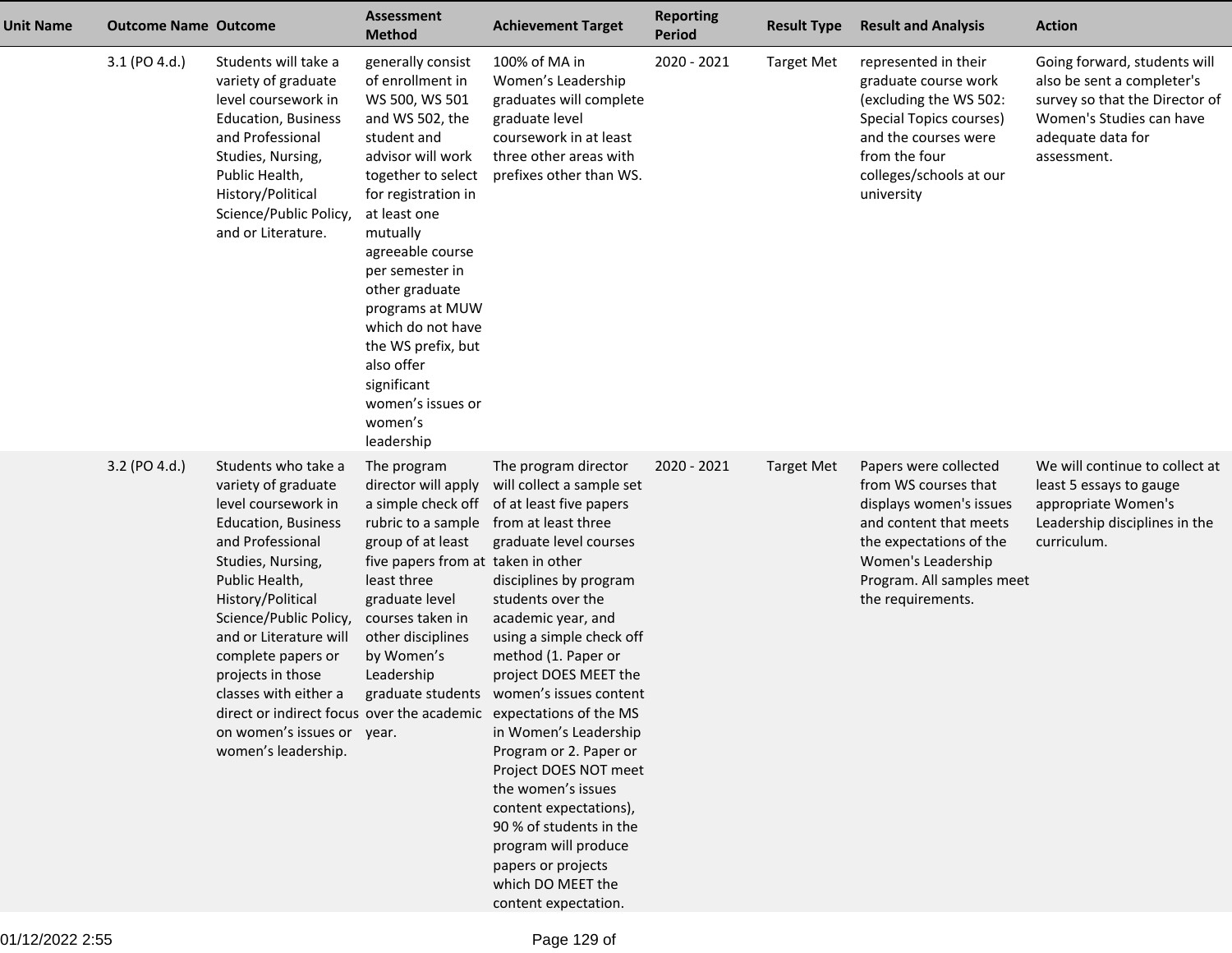| Unit Name | <b>Outcome Name Outcome</b> |                                                                                                                                                                                                                                                                                                                                                              | <b>Assessment</b><br><b>Method</b>                                                                                                                                                                                                                                                                                                                                                        | <b>Achievement Target</b>                                                                                                                                                                                                                                                                                                                                                                                                                                                                                                                                                                                                                         | <b>Reporting</b><br><b>Period</b> | <b>Result Type</b> | <b>Result and Analysis</b>                                                                                                                                                                            | <b>Action</b>                                                                                                                                                |
|-----------|-----------------------------|--------------------------------------------------------------------------------------------------------------------------------------------------------------------------------------------------------------------------------------------------------------------------------------------------------------------------------------------------------------|-------------------------------------------------------------------------------------------------------------------------------------------------------------------------------------------------------------------------------------------------------------------------------------------------------------------------------------------------------------------------------------------|---------------------------------------------------------------------------------------------------------------------------------------------------------------------------------------------------------------------------------------------------------------------------------------------------------------------------------------------------------------------------------------------------------------------------------------------------------------------------------------------------------------------------------------------------------------------------------------------------------------------------------------------------|-----------------------------------|--------------------|-------------------------------------------------------------------------------------------------------------------------------------------------------------------------------------------------------|--------------------------------------------------------------------------------------------------------------------------------------------------------------|
|           | 3.1 (PO 4.d.)               | Students will take a<br>variety of graduate<br>level coursework in<br><b>Education, Business</b><br>and Professional<br>Studies, Nursing,<br>Public Health,<br>History/Political<br>Science/Public Policy,<br>and or Literature.                                                                                                                             | generally consist<br>of enrollment in<br>WS 500, WS 501<br>and WS 502, the<br>student and<br>advisor will work<br>together to select<br>for registration in<br>at least one<br>mutually<br>agreeable course<br>per semester in<br>other graduate<br>programs at MUW<br>which do not have<br>the WS prefix, but<br>also offer<br>significant<br>women's issues or<br>women's<br>leadership | 100% of MA in<br>Women's Leadership<br>graduates will complete<br>graduate level<br>coursework in at least<br>three other areas with<br>prefixes other than WS.                                                                                                                                                                                                                                                                                                                                                                                                                                                                                   | 2020 - 2021                       | <b>Target Met</b>  | represented in their<br>graduate course work<br>(excluding the WS 502:<br>Special Topics courses)<br>and the courses were<br>from the four<br>colleges/schools at our<br>university                   | Going forward, students will<br>also be sent a completer's<br>survey so that the Director of<br>Women's Studies can have<br>adequate data for<br>assessment. |
|           | 3.2 (PO 4.d.)               | Students who take a<br>variety of graduate<br>level coursework in<br><b>Education, Business</b><br>and Professional<br>Studies, Nursing,<br>Public Health,<br>History/Political<br>Science/Public Policy,<br>and or Literature will<br>complete papers or<br>projects in those<br>classes with either a<br>on women's issues or year.<br>women's leadership. | The program<br>director will apply<br>a simple check off<br>rubric to a sample<br>group of at least<br>five papers from at taken in other<br>least three<br>graduate level<br>courses taken in<br>other disciplines<br>by Women's<br>Leadership                                                                                                                                           | The program director<br>will collect a sample set<br>of at least five papers<br>from at least three<br>graduate level courses<br>disciplines by program<br>students over the<br>academic year, and<br>using a simple check off<br>method (1. Paper or<br>project DOES MEET the<br>graduate students women's issues content<br>direct or indirect focus over the academic expectations of the MS<br>in Women's Leadership<br>Program or 2. Paper or<br>Project DOES NOT meet<br>the women's issues<br>content expectations),<br>90 % of students in the<br>program will produce<br>papers or projects<br>which DO MEET the<br>content expectation. | 2020 - 2021                       | <b>Target Met</b>  | Papers were collected<br>from WS courses that<br>displays women's issues<br>and content that meets<br>the expectations of the<br>Women's Leadership<br>Program. All samples meet<br>the requirements. | We will continue to collect at<br>least 5 essays to gauge<br>appropriate Women's<br>Leadership disciplines in the<br>curriculum.                             |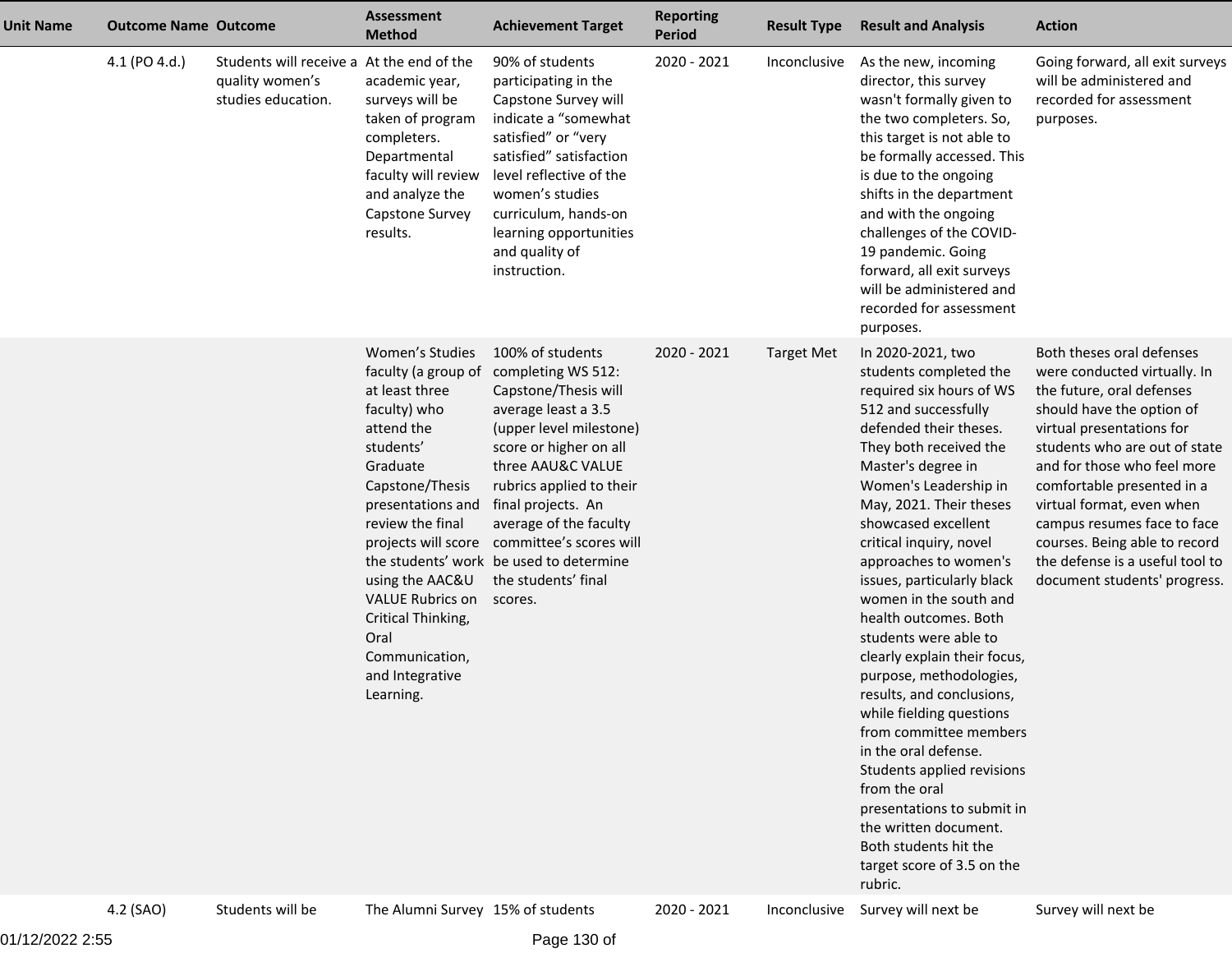| <b>Unit Name</b> | <b>Outcome Name Outcome</b> |                                                                                    | <b>Assessment</b><br><b>Method</b>                                                                                                                                                                                                                                                                                               | <b>Achievement Target</b>                                                                                                                                                                                                                                                                                                                           | <b>Reporting</b><br><b>Period</b> | <b>Result Type</b> | <b>Result and Analysis</b>                                                                                                                                                                                                                                                                                                                                                                                                                                                                                                                                                                                                                                                                                                                                       | <b>Action</b>                                                                                                                                                                                                                                                                                                                                                                                                  |
|------------------|-----------------------------|------------------------------------------------------------------------------------|----------------------------------------------------------------------------------------------------------------------------------------------------------------------------------------------------------------------------------------------------------------------------------------------------------------------------------|-----------------------------------------------------------------------------------------------------------------------------------------------------------------------------------------------------------------------------------------------------------------------------------------------------------------------------------------------------|-----------------------------------|--------------------|------------------------------------------------------------------------------------------------------------------------------------------------------------------------------------------------------------------------------------------------------------------------------------------------------------------------------------------------------------------------------------------------------------------------------------------------------------------------------------------------------------------------------------------------------------------------------------------------------------------------------------------------------------------------------------------------------------------------------------------------------------------|----------------------------------------------------------------------------------------------------------------------------------------------------------------------------------------------------------------------------------------------------------------------------------------------------------------------------------------------------------------------------------------------------------------|
|                  | 4.1 (PO 4.d.)               | Students will receive a At the end of the<br>quality women's<br>studies education. | academic year,<br>surveys will be<br>taken of program<br>completers.<br>Departmental<br>faculty will review<br>and analyze the<br>Capstone Survey<br>results.                                                                                                                                                                    | 90% of students<br>participating in the<br>Capstone Survey will<br>indicate a "somewhat<br>satisfied" or "very<br>satisfied" satisfaction<br>level reflective of the<br>women's studies<br>curriculum, hands-on<br>learning opportunities<br>and quality of<br>instruction.                                                                         | 2020 - 2021                       | Inconclusive       | As the new, incoming<br>director, this survey<br>wasn't formally given to<br>the two completers. So,<br>this target is not able to<br>be formally accessed. This<br>is due to the ongoing<br>shifts in the department<br>and with the ongoing<br>challenges of the COVID-<br>19 pandemic. Going<br>forward, all exit surveys<br>will be administered and<br>recorded for assessment<br>purposes.                                                                                                                                                                                                                                                                                                                                                                 | Going forward, all exit surveys<br>will be administered and<br>recorded for assessment<br>purposes.                                                                                                                                                                                                                                                                                                            |
|                  |                             |                                                                                    | Women's Studies<br>faculty (a group of<br>at least three<br>faculty) who<br>attend the<br>students'<br>Graduate<br>Capstone/Thesis<br>presentations and<br>review the final<br>projects will score<br>using the AAC&U<br><b>VALUE Rubrics on</b><br>Critical Thinking,<br>Oral<br>Communication,<br>and Integrative<br>Learning. | 100% of students<br>completing WS 512:<br>Capstone/Thesis will<br>average least a 3.5<br>(upper level milestone)<br>score or higher on all<br>three AAU&C VALUE<br>rubrics applied to their<br>final projects. An<br>average of the faculty<br>committee's scores will<br>the students' work be used to determine<br>the students' final<br>scores. | 2020 - 2021                       | <b>Target Met</b>  | In 2020-2021, two<br>students completed the<br>required six hours of WS<br>512 and successfully<br>defended their theses.<br>They both received the<br>Master's degree in<br>Women's Leadership in<br>May, 2021. Their theses<br>showcased excellent<br>critical inquiry, novel<br>approaches to women's<br>issues, particularly black<br>women in the south and<br>health outcomes. Both<br>students were able to<br>clearly explain their focus,<br>purpose, methodologies,<br>results, and conclusions,<br>while fielding questions<br>from committee members<br>in the oral defense.<br>Students applied revisions<br>from the oral<br>presentations to submit in<br>the written document.<br>Both students hit the<br>target score of 3.5 on the<br>rubric. | Both theses oral defenses<br>were conducted virtually. In<br>the future, oral defenses<br>should have the option of<br>virtual presentations for<br>students who are out of state<br>and for those who feel more<br>comfortable presented in a<br>virtual format, even when<br>campus resumes face to face<br>courses. Being able to record<br>the defense is a useful tool to<br>document students' progress. |
|                  | 4.2 (SAO)                   | Students will be                                                                   | The Alumni Survey 15% of students                                                                                                                                                                                                                                                                                                |                                                                                                                                                                                                                                                                                                                                                     | 2020 - 2021                       |                    | Inconclusive Survey will next be                                                                                                                                                                                                                                                                                                                                                                                                                                                                                                                                                                                                                                                                                                                                 | Survey will next be                                                                                                                                                                                                                                                                                                                                                                                            |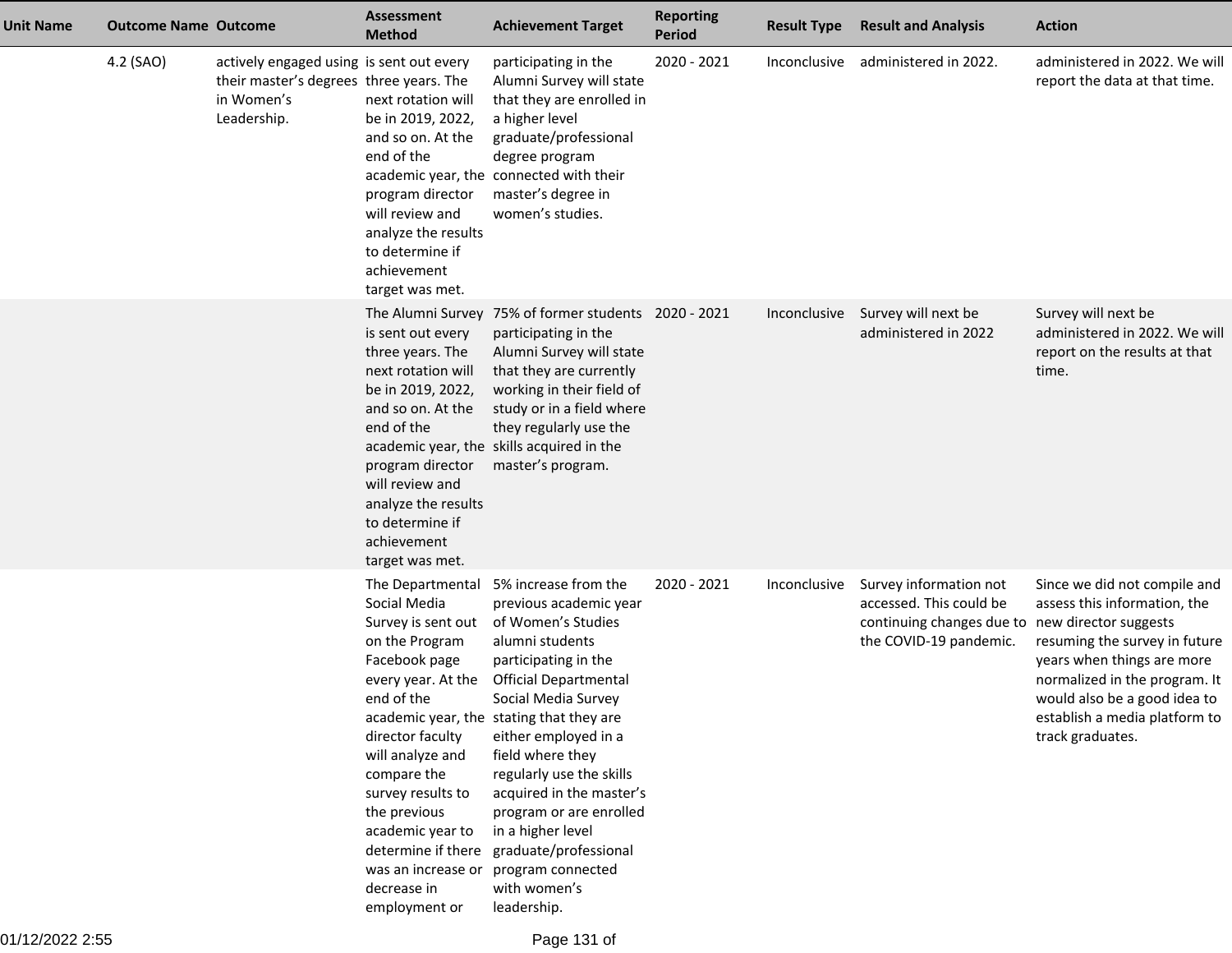| Unit Name | <b>Outcome Name Outcome</b> |                                                                                                                  | Assessment<br><b>Method</b>                                                                                                                                                                                                                                                                                               | <b>Achievement Target</b>                                                                                                                                                                                                                                                                                                                                                                                                                           | <b>Reporting</b><br><b>Period</b> | <b>Result Type</b> | <b>Result and Analysis</b>                                                                                                     | <b>Action</b>                                                                                                                                                                                                                                     |
|-----------|-----------------------------|------------------------------------------------------------------------------------------------------------------|---------------------------------------------------------------------------------------------------------------------------------------------------------------------------------------------------------------------------------------------------------------------------------------------------------------------------|-----------------------------------------------------------------------------------------------------------------------------------------------------------------------------------------------------------------------------------------------------------------------------------------------------------------------------------------------------------------------------------------------------------------------------------------------------|-----------------------------------|--------------------|--------------------------------------------------------------------------------------------------------------------------------|---------------------------------------------------------------------------------------------------------------------------------------------------------------------------------------------------------------------------------------------------|
|           | 4.2 (SAO)                   | actively engaged using is sent out every<br>their master's degrees three years. The<br>in Women's<br>Leadership. | next rotation will<br>be in 2019, 2022,<br>and so on. At the<br>end of the<br>program director<br>will review and<br>analyze the results<br>to determine if<br>achievement<br>target was met.                                                                                                                             | participating in the<br>Alumni Survey will state<br>that they are enrolled in<br>a higher level<br>graduate/professional<br>degree program<br>academic year, the connected with their<br>master's degree in<br>women's studies.                                                                                                                                                                                                                     | 2020 - 2021                       | Inconclusive       | administered in 2022.                                                                                                          | administered in 2022. We will<br>report the data at that time.                                                                                                                                                                                    |
|           |                             |                                                                                                                  | is sent out every<br>three years. The<br>next rotation will<br>be in 2019, 2022,<br>and so on. At the<br>end of the<br>program director<br>will review and<br>analyze the results<br>to determine if<br>achievement<br>target was met.                                                                                    | The Alumni Survey 75% of former students 2020 - 2021<br>participating in the<br>Alumni Survey will state<br>that they are currently<br>working in their field of<br>study or in a field where<br>they regularly use the<br>academic year, the skills acquired in the<br>master's program.                                                                                                                                                           |                                   | Inconclusive       | Survey will next be<br>administered in 2022                                                                                    | Survey will next be<br>administered in 2022. We will<br>report on the results at that<br>time.                                                                                                                                                    |
|           |                             |                                                                                                                  | The Departmental<br>Social Media<br>Survey is sent out<br>on the Program<br>Facebook page<br>every year. At the<br>end of the<br>director faculty<br>will analyze and<br>compare the<br>survey results to<br>the previous<br>academic year to<br>determine if there<br>was an increase or<br>decrease in<br>employment or | 5% increase from the<br>previous academic year<br>of Women's Studies<br>alumni students<br>participating in the<br><b>Official Departmental</b><br>Social Media Survey<br>academic year, the stating that they are<br>either employed in a<br>field where they<br>regularly use the skills<br>acquired in the master's<br>program or are enrolled<br>in a higher level<br>graduate/professional<br>program connected<br>with women's<br>leadership. | 2020 - 2021                       | Inconclusive       | Survey information not<br>accessed. This could be<br>continuing changes due to new director suggests<br>the COVID-19 pandemic. | Since we did not compile and<br>assess this information, the<br>resuming the survey in future<br>years when things are more<br>normalized in the program. It<br>would also be a good idea to<br>establish a media platform to<br>track graduates. |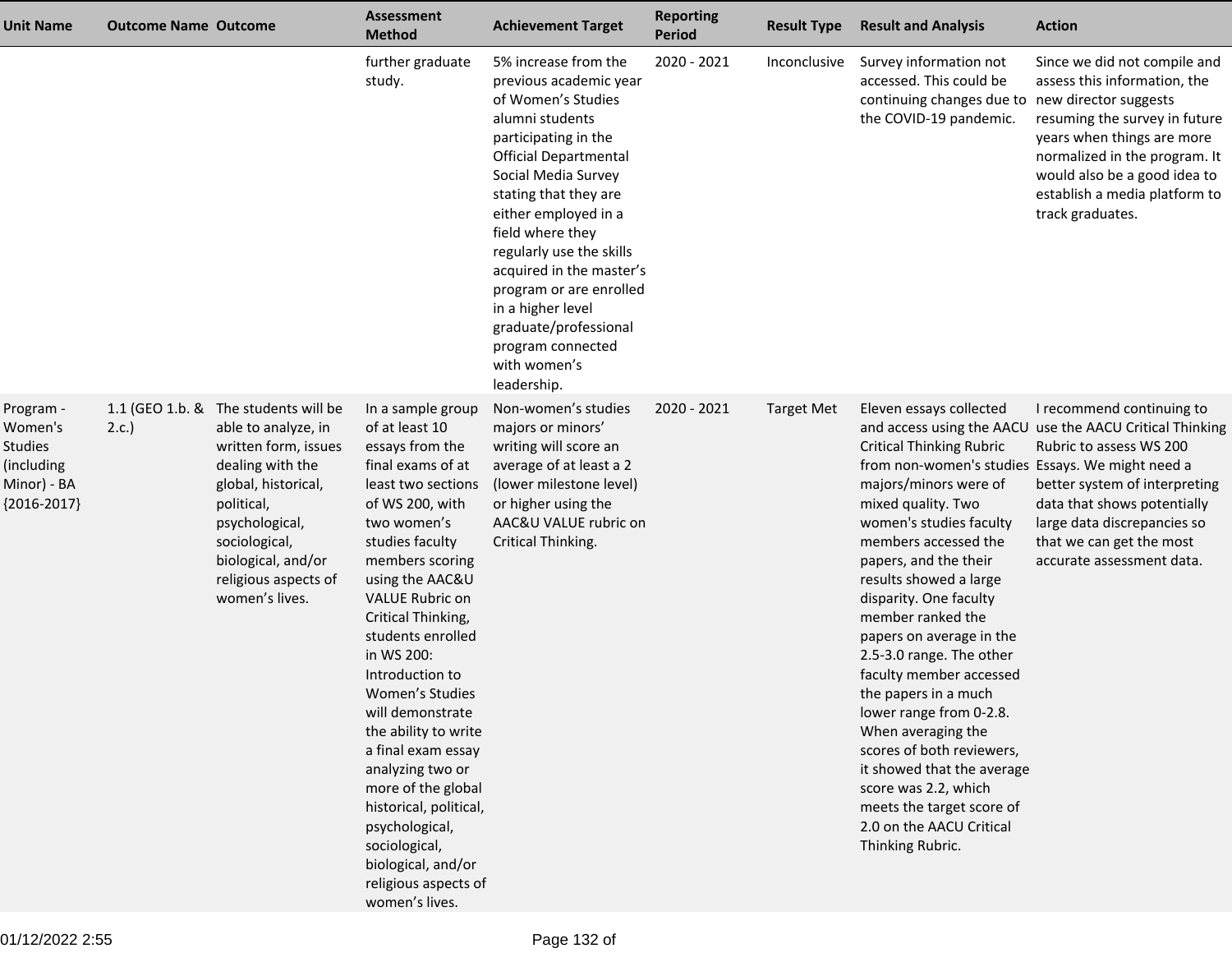| <b>Unit Name</b>                                                                     | <b>Outcome Name Outcome</b> |                                                                                                                                                                                                                                                 | <b>Assessment</b><br><b>Method</b>                                                                                                                                                                                                                                                                                                                                                                                                                                                                                                                             | <b>Achievement Target</b>                                                                                                                                                                                                                                                                                                                                                                                                        | <b>Reporting</b><br>Period | <b>Result Type</b> | <b>Result and Analysis</b>                                                                                                                                                                                                                                                                                                                                                                                                                                                                                                                                                                                                                     | <b>Action</b>                                                                                                                                                                                                                                                            |
|--------------------------------------------------------------------------------------|-----------------------------|-------------------------------------------------------------------------------------------------------------------------------------------------------------------------------------------------------------------------------------------------|----------------------------------------------------------------------------------------------------------------------------------------------------------------------------------------------------------------------------------------------------------------------------------------------------------------------------------------------------------------------------------------------------------------------------------------------------------------------------------------------------------------------------------------------------------------|----------------------------------------------------------------------------------------------------------------------------------------------------------------------------------------------------------------------------------------------------------------------------------------------------------------------------------------------------------------------------------------------------------------------------------|----------------------------|--------------------|------------------------------------------------------------------------------------------------------------------------------------------------------------------------------------------------------------------------------------------------------------------------------------------------------------------------------------------------------------------------------------------------------------------------------------------------------------------------------------------------------------------------------------------------------------------------------------------------------------------------------------------------|--------------------------------------------------------------------------------------------------------------------------------------------------------------------------------------------------------------------------------------------------------------------------|
|                                                                                      |                             |                                                                                                                                                                                                                                                 | further graduate<br>study.                                                                                                                                                                                                                                                                                                                                                                                                                                                                                                                                     | 5% increase from the<br>previous academic year<br>of Women's Studies<br>alumni students<br>participating in the<br><b>Official Departmental</b><br>Social Media Survey<br>stating that they are<br>either employed in a<br>field where they<br>regularly use the skills<br>acquired in the master's<br>program or are enrolled<br>in a higher level<br>graduate/professional<br>program connected<br>with women's<br>leadership. | 2020 - 2021                | Inconclusive       | Survey information not<br>accessed. This could be<br>continuing changes due to new director suggests<br>the COVID-19 pandemic.                                                                                                                                                                                                                                                                                                                                                                                                                                                                                                                 | Since we did not compile and<br>assess this information, the<br>resuming the survey in future<br>years when things are more<br>normalized in the program. It<br>would also be a good idea to<br>establish a media platform to<br>track graduates.                        |
| Program -<br>Women's<br><b>Studies</b><br>(including<br>Minor) - BA<br>${2016-2017}$ | 2.c.                        | 1.1 (GEO 1.b. & The students will be<br>able to analyze, in<br>written form, issues<br>dealing with the<br>global, historical,<br>political,<br>psychological,<br>sociological,<br>biological, and/or<br>religious aspects of<br>women's lives. | In a sample group<br>of at least 10<br>essays from the<br>final exams of at<br>least two sections<br>of WS 200, with<br>two women's<br>studies faculty<br>members scoring<br>using the AAC&U<br><b>VALUE Rubric on</b><br>Critical Thinking,<br>students enrolled<br>in WS 200:<br>Introduction to<br>Women's Studies<br>will demonstrate<br>the ability to write<br>a final exam essay<br>analyzing two or<br>more of the global<br>historical, political,<br>psychological,<br>sociological,<br>biological, and/or<br>religious aspects of<br>women's lives. | Non-women's studies<br>majors or minors'<br>writing will score an<br>average of at least a 2<br>(lower milestone level)<br>or higher using the<br>AAC&U VALUE rubric on<br>Critical Thinking.                                                                                                                                                                                                                                    | 2020 - 2021                | <b>Target Met</b>  | Eleven essays collected<br><b>Critical Thinking Rubric</b><br>from non-women's studies Essays. We might need a<br>majors/minors were of<br>mixed quality. Two<br>women's studies faculty<br>members accessed the<br>papers, and the their<br>results showed a large<br>disparity. One faculty<br>member ranked the<br>papers on average in the<br>2.5-3.0 range. The other<br>faculty member accessed<br>the papers in a much<br>lower range from 0-2.8.<br>When averaging the<br>scores of both reviewers,<br>it showed that the average<br>score was 2.2, which<br>meets the target score of<br>2.0 on the AACU Critical<br>Thinking Rubric. | I recommend continuing to<br>and access using the AACU use the AACU Critical Thinking<br>Rubric to assess WS 200<br>better system of interpreting<br>data that shows potentially<br>large data discrepancies so<br>that we can get the most<br>accurate assessment data. |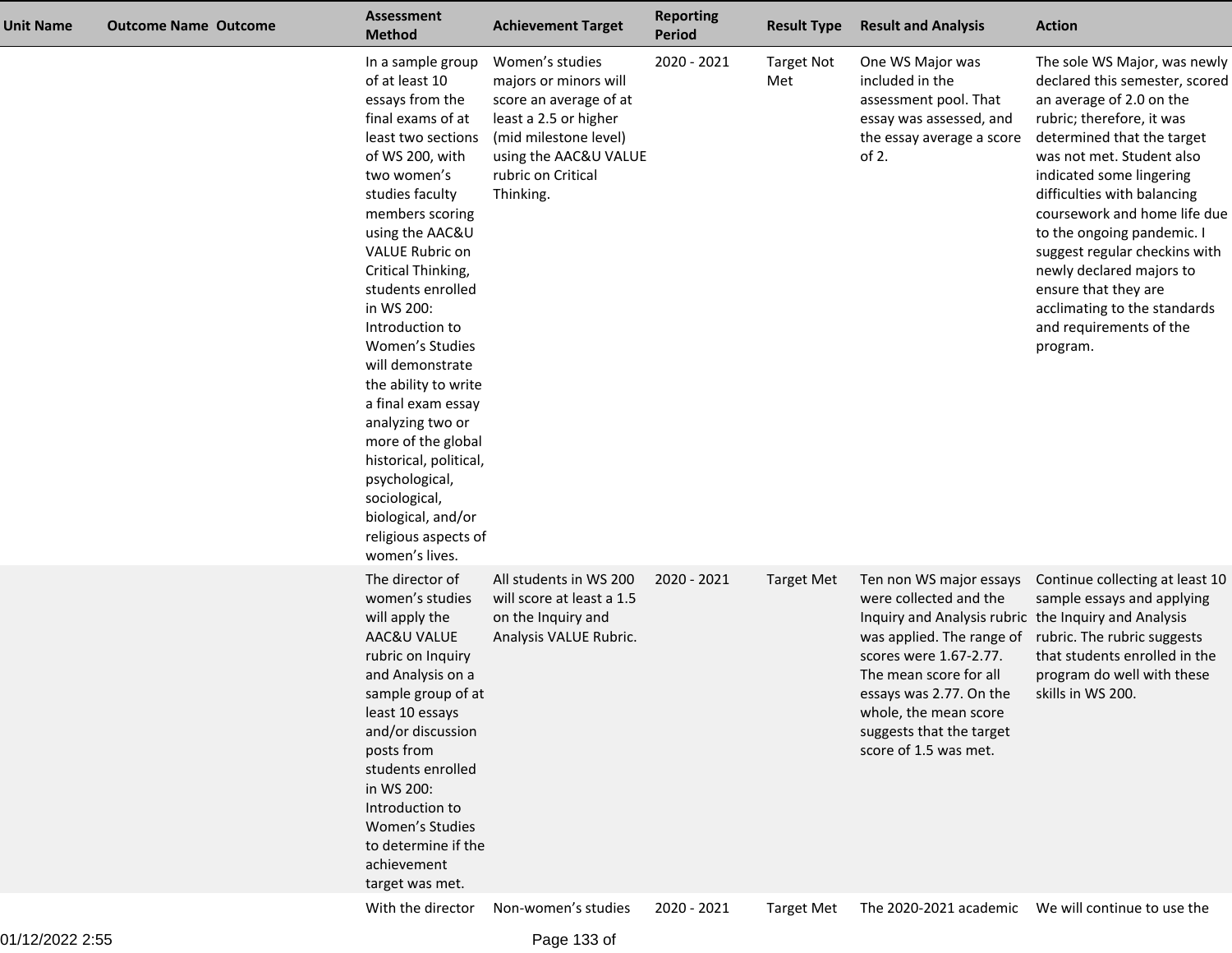| Unit Name | <b>Outcome Name Outcome</b> | <b>Assessment</b><br><b>Method</b>                                                                                                                                                                                                                                                                                                                                                                                                                                                                                                                      | <b>Achievement Target</b>                                                                                                                                                        | <b>Reporting</b><br><b>Period</b> | <b>Result Type</b>       | <b>Result and Analysis</b>                                                                                                                                                                                                                                                                          | <b>Action</b>                                                                                                                                                                                                                                                                                                                                                                                                                                                           |
|-----------|-----------------------------|---------------------------------------------------------------------------------------------------------------------------------------------------------------------------------------------------------------------------------------------------------------------------------------------------------------------------------------------------------------------------------------------------------------------------------------------------------------------------------------------------------------------------------------------------------|----------------------------------------------------------------------------------------------------------------------------------------------------------------------------------|-----------------------------------|--------------------------|-----------------------------------------------------------------------------------------------------------------------------------------------------------------------------------------------------------------------------------------------------------------------------------------------------|-------------------------------------------------------------------------------------------------------------------------------------------------------------------------------------------------------------------------------------------------------------------------------------------------------------------------------------------------------------------------------------------------------------------------------------------------------------------------|
|           |                             | In a sample group<br>of at least 10<br>essays from the<br>final exams of at<br>least two sections<br>of WS 200, with<br>two women's<br>studies faculty<br>members scoring<br>using the AAC&U<br>VALUE Rubric on<br>Critical Thinking,<br>students enrolled<br>in WS 200:<br>Introduction to<br>Women's Studies<br>will demonstrate<br>the ability to write<br>a final exam essay<br>analyzing two or<br>more of the global<br>historical, political,<br>psychological,<br>sociological,<br>biological, and/or<br>religious aspects of<br>women's lives. | Women's studies<br>majors or minors will<br>score an average of at<br>least a 2.5 or higher<br>(mid milestone level)<br>using the AAC&U VALUE<br>rubric on Critical<br>Thinking. | 2020 - 2021                       | <b>Target Not</b><br>Met | One WS Major was<br>included in the<br>assessment pool. That<br>essay was assessed, and<br>the essay average a score<br>of $2$ .                                                                                                                                                                    | The sole WS Major, was newly<br>declared this semester, scored<br>an average of 2.0 on the<br>rubric; therefore, it was<br>determined that the target<br>was not met. Student also<br>indicated some lingering<br>difficulties with balancing<br>coursework and home life due<br>to the ongoing pandemic. I<br>suggest regular checkins with<br>newly declared majors to<br>ensure that they are<br>acclimating to the standards<br>and requirements of the<br>program. |
|           |                             | The director of<br>women's studies<br>will apply the<br>AAC&U VALUE<br>rubric on Inquiry<br>and Analysis on a<br>sample group of at<br>least 10 essays<br>and/or discussion<br>posts from<br>students enrolled<br>in WS 200:<br>Introduction to<br>Women's Studies<br>to determine if the<br>achievement<br>target was met.                                                                                                                                                                                                                             | All students in WS 200<br>will score at least a 1.5<br>on the Inquiry and<br>Analysis VALUE Rubric.                                                                              | 2020 - 2021                       | <b>Target Met</b>        | Ten non WS major essays<br>were collected and the<br>Inquiry and Analysis rubric the Inquiry and Analysis<br>was applied. The range of<br>scores were 1.67-2.77.<br>The mean score for all<br>essays was 2.77. On the<br>whole, the mean score<br>suggests that the target<br>score of 1.5 was met. | Continue collecting at least 10<br>sample essays and applying<br>rubric. The rubric suggests<br>that students enrolled in the<br>program do well with these<br>skills in WS 200.                                                                                                                                                                                                                                                                                        |
|           |                             | With the director                                                                                                                                                                                                                                                                                                                                                                                                                                                                                                                                       | Non-women's studies                                                                                                                                                              | 2020 - 2021                       | <b>Target Met</b>        |                                                                                                                                                                                                                                                                                                     | The 2020-2021 academic  We will continue to use the                                                                                                                                                                                                                                                                                                                                                                                                                     |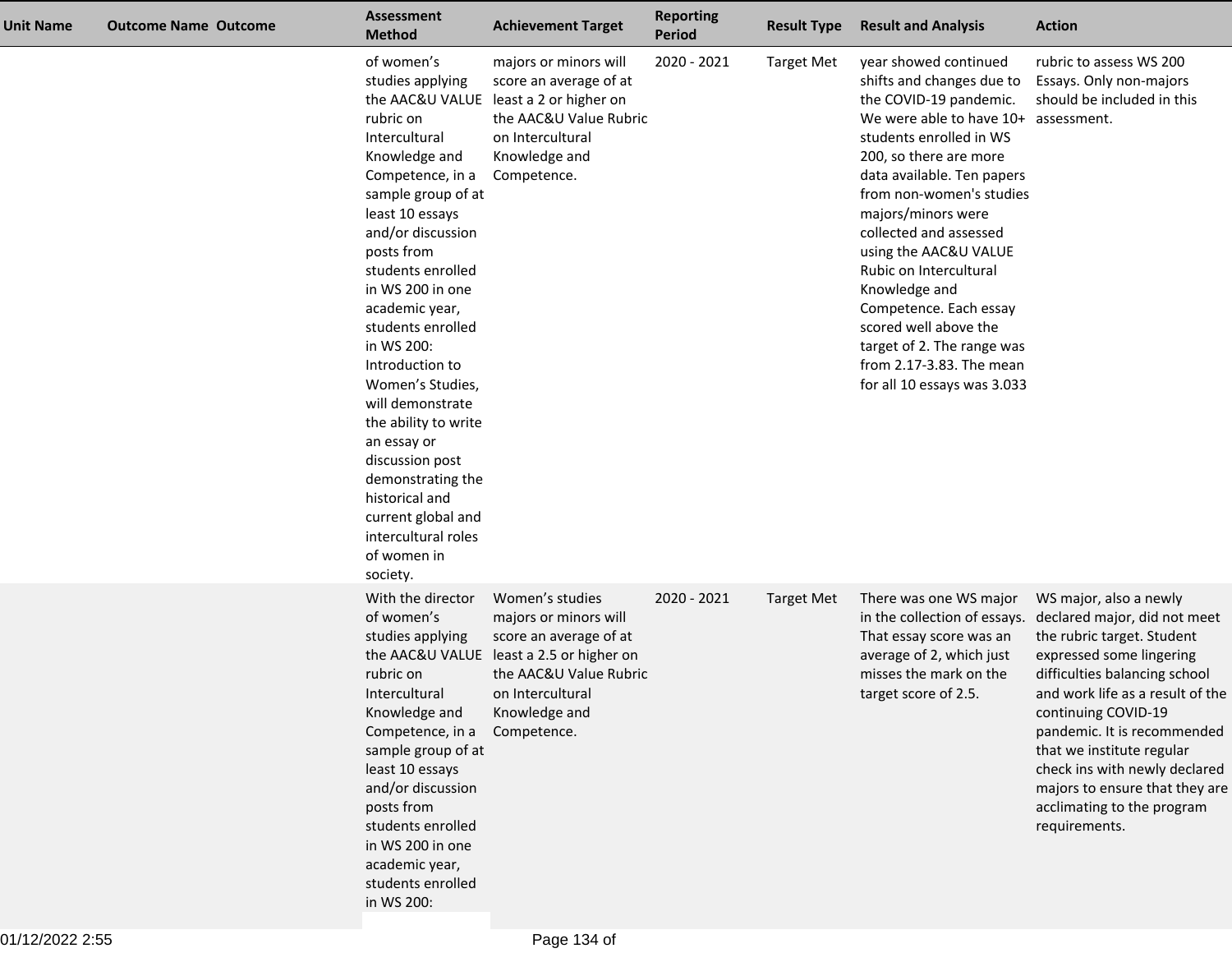| <b>Unit Name</b> | <b>Outcome Name Outcome</b> | <b>Assessment</b><br><b>Method</b>                                                                                                                                                                                                                                                                                                                                                                                                                                                                              | <b>Achievement Target</b>                                                                                                                                                    | <b>Reporting</b><br><b>Period</b> | <b>Result Type</b> | <b>Result and Analysis</b>                                                                                                                                                                                                                                                                                                                                                                                                                                                              | <b>Action</b>                                                                                                                                                                                                                                                                                                                                                                              |
|------------------|-----------------------------|-----------------------------------------------------------------------------------------------------------------------------------------------------------------------------------------------------------------------------------------------------------------------------------------------------------------------------------------------------------------------------------------------------------------------------------------------------------------------------------------------------------------|------------------------------------------------------------------------------------------------------------------------------------------------------------------------------|-----------------------------------|--------------------|-----------------------------------------------------------------------------------------------------------------------------------------------------------------------------------------------------------------------------------------------------------------------------------------------------------------------------------------------------------------------------------------------------------------------------------------------------------------------------------------|--------------------------------------------------------------------------------------------------------------------------------------------------------------------------------------------------------------------------------------------------------------------------------------------------------------------------------------------------------------------------------------------|
|                  |                             | of women's<br>studies applying<br>rubric on<br>Intercultural<br>Knowledge and<br>Competence, in a<br>sample group of at<br>least 10 essays<br>and/or discussion<br>posts from<br>students enrolled<br>in WS 200 in one<br>academic year,<br>students enrolled<br>in WS 200:<br>Introduction to<br>Women's Studies,<br>will demonstrate<br>the ability to write<br>an essay or<br>discussion post<br>demonstrating the<br>historical and<br>current global and<br>intercultural roles<br>of women in<br>society. | majors or minors will<br>score an average of at<br>the AAC&U VALUE least a 2 or higher on<br>the AAC&U Value Rubric<br>on Intercultural<br>Knowledge and<br>Competence.      | 2020 - 2021                       | <b>Target Met</b>  | year showed continued<br>shifts and changes due to<br>the COVID-19 pandemic.<br>We were able to have 10+<br>students enrolled in WS<br>200, so there are more<br>data available. Ten papers<br>from non-women's studies<br>majors/minors were<br>collected and assessed<br>using the AAC&U VALUE<br>Rubic on Intercultural<br>Knowledge and<br>Competence. Each essay<br>scored well above the<br>target of 2. The range was<br>from 2.17-3.83. The mean<br>for all 10 essays was 3.033 | rubric to assess WS 200<br>Essays. Only non-majors<br>should be included in this<br>assessment.                                                                                                                                                                                                                                                                                            |
|                  |                             | With the director<br>of women's<br>studies applying<br>the AAC&U VALUE<br>rubric on<br>Intercultural<br>Knowledge and<br>Competence, in a<br>sample group of at<br>least 10 essays<br>and/or discussion<br>posts from<br>students enrolled<br>in WS 200 in one<br>academic year,<br>students enrolled<br>in WS 200:                                                                                                                                                                                             | Women's studies<br>majors or minors will<br>score an average of at<br>least a 2.5 or higher on<br>the AAC&U Value Rubric<br>on Intercultural<br>Knowledge and<br>Competence. | 2020 - 2021                       | <b>Target Met</b>  | There was one WS major<br>in the collection of essays.<br>That essay score was an<br>average of 2, which just<br>misses the mark on the<br>target score of 2.5.                                                                                                                                                                                                                                                                                                                         | WS major, also a newly<br>declared major, did not meet<br>the rubric target. Student<br>expressed some lingering<br>difficulties balancing school<br>and work life as a result of the<br>continuing COVID-19<br>pandemic. It is recommended<br>that we institute regular<br>check ins with newly declared<br>majors to ensure that they are<br>acclimating to the program<br>requirements. |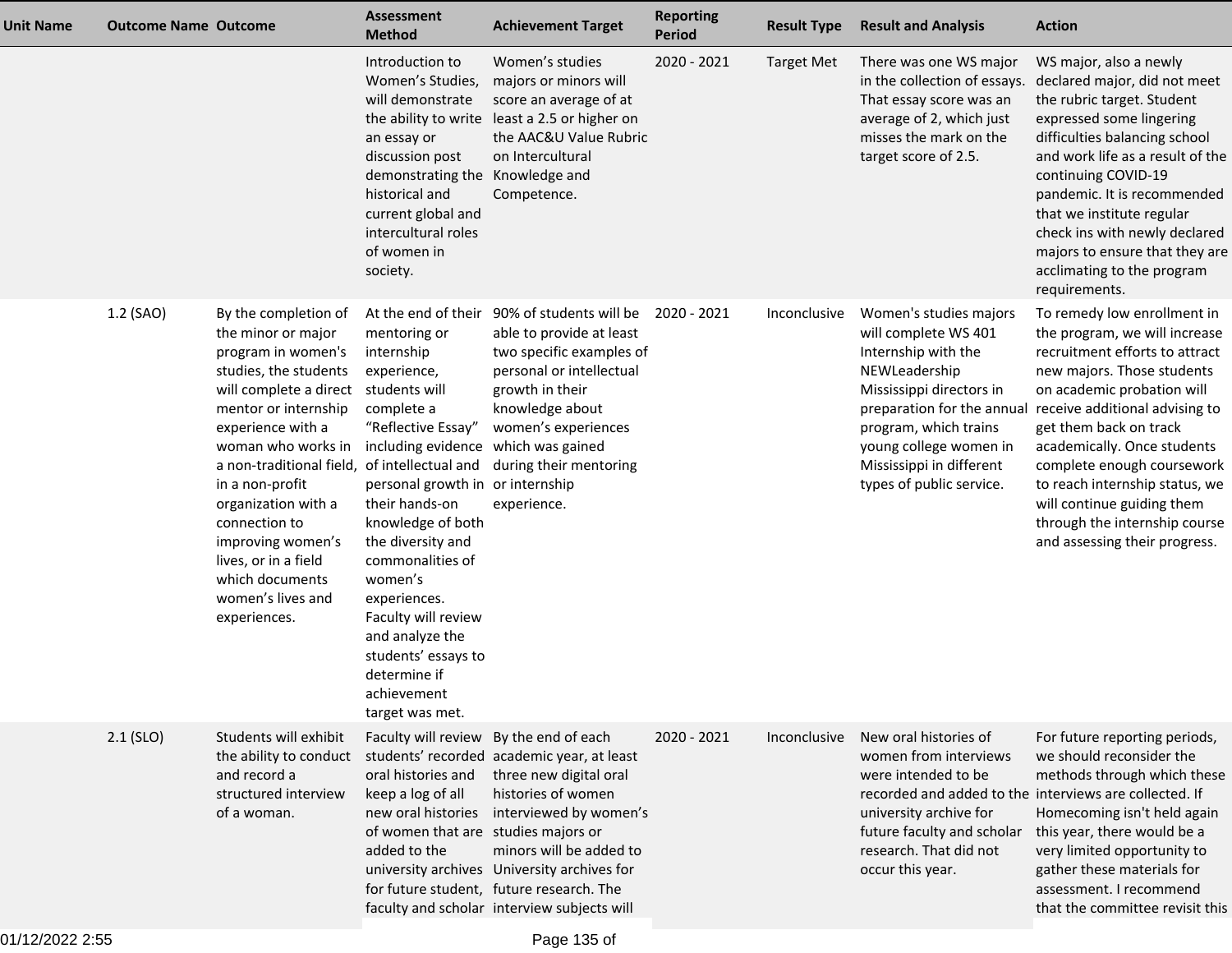| Unit Name | <b>Outcome Name Outcome</b> |                                                                                                                                                                                                                                                                                                                                                                                                        | <b>Assessment</b><br><b>Method</b>                                                                                                                                                                                                                                                                                                                                                                            | <b>Achievement Target</b>                                                                                                                                                                                                                                                                 | <b>Reporting</b><br><b>Period</b> | <b>Result Type</b> | <b>Result and Analysis</b>                                                                                                                                                                                                                                  | <b>Action</b>                                                                                                                                                                                                                                                                                                                                                                                                         |
|-----------|-----------------------------|--------------------------------------------------------------------------------------------------------------------------------------------------------------------------------------------------------------------------------------------------------------------------------------------------------------------------------------------------------------------------------------------------------|---------------------------------------------------------------------------------------------------------------------------------------------------------------------------------------------------------------------------------------------------------------------------------------------------------------------------------------------------------------------------------------------------------------|-------------------------------------------------------------------------------------------------------------------------------------------------------------------------------------------------------------------------------------------------------------------------------------------|-----------------------------------|--------------------|-------------------------------------------------------------------------------------------------------------------------------------------------------------------------------------------------------------------------------------------------------------|-----------------------------------------------------------------------------------------------------------------------------------------------------------------------------------------------------------------------------------------------------------------------------------------------------------------------------------------------------------------------------------------------------------------------|
|           |                             |                                                                                                                                                                                                                                                                                                                                                                                                        | Introduction to<br>Women's Studies,<br>will demonstrate<br>the ability to write<br>an essay or<br>discussion post<br>demonstrating the<br>historical and<br>current global and<br>intercultural roles<br>of women in<br>society.                                                                                                                                                                              | Women's studies<br>majors or minors will<br>score an average of at<br>least a 2.5 or higher on<br>the AAC&U Value Rubric<br>on Intercultural<br>Knowledge and<br>Competence.                                                                                                              | 2020 - 2021                       | <b>Target Met</b>  | There was one WS major<br>in the collection of essays.<br>That essay score was an<br>average of 2, which just<br>misses the mark on the<br>target score of 2.5.                                                                                             | WS major, also a newly<br>declared major, did not meet<br>the rubric target. Student<br>expressed some lingering<br>difficulties balancing school<br>and work life as a result of the<br>continuing COVID-19<br>pandemic. It is recommended<br>that we institute regular<br>check ins with newly declared<br>majors to ensure that they are<br>acclimating to the program<br>requirements.                            |
|           | 1.2 (SAO)                   | By the completion of<br>the minor or major<br>program in women's<br>studies, the students<br>will complete a direct<br>mentor or internship<br>experience with a<br>woman who works in<br>a non-traditional field, of intellectual and<br>in a non-profit<br>organization with a<br>connection to<br>improving women's<br>lives, or in a field<br>which documents<br>women's lives and<br>experiences. | At the end of their<br>mentoring or<br>internship<br>experience,<br>students will<br>complete a<br>"Reflective Essay"<br>including evidence<br>personal growth in or internship<br>their hands-on<br>knowledge of both<br>the diversity and<br>commonalities of<br>women's<br>experiences.<br>Faculty will review<br>and analyze the<br>students' essays to<br>determine if<br>achievement<br>target was met. | 90% of students will be<br>able to provide at least<br>two specific examples of<br>personal or intellectual<br>growth in their<br>knowledge about<br>women's experiences<br>which was gained<br>during their mentoring<br>experience.                                                     | 2020 - 2021                       | Inconclusive       | Women's studies majors<br>will complete WS 401<br>Internship with the<br>NEWLeadership<br>Mississippi directors in<br>preparation for the annual<br>program, which trains<br>young college women in<br>Mississippi in different<br>types of public service. | To remedy low enrollment in<br>the program, we will increase<br>recruitment efforts to attract<br>new majors. Those students<br>on academic probation will<br>receive additional advising to<br>get them back on track<br>academically. Once students<br>complete enough coursework<br>to reach internship status, we<br>will continue guiding them<br>through the internship course<br>and assessing their progress. |
|           | $2.1$ (SLO)                 | Students will exhibit<br>the ability to conduct<br>and record a<br>structured interview<br>of a woman.                                                                                                                                                                                                                                                                                                 | Faculty will review By the end of each<br>oral histories and<br>keep a log of all<br>new oral histories<br>of women that are studies majors or<br>added to the                                                                                                                                                                                                                                                | students' recorded academic year, at least<br>three new digital oral<br>histories of women<br>interviewed by women's<br>minors will be added to<br>university archives University archives for<br>for future student, future research. The<br>faculty and scholar interview subjects will | 2020 - 2021                       | Inconclusive       | New oral histories of<br>women from interviews<br>were intended to be<br>recorded and added to the interviews are collected. If<br>university archive for<br>future faculty and scholar<br>research. That did not<br>occur this year.                       | For future reporting periods,<br>we should reconsider the<br>methods through which these<br>Homecoming isn't held again<br>this year, there would be a<br>very limited opportunity to<br>gather these materials for<br>assessment. I recommend<br>that the committee revisit this                                                                                                                                     |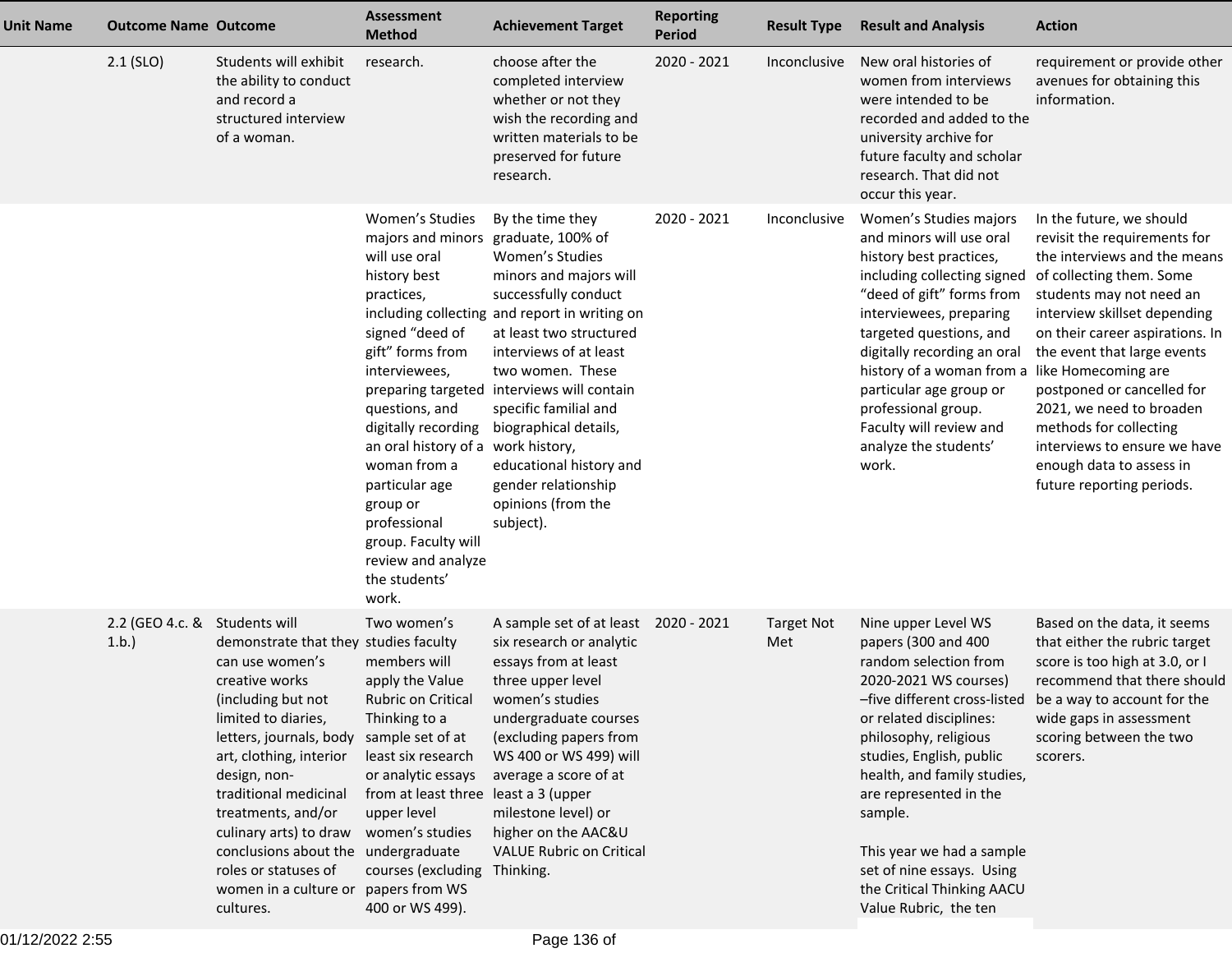| <b>Unit Name</b> | <b>Outcome Name Outcome</b>           |                                                                                                                                                                                                                                                                                                                                                                                                             | <b>Assessment</b><br><b>Method</b>                                                                                                                                                                                                                                                                                                                                                | <b>Achievement Target</b>                                                                                                                                                                                                                                                                                                                                                                            | <b>Reporting</b><br><b>Period</b> | <b>Result Type</b>       | <b>Result and Analysis</b>                                                                                                                                                                                                                                                                                                                                                                          | <b>Action</b>                                                                                                                                                                                                                                                                                                                                                                                                              |
|------------------|---------------------------------------|-------------------------------------------------------------------------------------------------------------------------------------------------------------------------------------------------------------------------------------------------------------------------------------------------------------------------------------------------------------------------------------------------------------|-----------------------------------------------------------------------------------------------------------------------------------------------------------------------------------------------------------------------------------------------------------------------------------------------------------------------------------------------------------------------------------|------------------------------------------------------------------------------------------------------------------------------------------------------------------------------------------------------------------------------------------------------------------------------------------------------------------------------------------------------------------------------------------------------|-----------------------------------|--------------------------|-----------------------------------------------------------------------------------------------------------------------------------------------------------------------------------------------------------------------------------------------------------------------------------------------------------------------------------------------------------------------------------------------------|----------------------------------------------------------------------------------------------------------------------------------------------------------------------------------------------------------------------------------------------------------------------------------------------------------------------------------------------------------------------------------------------------------------------------|
|                  | $2.1$ (SLO)                           | Students will exhibit<br>the ability to conduct<br>and record a<br>structured interview<br>of a woman.                                                                                                                                                                                                                                                                                                      | research.                                                                                                                                                                                                                                                                                                                                                                         | choose after the<br>completed interview<br>whether or not they<br>wish the recording and<br>written materials to be<br>preserved for future<br>research.                                                                                                                                                                                                                                             | 2020 - 2021                       | Inconclusive             | New oral histories of<br>women from interviews<br>were intended to be<br>recorded and added to the<br>university archive for<br>future faculty and scholar<br>research. That did not<br>occur this year.                                                                                                                                                                                            | requirement or provide other<br>avenues for obtaining this<br>information.                                                                                                                                                                                                                                                                                                                                                 |
|                  |                                       |                                                                                                                                                                                                                                                                                                                                                                                                             | Women's Studies<br>majors and minors graduate, 100% of<br>will use oral<br>history best<br>practices,<br>signed "deed of<br>gift" forms from<br>interviewees,<br>questions, and<br>digitally recording<br>an oral history of a work history,<br>woman from a<br>particular age<br>group or<br>professional<br>group. Faculty will<br>review and analyze<br>the students'<br>work. | By the time they<br>Women's Studies<br>minors and majors will<br>successfully conduct<br>including collecting and report in writing on<br>at least two structured<br>interviews of at least<br>two women. These<br>preparing targeted interviews will contain<br>specific familial and<br>biographical details,<br>educational history and<br>gender relationship<br>opinions (from the<br>subject). | 2020 - 2021                       | Inconclusive             | Women's Studies majors<br>and minors will use oral<br>history best practices,<br>including collecting signed of collecting them. Some<br>"deed of gift" forms from<br>interviewees, preparing<br>targeted questions, and<br>digitally recording an oral<br>history of a woman from a<br>particular age group or<br>professional group.<br>Faculty will review and<br>analyze the students'<br>work. | In the future, we should<br>revisit the requirements for<br>the interviews and the means<br>students may not need an<br>interview skillset depending<br>on their career aspirations. In<br>the event that large events<br>like Homecoming are<br>postponed or cancelled for<br>2021, we need to broaden<br>methods for collecting<br>interviews to ensure we have<br>enough data to assess in<br>future reporting periods. |
|                  | 2.2 (GEO 4.c. & Students will<br>1.b. | demonstrate that they studies faculty<br>can use women's<br>creative works<br>(including but not<br>limited to diaries,<br>letters, journals, body sample set of at<br>art, clothing, interior<br>design, non-<br>traditional medicinal<br>treatments, and/or<br>culinary arts) to draw<br>conclusions about the undergraduate<br>roles or statuses of<br>women in a culture or papers from WS<br>cultures. | Two women's<br>members will<br>apply the Value<br><b>Rubric on Critical</b><br>Thinking to a<br>least six research<br>or analytic essays<br>from at least three least a 3 (upper<br>upper level<br>women's studies<br>courses (excluding<br>400 or WS 499).                                                                                                                       | A sample set of at least 2020 - 2021<br>six research or analytic<br>essays from at least<br>three upper level<br>women's studies<br>undergraduate courses<br>(excluding papers from<br>WS 400 or WS 499) will<br>average a score of at<br>milestone level) or<br>higher on the AAC&U<br><b>VALUE Rubric on Critical</b><br>Thinking.                                                                 |                                   | <b>Target Not</b><br>Met | Nine upper Level WS<br>papers (300 and 400<br>random selection from<br>2020-2021 WS courses)<br>or related disciplines:<br>philosophy, religious<br>studies, English, public<br>health, and family studies,<br>are represented in the<br>sample.<br>This year we had a sample<br>set of nine essays. Using<br>the Critical Thinking AACU<br>Value Rubric, the ten                                   | Based on the data, it seems<br>that either the rubric target<br>score is too high at 3.0, or I<br>recommend that there should<br>-five different cross-listed be a way to account for the<br>wide gaps in assessment<br>scoring between the two<br>scorers.                                                                                                                                                                |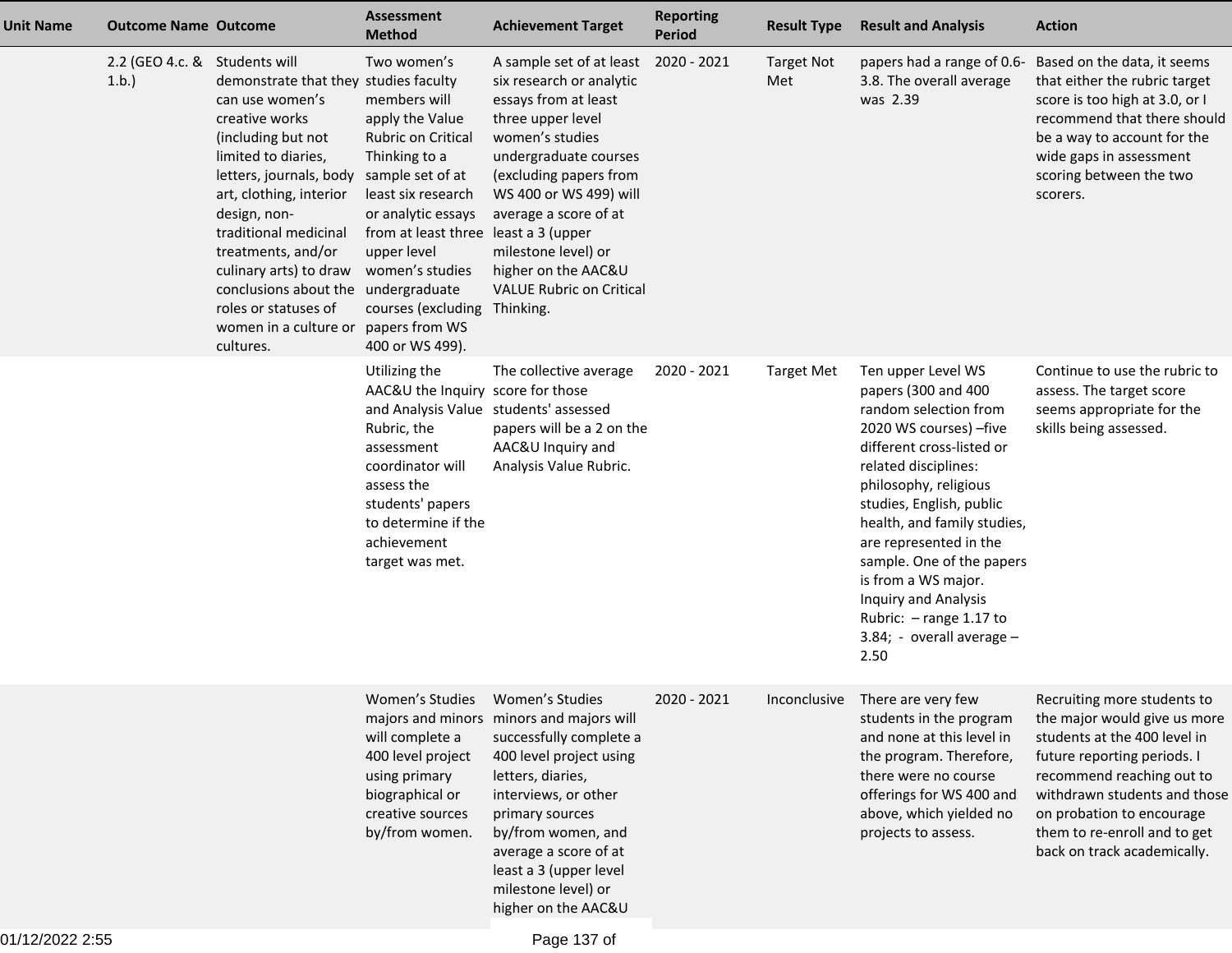| <b>Unit Name</b> | <b>Outcome Name Outcome</b>           |                                                                                                                                                                                                                                                                                                                                                                             | <b>Assessment</b><br><b>Method</b>                                                                                                                                                                                                                                                                   | <b>Achievement Target</b>                                                                                                                                                                                                                                                                                   | <b>Reporting</b><br><b>Period</b> | <b>Result Type</b>       | <b>Result and Analysis</b>                                                                                                                                                                                                                                                                                                                                                                                   | <b>Action</b>                                                                                                                                                                                                                                                                       |
|------------------|---------------------------------------|-----------------------------------------------------------------------------------------------------------------------------------------------------------------------------------------------------------------------------------------------------------------------------------------------------------------------------------------------------------------------------|------------------------------------------------------------------------------------------------------------------------------------------------------------------------------------------------------------------------------------------------------------------------------------------------------|-------------------------------------------------------------------------------------------------------------------------------------------------------------------------------------------------------------------------------------------------------------------------------------------------------------|-----------------------------------|--------------------------|--------------------------------------------------------------------------------------------------------------------------------------------------------------------------------------------------------------------------------------------------------------------------------------------------------------------------------------------------------------------------------------------------------------|-------------------------------------------------------------------------------------------------------------------------------------------------------------------------------------------------------------------------------------------------------------------------------------|
|                  | 2.2 (GEO 4.c. & Students will<br>1.b. | demonstrate that they studies faculty<br>can use women's<br>creative works<br>(including but not<br>limited to diaries,<br>letters, journals, body<br>art, clothing, interior<br>design, non-<br>traditional medicinal<br>treatments, and/or<br>culinary arts) to draw<br>conclusions about the undergraduate<br>roles or statuses of<br>women in a culture or<br>cultures. | Two women's<br>members will<br>apply the Value<br>Rubric on Critical<br>Thinking to a<br>sample set of at<br>least six research<br>or analytic essays<br>from at least three least a 3 (upper<br>upper level<br>women's studies<br>courses (excluding Thinking.<br>papers from WS<br>400 or WS 499). | A sample set of at least<br>six research or analytic<br>essays from at least<br>three upper level<br>women's studies<br>undergraduate courses<br>(excluding papers from<br>WS 400 or WS 499) will<br>average a score of at<br>milestone level) or<br>higher on the AAC&U<br><b>VALUE Rubric on Critical</b> | 2020 - 2021                       | <b>Target Not</b><br>Met | papers had a range of 0.6-<br>3.8. The overall average<br>was 2.39                                                                                                                                                                                                                                                                                                                                           | Based on the data, it seems<br>that either the rubric target<br>score is too high at 3.0, or I<br>recommend that there should<br>be a way to account for the<br>wide gaps in assessment<br>scoring between the two<br>scorers.                                                      |
|                  |                                       |                                                                                                                                                                                                                                                                                                                                                                             | Utilizing the<br>AAC&U the Inquiry score for those<br>and Analysis Value students' assessed<br>Rubric, the<br>assessment<br>coordinator will<br>assess the<br>students' papers<br>to determine if the<br>achievement<br>target was met.                                                              | The collective average<br>papers will be a 2 on the<br>AAC&U Inquiry and<br>Analysis Value Rubric.                                                                                                                                                                                                          | 2020 - 2021                       | <b>Target Met</b>        | Ten upper Level WS<br>papers (300 and 400<br>random selection from<br>2020 WS courses) - five<br>different cross-listed or<br>related disciplines:<br>philosophy, religious<br>studies, English, public<br>health, and family studies,<br>are represented in the<br>sample. One of the papers<br>is from a WS major.<br>Inquiry and Analysis<br>Rubric: - range 1.17 to<br>3.84; - overall average -<br>2.50 | Continue to use the rubric to<br>assess. The target score<br>seems appropriate for the<br>skills being assessed.                                                                                                                                                                    |
|                  |                                       |                                                                                                                                                                                                                                                                                                                                                                             | Women's Studies Women's Studies<br>will complete a<br>400 level project<br>using primary<br>biographical or<br>creative sources<br>by/from women.                                                                                                                                                    | majors and minors minors and majors will<br>successfully complete a<br>400 level project using<br>letters, diaries,<br>interviews, or other<br>primary sources<br>by/from women, and<br>average a score of at<br>least a 3 (upper level<br>milestone level) or<br>higher on the AAC&U                       | 2020 - 2021                       |                          | Inconclusive There are very few<br>students in the program<br>and none at this level in<br>the program. Therefore,<br>there were no course<br>offerings for WS 400 and<br>above, which yielded no<br>projects to assess.                                                                                                                                                                                     | Recruiting more students to<br>the major would give us more<br>students at the 400 level in<br>future reporting periods. I<br>recommend reaching out to<br>withdrawn students and those<br>on probation to encourage<br>them to re-enroll and to get<br>back on track academically. |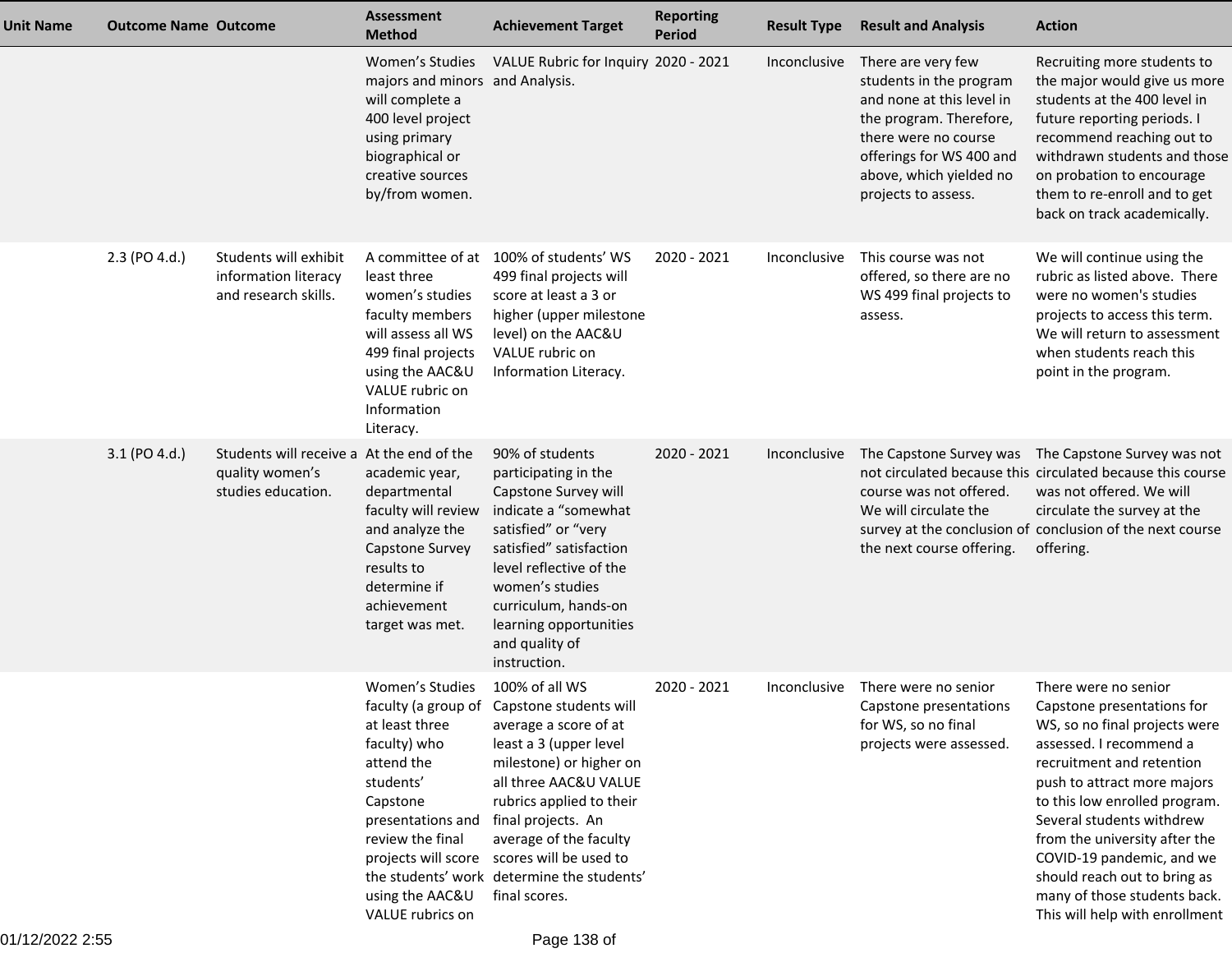| <b>Unit Name</b> | <b>Outcome Name Outcome</b> |                                                                                    | <b>Assessment</b><br><b>Method</b>                                                                                                                                                                                     | <b>Achievement Target</b>                                                                                                                                                                                                                                                                                            | <b>Reporting</b><br><b>Period</b> | <b>Result Type</b> | <b>Result and Analysis</b>                                                                                                                                                                                  | <b>Action</b>                                                                                                                                                                                                                                                                                                                                                                                            |
|------------------|-----------------------------|------------------------------------------------------------------------------------|------------------------------------------------------------------------------------------------------------------------------------------------------------------------------------------------------------------------|----------------------------------------------------------------------------------------------------------------------------------------------------------------------------------------------------------------------------------------------------------------------------------------------------------------------|-----------------------------------|--------------------|-------------------------------------------------------------------------------------------------------------------------------------------------------------------------------------------------------------|----------------------------------------------------------------------------------------------------------------------------------------------------------------------------------------------------------------------------------------------------------------------------------------------------------------------------------------------------------------------------------------------------------|
|                  |                             |                                                                                    | Women's Studies<br>majors and minors and Analysis.<br>will complete a<br>400 level project<br>using primary<br>biographical or<br>creative sources<br>by/from women.                                                   | VALUE Rubric for Inquiry 2020 - 2021                                                                                                                                                                                                                                                                                 |                                   | Inconclusive       | There are very few<br>students in the program<br>and none at this level in<br>the program. Therefore,<br>there were no course<br>offerings for WS 400 and<br>above, which yielded no<br>projects to assess. | Recruiting more students to<br>the major would give us more<br>students at the 400 level in<br>future reporting periods. I<br>recommend reaching out to<br>withdrawn students and those<br>on probation to encourage<br>them to re-enroll and to get<br>back on track academically.                                                                                                                      |
|                  | 2.3 (PO 4.d.)               | Students will exhibit<br>information literacy<br>and research skills.              | least three<br>women's studies<br>faculty members<br>will assess all WS<br>499 final projects<br>using the AAC&U<br>VALUE rubric on<br>Information<br>Literacy.                                                        | A committee of at 100% of students' WS<br>499 final projects will<br>score at least a 3 or<br>higher (upper milestone<br>level) on the AAC&U<br>VALUE rubric on<br>Information Literacy.                                                                                                                             | 2020 - 2021                       | Inconclusive       | This course was not<br>offered, so there are no<br>WS 499 final projects to<br>assess.                                                                                                                      | We will continue using the<br>rubric as listed above. There<br>were no women's studies<br>projects to access this term.<br>We will return to assessment<br>when students reach this<br>point in the program.                                                                                                                                                                                             |
|                  | 3.1 (PO 4.d.)               | Students will receive a At the end of the<br>quality women's<br>studies education. | academic year,<br>departmental<br>faculty will review<br>and analyze the<br>Capstone Survey<br>results to<br>determine if<br>achievement<br>target was met.                                                            | 90% of students<br>participating in the<br>Capstone Survey will<br>indicate a "somewhat<br>satisfied" or "very<br>satisfied" satisfaction<br>level reflective of the<br>women's studies<br>curriculum, hands-on<br>learning opportunities<br>and quality of<br>instruction.                                          | 2020 - 2021                       | Inconclusive       | The Capstone Survey was<br>course was not offered.<br>We will circulate the<br>the next course offering.                                                                                                    | The Capstone Survey was not<br>not circulated because this circulated because this course<br>was not offered. We will<br>circulate the survey at the<br>survey at the conclusion of conclusion of the next course<br>offering.                                                                                                                                                                           |
|                  |                             |                                                                                    | Women's Studies<br>faculty (a group of<br>at least three<br>faculty) who<br>attend the<br>students'<br>Capstone<br>presentations and<br>review the final<br>projects will score<br>using the AAC&U<br>VALUE rubrics on | 100% of all WS<br>Capstone students will<br>average a score of at<br>least a 3 (upper level<br>milestone) or higher on<br>all three AAC&U VALUE<br>rubrics applied to their<br>final projects. An<br>average of the faculty<br>scores will be used to<br>the students' work determine the students'<br>final scores. | 2020 - 2021                       | Inconclusive       | There were no senior<br>Capstone presentations<br>for WS, so no final<br>projects were assessed.                                                                                                            | There were no senior<br>Capstone presentations for<br>WS, so no final projects were<br>assessed. I recommend a<br>recruitment and retention<br>push to attract more majors<br>to this low enrolled program.<br>Several students withdrew<br>from the university after the<br>COVID-19 pandemic, and we<br>should reach out to bring as<br>many of those students back.<br>This will help with enrollment |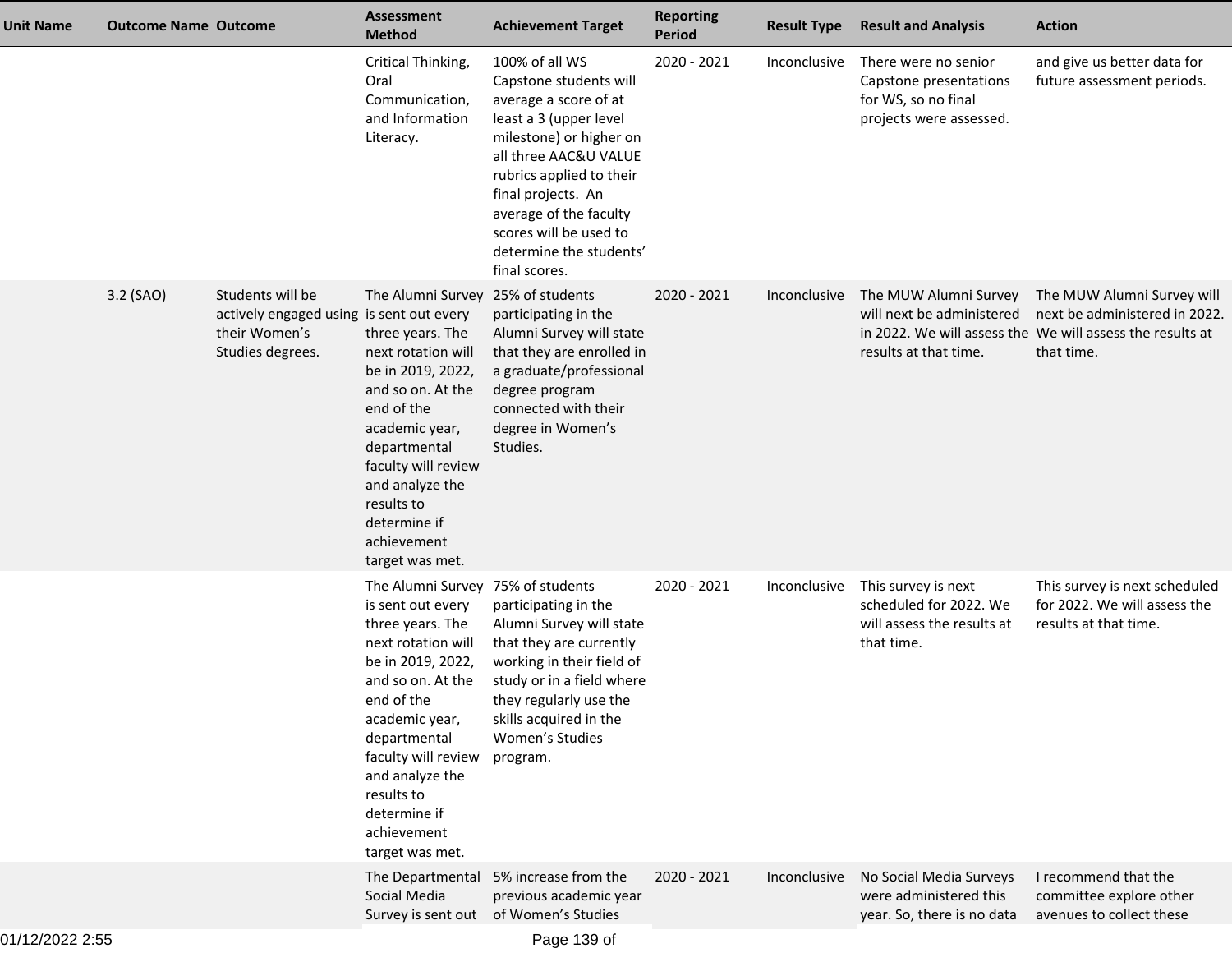| <b>Unit Name</b> | <b>Outcome Name Outcome</b> |                                                                                                   | <b>Assessment</b><br><b>Method</b>                                                                                                                                                                                                                                                                   | <b>Achievement Target</b>                                                                                                                                                                                                                                                                         | <b>Reporting</b><br><b>Period</b> | <b>Result Type</b> | <b>Result and Analysis</b>                                                                       | <b>Action</b>                                                                                                                          |
|------------------|-----------------------------|---------------------------------------------------------------------------------------------------|------------------------------------------------------------------------------------------------------------------------------------------------------------------------------------------------------------------------------------------------------------------------------------------------------|---------------------------------------------------------------------------------------------------------------------------------------------------------------------------------------------------------------------------------------------------------------------------------------------------|-----------------------------------|--------------------|--------------------------------------------------------------------------------------------------|----------------------------------------------------------------------------------------------------------------------------------------|
|                  |                             |                                                                                                   | Critical Thinking,<br>Oral<br>Communication,<br>and Information<br>Literacy.                                                                                                                                                                                                                         | 100% of all WS<br>Capstone students will<br>average a score of at<br>least a 3 (upper level<br>milestone) or higher on<br>all three AAC&U VALUE<br>rubrics applied to their<br>final projects. An<br>average of the faculty<br>scores will be used to<br>determine the students'<br>final scores. | 2020 - 2021                       | Inconclusive       | There were no senior<br>Capstone presentations<br>for WS, so no final<br>projects were assessed. | and give us better data for<br>future assessment periods.                                                                              |
|                  | 3.2 (SAO)                   | Students will be<br>actively engaged using is sent out every<br>their Women's<br>Studies degrees. | The Alumni Survey<br>three years. The<br>next rotation will<br>be in 2019, 2022,<br>and so on. At the<br>end of the<br>academic year,<br>departmental<br>faculty will review<br>and analyze the<br>results to<br>determine if<br>achievement<br>target was met.                                      | 25% of students<br>participating in the<br>Alumni Survey will state<br>that they are enrolled in<br>a graduate/professional<br>degree program<br>connected with their<br>degree in Women's<br>Studies.                                                                                            | 2020 - 2021                       | Inconclusive       | The MUW Alumni Survey<br>will next be administered<br>results at that time.                      | The MUW Alumni Survey will<br>next be administered in 2022.<br>in 2022. We will assess the We will assess the results at<br>that time. |
|                  |                             |                                                                                                   | The Alumni Survey 75% of students<br>is sent out every<br>three years. The<br>next rotation will<br>be in 2019, 2022,<br>and so on. At the<br>end of the<br>academic year,<br>departmental<br>faculty will review<br>and analyze the<br>results to<br>determine if<br>achievement<br>target was met. | participating in the<br>Alumni Survey will state<br>that they are currently<br>working in their field of<br>study or in a field where<br>they regularly use the<br>skills acquired in the<br>Women's Studies<br>program.                                                                          | 2020 - 2021                       | Inconclusive       | This survey is next<br>scheduled for 2022. We<br>will assess the results at<br>that time.        | This survey is next scheduled<br>for 2022. We will assess the<br>results at that time.                                                 |
|                  |                             |                                                                                                   | The Departmental<br>Social Media<br>Survey is sent out                                                                                                                                                                                                                                               | 5% increase from the<br>previous academic year<br>of Women's Studies                                                                                                                                                                                                                              | 2020 - 2021                       | Inconclusive       | No Social Media Surveys<br>were administered this<br>year. So, there is no data                  | I recommend that the<br>committee explore other<br>avenues to collect these                                                            |
|                  |                             |                                                                                                   |                                                                                                                                                                                                                                                                                                      |                                                                                                                                                                                                                                                                                                   |                                   |                    |                                                                                                  |                                                                                                                                        |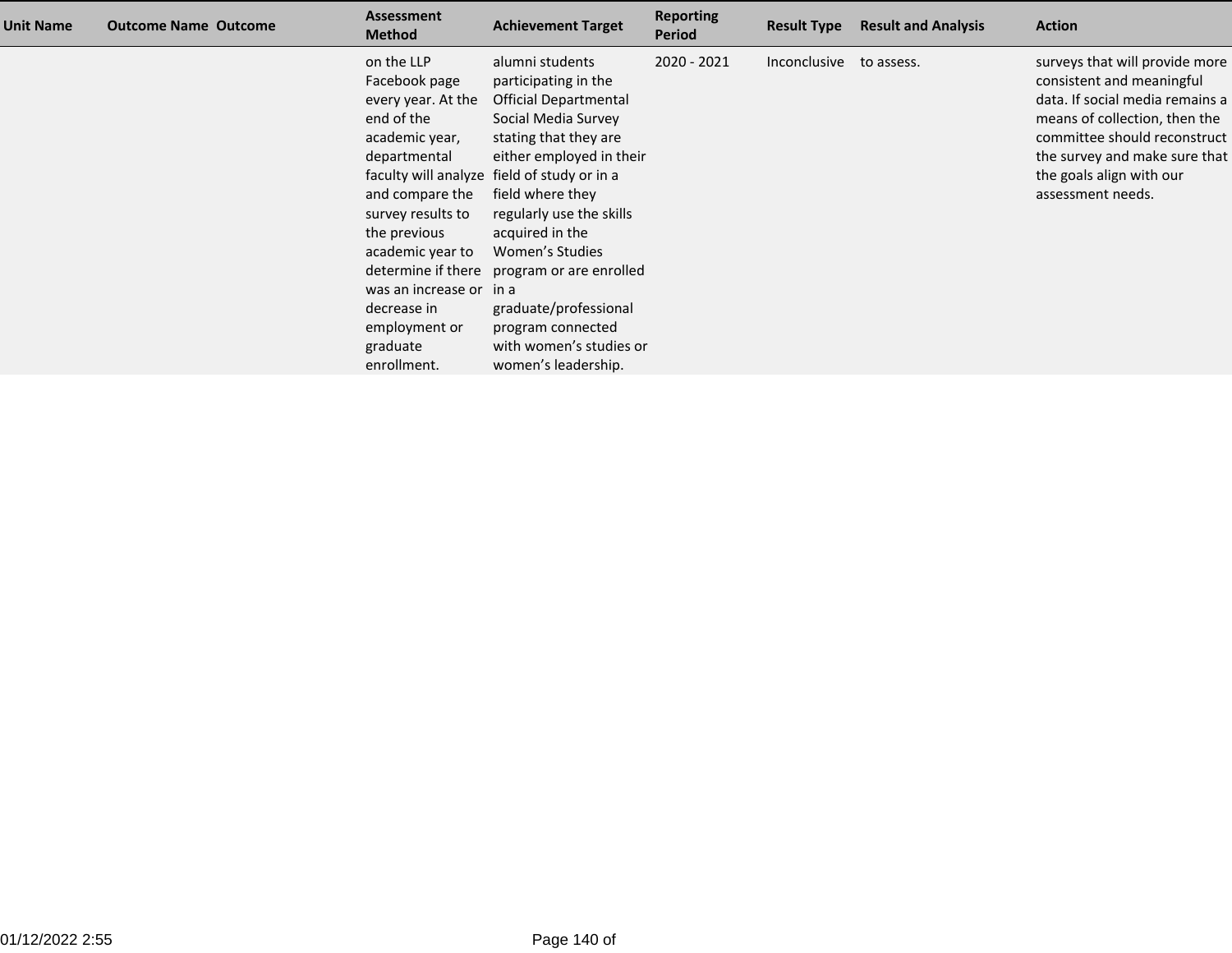| <b>Unit Name</b> | <b>Outcome Name Outcome</b> | <b>Assessment</b><br><b>Method</b>                                                                                                                                                                                                                                  | <b>Achievement Target</b>                                                                                                                                                                                                                                                                                                                                                                                                              | <b>Reporting</b><br><b>Period</b> | <b>Result Type</b> | <b>Result and Analysis</b> | <b>Action</b>                                                                                                                                                                                                                                     |
|------------------|-----------------------------|---------------------------------------------------------------------------------------------------------------------------------------------------------------------------------------------------------------------------------------------------------------------|----------------------------------------------------------------------------------------------------------------------------------------------------------------------------------------------------------------------------------------------------------------------------------------------------------------------------------------------------------------------------------------------------------------------------------------|-----------------------------------|--------------------|----------------------------|---------------------------------------------------------------------------------------------------------------------------------------------------------------------------------------------------------------------------------------------------|
|                  |                             | on the LLP<br>Facebook page<br>every year. At the<br>end of the<br>academic year,<br>departmental<br>and compare the<br>survey results to<br>the previous<br>academic year to<br>was an increase or in a<br>decrease in<br>employment or<br>graduate<br>enrollment. | alumni students<br>participating in the<br><b>Official Departmental</b><br>Social Media Survey<br>stating that they are<br>either employed in their<br>faculty will analyze field of study or in a<br>field where they<br>regularly use the skills<br>acquired in the<br>Women's Studies<br>determine if there program or are enrolled<br>graduate/professional<br>program connected<br>with women's studies or<br>women's leadership. | $2020 - 2021$                     | Inconclusive       | to assess.                 | surveys that will provide more<br>consistent and meaningful<br>data. If social media remains a<br>means of collection, then the<br>committee should reconstruct<br>the survey and make sure that<br>the goals align with our<br>assessment needs. |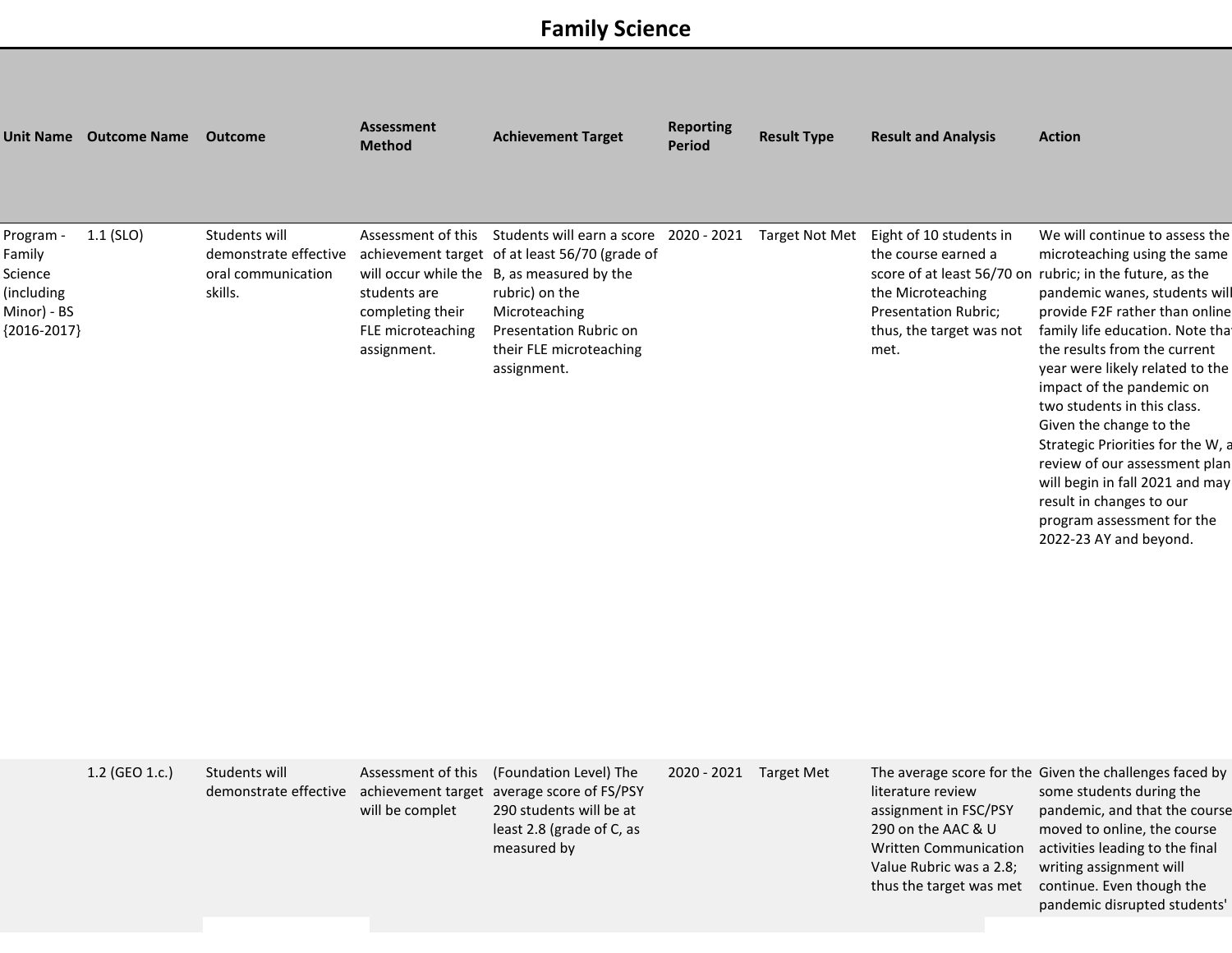## **Family Science**

|                                                                              | Unit Name Outcome Name | Outcome                                                                 | <b>Assessment</b><br><b>Method</b>                                   | <b>Achievement Target</b>                                                                                                                                                                                                                                                       | <b>Reporting</b><br><b>Period</b> | <b>Result Type</b> | <b>Result and Analysis</b>                                                                                                                             | <b>Action</b>                                                                                                                                                                                                                                                                                                                                                                                                                                                                                                                                                                            |
|------------------------------------------------------------------------------|------------------------|-------------------------------------------------------------------------|----------------------------------------------------------------------|---------------------------------------------------------------------------------------------------------------------------------------------------------------------------------------------------------------------------------------------------------------------------------|-----------------------------------|--------------------|--------------------------------------------------------------------------------------------------------------------------------------------------------|------------------------------------------------------------------------------------------------------------------------------------------------------------------------------------------------------------------------------------------------------------------------------------------------------------------------------------------------------------------------------------------------------------------------------------------------------------------------------------------------------------------------------------------------------------------------------------------|
| Program -<br>Family<br>Science<br>(including<br>Minor) - BS<br>${2016-2017}$ | $1.1$ (SLO)            | Students will<br>demonstrate effective<br>oral communication<br>skills. | students are<br>completing their<br>FLE microteaching<br>assignment. | Assessment of this Students will earn a score 2020 - 2021 Target Not Met<br>achievement target of at least 56/70 (grade of<br>will occur while the B, as measured by the<br>rubric) on the<br>Microteaching<br>Presentation Rubric on<br>their FLE microteaching<br>assignment. |                                   |                    | Eight of 10 students in<br>the course earned a<br>the Microteaching<br>Presentation Rubric;<br>thus, the target was not<br>met.                        | We will continue to assess the<br>microteaching using the same<br>score of at least 56/70 on rubric; in the future, as the<br>pandemic wanes, students will<br>provide F2F rather than online<br>family life education. Note that<br>the results from the current<br>year were likely related to the<br>impact of the pandemic on<br>two students in this class.<br>Given the change to the<br>Strategic Priorities for the W, a<br>review of our assessment plan<br>will begin in fall 2021 and may<br>result in changes to our<br>program assessment for the<br>2022-23 AY and beyond. |
|                                                                              | 1.2 (GEO 1.c.)         | Students will<br>demonstrate effective                                  | Assessment of this<br>will be complet                                | (Foundation Level) The<br>achievement target average score of FS/PSY<br>290 students will be at<br>least 2.8 (grade of C, as<br>measured by                                                                                                                                     | 2020 - 2021 Target Met            |                    | literature review<br>assignment in FSC/PSY<br>290 on the AAC & U<br><b>Written Communication</b><br>Value Rubric was a 2.8;<br>thus the target was met | The average score for the Given the challenges faced by<br>some students during the<br>pandemic, and that the course<br>moved to online, the course<br>activities leading to the final<br>writing assignment will<br>continue. Even though the<br>pandemic disrupted students'                                                                                                                                                                                                                                                                                                           |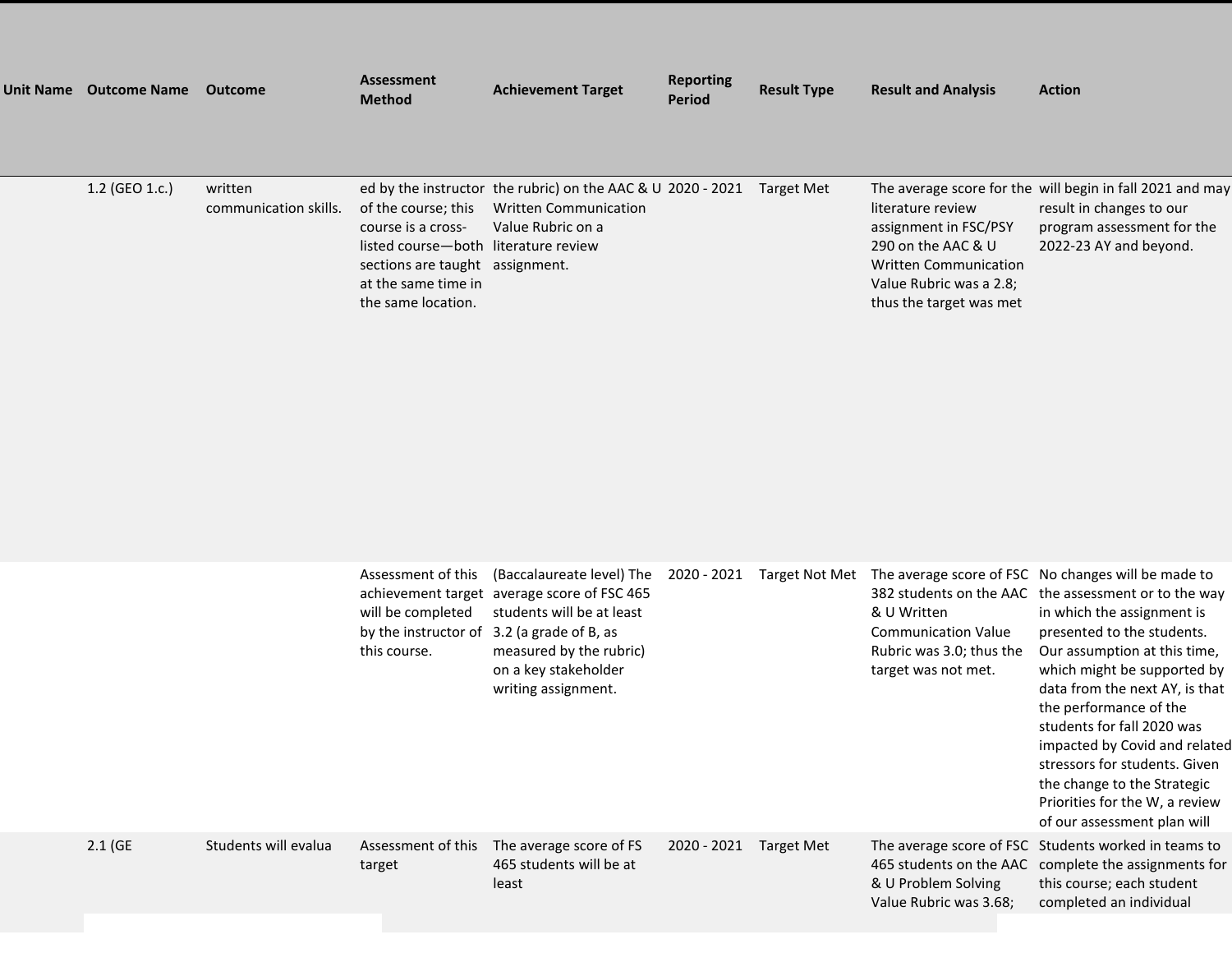| <b>Unit Name</b> | <b>Outcome Name Outcome</b> |                                  | Assessment<br><b>Method</b>                                                                                                                                       | <b>Achievement Target</b>                                                                                        | <b>Reporting</b><br>Period | <b>Result Type</b> | <b>Result and Analysis</b>                                                                                                                             | <b>Action</b>                                                                                                                                 |
|------------------|-----------------------------|----------------------------------|-------------------------------------------------------------------------------------------------------------------------------------------------------------------|------------------------------------------------------------------------------------------------------------------|----------------------------|--------------------|--------------------------------------------------------------------------------------------------------------------------------------------------------|-----------------------------------------------------------------------------------------------------------------------------------------------|
|                  |                             |                                  |                                                                                                                                                                   |                                                                                                                  |                            |                    |                                                                                                                                                        |                                                                                                                                               |
|                  | $1.2$ (GEO 1.c.)            | written<br>communication skills. | of the course: this<br>course is a cross-<br>listed course-both literature review<br>sections are taught assignment.<br>at the same time in<br>the same location. | ed by the instructor the rubric) on the AAC & U 2020 - 2021<br><b>Written Communication</b><br>Value Rubric on a |                            | Target Met         | literature review<br>assignment in FSC/PSY<br>290 on the AAC & U<br><b>Written Communication</b><br>Value Rubric was a 2.8;<br>thus the target was met | The average score for the will begin in fall 2021 and may<br>result in changes to our<br>program assessment for the<br>2022-23 AY and beyond. |

|                      | Assessment of this<br>will be completed<br>by the instructor of<br>this course. | (Baccalaureate level) The<br>achievement target average score of FSC 465<br>students will be at least<br>3.2 (a grade of B, as<br>measured by the rubric)<br>on a key stakeholder<br>writing assignment. | 2020 - 2021 | Target Not Met    | & U Written<br><b>Communication Value</b><br>Rubric was 3.0; thus the<br>target was not met. | The average score of FSC No changes will be made to<br>382 students on the AAC the assessment or to the way<br>in which the assignment is<br>presented to the students.<br>Our assumption at this time,<br>which might be supported by<br>data from the next AY, is that<br>the performance of the<br>students for fall 2020 was<br>impacted by Covid and related<br>stressors for students. Given<br>the change to the Strategic<br>Priorities for the W, a review<br>of our assessment plan will |
|----------------------|---------------------------------------------------------------------------------|----------------------------------------------------------------------------------------------------------------------------------------------------------------------------------------------------------|-------------|-------------------|----------------------------------------------------------------------------------------------|----------------------------------------------------------------------------------------------------------------------------------------------------------------------------------------------------------------------------------------------------------------------------------------------------------------------------------------------------------------------------------------------------------------------------------------------------------------------------------------------------|
| Students will evalua | Assessment of this<br>target                                                    | The average score of FS<br>465 students will be at<br>least                                                                                                                                              | 2020 - 2021 | <b>Target Met</b> | & U Problem Solving<br>Value Rubric was 3.68;                                                | The average score of FSC Students worked in teams to<br>465 students on the AAC complete the assignments for<br>this course; each student<br>completed an individual                                                                                                                                                                                                                                                                                                                               |

 $2.1$  (GE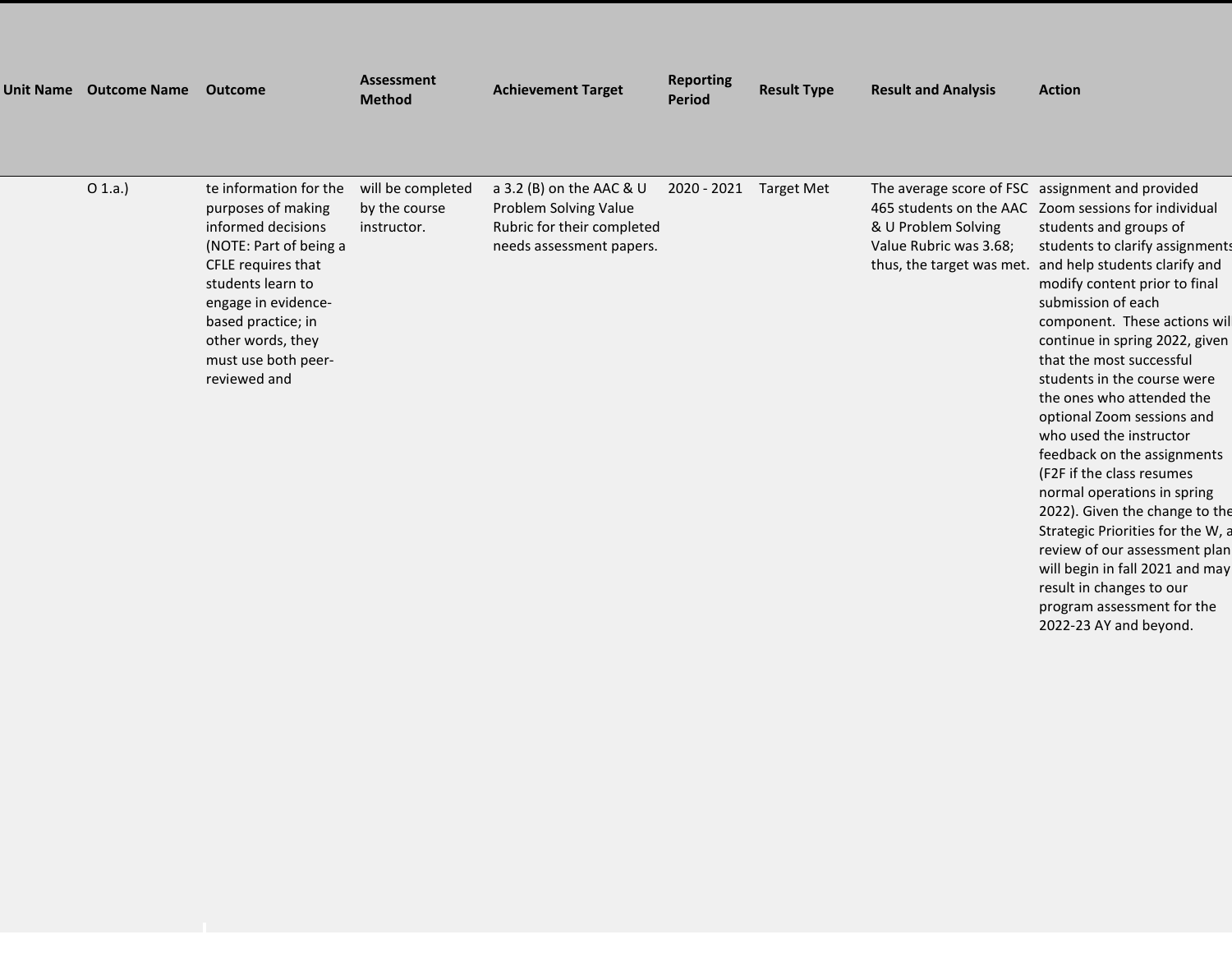| <b>Unit Name</b> | <b>Outcome Name</b> | Outcome                                                                                                                                                                                                                                          | <b>Assessment</b><br><b>Method</b>                | <b>Achievement Target</b>                                                                                   | <b>Reporting</b><br><b>Period</b> | <b>Result Type</b> | <b>Result and Analysis</b>                                                                            | <b>Action</b>                                                                                                                                                                                                                                                                                                                                                                                                                                                                                                                                       |
|------------------|---------------------|--------------------------------------------------------------------------------------------------------------------------------------------------------------------------------------------------------------------------------------------------|---------------------------------------------------|-------------------------------------------------------------------------------------------------------------|-----------------------------------|--------------------|-------------------------------------------------------------------------------------------------------|-----------------------------------------------------------------------------------------------------------------------------------------------------------------------------------------------------------------------------------------------------------------------------------------------------------------------------------------------------------------------------------------------------------------------------------------------------------------------------------------------------------------------------------------------------|
|                  | O(1.a.)             | te information for the<br>purposes of making<br>informed decisions<br>(NOTE: Part of being a<br>CFLE requires that<br>students learn to<br>engage in evidence-<br>based practice; in<br>other words, they<br>must use both peer-<br>reviewed and | will be completed<br>by the course<br>instructor. | a 3.2 (B) on the AAC & U<br>Problem Solving Value<br>Rubric for their completed<br>needs assessment papers. | 2020 - 2021                       | Target Met         | 465 students on the AAC<br>& U Problem Solving<br>Value Rubric was 3.68;<br>thus, the target was met. | The average score of FSC assignment and provided<br>Zoom sessions for individual<br>students and groups of<br>students to clarify assignments<br>and help students clarify and<br>modify content prior to final<br>submission of each<br>component. These actions wil<br>continue in spring 2022, given<br>that the most successful<br>students in the course were<br>the ones who attended the<br>optional Zoom sessions and<br>who used the instructor<br>feedback on the assignments<br>(F2F if the class resumes<br>normal operations in spring |

2022). Given the change to the Strategic Priorities for the W, a review of our assessment plan will begin in fall 2021 and may result in changes to our program assessment for the 2022-23 AY and beyond.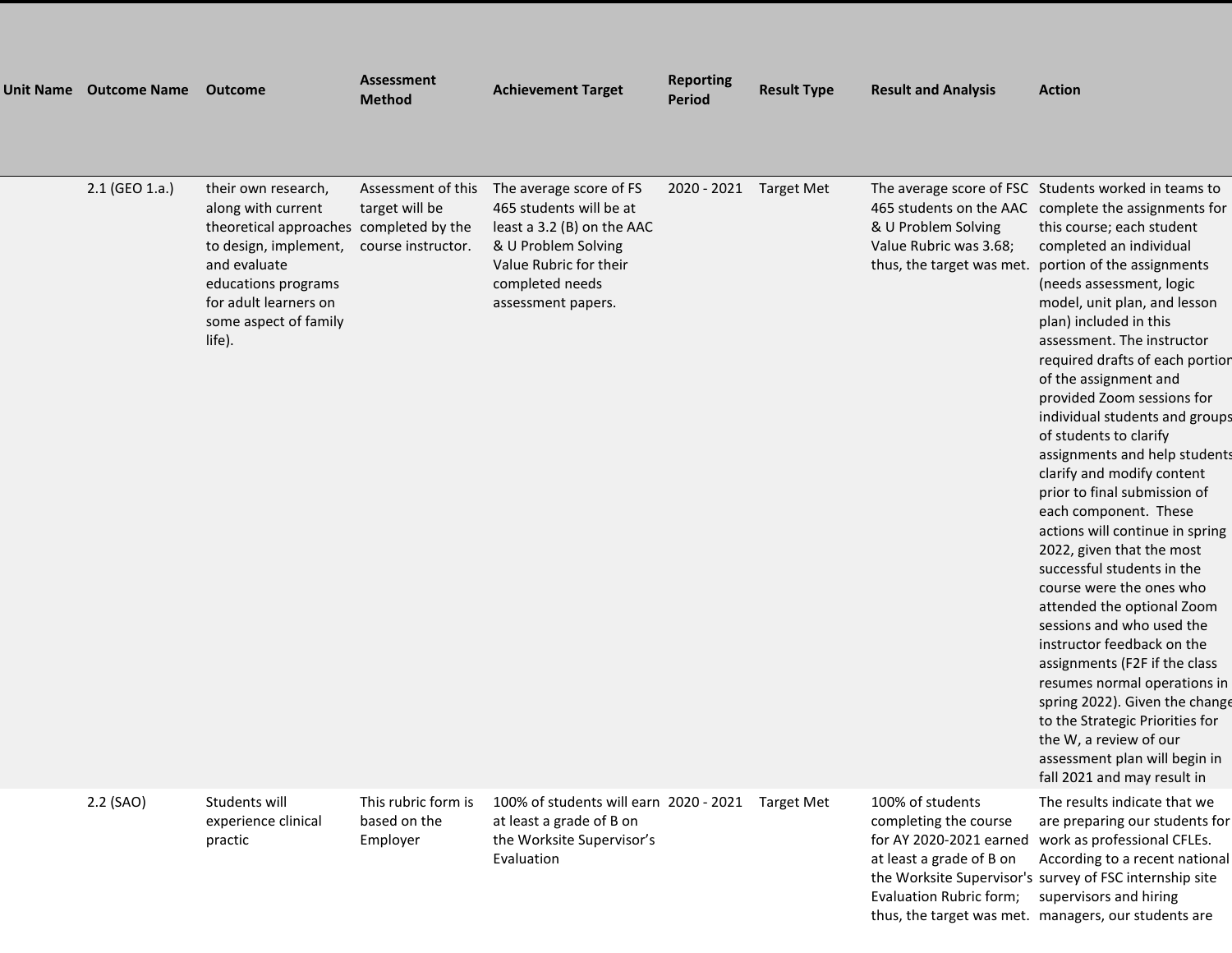| Unit Name Outcome Name | <b>Outcome</b>                                                                                                                                                                                                   | <b>Assessment</b><br><b>Method</b>                         | <b>Achievement Target</b>                                                                                                                                                  | <b>Reporting</b><br><b>Period</b> | <b>Result Type</b> | <b>Result and Analysis</b>                                           | <b>Action</b>                                                                                                                                                                                                                                                                                                                                                                                                                                                                                                                                                                                                                                                                                                                                                                                                                                                                                                                                                                                                                                                                     |
|------------------------|------------------------------------------------------------------------------------------------------------------------------------------------------------------------------------------------------------------|------------------------------------------------------------|----------------------------------------------------------------------------------------------------------------------------------------------------------------------------|-----------------------------------|--------------------|----------------------------------------------------------------------|-----------------------------------------------------------------------------------------------------------------------------------------------------------------------------------------------------------------------------------------------------------------------------------------------------------------------------------------------------------------------------------------------------------------------------------------------------------------------------------------------------------------------------------------------------------------------------------------------------------------------------------------------------------------------------------------------------------------------------------------------------------------------------------------------------------------------------------------------------------------------------------------------------------------------------------------------------------------------------------------------------------------------------------------------------------------------------------|
| 2.1 (GEO 1.a.)         | their own research,<br>along with current<br>theoretical approaches completed by the<br>to design, implement,<br>and evaluate<br>educations programs<br>for adult learners on<br>some aspect of family<br>life). | Assessment of this<br>target will be<br>course instructor. | The average score of FS<br>465 students will be at<br>least a 3.2 (B) on the AAC<br>& U Problem Solving<br>Value Rubric for their<br>completed needs<br>assessment papers. | 2020 - 2021 Target Met            |                    | & U Problem Solving<br>Value Rubric was 3.68;                        | The average score of FSC Students worked in teams to<br>465 students on the AAC complete the assignments for<br>this course; each student<br>completed an individual<br>thus, the target was met. portion of the assignments<br>(needs assessment, logic<br>model, unit plan, and lesson<br>plan) included in this<br>assessment. The instructor<br>required drafts of each portion<br>of the assignment and<br>provided Zoom sessions for<br>individual students and groups<br>of students to clarify<br>assignments and help students<br>clarify and modify content<br>prior to final submission of<br>each component. These<br>actions will continue in spring<br>2022, given that the most<br>successful students in the<br>course were the ones who<br>attended the optional Zoom<br>sessions and who used the<br>instructor feedback on the<br>assignments (F2F if the class<br>resumes normal operations in<br>spring 2022). Given the change<br>to the Strategic Priorities for<br>the W, a review of our<br>assessment plan will begin in<br>fall 2021 and may result in |
| 2.2 (SAO)              | Students will<br>experience clinical<br>practic                                                                                                                                                                  | This rubric form is<br>based on the<br>Employer            | 100% of students will earn 2020 - 2021 Target Met<br>at least a grade of B on<br>the Worksite Supervisor's                                                                 |                                   |                    | 100% of students<br>completing the course<br>for AY 2020-2021 earned | The results indicate that we<br>are preparing our students for<br>work as professional CFLEs.                                                                                                                                                                                                                                                                                                                                                                                                                                                                                                                                                                                                                                                                                                                                                                                                                                                                                                                                                                                     |

Evaluation

Evaluation Rubric form; supervisors and hiring

at least a grade of B on According to a recent national the Worksite Supervisor's survey of FSC internship site thus, the target was met. managers, our students are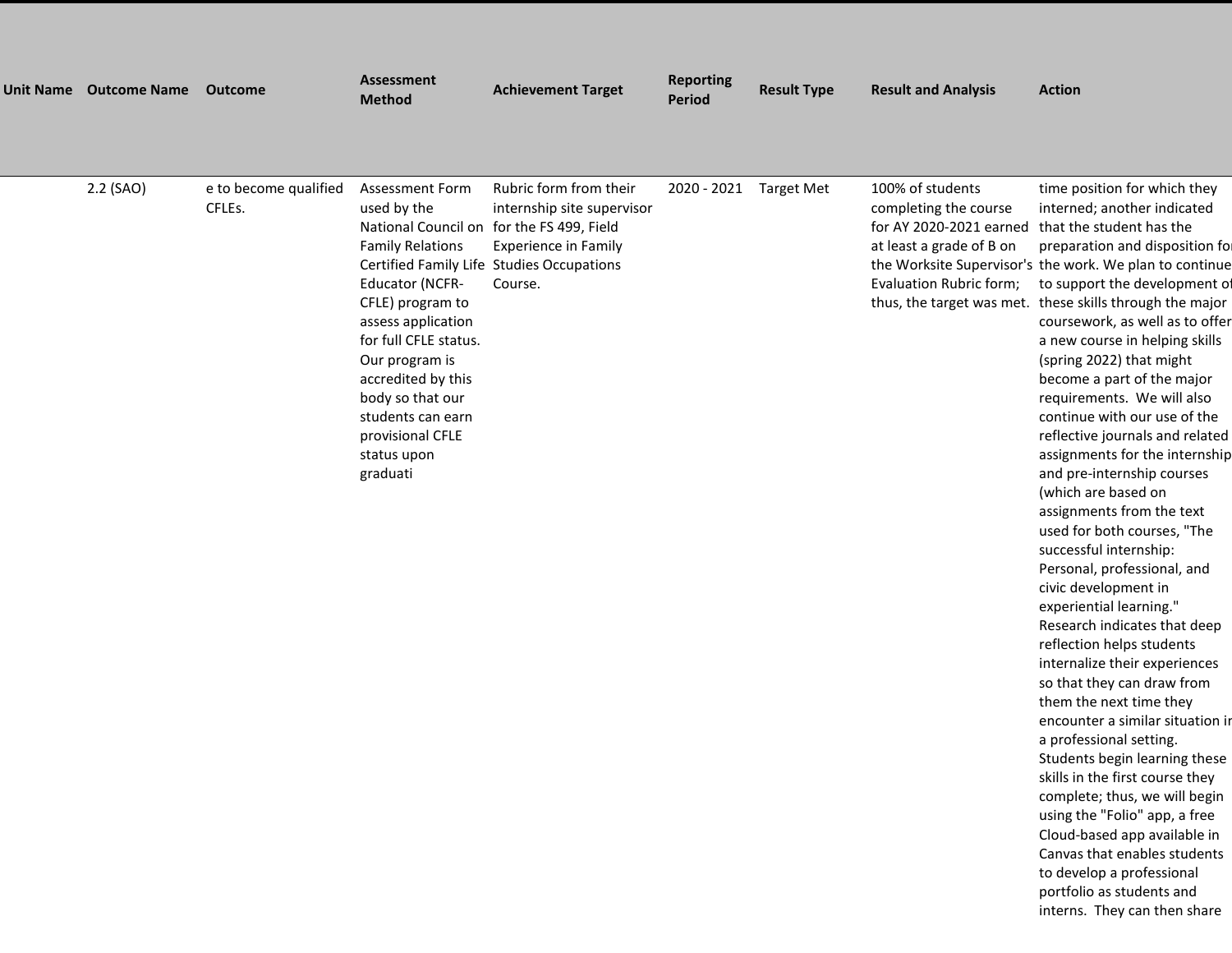| Unit Name Outcome Name | <b>Outcome</b>                  | <b>Assessment</b><br><b>Method</b>                                                                                                                                                                                                                                                                                                         | <b>Achievement Target</b>                                                                                                                   | <b>Reporting</b><br><b>Period</b> | <b>Result Type</b> | <b>Result and Analysis</b>                                                                                                  | <b>Action</b>                                                                                                                                                                                                                                                                                                                                                                                                                                                                                                                                                                                                                                                                                                                                                                                                                                                                                                                                                                                                                                                                                                                                                                                                                                                                                           |
|------------------------|---------------------------------|--------------------------------------------------------------------------------------------------------------------------------------------------------------------------------------------------------------------------------------------------------------------------------------------------------------------------------------------|---------------------------------------------------------------------------------------------------------------------------------------------|-----------------------------------|--------------------|-----------------------------------------------------------------------------------------------------------------------------|---------------------------------------------------------------------------------------------------------------------------------------------------------------------------------------------------------------------------------------------------------------------------------------------------------------------------------------------------------------------------------------------------------------------------------------------------------------------------------------------------------------------------------------------------------------------------------------------------------------------------------------------------------------------------------------------------------------------------------------------------------------------------------------------------------------------------------------------------------------------------------------------------------------------------------------------------------------------------------------------------------------------------------------------------------------------------------------------------------------------------------------------------------------------------------------------------------------------------------------------------------------------------------------------------------|
| 2.2 (SAO)              | e to become qualified<br>CFLEs. | <b>Assessment Form</b><br>used by the<br>National Council on for the FS 499, Field<br><b>Family Relations</b><br><b>Educator (NCFR-</b><br>CFLE) program to<br>assess application<br>for full CFLE status.<br>Our program is<br>accredited by this<br>body so that our<br>students can earn<br>provisional CFLE<br>status upon<br>graduati | Rubric form from their<br>internship site supervisor<br><b>Experience in Family</b><br>Certified Family Life Studies Occupations<br>Course. | 2020 - 2021 Target Met            |                    | 100% of students<br>completing the course<br>for AY 2020-2021 earned<br>at least a grade of B on<br>Evaluation Rubric form; | time position for which they<br>interned; another indicated<br>that the student has the<br>preparation and disposition for<br>the Worksite Supervisor's the work. We plan to continue<br>to support the development of<br>thus, the target was met. these skills through the major<br>coursework, as well as to offer<br>a new course in helping skills<br>(spring 2022) that might<br>become a part of the major<br>requirements. We will also<br>continue with our use of the<br>reflective journals and related<br>assignments for the internship<br>and pre-internship courses<br>(which are based on<br>assignments from the text<br>used for both courses, "The<br>successful internship:<br>Personal, professional, and<br>civic development in<br>experiential learning."<br>Research indicates that deep<br>reflection helps students<br>internalize their experiences<br>so that they can draw from<br>them the next time they<br>encounter a similar situation in<br>a professional setting.<br>Students begin learning these<br>skills in the first course they<br>complete; thus, we will begin<br>using the "Folio" app, a free<br>Cloud-based app available in<br>Canvas that enables students<br>to develop a professional<br>portfolio as students and<br>interns. They can then share |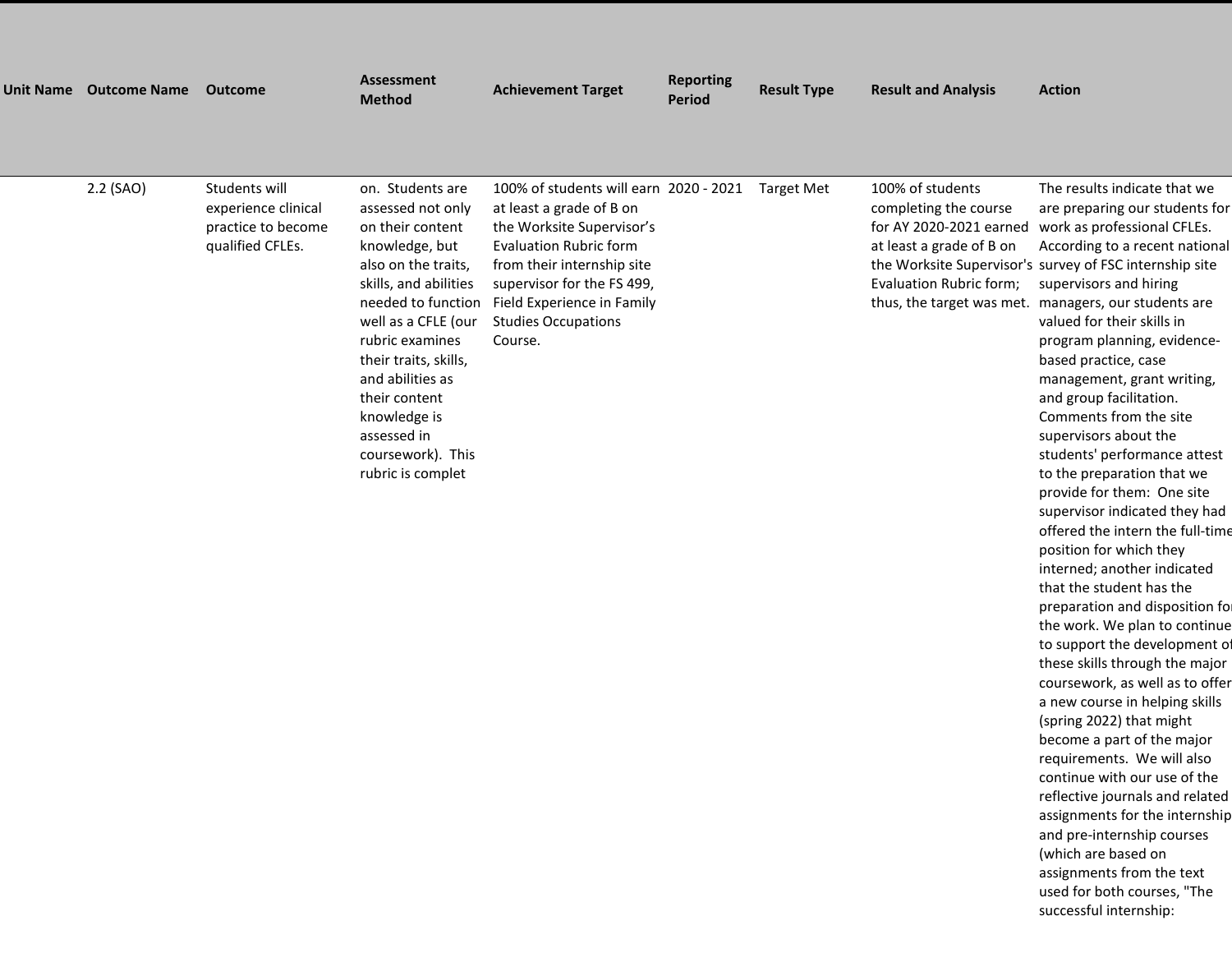| <b>Unit Name</b> | <b>Outcome Name</b> | <b>Outcome</b>                                                                 | <b>Assessment</b><br><b>Method</b>                                                                                                                                                                                                                                                                                                 | <b>Achievement Target</b>                                                                                                                                                                                                                                                      | <b>Reporting</b><br><b>Period</b> | <b>Result Type</b> | <b>Result and Analysis</b>                                                                                                  | <b>Action</b>                                                                                                                                                                                                                                                                                                                                                                                                                                                                                                                                                                                                                                                                                                                                                                                                                                                                                                                                                                |
|------------------|---------------------|--------------------------------------------------------------------------------|------------------------------------------------------------------------------------------------------------------------------------------------------------------------------------------------------------------------------------------------------------------------------------------------------------------------------------|--------------------------------------------------------------------------------------------------------------------------------------------------------------------------------------------------------------------------------------------------------------------------------|-----------------------------------|--------------------|-----------------------------------------------------------------------------------------------------------------------------|------------------------------------------------------------------------------------------------------------------------------------------------------------------------------------------------------------------------------------------------------------------------------------------------------------------------------------------------------------------------------------------------------------------------------------------------------------------------------------------------------------------------------------------------------------------------------------------------------------------------------------------------------------------------------------------------------------------------------------------------------------------------------------------------------------------------------------------------------------------------------------------------------------------------------------------------------------------------------|
|                  | 2.2 (SAO)           | Students will<br>experience clinical<br>practice to become<br>qualified CFLEs. | on. Students are<br>assessed not only<br>on their content<br>knowledge, but<br>also on the traits,<br>skills, and abilities<br>needed to function<br>well as a CFLE (our<br>rubric examines<br>their traits, skills,<br>and abilities as<br>their content<br>knowledge is<br>assessed in<br>coursework). This<br>rubric is complet | 100% of students will earn 2020 - 2021 Target Met<br>at least a grade of B on<br>the Worksite Supervisor's<br><b>Evaluation Rubric form</b><br>from their internship site<br>supervisor for the FS 499,<br>Field Experience in Family<br><b>Studies Occupations</b><br>Course. |                                   |                    | 100% of students<br>completing the course<br>for AY 2020-2021 earned<br>at least a grade of B on<br>Evaluation Rubric form; | The results indicate that we<br>are preparing our students for<br>work as professional CFLEs.<br>According to a recent national<br>the Worksite Supervisor's survey of FSC internship site<br>supervisors and hiring<br>thus, the target was met. managers, our students are<br>valued for their skills in<br>program planning, evidence-<br>based practice, case<br>management, grant writing,<br>and group facilitation.<br>Comments from the site<br>supervisors about the<br>students' performance attest<br>to the preparation that we<br>provide for them: One site<br>supervisor indicated they had<br>offered the intern the full-time<br>position for which they<br>interned; another indicated<br>that the student has the<br>preparation and disposition for<br>the work. We plan to continue<br>to support the development of<br>these skills through the major<br>coursework, as well as to offer<br>a new course in helping skills<br>(spring 2022) that might |

reflective journals and related assignments for the internship and pre-internship courses (which are based on assignments from the text used for both courses, "The successful internship:

become a part of the major requirements. We will also continue with our use of the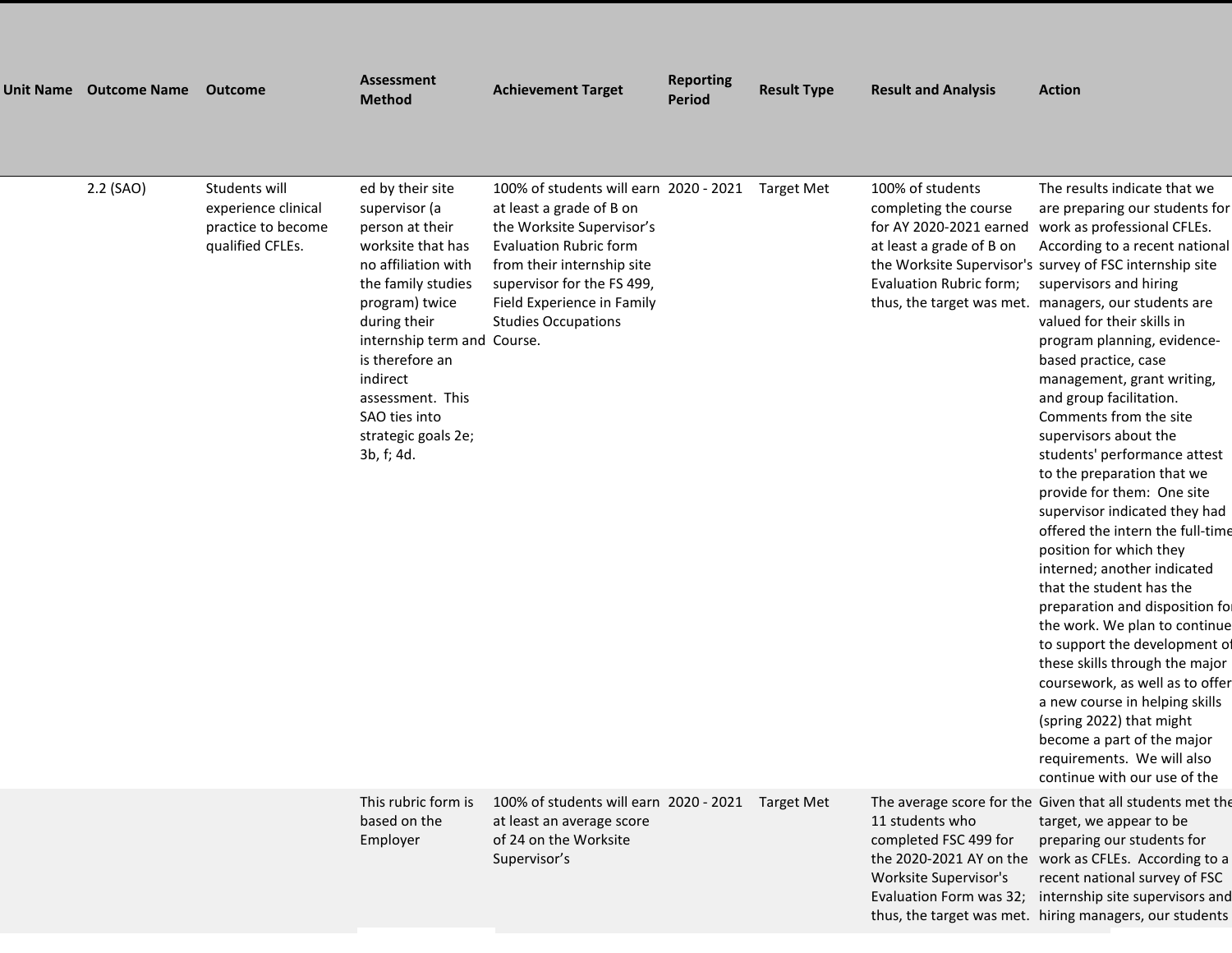| Unit Name Outcome Name Outcome |                                                                                | <b>Assessment</b><br><b>Method</b>                                                                                                                                                                                                                                                               | <b>Achievement Target</b>                                                                                                                                                                                                                                | <b>Reporting</b><br>Period | <b>Result Type</b> | <b>Result and Analysis</b>                                                                                                                               | <b>Action</b>                                                                                                                                                                                                                                                                                                                                                                                                                                                                                                                                                                                                                                                                                                                                                                                                                                                                                                                                                                                                                                  |
|--------------------------------|--------------------------------------------------------------------------------|--------------------------------------------------------------------------------------------------------------------------------------------------------------------------------------------------------------------------------------------------------------------------------------------------|----------------------------------------------------------------------------------------------------------------------------------------------------------------------------------------------------------------------------------------------------------|----------------------------|--------------------|----------------------------------------------------------------------------------------------------------------------------------------------------------|------------------------------------------------------------------------------------------------------------------------------------------------------------------------------------------------------------------------------------------------------------------------------------------------------------------------------------------------------------------------------------------------------------------------------------------------------------------------------------------------------------------------------------------------------------------------------------------------------------------------------------------------------------------------------------------------------------------------------------------------------------------------------------------------------------------------------------------------------------------------------------------------------------------------------------------------------------------------------------------------------------------------------------------------|
| 2.2 (SAO)                      | Students will<br>experience clinical<br>practice to become<br>qualified CFLEs. | ed by their site<br>supervisor (a<br>person at their<br>worksite that has<br>no affiliation with<br>the family studies<br>program) twice<br>during their<br>internship term and Course.<br>is therefore an<br>indirect<br>assessment. This<br>SAO ties into<br>strategic goals 2e;<br>3b, f; 4d. | 100% of students will earn 2020 - 2021<br>at least a grade of B on<br>the Worksite Supervisor's<br><b>Evaluation Rubric form</b><br>from their internship site<br>supervisor for the FS 499,<br>Field Experience in Family<br><b>Studies Occupations</b> |                            | <b>Target Met</b>  | 100% of students<br>completing the course<br>for AY 2020-2021 earned<br>at least a grade of B on<br>Evaluation Rubric form;<br>thus, the target was met. | The results indicate that we<br>are preparing our students for<br>work as professional CFLEs.<br>According to a recent national<br>the Worksite Supervisor's survey of FSC internship site<br>supervisors and hiring<br>managers, our students are<br>valued for their skills in<br>program planning, evidence-<br>based practice, case<br>management, grant writing,<br>and group facilitation.<br>Comments from the site<br>supervisors about the<br>students' performance attest<br>to the preparation that we<br>provide for them: One site<br>supervisor indicated they had<br>offered the intern the full-time<br>position for which they<br>interned; another indicated<br>that the student has the<br>preparation and disposition for<br>the work. We plan to continue<br>to support the development of<br>these skills through the major<br>coursework, as well as to offer<br>a new course in helping skills<br>(spring 2022) that might<br>become a part of the major<br>requirements. We will also<br>continue with our use of the |
|                                |                                                                                | This rubric form is<br>based on the<br>Employer                                                                                                                                                                                                                                                  | 100% of students will earn 2020 - 2021 Target Met<br>at least an average score<br>of 24 on the Worksite<br>Supervisor's                                                                                                                                  |                            |                    | 11 students who<br>completed FSC 499 for<br>the 2020-2021 AY on the<br>Worksite Supervisor's<br>Evaluation Form was 32;                                  | The average score for the Given that all students met the<br>target, we appear to be<br>preparing our students for<br>work as CFLEs. According to a<br>recent national survey of FSC<br>internship site supervisors and                                                                                                                                                                                                                                                                                                                                                                                                                                                                                                                                                                                                                                                                                                                                                                                                                        |

j

thus, the target was met. hiring managers, our students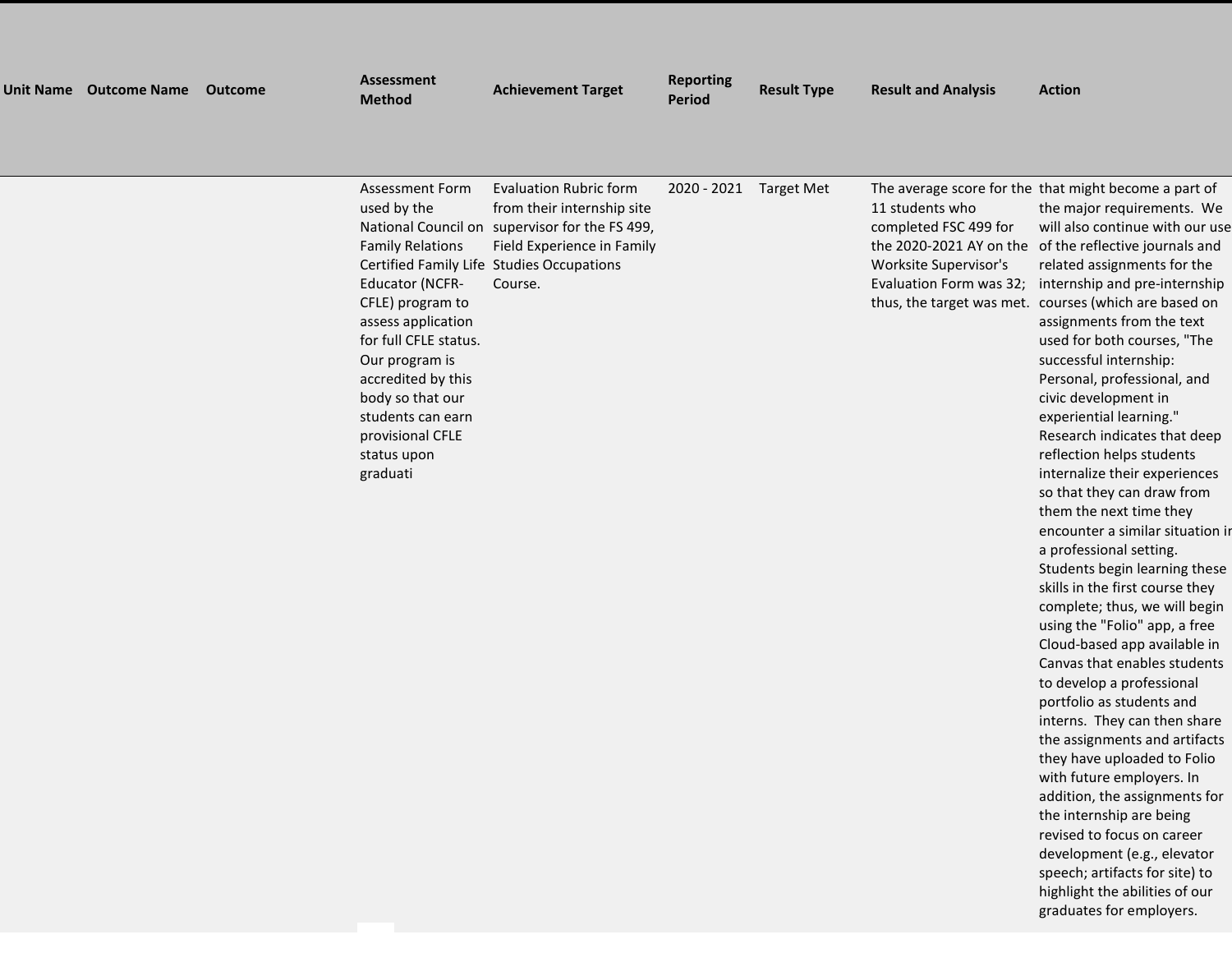| <b>Unit Name</b> | <b>Outcome Name</b> | <b>Outcome</b> | <b>Assessment</b><br><b>Method</b>                                                                                                                                                                                                                                                                                   | <b>Achievement Target</b>                                                                                                                                                       | <b>Reporting</b><br><b>Period</b> | <b>Result Type</b> | <b>Result and Analysis</b>                                                                                                                           | <b>Action</b>                                                                                                                                                                                                                                                                                                                                                                                                                                                                                                                                                                                                                                                                                                                                                                                                                                                                            |
|------------------|---------------------|----------------|----------------------------------------------------------------------------------------------------------------------------------------------------------------------------------------------------------------------------------------------------------------------------------------------------------------------|---------------------------------------------------------------------------------------------------------------------------------------------------------------------------------|-----------------------------------|--------------------|------------------------------------------------------------------------------------------------------------------------------------------------------|------------------------------------------------------------------------------------------------------------------------------------------------------------------------------------------------------------------------------------------------------------------------------------------------------------------------------------------------------------------------------------------------------------------------------------------------------------------------------------------------------------------------------------------------------------------------------------------------------------------------------------------------------------------------------------------------------------------------------------------------------------------------------------------------------------------------------------------------------------------------------------------|
|                  |                     |                | <b>Assessment Form</b><br>used by the<br>National Council on<br><b>Family Relations</b><br><b>Educator (NCFR-</b><br>CFLE) program to<br>assess application<br>for full CFLE status.<br>Our program is<br>accredited by this<br>body so that our<br>students can earn<br>provisional CFLE<br>status upon<br>graduati | <b>Evaluation Rubric form</b><br>from their internship site<br>supervisor for the FS 499,<br>Field Experience in Family<br>Certified Family Life Studies Occupations<br>Course. | 2020 - 2021                       | <b>Target Met</b>  | 11 students who<br>completed FSC 499 for<br>the 2020-2021 AY on the<br>Worksite Supervisor's<br>Evaluation Form was 32;<br>thus, the target was met. | The average score for the that might become a part of<br>the major requirements. We<br>will also continue with our use<br>of the reflective journals and<br>related assignments for the<br>internship and pre-internship<br>courses (which are based on<br>assignments from the text<br>used for both courses, "The<br>successful internship:<br>Personal, professional, and<br>civic development in<br>experiential learning."<br>Research indicates that deep<br>reflection helps students<br>internalize their experiences<br>so that they can draw from<br>them the next time they<br>encounter a similar situation ir<br>a professional setting.<br>Students begin learning these<br>skills in the first course they<br>complete; thus, we will begin<br>using the "Folio" app, a free<br>Cloud-based app available in<br>Canvas that enables students<br>to develop a professional |

portfolio as students and interns. They can then share the assignments and artifacts they have uploaded to Folio with future employers. In addition, the assignments for the internship are being revised to focus on career development (e.g., elevator speech; artifacts for site) to highlight the abilities of our graduates for employers.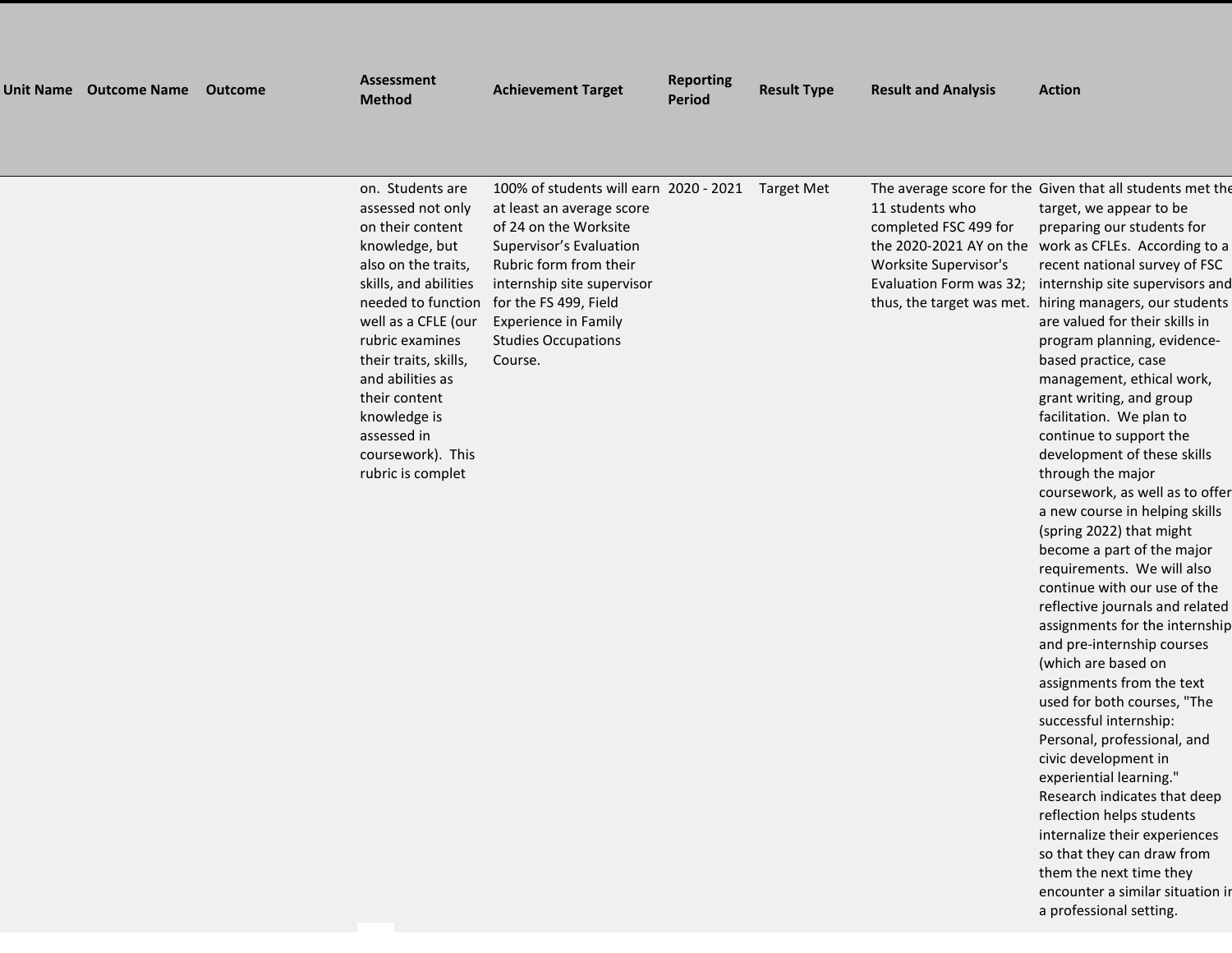| <b>Unit Name</b> | <b>Outcome Name</b> | <b>Outcome</b> | <b>Assessment</b><br><b>Method</b>                                                                                                                                                                                                                                                       | <b>Achievement Target</b>                                                                                                                                                                                                                                                 | <b>Reporting</b><br><b>Period</b> | <b>Result Type</b> | <b>Result and Analysis</b>                                                                                              | <b>Action</b>                                                                                                                                                                                                                                                                                                                                                                                                                                                                               |
|------------------|---------------------|----------------|------------------------------------------------------------------------------------------------------------------------------------------------------------------------------------------------------------------------------------------------------------------------------------------|---------------------------------------------------------------------------------------------------------------------------------------------------------------------------------------------------------------------------------------------------------------------------|-----------------------------------|--------------------|-------------------------------------------------------------------------------------------------------------------------|---------------------------------------------------------------------------------------------------------------------------------------------------------------------------------------------------------------------------------------------------------------------------------------------------------------------------------------------------------------------------------------------------------------------------------------------------------------------------------------------|
|                  |                     |                |                                                                                                                                                                                                                                                                                          |                                                                                                                                                                                                                                                                           |                                   |                    |                                                                                                                         |                                                                                                                                                                                                                                                                                                                                                                                                                                                                                             |
|                  |                     |                | on. Students are<br>assessed not only<br>on their content<br>knowledge, but<br>also on the traits,<br>skills, and abilities<br>needed to function<br>well as a CFLE (our<br>rubric examines<br>their traits, skills,<br>and abilities as<br>their content<br>knowledge is<br>assessed in | 100% of students will earn 2020 - 2021<br>at least an average score<br>of 24 on the Worksite<br>Supervisor's Evaluation<br>Rubric form from their<br>internship site supervisor<br>for the FS 499, Field<br>Experience in Family<br><b>Studies Occupations</b><br>Course. |                                   | <b>Target Met</b>  | 11 students who<br>completed FSC 499 for<br>the 2020-2021 AY on the<br>Worksite Supervisor's<br>Evaluation Form was 32; | The average score for the Given that all students met the<br>target, we appear to be<br>preparing our students for<br>work as CFLEs. According to a<br>recent national survey of FSC<br>internship site supervisors and<br>thus, the target was met. hiring managers, our students<br>are valued for their skills in<br>program planning, evidence-<br>based practice, case<br>management, ethical work,<br>grant writing, and group<br>facilitation. We plan to<br>continue to support the |

coursework). This rubric is complet

continue to support the development of these skills through the major coursework, as well as to offer a new course in helping skills (spring 2022) that might become a part of the major requirements. We will also continue with our use of the reflective journals and related assignments for the internship and pre-internship courses (which are based on assignments from the text used for both courses, "The successful internship: Personal, professional, and civic development in experiential learning." Research indicates that deep reflection helps students internalize their experiences so that they can draw from them the next time they encounter a similar situation in a professional setting.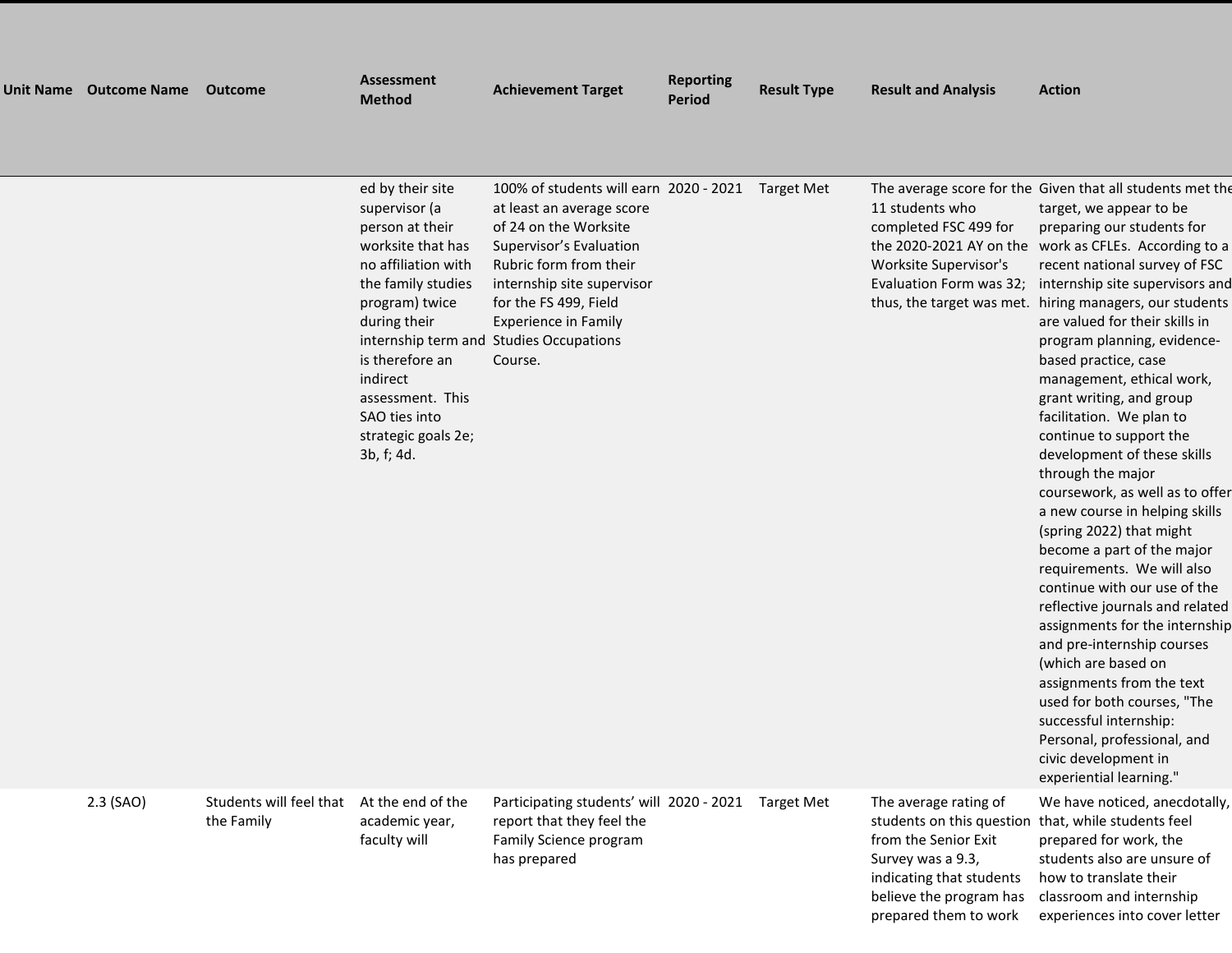| <b>Unit Name</b> | <b>Outcome Name</b> | <b>Outcome</b> | <b>Assessment</b><br><b>Method</b>                                                                                                                                                                                                                                                       | <b>Achievement Target</b>                                                                                                                                                                                                                                                        | <b>Reporting</b><br><b>Period</b> | <b>Result Type</b> | <b>Result and Analysis</b>                                                                                              | <b>Action</b>                                                                                                                                                                                                                                                                                                                                                                                                                                                                                                                                                                                                                                                                                                |
|------------------|---------------------|----------------|------------------------------------------------------------------------------------------------------------------------------------------------------------------------------------------------------------------------------------------------------------------------------------------|----------------------------------------------------------------------------------------------------------------------------------------------------------------------------------------------------------------------------------------------------------------------------------|-----------------------------------|--------------------|-------------------------------------------------------------------------------------------------------------------------|--------------------------------------------------------------------------------------------------------------------------------------------------------------------------------------------------------------------------------------------------------------------------------------------------------------------------------------------------------------------------------------------------------------------------------------------------------------------------------------------------------------------------------------------------------------------------------------------------------------------------------------------------------------------------------------------------------------|
|                  |                     |                |                                                                                                                                                                                                                                                                                          |                                                                                                                                                                                                                                                                                  |                                   |                    |                                                                                                                         |                                                                                                                                                                                                                                                                                                                                                                                                                                                                                                                                                                                                                                                                                                              |
|                  |                     |                | ed by their site<br>supervisor (a<br>person at their<br>worksite that has<br>no affiliation with<br>the family studies<br>program) twice<br>during their<br>internship term and<br>is therefore an<br>indirect<br>assessment. This<br>SAO ties into<br>strategic goals 2e;<br>3b, f; 4d. | 100% of students will earn 2020 - 2021<br>at least an average score<br>of 24 on the Worksite<br>Supervisor's Evaluation<br>Rubric form from their<br>internship site supervisor<br>for the FS 499, Field<br><b>Experience in Family</b><br><b>Studies Occupations</b><br>Course. |                                   | Target Met         | 11 students who<br>completed FSC 499 for<br>the 2020-2021 AY on the<br>Worksite Supervisor's<br>Evaluation Form was 32; | The average score for the Given that all students met the<br>target, we appear to be<br>preparing our students for<br>work as CFLEs. According to a<br>recent national survey of FSC<br>internship site supervisors and<br>thus, the target was met. hiring managers, our students<br>are valued for their skills in<br>program planning, evidence-<br>based practice, case<br>management, ethical work,<br>grant writing, and group<br>facilitation. We plan to<br>continue to support the<br>development of these skills<br>through the major<br>coursework, as well as to offer<br>a new course in helping skills<br>(spring 2022) that might<br>become a part of the major<br>requirements. We will also |

the Family

2.3 (SAO) Students will feel that At the end of the academic year, faculty will

Participating students' will 2020 - 2021 Target Met The average rating of report that they feel the Family Science program has prepared

 students on this question that, while students feel from the Senior Exit Survey was a 9.3, indicating that students believe the program has prepared them to work

experiential learning." We have noticed, anecdotally, prepared for work, the students also are unsure of how to translate their classroom and internship experiences into cover letter

continue with our use of the reflective journals and related assignments for the internship and pre-internship courses (which are based on assignments from the text used for both courses, "The successful internship: Personal, professional, and civic development in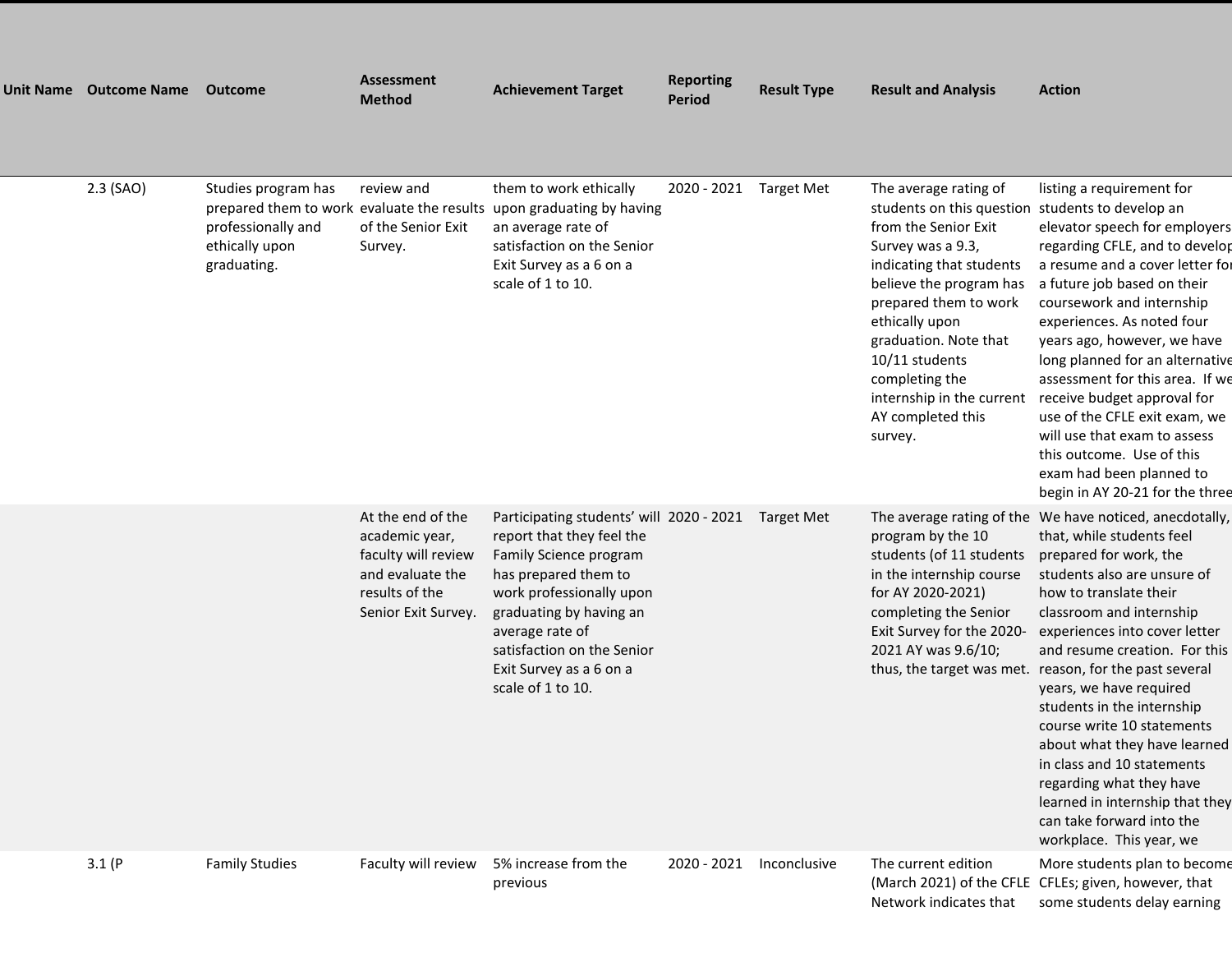| Unit Name Outcome Name | Outcome                                                                                                                  | <b>Assessment</b><br><b>Method</b>                                                                                      | <b>Achievement Target</b>                                                                                                                                                                                                                                                       | <b>Reporting</b><br><b>Period</b> | <b>Result Type</b> | <b>Result and Analysis</b>                                                                                                                                                                                                                                                                                                    | <b>Action</b>                                                                                                                                                                                                                                                                                                                                                                                                                                                                                                                                                                      |
|------------------------|--------------------------------------------------------------------------------------------------------------------------|-------------------------------------------------------------------------------------------------------------------------|---------------------------------------------------------------------------------------------------------------------------------------------------------------------------------------------------------------------------------------------------------------------------------|-----------------------------------|--------------------|-------------------------------------------------------------------------------------------------------------------------------------------------------------------------------------------------------------------------------------------------------------------------------------------------------------------------------|------------------------------------------------------------------------------------------------------------------------------------------------------------------------------------------------------------------------------------------------------------------------------------------------------------------------------------------------------------------------------------------------------------------------------------------------------------------------------------------------------------------------------------------------------------------------------------|
| 2.3 (SAO)              | Studies program has<br>prepared them to work evaluate the results<br>professionally and<br>ethically upon<br>graduating. | review and<br>of the Senior Exit<br>Survey.                                                                             | them to work ethically<br>upon graduating by having<br>an average rate of<br>satisfaction on the Senior<br>Exit Survey as a 6 on a<br>scale of 1 to 10.                                                                                                                         | 2020 - 2021 Target Met            |                    | The average rating of<br>students on this question<br>from the Senior Exit<br>Survey was a 9.3,<br>indicating that students<br>believe the program has<br>prepared them to work<br>ethically upon<br>graduation. Note that<br>$10/11$ students<br>completing the<br>internship in the current<br>AY completed this<br>survey. | listing a requirement for<br>students to develop an<br>elevator speech for employers<br>regarding CFLE, and to develop<br>a resume and a cover letter for<br>a future job based on their<br>coursework and internship<br>experiences. As noted four<br>years ago, however, we have<br>long planned for an alternative<br>assessment for this area. If we<br>receive budget approval for<br>use of the CFLE exit exam, we<br>will use that exam to assess<br>this outcome. Use of this<br>exam had been planned to<br>begin in AY 20-21 for the three                               |
|                        |                                                                                                                          | At the end of the<br>academic year,<br>faculty will review<br>and evaluate the<br>results of the<br>Senior Exit Survey. | Participating students' will 2020 - 2021<br>report that they feel the<br>Family Science program<br>has prepared them to<br>work professionally upon<br>graduating by having an<br>average rate of<br>satisfaction on the Senior<br>Exit Survey as a 6 on a<br>scale of 1 to 10. |                                   | Target Met         | program by the 10<br>students (of 11 students<br>in the internship course<br>for AY 2020-2021)<br>completing the Senior<br>Exit Survey for the 2020-<br>2021 AY was 9.6/10;<br>thus, the target was met.                                                                                                                      | The average rating of the We have noticed, anecdotally,<br>that, while students feel<br>prepared for work, the<br>students also are unsure of<br>how to translate their<br>classroom and internship<br>experiences into cover letter<br>and resume creation. For this<br>reason, for the past several<br>years, we have required<br>students in the internship<br>course write 10 statements<br>about what they have learned<br>in class and 10 statements<br>regarding what they have<br>learned in internship that they<br>can take forward into the<br>workplace. This year, we |
| 3.1(P)                 | <b>Family Studies</b>                                                                                                    | Faculty will review                                                                                                     | 5% increase from the<br>previous                                                                                                                                                                                                                                                | 2020 - 2021                       | Inconclusive       | The current edition<br>Network indicates that                                                                                                                                                                                                                                                                                 | More students plan to become<br>(March 2021) of the CFLE CFLEs; given, however, that<br>some students delay earning                                                                                                                                                                                                                                                                                                                                                                                                                                                                |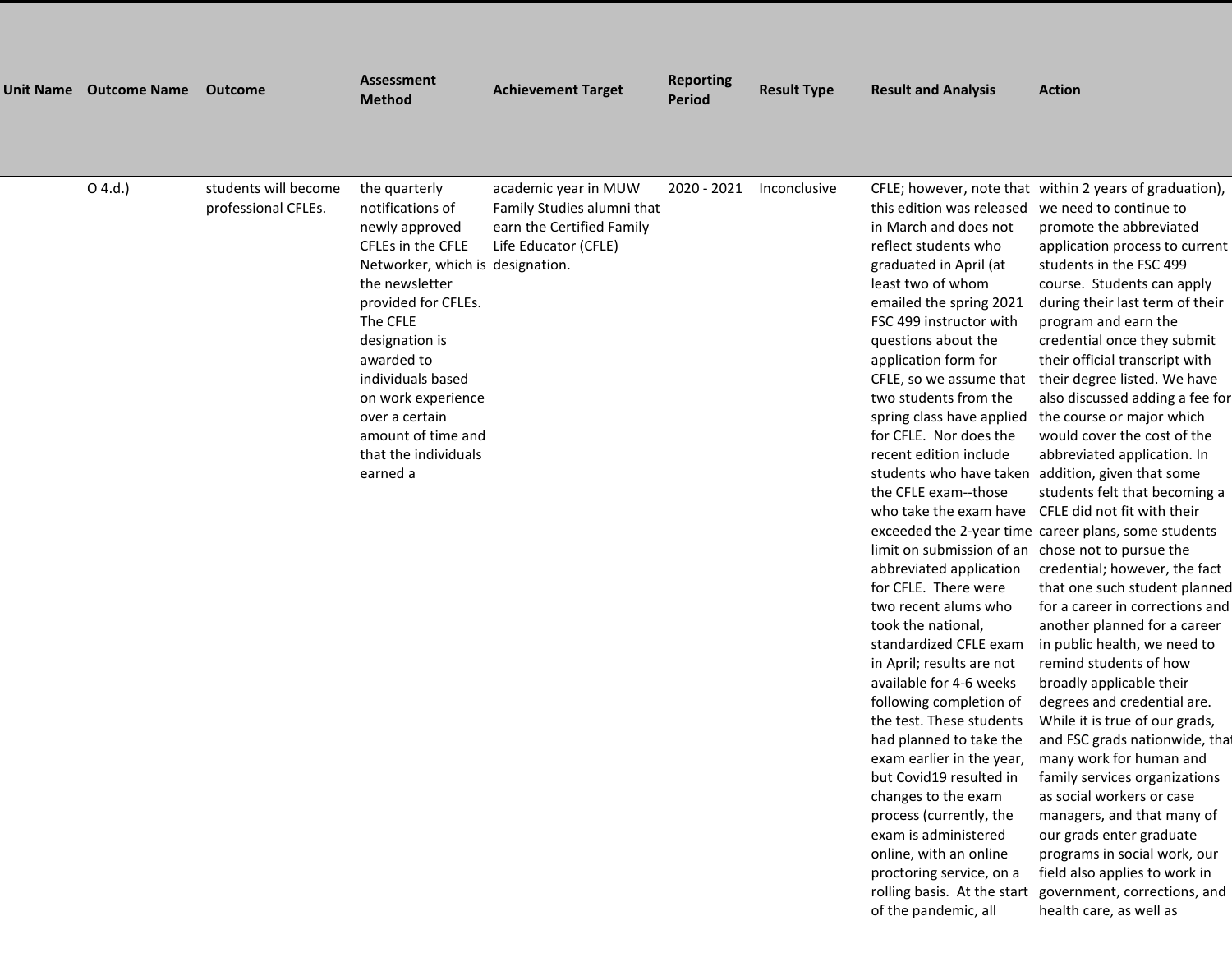| Unit Name Outcome Name | Outcome                                     | <b>Assessment</b><br><b>Method</b>                                                                                                                                                                                                                                                                                       | <b>Achievement Target</b>                                                                               | <b>Reporting</b><br><b>Period</b> | <b>Result Type</b> | <b>Result and Analysis</b>                                                                                                                                                                                                                                                                                                                                                                                                                                                                                                                                                                                                                                                                                                                                                                                                                                                                                                                                                                        | <b>Action</b>                                                                                                                                                                                                                                                                                                                                                                                                                                                                                                                                                                                                                                                                                                                                                                                                                                                                                                                                                                                                                                                                                                                                                                                                                                                                                  |
|------------------------|---------------------------------------------|--------------------------------------------------------------------------------------------------------------------------------------------------------------------------------------------------------------------------------------------------------------------------------------------------------------------------|---------------------------------------------------------------------------------------------------------|-----------------------------------|--------------------|---------------------------------------------------------------------------------------------------------------------------------------------------------------------------------------------------------------------------------------------------------------------------------------------------------------------------------------------------------------------------------------------------------------------------------------------------------------------------------------------------------------------------------------------------------------------------------------------------------------------------------------------------------------------------------------------------------------------------------------------------------------------------------------------------------------------------------------------------------------------------------------------------------------------------------------------------------------------------------------------------|------------------------------------------------------------------------------------------------------------------------------------------------------------------------------------------------------------------------------------------------------------------------------------------------------------------------------------------------------------------------------------------------------------------------------------------------------------------------------------------------------------------------------------------------------------------------------------------------------------------------------------------------------------------------------------------------------------------------------------------------------------------------------------------------------------------------------------------------------------------------------------------------------------------------------------------------------------------------------------------------------------------------------------------------------------------------------------------------------------------------------------------------------------------------------------------------------------------------------------------------------------------------------------------------|
| O(4.d.)                | students will become<br>professional CFLEs. | the quarterly<br>notifications of<br>newly approved<br>CFLEs in the CFLE<br>Networker, which is designation.<br>the newsletter<br>provided for CFLEs.<br>The CFLE<br>designation is<br>awarded to<br>individuals based<br>on work experience<br>over a certain<br>amount of time and<br>that the individuals<br>earned a | academic year in MUW<br>Family Studies alumni that<br>earn the Certified Family<br>Life Educator (CFLE) | 2020 - 2021                       | Inconclusive       | this edition was released<br>in March and does not<br>reflect students who<br>graduated in April (at<br>least two of whom<br>emailed the spring 2021<br>FSC 499 instructor with<br>questions about the<br>application form for<br>CFLE, so we assume that<br>two students from the<br>spring class have applied<br>for CFLE. Nor does the<br>recent edition include<br>students who have taken<br>the CFLE exam--those<br>who take the exam have<br>limit on submission of an<br>abbreviated application<br>for CFLE. There were<br>two recent alums who<br>took the national,<br>standardized CFLE exam<br>in April; results are not<br>available for 4-6 weeks<br>following completion of<br>the test. These students<br>had planned to take the<br>exam earlier in the year,<br>but Covid19 resulted in<br>changes to the exam<br>process (currently, the<br>exam is administered<br>online, with an online<br>proctoring service, on a<br>rolling basis. At the start<br>of the pandemic, all | CFLE; however, note that within 2 years of graduation),<br>we need to continue to<br>promote the abbreviated<br>application process to current<br>students in the FSC 499<br>course. Students can apply<br>during their last term of their<br>program and earn the<br>credential once they submit<br>their official transcript with<br>their degree listed. We have<br>also discussed adding a fee for<br>the course or major which<br>would cover the cost of the<br>abbreviated application. In<br>addition, given that some<br>students felt that becoming a<br>CFLE did not fit with their<br>exceeded the 2-year time career plans, some students<br>chose not to pursue the<br>credential; however, the fact<br>that one such student planned<br>for a career in corrections and<br>another planned for a career<br>in public health, we need to<br>remind students of how<br>broadly applicable their<br>degrees and credential are.<br>While it is true of our grads,<br>and FSC grads nationwide, that<br>many work for human and<br>family services organizations<br>as social workers or case<br>managers, and that many of<br>our grads enter graduate<br>programs in social work, our<br>field also applies to work in<br>government, corrections, and<br>health care, as well as |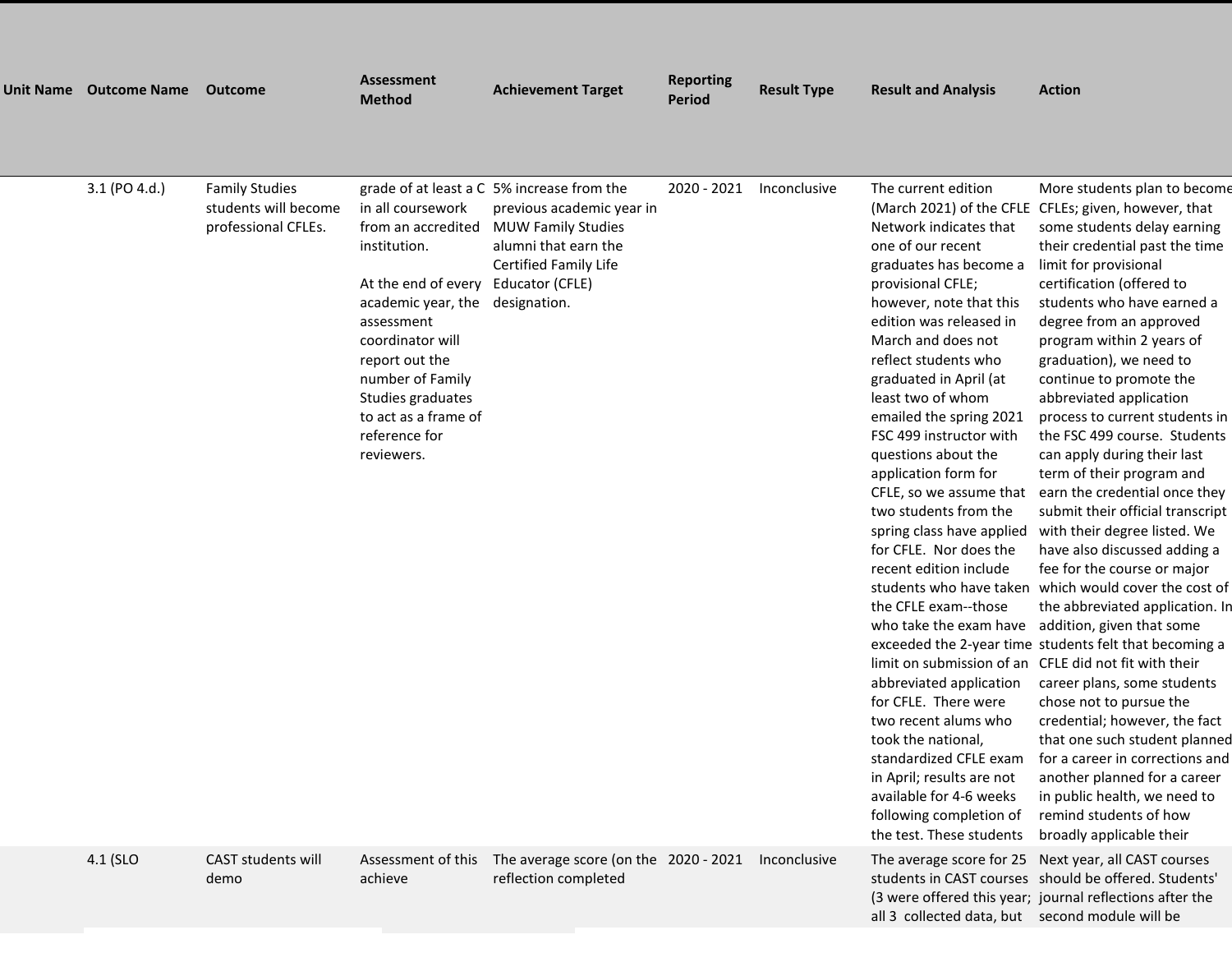| Unit Name Outcome Name | <b>Outcome</b>                                                       | <b>Assessment</b><br><b>Method</b>                                                                                                                                                                                                                                    | <b>Achievement Target</b>                                                                                                                                                | <b>Reporting</b><br><b>Period</b> | <b>Result Type</b> | <b>Result and Analysis</b>                                                                                                                                                                                                                                                                                                                                                                                                                                                                                                                                                                                                                                                                                                                                                                                                            | <b>Action</b>                                                                                                                                                                                                                                                                                                                                                                                                                                                                                                                                                                                                                                                                                                                                                                                                                                                                                                                                                                                                                                                                                                                                                                                 |
|------------------------|----------------------------------------------------------------------|-----------------------------------------------------------------------------------------------------------------------------------------------------------------------------------------------------------------------------------------------------------------------|--------------------------------------------------------------------------------------------------------------------------------------------------------------------------|-----------------------------------|--------------------|---------------------------------------------------------------------------------------------------------------------------------------------------------------------------------------------------------------------------------------------------------------------------------------------------------------------------------------------------------------------------------------------------------------------------------------------------------------------------------------------------------------------------------------------------------------------------------------------------------------------------------------------------------------------------------------------------------------------------------------------------------------------------------------------------------------------------------------|-----------------------------------------------------------------------------------------------------------------------------------------------------------------------------------------------------------------------------------------------------------------------------------------------------------------------------------------------------------------------------------------------------------------------------------------------------------------------------------------------------------------------------------------------------------------------------------------------------------------------------------------------------------------------------------------------------------------------------------------------------------------------------------------------------------------------------------------------------------------------------------------------------------------------------------------------------------------------------------------------------------------------------------------------------------------------------------------------------------------------------------------------------------------------------------------------|
| 3.1 (PO 4.d.)          | <b>Family Studies</b><br>students will become<br>professional CFLEs. | in all coursework<br>from an accredited<br>institution.<br>At the end of every<br>academic year, the designation.<br>assessment<br>coordinator will<br>report out the<br>number of Family<br>Studies graduates<br>to act as a frame of<br>reference for<br>reviewers. | grade of at least a C 5% increase from the<br>previous academic year in<br><b>MUW Family Studies</b><br>alumni that earn the<br>Certified Family Life<br>Educator (CFLE) | 2020 - 2021                       | Inconclusive       | The current edition<br>Network indicates that<br>one of our recent<br>graduates has become a<br>provisional CFLE;<br>however, note that this<br>edition was released in<br>March and does not<br>reflect students who<br>graduated in April (at<br>least two of whom<br>emailed the spring 2021<br>FSC 499 instructor with<br>questions about the<br>application form for<br>CFLE, so we assume that<br>two students from the<br>spring class have applied<br>for CFLE. Nor does the<br>recent edition include<br>students who have taken<br>the CFLE exam--those<br>who take the exam have<br>abbreviated application<br>for CFLE. There were<br>two recent alums who<br>took the national,<br>standardized CFLE exam<br>in April; results are not<br>available for 4-6 weeks<br>following completion of<br>the test. These students | More students plan to become<br>(March 2021) of the CFLE CFLEs; given, however, that<br>some students delay earning<br>their credential past the time<br>limit for provisional<br>certification (offered to<br>students who have earned a<br>degree from an approved<br>program within 2 years of<br>graduation), we need to<br>continue to promote the<br>abbreviated application<br>process to current students in<br>the FSC 499 course. Students<br>can apply during their last<br>term of their program and<br>earn the credential once they<br>submit their official transcript<br>with their degree listed. We<br>have also discussed adding a<br>fee for the course or major<br>which would cover the cost of<br>the abbreviated application. In<br>addition, given that some<br>exceeded the 2-year time students felt that becoming a<br>limit on submission of an CFLE did not fit with their<br>career plans, some students<br>chose not to pursue the<br>credential; however, the fact<br>that one such student planned<br>for a career in corrections and<br>another planned for a career<br>in public health, we need to<br>remind students of how<br>broadly applicable their |
| 4.1 (SLO               | CAST students will<br>demo                                           | Assessment of this<br>achieve                                                                                                                                                                                                                                         | The average score (on the 2020 - 2021<br>reflection completed                                                                                                            |                                   | Inconclusive       | The average score for 25<br>all 3 collected data, but second module will be                                                                                                                                                                                                                                                                                                                                                                                                                                                                                                                                                                                                                                                                                                                                                           | Next year, all CAST courses<br>students in CAST courses should be offered. Students'<br>(3 were offered this year; journal reflections after the                                                                                                                                                                                                                                                                                                                                                                                                                                                                                                                                                                                                                                                                                                                                                                                                                                                                                                                                                                                                                                              |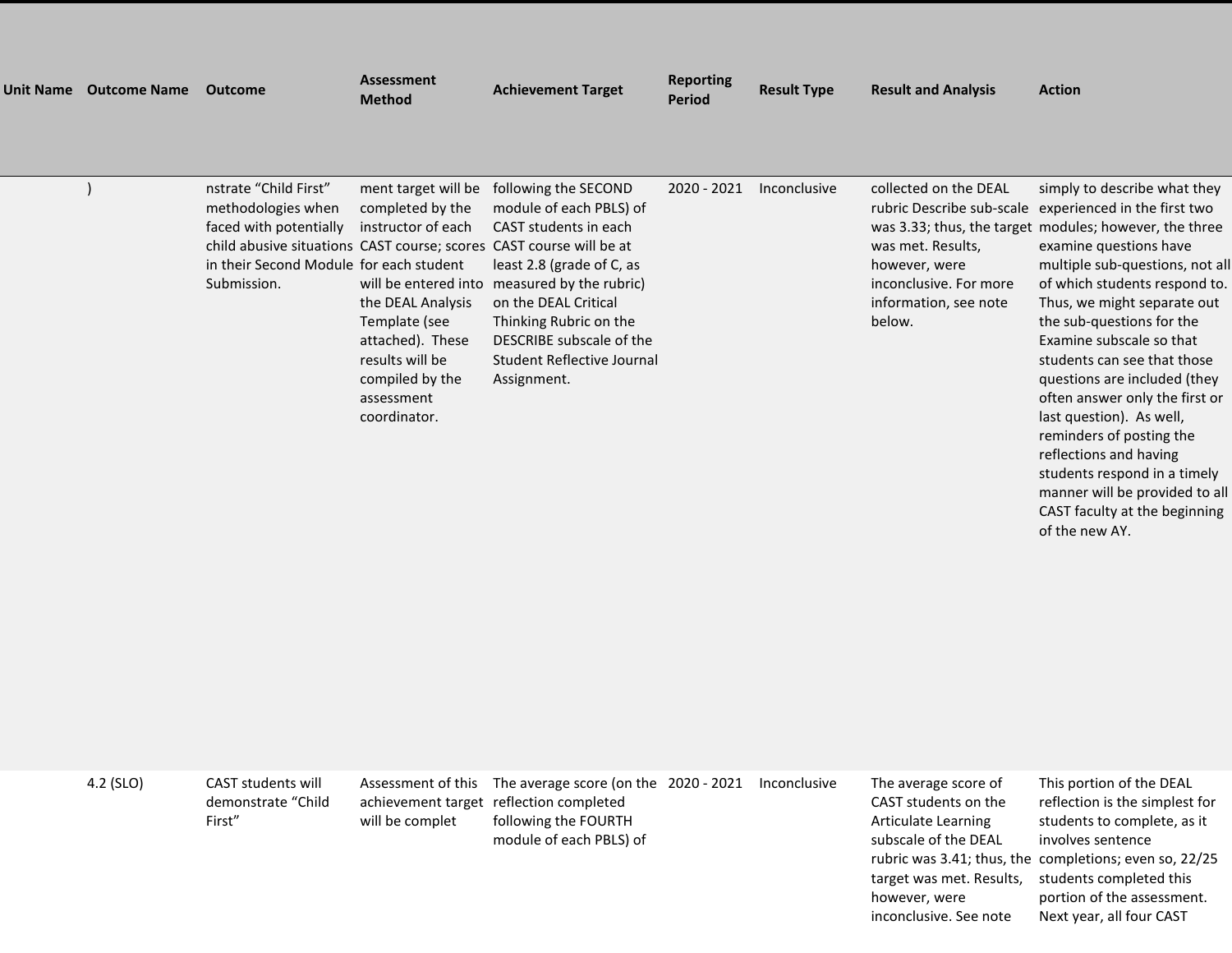| Unit Name | <b>Outcome Name</b> | <b>Outcome</b>                                                                                                                                                                                         | <b>Assessment</b><br><b>Method</b>                                                                                                                                                                                  | <b>Achievement Target</b>                                                                                                                                                                                                                                   | <b>Reporting</b><br><b>Period</b> | <b>Result Type</b> | <b>Result and Analysis</b>                                                                                               | <b>Action</b>                                                                                                                                                                                                                                                                                                                                                                                                                                                                                                             |
|-----------|---------------------|--------------------------------------------------------------------------------------------------------------------------------------------------------------------------------------------------------|---------------------------------------------------------------------------------------------------------------------------------------------------------------------------------------------------------------------|-------------------------------------------------------------------------------------------------------------------------------------------------------------------------------------------------------------------------------------------------------------|-----------------------------------|--------------------|--------------------------------------------------------------------------------------------------------------------------|---------------------------------------------------------------------------------------------------------------------------------------------------------------------------------------------------------------------------------------------------------------------------------------------------------------------------------------------------------------------------------------------------------------------------------------------------------------------------------------------------------------------------|
|           |                     |                                                                                                                                                                                                        |                                                                                                                                                                                                                     |                                                                                                                                                                                                                                                             |                                   |                    |                                                                                                                          |                                                                                                                                                                                                                                                                                                                                                                                                                                                                                                                           |
|           |                     | nstrate "Child First"<br>methodologies when<br>faced with potentially<br>child abusive situations CAST course; scores CAST course will be at<br>in their Second Module for each student<br>Submission. | ment target will be<br>completed by the<br>instructor of each<br>will be entered into<br>the DEAL Analysis<br>Template (see<br>attached). These<br>results will be<br>compiled by the<br>assessment<br>coordinator. | following the SECOND<br>module of each PBLS) of<br>CAST students in each<br>least 2.8 (grade of C, as<br>measured by the rubric)<br>on the DEAL Critical<br>Thinking Rubric on the<br>DESCRIBE subscale of the<br>Student Reflective Journal<br>Assignment. | 2020 - 2021                       | Inconclusive       | collected on the DEAL<br>was met. Results,<br>however, were<br>inconclusive. For more<br>information, see note<br>below. | simply to describe what they<br>rubric Describe sub-scale experienced in the first two<br>was 3.33; thus, the target modules; however, the three<br>examine questions have<br>multiple sub-questions, not all<br>of which students respond to.<br>Thus, we might separate out<br>the sub-questions for the<br>Examine subscale so that<br>students can see that those<br>questions are included (they<br>often answer only the first or<br>last question). As well,<br>reminders of posting the<br>reflections and having |

| 4.2 (SLO) | CAST students will<br>demonstrate "Child<br>First" | will be complet | Assessment of this The average score (on the 2020 - 2021 Inconclusive<br>achievement target reflection completed<br>following the FOURTH<br>module of each PBLS) of |  | The average score of<br>CAST students on the<br>Articulate Learning<br>subscale of the DEAL<br>target was met. Results,<br>however, were | This portion of the DEAL<br>reflection is the simplest for<br>students to complete, as it<br>involves sentence<br>rubric was 3.41; thus, the completions; even so, 22/25<br>students completed this<br>portion of the assessment. |
|-----------|----------------------------------------------------|-----------------|---------------------------------------------------------------------------------------------------------------------------------------------------------------------|--|------------------------------------------------------------------------------------------------------------------------------------------|-----------------------------------------------------------------------------------------------------------------------------------------------------------------------------------------------------------------------------------|

students respond in a timely manner will be provided to all CAST faculty at the beginning

of the new AY.

inconclusive. See note Next year, all four CAST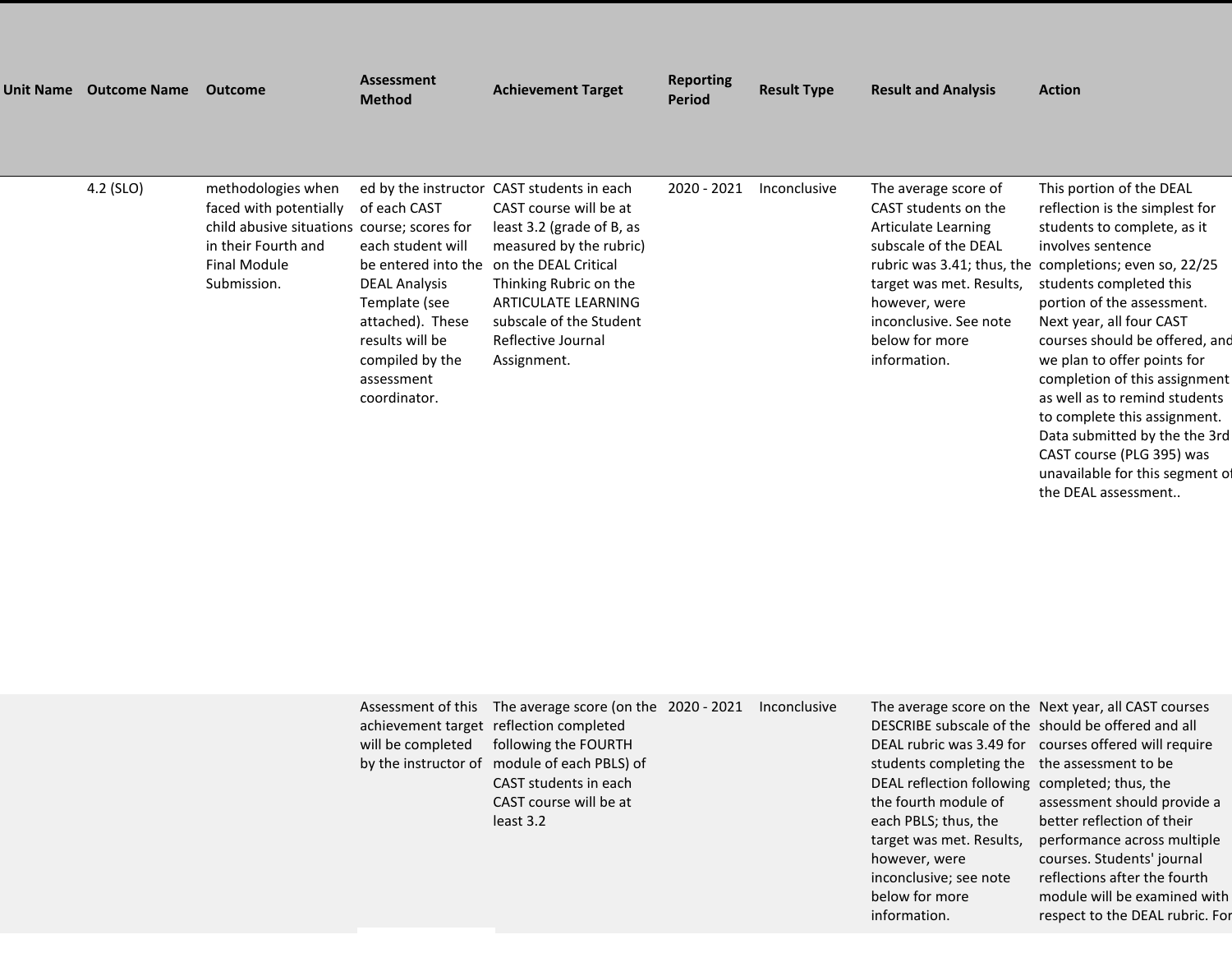| <b>Unit Name</b> | <b>Outcome Name</b> | <b>Outcome</b>                                                                                                                                    | <b>Assessment</b><br><b>Method</b>                                                                                                                                                        | <b>Achievement Target</b>                                                                                                                                                                                                                                             | <b>Reporting</b><br><b>Period</b> | <b>Result Type</b>  | <b>Result and Analysis</b>                                                                                                                                                                           | <b>Action</b>                                                                                                                                                                                                                                                                                                                                                                                    |
|------------------|---------------------|---------------------------------------------------------------------------------------------------------------------------------------------------|-------------------------------------------------------------------------------------------------------------------------------------------------------------------------------------------|-----------------------------------------------------------------------------------------------------------------------------------------------------------------------------------------------------------------------------------------------------------------------|-----------------------------------|---------------------|------------------------------------------------------------------------------------------------------------------------------------------------------------------------------------------------------|--------------------------------------------------------------------------------------------------------------------------------------------------------------------------------------------------------------------------------------------------------------------------------------------------------------------------------------------------------------------------------------------------|
|                  |                     |                                                                                                                                                   |                                                                                                                                                                                           |                                                                                                                                                                                                                                                                       |                                   |                     |                                                                                                                                                                                                      |                                                                                                                                                                                                                                                                                                                                                                                                  |
|                  | 4.2 (SLO)           | methodologies when<br>faced with potentially<br>child abusive situations course; scores for<br>in their Fourth and<br>Final Module<br>Submission. | of each CAST<br>each student will<br>be entered into the<br><b>DEAL Analysis</b><br>Template (see<br>attached). These<br>results will be<br>compiled by the<br>assessment<br>coordinator. | ed by the instructor CAST students in each<br>CAST course will be at<br>least 3.2 (grade of B, as<br>measured by the rubric)<br>on the DEAL Critical<br>Thinking Rubric on the<br>ARTICULATE LEARNING<br>subscale of the Student<br>Reflective Journal<br>Assignment. | 2020 - 2021                       | <b>Inconclusive</b> | The average score of<br>CAST students on the<br>Articulate Learning<br>subscale of the DEAL<br>target was met. Results,<br>however, were<br>inconclusive. See note<br>below for more<br>information. | This portion of the DEAL<br>reflection is the simplest for<br>students to complete, as it<br>involves sentence<br>rubric was 3.41; thus, the completions; even so, 22/25<br>students completed this<br>portion of the assessment.<br>Next year, all four CAST<br>courses should be offered, and<br>we plan to offer points for<br>completion of this assignment<br>as well as to remind students |

| Assessment of this<br>will be completed | The average score (on the 2020 - 2021<br>achievement target reflection completed<br>following the FOURTH<br>by the instructor of module of each PBLS) of<br>CAST students in each<br>CAST course will be at<br>least 3.2 | Inconclusive | students completing the the assessment to be<br>DEAL reflection following completed; thus, the<br>the fourth module of<br>each PBLS; thus, the<br>target was met. Results,<br>however, were<br>inconclusive; see note<br>below for more | The average score on the Next year, all CAST courses<br>DESCRIBE subscale of the should be offered and all<br>DEAL rubric was 3.49 for courses offered will require<br>assessment should provide a<br>better reflection of their<br>performance across multiple<br>courses. Students' journal<br>reflections after the fourth<br>module will be examined with |
|-----------------------------------------|--------------------------------------------------------------------------------------------------------------------------------------------------------------------------------------------------------------------------|--------------|-----------------------------------------------------------------------------------------------------------------------------------------------------------------------------------------------------------------------------------------|---------------------------------------------------------------------------------------------------------------------------------------------------------------------------------------------------------------------------------------------------------------------------------------------------------------------------------------------------------------|
|                                         |                                                                                                                                                                                                                          |              |                                                                                                                                                                                                                                         |                                                                                                                                                                                                                                                                                                                                                               |

information.

to complete this assignment. Data submitted by the the 3rd CAST course (PLG 395) was unavailable for this segment of the DEAL assessment..

respect to the DEAL rubric. For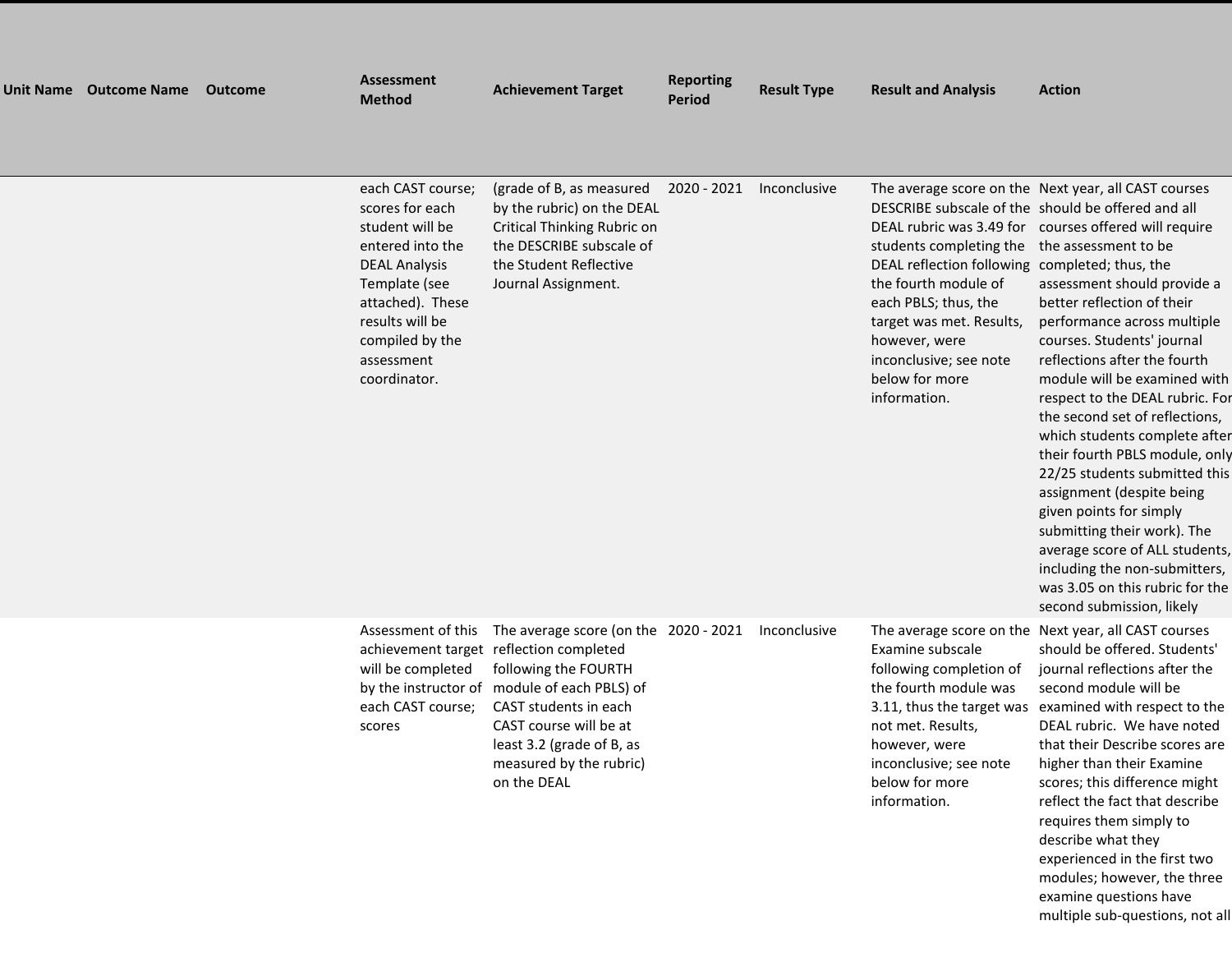| Unit Name Outcome Name | Outcome | Assessment<br><b>Method</b>                                                                                                                                                                                  | <b>Achievement Target</b>                                                                                                                                                                                                                                                                             | <b>Reporting</b><br><b>Period</b> | <b>Result Type</b> | <b>Result and Analysis</b>                                                                                                                                                                                                                              | <b>Action</b>                                                                                                                                                                                                                                                                                                                                                                                                                                                                                                                                                                                                                                                                                                                                                    |
|------------------------|---------|--------------------------------------------------------------------------------------------------------------------------------------------------------------------------------------------------------------|-------------------------------------------------------------------------------------------------------------------------------------------------------------------------------------------------------------------------------------------------------------------------------------------------------|-----------------------------------|--------------------|---------------------------------------------------------------------------------------------------------------------------------------------------------------------------------------------------------------------------------------------------------|------------------------------------------------------------------------------------------------------------------------------------------------------------------------------------------------------------------------------------------------------------------------------------------------------------------------------------------------------------------------------------------------------------------------------------------------------------------------------------------------------------------------------------------------------------------------------------------------------------------------------------------------------------------------------------------------------------------------------------------------------------------|
|                        |         | each CAST course;<br>scores for each<br>student will be<br>entered into the<br><b>DEAL Analysis</b><br>Template (see<br>attached). These<br>results will be<br>compiled by the<br>assessment<br>coordinator. | (grade of B, as measured 2020 - 2021<br>by the rubric) on the DEAL<br>Critical Thinking Rubric on<br>the DESCRIBE subscale of<br>the Student Reflective<br>Journal Assignment.                                                                                                                        |                                   | Inconclusive       | students completing the the assessment to be<br>DEAL reflection following completed; thus, the<br>the fourth module of<br>each PBLS; thus, the<br>target was met. Results,<br>however, were<br>inconclusive; see note<br>below for more<br>information. | The average score on the Next year, all CAST courses<br>DESCRIBE subscale of the should be offered and all<br>DEAL rubric was 3.49 for courses offered will require<br>assessment should provide a<br>better reflection of their<br>performance across multiple<br>courses. Students' journal<br>reflections after the fourth<br>module will be examined with<br>respect to the DEAL rubric. For<br>the second set of reflections,<br>which students complete after<br>their fourth PBLS module, only<br>22/25 students submitted this<br>assignment (despite being<br>given points for simply<br>submitting their work). The<br>average score of ALL students,<br>including the non-submitters,<br>was 3.05 on this rubric for the<br>second submission, likely |
|                        |         | will be completed<br>each CAST course;<br>scores                                                                                                                                                             | Assessment of this The average score (on the 2020 - 2021<br>achievement target reflection completed<br>following the FOURTH<br>by the instructor of module of each PBLS) of<br>CAST students in each<br>CAST course will be at<br>least 3.2 (grade of B, as<br>measured by the rubric)<br>on the DEAL |                                   | Inconclusive       | Examine subscale<br>following completion of<br>the fourth module was<br>3.11, thus the target was<br>not met. Results,<br>however, were<br>inconclusive; see note<br>below for more<br>information.                                                     | The average score on the Next year, all CAST courses<br>should be offered. Students'<br>journal reflections after the<br>second module will be<br>examined with respect to the<br>DEAL rubric. We have noted<br>that their Describe scores are<br>higher than their Examine<br>scores; this difference might<br>reflect the fact that describe<br>requires them simply to<br>describe what they<br>experienced in the first two<br>modules; however, the three                                                                                                                                                                                                                                                                                                   |

examine questions have multiple sub-questions, not all